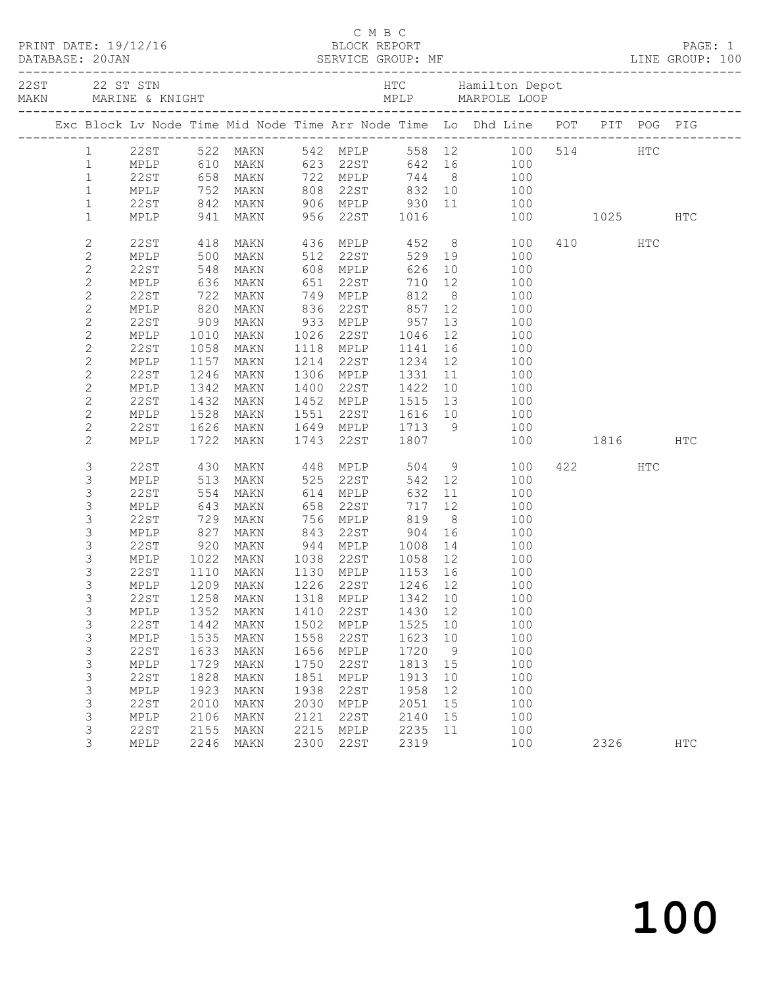|                                |              |              |                                                              |              |                      |      |                              |                 | C M B C<br>PRINT DATE: 19/12/16 BLOCK REPORT<br>DATABASE: 20JAN SERVICE GROUP: MF LINE GROUP: 100 |              |     |            |
|--------------------------------|--------------|--------------|--------------------------------------------------------------|--------------|----------------------|------|------------------------------|-----------------|---------------------------------------------------------------------------------------------------|--------------|-----|------------|
|                                |              |              |                                                              |              |                      |      |                              |                 |                                                                                                   |              |     |            |
|                                |              |              |                                                              |              |                      |      |                              |                 | Exc Block Lv Node Time Mid Node Time Arr Node Time Lo Dhd Line POT PIT POG PIG                    |              |     |            |
| $\mathbf{1}$                   |              |              |                                                              |              |                      |      |                              |                 | 542 MPLP 558 12 100 514 HTC<br>623 22ST 642 16 100                                                |              |     |            |
| $\mathbf{1}$                   | MPLP         |              | 22ST 522 MAKN<br>MPLP 610 MAKN                               |              | 623 22ST             |      |                              |                 |                                                                                                   |              |     |            |
| $\mathbf{1}$                   | 22ST         |              | 658 MAKN                                                     |              | 722 MPLP             |      |                              |                 | 744 8 100                                                                                         |              |     |            |
| $\mathbf{1}$                   | MPLP         |              | 752 MAKN<br>842 MAKN<br>941 MAKN                             |              |                      |      |                              |                 |                                                                                                   |              |     |            |
| $\mathbf{1}$                   | 22ST         |              |                                                              |              |                      |      |                              |                 | 100                                                                                               |              |     |            |
| $\mathbf{1}$                   | MPLP         |              |                                                              |              |                      |      |                              |                 | 908 22ST 832 10 100<br>906 MPLP 930 11 100<br>956 22ST 1016 100                                   | 100 1025 HTC |     |            |
| $\mathbf{2}$                   | 22ST         | 418          | MAKN                                                         |              |                      |      | 436 MPLP 452<br>512 22ST 529 |                 | 8 100                                                                                             | 410          | HTC |            |
| $\sqrt{2}$                     | MPLP         | 500          | MAKN                                                         |              |                      |      | 529 19                       |                 | 100                                                                                               |              |     |            |
| $\mathbf{2}$                   | 22ST         | 548          | MAKN                                                         |              | $608$ MPLP           |      | 626                          |                 | 10<br>100                                                                                         |              |     |            |
| $\sqrt{2}$                     | MPLP         | 636          | MAKN                                                         | 651          |                      | 22ST | 710                          | 12              | 100                                                                                               |              |     |            |
| $\mathbf{2}$                   | 22ST         | 722          | MAKN                                                         |              | 749 MPLP             |      | 812                          | 8 <sup>8</sup>  | 100                                                                                               |              |     |            |
| $\sqrt{2}$                     | MPLP         |              | 820 MAKN<br>909 MAKN                                         | 836          | 22ST                 |      | 857<br>957                   | 12              | 100                                                                                               |              |     |            |
| $\mathbf{2}$                   | 22ST         |              |                                                              |              | 933 MPLP             |      |                              | 13              | 100                                                                                               |              |     |            |
| $\sqrt{2}$                     | MPLP         | 1010         | MAKN                                                         |              | 1026 22ST            |      | 1046                         | 12              | 100                                                                                               |              |     |            |
| 2                              | 22ST         | 1058         | MAKN                                                         |              | 1118 MPLP            |      | 1141                         | 16              | 100                                                                                               |              |     |            |
| $\sqrt{2}$                     | MPLP         | 1157         | MAKN                                                         |              | 1214 22ST            |      | 1234                         |                 | 100<br>$\begin{array}{c} 12 \\ 11 \end{array}$                                                    |              |     |            |
| $\mathbf{2}$                   | 22ST         | 1246         | MAKN                                                         |              | 1306 MPLP            |      | 1331<br>1422                 |                 | 100                                                                                               |              |     |            |
| $\sqrt{2}$                     | MPLP<br>22ST | 1342<br>1432 | MAKN                                                         |              | 1400 22ST            |      | 1515                         | 10<br>13        | 100<br>100                                                                                        |              |     |            |
| $\overline{c}$<br>$\mathbf{2}$ | MPLP         | 1528         | MAKN<br>MAKN                                                 |              | 1452 MPLP            |      |                              |                 | 100                                                                                               |              |     |            |
| $\mathbf{2}$                   | 22ST         | 1626         | MAKN                                                         |              |                      |      |                              |                 | 100                                                                                               |              |     |            |
| $\mathbf{2}$                   | MPLP         | 1722         | MAKN                                                         |              | 1743 22ST            |      |                              |                 | 100                                                                                               | 1816         |     | HTC        |
| 3                              | 22ST         |              | MAKN                                                         |              |                      |      | 504                          |                 | 100                                                                                               | 422          | HTC |            |
| 3                              | MPLP         | 430<br>513   | MAKN                                                         |              | 448 MPLP<br>525 22ST |      | 542                          |                 | $\frac{9}{12}$<br>100                                                                             |              |     |            |
| 3                              | 22ST         | 554          | MAKN                                                         |              | 614 MPLP             |      | 632                          |                 | $11$<br>100                                                                                       |              |     |            |
| 3                              | MPLP         | 643          | MAKN                                                         | 658          | 22ST                 |      | 717                          | 12 <sup>7</sup> | 100                                                                                               |              |     |            |
| 3                              | 22ST         | 729<br>827   |                                                              |              |                      |      |                              | 8 <sup>8</sup>  | 100                                                                                               |              |     |            |
| 3                              | MPLP         |              |                                                              |              |                      |      |                              | 16              | 100                                                                                               |              |     |            |
| 3                              | 22ST         | 920          | MAKN 756 MPLP 819<br>MAKN 843 22ST 904<br>MAKN 944 MPLP 1008 |              |                      |      |                              |                 | 14<br>100                                                                                         |              |     |            |
| 3                              | MPLP         |              | 1022 MAKN                                                    |              |                      |      | 1038 22ST 1058 12            |                 | 100                                                                                               |              |     |            |
| 3                              | 22ST         | 1110         | MAKN                                                         |              | 1130 MPLP            |      | 1153 16                      |                 | 100                                                                                               |              |     |            |
| $\mathfrak{Z}$                 |              |              | MPLP 1209 MAKN 1226 22ST 1246 12                             |              |                      |      |                              |                 | 100                                                                                               |              |     |            |
| 3                              | 22ST         | 1258         | MAKN                                                         | 1318         | MPLP                 |      | 1342                         | 10              | 100                                                                                               |              |     |            |
| 3                              | MPLP         | 1352         | MAKN                                                         | 1410         | 22ST                 |      | 1430                         | 12              | 100                                                                                               |              |     |            |
| 3                              | 22ST         | 1442         | MAKN                                                         | 1502         | MPLP                 |      | 1525                         | 10              | 100                                                                                               |              |     |            |
| 3                              | MPLP         | 1535         | MAKN                                                         | 1558         | 22ST                 |      | 1623                         | 10              | 100                                                                                               |              |     |            |
| 3                              | 22ST         | 1633         | MAKN                                                         | 1656         | MPLP                 |      | 1720                         | 9               | 100                                                                                               |              |     |            |
| 3                              | MPLP         | 1729         | <b>MAKN</b>                                                  | 1750         | 22ST                 |      | 1813                         | 15              | 100                                                                                               |              |     |            |
| 3                              | 22ST         | 1828<br>1923 | MAKN                                                         | 1851<br>1938 | MPLP                 |      | 1913                         | 10<br>12        | 100<br>100                                                                                        |              |     |            |
| 3                              | MPLP<br>22ST | 2010         | MAKN                                                         | 2030         | 22ST                 |      | 1958<br>2051                 | 15              | 100                                                                                               |              |     |            |
| 3<br>3                         | MPLP         | 2106         | MAKN<br>MAKN                                                 | 2121         | MPLP<br>22ST         |      | 2140                         | 15              | 100                                                                                               |              |     |            |
| 3                              | 22ST         | 2155         | MAKN                                                         | 2215         | MPLP                 |      | 2235                         | 11              | 100                                                                                               |              |     |            |
| 3                              | MPLP         | 2246         | MAKN                                                         | 2300         | 22ST                 |      | 2319                         |                 | 100                                                                                               | 2326         |     | <b>HTC</b> |
|                                |              |              |                                                              |              |                      |      |                              |                 |                                                                                                   |              |     |            |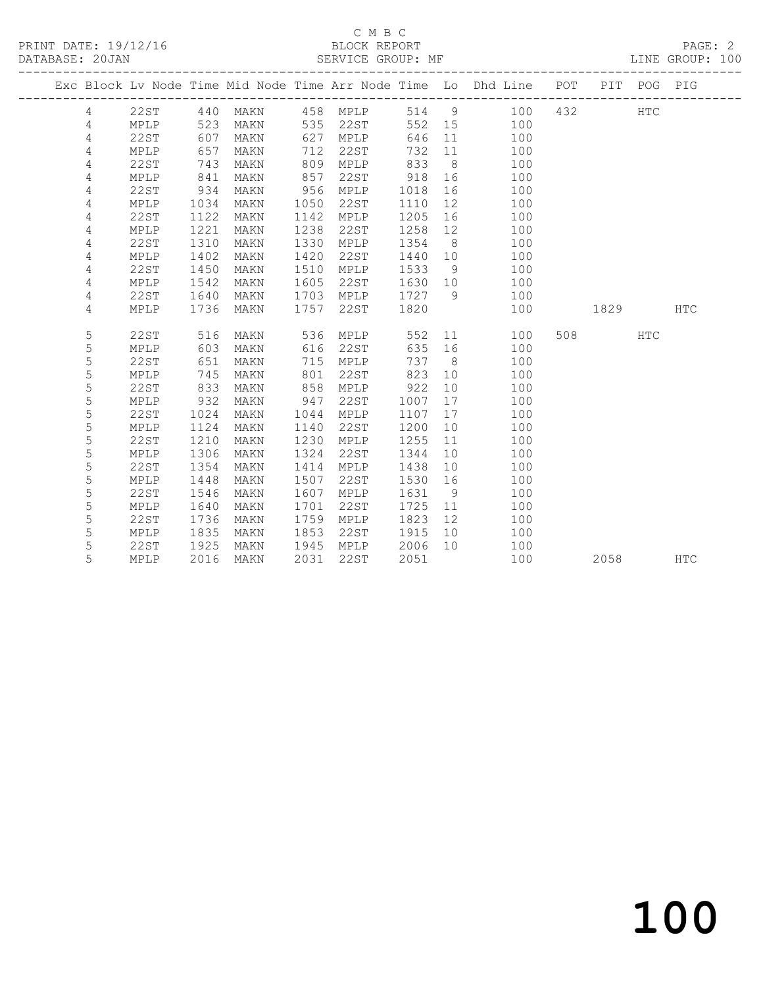#### C M B C<br>BLOCK REPORT SERVICE GROUP: MF

|                |             |      |      |      |          |        |                 | Exc Block Lv Node Time Mid Node Time Arr Node Time Lo Dhd Line POT |         | PIT POG PIG |            |
|----------------|-------------|------|------|------|----------|--------|-----------------|--------------------------------------------------------------------|---------|-------------|------------|
| $\overline{4}$ | 22ST        | 440  | MAKN |      | 458 MPLP |        |                 | 514 9 100                                                          | 432     | HTC         |            |
| 4              | MPLP        | 523  | MAKN | 535  | 22ST     | 552 15 |                 | 100                                                                |         |             |            |
| 4              | 22ST        | 607  | MAKN | 627  | MPLP     | 646    | 11              | 100                                                                |         |             |            |
| 4              | MPLP        | 657  | MAKN | 712  | 22ST     | 732    | 11              | 100                                                                |         |             |            |
| 4              | 22ST        | 743  | MAKN | 809  | MPLP     | 833    | 8 <sup>8</sup>  | 100                                                                |         |             |            |
| 4              | MPLP        | 841  | MAKN | 857  | 22ST     | 918    | 16              | 100                                                                |         |             |            |
| 4              | 22ST        | 934  | MAKN | 956  | MPLP     | 1018   | 16              | 100                                                                |         |             |            |
| 4              | MPLP        | 1034 | MAKN | 1050 | 22ST     | 1110   | 12              | 100                                                                |         |             |            |
| 4              | 22ST        | 1122 | MAKN | 1142 | MPLP     | 1205   | 16              | 100                                                                |         |             |            |
| 4              | MPLP        | 1221 | MAKN | 1238 | 22ST     | 1258   | 12              | 100                                                                |         |             |            |
| 4              | 22ST        | 1310 | MAKN | 1330 | MPLP     | 1354   | 8 <sup>8</sup>  | 100                                                                |         |             |            |
| 4              | MPLP        | 1402 | MAKN | 1420 | 22ST     | 1440   | 10              | 100                                                                |         |             |            |
| 4              | <b>22ST</b> | 1450 | MAKN | 1510 | MPLP     | 1533   | 9               | 100                                                                |         |             |            |
| 4              | MPLP        | 1542 | MAKN | 1605 | 22ST     | 1630   | 10              | 100                                                                |         |             |            |
| 4              | 22ST        | 1640 | MAKN | 1703 | MPLP     | 1727   | - 9             | 100                                                                |         |             |            |
| 4              | MPLP        | 1736 | MAKN | 1757 | 22ST     | 1820   |                 | 100                                                                | 1829    |             | <b>HTC</b> |
|                |             |      |      |      |          |        |                 |                                                                    |         |             |            |
| 5              | 22ST        | 516  | MAKN | 536  | MPLP     | 552    | 11              | 100                                                                | 508 70  | HTC         |            |
| 5              | MPLP        | 603  | MAKN | 616  | 22ST     | 635    | 16              | 100                                                                |         |             |            |
| 5              | <b>22ST</b> | 651  | MAKN | 715  | MPLP     | 737    | 8               | 100                                                                |         |             |            |
| 5              | MPLP        | 745  | MAKN | 801  | 22ST     | 823    | 10 <sup>°</sup> | 100                                                                |         |             |            |
| 5              | <b>22ST</b> | 833  | MAKN | 858  | MPLP     | 922    | 10              | 100                                                                |         |             |            |
| 5              | MPLP        | 932  | MAKN | 947  | 22ST     | 1007   | 17              | 100                                                                |         |             |            |
| 5              | 22ST        | 1024 | MAKN | 1044 | MPLP     | 1107   | 17              | 100                                                                |         |             |            |
| 5              | MPLP        | 1124 | MAKN | 1140 | 22ST     | 1200   | 10              | 100                                                                |         |             |            |
| 5              | 22ST        | 1210 | MAKN | 1230 | MPLP     | 1255   | 11              | 100                                                                |         |             |            |
| 5              | MPLP        | 1306 | MAKN | 1324 | 22ST     | 1344   | 10              | 100                                                                |         |             |            |
| 5              | <b>22ST</b> | 1354 | MAKN | 1414 | MPLP     | 1438   | 10              | 100                                                                |         |             |            |
| 5              | MPLP        | 1448 | MAKN | 1507 | 22ST     | 1530   | 16              | 100                                                                |         |             |            |
| 5              | 22ST        | 1546 | MAKN | 1607 | MPLP     | 1631   | 9               | 100                                                                |         |             |            |
| 5              | MPLP        | 1640 | MAKN | 1701 | 22ST     | 1725   | 11              | 100                                                                |         |             |            |
| 5              | 22ST        | 1736 | MAKN | 1759 | MPLP     | 1823   | 12              | 100                                                                |         |             |            |
| 5              | MPLP        | 1835 | MAKN | 1853 | 22ST     | 1915   | 10              | 100                                                                |         |             |            |
| 5              | 22ST        | 1925 | MAKN | 1945 | MPLP     | 2006   | 10              | 100                                                                |         |             |            |
| 5              | MPLP        | 2016 | MAKN | 2031 | 22ST     | 2051   |                 | 100                                                                | 2058 70 |             | HTC        |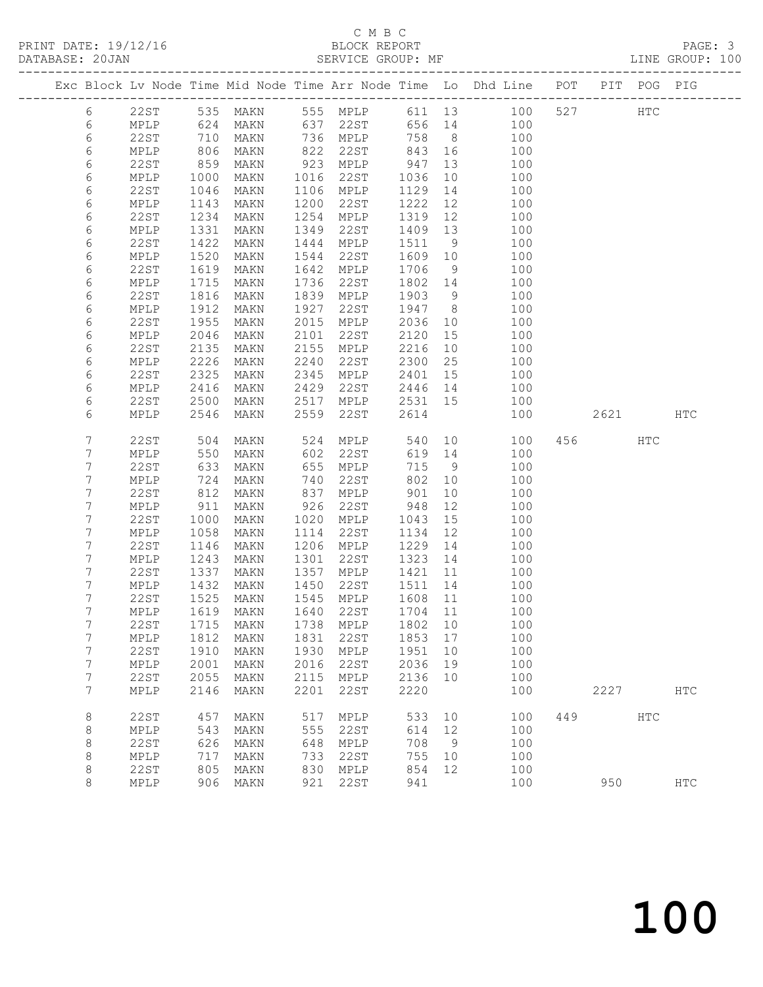#### C M B C<br>BLOCK REPORT SERVICE GROUP: MF

|                |                     |               |                                  |              |              |              |                | Exc Block Lv Node Time Mid Node Time Arr Node Time Lo Dhd Line POT |     |      | PIT POG PIG |            |
|----------------|---------------------|---------------|----------------------------------|--------------|--------------|--------------|----------------|--------------------------------------------------------------------|-----|------|-------------|------------|
|                |                     |               |                                  |              |              |              |                |                                                                    |     |      |             |            |
| 6              | 22ST                | $-0.5$<br>624 | 535 MAKN                         |              |              |              |                | 555 MPLP 611 13 100                                                | 527 |      | HTC         |            |
| 6              | MPLP                |               | MAKN                             |              | 637 22ST     | 656 14       |                | 100                                                                |     |      |             |            |
| 6              | 22ST                | 710           | MAKN                             |              | 736 MPLP     | 758          | 8 <sup>8</sup> | 100                                                                |     |      |             |            |
| 6              | MPLP                | 806           | MAKN                             | 822          | 22ST         | 843          | 16             | 100                                                                |     |      |             |            |
| 6              | 22ST                | 859           | MAKN                             | 923          | MPLP         | 947          | 13             | 100                                                                |     |      |             |            |
| 6              | MPLP                | 1000          | MAKN                             | 1016         | 22ST         | 1036         | 10             | 100                                                                |     |      |             |            |
| 6              | 22ST                | 1046          | MAKN                             | 1106         | MPLP         | 1129         | 14             | 100                                                                |     |      |             |            |
| 6              | MPLP                | 1143          | MAKN                             | 1200         | 22ST         | 1222         | 12             | 100                                                                |     |      |             |            |
| 6              | 22ST                | 1234          | MAKN                             | 1254         | MPLP         | 1319         | 12             | 100                                                                |     |      |             |            |
| 6              | MPLP                | 1331          | MAKN                             | 1349         | 22ST         | 1409         | 13             | 100                                                                |     |      |             |            |
| 6              | 22ST                | 1422          | MAKN                             | 1444         | MPLP         | 1511         | 9              | 100                                                                |     |      |             |            |
| 6              | <b>MPLP</b>         | 1520          | MAKN                             | 1544         | 22ST         | 1609         | 10             | 100                                                                |     |      |             |            |
| 6              | 22ST                | 1619          | MAKN                             | 1642         | MPLP         | 1706         | 9              | 100                                                                |     |      |             |            |
| 6              | MPLP                | 1715          | MAKN                             | 1736         | 22ST         | 1802         | 14             | 100                                                                |     |      |             |            |
| 6              | <b>22ST</b>         | 1816          | MAKN                             | 1839         | MPLP         | 1903         | 9              | 100                                                                |     |      |             |            |
| 6              | MPLP                | 1912          | MAKN                             | 1927         | 22ST         | 1947         | 8 <sup>8</sup> | 100                                                                |     |      |             |            |
| 6              | 22ST                | 1955          | MAKN                             | 2015         | MPLP         | 2036         | 10             | 100                                                                |     |      |             |            |
| 6              | MPLP                | 2046          | MAKN                             | 2101         | 22ST         | 2120         | 15             | 100                                                                |     |      |             |            |
| 6              | 22ST                | 2135          | MAKN                             | 2155         | MPLP         | 2216         | 10             | 100                                                                |     |      |             |            |
| 6              | MPLP                | 2226          | MAKN                             | 2240         | 22ST         | 2300         | 25             | 100                                                                |     |      |             |            |
| 6              | 22ST                | 2325          | MAKN                             | 2345         | MPLP         | 2401         | 15             | 100                                                                |     |      |             |            |
| 6              | MPLP                | 2416          | MAKN                             | 2429         | 22ST         | 2446         | 14             | 100                                                                |     |      |             |            |
| 6              | 22ST                | 2500          | MAKN                             | 2517         | MPLP         | 2531         | 15             | 100                                                                |     |      |             |            |
| 6              | MPLP                | 2546          | MAKN                             | 2559         | 22ST         | 2614         |                | 100                                                                |     | 2621 |             | <b>HTC</b> |
|                |                     |               |                                  |              |              |              |                |                                                                    |     |      |             |            |
| 7              | 22ST                | 504           | MAKN                             | 524          | MPLP         | 540          | 10             | 100                                                                |     | 456  | HTC         |            |
| 7              | MPLP                | 550           | MAKN                             | 602          | 22ST         | 619          | 14             | 100                                                                |     |      |             |            |
| 7              | 22ST                | 633           | MAKN                             | 655          | MPLP         | 715          | 9              | 100                                                                |     |      |             |            |
| 7              | MPLP                | 724           | MAKN                             | 740          | 22ST         | 802          | 10             | 100                                                                |     |      |             |            |
| 7              | 22ST                | 812           | MAKN                             | 837          | MPLP         | 901          | 10             | 100                                                                |     |      |             |            |
| 7              | MPLP                | 911           | MAKN                             | 926          | 22ST         | 948          | 12             | 100                                                                |     |      |             |            |
| 7              | 22ST                | 1000          | MAKN                             | 1020         | MPLP         | 1043         | 15             | 100                                                                |     |      |             |            |
| 7              | <b>MPLP</b>         | 1058          | MAKN                             | 1114         | 22ST         | 1134         | 12             | 100                                                                |     |      |             |            |
| 7              | 22ST                | 1146          | MAKN                             | 1206         | MPLP         | 1229         | 14             | 100                                                                |     |      |             |            |
| 7<br>7         | MPLP                | 1243          | MAKN                             | 1301         | 22ST         | 1323         | 14             | 100                                                                |     |      |             |            |
| 7              | 22ST                | 1337<br>1432  | MAKN                             | 1357         | MPLP         | 1421         | 11             | 100                                                                |     |      |             |            |
| 7              | MPLP<br>22ST        | 1525          | MAKN<br>MAKN                     | 1450<br>1545 | 22ST<br>MPLP | 1511<br>1608 | 14<br>11       | 100<br>100                                                         |     |      |             |            |
| 7              | MPLP                | 1619          | MAKN                             |              |              | 1704         | 11             | 100                                                                |     |      |             |            |
| 7              |                     |               | 22ST 1715 MAKN 1738 MPLP 1802 10 | 1640         | 22ST         |              |                | 100                                                                |     |      |             |            |
| 7              |                     |               |                                  |              |              |              | 17             |                                                                    |     |      |             |            |
| 7              | MPLP<br><b>22ST</b> | 1812<br>1910  | MAKN<br>MAKN                     | 1831<br>1930 | 22ST         | 1853<br>1951 | 10             | 100<br>100                                                         |     |      |             |            |
| 7              |                     | 2001          |                                  | 2016         | MPLP<br>22ST | 2036         |                | 100                                                                |     |      |             |            |
| $\overline{7}$ | MPLP<br><b>22ST</b> | 2055          | MAKN                             | 2115         | MPLP         | 2136         | 19<br>10       | 100                                                                |     |      |             |            |
| 7              | MPLP                | 2146          | MAKN                             | 2201         | 22ST         | 2220         |                | 100                                                                |     | 2227 |             | <b>HTC</b> |
|                |                     |               | MAKN                             |              |              |              |                |                                                                    |     |      |             |            |
| 8              | 22ST                | 457           | MAKN                             | 517          | MPLP         | 533          | 10             | 100                                                                | 449 |      | HTC         |            |
| 8              | MPLP                | 543           | MAKN                             | 555          | 22ST         | 614          | 12             | 100                                                                |     |      |             |            |
| 8              | <b>22ST</b>         | 626           | MAKN                             | 648          | MPLP         | 708          | 9              | 100                                                                |     |      |             |            |
| 8              | MPLP                | 717           | <b>MAKN</b>                      | 733          | 22ST         | 755          | 10             | 100                                                                |     |      |             |            |
| 8              | <b>22ST</b>         | 805           | MAKN                             | 830          | MPLP         | 854          | 12             | 100                                                                |     |      |             |            |
| 8              | MPLP                | 906           | MAKN                             | 921          | 22ST         | 941          |                | 100                                                                |     | 950  |             | <b>HTC</b> |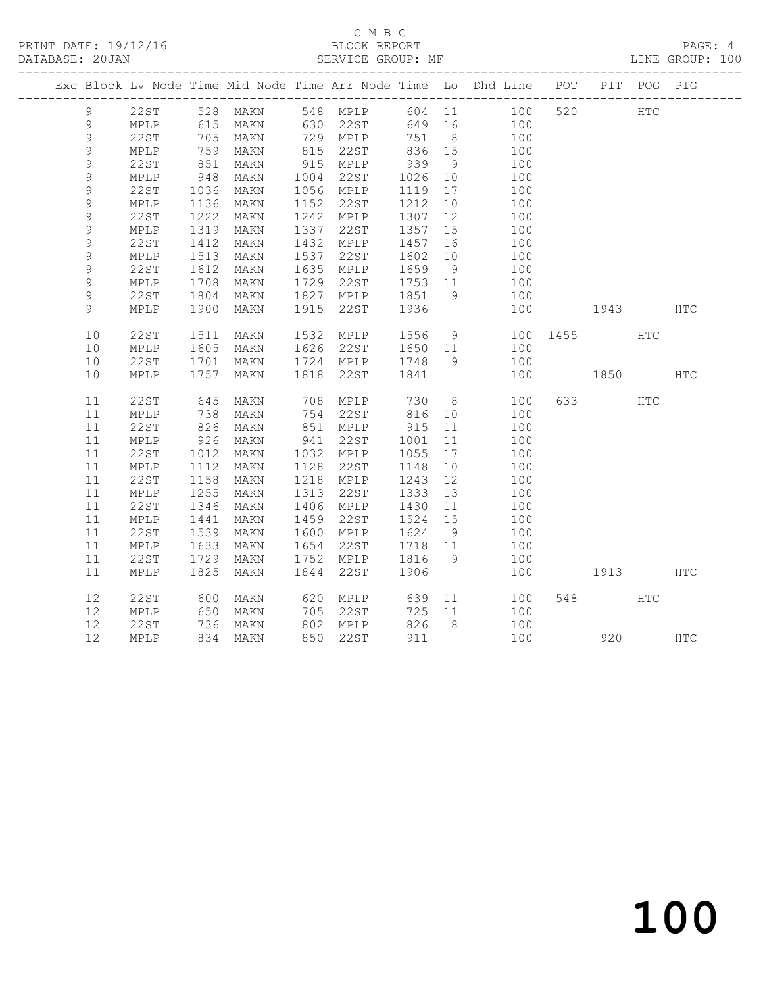#### C M B C<br>BLOCK REPORT SERVICE GROUP: MF

|             |                 |                                                         |                      |      |                                   |         |    | Exc Block Lv Node Time Mid Node Time Arr Node Time Lo Dhd Line POT PIT POG PIG |          |         |            |            |
|-------------|-----------------|---------------------------------------------------------|----------------------|------|-----------------------------------|---------|----|--------------------------------------------------------------------------------|----------|---------|------------|------------|
| 9           |                 |                                                         |                      |      |                                   |         |    | 22ST 528 MAKN 548 MPLP 604 11 100 520 HTC                                      |          |         |            |            |
| 9           | MPLP            |                                                         | 615 MAKN 630 22ST    |      |                                   |         |    | 649 16 100                                                                     |          |         |            |            |
| $\mathsf 9$ | 22ST            | 705                                                     | MAKN                 |      |                                   | 751 8   |    | $\begin{array}{c} 100 \\ 100 \end{array}$                                      |          |         |            |            |
| $\mathsf 9$ | MPLP            | 759                                                     | MAKN                 |      |                                   |         |    |                                                                                |          |         |            |            |
| $\mathsf 9$ | 22ST            | 851                                                     | MAKN                 |      | 915 MPLP                          | 939     | 9  | 100                                                                            |          |         |            |            |
| $\mathsf 9$ | $\texttt{MPLP}$ | $\begin{array}{c}\n 948 \\  \hline\n 102\n \end{array}$ | MAKN                 |      | 1004 22ST                         | 1026    | 10 | 100                                                                            |          |         |            |            |
| $\mathsf 9$ | 22ST            | 1036                                                    | MAKN                 |      | 1056 MPLP                         | 1119 17 |    | 100                                                                            |          |         |            |            |
| 9           | MPLP            | 1136                                                    | MAKN                 |      | 1152 22ST                         | 1212    | 10 | 100                                                                            |          |         |            |            |
| 9           | <b>22ST</b>     | 1222                                                    | MAKN                 |      | 1242 MPLP                         | 1307    | 12 | 100                                                                            |          |         |            |            |
| 9           | MPLP            | 1319                                                    | MAKN                 |      | 1337 22ST                         | 1357 15 |    | 100                                                                            |          |         |            |            |
| 9           | 22ST            | 1412                                                    | MAKN                 |      | 1432 MPLP                         | 1457    | 16 | 100                                                                            |          |         |            |            |
| 9           | $\texttt{MPLP}$ | 1513                                                    | MAKN                 |      | 1537 22ST                         | 1602    | 10 | 100                                                                            |          |         |            |            |
| 9           | 22ST            | 1612                                                    | MAKN                 |      | 1635 MPLP                         | 1659 9  |    | 100                                                                            |          |         |            |            |
| 9           | MPLP            | 1708                                                    | MAKN                 | 1729 | 22ST                              | 1753 11 |    | 100                                                                            |          |         |            |            |
| 9           | 22ST            | 1804                                                    | MAKN                 |      | 1827 MPLP 1851                    |         | 9  | 100                                                                            |          |         |            |            |
| 9           | MPLP            | 1900                                                    | MAKN                 | 1915 | 22ST                              | 1936    |    | 100                                                                            | 1943 HTC |         |            |            |
|             |                 |                                                         |                      |      |                                   |         |    |                                                                                |          |         |            |            |
| 10          | 22ST            | 1511                                                    | MAKN                 |      | 1532 MPLP                         |         |    | 1556 9 100 1455                                                                |          |         | <b>HTC</b> |            |
| 10          | MPLP            | 1605                                                    | MAKN                 |      | 1626 22ST                         | 1650 11 |    | 100                                                                            |          |         |            |            |
| 10          | 22ST            | 1701                                                    | MAKN                 |      | 1724 MPLP                         | 1748 9  |    | 100                                                                            |          |         |            |            |
| 10          | MPLP            | 1757                                                    | MAKN                 | 1818 | 22ST                              | 1841    |    | 100                                                                            | 1850 HTC |         |            |            |
|             |                 |                                                         |                      |      |                                   |         |    |                                                                                |          |         |            |            |
| 11          | 22ST            | 645                                                     | MAKN                 |      | 708 MPLP                          | 730     |    | 8 100                                                                          |          | 633 HTC |            |            |
| 11          | MPLP            | 738                                                     | MAKN                 |      | 754 22ST                          | 816 10  |    | 100                                                                            |          |         |            |            |
| 11          | 22ST            | 826                                                     | MAKN                 |      | 851 MPLP                          | 915     | 11 | 100                                                                            |          |         |            |            |
| 11          | MPLP            | 926                                                     | MAKN                 |      | 941 22ST                          | 1001    | 11 | 100                                                                            |          |         |            |            |
| 11          | 22ST            | 1012                                                    | MAKN                 |      | 1032 MPLP                         | 1055    | 17 | 100                                                                            |          |         |            |            |
| 11          | MPLP            | 1112                                                    | MAKN                 |      | 1128 22ST                         | 1148    | 10 | 100                                                                            |          |         |            |            |
| 11          | 22ST            | 1158                                                    | MAKN                 |      | 1218 MPLP                         | 1243    | 12 | 100                                                                            |          |         |            |            |
| 11          | $\texttt{MPLP}$ | 1255                                                    | MAKN                 | 1313 | 22ST                              | 1333 13 |    | 100                                                                            |          |         |            |            |
| 11          | 22ST            | 1346                                                    | MAKN                 |      | 1406 MPLP                         | 1430 11 |    | 100                                                                            |          |         |            |            |
| 11          | MPLP            | 1441                                                    | MAKN                 |      | 1459 22ST                         | 1524    | 15 | 100                                                                            |          |         |            |            |
| 11          | 22ST            | 1539                                                    | MAKN                 |      | 1600 MPLP                         | 1624 9  |    | 100                                                                            |          |         |            |            |
| 11          | MPLP            | 1633                                                    | MAKN                 | 1654 | 22ST                              | 1718 11 |    | 100                                                                            |          |         |            |            |
| 11          | 22ST            | 1729                                                    | MAKN                 |      | 1752 MPLP                         | 1816 9  |    | 100                                                                            |          |         |            |            |
| 11          | MPLP            | 1825                                                    | MAKN                 |      | 1844 22ST                         | 1906    |    | 100                                                                            |          | 1913    |            | HTC        |
|             |                 |                                                         |                      |      |                                   |         |    |                                                                                |          |         |            |            |
| 12          | 22ST            | 600                                                     | MAKN                 |      | 620 MPLP 639                      |         |    | 11<br>100                                                                      |          | 548     | <b>HTC</b> |            |
| 12          | MPLP            |                                                         | 650 MAKN<br>736 MAKN |      | 705 22ST<br>$100 = 2$<br>802 MPLP | 725 11  |    | 100                                                                            |          |         |            |            |
| 12          | 22ST            |                                                         |                      |      |                                   | 826 8   |    | 100                                                                            |          |         |            |            |
| 12          | MPLP            |                                                         | 834 MAKN             |      | 850 22ST                          | 911     |    | 100                                                                            |          |         | 920        | <b>HTC</b> |
|             |                 |                                                         |                      |      |                                   |         |    |                                                                                |          |         |            |            |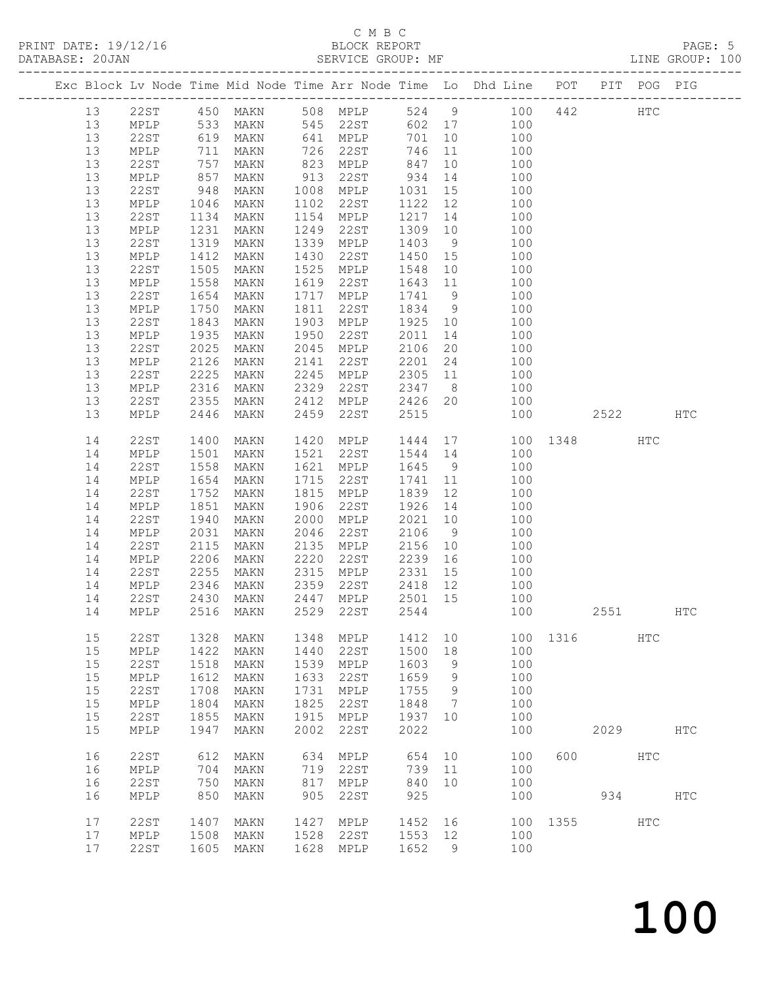#### C M B C<br>BLOCK REPORT SERVICE GROUP: MF

|    |                 |                   |               |      |                         |         |                | Exc Block Lv Node Time Mid Node Time Arr Node Time Lo Dhd Line POT PIT POG PIG |          |      |              |            |
|----|-----------------|-------------------|---------------|------|-------------------------|---------|----------------|--------------------------------------------------------------------------------|----------|------|--------------|------------|
| 13 |                 |                   | 22ST 450 MAKN |      | 508 MPLP                |         |                | 524 9 100                                                                      | 442      |      | $_{\rm HTC}$ |            |
| 13 | MPLP            |                   | MAKN          |      | 545 22ST                |         |                | 602 17 100                                                                     |          |      |              |            |
| 13 | 22ST            | 533<br>619<br>711 | MAKN          |      | $641 \quad \text{MPLP}$ | 701     |                | $\begin{array}{cc} 10 & 100 \\ 11 & 100 \end{array}$                           |          |      |              |            |
| 13 | MPLP            |                   | MAKN          | 726  | 22ST                    | 746     |                |                                                                                |          |      |              |            |
| 13 | 22ST            | 757               | MAKN          | 823  | MPLP                    | 847     |                | 10 100                                                                         |          |      |              |            |
| 13 | MPLP            | 857               | MAKN          | 913  | 22ST                    | 934     |                | 14<br>100                                                                      |          |      |              |            |
| 13 | 22ST            | 948               | MAKN          | 1008 | MPLP                    | 1031    |                | $\frac{15}{12}$<br>100                                                         |          |      |              |            |
| 13 | MPLP            | 1046              | MAKN          | 1102 | 22ST                    | 1122    | 12             | 100                                                                            |          |      |              |            |
| 13 | 22ST            | 1134              | MAKN          | 1154 | MPLP                    | 1217    |                | 14<br>100                                                                      |          |      |              |            |
| 13 | MPLP            | 1231              | MAKN          | 1249 | 22ST                    | 1309    | 10             | 100                                                                            |          |      |              |            |
| 13 | 22ST            | 1319              | MAKN          | 1339 | MPLP                    | 1403    | 9              | 100                                                                            |          |      |              |            |
| 13 | MPLP            | 1412              | MAKN          | 1430 | 22ST                    | 1450    | 15             | 100                                                                            |          |      |              |            |
| 13 | 22ST            | 1505              | MAKN          | 1525 | MPLP                    | 1548    | 10             | 100                                                                            |          |      |              |            |
| 13 | MPLP            | 1558              | MAKN          | 1619 | 22ST                    | 1643 11 |                | 100                                                                            |          |      |              |            |
| 13 | 22ST            | 1654              | MAKN          | 1717 | MPLP                    | 1741    | 9              | 100                                                                            |          |      |              |            |
| 13 | MPLP            | 1750              | MAKN          | 1811 | 22ST                    | 1834 9  |                | 100                                                                            |          |      |              |            |
| 13 | 22ST            | 1843              | MAKN          | 1903 | MPLP                    | 1925 10 |                | 100                                                                            |          |      |              |            |
| 13 | MPLP            | 1935              | MAKN          | 1950 | 22ST                    | 2011    | 14             | 100                                                                            |          |      |              |            |
| 13 | 22ST            | 2025              | MAKN          | 2045 | MPLP                    | 2106    | 20             | 100                                                                            |          |      |              |            |
| 13 | MPLP            | 2126              | MAKN          | 2141 | 22ST                    | 2201    | 24             | 100                                                                            |          |      |              |            |
| 13 | 22ST            | 2225              | MAKN          | 2245 | MPLP                    |         |                | $2305$ 11 100                                                                  |          |      |              |            |
| 13 | MPLP            | 2316              | MAKN          | 2329 | 22ST                    | 2347    | 8 <sup>8</sup> | 100                                                                            |          |      |              |            |
| 13 | 22ST            | 2355              | MAKN          | 2412 | MPLP                    | 2426 20 |                | 100                                                                            |          |      |              |            |
| 13 | MPLP            | 2446              | MAKN          | 2459 | 22ST                    | 2515    |                | 100                                                                            |          | 2522 |              | HTC        |
|    |                 |                   |               |      |                         |         |                |                                                                                |          |      |              |            |
| 14 | 22ST            | 1400              | MAKN          | 1420 | MPLP                    | 1444    |                | 17                                                                             | 100 1348 |      | HTC          |            |
| 14 | MPLP            | 1501              | MAKN          | 1521 | 22ST                    | 1544    | 14             | 100                                                                            |          |      |              |            |
| 14 | 22ST            | 1558              | MAKN          | 1621 | MPLP                    | 1645    | 9              | 100                                                                            |          |      |              |            |
| 14 | MPLP            | 1654              | MAKN          | 1715 | 22ST                    | 1741    | 11             | 100                                                                            |          |      |              |            |
| 14 | 22ST            | 1752              | MAKN          | 1815 | MPLP                    | 1839    | 12             | 100                                                                            |          |      |              |            |
| 14 | MPLP            | 1851              | MAKN          | 1906 | 22ST                    | 1926    | 14             | 100                                                                            |          |      |              |            |
| 14 | 22ST            | 1940              | MAKN          | 2000 | MPLP                    | 2021    | 10             | 100                                                                            |          |      |              |            |
| 14 | MPLP            | 2031              | MAKN          | 2046 | 22ST                    | 2106    | 9              | 100                                                                            |          |      |              |            |
| 14 | 22ST            | 2115              | MAKN          | 2135 | MPLP                    | 2156    | 10             | 100                                                                            |          |      |              |            |
| 14 | MPLP            | 2206              | MAKN          | 2220 | 22ST                    | 2239    | 16             | 100                                                                            |          |      |              |            |
| 14 | 22ST            | 2255              | MAKN          | 2315 | MPLP                    | 2331    | 15             | 100                                                                            |          |      |              |            |
| 14 | MPLP            | 2346              | MAKN          | 2359 | 22ST                    | 2418    | 12             | 100                                                                            |          |      |              |            |
| 14 | 22ST            | 2430              | MAKN          | 2447 | MPLP                    | 2501 15 |                | 100                                                                            |          |      |              |            |
| 14 | MPLP            | 2516              | MAKN          | 2529 | 22ST                    | 2544    |                | 100                                                                            |          | 2551 |              | HTC        |
|    |                 |                   |               |      |                         |         |                |                                                                                |          |      |              |            |
| 15 | 22ST            | 1328              | MAKN          | 1348 | MPLP                    | 1412    | 10             |                                                                                | 100 1316 |      | HTC          |            |
| 15 | MPLP            | 1422              | MAKN          | 1440 | 22ST                    | 1500    | 18             | 100                                                                            |          |      |              |            |
| 15 | 22ST            | 1518              | MAKN          | 1539 | MPLP                    | 1603    | 9              | 100                                                                            |          |      |              |            |
| 15 | MPLP            | 1612              | MAKN          | 1633 | 22ST                    | 1659    | 9              | 100                                                                            |          |      |              |            |
| 15 | <b>22ST</b>     | 1708              | MAKN          | 1731 | MPLP                    | 1755    | 9              | 100                                                                            |          |      |              |            |
| 15 | $\texttt{MPLP}$ | 1804              | MAKN          | 1825 | 22ST                    | 1848    | 7              | 100                                                                            |          |      |              |            |
| 15 | <b>22ST</b>     | 1855              | MAKN          | 1915 | MPLP                    | 1937    | 10             | 100                                                                            |          |      |              |            |
| 15 | MPLP            | 1947              | MAKN          | 2002 | 22ST                    | 2022    |                | 100                                                                            |          | 2029 |              | <b>HTC</b> |
|    |                 |                   |               |      |                         |         |                |                                                                                |          |      |              |            |
| 16 | 22ST            | 612               | MAKN          | 634  | MPLP                    | 654     | 10             | 100                                                                            | 600      |      | HTC          |            |
| 16 | MPLP            | 704               | MAKN          | 719  | 22ST                    | 739     | 11             | 100                                                                            |          |      |              |            |
| 16 | <b>22ST</b>     | 750               | MAKN          | 817  | MPLP                    | 840     | 10             | 100                                                                            |          |      |              |            |
| 16 |                 | 850               |               | 905  |                         | 925     |                |                                                                                |          |      |              |            |
|    | $\texttt{MPLP}$ |                   | MAKN          |      | 22ST                    |         |                | 100                                                                            |          | 934  |              | <b>HTC</b> |
| 17 | 22ST            | 1407              | MAKN          | 1427 | MPLP                    | 1452    | 16             | 100                                                                            | 1355     |      | <b>HTC</b>   |            |
| 17 | MPLP            | 1508              | MAKN          | 1528 | 22ST                    | 1553    | 12             | 100                                                                            |          |      |              |            |
| 17 | 22ST            | 1605              | MAKN          | 1628 | MPLP                    | 1652    | 9              | 100                                                                            |          |      |              |            |
|    |                 |                   |               |      |                         |         |                |                                                                                |          |      |              |            |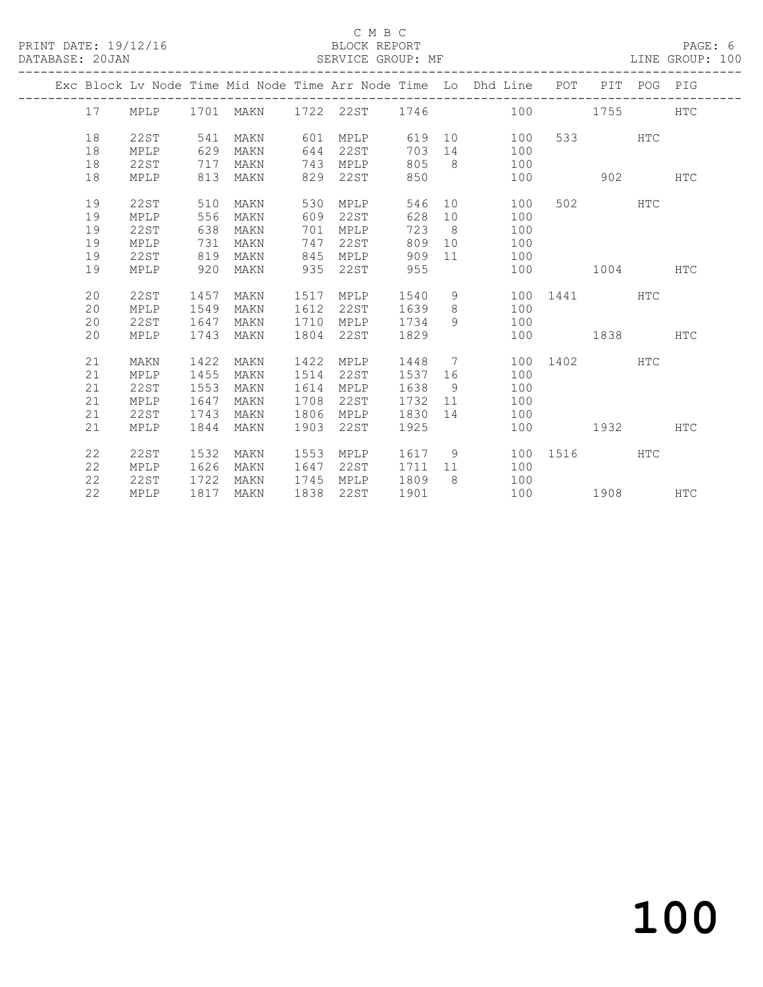#### C M B C<br>BLOCK REPORT SERVICE GROUP: MF

|  |          |                     |              |           |              |              |              |                      | Exc Block Lv Node Time Mid Node Time Arr Node Time Lo Dhd Line POT |      |        | PIT POG PIG |            |
|--|----------|---------------------|--------------|-----------|--------------|--------------|--------------|----------------------|--------------------------------------------------------------------|------|--------|-------------|------------|
|  | 17       | MPLP                |              | 1701 MAKN |              | 1722 22ST    | 1746         |                      | 100                                                                |      | 1755   |             | <b>HTC</b> |
|  |          |                     |              |           |              |              |              |                      |                                                                    |      |        |             |            |
|  | 18       | 22ST                | 541          | MAKN      | 601          | <b>MPLP</b>  | 619          |                      | 10<br>100                                                          | 533  |        | <b>HTC</b>  |            |
|  | 18       | MPLP                | 629          | MAKN      | 644          | 22ST         | 703          | 14                   | 100                                                                |      |        |             |            |
|  | 18       | 22ST                | 717          | MAKN      | 743          | MPLP         | 805          | - 8                  | 100                                                                |      |        |             |            |
|  | 18       | MPLP                | 813          | MAKN      | 829          | 22ST         | 850          |                      | 100                                                                |      | 902    |             | <b>HTC</b> |
|  | 19       | 22ST                | 510          |           | 530          |              | 546          | 10                   |                                                                    | 502  |        | <b>HTC</b>  |            |
|  | 19       |                     | 556          | MAKN      | 609          | MPLP<br>22ST | 628          |                      | 100                                                                |      |        |             |            |
|  | 19       | MPLP                |              | MAKN      |              |              | 723          | 10<br>8 <sup>8</sup> | 100                                                                |      |        |             |            |
|  |          | <b>22ST</b>         | 638          | MAKN      | 701<br>747   | MPLP         | 809          | 10                   | 100                                                                |      |        |             |            |
|  | 19       | MPLP                | 731          | MAKN      |              | 22ST         |              |                      | 100                                                                |      |        |             |            |
|  | 19<br>19 | <b>22ST</b><br>MPLP | 819<br>920   | MAKN      | 845<br>935   | MPLP<br>22ST | 909<br>955   | 11                   | 100<br>100                                                         |      | 1004   |             | <b>HTC</b> |
|  |          |                     |              | MAKN      |              |              |              |                      |                                                                    |      |        |             |            |
|  | 20       | <b>22ST</b>         | 1457         | MAKN      | 1517         | MPLP         | 1540         | 9                    | 100                                                                |      | 1441 \ | HTC         |            |
|  | 20       | MPLP                | 1549         | MAKN      | 1612         | 22ST         | 1639         | 8                    | 100                                                                |      |        |             |            |
|  | 20       | <b>22ST</b>         | 1647         | MAKN      | 1710         | <b>MPLP</b>  | 1734         | 9                    | 100                                                                |      |        |             |            |
|  | 20       | MPLP                | 1743         | MAKN      | 1804         | 22ST         | 1829         |                      | 100                                                                |      | 1838   |             | <b>HTC</b> |
|  |          |                     |              |           |              |              |              |                      |                                                                    |      |        |             |            |
|  | 21       | MAKN                | 1422         | MAKN      | 1422         | MPLP         | 1448         | 7                    | 100                                                                | 1402 |        | <b>HTC</b>  |            |
|  | 21       | MPLP                | 1455         | MAKN      | 1514         | 22ST         | 1537         | 16                   | 100                                                                |      |        |             |            |
|  | 21       | <b>22ST</b>         | 1553         | MAKN      | 1614         | MPLP         | 1638         | - 9                  | 100                                                                |      |        |             |            |
|  | 21       | MPLP                | 1647         | MAKN      | 1708         | 22ST         | 1732         | 11                   | 100                                                                |      |        |             |            |
|  | 21       | <b>22ST</b>         | 1743         | MAKN      | 1806         | MPLP         | 1830         | 14                   | 100                                                                |      |        |             |            |
|  | 21       | MPLP                | 1844         | MAKN      | 1903         | 22ST         | 1925         |                      | 100                                                                |      | 1932   |             | <b>HTC</b> |
|  |          |                     |              |           |              |              |              |                      |                                                                    |      |        | <b>HTC</b>  |            |
|  | 22<br>22 | 22ST<br>MPLP        | 1532         | MAKN      | 1553<br>1647 | MPLP         | 1617<br>1711 | 9<br>11              | 100                                                                | 1516 |        |             |            |
|  |          |                     | 1626         | MAKN      |              | 22ST         |              | 8                    | 100                                                                |      |        |             |            |
|  | 22       | 22ST                | 1722<br>1817 | MAKN      | 1745         | MPLP         | 1809         |                      | 100<br>100                                                         |      |        |             |            |
|  | 22       | MPLP                |              | MAKN      | 1838         | 22ST         | 1901         |                      |                                                                    |      | 1908   |             | <b>HTC</b> |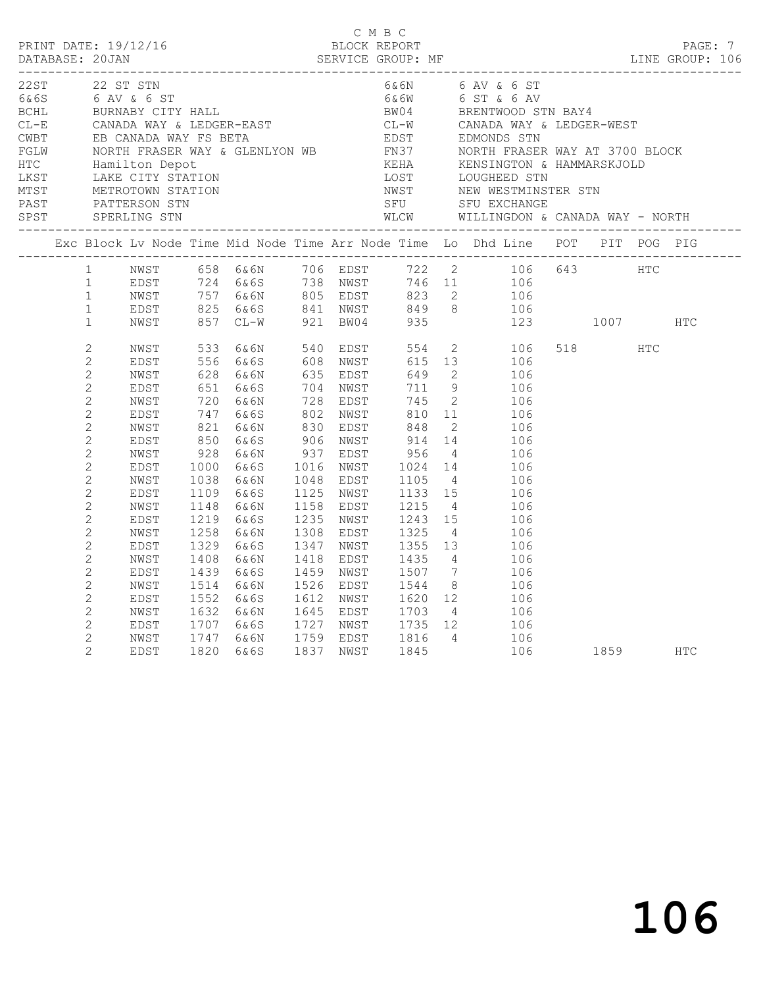|  | 22ST 22 ST STN                                                               |                                      |                              |                                                    |                      |                                               |                              |                                              | 6& 6N 6 AV & 6 ST<br>WLCW WILLINGDON & CANADA WAY - NORTH                                                       |     |                                                                                                            |            |  |
|--|------------------------------------------------------------------------------|--------------------------------------|------------------------------|----------------------------------------------------|----------------------|-----------------------------------------------|------------------------------|----------------------------------------------|-----------------------------------------------------------------------------------------------------------------|-----|------------------------------------------------------------------------------------------------------------|------------|--|
|  |                                                                              |                                      |                              |                                                    |                      |                                               |                              |                                              | Exc Block Lv Node Time Mid Node Time Arr Node Time Lo Dhd Line POT PIT POG PIG                                  |     |                                                                                                            |            |  |
|  | $\mathbf{1}$<br>$\mathbf{1}$<br>$\mathbf{1}$<br>$\mathbf{1}$<br>$\mathbf{1}$ | NWST<br>EDST<br>NWST<br>EDST<br>NWST | 825                          | 6&6S 841 NWST 849<br>CL-W 921 BW04 935<br>857 CL-W |                      |                                               |                              |                                              | 658 6&6N 706 EDST 722 2 106 643 HTC<br>724 6&6S 738 NWST 746 11 106<br>757 6&6N 805 EDST 823 2 106<br>849 8 106 | 123 | 1007                                                                                                       | <b>HTC</b> |  |
|  | $\overline{2}$<br>$\overline{c}$                                             | NWST<br>EDST                         | 533<br>556                   | 6 & 6 N<br>6&6S                                    |                      | 540 EDST<br>608 NWST                          | 554<br>615                   |                                              | $\overline{2}$<br>106<br>13<br>106                                                                              |     | 518 HTC                                                                                                    |            |  |
|  | $\mathbf{2}$<br>$\overline{2}$<br>$\overline{c}$<br>$\overline{c}$           | NWST<br>EDST<br>NWST<br>EDST         | 628<br>651<br>720<br>747     | 6&6N<br>6&6S<br>6&6N<br>6&6S                       | 802                  | 635 EDST<br>704 NWST<br>728 EDST<br>NWST      | 649<br>711<br>745<br>810     | 9 <sup>°</sup><br>$\overline{2}$<br>11       | $2^{\circ}$<br>106<br>106<br>106<br>106                                                                         |     |                                                                                                            |            |  |
|  | $\overline{c}$<br>$\sqrt{2}$<br>$\overline{2}$<br>$\mathbf{2}$               | NWST<br>EDST<br>NWST<br>EDST         | 821<br>850<br>928<br>1000    | 6&6N<br>6&6S<br>6&6N<br>6&6S                       |                      | 830 EDST<br>906 NWST<br>937 EDST<br>1016 NWST | 848<br>914<br>956<br>1024    | $\overline{2}$<br>14<br>$\overline{4}$       | 106<br>106<br>106<br>14<br>106                                                                                  |     |                                                                                                            |            |  |
|  | $\mathbf{2}$<br>$\overline{c}$<br>$\overline{2}$                             | NWST<br>EDST<br>NWST                 | 1038<br>1109<br>1148         | 6&6N<br>6&6S<br>6&6N                               | 1125                 | 1048 EDST<br>NWST<br>1158 EDST                | 1105<br>1215                 | 1133 15<br>$\overline{4}$                    | $4\overline{4}$<br>106<br>106<br>106                                                                            |     |                                                                                                            |            |  |
|  | $\overline{2}$<br>$\overline{2}$<br>$\overline{c}$<br>$\mathbf{2}$           | EDST<br>NWST<br>EDST<br>NWST         | 1219<br>1258<br>1329<br>1408 | 6&6S<br>6&6N<br>6&6S<br>6&6N                       | 1308<br>1347<br>1418 | 1235 NWST<br>EDST<br>NWST<br>EDST             | 1243<br>1325<br>1355<br>1435 | 15<br>$\overline{4}$<br>13<br>$\overline{4}$ | 106<br>106<br>106<br>106                                                                                        |     |                                                                                                            |            |  |
|  | $\mathbf{2}$<br>$\mathbf{2}$<br>$\mathbf{2}$                                 | EDST<br>NWST<br>EDST                 | 1439<br>1514<br>1552         | 6&6S<br>6&6N<br>6&6S                               | 1526                 | 1459 NWST<br>EDST<br>1612 NWST                | 1507<br>1544<br>1620         | $\overline{7}$<br>12                         | 106<br>8 <sup>8</sup><br>106<br>106                                                                             |     |                                                                                                            |            |  |
|  | 2<br>$\overline{2}$<br>$\mathbf{2}$<br>$\overline{2}$                        | NWST<br>EDST<br>NWST<br><b>EDST</b>  | 1632<br>1707<br>1747<br>1820 | 6&6N<br>6&6S<br>6&6N<br>6&6S                       | 1837                 | 1645 EDST<br>1727 NWST<br>1759 EDST<br>NWST   | 1703<br>1735<br>1816<br>1845 | 12                                           | $4\overline{4}$<br>106<br>106<br>4 106<br>106                                                                   |     | 1859 — 1859 — 1860 — 1860 — 1860 — 1860 — 1860 — 1860 — 1860 — 1860 — 1860 — 1860 — 1860 — 1860 — 1860 — 1 | <b>HTC</b> |  |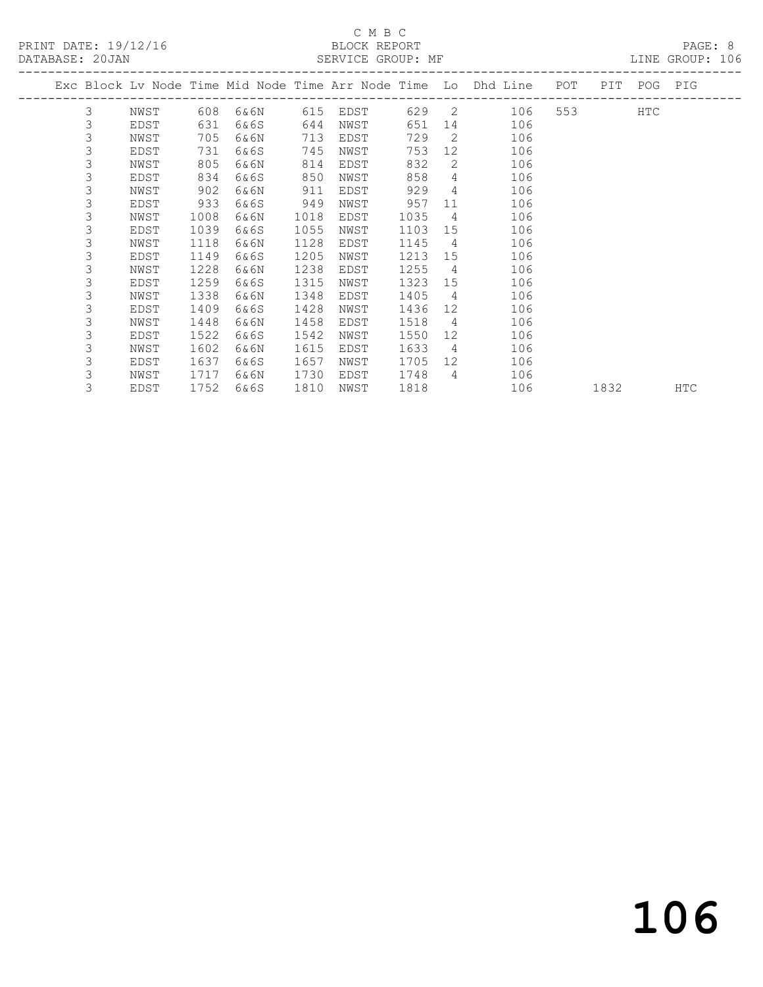## C M B C<br>BLOCK REPORT

LINE GROUP: 106

|  |   |      |      |      |      |      |      |                | Exc Block Lv Node Time Mid Node Time Arr Node Time Lo Dhd Line POT | PIT  | POG | PIG        |
|--|---|------|------|------|------|------|------|----------------|--------------------------------------------------------------------|------|-----|------------|
|  |   |      |      |      |      |      |      |                |                                                                    |      |     |            |
|  | 3 | NWST | 608  | 6&6N | 615  | EDST | 629  | 2              | 106                                                                |      | HTC |            |
|  | 3 | EDST | 631  | 6&6S | 644  | NWST | 651  | 14             | 106                                                                |      |     |            |
|  | 3 | NWST | 705  | 6&6N | 713  | EDST | 729  | $\overline{2}$ | 106                                                                |      |     |            |
|  | 3 | EDST | 731  | 6&6S | 745  | NWST | 753  | 12             | 106                                                                |      |     |            |
|  | 3 | NWST | 805  | 6&6N | 814  | EDST | 832  | 2              | 106                                                                |      |     |            |
|  | 3 | EDST | 834  | 6&6S | 850  | NWST | 858  | $\overline{4}$ | 106                                                                |      |     |            |
|  | 3 | NWST | 902  | 6&6N | 911  | EDST | 929  | 4              | 106                                                                |      |     |            |
|  | 3 | EDST | 933  | 6&6S | 949  | NWST | 957  | 11             | 106                                                                |      |     |            |
|  | 3 | NWST | 1008 | 6&6N | 1018 | EDST | 1035 | $\overline{4}$ | 106                                                                |      |     |            |
|  | 3 | EDST | 1039 | 6&6S | 1055 | NWST | 1103 | 15             | 106                                                                |      |     |            |
|  | 3 | NWST | 1118 | 6&6N | 1128 | EDST | 1145 | $\overline{4}$ | 106                                                                |      |     |            |
|  | 3 | EDST | 1149 | 6&6S | 1205 | NWST | 1213 | 15             | 106                                                                |      |     |            |
|  | 3 | NWST | 1228 | 6&6N | 1238 | EDST | 1255 | $\overline{4}$ | 106                                                                |      |     |            |
|  | 3 | EDST | 1259 | 6&6S | 1315 | NWST | 1323 | 15             | 106                                                                |      |     |            |
|  | 3 | NWST | 1338 | 6&6N | 1348 | EDST | 1405 | 4              | 106                                                                |      |     |            |
|  | 3 | EDST | 1409 | 6&6S | 1428 | NWST | 1436 | 12             | 106                                                                |      |     |            |
|  | 3 | NWST | 1448 | 6&6N | 1458 | EDST | 1518 | 4              | 106                                                                |      |     |            |
|  | 3 | EDST | 1522 | 6&6S | 1542 | NWST | 1550 | 12             | 106                                                                |      |     |            |
|  | 3 | NWST | 1602 | 6&6N | 1615 | EDST | 1633 | 4              | 106                                                                |      |     |            |
|  | 3 | EDST | 1637 | 6&6S | 1657 | NWST | 1705 | 12             | 106                                                                |      |     |            |
|  | 3 | NWST | 1717 | 6&6N | 1730 | EDST | 1748 | $\overline{4}$ | 106                                                                |      |     |            |
|  | 3 | EDST | 1752 | 6&6S | 1810 | NWST | 1818 |                | 106                                                                | 1832 |     | <b>HTC</b> |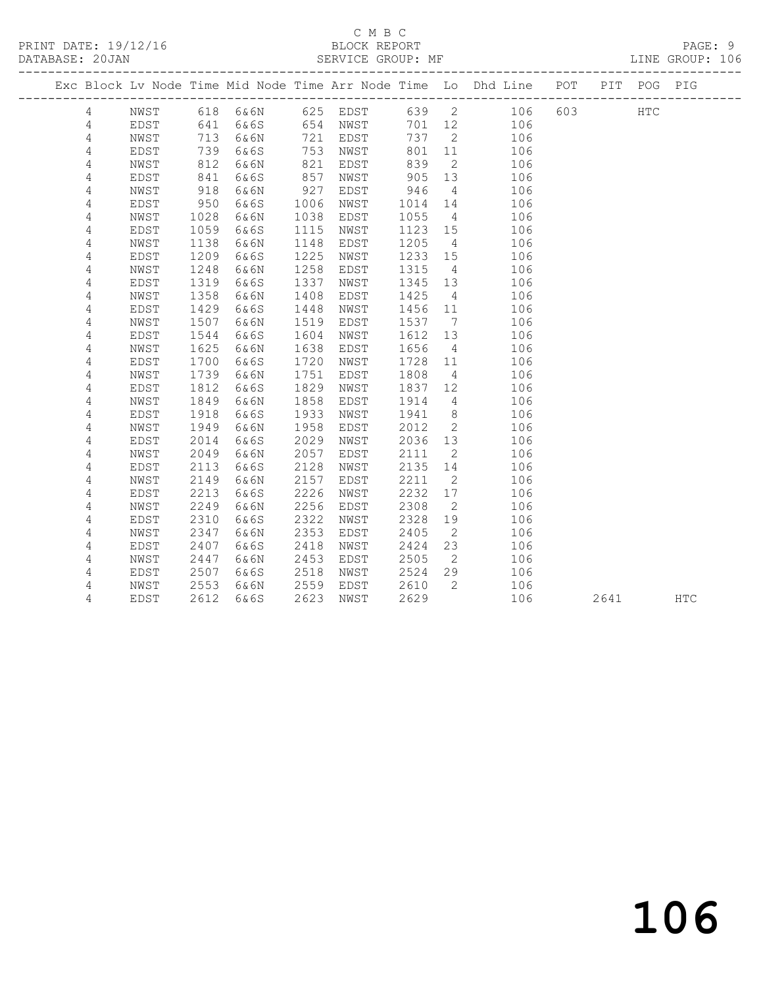#### C M B C<br>BLOCK REPORT SERVICE GROUP: MF

|                |      |            |      |      |                      |         |                 | Exc Block Lv Node Time Mid Node Time Arr Node Time Lo Dhd Line POT |     | PIT  | POG PIG    |            |
|----------------|------|------------|------|------|----------------------|---------|-----------------|--------------------------------------------------------------------|-----|------|------------|------------|
| 4              | NWST |            |      |      |                      |         |                 | 618 6&6N 625 EDST 639 2 106                                        | 603 |      | <b>HTC</b> |            |
| 4              | EDST | 641<br>713 | 6&6S |      | 654 NWST<br>721 EDST | 701 12  |                 | 106                                                                |     |      |            |            |
| 4              | NWST | 713        | 6&6N |      | 721 EDST             | 737     | $\overline{2}$  | 106                                                                |     |      |            |            |
| 4              | EDST | 739        | 6&6S | 753  | NWST                 | 801     | 11              | 106                                                                |     |      |            |            |
| 4              | NWST | 812        | 6&6N | 821  | EDST                 | 839     | $\overline{2}$  | 106                                                                |     |      |            |            |
| 4              | EDST | 841        | 6&6S | 857  | NWST                 | 905     | 13              | 106                                                                |     |      |            |            |
| 4              | NWST | 918        | 6&6N | 927  | EDST                 | 946     | $\overline{4}$  | 106                                                                |     |      |            |            |
| 4              | EDST | 950        | 6&6S | 1006 | NWST                 | 1014    | 14              | 106                                                                |     |      |            |            |
| 4              | NWST | 1028       | 6&6N | 1038 | EDST                 | 1055    | $\overline{4}$  | 106                                                                |     |      |            |            |
| 4              | EDST | 1059       | 6&6S | 1115 | NWST                 | 1123 15 |                 | 106                                                                |     |      |            |            |
| 4              | NWST | 1138       | 6&6N | 1148 | EDST                 | 1205    | $4\overline{4}$ | 106                                                                |     |      |            |            |
| 4              | EDST | 1209       | 6&6S | 1225 | NWST                 | 1233 15 |                 | 106                                                                |     |      |            |            |
| 4              | NWST | 1248       | 6&6N | 1258 | EDST                 | 1315    | $\overline{4}$  | 106                                                                |     |      |            |            |
| $\overline{4}$ | EDST | 1319       | 6&6S | 1337 | NWST                 | 1345 13 |                 | 106                                                                |     |      |            |            |
| 4              | NWST | 1358       | 6&6N | 1408 | EDST                 | 1425    | $\overline{4}$  | 106                                                                |     |      |            |            |
| 4              | EDST | 1429       | 6&6S | 1448 | NWST                 | 1456 11 |                 | 106                                                                |     |      |            |            |
| 4              | NWST | 1507       | 6&6N | 1519 | EDST                 | 1537    | $\overline{7}$  | 106                                                                |     |      |            |            |
| 4              | EDST | 1544       | 6&6S | 1604 | NWST                 | 1612    | 13              | 106                                                                |     |      |            |            |
| 4              | NWST | 1625       | 6&6N | 1638 | EDST                 | 1656    | $\overline{4}$  | 106                                                                |     |      |            |            |
| $\overline{4}$ | EDST | 1700       | 6&6S | 1720 | NWST                 | 1728    | 11              | 106                                                                |     |      |            |            |
| 4              | NWST | 1739       | 6&6N | 1751 | EDST                 | 1808    | $\overline{4}$  | 106                                                                |     |      |            |            |
| 4              | EDST | 1812       | 6&6S | 1829 | NWST                 | 1837    | 12              | 106                                                                |     |      |            |            |
| 4              | NWST | 1849       | 6&6N | 1858 | EDST                 | 1914    | $\overline{4}$  | 106                                                                |     |      |            |            |
| 4              | EDST | 1918       | 6&6S | 1933 | NWST                 | 1941    | 8 <sup>8</sup>  | 106                                                                |     |      |            |            |
| 4              | NWST | 1949       | 6&6N | 1958 | EDST                 | 2012    | $\overline{2}$  | 106                                                                |     |      |            |            |
| $\overline{4}$ | EDST | 2014       | 6&6S | 2029 | NWST                 | 2036    | 13              | 106                                                                |     |      |            |            |
| 4              | NWST | 2049       | 6&6N | 2057 | EDST                 | 2111    | $\overline{2}$  | 106                                                                |     |      |            |            |
| 4              | EDST | 2113       | 6&6S | 2128 | NWST                 | 2135 14 |                 | 106                                                                |     |      |            |            |
| 4              | NWST | 2149       | 6&6N | 2157 | EDST                 | 2211    | $\overline{2}$  | 106                                                                |     |      |            |            |
| 4              | EDST | 2213       | 6&6S | 2226 | NWST                 | 2232    | 17              | 106                                                                |     |      |            |            |
| 4              | NWST | 2249       | 6&6N | 2256 | EDST                 | 2308    | $\overline{2}$  | 106                                                                |     |      |            |            |
| $\sqrt{4}$     | EDST | 2310       | 6&6S | 2322 | NWST                 | 2328    | 19              | 106                                                                |     |      |            |            |
| 4              | NWST | 2347       | 6&6N | 2353 | EDST                 | 2405    | $\overline{2}$  | 106                                                                |     |      |            |            |
| 4              | EDST | 2407       | 6&6S | 2418 | NWST                 | 2424    | 23              | 106                                                                |     |      |            |            |
| 4              | NWST | 2447       | 6&6N | 2453 | EDST                 | 2505    | $\overline{2}$  | 106                                                                |     |      |            |            |
| 4              | EDST | 2507       | 6&6S | 2518 | NWST                 | 2524    | 29              | 106                                                                |     |      |            |            |
| 4              | NWST | 2553       | 6&6N | 2559 | EDST                 | 2610    | $\overline{2}$  | 106                                                                |     |      |            |            |
| 4              | EDST | 2612       | 6&6S | 2623 | NWST                 | 2629    |                 | 106                                                                |     | 2641 |            | <b>HTC</b> |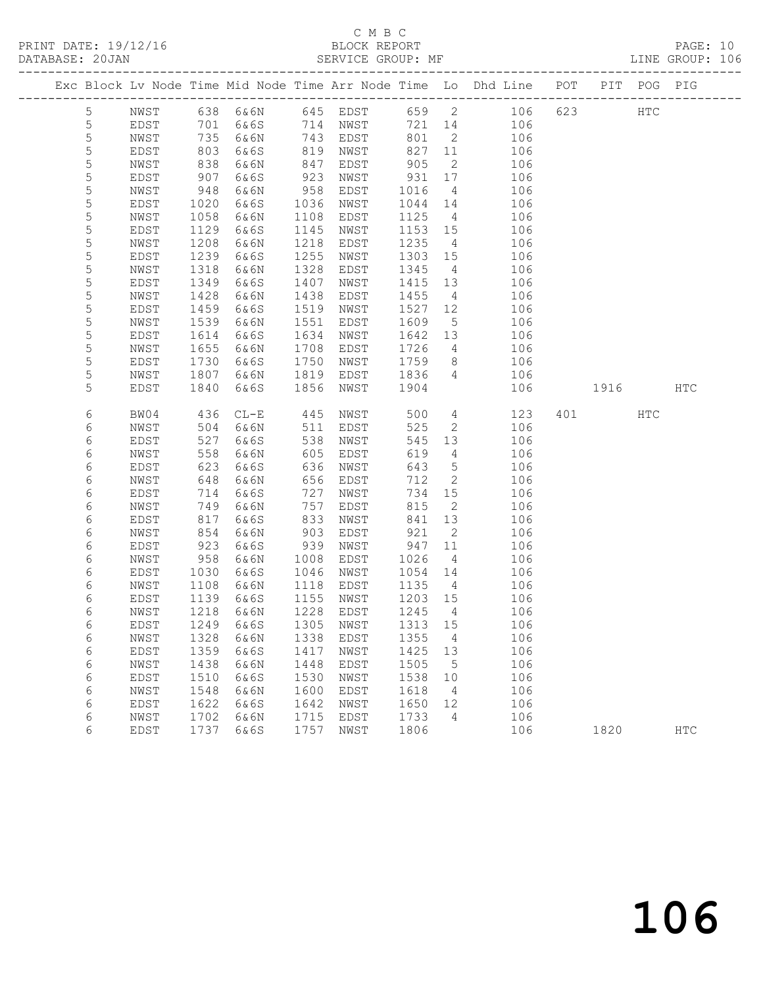## C M B C<br>BLOCK REPORT

PAGE: 10<br>LINE GROUP: 106

|                 |              |      |                             |          |             |         |                 | Exc Block Lv Node Time Mid Node Time Arr Node Time Lo Dhd Line POT |     |             | PIT POG PIG |            |
|-----------------|--------------|------|-----------------------------|----------|-------------|---------|-----------------|--------------------------------------------------------------------|-----|-------------|-------------|------------|
| $5\phantom{.0}$ | NWST         |      | 638 6&6N                    | 645 EDST |             |         |                 | 659 2<br>106                                                       | 623 |             | HTC         |            |
| $\mathsf S$     | EDST         | 701  | 6&6S                        | 714      | NWST        | 721     | 14              | 106                                                                |     |             |             |            |
| $\mathsf S$     | NWST         | 735  | 6&6N                        | 743      | EDST        | 801     | $\overline{2}$  | 106                                                                |     |             |             |            |
| 5               | EDST         | 803  | 6&6S                        | 819      | NWST        | 827     | 11              | 106                                                                |     |             |             |            |
| 5               | NWST         | 838  | 6&6N                        | 847      | EDST        | 905     | $\overline{2}$  | 106                                                                |     |             |             |            |
| 5               | EDST         | 907  | 6&6S                        | 923      | NWST        | 931     | 17              | 106                                                                |     |             |             |            |
| $\mathsf S$     | NWST         | 948  | 6&6N                        | 958      | EDST        | 1016    | $\overline{4}$  | 106                                                                |     |             |             |            |
| $\mathsf S$     | EDST         | 1020 | 6&6S                        | 1036     | NWST        | 1044    | 14              | 106                                                                |     |             |             |            |
| 5               | NWST         | 1058 | 6&6N                        | 1108     | EDST        | 1125    | 4               | 106                                                                |     |             |             |            |
| 5               | EDST         | 1129 | 6&6S                        | 1145     | NWST        | 1153    | 15              | 106                                                                |     |             |             |            |
| $\mathsf S$     | NWST         | 1208 | 6&6N                        | 1218     | EDST        | 1235    | $\overline{4}$  | 106                                                                |     |             |             |            |
| 5               | EDST         | 1239 | 6&6S                        | 1255     | NWST        | 1303    | 15              | 106                                                                |     |             |             |            |
| 5               | NWST         | 1318 | 6&6N                        | 1328     | EDST        | 1345    | $\overline{4}$  | 106                                                                |     |             |             |            |
| 5               | EDST         | 1349 | 6&6S                        | 1407     | NWST        | 1415    | 13              | 106                                                                |     |             |             |            |
| 5               | NWST         | 1428 | 6&6N                        | 1438     | EDST        | 1455    | $\overline{4}$  | 106                                                                |     |             |             |            |
| 5               | EDST         | 1459 | 6&6S                        | 1519     | NWST        | 1527    | 12              | 106                                                                |     |             |             |            |
| 5               | NWST         | 1539 | 6&6N                        | 1551     | EDST        | 1609    | $5\phantom{.0}$ | 106                                                                |     |             |             |            |
| 5               | <b>EDST</b>  | 1614 | 6&6S                        | 1634     | NWST        | 1642    | 13              | 106                                                                |     |             |             |            |
| 5               | NWST         | 1655 | 6&6N                        | 1708     | EDST        | 1726    | $4\overline{ }$ | 106                                                                |     |             |             |            |
| 5               | EDST         | 1730 | 6&6S                        | 1750     | NWST        | 1759    | 8               | 106                                                                |     |             |             |            |
| 5               | NWST         | 1807 | 6&6N                        | 1819     | EDST        | 1836    | $\overline{4}$  | 106                                                                |     |             |             |            |
| 5               | EDST         | 1840 | 6&6S                        | 1856     | NWST        | 1904    |                 | 106                                                                |     | 1916 — 1916 |             | HTC        |
|                 |              |      |                             |          |             |         |                 |                                                                    |     |             |             |            |
| 6               | BW04         | 436  | $CL-E$                      | 445      | NWST        | 500     | $4\overline{ }$ | 123                                                                | 401 |             | HTC         |            |
| 6               | NWST         | 504  | 6&6N                        | 511      | EDST        | 525     | $\overline{2}$  | 106                                                                |     |             |             |            |
| 6               | EDST         | 527  | 6&6S                        | 538      | NWST        | 545     | 13              | 106                                                                |     |             |             |            |
| 6               | NWST         | 558  | 6&6N                        | 605      | EDST        | 619     | 4               | 106                                                                |     |             |             |            |
| 6               | EDST         | 623  | 6&6S                        | 636      | NWST        | 643     | $5\overline{)}$ | 106                                                                |     |             |             |            |
| 6               | NWST         | 648  | 6&6N                        | 656      | EDST        | 712     | 2               | 106                                                                |     |             |             |            |
| 6               | EDST         | 714  | 6&6S                        | 727      | NWST        | 734     | 15              | 106                                                                |     |             |             |            |
| 6               | NWST         | 749  | 6&6N                        | 757      | EDST        | 815     | 2               | 106                                                                |     |             |             |            |
| 6               | EDST         | 817  | 6&6S                        | 833      | NWST        | 841     | 13              | 106                                                                |     |             |             |            |
| 6               | NWST         | 854  | 6&6N                        | 903      | EDST        | 921     | $\mathbf{2}$    | 106                                                                |     |             |             |            |
| 6               | EDST         | 923  | 6&6S                        | 939      | NWST        | 947     | 11              | 106                                                                |     |             |             |            |
| 6               | NWST         | 958  | 6&6N                        | 1008     | EDST        | 1026    | 4               | 106                                                                |     |             |             |            |
| 6               | EDST         | 1030 | 6&6S                        | 1046     | NWST        | 1054    | 14              | 106                                                                |     |             |             |            |
| 6               | NWST         | 1108 | 6&6N                        | 1118     | EDST        | 1135    | $\overline{4}$  | 106                                                                |     |             |             |            |
| 6               | EDST         | 1139 | 6&6S                        | 1155     | NWST        | 1203 15 |                 | 106                                                                |     |             |             |            |
| 6               | NWST         | 1218 | 6&6N                        | 1228     | EDST        | 1245    | $\overline{4}$  | 106                                                                |     |             |             |            |
| 6               | EDST         |      | 1249 6&6S 1305 NWST 1313 15 |          |             |         |                 | 106                                                                |     |             |             |            |
| 6               | NWST         | 1328 | 6&6N                        | 1338     | EDST        | 1355    | 4               | 106                                                                |     |             |             |            |
| 6               | EDST         | 1359 | 6&6S                        | 1417     | NWST        | 1425    | 13              | 106                                                                |     |             |             |            |
| 6               | NWST         | 1438 | 6&6N                        | 1448     | <b>EDST</b> | 1505    | 5               | 106                                                                |     |             |             |            |
| $\epsilon$      | EDST         | 1510 | 6&6S                        | 1530     | NWST        | 1538    | 10              | 106                                                                |     |             |             |            |
| 6               | ${\tt NWST}$ | 1548 | 6&6N                        | 1600     | EDST        | 1618    | 4               | 106                                                                |     |             |             |            |
| 6               | EDST         | 1622 | 6&6S                        | 1642     | NWST        | 1650    | 12              | 106                                                                |     |             |             |            |
| 6               | NWST         | 1702 | 6&6N                        | 1715     | EDST        | 1733    | 4               | 106                                                                |     |             |             |            |
| 6               | EDST         | 1737 | 6&6S                        | 1757     | NWST        | 1806    |                 | 106                                                                |     | 1820        |             | <b>HTC</b> |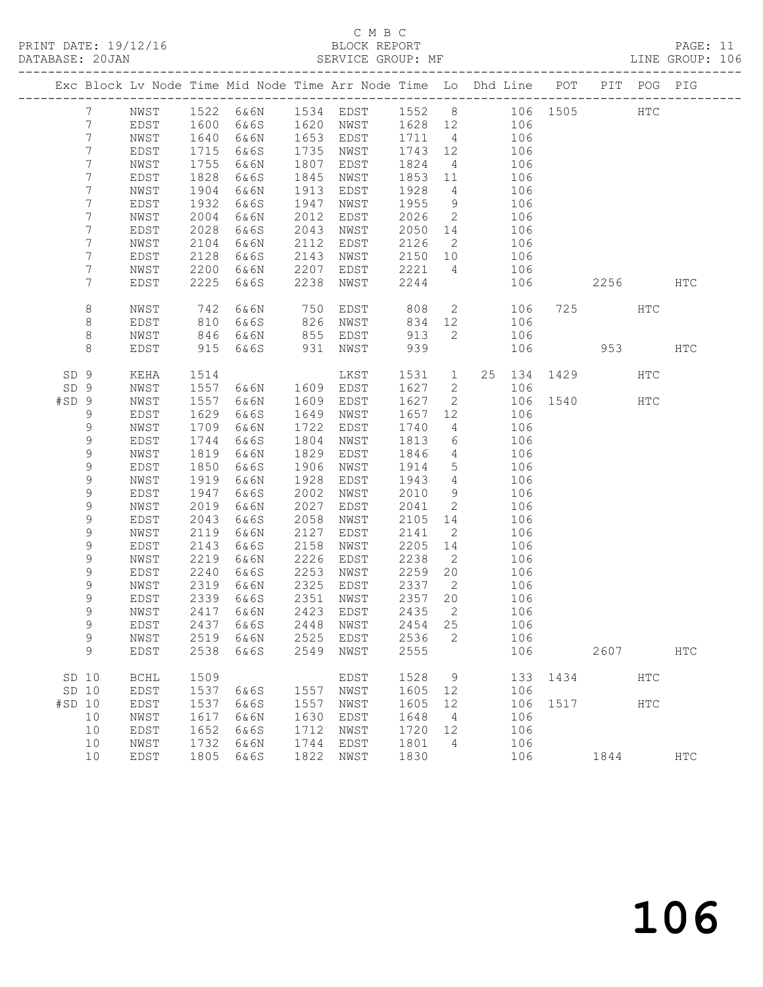## C M B C<br>BLOCK REPORT

PAGE: 11<br>LINE GROUP: 106

|                 |             |             |      |           |      | Exc Block Lv Node Time Mid Node Time Arr Node Time Lo Dhd Line POT |         |                 |                |     |          |               | PIT POG PIG |               |
|-----------------|-------------|-------------|------|-----------|------|--------------------------------------------------------------------|---------|-----------------|----------------|-----|----------|---------------|-------------|---------------|
|                 | 7           | NWST        |      |           |      | 1522 6&6N 1534 EDST 1552 8 106 1505                                |         |                 |                |     |          |               | HTC         |               |
|                 | 7           | EDST        | 1600 | 6&6S      |      | 1620 NWST 1628 12                                                  |         |                 |                | 106 |          |               |             |               |
|                 | 7           | NWST        | 1640 | 6&6N      |      | 1653 EDST                                                          | 1711 4  |                 |                | 106 |          |               |             |               |
|                 | 7           | EDST        | 1715 | 6&6S      | 1735 | NWST                                                               | 1743 12 |                 |                | 106 |          |               |             |               |
|                 | 7           | NWST        | 1755 | 6&6N      | 1807 | EDST                                                               | 1824    | $\overline{4}$  |                | 106 |          |               |             |               |
|                 | 7           | EDST        | 1828 | 6&6S      | 1845 | NWST                                                               | 1853 11 |                 |                | 106 |          |               |             |               |
|                 | 7           | NWST        | 1904 | 6&6N      | 1913 | EDST                                                               | 1928    | $\overline{4}$  |                | 106 |          |               |             |               |
|                 | 7           | EDST        | 1932 | 6&6S      | 1947 | NWST                                                               | 1955    | 9               |                | 106 |          |               |             |               |
|                 | 7           | NWST        | 2004 | 6&6N      | 2012 | EDST                                                               | 2026    | $\overline{2}$  |                | 106 |          |               |             |               |
|                 | 7           | EDST        | 2028 | 6&6S      | 2043 | NWST                                                               | 2050 14 |                 |                | 106 |          |               |             |               |
|                 | 7           | NWST        | 2104 | 6&6N      | 2112 | EDST                                                               | 2126    | $\overline{2}$  |                | 106 |          |               |             |               |
|                 | 7           | EDST        | 2128 | 6&6S      | 2143 | NWST                                                               | 2150 10 |                 | 106            |     |          |               |             |               |
|                 | 7           | NWST        | 2200 | 6&6N      | 2207 | EDST                                                               | 2221    | $\overline{4}$  |                | 106 |          |               |             |               |
|                 | 7           | EDST        | 2225 | 6&6S      | 2238 | NWST                                                               | 2244    |                 |                | 106 |          | 2256          |             | HTC           |
|                 |             |             |      |           |      |                                                                    |         |                 |                |     |          |               |             |               |
|                 | 8           | NWST        | 742  | 6&6N      | 750  | EDST                                                               | 808     |                 | $\overline{2}$ | 106 |          | 725 — 120     | HTC         |               |
|                 | 8           | EDST        | 810  | 6&6S      |      | 826 NWST                                                           | 834     | 12              |                | 106 |          |               |             |               |
|                 | 8           | NWST        | 846  | 6&6N      |      | 855 EDST                                                           | 913     | $2^{\circ}$     |                | 106 |          |               |             |               |
|                 | 8           | EDST        | 915  | 6&6S      | 931  | NWST                                                               | 939     |                 |                | 106 |          |               | 953 — 100   | HTC           |
|                 |             |             |      |           |      |                                                                    |         |                 |                |     |          |               |             |               |
| SD <sub>9</sub> |             | KEHA        | 1514 |           |      | LKST                                                               | 1531    |                 |                |     |          | 1 25 134 1429 | HTC         |               |
| SD 9            |             | NWST        | 1557 | 6&6N      |      | 1609 EDST                                                          | 1627    | $\overline{2}$  |                | 106 |          |               |             |               |
| $#SD$ 9         |             | NWST        | 1557 | 6&6N      | 1609 | EDST                                                               | 1627    | $\overline{2}$  |                |     | 106 1540 |               | HTC         |               |
|                 | 9           | EDST        | 1629 | 6&6S      | 1649 | NWST                                                               | 1657    | 12              |                | 106 |          |               |             |               |
|                 | 9           | NWST        | 1709 | 6&6N      | 1722 | EDST                                                               | 1740    | $\overline{4}$  |                | 106 |          |               |             |               |
|                 | 9           | EDST        | 1744 | 6&6S      | 1804 | NWST                                                               | 1813    | 6               |                | 106 |          |               |             |               |
|                 | $\mathsf 9$ | NWST        | 1819 | 6&6N      | 1829 | EDST                                                               | 1846    | $4\overline{4}$ |                | 106 |          |               |             |               |
|                 | 9           | EDST        | 1850 | 6&6S      | 1906 | NWST                                                               | 1914    | $5\overline{)}$ |                | 106 |          |               |             |               |
|                 | 9           | NWST        | 1919 | 6&6N      | 1928 | EDST                                                               | 1943    | $\overline{4}$  |                | 106 |          |               |             |               |
|                 | 9           | EDST        | 1947 | 6&6S      | 2002 | NWST                                                               | 2010    | 9               |                | 106 |          |               |             |               |
|                 | 9           | NWST        | 2019 | 6&6N      | 2027 | EDST                                                               | 2041    | $\overline{2}$  |                | 106 |          |               |             |               |
|                 | 9           | EDST        | 2043 | 6&6S      | 2058 | NWST                                                               | 2105    | 14              |                | 106 |          |               |             |               |
|                 | 9           | NWST        | 2119 | 6&6N      | 2127 | EDST                                                               | 2141    | $\overline{2}$  |                | 106 |          |               |             |               |
|                 | 9           | EDST        | 2143 | 6&6S      | 2158 | NWST                                                               | 2205    | 14              |                | 106 |          |               |             |               |
|                 | 9           | NWST        | 2219 | 6&6N      | 2226 | EDST                                                               | 2238    | $\overline{2}$  |                | 106 |          |               |             |               |
|                 | 9           | EDST        | 2240 | 6&6S      | 2253 | NWST                                                               | 2259    | 20              |                | 106 |          |               |             |               |
|                 | 9           | NWST        | 2319 | 6&6N      | 2325 | EDST                                                               | 2337    | $\overline{2}$  |                | 106 |          |               |             |               |
|                 | 9           | EDST        | 2339 | 6&6S      | 2351 | NWST                                                               | 2357    | 20              |                | 106 |          |               |             |               |
|                 | 9           | NWST        | 2417 | 6&6N      |      | 2423 EDST                                                          | 2435    | $\overline{2}$  |                | 106 |          |               |             |               |
|                 | 9           | EDST        |      | 2437 6&6S |      | 2448 NWST 2454 25                                                  |         |                 |                | 106 |          |               |             |               |
|                 | 9           | NWST        | 2519 | 6&6N      | 2525 | EDST                                                               | 2536    | 2               |                | 106 |          |               |             |               |
|                 | 9           | EDST        | 2538 | 6&6S      | 2549 | NWST                                                               | 2555    |                 |                | 106 |          | 2607          |             | <b>HTC</b>    |
|                 |             |             |      |           |      |                                                                    |         |                 |                |     |          |               |             |               |
| SD 10           |             | <b>BCHL</b> | 1509 |           |      | EDST                                                               | 1528    | 9               |                | 133 | 1434     |               | <b>HTC</b>  |               |
| SD 10           |             | EDST        | 1537 | 6&6S      | 1557 | NWST                                                               | 1605    | 12              |                | 106 |          |               |             |               |
| #SD 10          |             | EDST        | 1537 | 6&6S      | 1557 | NWST                                                               | 1605    | 12              |                | 106 | 1517     |               | <b>HTC</b>  |               |
|                 | 10          | NWST        | 1617 | 6&6N      | 1630 | EDST                                                               | 1648    | $\overline{4}$  |                | 106 |          |               |             |               |
|                 | 10          | EDST        | 1652 | 6&6S      | 1712 | NWST                                                               | 1720    | 12              |                | 106 |          |               |             |               |
|                 | 10          | NWST        | 1732 | 6&6N      | 1744 | EDST                                                               | 1801    | $\overline{4}$  |                | 106 |          |               |             |               |
|                 | 10          | EDST        | 1805 | 6&6S      | 1822 | NWST                                                               | 1830    |                 |                | 106 |          | 1844          |             | $_{\rm{HTC}}$ |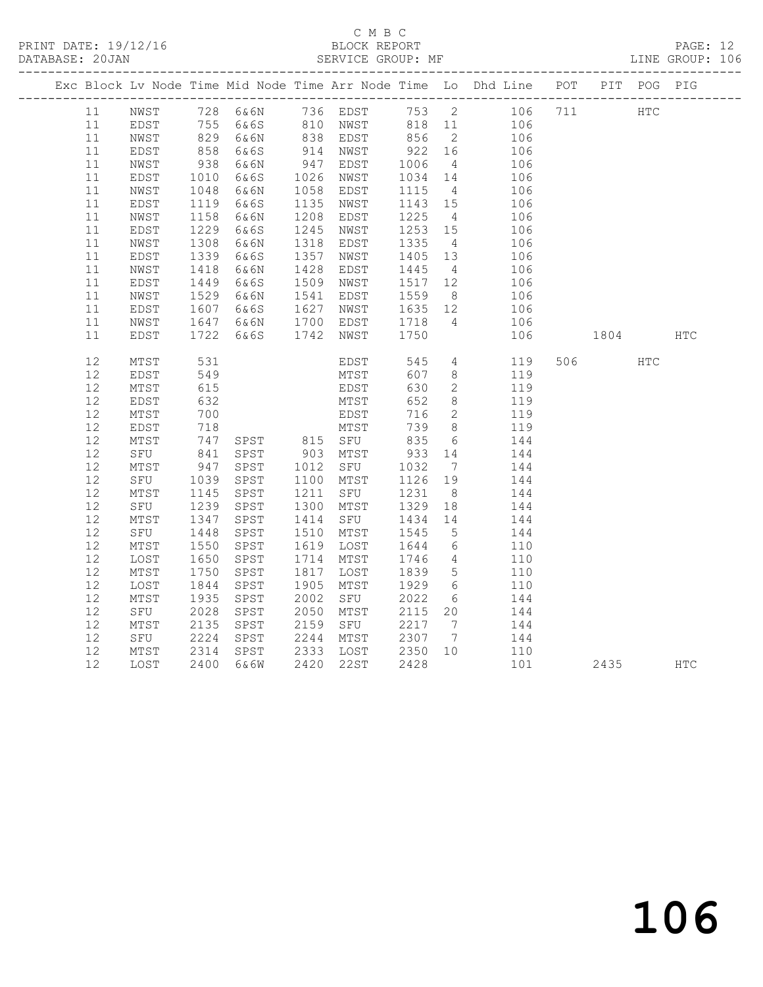## C M B C<br>BLOCK REPORT

PAGE: 12<br>LINE GROUP: 106

|      |      |            |           |      |           |                 |                              | Exc Block Lv Node Time Mid Node Time Arr Node Time Lo Dhd Line POT PIT POG PIG |        |            |            |
|------|------|------------|-----------|------|-----------|-----------------|------------------------------|--------------------------------------------------------------------------------|--------|------------|------------|
| 11   |      |            |           |      |           |                 |                              | NWST 728 6&6N 736 EDST 753 2 106 711                                           | HTC    |            |            |
| 11   | EDST |            |           |      |           |                 |                              |                                                                                |        |            |            |
| 11   | NWST |            |           |      |           |                 |                              |                                                                                |        |            |            |
| 11   | EDST | 858        | 6&6S      |      | 914 NWST  | 922             | 16                           | 106                                                                            |        |            |            |
| 11   | NWST | 938        | 6&6N      | 947  | EDST      | 1006<br>1034    | $4\overline{4}$              | 106                                                                            |        |            |            |
| 11   | EDST | 1010       | 6&6S      | 1026 | NWST      | 1034            | 14                           | 106                                                                            |        |            |            |
| 11   | NWST | 1048       | 6&6N      | 1058 | EDST      | 1115            | $\overline{4}$               | 106                                                                            |        |            |            |
| 11   | EDST | 1119       | 6&6S      | 1135 | NWST      | 1143 15         |                              | 106                                                                            |        |            |            |
| 11   | NWST | 1158       | 6&6N      | 1208 | EDST      | 1225            | $4\overline{4}$              | 106                                                                            |        |            |            |
| 11   | EDST | 1229       | 6&6S      | 1245 | NWST      | 1253            | 15                           | 106                                                                            |        |            |            |
| 11   | NWST | 1308       | 6&6N      | 1318 | EDST      | 1335            | $\overline{4}$               | 106                                                                            |        |            |            |
| 11   | EDST | 1339       | 6&6S      | 1357 | NWST      | 1405            | 13                           | 106                                                                            |        |            |            |
| 11   | NWST | 1418       | 6&6N      | 1428 | EDST      | 1445            | $\overline{4}$               | 106                                                                            |        |            |            |
| $11$ | EDST | 1449       | 6&6S      | 1509 | NWST      | 1517            | 12                           | 106                                                                            |        |            |            |
| 11   | NWST | 1529       | 6&6N      | 1541 | EDST      | 1559            | 8 <sup>8</sup>               | 106                                                                            |        |            |            |
| 11   | EDST | 1607       | 6&6S      | 1627 | NWST      | 1635 12         |                              | 106                                                                            |        |            |            |
| 11   | NWST |            | 1647 6&6N |      | 1700 EDST | 1718            | $\overline{4}$               | 106                                                                            |        |            |            |
| 11   | EDST | 1722       | 6&6S      | 1742 | NWST      | 1750            |                              | 106                                                                            | 1804   |            | <b>HTC</b> |
| 12   | MTST | 531        |           |      | EDST      | 545             | $4\overline{ }$              | 119                                                                            | 506 80 | <b>HTC</b> |            |
| 12   | EDST | 549        |           |      | MTST      | 607             | 8                            | 119                                                                            |        |            |            |
| 12   | MTST | 615        |           |      | EDST      | 630             | $\mathbf{2}$                 | 119                                                                            |        |            |            |
| 12   | EDST | 632        |           |      | MTST      | 652             | 8                            | 119                                                                            |        |            |            |
| 12   | MTST | 700        |           |      | EDST      | 716             | 2                            | 119                                                                            |        |            |            |
| $12$ | EDST | 718        |           |      | MTST      | 739             | 8 <sup>8</sup>               | 119                                                                            |        |            |            |
| 12   | MTST | 747<br>841 |           |      |           | 835<br>933      | $6\overline{6}$              | 144                                                                            |        |            |            |
| 12   | SFU  |            |           |      |           |                 | 14                           | 144                                                                            |        |            |            |
| 12   | MTST | 947        | SPST      | 1012 | SFU       | 1032            | $7\phantom{.0}\phantom{.0}7$ | 144                                                                            |        |            |            |
| 12   | SFU  | 1039       | SPST      |      | 1100 MTST | 1126            | 19                           | 144                                                                            |        |            |            |
| 12   | MTST | 1145       | SPST      | 1211 | SFU       | 1231            | 8 <sup>8</sup>               | 144                                                                            |        |            |            |
| 12   | SFU  | 1239       | SPST      | 1300 | MTST      | 1329            | 18                           | 144                                                                            |        |            |            |
| 12   | MTST | 1347       | SPST      | 1414 | SFU       | 1434            | 14                           | 144                                                                            |        |            |            |
| 12   | SFU  | 1448       | SPST      | 1510 | MTST      | 1545            | $5\overline{)}$              | 144                                                                            |        |            |            |
| 12   | MTST | 1550       | SPST      | 1619 | LOST      | 1644            | 6                            | 110                                                                            |        |            |            |
| 12   | LOST | 1650       | SPST      | 1714 | MTST      | 1746            | $\overline{4}$               | 110                                                                            |        |            |            |
| 12   | MTST | 1750       | SPST      | 1817 | LOST      | 1839            | $5\overline{)}$              | 110                                                                            |        |            |            |
| 12   | LOST | 1844       | SPST      | 1905 | MTST      | 1929            | $6\overline{6}$              | 110                                                                            |        |            |            |
| 12   | MTST | 1935       | SPST      | 2002 | SFU       | 2022            | 6                            | 144                                                                            |        |            |            |
| $12$ | SFU  | 2028       | SPST      | 2050 | MTST      | 2115            | 20                           | 144                                                                            |        |            |            |
| 12   | MTST | 2135       | SPST      | 2159 | SFU       | 2217            | $7\phantom{.0}\phantom{.0}7$ | 144                                                                            |        |            |            |
| 12   | SFU  | 2224       | SPST      | 2244 | MTST      | 2307            | $7\phantom{.0}\phantom{.0}7$ | 144                                                                            |        |            |            |
| 12   | MTST | 2314       | SPST      | 2333 | LOST      | 2350 10<br>2428 |                              | 110                                                                            |        |            |            |
| 12   | LOST | 2400       | 6&6W      |      | 2420 22ST | 2428            |                              | 101                                                                            | 2435   |            | <b>HTC</b> |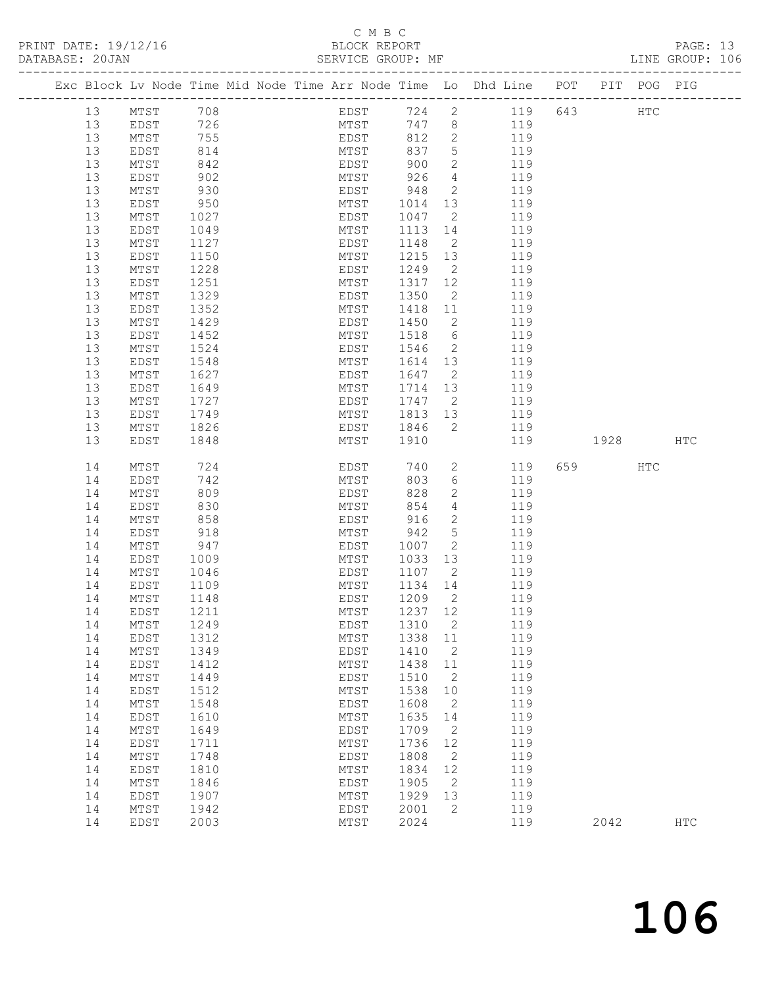### C M B C

PRINT DATE: 19/12/16 BLOCK REPORT PAGE: 13 DATABASE: 20JAN SERVICE GROUP: MF LINE GROUP: 106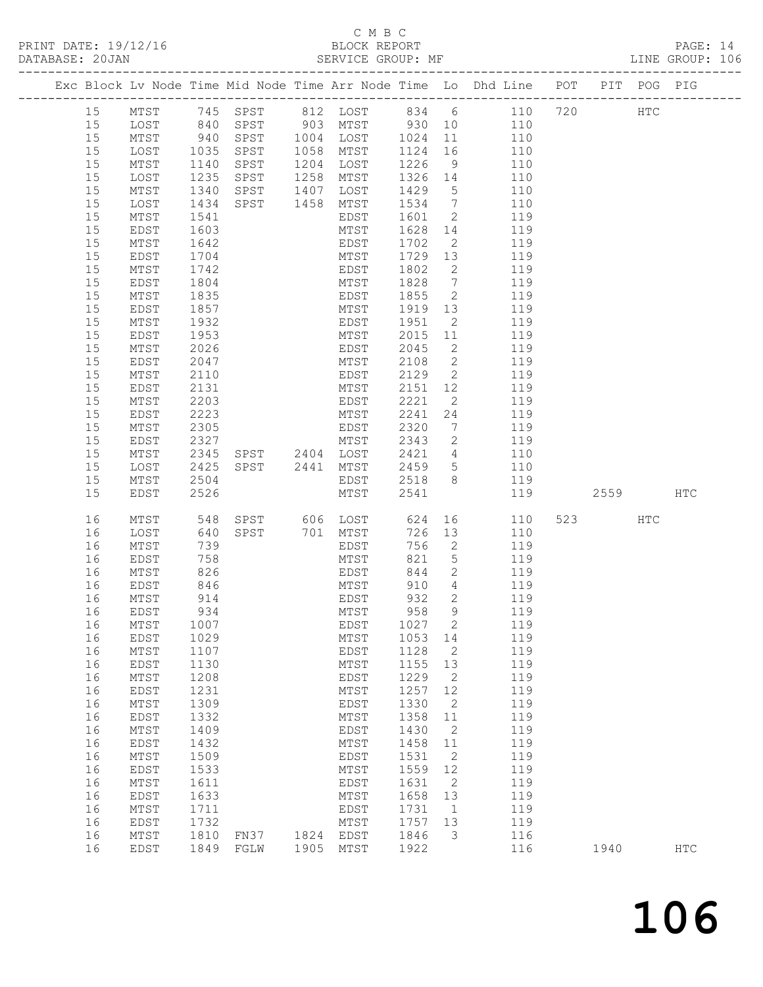C M B C

PAGE: 14<br>LINE GROUP: 106

| Exc Block Lv Node Time Mid Node Time Arr Node Time Lo Dhd Line POT PIT POG PIG<br>15 MTST 745 SPST 812 LOST 834 6 110 720 HTC<br>15 LOST 840 SPST 903 MTST 930 10 110<br>940 SPST 1004 LOST 1024<br>110<br>15<br>MTST<br>11<br>1035 SPST<br>15<br>LOST<br>1058 MTST<br>1124<br>16<br>110<br>1226<br>15<br>MTST<br>1204 LOST<br>1140<br>SPST<br>9<br>110<br>15<br>1235<br>1258 MTST<br>1326<br>LOST<br>SPST<br>14<br>110<br>1340 SPST 1407 LOST<br>15<br>1429<br>$5\overline{)}$<br>110<br>MTST<br>15<br>1534<br>$7\overline{)}$<br>LOST<br>1434<br>SPST<br>1458 MTST<br>110<br>$\overline{2}$<br>15<br>1601<br>MTST<br>1541<br>EDST<br>119<br>15<br>1628<br>14<br>EDST<br>1603<br>MTST<br>119<br>1702<br>$\overline{2}$<br>15<br>MTST<br>1642<br>EDST<br>119<br>15<br>1729<br>EDST<br>1704<br>MTST<br>13<br>119<br>15<br>1742<br>1802<br>2<br>MTST<br>EDST<br>119<br>$\overline{7}$<br>15<br>1828<br>EDST<br>1804<br>MTST<br>119<br>$\overline{2}$<br>15<br>$\mathtt{MTST}$<br>1835<br>EDST<br>1855<br>119<br>15<br>1857<br>MTST<br>1919<br>13<br>EDST<br>119<br>$\mathtt{MTST}$<br>1932<br>1951<br>$\overline{2}$<br>15<br>EDST<br>119<br>15<br>1953<br>MTST<br>2015<br>11<br>EDST<br>119<br>15<br>2026<br>2045<br>$\overline{2}$<br>MTST<br>EDST<br>119<br>2108<br>$\overline{2}$<br>15<br>EDST<br>2047<br>MTST<br>119<br>$\overline{2}$<br>15<br>MTST<br>2110<br>EDST<br>2129<br>119<br>15<br>2131<br>MTST<br>2151<br>12<br>119<br>EDST<br>15<br>MTST<br>2203<br>2221<br>$\overline{2}$<br>119<br>EDST<br>15<br>2223<br>2241<br>24<br>119<br>EDST<br>MTST<br>$\mathtt{MTST}$<br>2305<br>2320<br>15<br>EDST<br>7<br>119<br>15<br>2327<br>MTST<br>2343<br>$\overline{2}$<br>119<br>EDST<br>2345 SPST 2404 LOST<br>15<br>MTST<br>2421<br>$4\overline{4}$<br>110<br>SPST 2441 MTST<br>2425<br>2459<br>$5\overline{}$<br>15<br>LOST<br>110<br>8<br>15<br>MTST<br>2518<br>2504<br>EDST<br>119<br>2526<br>2541<br>119<br>15<br>EDST<br>MTST<br>2559<br>HTC<br>SPST 606 LOST<br>16<br>548<br>624<br>523 and $\sim$<br>MTST<br>110<br>HTC<br>16<br>726<br>LOST<br>640<br>SPST<br>701 MTST<br>13<br>110<br>756<br>$\mathbf{2}$<br>16<br>MTST<br>739<br>EDST<br>119<br>$5\overline{)}$<br>821<br>16<br>EDST<br>758<br>MTST<br>119<br>826<br>119<br>$\overline{2}$<br>844<br>16<br>MTST<br>EDST<br>$\overline{4}$<br>MTST<br>910<br>16<br>EDST<br>846<br>119<br>932 2<br>16 MTST<br>914<br><b>EDST</b><br>119<br>958<br>9<br>16<br>EDST<br>934<br>MTST<br>119<br>16<br>$MTST$<br>1007<br>EDST<br>1027<br>119<br>2<br>16<br>1029<br>1053<br>119<br><b>EDST</b><br>MTST<br>14<br>16<br>$MTST$<br>1107<br>1128<br>2<br>119<br>EDST<br>16<br>1130<br>1155<br>13<br>119<br>EDST<br>MTST<br>16<br>$MTST$<br>1208<br>1229<br>2<br>119<br>EDST<br>16<br>1231<br>1257<br>12<br>119<br>EDST<br>MTST<br>16<br>MTST<br>1309<br>1330<br>2<br>119<br>EDST<br>16<br>1332<br>1358<br>$11$<br>119<br>EDST<br>MTST<br>16<br>$MTST$<br>1409<br>1430<br>2<br>119<br>EDST<br>1432<br>1458<br>119<br>16<br><b>EDST</b><br>MTST<br>11<br>16<br>$MTST$<br>1509<br>1531<br>2<br>119<br>EDST<br>12<br>16<br>1533<br>1559<br>119<br>EDST<br>MTST<br>16<br>1631<br>$\sqrt{2}$<br>119<br>$MTST$<br>1611<br>EDST<br>16<br>1633<br>1658<br>13<br>119<br><b>EDST</b><br>MTST<br>16<br>119<br>MTST<br>1711<br>EDST<br>1731<br>$\mathbf 1$<br>16<br>1732<br>1757<br>13<br>119<br>EDST<br>MTST<br>16<br>MTST<br>1810<br>FN37<br>1824<br>1846<br>3<br>116<br><b>EDST</b> | DATABASE: 20JAN | AN<br>---------------------- |  | PRINT DATE: 19/12/16 BLOCK REPORT<br>DATABASE: 20JAN SERVICE GROUP:<br>SERVICE GROUP: MF |  |  |  | PAGE: 14<br>LINE GROUP: 106 |  |
|-----------------------------------------------------------------------------------------------------------------------------------------------------------------------------------------------------------------------------------------------------------------------------------------------------------------------------------------------------------------------------------------------------------------------------------------------------------------------------------------------------------------------------------------------------------------------------------------------------------------------------------------------------------------------------------------------------------------------------------------------------------------------------------------------------------------------------------------------------------------------------------------------------------------------------------------------------------------------------------------------------------------------------------------------------------------------------------------------------------------------------------------------------------------------------------------------------------------------------------------------------------------------------------------------------------------------------------------------------------------------------------------------------------------------------------------------------------------------------------------------------------------------------------------------------------------------------------------------------------------------------------------------------------------------------------------------------------------------------------------------------------------------------------------------------------------------------------------------------------------------------------------------------------------------------------------------------------------------------------------------------------------------------------------------------------------------------------------------------------------------------------------------------------------------------------------------------------------------------------------------------------------------------------------------------------------------------------------------------------------------------------------------------------------------------------------------------------------------------------------------------------------------------------------------------------------------------------------------------------------------------------------------------------------------------------------------------------------------------------------------------------------------------------------------------------------------------------------------------------------------------------------------------------------------------------------------------------------------------------------------------------------------------------------------------------------------------------------------------------------------------------------------------------------------------------------------------------------------------------------------------------------------------------------------------------------------------------------------------------------------------------------------------------------------------|-----------------|------------------------------|--|------------------------------------------------------------------------------------------|--|--|--|-----------------------------|--|
|                                                                                                                                                                                                                                                                                                                                                                                                                                                                                                                                                                                                                                                                                                                                                                                                                                                                                                                                                                                                                                                                                                                                                                                                                                                                                                                                                                                                                                                                                                                                                                                                                                                                                                                                                                                                                                                                                                                                                                                                                                                                                                                                                                                                                                                                                                                                                                                                                                                                                                                                                                                                                                                                                                                                                                                                                                                                                                                                                                                                                                                                                                                                                                                                                                                                                                                                                                                                                             |                 |                              |  |                                                                                          |  |  |  |                             |  |
|                                                                                                                                                                                                                                                                                                                                                                                                                                                                                                                                                                                                                                                                                                                                                                                                                                                                                                                                                                                                                                                                                                                                                                                                                                                                                                                                                                                                                                                                                                                                                                                                                                                                                                                                                                                                                                                                                                                                                                                                                                                                                                                                                                                                                                                                                                                                                                                                                                                                                                                                                                                                                                                                                                                                                                                                                                                                                                                                                                                                                                                                                                                                                                                                                                                                                                                                                                                                                             |                 |                              |  |                                                                                          |  |  |  |                             |  |
|                                                                                                                                                                                                                                                                                                                                                                                                                                                                                                                                                                                                                                                                                                                                                                                                                                                                                                                                                                                                                                                                                                                                                                                                                                                                                                                                                                                                                                                                                                                                                                                                                                                                                                                                                                                                                                                                                                                                                                                                                                                                                                                                                                                                                                                                                                                                                                                                                                                                                                                                                                                                                                                                                                                                                                                                                                                                                                                                                                                                                                                                                                                                                                                                                                                                                                                                                                                                                             |                 |                              |  |                                                                                          |  |  |  |                             |  |
|                                                                                                                                                                                                                                                                                                                                                                                                                                                                                                                                                                                                                                                                                                                                                                                                                                                                                                                                                                                                                                                                                                                                                                                                                                                                                                                                                                                                                                                                                                                                                                                                                                                                                                                                                                                                                                                                                                                                                                                                                                                                                                                                                                                                                                                                                                                                                                                                                                                                                                                                                                                                                                                                                                                                                                                                                                                                                                                                                                                                                                                                                                                                                                                                                                                                                                                                                                                                                             |                 |                              |  |                                                                                          |  |  |  |                             |  |
|                                                                                                                                                                                                                                                                                                                                                                                                                                                                                                                                                                                                                                                                                                                                                                                                                                                                                                                                                                                                                                                                                                                                                                                                                                                                                                                                                                                                                                                                                                                                                                                                                                                                                                                                                                                                                                                                                                                                                                                                                                                                                                                                                                                                                                                                                                                                                                                                                                                                                                                                                                                                                                                                                                                                                                                                                                                                                                                                                                                                                                                                                                                                                                                                                                                                                                                                                                                                                             |                 |                              |  |                                                                                          |  |  |  |                             |  |
|                                                                                                                                                                                                                                                                                                                                                                                                                                                                                                                                                                                                                                                                                                                                                                                                                                                                                                                                                                                                                                                                                                                                                                                                                                                                                                                                                                                                                                                                                                                                                                                                                                                                                                                                                                                                                                                                                                                                                                                                                                                                                                                                                                                                                                                                                                                                                                                                                                                                                                                                                                                                                                                                                                                                                                                                                                                                                                                                                                                                                                                                                                                                                                                                                                                                                                                                                                                                                             |                 |                              |  |                                                                                          |  |  |  |                             |  |
|                                                                                                                                                                                                                                                                                                                                                                                                                                                                                                                                                                                                                                                                                                                                                                                                                                                                                                                                                                                                                                                                                                                                                                                                                                                                                                                                                                                                                                                                                                                                                                                                                                                                                                                                                                                                                                                                                                                                                                                                                                                                                                                                                                                                                                                                                                                                                                                                                                                                                                                                                                                                                                                                                                                                                                                                                                                                                                                                                                                                                                                                                                                                                                                                                                                                                                                                                                                                                             |                 |                              |  |                                                                                          |  |  |  |                             |  |
|                                                                                                                                                                                                                                                                                                                                                                                                                                                                                                                                                                                                                                                                                                                                                                                                                                                                                                                                                                                                                                                                                                                                                                                                                                                                                                                                                                                                                                                                                                                                                                                                                                                                                                                                                                                                                                                                                                                                                                                                                                                                                                                                                                                                                                                                                                                                                                                                                                                                                                                                                                                                                                                                                                                                                                                                                                                                                                                                                                                                                                                                                                                                                                                                                                                                                                                                                                                                                             |                 |                              |  |                                                                                          |  |  |  |                             |  |
|                                                                                                                                                                                                                                                                                                                                                                                                                                                                                                                                                                                                                                                                                                                                                                                                                                                                                                                                                                                                                                                                                                                                                                                                                                                                                                                                                                                                                                                                                                                                                                                                                                                                                                                                                                                                                                                                                                                                                                                                                                                                                                                                                                                                                                                                                                                                                                                                                                                                                                                                                                                                                                                                                                                                                                                                                                                                                                                                                                                                                                                                                                                                                                                                                                                                                                                                                                                                                             |                 |                              |  |                                                                                          |  |  |  |                             |  |
|                                                                                                                                                                                                                                                                                                                                                                                                                                                                                                                                                                                                                                                                                                                                                                                                                                                                                                                                                                                                                                                                                                                                                                                                                                                                                                                                                                                                                                                                                                                                                                                                                                                                                                                                                                                                                                                                                                                                                                                                                                                                                                                                                                                                                                                                                                                                                                                                                                                                                                                                                                                                                                                                                                                                                                                                                                                                                                                                                                                                                                                                                                                                                                                                                                                                                                                                                                                                                             |                 |                              |  |                                                                                          |  |  |  |                             |  |
|                                                                                                                                                                                                                                                                                                                                                                                                                                                                                                                                                                                                                                                                                                                                                                                                                                                                                                                                                                                                                                                                                                                                                                                                                                                                                                                                                                                                                                                                                                                                                                                                                                                                                                                                                                                                                                                                                                                                                                                                                                                                                                                                                                                                                                                                                                                                                                                                                                                                                                                                                                                                                                                                                                                                                                                                                                                                                                                                                                                                                                                                                                                                                                                                                                                                                                                                                                                                                             |                 |                              |  |                                                                                          |  |  |  |                             |  |
|                                                                                                                                                                                                                                                                                                                                                                                                                                                                                                                                                                                                                                                                                                                                                                                                                                                                                                                                                                                                                                                                                                                                                                                                                                                                                                                                                                                                                                                                                                                                                                                                                                                                                                                                                                                                                                                                                                                                                                                                                                                                                                                                                                                                                                                                                                                                                                                                                                                                                                                                                                                                                                                                                                                                                                                                                                                                                                                                                                                                                                                                                                                                                                                                                                                                                                                                                                                                                             |                 |                              |  |                                                                                          |  |  |  |                             |  |
|                                                                                                                                                                                                                                                                                                                                                                                                                                                                                                                                                                                                                                                                                                                                                                                                                                                                                                                                                                                                                                                                                                                                                                                                                                                                                                                                                                                                                                                                                                                                                                                                                                                                                                                                                                                                                                                                                                                                                                                                                                                                                                                                                                                                                                                                                                                                                                                                                                                                                                                                                                                                                                                                                                                                                                                                                                                                                                                                                                                                                                                                                                                                                                                                                                                                                                                                                                                                                             |                 |                              |  |                                                                                          |  |  |  |                             |  |
|                                                                                                                                                                                                                                                                                                                                                                                                                                                                                                                                                                                                                                                                                                                                                                                                                                                                                                                                                                                                                                                                                                                                                                                                                                                                                                                                                                                                                                                                                                                                                                                                                                                                                                                                                                                                                                                                                                                                                                                                                                                                                                                                                                                                                                                                                                                                                                                                                                                                                                                                                                                                                                                                                                                                                                                                                                                                                                                                                                                                                                                                                                                                                                                                                                                                                                                                                                                                                             |                 |                              |  |                                                                                          |  |  |  |                             |  |
|                                                                                                                                                                                                                                                                                                                                                                                                                                                                                                                                                                                                                                                                                                                                                                                                                                                                                                                                                                                                                                                                                                                                                                                                                                                                                                                                                                                                                                                                                                                                                                                                                                                                                                                                                                                                                                                                                                                                                                                                                                                                                                                                                                                                                                                                                                                                                                                                                                                                                                                                                                                                                                                                                                                                                                                                                                                                                                                                                                                                                                                                                                                                                                                                                                                                                                                                                                                                                             |                 |                              |  |                                                                                          |  |  |  |                             |  |
|                                                                                                                                                                                                                                                                                                                                                                                                                                                                                                                                                                                                                                                                                                                                                                                                                                                                                                                                                                                                                                                                                                                                                                                                                                                                                                                                                                                                                                                                                                                                                                                                                                                                                                                                                                                                                                                                                                                                                                                                                                                                                                                                                                                                                                                                                                                                                                                                                                                                                                                                                                                                                                                                                                                                                                                                                                                                                                                                                                                                                                                                                                                                                                                                                                                                                                                                                                                                                             |                 |                              |  |                                                                                          |  |  |  |                             |  |
|                                                                                                                                                                                                                                                                                                                                                                                                                                                                                                                                                                                                                                                                                                                                                                                                                                                                                                                                                                                                                                                                                                                                                                                                                                                                                                                                                                                                                                                                                                                                                                                                                                                                                                                                                                                                                                                                                                                                                                                                                                                                                                                                                                                                                                                                                                                                                                                                                                                                                                                                                                                                                                                                                                                                                                                                                                                                                                                                                                                                                                                                                                                                                                                                                                                                                                                                                                                                                             |                 |                              |  |                                                                                          |  |  |  |                             |  |
|                                                                                                                                                                                                                                                                                                                                                                                                                                                                                                                                                                                                                                                                                                                                                                                                                                                                                                                                                                                                                                                                                                                                                                                                                                                                                                                                                                                                                                                                                                                                                                                                                                                                                                                                                                                                                                                                                                                                                                                                                                                                                                                                                                                                                                                                                                                                                                                                                                                                                                                                                                                                                                                                                                                                                                                                                                                                                                                                                                                                                                                                                                                                                                                                                                                                                                                                                                                                                             |                 |                              |  |                                                                                          |  |  |  |                             |  |
|                                                                                                                                                                                                                                                                                                                                                                                                                                                                                                                                                                                                                                                                                                                                                                                                                                                                                                                                                                                                                                                                                                                                                                                                                                                                                                                                                                                                                                                                                                                                                                                                                                                                                                                                                                                                                                                                                                                                                                                                                                                                                                                                                                                                                                                                                                                                                                                                                                                                                                                                                                                                                                                                                                                                                                                                                                                                                                                                                                                                                                                                                                                                                                                                                                                                                                                                                                                                                             |                 |                              |  |                                                                                          |  |  |  |                             |  |
|                                                                                                                                                                                                                                                                                                                                                                                                                                                                                                                                                                                                                                                                                                                                                                                                                                                                                                                                                                                                                                                                                                                                                                                                                                                                                                                                                                                                                                                                                                                                                                                                                                                                                                                                                                                                                                                                                                                                                                                                                                                                                                                                                                                                                                                                                                                                                                                                                                                                                                                                                                                                                                                                                                                                                                                                                                                                                                                                                                                                                                                                                                                                                                                                                                                                                                                                                                                                                             |                 |                              |  |                                                                                          |  |  |  |                             |  |
|                                                                                                                                                                                                                                                                                                                                                                                                                                                                                                                                                                                                                                                                                                                                                                                                                                                                                                                                                                                                                                                                                                                                                                                                                                                                                                                                                                                                                                                                                                                                                                                                                                                                                                                                                                                                                                                                                                                                                                                                                                                                                                                                                                                                                                                                                                                                                                                                                                                                                                                                                                                                                                                                                                                                                                                                                                                                                                                                                                                                                                                                                                                                                                                                                                                                                                                                                                                                                             |                 |                              |  |                                                                                          |  |  |  |                             |  |
|                                                                                                                                                                                                                                                                                                                                                                                                                                                                                                                                                                                                                                                                                                                                                                                                                                                                                                                                                                                                                                                                                                                                                                                                                                                                                                                                                                                                                                                                                                                                                                                                                                                                                                                                                                                                                                                                                                                                                                                                                                                                                                                                                                                                                                                                                                                                                                                                                                                                                                                                                                                                                                                                                                                                                                                                                                                                                                                                                                                                                                                                                                                                                                                                                                                                                                                                                                                                                             |                 |                              |  |                                                                                          |  |  |  |                             |  |
|                                                                                                                                                                                                                                                                                                                                                                                                                                                                                                                                                                                                                                                                                                                                                                                                                                                                                                                                                                                                                                                                                                                                                                                                                                                                                                                                                                                                                                                                                                                                                                                                                                                                                                                                                                                                                                                                                                                                                                                                                                                                                                                                                                                                                                                                                                                                                                                                                                                                                                                                                                                                                                                                                                                                                                                                                                                                                                                                                                                                                                                                                                                                                                                                                                                                                                                                                                                                                             |                 |                              |  |                                                                                          |  |  |  |                             |  |
|                                                                                                                                                                                                                                                                                                                                                                                                                                                                                                                                                                                                                                                                                                                                                                                                                                                                                                                                                                                                                                                                                                                                                                                                                                                                                                                                                                                                                                                                                                                                                                                                                                                                                                                                                                                                                                                                                                                                                                                                                                                                                                                                                                                                                                                                                                                                                                                                                                                                                                                                                                                                                                                                                                                                                                                                                                                                                                                                                                                                                                                                                                                                                                                                                                                                                                                                                                                                                             |                 |                              |  |                                                                                          |  |  |  |                             |  |
|                                                                                                                                                                                                                                                                                                                                                                                                                                                                                                                                                                                                                                                                                                                                                                                                                                                                                                                                                                                                                                                                                                                                                                                                                                                                                                                                                                                                                                                                                                                                                                                                                                                                                                                                                                                                                                                                                                                                                                                                                                                                                                                                                                                                                                                                                                                                                                                                                                                                                                                                                                                                                                                                                                                                                                                                                                                                                                                                                                                                                                                                                                                                                                                                                                                                                                                                                                                                                             |                 |                              |  |                                                                                          |  |  |  |                             |  |
|                                                                                                                                                                                                                                                                                                                                                                                                                                                                                                                                                                                                                                                                                                                                                                                                                                                                                                                                                                                                                                                                                                                                                                                                                                                                                                                                                                                                                                                                                                                                                                                                                                                                                                                                                                                                                                                                                                                                                                                                                                                                                                                                                                                                                                                                                                                                                                                                                                                                                                                                                                                                                                                                                                                                                                                                                                                                                                                                                                                                                                                                                                                                                                                                                                                                                                                                                                                                                             |                 |                              |  |                                                                                          |  |  |  |                             |  |
|                                                                                                                                                                                                                                                                                                                                                                                                                                                                                                                                                                                                                                                                                                                                                                                                                                                                                                                                                                                                                                                                                                                                                                                                                                                                                                                                                                                                                                                                                                                                                                                                                                                                                                                                                                                                                                                                                                                                                                                                                                                                                                                                                                                                                                                                                                                                                                                                                                                                                                                                                                                                                                                                                                                                                                                                                                                                                                                                                                                                                                                                                                                                                                                                                                                                                                                                                                                                                             |                 |                              |  |                                                                                          |  |  |  |                             |  |
|                                                                                                                                                                                                                                                                                                                                                                                                                                                                                                                                                                                                                                                                                                                                                                                                                                                                                                                                                                                                                                                                                                                                                                                                                                                                                                                                                                                                                                                                                                                                                                                                                                                                                                                                                                                                                                                                                                                                                                                                                                                                                                                                                                                                                                                                                                                                                                                                                                                                                                                                                                                                                                                                                                                                                                                                                                                                                                                                                                                                                                                                                                                                                                                                                                                                                                                                                                                                                             |                 |                              |  |                                                                                          |  |  |  |                             |  |
|                                                                                                                                                                                                                                                                                                                                                                                                                                                                                                                                                                                                                                                                                                                                                                                                                                                                                                                                                                                                                                                                                                                                                                                                                                                                                                                                                                                                                                                                                                                                                                                                                                                                                                                                                                                                                                                                                                                                                                                                                                                                                                                                                                                                                                                                                                                                                                                                                                                                                                                                                                                                                                                                                                                                                                                                                                                                                                                                                                                                                                                                                                                                                                                                                                                                                                                                                                                                                             |                 |                              |  |                                                                                          |  |  |  |                             |  |
|                                                                                                                                                                                                                                                                                                                                                                                                                                                                                                                                                                                                                                                                                                                                                                                                                                                                                                                                                                                                                                                                                                                                                                                                                                                                                                                                                                                                                                                                                                                                                                                                                                                                                                                                                                                                                                                                                                                                                                                                                                                                                                                                                                                                                                                                                                                                                                                                                                                                                                                                                                                                                                                                                                                                                                                                                                                                                                                                                                                                                                                                                                                                                                                                                                                                                                                                                                                                                             |                 |                              |  |                                                                                          |  |  |  |                             |  |
|                                                                                                                                                                                                                                                                                                                                                                                                                                                                                                                                                                                                                                                                                                                                                                                                                                                                                                                                                                                                                                                                                                                                                                                                                                                                                                                                                                                                                                                                                                                                                                                                                                                                                                                                                                                                                                                                                                                                                                                                                                                                                                                                                                                                                                                                                                                                                                                                                                                                                                                                                                                                                                                                                                                                                                                                                                                                                                                                                                                                                                                                                                                                                                                                                                                                                                                                                                                                                             |                 |                              |  |                                                                                          |  |  |  |                             |  |
|                                                                                                                                                                                                                                                                                                                                                                                                                                                                                                                                                                                                                                                                                                                                                                                                                                                                                                                                                                                                                                                                                                                                                                                                                                                                                                                                                                                                                                                                                                                                                                                                                                                                                                                                                                                                                                                                                                                                                                                                                                                                                                                                                                                                                                                                                                                                                                                                                                                                                                                                                                                                                                                                                                                                                                                                                                                                                                                                                                                                                                                                                                                                                                                                                                                                                                                                                                                                                             |                 |                              |  |                                                                                          |  |  |  |                             |  |
|                                                                                                                                                                                                                                                                                                                                                                                                                                                                                                                                                                                                                                                                                                                                                                                                                                                                                                                                                                                                                                                                                                                                                                                                                                                                                                                                                                                                                                                                                                                                                                                                                                                                                                                                                                                                                                                                                                                                                                                                                                                                                                                                                                                                                                                                                                                                                                                                                                                                                                                                                                                                                                                                                                                                                                                                                                                                                                                                                                                                                                                                                                                                                                                                                                                                                                                                                                                                                             |                 |                              |  |                                                                                          |  |  |  |                             |  |
|                                                                                                                                                                                                                                                                                                                                                                                                                                                                                                                                                                                                                                                                                                                                                                                                                                                                                                                                                                                                                                                                                                                                                                                                                                                                                                                                                                                                                                                                                                                                                                                                                                                                                                                                                                                                                                                                                                                                                                                                                                                                                                                                                                                                                                                                                                                                                                                                                                                                                                                                                                                                                                                                                                                                                                                                                                                                                                                                                                                                                                                                                                                                                                                                                                                                                                                                                                                                                             |                 |                              |  |                                                                                          |  |  |  |                             |  |
|                                                                                                                                                                                                                                                                                                                                                                                                                                                                                                                                                                                                                                                                                                                                                                                                                                                                                                                                                                                                                                                                                                                                                                                                                                                                                                                                                                                                                                                                                                                                                                                                                                                                                                                                                                                                                                                                                                                                                                                                                                                                                                                                                                                                                                                                                                                                                                                                                                                                                                                                                                                                                                                                                                                                                                                                                                                                                                                                                                                                                                                                                                                                                                                                                                                                                                                                                                                                                             |                 |                              |  |                                                                                          |  |  |  |                             |  |
|                                                                                                                                                                                                                                                                                                                                                                                                                                                                                                                                                                                                                                                                                                                                                                                                                                                                                                                                                                                                                                                                                                                                                                                                                                                                                                                                                                                                                                                                                                                                                                                                                                                                                                                                                                                                                                                                                                                                                                                                                                                                                                                                                                                                                                                                                                                                                                                                                                                                                                                                                                                                                                                                                                                                                                                                                                                                                                                                                                                                                                                                                                                                                                                                                                                                                                                                                                                                                             |                 |                              |  |                                                                                          |  |  |  |                             |  |
|                                                                                                                                                                                                                                                                                                                                                                                                                                                                                                                                                                                                                                                                                                                                                                                                                                                                                                                                                                                                                                                                                                                                                                                                                                                                                                                                                                                                                                                                                                                                                                                                                                                                                                                                                                                                                                                                                                                                                                                                                                                                                                                                                                                                                                                                                                                                                                                                                                                                                                                                                                                                                                                                                                                                                                                                                                                                                                                                                                                                                                                                                                                                                                                                                                                                                                                                                                                                                             |                 |                              |  |                                                                                          |  |  |  |                             |  |
|                                                                                                                                                                                                                                                                                                                                                                                                                                                                                                                                                                                                                                                                                                                                                                                                                                                                                                                                                                                                                                                                                                                                                                                                                                                                                                                                                                                                                                                                                                                                                                                                                                                                                                                                                                                                                                                                                                                                                                                                                                                                                                                                                                                                                                                                                                                                                                                                                                                                                                                                                                                                                                                                                                                                                                                                                                                                                                                                                                                                                                                                                                                                                                                                                                                                                                                                                                                                                             |                 |                              |  |                                                                                          |  |  |  |                             |  |
|                                                                                                                                                                                                                                                                                                                                                                                                                                                                                                                                                                                                                                                                                                                                                                                                                                                                                                                                                                                                                                                                                                                                                                                                                                                                                                                                                                                                                                                                                                                                                                                                                                                                                                                                                                                                                                                                                                                                                                                                                                                                                                                                                                                                                                                                                                                                                                                                                                                                                                                                                                                                                                                                                                                                                                                                                                                                                                                                                                                                                                                                                                                                                                                                                                                                                                                                                                                                                             |                 |                              |  |                                                                                          |  |  |  |                             |  |
|                                                                                                                                                                                                                                                                                                                                                                                                                                                                                                                                                                                                                                                                                                                                                                                                                                                                                                                                                                                                                                                                                                                                                                                                                                                                                                                                                                                                                                                                                                                                                                                                                                                                                                                                                                                                                                                                                                                                                                                                                                                                                                                                                                                                                                                                                                                                                                                                                                                                                                                                                                                                                                                                                                                                                                                                                                                                                                                                                                                                                                                                                                                                                                                                                                                                                                                                                                                                                             |                 |                              |  |                                                                                          |  |  |  |                             |  |
|                                                                                                                                                                                                                                                                                                                                                                                                                                                                                                                                                                                                                                                                                                                                                                                                                                                                                                                                                                                                                                                                                                                                                                                                                                                                                                                                                                                                                                                                                                                                                                                                                                                                                                                                                                                                                                                                                                                                                                                                                                                                                                                                                                                                                                                                                                                                                                                                                                                                                                                                                                                                                                                                                                                                                                                                                                                                                                                                                                                                                                                                                                                                                                                                                                                                                                                                                                                                                             |                 |                              |  |                                                                                          |  |  |  |                             |  |
|                                                                                                                                                                                                                                                                                                                                                                                                                                                                                                                                                                                                                                                                                                                                                                                                                                                                                                                                                                                                                                                                                                                                                                                                                                                                                                                                                                                                                                                                                                                                                                                                                                                                                                                                                                                                                                                                                                                                                                                                                                                                                                                                                                                                                                                                                                                                                                                                                                                                                                                                                                                                                                                                                                                                                                                                                                                                                                                                                                                                                                                                                                                                                                                                                                                                                                                                                                                                                             |                 |                              |  |                                                                                          |  |  |  |                             |  |
|                                                                                                                                                                                                                                                                                                                                                                                                                                                                                                                                                                                                                                                                                                                                                                                                                                                                                                                                                                                                                                                                                                                                                                                                                                                                                                                                                                                                                                                                                                                                                                                                                                                                                                                                                                                                                                                                                                                                                                                                                                                                                                                                                                                                                                                                                                                                                                                                                                                                                                                                                                                                                                                                                                                                                                                                                                                                                                                                                                                                                                                                                                                                                                                                                                                                                                                                                                                                                             |                 |                              |  |                                                                                          |  |  |  |                             |  |
|                                                                                                                                                                                                                                                                                                                                                                                                                                                                                                                                                                                                                                                                                                                                                                                                                                                                                                                                                                                                                                                                                                                                                                                                                                                                                                                                                                                                                                                                                                                                                                                                                                                                                                                                                                                                                                                                                                                                                                                                                                                                                                                                                                                                                                                                                                                                                                                                                                                                                                                                                                                                                                                                                                                                                                                                                                                                                                                                                                                                                                                                                                                                                                                                                                                                                                                                                                                                                             |                 |                              |  |                                                                                          |  |  |  |                             |  |
|                                                                                                                                                                                                                                                                                                                                                                                                                                                                                                                                                                                                                                                                                                                                                                                                                                                                                                                                                                                                                                                                                                                                                                                                                                                                                                                                                                                                                                                                                                                                                                                                                                                                                                                                                                                                                                                                                                                                                                                                                                                                                                                                                                                                                                                                                                                                                                                                                                                                                                                                                                                                                                                                                                                                                                                                                                                                                                                                                                                                                                                                                                                                                                                                                                                                                                                                                                                                                             |                 |                              |  |                                                                                          |  |  |  |                             |  |
|                                                                                                                                                                                                                                                                                                                                                                                                                                                                                                                                                                                                                                                                                                                                                                                                                                                                                                                                                                                                                                                                                                                                                                                                                                                                                                                                                                                                                                                                                                                                                                                                                                                                                                                                                                                                                                                                                                                                                                                                                                                                                                                                                                                                                                                                                                                                                                                                                                                                                                                                                                                                                                                                                                                                                                                                                                                                                                                                                                                                                                                                                                                                                                                                                                                                                                                                                                                                                             |                 |                              |  |                                                                                          |  |  |  |                             |  |
|                                                                                                                                                                                                                                                                                                                                                                                                                                                                                                                                                                                                                                                                                                                                                                                                                                                                                                                                                                                                                                                                                                                                                                                                                                                                                                                                                                                                                                                                                                                                                                                                                                                                                                                                                                                                                                                                                                                                                                                                                                                                                                                                                                                                                                                                                                                                                                                                                                                                                                                                                                                                                                                                                                                                                                                                                                                                                                                                                                                                                                                                                                                                                                                                                                                                                                                                                                                                                             |                 |                              |  |                                                                                          |  |  |  |                             |  |
|                                                                                                                                                                                                                                                                                                                                                                                                                                                                                                                                                                                                                                                                                                                                                                                                                                                                                                                                                                                                                                                                                                                                                                                                                                                                                                                                                                                                                                                                                                                                                                                                                                                                                                                                                                                                                                                                                                                                                                                                                                                                                                                                                                                                                                                                                                                                                                                                                                                                                                                                                                                                                                                                                                                                                                                                                                                                                                                                                                                                                                                                                                                                                                                                                                                                                                                                                                                                                             |                 |                              |  |                                                                                          |  |  |  |                             |  |
|                                                                                                                                                                                                                                                                                                                                                                                                                                                                                                                                                                                                                                                                                                                                                                                                                                                                                                                                                                                                                                                                                                                                                                                                                                                                                                                                                                                                                                                                                                                                                                                                                                                                                                                                                                                                                                                                                                                                                                                                                                                                                                                                                                                                                                                                                                                                                                                                                                                                                                                                                                                                                                                                                                                                                                                                                                                                                                                                                                                                                                                                                                                                                                                                                                                                                                                                                                                                                             |                 |                              |  |                                                                                          |  |  |  |                             |  |
|                                                                                                                                                                                                                                                                                                                                                                                                                                                                                                                                                                                                                                                                                                                                                                                                                                                                                                                                                                                                                                                                                                                                                                                                                                                                                                                                                                                                                                                                                                                                                                                                                                                                                                                                                                                                                                                                                                                                                                                                                                                                                                                                                                                                                                                                                                                                                                                                                                                                                                                                                                                                                                                                                                                                                                                                                                                                                                                                                                                                                                                                                                                                                                                                                                                                                                                                                                                                                             |                 |                              |  |                                                                                          |  |  |  |                             |  |
|                                                                                                                                                                                                                                                                                                                                                                                                                                                                                                                                                                                                                                                                                                                                                                                                                                                                                                                                                                                                                                                                                                                                                                                                                                                                                                                                                                                                                                                                                                                                                                                                                                                                                                                                                                                                                                                                                                                                                                                                                                                                                                                                                                                                                                                                                                                                                                                                                                                                                                                                                                                                                                                                                                                                                                                                                                                                                                                                                                                                                                                                                                                                                                                                                                                                                                                                                                                                                             |                 |                              |  |                                                                                          |  |  |  |                             |  |
|                                                                                                                                                                                                                                                                                                                                                                                                                                                                                                                                                                                                                                                                                                                                                                                                                                                                                                                                                                                                                                                                                                                                                                                                                                                                                                                                                                                                                                                                                                                                                                                                                                                                                                                                                                                                                                                                                                                                                                                                                                                                                                                                                                                                                                                                                                                                                                                                                                                                                                                                                                                                                                                                                                                                                                                                                                                                                                                                                                                                                                                                                                                                                                                                                                                                                                                                                                                                                             |                 |                              |  |                                                                                          |  |  |  |                             |  |
|                                                                                                                                                                                                                                                                                                                                                                                                                                                                                                                                                                                                                                                                                                                                                                                                                                                                                                                                                                                                                                                                                                                                                                                                                                                                                                                                                                                                                                                                                                                                                                                                                                                                                                                                                                                                                                                                                                                                                                                                                                                                                                                                                                                                                                                                                                                                                                                                                                                                                                                                                                                                                                                                                                                                                                                                                                                                                                                                                                                                                                                                                                                                                                                                                                                                                                                                                                                                                             |                 |                              |  |                                                                                          |  |  |  |                             |  |
|                                                                                                                                                                                                                                                                                                                                                                                                                                                                                                                                                                                                                                                                                                                                                                                                                                                                                                                                                                                                                                                                                                                                                                                                                                                                                                                                                                                                                                                                                                                                                                                                                                                                                                                                                                                                                                                                                                                                                                                                                                                                                                                                                                                                                                                                                                                                                                                                                                                                                                                                                                                                                                                                                                                                                                                                                                                                                                                                                                                                                                                                                                                                                                                                                                                                                                                                                                                                                             |                 |                              |  |                                                                                          |  |  |  |                             |  |
|                                                                                                                                                                                                                                                                                                                                                                                                                                                                                                                                                                                                                                                                                                                                                                                                                                                                                                                                                                                                                                                                                                                                                                                                                                                                                                                                                                                                                                                                                                                                                                                                                                                                                                                                                                                                                                                                                                                                                                                                                                                                                                                                                                                                                                                                                                                                                                                                                                                                                                                                                                                                                                                                                                                                                                                                                                                                                                                                                                                                                                                                                                                                                                                                                                                                                                                                                                                                                             |                 |                              |  |                                                                                          |  |  |  |                             |  |

16 EDST 1849 FGLW 1905 MTST 1922 116 1940 HTC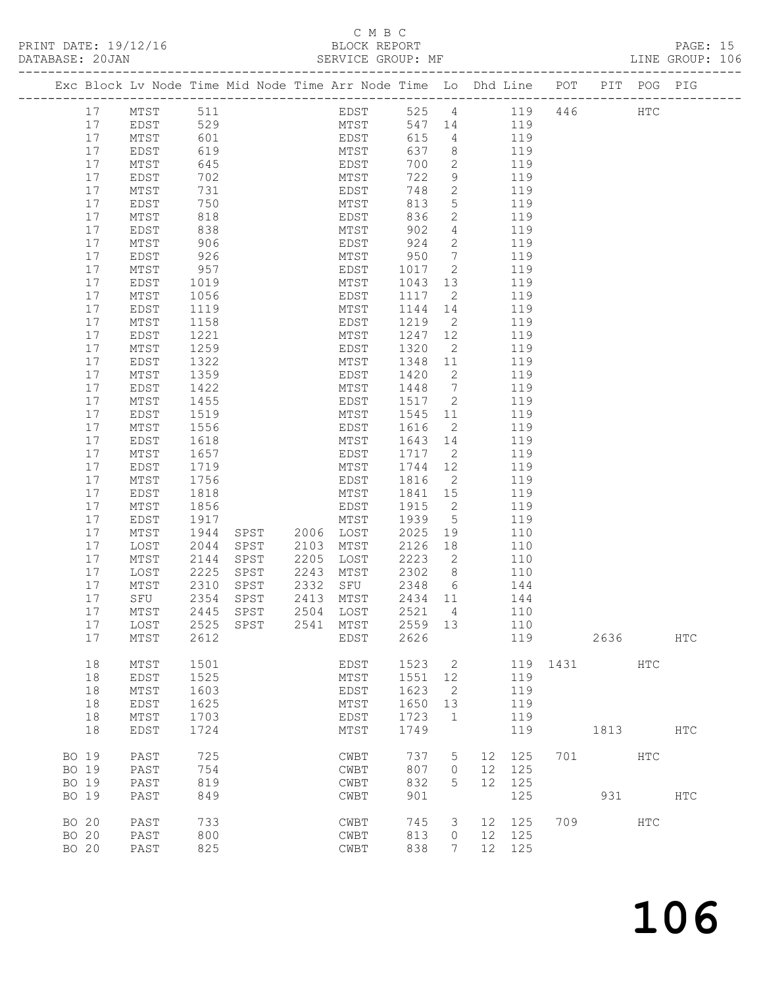## C M B C<br>C M B C<br>PLOCK PERS

17 MTST 2612 EDST 2626 119 2636 HTC

18 EDST 1724 MTST 1749 119 1813 HTC

BO 19 PAST 725 CWBT 737 5 12 125 701 HTC<br>
BO 19 PAST 754 CWBT 807 0 12 125<br>
BO 19 PAST 819 CWBT 832 5 12 125

BO 19 PAST 849 CWBT 901 125 931 HTC

BO 20 PAST 733 CWBT 745 3 12 125 709 HTC<br>BO 20 PAST 800 CWBT 813 0 12 125<br>BO 20 PAST 825

18 MTST 1501 EDST 1523 2 119 1431 HTC

 18 EDST 1525 MTST 1551 12 119 18 MTST 1603 EDST 1623 2 119 18 EDST 1625 MTST 1650 13 119 18 MTST 1703 EDST 1723 1 119

 BO 19 PAST 754 CWBT 807 0 12 125 BO 19 PAST 819 CWBT 832 5 12 125

 BO 20 PAST 800 CWBT 813 0 12 125 BO 20 PAST 825 CWBT 838 7 12 125

| PRINT DATE: 19/12/16<br>DATABASE: 20JAN |      |     |  | BLOCK REPORT<br>SERVICE GROUP: MF |     |               |                                                                    |     |         | PAGE: 15<br>LINE GROUP: 106 |  |
|-----------------------------------------|------|-----|--|-----------------------------------|-----|---------------|--------------------------------------------------------------------|-----|---------|-----------------------------|--|
|                                         |      |     |  |                                   |     |               | Exc Block Lv Node Time Mid Node Time Arr Node Time Lo Dhd Line POT |     | PIT POG | PIG                         |  |
| 17                                      | MTST | 511 |  | EDST                              | 525 | 4             | 119                                                                | 446 | HTC     |                             |  |
| 17                                      | EDST | 529 |  | MTST                              | 547 | 14            | 119                                                                |     |         |                             |  |
| 17                                      | MTST | 601 |  | EDST                              | 615 | 4             | 119                                                                |     |         |                             |  |
| 17                                      | EDST | 619 |  | MTST                              | 637 | 8             | 119                                                                |     |         |                             |  |
| 17                                      | MTST | 645 |  | EDST                              | 700 | 2             | 119                                                                |     |         |                             |  |
| 17                                      | EDST | 702 |  | MTST                              | 722 | 9             | 119                                                                |     |         |                             |  |
| 17                                      | MTST | 731 |  | EDST                              | 748 | $\mathcal{L}$ | 119                                                                |     |         |                             |  |
| 17                                      | EDST | 750 |  | MTST                              | 813 | .5            | 119                                                                |     |         |                             |  |
| 17                                      | MTST | 818 |  | EDST                              | 836 | 2             | 119                                                                |     |         |                             |  |
| 17                                      | EDST | 838 |  | MTST                              | 902 | 4             | 119                                                                |     |         |                             |  |
| 17                                      | MTST | 906 |  | EDST                              | 924 | 2             | 119                                                                |     |         |                             |  |
| 17                                      | EDST | 926 |  | MTST                              | 950 |               | 119                                                                |     |         |                             |  |
|                                         |      |     |  |                                   |     |               |                                                                    |     |         |                             |  |

 17 MTST 957 EDST 1017 2 119 17 EDST 1019 MTST 1043 13 119 17 MTST 1056 EDST 1117 2 119 17 EDST 1119 MTST 1144 14 119 17 MTST 1158 EDST 1219 2 119 17 EDST 1221 MTST 1247 12 119 17 MTST 1259 EDST 1320 2 119 17 EDST 1322 MTST 1348 11 119 17 MTST 1359 EDST 1420 2 119 17 EDST 1422 MTST 1448 7 119 17 MTST 1455 EDST 1517 2 119 17 EDST 1519 MTST 1545 11 119 17 MTST 1556 EDST 1616 2 119 17 EDST 1618 MTST 1643 14 119 17 MTST 1657 EDST 1717 2 119 17 EDST 1719 MTST 1744 12 119 17 MTST 1756 EDST 1816 2 119 17 EDST 1818 MTST 1841 15 119 17 MTST 1856 EDST 1915 2 119 17 EDST 1917 MTST 1939 5 119 17 MTST 1944 SPST 2006 LOST 2025 19 110 17 LOST 2044 SPST 2103 MTST 2126 18 110 17 MTST 2144 SPST 2205 LOST 2223 2 110 17 LOST 2225 SPST 2243 MTST 2302 8 110 17 MTST 2310 SPST 2332 SFU 2348 6 144 17 SFU 2354 SPST 2413 MTST 2434 11 144 17 MTST 2445 SPST 2504 LOST 2521 4 110 17 LOST 2525 SPST 2541 MTST 2559 13 110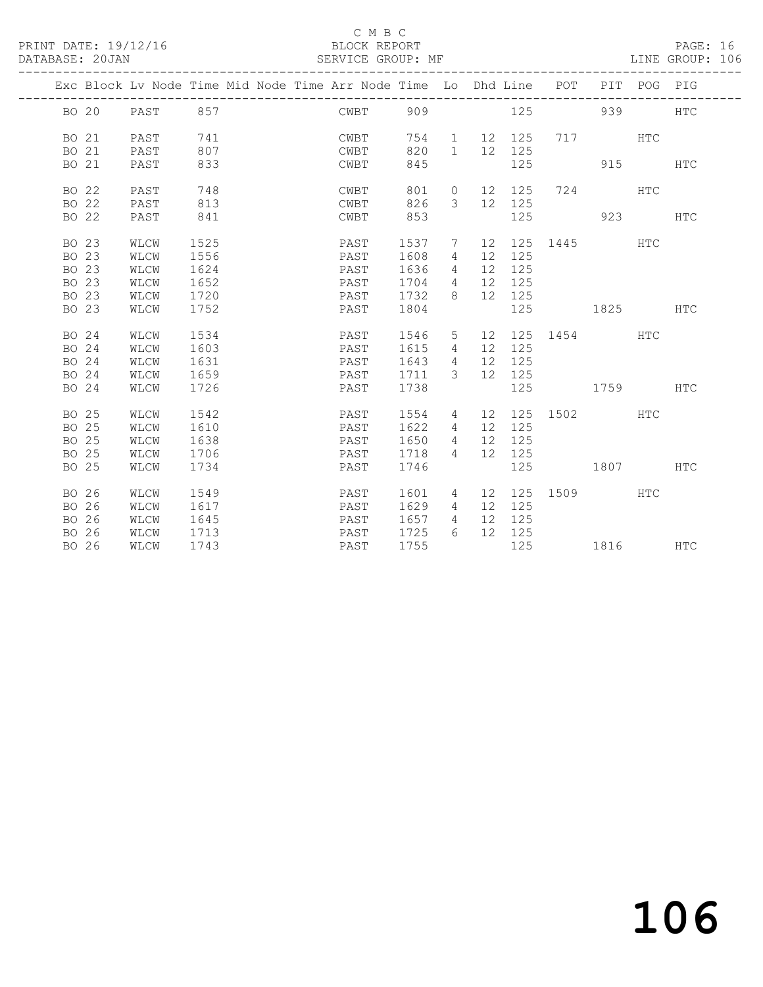#### C M B C<br>BLOCK REPORT

PAGE: 16<br>LINE GROUP: 106

|                                           |                |                                      |                                      |  | Exc Block Lv Node Time Mid Node Time Arr Node Time Lo Dhd Line POT PIT POG PIG |                                      |                                           |    |                                      |                                                                                                                                                                                                                                |            |            |
|-------------------------------------------|----------------|--------------------------------------|--------------------------------------|--|--------------------------------------------------------------------------------|--------------------------------------|-------------------------------------------|----|--------------------------------------|--------------------------------------------------------------------------------------------------------------------------------------------------------------------------------------------------------------------------------|------------|------------|
|                                           |                | BO 20 PAST 857                       |                                      |  | CWBT 909                                                                       |                                      |                                           |    |                                      | 125 939                                                                                                                                                                                                                        |            | <b>HTC</b> |
| BO 21                                     |                | PAST                                 | 741                                  |  | CWBT                                                                           | 754                                  | 1                                         |    | 12 125                               | 717 HTC                                                                                                                                                                                                                        |            |            |
|                                           | BO 21<br>BO 21 | PAST<br>PAST                         | 807<br>833                           |  | CWBT<br>CWBT                                                                   | 820<br>845                           | $\overline{1}$                            |    | 12 125<br>125                        | 915                                                                                                                                                                                                                            |            | HTC        |
| BO 22                                     | BO 22          | PAST<br>PAST                         | 748<br>813                           |  | CWBT<br>CWBT                                                                   | 801<br>826                           | $\circ$<br>$\mathcal{E}$                  |    | 12 125<br>12 125                     | 724 — 2014 — 2014 — 2014 — 2014 — 2014 — 2014 — 2014 — 2014 — 2014 — 2014 — 2014 — 2014 — 2014 — 2014 — 2014 — 2014 — 2014 — 2014 — 2014 — 2014 — 2014 — 2014 — 2014 — 2014 — 2014 — 2014 — 2014 — 2014 — 2014 — 2014 — 2014 — | <b>HTC</b> |            |
|                                           | BO 22          | PAST                                 | 841                                  |  | CWBT                                                                           | 853                                  |                                           |    | 125                                  | 923 — 100                                                                                                                                                                                                                      |            | <b>HTC</b> |
| BO 23<br>BO 23<br>BO 23<br>BO 23<br>BO 23 |                | WLCW<br>WLCW<br>WLCW<br>WLCW<br>WLCW | 1525<br>1556<br>1624<br>1652<br>1720 |  | PAST<br>PAST<br>PAST<br>PAST<br>PAST                                           | 1537<br>1608<br>1636<br>1704<br>1732 | 7<br>4<br>4<br>$\overline{4}$<br>8        |    | 12 125<br>12 125<br>12 125<br>12 125 | 12 125 1445 HTC                                                                                                                                                                                                                |            |            |
| BO 23                                     |                | WLCW                                 | 1752                                 |  | PAST                                                                           | 1804                                 |                                           |    | 125                                  | 1825 HTC                                                                                                                                                                                                                       |            |            |
| BO 24<br>BO 24<br>BO 24<br>BO 24          |                | WLCW<br>WLCW<br>WLCW<br>WLCW         | 1534<br>1603<br>1631<br>1659         |  | PAST<br>PAST<br>PAST<br>PAST                                                   | 1546<br>1615<br>1643<br>1711         | 5<br>4<br>$\overline{4}$<br>$\mathcal{E}$ |    | 12 125<br>12 125<br>12 125           | 12 125 1454 HTC                                                                                                                                                                                                                |            |            |
| BO 24                                     |                | WLCW                                 | 1726                                 |  | PAST                                                                           | 1738                                 |                                           |    | 125                                  | 1759 HTC                                                                                                                                                                                                                       |            |            |
| BO 25<br>BO 25<br>BO 25<br>BO 25<br>BO 25 |                | WLCW<br>WLCW<br>WLCW<br>WLCW<br>WLCW | 1542<br>1610<br>1638<br>1706<br>1734 |  | PAST<br>PAST<br>PAST<br>PAST<br>PAST                                           | 1554<br>1622<br>1650<br>1718<br>1746 | 4<br>4<br>4<br>$\overline{4}$             |    | 12 125<br>12 125<br>12 125<br>125    | 12 125 1502 HTC<br>1807 HTC                                                                                                                                                                                                    |            |            |
| BO 26<br>BO 26<br>BO 26<br>BO 26          | BO 26          | WLCW<br>WLCW<br>WLCW<br>WLCW<br>WLCW | 1549<br>1617<br>1645<br>1713<br>1743 |  | PAST<br>PAST<br>PAST<br>PAST<br>PAST                                           | 1601<br>1629<br>1657<br>1725<br>1755 | 4<br>4<br>$\overline{4}$<br>6             | 12 | 125<br>12 125<br>12 125<br>125       | 12 125 1509 HTC<br>1816 HTC                                                                                                                                                                                                    |            |            |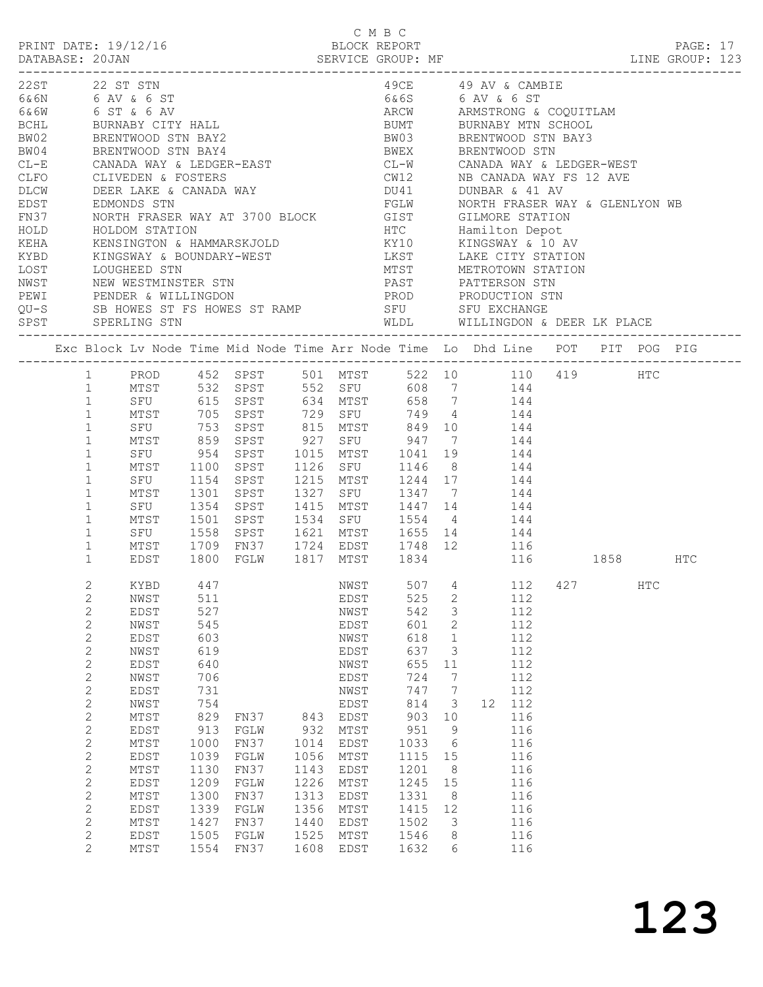|                                                                                                |                                                                                                                                                                                                                                                                                                                                 |                                                                                                                                                                                                                                                                                                                                                                                                                                                                                                                                                                                                                                                                                        |                                                                                                                                                   |                                                                                                                                                                                                  |                                                                                    | СМВС                                                                                                                                                         |                                                                                                                                                                                                                                                                                                                                                                                                                |                                                                                                                                                                                                                     |                                     |                                                                                                                                             |          |     |          |  |
|------------------------------------------------------------------------------------------------|---------------------------------------------------------------------------------------------------------------------------------------------------------------------------------------------------------------------------------------------------------------------------------------------------------------------------------|----------------------------------------------------------------------------------------------------------------------------------------------------------------------------------------------------------------------------------------------------------------------------------------------------------------------------------------------------------------------------------------------------------------------------------------------------------------------------------------------------------------------------------------------------------------------------------------------------------------------------------------------------------------------------------------|---------------------------------------------------------------------------------------------------------------------------------------------------|--------------------------------------------------------------------------------------------------------------------------------------------------------------------------------------------------|------------------------------------------------------------------------------------|--------------------------------------------------------------------------------------------------------------------------------------------------------------|----------------------------------------------------------------------------------------------------------------------------------------------------------------------------------------------------------------------------------------------------------------------------------------------------------------------------------------------------------------------------------------------------------------|---------------------------------------------------------------------------------------------------------------------------------------------------------------------------------------------------------------------|-------------------------------------|---------------------------------------------------------------------------------------------------------------------------------------------|----------|-----|----------|--|
|                                                                                                |                                                                                                                                                                                                                                                                                                                                 | PRINT DATE: 19/12/16                                                                                                                                                                                                                                                                                                                                                                                                                                                                                                                                                                                                                                                                   |                                                                                                                                                   |                                                                                                                                                                                                  |                                                                                    | BLOCK REPORT                                                                                                                                                 |                                                                                                                                                                                                                                                                                                                                                                                                                |                                                                                                                                                                                                                     |                                     |                                                                                                                                             |          |     | PAGE: 17 |  |
| BCHL<br>BW02<br>BW04<br>$CL-E$<br>CLFO<br>DLCW<br>EDST<br>FN37<br>HOLD<br>KEHA<br>KYBD<br>LOST | 22ST 22 ST STN                                                                                                                                                                                                                                                                                                                  | 6& 6N 6 AV & 6 ST<br>6&6W 6 ST & 6 AV<br>BURNABY CITY HALL<br>BRENTWOOD STN BAY2<br>BRENTWOOD STN BAY4<br>CANADA WAY & LEDGER-EAST<br>CLIVEDEN & FOSTERS<br>DEER LAKE & CANADA WAY<br>DEER LAKE & CANADA WAY<br>EDMONDS STN<br>NORTH FRASER WAY AT 3700 BLOCK GIST GILMORE STATION<br>HOLDOM STATION<br>KENSINGTON & HAMMARSKJOLD<br>KINGSWAY & BOUNDARY-WEST<br>LOUGHEED STN<br>SPST SPERLING STN<br>Exc Block Lv Node Time Mid Node Time Arr Node Time Lo Dhd Line POT PIT POG PIG<br>1 PROD 452 SPST 501 MTST 522 10 110 419 HTC<br>1 MTST 532 SPST 552 SFU 608 7 144<br>1 SFU 615 SPST 634 MTST 658 7 144<br>1 MTST 705 SPST 729 SFU 749 4 144<br>SFU 753 SPST 815 MTST 849 10 144 |                                                                                                                                                   |                                                                                                                                                                                                  |                                                                                    |                                                                                                                                                              | 6&6S 6 AV & 6 ST<br>ARCW ARMSTRONG & COQUITLAM<br>BUMT BURNABY MTN SCHOOL<br>BW03 BRENTWOOD STN BAY3<br>BWEX BRENTWOOD STN<br>CL-W CANADA WAY & LEDGER-WEST<br>CW12           NB CANADA WAY FS 12 AVE<br>DU41           DUNBAR  & 41 AV<br>FGLW MORTH FRASER WAY & GLENLYON WB<br>HTC            Hamilton Depot<br>KY10          KINGSWAY & 10 AV<br>LKST LAKE CITY STATION<br>WLDL WILLINGDON & DEER LK PLACE |                                                                                                                                                                                                                     |                                     | 49CE 49 AV & CAMBIE<br>MTST METROTOWN STATION                                                                                               |          |     |          |  |
|                                                                                                |                                                                                                                                                                                                                                                                                                                                 |                                                                                                                                                                                                                                                                                                                                                                                                                                                                                                                                                                                                                                                                                        |                                                                                                                                                   |                                                                                                                                                                                                  |                                                                                    |                                                                                                                                                              |                                                                                                                                                                                                                                                                                                                                                                                                                |                                                                                                                                                                                                                     |                                     |                                                                                                                                             |          |     |          |  |
|                                                                                                | $\mathbf{1}$<br>$\mathbf{1}$<br>$\mathbf{1}$<br>$\mathbf{1}$<br>$\mathbf{1}$<br>$\mathbf{1}$<br>$\mathbf{1}$<br>$\mathbf{1}$<br>$\mathbf{1}$<br>$\mathbf{1}$<br>$\mathbf{1}$                                                                                                                                                    | MTST<br>SFU<br>MTST 1100<br>MTST<br>SFU 1354<br>MTST<br>SFU 1558<br>MTST 1709<br>EDST                                                                                                                                                                                                                                                                                                                                                                                                                                                                                                                                                                                                  | 859<br>954<br>1301                                                                                                                                | SPST 927 SFU 947 7 144<br>SPST 1015 MTST 1041 19<br>SPST<br>SFU 1154 SPST<br>SPST<br>SPST<br>$1501$ SPST<br>SPST 1621 MTST 1655 14 144<br>FN37 1724 EDST 1748 12 116<br>1800 FGLW 1817 MTST 1834 |                                                                                    | 1126 SFU                                                                                                                                                     | 1215 MTST 1244 17 144<br>1327 SFU 1347 7 144<br>1447 14<br>1415 MTST 1447 14 144<br>1534 SFU 1554 4 144                                                                                                                                                                                                                                                                                                        |                                                                                                                                                                                                                     | $1041$ $19$ $144$<br>$1146$ 8 $144$ | 116                                                                                                                                         | 1858 HTC |     |          |  |
|                                                                                                | 2<br>$\mathbf{2}$<br>$\mathbf{2}$<br>$\mathbf{2}$<br>$\mathbf{2}$<br>$\mathbf{2}$<br>$\mathbf{2}$<br>$\mathbf{2}$<br>$\mathbf{2}$<br>$\mathbf{2}$<br>$\mathbf{2}$<br>$\sqrt{2}$<br>$\mathbf{2}$<br>$\sqrt{2}$<br>$\mathbf{2}$<br>$\mathbf{2}$<br>$\mathbf{2}$<br>$\mathbf{2}$<br>$\mathbf{2}$<br>$\mathbf{2}$<br>$\overline{2}$ | KYBD 447<br>NWST<br>EDST<br>NWST<br>EDST<br>NWST<br>EDST<br>NWST<br>EDST<br>NWST<br>MTST<br>EDST<br>MTST<br>EDST<br>MTST<br>EDST<br>MTST<br><b>EDST</b><br>MTST<br>EDST<br>MTST                                                                                                                                                                                                                                                                                                                                                                                                                                                                                                        | 511<br>527<br>545<br>603<br>619<br>640<br>706<br>731<br>754<br>829<br>913<br>1000<br>1039<br>1130<br>1209<br>1300<br>1339<br>1427<br>1505<br>1554 | FN37<br>FGLW<br>FN37<br>FGLW<br>FN37<br>FGLW<br>FN37<br>FGLW<br>FN37<br>FGLW<br>FN37                                                                                                             | 843<br>932<br>1014<br>1056<br>1143<br>1226<br>1313<br>1356<br>1440<br>1525<br>1608 | EDST<br>NWST<br>EDST<br>NWST<br>EDST<br>NWST<br>EDST<br>NWST<br>EDST<br>EDST<br>MTST<br>EDST<br>MTST<br>EDST<br>MTST<br>EDST<br>MTST<br>EDST<br>MTST<br>EDST | NWST 507 4 112 427<br>525<br>542<br>601<br>618<br>637<br>655<br>724<br>747<br>814<br>903<br>951<br>1033<br>1115<br>1201<br>1245<br>1331<br>1415<br>1502<br>1546<br>1632                                                                                                                                                                                                                                        | $\mathbf{2}$<br>$\mathcal{S}$<br>2<br>$\mathbf{1}$<br>3<br>11<br>$7\phantom{.0}$<br>$7\phantom{.0}$<br>$\overline{\mathbf{3}}$<br>10<br>9<br>$6\overline{6}$<br>15<br>8<br>15<br>8<br>12<br>$\mathcal{S}$<br>8<br>6 |                                     | 112<br>112<br>112<br>112<br>112<br>112<br>112<br>112<br>12 112<br>116<br>116<br>116<br>116<br>116<br>116<br>116<br>116<br>116<br>116<br>116 |          | HTC |          |  |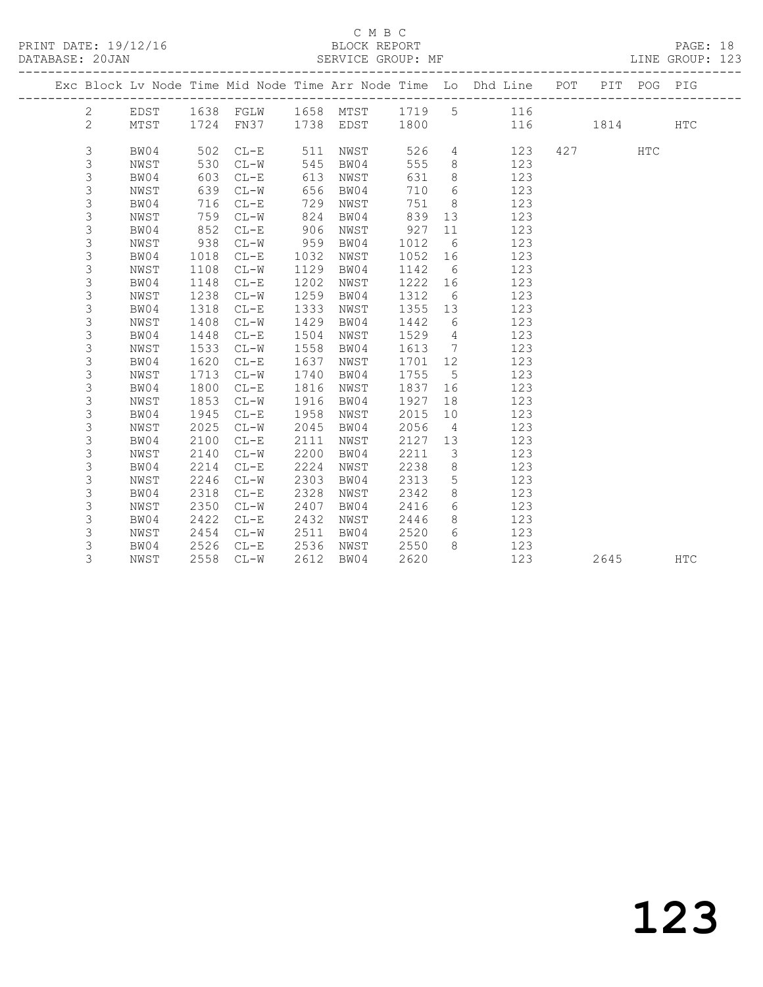#### $\begin{tabular}{lllll} \multicolumn{2}{c}{\textbf{C} M B C} & \multicolumn{2}{c}{\textbf{C} M B C} \\ \multicolumn{2}{c}{\textbf{P RINT} \textbf{DATE: }} 19/12/16 & $\multicolumn{2}{c}{\textbf{C} M B C} \\ \multicolumn{2}{c}{\textbf{D} M T} & \multicolumn{2}{c}{\textbf{D} M T} & \multicolumn{2}{c}{\textbf{D} M T} \\ \multicolumn{2}{c}{\textbf{D} M T} & \multicolumn{2}{c}{\textbf{D} M T} & \multicolumn{2}{c}{\textbf{D} M T} & \$

|  | DATABASE: 20JAN | -------------------- |      |           |      | SERVICE GROUP: MF |      |                 | MF<br>———————————————————————————                                  |     |      | LINE GROUP: 123 |  |
|--|-----------------|----------------------|------|-----------|------|-------------------|------|-----------------|--------------------------------------------------------------------|-----|------|-----------------|--|
|  |                 |                      |      |           |      |                   |      |                 | Exc Block Lv Node Time Mid Node Time Arr Node Time Lo Dhd Line POT | PIT | POG  | PIG             |  |
|  | $\overline{2}$  | EDST                 |      |           |      |                   |      |                 | 1638 FGLW 1658 MTST 1719 5 116                                     |     |      |                 |  |
|  | $\mathbf{2}$    | MTST                 |      | 1724 FN37 |      | 1738 EDST 1800    |      |                 | 116                                                                |     | 1814 | <b>HTC</b>      |  |
|  | 3               | BW04                 | 502  | $CL-E$    | 511  | NWST              | 526  | $4\overline{ }$ | 123                                                                | 427 | HTC  |                 |  |
|  | 3               | NWST                 | 530  | $CL-W$    | 545  | BW04              | 555  | 8               | 123                                                                |     |      |                 |  |
|  | 3               | BW04                 | 603  | $CL-E$    | 613  | NWST              | 631  | 8               | 123                                                                |     |      |                 |  |
|  | 3               | NWST                 | 639  | $CL-W$    | 656  | BW04              | 710  | 6               | 123                                                                |     |      |                 |  |
|  | 3               | BW04                 | 716  | $CL-E$    | 729  | NWST              | 751  | 8 <sup>8</sup>  | 123                                                                |     |      |                 |  |
|  | 3               | NWST                 | 759  | $CL-W$    | 824  | BW04              | 839  | 13              | 123                                                                |     |      |                 |  |
|  | 3               | BW04                 | 852  | $CL-E$    | 906  | NWST              | 927  | 11              | 123                                                                |     |      |                 |  |
|  | 3               | NWST                 | 938  | $CL-W$    | 959  | BW04              | 1012 | 6               | 123                                                                |     |      |                 |  |
|  | 3               | BW04                 | 1018 | $CL-E$    | 1032 | NWST              | 1052 | 16              | 123                                                                |     |      |                 |  |
|  | 3               | NWST                 | 1108 | $CL-W$    | 1129 | BW04              | 1142 | 6               | 123                                                                |     |      |                 |  |
|  | 3               | BW04                 | 1148 | $CL-E$    | 1202 | NWST              | 1222 | 16              | 123                                                                |     |      |                 |  |
|  | 3               | NWST                 | 1238 | $CL-W$    | 1259 | BW04              | 1312 | 6               | 123                                                                |     |      |                 |  |
|  | 3               | BW04                 | 1318 | $CL-E$    | 1333 | NWST              | 1355 | 13              | 123                                                                |     |      |                 |  |
|  | 3               | NWST                 | 1408 | $CL-W$    | 1429 | BW04              | 1442 | 6               | 123                                                                |     |      |                 |  |
|  | $\mathsf S$     | BW04                 | 1448 | $CL-E$    | 1504 | NWST              | 1529 | $4\overline{4}$ | 123                                                                |     |      |                 |  |
|  | 3               | NWST                 | 1533 | $CL-W$    | 1558 | BW04              | 1613 | $7\overline{ }$ | 123                                                                |     |      |                 |  |
|  | 3               | BW04                 | 1620 | $CL-E$    | 1637 | NWST              | 1701 | 12              | 123                                                                |     |      |                 |  |
|  | 3               | NWST                 | 1713 | $CL-W$    | 1740 | BW04              | 1755 | $5^{\circ}$     | 123                                                                |     |      |                 |  |
|  | 3               | BW04                 | 1800 | $CL-E$    | 1816 | NWST              | 1837 | 16              | 123                                                                |     |      |                 |  |
|  | 3               | NWST                 | 1853 | $CL-W$    | 1916 | BW04              | 1927 | 18              | 123                                                                |     |      |                 |  |
|  | 3               | BW04                 | 1945 | $CL-E$    | 1958 | NWST              | 2015 | 10              | 123                                                                |     |      |                 |  |
|  | 3               | NWST                 | 2025 | $CL-W$    | 2045 | BW04              | 2056 | $\overline{4}$  | 123                                                                |     |      |                 |  |
|  | 3               | BW04                 | 2100 | $CL-E$    | 2111 | NWST              | 2127 | 13              | 123                                                                |     |      |                 |  |
|  | 3               | NWST                 | 2140 | $CL-W$    | 2200 | BW04              | 2211 | $\mathcal{S}$   | 123                                                                |     |      |                 |  |
|  | 3               | BW04                 | 2214 | $CL-E$    | 2224 | NWST              | 2238 | 8               | 123                                                                |     |      |                 |  |
|  | 3               | NWST                 | 2246 | $CL-W$    | 2303 | BW04              | 2313 | 5               | 123                                                                |     |      |                 |  |
|  | 3               | BW04                 | 2318 | $CL-E$    | 2328 | NWST              | 2342 | 8               | 123                                                                |     |      |                 |  |
|  | 3               | NWST                 | 2350 | $CL-W$    | 2407 | BW04              | 2416 | 6               | 123                                                                |     |      |                 |  |
|  | 3               | BW04                 | 2422 | $CL-E$    | 2432 | NWST              | 2446 | 8               | 123                                                                |     |      |                 |  |
|  | 3               | NWST                 | 2454 | $CL-W$    | 2511 | BW04              | 2520 | 6               | 123                                                                |     |      |                 |  |
|  | 3               | BW04                 | 2526 | $CL-E$    | 2536 | NWST              | 2550 | 8               | 123                                                                |     |      |                 |  |
|  | 3               | NWST                 | 2558 | $CL-W$    | 2612 | BW04              | 2620 |                 | 123                                                                |     | 2645 | <b>HTC</b>      |  |
|  |                 |                      |      |           |      |                   |      |                 |                                                                    |     |      |                 |  |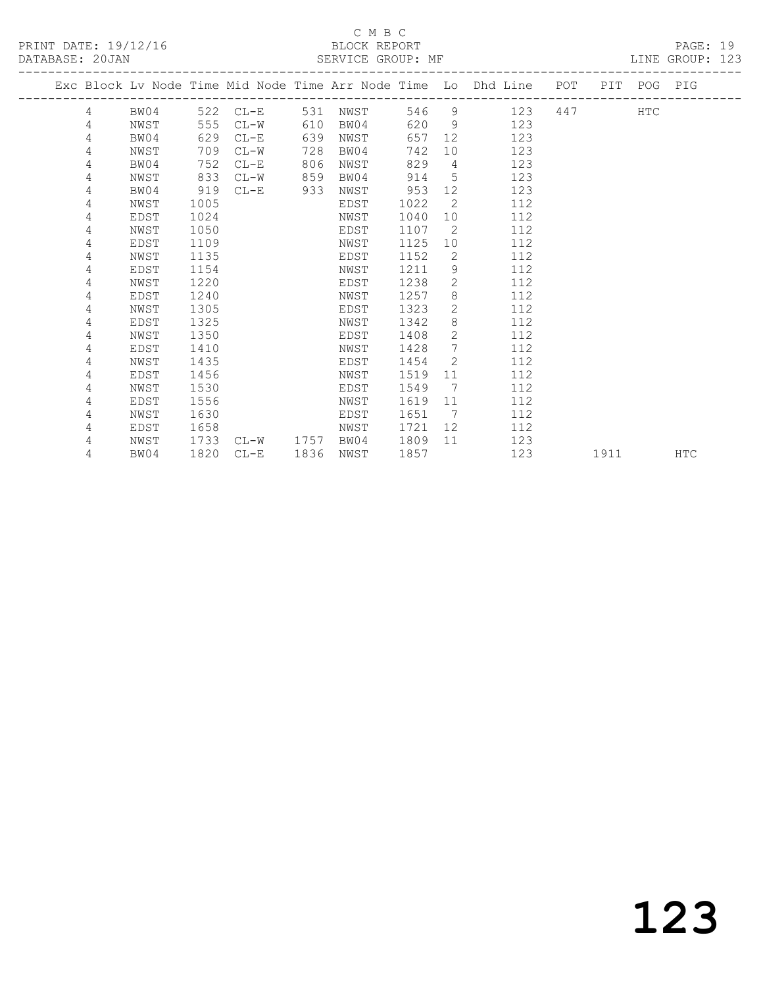## C M B C

| DATABASE: 20JAN |                 |      |      |           |      | SERVICE GROUP: MF |      |                 |                                                                                |  |             | LINE GROUP: 123 |  |
|-----------------|-----------------|------|------|-----------|------|-------------------|------|-----------------|--------------------------------------------------------------------------------|--|-------------|-----------------|--|
|                 |                 |      |      |           |      |                   |      |                 | Exc Block Lv Node Time Mid Node Time Arr Node Time Lo Dhd Line POT PIT POG PIG |  |             |                 |  |
|                 | $4\overline{ }$ | BW04 |      | 522 CL-E  | 531  | NWST              |      |                 | 546 9 123                                                                      |  | <b>HTC</b>  |                 |  |
|                 | 4               | NWST | 555  | $CL-W$    | 610  | BW04              |      |                 | 620 9<br>123                                                                   |  |             |                 |  |
|                 | 4               | BW04 | 629  | $CL-E$    | 639  | NWST              | 657  |                 | 123                                                                            |  |             |                 |  |
|                 | 4               | NWST | 709  | $CL-W$    | 728  | BW04              | 742  | 10              | 123                                                                            |  |             |                 |  |
|                 | 4               | BW04 | 752  | $CL-E$    | 806  | NWST              | 829  | $\overline{4}$  | 123                                                                            |  |             |                 |  |
|                 | 4               | NWST | 833  | $CL-W$    | 859  | BW04              | 914  | $5^{\circ}$     | 123                                                                            |  |             |                 |  |
|                 | 4               | BW04 | 919  | $CL-E$    | 933  | NWST              | 953  | 12              | 123                                                                            |  |             |                 |  |
|                 | 4               | NWST | 1005 |           |      | EDST              | 1022 | 2               | 112                                                                            |  |             |                 |  |
|                 | 4               | EDST | 1024 |           |      | NWST              | 1040 | 10              | 112                                                                            |  |             |                 |  |
|                 | 4               | NWST | 1050 |           |      | EDST              | 1107 | 2               | 112                                                                            |  |             |                 |  |
|                 | 4               | EDST | 1109 |           |      | NWST              | 1125 | 10              | 112                                                                            |  |             |                 |  |
|                 | 4               | NWST | 1135 |           |      | EDST              | 1152 | 2               | 112                                                                            |  |             |                 |  |
|                 | 4               | EDST | 1154 |           |      | NWST              | 1211 | 9               | 112                                                                            |  |             |                 |  |
|                 | 4               | NWST | 1220 |           |      | EDST              | 1238 | $\overline{2}$  | 112                                                                            |  |             |                 |  |
|                 | 4               | EDST | 1240 |           |      | NWST              | 1257 | 8               | 112                                                                            |  |             |                 |  |
|                 | 4               | NWST | 1305 |           |      | EDST              | 1323 | $\mathbf{2}$    | 112                                                                            |  |             |                 |  |
|                 | 4               | EDST | 1325 |           |      | NWST              | 1342 | 8               | 112                                                                            |  |             |                 |  |
|                 | 4               | NWST | 1350 |           |      | EDST              | 1408 | $\mathbf{2}$    | 112                                                                            |  |             |                 |  |
|                 | 4               | EDST | 1410 |           |      | NWST              | 1428 | $7\overline{ }$ | 112                                                                            |  |             |                 |  |
|                 | 4               | NWST | 1435 |           |      | EDST              | 1454 | 2               | 112                                                                            |  |             |                 |  |
|                 | 4               | EDST | 1456 |           |      | NWST              | 1519 | 11              | 112                                                                            |  |             |                 |  |
|                 | 4               | NWST | 1530 |           |      | EDST              | 1549 | 7               | 112                                                                            |  |             |                 |  |
|                 | 4               | EDST | 1556 |           |      | NWST              | 1619 | 11              | 112                                                                            |  |             |                 |  |
|                 | 4               | NWST | 1630 |           |      | EDST              | 1651 | 7               | 112                                                                            |  |             |                 |  |
|                 | 4               | EDST | 1658 |           |      | NWST              | 1721 | 12              | 112                                                                            |  |             |                 |  |
|                 | 4               | NWST | 1733 | CL-W 1757 |      | BW04              | 1809 | 11              | 123                                                                            |  |             |                 |  |
|                 | 4               | BW04 | 1820 | $CL-E$    | 1836 | NWST              | 1857 |                 | 123                                                                            |  | 1911 — 1911 | <b>HTC</b>      |  |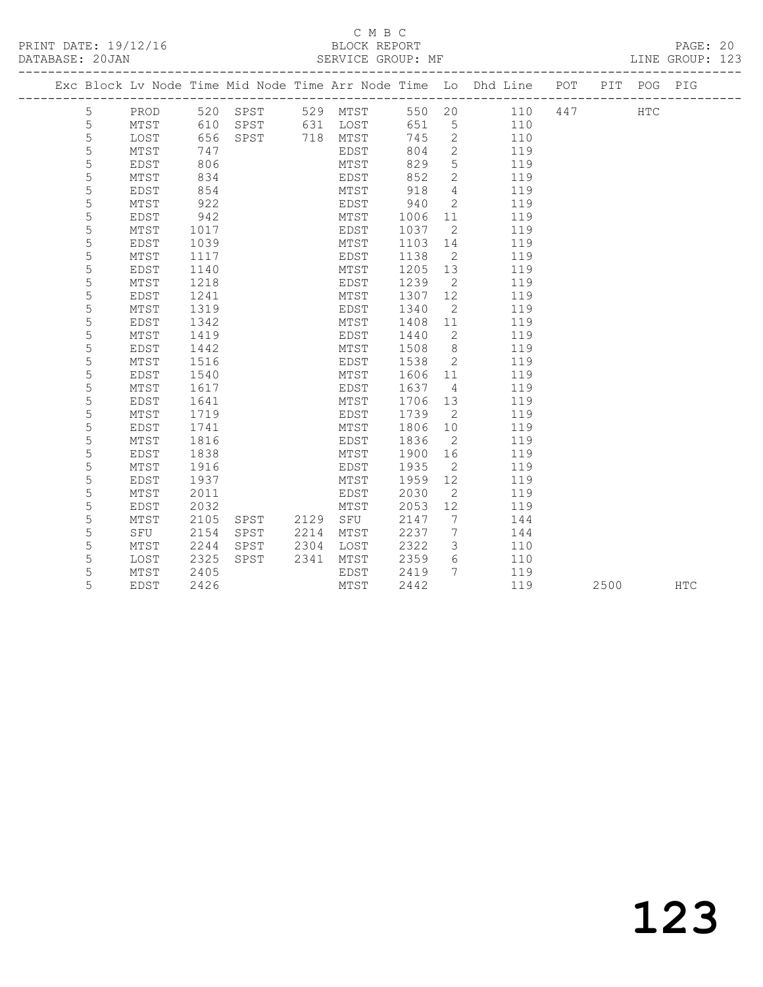#### C M B C<br>BLOCK REPORT SERVICE GROUP: MF

|  |   |      |      |      |      |          |      |                | Exc Block Lv Node Time Mid Node Time Arr Node Time Lo Dhd Line POT PIT POG PIG |     |     |  |
|--|---|------|------|------|------|----------|------|----------------|--------------------------------------------------------------------------------|-----|-----|--|
|  | 5 | PROD | 520  | SPST |      | 529 MTST | 550  | 20             | 110                                                                            | 447 | HTC |  |
|  | 5 | MTST | 610  | SPST | 631  | LOST     | 651  | 5              | 110                                                                            |     |     |  |
|  | 5 | LOST | 656  | SPST | 718  | MTST     | 745  | 2              | 110                                                                            |     |     |  |
|  | 5 | MTST | 747  |      |      | EDST     | 804  | 2              | 119                                                                            |     |     |  |
|  | 5 | EDST | 806  |      |      | MTST     | 829  | 5              | 119                                                                            |     |     |  |
|  | 5 | MTST | 834  |      |      | EDST     | 852  | $\mathbf{2}$   | 119                                                                            |     |     |  |
|  | 5 | EDST | 854  |      |      | MTST     | 918  | $\overline{4}$ | 119                                                                            |     |     |  |
|  | 5 | MTST | 922  |      |      | EDST     | 940  | $\mathbf{2}$   | 119                                                                            |     |     |  |
|  | 5 | EDST | 942  |      |      | MTST     | 1006 | 11             | 119                                                                            |     |     |  |
|  | 5 | MTST | 1017 |      |      | EDST     | 1037 | 2              | 119                                                                            |     |     |  |
|  | 5 | EDST | 1039 |      |      | MTST     | 1103 | 14             | 119                                                                            |     |     |  |
|  | 5 | MTST | 1117 |      |      | EDST     | 1138 | 2              | 119                                                                            |     |     |  |
|  | 5 | EDST | 1140 |      |      | MTST     | 1205 | 13             | 119                                                                            |     |     |  |
|  | 5 | MTST | 1218 |      |      | EDST     | 1239 | 2              | 119                                                                            |     |     |  |
|  | 5 | EDST | 1241 |      |      | MTST     | 1307 | 12             | 119                                                                            |     |     |  |
|  | 5 | MTST | 1319 |      |      | EDST     | 1340 | 2              | 119                                                                            |     |     |  |
|  | 5 | EDST | 1342 |      |      | MTST     | 1408 | 11             | 119                                                                            |     |     |  |
|  | 5 | MTST | 1419 |      |      | EDST     | 1440 | 2              | 119                                                                            |     |     |  |
|  | 5 | EDST | 1442 |      |      | MTST     | 1508 | 8              | 119                                                                            |     |     |  |
|  | 5 | MTST | 1516 |      |      | EDST     | 1538 | 2              | 119                                                                            |     |     |  |
|  | 5 | EDST | 1540 |      |      | MTST     | 1606 | 11             | 119                                                                            |     |     |  |
|  | 5 | MTST | 1617 |      |      | EDST     | 1637 | 4              | 119                                                                            |     |     |  |
|  | 5 | EDST | 1641 |      |      | MTST     | 1706 | 13             | 119                                                                            |     |     |  |
|  | 5 | MTST | 1719 |      |      | EDST     | 1739 | 2              | 119                                                                            |     |     |  |
|  | 5 | EDST | 1741 |      |      | MTST     | 1806 | 10             | 119                                                                            |     |     |  |
|  | 5 | MTST | 1816 |      |      | EDST     | 1836 | 2              | 119                                                                            |     |     |  |
|  | 5 | EDST | 1838 |      |      | MTST     | 1900 | 16             | 119                                                                            |     |     |  |
|  | 5 | MTST | 1916 |      |      | EDST     | 1935 | 2              | 119                                                                            |     |     |  |
|  | 5 | EDST | 1937 |      |      | MTST     | 1959 | 12             | 119                                                                            |     |     |  |
|  | 5 | MTST | 2011 |      |      | EDST     | 2030 | 2              | 119                                                                            |     |     |  |
|  | 5 | EDST | 2032 |      |      | MTST     | 2053 | 12             | 119                                                                            |     |     |  |
|  | 5 | MTST | 2105 | SPST | 2129 | SFU      | 2147 | 7              | 144                                                                            |     |     |  |

 5 SFU 2154 SPST 2214 MTST 2237 7 144 5 MTST 2244 SPST 2304 LOST 2322 3 110 5 LOST 2325 SPST 2341 MTST 2359 6 110

108T 2325 SPST 2341 MTST 2555 6 110<br>5 MTST 2405 EDST 2419 7 119<br>5 EDST 2426 MTST 2442 119

5 EDST 2426 MTST 2442 119 2500 HTC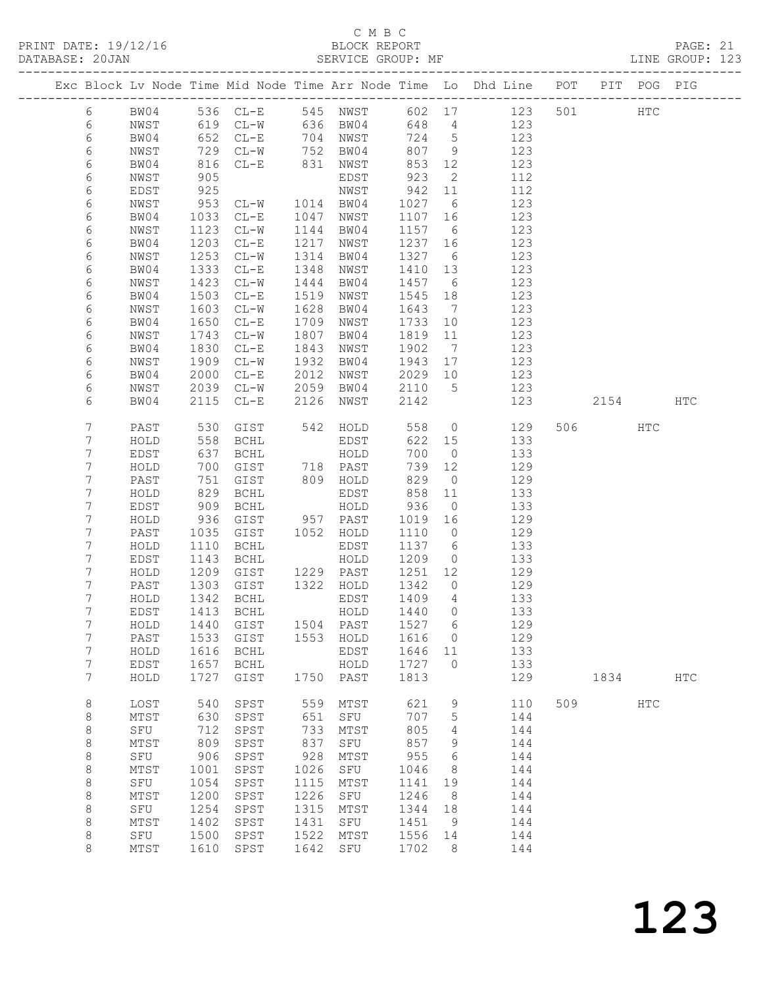## C M B C

| DATABASE: 20JAN |                 |              | SERVICE GROUP: MF      |      |                                                             |         |                 |                                                                                |     |         |     | LINE GROUP: 123 |  |
|-----------------|-----------------|--------------|------------------------|------|-------------------------------------------------------------|---------|-----------------|--------------------------------------------------------------------------------|-----|---------|-----|-----------------|--|
|                 |                 |              |                        |      |                                                             |         |                 | Exc Block Lv Node Time Mid Node Time Arr Node Time Lo Dhd Line POT PIT POG PIG |     |         |     |                 |  |
| 6               |                 |              |                        |      |                                                             |         |                 | BW04 536 CL-E 545 NWST 602 17 123 501 HTC                                      |     |         |     |                 |  |
| 6               | NWST            |              |                        |      | 619 CL-W 636 BW04                                           |         |                 | 648 4 123                                                                      |     |         |     |                 |  |
| 6               | BW04            |              |                        |      | 652 CL-E 704 NWST<br>729 CL-W 752 BW04<br>816 CL-E 831 NWST | 724 5   |                 | 123                                                                            |     |         |     |                 |  |
| $\epsilon$      | NWST            |              |                        |      |                                                             |         | 807 9           | 123                                                                            |     |         |     |                 |  |
| 6               | BW04            |              |                        |      |                                                             | 853     | 12              | 123                                                                            |     |         |     |                 |  |
| 6               | NWST            | 905          |                        |      | EDST                                                        | 923     | $\overline{2}$  | 112                                                                            |     |         |     |                 |  |
| 6               | EDST            | 925          |                        |      |                                                             | 942     | 11              | 112                                                                            |     |         |     |                 |  |
| 6               | NWST            | 953          | NWST<br>CL-W 1014 BW04 |      |                                                             | 1027 6  |                 | 123                                                                            |     |         |     |                 |  |
| 6               | BW04            | 1033         | $CL-E$                 | 1047 | NWST                                                        | 1107 16 |                 | 123                                                                            |     |         |     |                 |  |
| 6               | NWST            | 1123         | $CL-W$                 | 1144 | BW04                                                        | 1157 6  |                 | 123                                                                            |     |         |     |                 |  |
| 6               | BW04            | 1203         | $CL-E$                 | 1217 | NWST                                                        | 1237 16 |                 | 123                                                                            |     |         |     |                 |  |
| 6               | NWST            | 1253         | $CL-W$                 |      | 1314 BW04                                                   | 1327 6  |                 | 123                                                                            |     |         |     |                 |  |
| 6               | BW04            | 1333         | $CL-E$                 | 1348 | NWST                                                        | 1410 13 |                 | 123                                                                            |     |         |     |                 |  |
| 6               | NWST            | 1423         | $CL-W$                 | 1444 | BW04                                                        | 1457 6  |                 | 123                                                                            |     |         |     |                 |  |
| 6               | BW04            | 1503         | $CL-E$                 | 1519 | NWST                                                        | 1545    | 18              | 123                                                                            |     |         |     |                 |  |
| 6               | NWST            | 1603         | $CL-W$                 | 1628 | BW04                                                        | 1643 7  |                 | 123                                                                            |     |         |     |                 |  |
| 6               | BW04            | 1650         | $CL-E$                 | 1709 | NWST                                                        | 1733 10 |                 | 123                                                                            |     |         |     |                 |  |
| 6               | NWST            | 1743         | $CL-W$                 | 1807 | BW04                                                        | 1819 11 |                 | 123                                                                            |     |         |     |                 |  |
| 6               | BW04            | 1830         | $CL-E$                 | 1843 | NWST                                                        | 1902    | $\overline{7}$  | 123                                                                            |     |         |     |                 |  |
|                 |                 |              |                        | 1932 |                                                             | 1943 17 |                 | 123                                                                            |     |         |     |                 |  |
| 6               | NWST            | 1909         | $CL-W$                 |      | BW04                                                        |         |                 |                                                                                |     |         |     |                 |  |
| 6               | BW04            | 2000         | $CL-E$                 | 2012 | NWST                                                        | 2029 10 |                 | 123<br>123                                                                     |     |         |     |                 |  |
| 6               | NWST            | 2039         | $CL-W$                 | 2059 | BW04                                                        | 2110 5  |                 |                                                                                |     |         |     |                 |  |
| 6               | BW04            | 2115         | $CL-E$                 | 2126 | NWST                                                        | 2142    |                 | 123                                                                            |     | 2154    |     | HTC             |  |
| 7               | PAST            | 530          |                        |      | GIST 542 HOLD<br>BCHL EDST                                  | 558     |                 | $\overline{0}$<br>129                                                          |     | 506 HTC |     |                 |  |
| 7               | HOLD            | 558          |                        |      | EDST                                                        |         | 622 15          | 133                                                                            |     |         |     |                 |  |
| 7               | EDST            | 637          | BCHL                   |      | HOLD                                                        | 700     | $\overline{0}$  | 133                                                                            |     |         |     |                 |  |
| 7               | HOLD            | 700          | GIST                   |      | 718 PAST                                                    | 739     | 12              | 129                                                                            |     |         |     |                 |  |
| 7               | PAST            | 751          | GIST                   |      |                                                             | 829     | $\overline{0}$  | 129                                                                            |     |         |     |                 |  |
| 7               | HOLD            | 829          | BCHL                   |      | 809 HOLD<br>EDST<br>EDST                                    | 858     | 11              | 133                                                                            |     |         |     |                 |  |
| 7               | EDST            | 909          | BCHL                   |      | HOLD                                                        | 936     | $\overline{0}$  | 133                                                                            |     |         |     |                 |  |
| 7               | HOLD            | 936          | GIST                   |      | 957 PAST                                                    | 1019    | 16              | 129                                                                            |     |         |     |                 |  |
| 7               | PAST            | 1035         | GIST                   |      | 1052 HOLD                                                   | 1110 0  |                 | 129                                                                            |     |         |     |                 |  |
| 7               | HOLD            | 1110         | BCHL                   |      | EDST                                                        | 1137 6  |                 | 133                                                                            |     |         |     |                 |  |
| 7               | EDST            | 1143         | BCHL                   |      | HOLD                                                        | 1209    |                 | 0 133                                                                          |     |         |     |                 |  |
| 7               | HOLD            | 1209         | GIST 1229 PAST         |      |                                                             | 1251 12 |                 | 129                                                                            |     |         |     |                 |  |
| 7               | PAST            |              | GIST                   |      | 1322 HOLD                                                   | 1342    | $\overline{0}$  | 129                                                                            |     |         |     |                 |  |
| 7               | HOLD            | 1303<br>1342 | BCHL                   |      | EDST                                                        | 1409    | $\overline{4}$  | 133                                                                            |     |         |     |                 |  |
| $7^{\circ}$     |                 |              |                        |      |                                                             |         |                 | EDST 1413 BCHL HOLD 1440 0 133                                                 |     |         |     |                 |  |
| 7               | HOLD            |              | 1440 GIST              | 1504 | PAST                                                        | 1527    | $6\overline{6}$ | 129                                                                            |     |         |     |                 |  |
| 7               | PAST            | 1533         | GIST                   |      | 1553 HOLD                                                   | 1616    | $\overline{0}$  | 129                                                                            |     |         |     |                 |  |
| 7               | HOLD            | 1616         | BCHL                   |      | EDST                                                        | 1646    | 11              | 133                                                                            |     |         |     |                 |  |
| 7               | EDST            | 1657         | BCHL                   |      | HOLD                                                        | 1727    | $\overline{0}$  | 133                                                                            |     |         |     |                 |  |
| 7               | HOLD            | 1727         | GIST                   |      | 1750 PAST                                                   | 1813    |                 | 129                                                                            |     | 1834    |     | <b>HTC</b>      |  |
| 8               | LOST            | 540          | SPST                   | 559  | MTST                                                        | 621     | 9               | 110                                                                            | 509 |         | HTC |                 |  |
|                 | $\mathtt{MTST}$ | 630          |                        | 651  |                                                             | 707     | $5\phantom{.0}$ | 144                                                                            |     |         |     |                 |  |
| 8               |                 |              | SPST                   |      | SFU                                                         |         |                 |                                                                                |     |         |     |                 |  |
| 8               | SFU             | 712          | SPST                   | 733  | MTST                                                        | 805     | 4               | 144                                                                            |     |         |     |                 |  |
| 8               | MTST            | 809          | SPST                   | 837  | SFU                                                         | 857     | 9               | 144                                                                            |     |         |     |                 |  |
| $\,8\,$         | SFU             | 906          | SPST                   | 928  | MTST                                                        | 955     | $6\overline{6}$ | 144                                                                            |     |         |     |                 |  |
| 8               | MTST            | 1001         | SPST                   | 1026 | SFU                                                         | 1046    | 8               | 144                                                                            |     |         |     |                 |  |
| $\,8\,$         | SFU             | 1054         | SPST                   | 1115 | MTST                                                        | 1141    | 19              | 144                                                                            |     |         |     |                 |  |
| 8               | MTST            | 1200         | SPST                   | 1226 | SFU                                                         | 1246    | - 8             | 144                                                                            |     |         |     |                 |  |
| $\,8\,$         | SFU             | 1254         | SPST                   | 1315 | MTST                                                        | 1344    | 18              | 144                                                                            |     |         |     |                 |  |
| 8               | MTST            | 1402         | SPST                   | 1431 | SFU                                                         | 1451    | 9               | 144                                                                            |     |         |     |                 |  |
| 8               | SFU             | 1500         | SPST                   | 1522 | MTST                                                        | 1556 14 |                 | 144                                                                            |     |         |     |                 |  |
| 8               | MTST            | 1610         | SPST                   | 1642 | SFU                                                         | 1702    | - 8             | 144                                                                            |     |         |     |                 |  |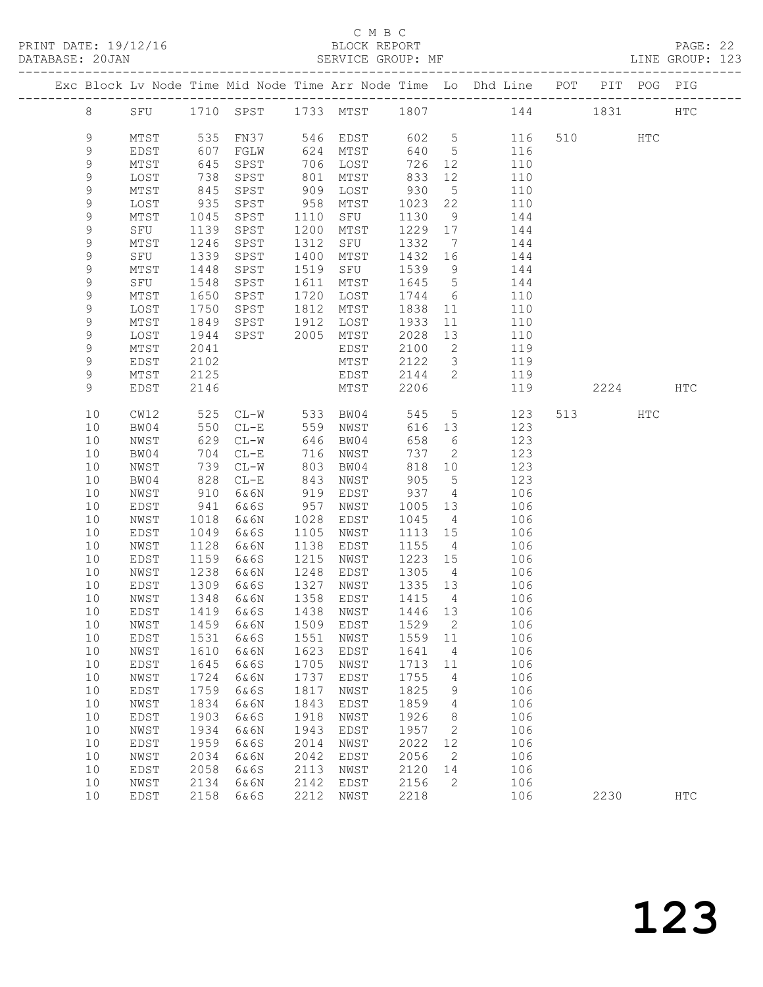#### C M B C

| DATABASE: 20JAN |             |              |              |                 |              | SERVICE GROUP: MF       |                 |                          | LINE GROUP: 123                                                                |         |      |               |  |
|-----------------|-------------|--------------|--------------|-----------------|--------------|-------------------------|-----------------|--------------------------|--------------------------------------------------------------------------------|---------|------|---------------|--|
|                 |             |              |              |                 |              |                         |                 |                          | Exc Block Lv Node Time Mid Node Time Arr Node Time Lo Dhd Line POT PIT POG PIG |         |      |               |  |
|                 | 8           |              |              |                 |              |                         |                 |                          | SFU 1710 SPST 1733 MTST 1807 144 1831 HTC                                      |         |      |               |  |
|                 | $\mathsf 9$ | MTST         |              |                 |              | 535 FN37 546 EDST 602 5 |                 |                          | 116                                                                            | 510 HTC |      |               |  |
|                 | $\mathsf 9$ | EDST         | 607          | FGLW            |              | 624 MTST                | 640 5           |                          | 116                                                                            |         |      |               |  |
|                 | 9           | MTST         | 645          | SPST            |              | 706 LOST                | 726             | 12                       | 110                                                                            |         |      |               |  |
|                 | 9           | LOST         | 738          | SPST            |              | 801 MTST                | 833             | 12                       | 110                                                                            |         |      |               |  |
|                 | 9           | MTST         | 845          | SPST            | 909          | LOST                    | 930             | $5\overline{)}$          | 110                                                                            |         |      |               |  |
|                 | $\mathsf 9$ | LOST         | 935          | SPST            | 958          | MTST                    | 1023 22         |                          | 110                                                                            |         |      |               |  |
|                 | 9           | MTST         | 1045         | SPST            | 1110         | SFU                     | 1130            | 9                        | 144                                                                            |         |      |               |  |
|                 | 9           | SFU          | 1139         | SPST            | 1200         | MTST                    | 1229 17         |                          | 144                                                                            |         |      |               |  |
|                 | 9           | MTST         | 1246         | SPST            | 1312         | SFU                     | 1332            | $\overline{7}$           | 144                                                                            |         |      |               |  |
|                 | 9           | SFU          | 1339         | SPST            | 1400         | MTST                    | 1432 16         |                          | 144                                                                            |         |      |               |  |
|                 | $\mathsf 9$ | MTST         | 1448         | SPST            | 1519         | SFU                     | 1539            | 9                        | 144                                                                            |         |      |               |  |
|                 | 9           | SFU          | 1548         | SPST            | 1611         | MTST                    | 1645            | $5\overline{)}$          | 144                                                                            |         |      |               |  |
|                 | 9           | MTST         | 1650         | SPST            | 1720         | LOST                    | 1744            | $6\overline{6}$          | 110                                                                            |         |      |               |  |
|                 | 9           | LOST         | 1750         | SPST            | 1812         | MTST                    | 1838            | 11                       | 110                                                                            |         |      |               |  |
|                 | 9           | MTST         | 1849         | SPST            | 1912         | LOST                    | 1933            | 11                       | 110                                                                            |         |      |               |  |
|                 | 9           | LOST         | 1944         | SPST 2005       |              | MTST                    | 2028            | 13                       | 110                                                                            |         |      |               |  |
|                 | 9           | MTST         | 2041         |                 |              | EDST                    | 2100            | $\overline{2}$           | 119                                                                            |         |      |               |  |
|                 | 9           | EDST         | 2102         |                 |              | MTST                    | 2122            | $\overline{\mathbf{3}}$  | 119                                                                            |         |      |               |  |
|                 | 9           | MTST         | 2125         |                 |              | EDST                    | 2144            | 2                        | 119                                                                            |         |      |               |  |
|                 | 9           | EDST         | 2146         |                 |              | MTST                    | 2206            |                          | 119                                                                            |         | 2224 | HTC           |  |
|                 | 10          | CW12         | 525          | $CL-W$ 533 BW04 |              |                         | 545             | $5\overline{)}$          | 123                                                                            | 513     | HTC  |               |  |
|                 | 10          | BW04         | 550          | $CL-E$          |              | 559 NWST                | 616 13          |                          | 123                                                                            |         |      |               |  |
|                 | 10          | NWST         | 629          | $CL-W$          | 646          | BW04                    | 658             | $6\overline{6}$          | 123                                                                            |         |      |               |  |
|                 | 10          | BW04         | 704          | $CL-E$          | 716          | NWST                    | 737             | $\overline{2}$           | 123                                                                            |         |      |               |  |
|                 | 10          | NWST         | 739          | $CL-W$          | 803          | BW04                    | 818             | 10                       | 123                                                                            |         |      |               |  |
|                 | 10          | BW04         | 828          | $CL-E$          | 843          | NWST                    | 905<br>937      | $5\overline{)}$          | 123                                                                            |         |      |               |  |
|                 | 10          | NWST         | 910          | 6&6N            | 919          | EDST                    |                 | $\overline{4}$           | 106                                                                            |         |      |               |  |
|                 | 10          | EDST         | 941          | 6&6S            | 957          | NWST                    | 1005            | 13                       | 106                                                                            |         |      |               |  |
|                 | 10<br>10    | NWST         | 1018<br>1049 | 6&6N<br>6&6S    | 1028<br>1105 | EDST                    | 1045<br>1113 15 | $\overline{4}$           | 106<br>106                                                                     |         |      |               |  |
|                 | 10          | EDST         | 1128         |                 | 1138         | NWST                    | 1155            | $4\overline{4}$          | 106                                                                            |         |      |               |  |
|                 | 10          | NWST<br>EDST | 1159         | 6&6N<br>6&6S    | 1215         | EDST                    | 1223 15         |                          | 106                                                                            |         |      |               |  |
|                 | 10          | NWST         | 1238         | 6&6N            | 1248         | NWST<br>EDST            | 1305            | 4                        | 106                                                                            |         |      |               |  |
|                 | 10          | EDST         |              | 6&6S            | 1327         | NWST                    | 1335 13         |                          | $\frac{10}{6}$                                                                 |         |      |               |  |
|                 | 10          | NWST         | 1309<br>1348 | 6&6N            |              | 1358 EDST               | 1415            | $4\overline{4}$          | 106                                                                            |         |      |               |  |
|                 |             |              |              |                 |              |                         |                 |                          | 10 EDST 1419 6&6S 1438 NWST 1446 13 106                                        |         |      |               |  |
|                 | 10          | NWST         | 1459         | 6&6N            | 1509         | EDST                    | 1529            | 2                        | 106                                                                            |         |      |               |  |
|                 | 10          | EDST         | 1531         | 6&6S            | 1551         | NWST                    | 1559 11         |                          | 106                                                                            |         |      |               |  |
|                 | 10          | NWST         | 1610         | 6&6N            | 1623         | EDST                    | 1641            | $\overline{4}$           | 106                                                                            |         |      |               |  |
|                 | 10          | EDST         | 1645         | 6&6S            | 1705         | NWST                    | 1713            | 11                       | 106                                                                            |         |      |               |  |
|                 | 10          | ${\tt NWST}$ | 1724         | 6&6N            | 1737         | EDST                    | 1755            | $\frac{4}{3}$            | 106                                                                            |         |      |               |  |
|                 | 10          | EDST         | 1759         | 6&6S            | 1817         | NWST                    | 1825            | 9                        | 106                                                                            |         |      |               |  |
|                 | 10          | NWST         | 1834         | 6&6N            | 1843         | EDST                    | 1859            | $\overline{4}$           | 106                                                                            |         |      |               |  |
|                 | 10          | EDST         | 1903         | 6&6S            | 1918         | NWST                    | 1926            | 8                        | 106                                                                            |         |      |               |  |
|                 | 10          | NWST         | 1934         | 6&6N            | 1943         | EDST                    | 1957            | $\overline{\phantom{a}}$ | 106                                                                            |         |      |               |  |
|                 | 10          | EDST         | 1959         | 6&6S            | 2014         | NWST                    | 2022            | 12                       | 106                                                                            |         |      |               |  |
|                 | 10          | NWST         | 2034         | 6&6N            | 2042         | EDST                    | 2056            | 2                        | 106                                                                            |         |      |               |  |
|                 | 10          | EDST         | 2058         | 6&6S            | 2113         | NWST                    | 2120            | 14                       | 106                                                                            |         |      |               |  |
|                 | 10          | NWST         | 2134         | 6&6N            | 2142         | EDST                    | 2156            | $\overline{2}$           | 106                                                                            |         |      |               |  |
|                 | 10          | EDST         | 2158         | 6&6S            | 2212         | NWST                    | 2218            |                          | 106                                                                            | 2230    |      | $_{\rm{HTC}}$ |  |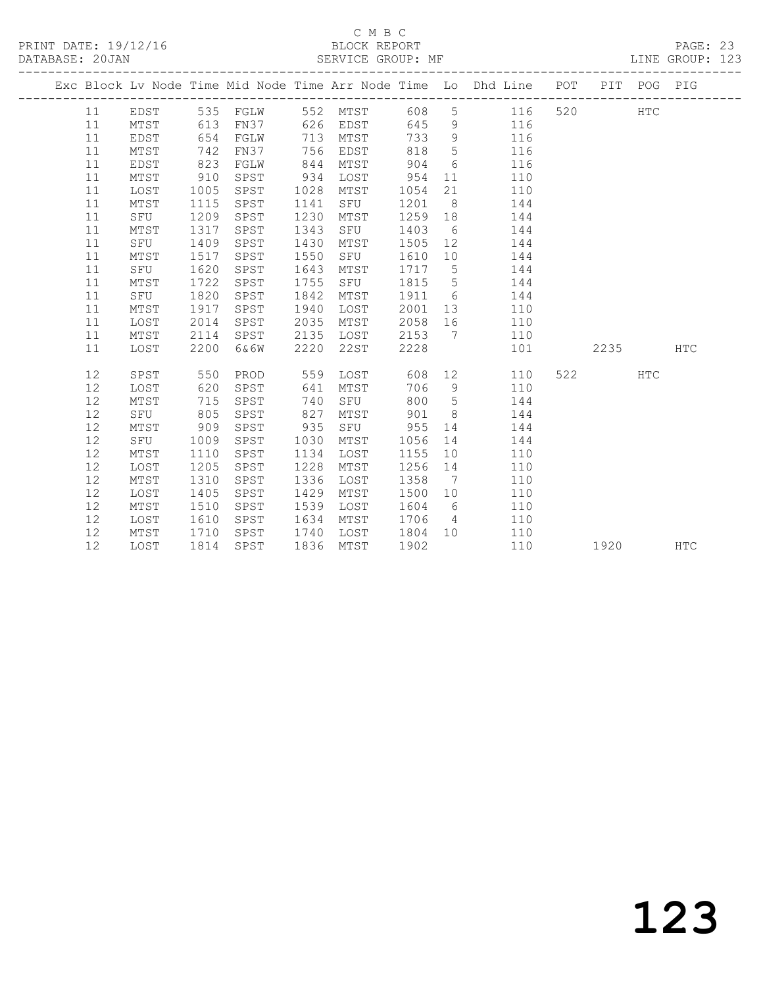## C M B C<br>BLOCK REPORT

PAGE: 23<br>LINE GROUP: 123

|    |                 |      |      |      |      |      |                 | Exc Block Lv Node Time Mid Node Time Arr Node Time Lo Dhd Line POT |     |      | PIT POG PIG |            |
|----|-----------------|------|------|------|------|------|-----------------|--------------------------------------------------------------------|-----|------|-------------|------------|
| 11 | EDST            | 535  | FGLW | 552  | MTST | 608  | 5               | 116                                                                | 520 |      | <b>HTC</b>  |            |
| 11 | MTST            | 613  | FN37 | 626  | EDST | 645  | 9               | 116                                                                |     |      |             |            |
| 11 | EDST            | 654  | FGLW | 713  | MTST | 733  | 9               | 116                                                                |     |      |             |            |
| 11 | MTST            | 742  | FN37 | 756  | EDST | 818  | $5\phantom{.0}$ | 116                                                                |     |      |             |            |
| 11 | EDST            | 823  | FGLW | 844  | MTST | 904  | 6               | 116                                                                |     |      |             |            |
| 11 | MTST            | 910  | SPST | 934  | LOST | 954  | 11              | 110                                                                |     |      |             |            |
| 11 | LOST            | 1005 | SPST | 1028 | MTST | 1054 | 21              | 110                                                                |     |      |             |            |
| 11 | MTST            | 1115 | SPST | 1141 | SFU  | 1201 | 8               | 144                                                                |     |      |             |            |
| 11 | SFU             | 1209 | SPST | 1230 | MTST | 1259 | 18              | 144                                                                |     |      |             |            |
| 11 | MTST            | 1317 | SPST | 1343 | SFU  | 1403 | 6               | 144                                                                |     |      |             |            |
| 11 | SFU             | 1409 | SPST | 1430 | MTST | 1505 | 12              | 144                                                                |     |      |             |            |
| 11 | MTST            | 1517 | SPST | 1550 | SFU  | 1610 | 10              | 144                                                                |     |      |             |            |
| 11 | SFU             | 1620 | SPST | 1643 | MTST | 1717 | 5               | 144                                                                |     |      |             |            |
| 11 | MTST            | 1722 | SPST | 1755 | SFU  | 1815 | 5               | 144                                                                |     |      |             |            |
| 11 | SFU             | 1820 | SPST | 1842 | MTST | 1911 | 6               | 144                                                                |     |      |             |            |
| 11 | MTST            | 1917 | SPST | 1940 | LOST | 2001 | 13              | 110                                                                |     |      |             |            |
| 11 | LOST            | 2014 | SPST | 2035 | MTST | 2058 | 16              | 110                                                                |     |      |             |            |
| 11 | MTST            | 2114 | SPST | 2135 | LOST | 2153 | 7               | 110                                                                |     |      |             |            |
| 11 | LOST            | 2200 | 6&6W | 2220 | 22ST | 2228 |                 | 101                                                                |     | 2235 |             | <b>HTC</b> |
|    |                 |      |      |      |      |      |                 |                                                                    |     |      |             |            |
| 12 | SPST            | 550  | PROD | 559  | LOST | 608  | 12              | 110                                                                | 522 |      | HTC         |            |
| 12 | LOST            | 620  | SPST | 641  | MTST | 706  | $\,9$           | 110                                                                |     |      |             |            |
| 12 | MTST            | 715  | SPST | 740  | SFU  | 800  | 5               | 144                                                                |     |      |             |            |
| 12 | SFU             | 805  | SPST | 827  | MTST | 901  | 8               | 144                                                                |     |      |             |            |
| 12 | MTST            | 909  | SPST | 935  | SFU  | 955  | 14              | 144                                                                |     |      |             |            |
| 12 | SFU             | 1009 | SPST | 1030 | MTST | 1056 | 14              | 144                                                                |     |      |             |            |
| 12 | MTST            | 1110 | SPST | 1134 | LOST | 1155 | 10              | 110                                                                |     |      |             |            |
| 12 | LOST            | 1205 | SPST | 1228 | MTST | 1256 | 14              | 110                                                                |     |      |             |            |
| 12 | MTST            | 1310 | SPST | 1336 | LOST | 1358 | $\overline{7}$  | 110                                                                |     |      |             |            |
| 12 | LOST            | 1405 | SPST | 1429 | MTST | 1500 | 10              | 110                                                                |     |      |             |            |
| 12 | MTST            | 1510 | SPST | 1539 | LOST | 1604 | 6               | 110                                                                |     |      |             |            |
| 12 | LOST            | 1610 | SPST | 1634 | MTST | 1706 | $\overline{4}$  | 110                                                                |     |      |             |            |
| 12 | $\mathtt{MTST}$ | 1710 | SPST | 1740 | LOST | 1804 | 10              | 110                                                                |     |      |             |            |
| 12 | LOST            | 1814 | SPST | 1836 | MTST | 1902 |                 | 110                                                                |     | 1920 |             | <b>HTC</b> |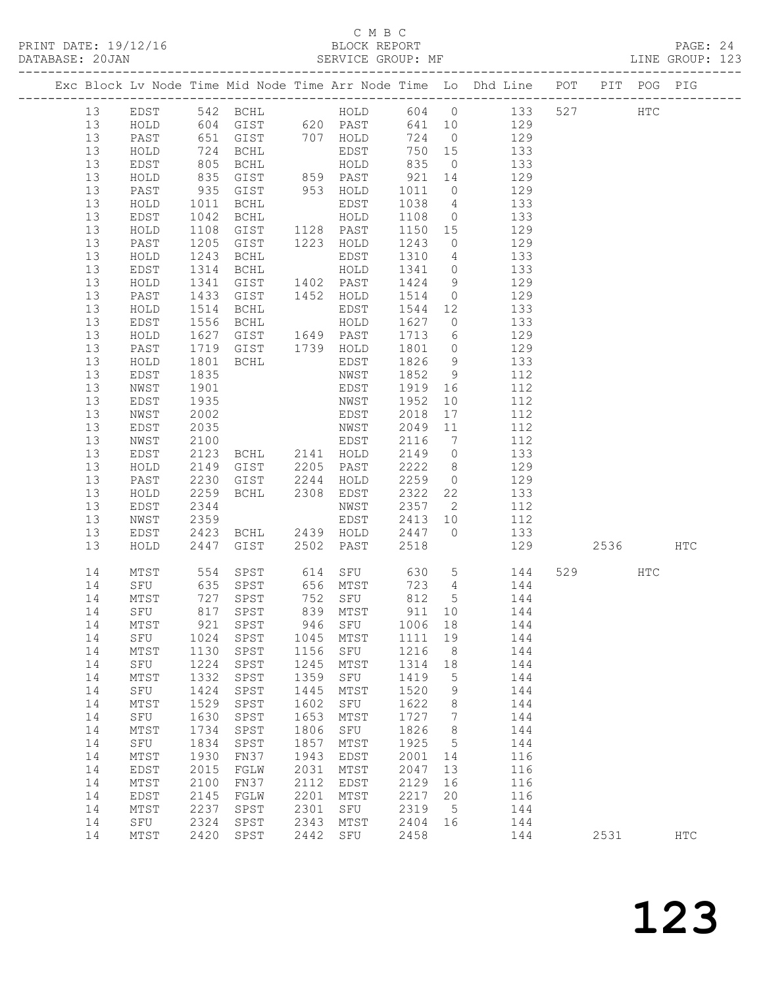## C M B C

| DATABASE: 20JAN |          |              |                           |                                                                             |              |              |                  |                |                                                                                    |          |     |     |  |
|-----------------|----------|--------------|---------------------------|-----------------------------------------------------------------------------|--------------|--------------|------------------|----------------|------------------------------------------------------------------------------------|----------|-----|-----|--|
|                 |          |              |                           |                                                                             |              |              |                  |                | Exc Block Lv Node Time Mid Node Time Arr Node Time Lo Dhd Line POT PIT POG PIG     |          |     |     |  |
|                 | 13       |              |                           |                                                                             |              |              |                  |                | EDST 542 BCHL 604 0 133 527 HTC                                                    |          |     |     |  |
|                 | 13       |              |                           |                                                                             |              |              |                  |                | HOLD 604 GIST 620 PAST 641 10 129                                                  |          |     |     |  |
|                 | 13       | PAST         |                           |                                                                             |              |              |                  |                | 651 GIST 707 HOLD 724 0 129<br>724 BCHL EDST 750 15 133<br>805 BCHL HOLD 835 0 133 |          |     |     |  |
|                 | 13       | HOLD         |                           |                                                                             |              |              |                  |                |                                                                                    |          |     |     |  |
|                 | 13       | EDST         |                           |                                                                             |              |              |                  |                |                                                                                    |          |     |     |  |
|                 | 13       | HOLD         | 835                       |                                                                             |              |              |                  |                | GIST 859 PAST 921 14 129                                                           |          |     |     |  |
|                 | 13       | PAST         |                           | GIST 953 HOLD                                                               |              |              |                  |                | 1011 0 129                                                                         |          |     |     |  |
|                 | 13       | HOLD         |                           | BCHL                                                                        |              | EDST         | 1038 4           |                | 133                                                                                |          |     |     |  |
|                 | 13       | EDST         | $935$<br>$1011$<br>$1042$ |                                                                             |              |              |                  |                | $1108$ 0 133                                                                       |          |     |     |  |
|                 | 13       | HOLD         | 1108                      | GIST 1128 PAST                                                              |              |              |                  |                | 1150 15 129                                                                        |          |     |     |  |
|                 | 13       | PAST         | 1205                      | GIST 1223 HOLD                                                              |              |              | 1243             |                | $0 \qquad \qquad 129$                                                              |          |     |     |  |
|                 | 13       | HOLD         |                           |                                                                             |              |              |                  |                | 133                                                                                |          |     |     |  |
|                 | 13       | EDST         | 1243<br>1314              |                                                                             |              |              | 1310 4<br>1341 0 |                | 133                                                                                |          |     |     |  |
|                 | 13       | HOLD         | 1341                      | GIST 1402 PAST                                                              |              |              |                  |                | 1424 9 129                                                                         |          |     |     |  |
|                 | 13       | PAST         | 1433                      | GIST 1452 HOLD                                                              |              |              |                  |                | 1514 0 129                                                                         |          |     |     |  |
|                 | 13       | HOLD         |                           | BCHL                                                                        |              | EDST         | 1544 12          |                | 133                                                                                |          |     |     |  |
|                 | 13       | EDST         | 1514<br>1556              |                                                                             |              |              | 1627 0           |                | 133                                                                                |          |     |     |  |
|                 | 13       | HOLD         | 1627                      |                                                                             |              |              |                  |                | GIST 1649 PAST 1713 6 129                                                          |          |     |     |  |
|                 | 13       | PAST         | 1719                      |                                                                             |              |              |                  |                | GIST 1739 HOLD 1801 0 129                                                          |          |     |     |  |
|                 | 13       | HOLD         |                           | <b>BCHL</b>                                                                 |              | EDST         | $1826$ 9         |                | 133                                                                                |          |     |     |  |
|                 | 13       | EDST         | 1801<br>1835              |                                                                             |              | NWST         | 1852 9           |                | 112                                                                                |          |     |     |  |
|                 | 13       | NWST         | 1901                      |                                                                             |              | EDST         |                  |                | 1919 16 112                                                                        |          |     |     |  |
|                 | 13       | EDST         | 1935                      |                                                                             |              | NWST         | 1952             |                | 10 112                                                                             |          |     |     |  |
|                 | 13       | NWST         | 2002                      |                                                                             |              |              | 2018             |                | 17 112                                                                             |          |     |     |  |
|                 | 13       | EDST         | 2035                      |                                                                             |              | EDST<br>NWST | 2049 11          |                | 112                                                                                |          |     |     |  |
|                 | 13       | NWST         | 2100                      |                                                                             |              | EDST         |                  |                | 2116 7 112                                                                         |          |     |     |  |
|                 | 13       | EDST         | 2123                      |                                                                             |              |              |                  |                | BCHL 2141 HOLD 2149 0 133                                                          |          |     |     |  |
|                 | 13       | HOLD         |                           | GIST 2205 PAST<br>GIST 2244 HOLD<br>BCHL 2308 EDST                          |              |              |                  |                | 2222 8 129                                                                         |          |     |     |  |
|                 | 13       | PAST         | 2149<br>2230<br>2259      |                                                                             |              |              | 2259 0           |                | 129                                                                                |          |     |     |  |
|                 | 13       | HOLD         |                           |                                                                             |              |              |                  |                | $2322$ 22 133                                                                      |          |     |     |  |
|                 | 13       | EDST         | 2344                      |                                                                             |              | NWST         |                  |                | 2357 2 112                                                                         |          |     |     |  |
|                 | 13       | NWST         |                           |                                                                             |              |              |                  |                | EDST 2413 10 112                                                                   |          |     |     |  |
|                 | 13       | EDST         |                           |                                                                             |              |              |                  |                | 133                                                                                |          |     |     |  |
|                 | 13       | HOLD         |                           | 2359 EDST 2413 10<br>2423 BCHL 2439 HOLD 2447 0<br>2447 GIST 2502 PAST 2518 |              |              |                  |                | 129                                                                                | 2536 HTC |     |     |  |
|                 | 14       | MTST         | 554                       |                                                                             |              |              |                  |                | SPST 614 SFU 630 5 144                                                             | 529      | HTC |     |  |
|                 | 14       |              |                           |                                                                             |              |              |                  |                | SFU 635 SPST 656 MTST 723 4 144<br>MTST 727 SPST 752 SFU 812 5 144                 |          |     |     |  |
|                 | 14       | MTST         |                           |                                                                             |              |              |                  |                |                                                                                    |          |     |     |  |
|                 |          |              |                           |                                                                             |              |              |                  |                | 14 SFU 817 SPST 839 MTST 911 10 144                                                |          |     |     |  |
|                 | 14       | MTST         |                           | 921 SPST                                                                    | 946          | SFU          | 1006 18          |                | 144                                                                                |          |     |     |  |
|                 | 14       | SFU          | 1024                      | SPST                                                                        | 1045         | MTST         | 1111             | 19             | 144                                                                                |          |     |     |  |
|                 | 14       | MTST         | 1130                      | SPST                                                                        | 1156         | SFU          | 1216             | 8              | 144                                                                                |          |     |     |  |
|                 | 14       | SFU          | 1224                      | SPST                                                                        | 1245         | MTST         | 1314             | 18             | 144                                                                                |          |     |     |  |
|                 | 14       | MTST         | 1332                      | SPST                                                                        | 1359         | SFU          | 1419             | $5^{\circ}$    | 144                                                                                |          |     |     |  |
|                 | 14       | SFU          | 1424                      | SPST                                                                        | 1445         | MTST         | 1520             | 9              | 144                                                                                |          |     |     |  |
|                 | 14       | MTST         | 1529                      | SPST                                                                        | 1602         | SFU          | 1622             | 8 <sup>8</sup> | 144                                                                                |          |     |     |  |
|                 | 14       | SFU          | 1630                      | SPST                                                                        | 1653         | MTST         | 1727             | $\overline{7}$ | 144                                                                                |          |     |     |  |
|                 | 14       | MTST         | 1734                      | SPST                                                                        | 1806         | SFU          | 1826             | 8 <sup>8</sup> | 144<br>144                                                                         |          |     |     |  |
|                 | 14<br>14 | SFU          | 1834<br>1930              | SPST                                                                        | 1857<br>1943 | MTST         | 1925<br>2001     | 5              | 116                                                                                |          |     |     |  |
|                 |          | MTST         | 2015                      | FN37                                                                        | 2031         | EDST         | 2047             | 14             |                                                                                    |          |     |     |  |
|                 | 14<br>14 | EDST         | 2100                      | FGLW<br>FN37                                                                | 2112         | MTST         | 2129             | 13             | 116<br>116                                                                         |          |     |     |  |
|                 | 14       | MTST<br>EDST | 2145                      | FGLW                                                                        | 2201         | EDST<br>MTST | 2217             | 16<br>20       | 116                                                                                |          |     |     |  |
|                 | 14       | MTST         | 2237                      | SPST                                                                        | 2301         | SFU          | 2319 5           |                | 144                                                                                |          |     |     |  |
|                 | 14       | SFU          | 2324                      | SPST                                                                        | 2343         | MTST         | 2404 16          |                | 144                                                                                |          |     |     |  |
|                 | 14       | MTST         |                           | 2420 SPST                                                                   | 2442         | SFU          | 2458             |                | 144                                                                                | 2531     |     | HTC |  |
|                 |          |              |                           |                                                                             |              |              |                  |                |                                                                                    |          |     |     |  |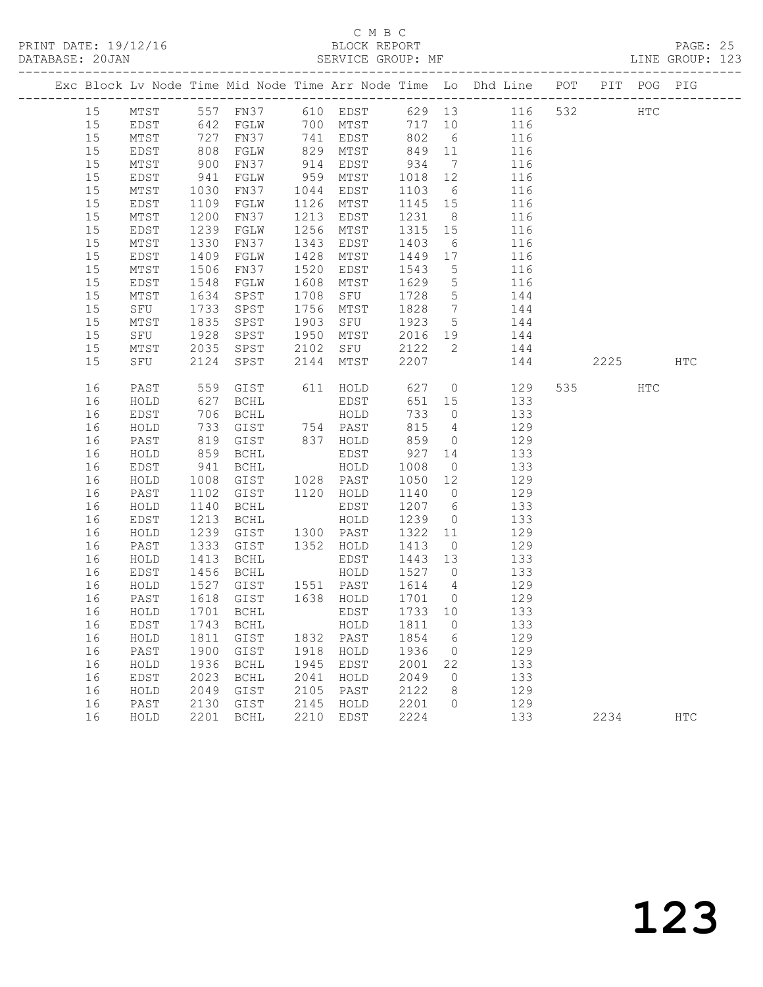## C M B C

| DATABASE: 20JAN |    |      |                           |                                             |      |                  |                                                                                              |                 |                                                                                |     |       |     | LINE GROUP: 123 |  |
|-----------------|----|------|---------------------------|---------------------------------------------|------|------------------|----------------------------------------------------------------------------------------------|-----------------|--------------------------------------------------------------------------------|-----|-------|-----|-----------------|--|
|                 |    |      |                           |                                             |      |                  |                                                                                              |                 | Exc Block Lv Node Time Mid Node Time Arr Node Time Lo Dhd Line POT PIT POG PIG |     |       |     |                 |  |
|                 | 15 |      |                           |                                             |      |                  |                                                                                              |                 | MTST 557 FN37 610 EDST 629 13 116 532 HTC                                      |     |       |     |                 |  |
|                 | 15 |      |                           |                                             |      |                  |                                                                                              |                 | EDST 642 FGLW 700 MTST 717 10 116                                              |     |       |     |                 |  |
|                 | 15 | MTST | 727<br>808<br>900         |                                             |      |                  |                                                                                              |                 | FN37 741 EDST 802 6 116<br>FGLW 829 MTST 849 11 116<br>FN37 914 EDST 934 7 116 |     |       |     |                 |  |
|                 | 15 | EDST |                           |                                             |      |                  |                                                                                              |                 |                                                                                |     |       |     |                 |  |
|                 | 15 | MTST |                           |                                             |      |                  |                                                                                              |                 |                                                                                |     |       |     |                 |  |
|                 | 15 | EDST | 941                       | FGLW                                        |      | 959 MTST 1018 12 |                                                                                              |                 | 116                                                                            |     |       |     |                 |  |
|                 | 15 | MTST | 1030<br>1109<br>1200      | FN37                                        |      | 1044 EDST        |                                                                                              |                 | 1103 6 116                                                                     |     |       |     |                 |  |
|                 | 15 | EDST |                           | FGLW                                        |      | 1126 MTST        | 1145 15                                                                                      |                 | 116                                                                            |     |       |     |                 |  |
|                 | 15 | MTST |                           | FN37                                        |      | 1213 EDST        | 1231 8                                                                                       |                 | 116                                                                            |     |       |     |                 |  |
|                 | 15 | EDST | 1239                      | FGLW                                        | 1256 | MTST             | 1315 15                                                                                      |                 | 116                                                                            |     |       |     |                 |  |
|                 | 15 | MTST | 1330                      | FN37                                        | 1343 | EDST             | 1403                                                                                         | $6\overline{6}$ | 116                                                                            |     |       |     |                 |  |
|                 | 15 | EDST | 1409<br>1506              | FGLW                                        | 1428 | MTST             | $1449$ 17<br>$1543$ 5                                                                        |                 | 116                                                                            |     |       |     |                 |  |
|                 | 15 | MTST |                           | FN37                                        | 1520 | EDST             |                                                                                              |                 | 116                                                                            |     |       |     |                 |  |
|                 | 15 | EDST | 1548                      | FGLW                                        | 1608 | MTST             | 1629                                                                                         |                 | 5 116                                                                          |     |       |     |                 |  |
|                 | 15 | MTST | 1634                      | SPST                                        |      | 1708 SFU         | 1728                                                                                         | $5\overline{)}$ | 144                                                                            |     |       |     |                 |  |
|                 | 15 | SFU  | 1733<br>1835              | SPST                                        |      | 1756 MTST        | 1828 7<br>1923 5                                                                             |                 | 144                                                                            |     |       |     |                 |  |
|                 | 15 | MTST |                           | SPST                                        |      | 1903 SFU         |                                                                                              |                 | 144                                                                            |     |       |     |                 |  |
|                 | 15 | SFU  | 1928                      |                                             |      |                  |                                                                                              |                 | SPST 1950 MTST 2016 19 144                                                     |     |       |     |                 |  |
|                 | 15 | MTST | 2035                      |                                             |      | SPST 2102 SFU    |                                                                                              |                 | 2122 2 144                                                                     |     |       |     |                 |  |
|                 | 15 | SFU  | 2124                      |                                             |      | SPST 2144 MTST   | 2207                                                                                         |                 |                                                                                | 144 | 2225  |     | HTC             |  |
|                 | 16 | PAST | 559                       |                                             |      | GIST 611 HOLD    | 627                                                                                          |                 | $\overline{0}$<br>129                                                          |     | 535 7 | HTC |                 |  |
|                 | 16 | HOLD | 627                       | <b>BCHL</b>                                 |      | EDST             |                                                                                              |                 | 651 15 133                                                                     |     |       |     |                 |  |
|                 | 16 | EDST | 706<br>733<br>819         | BCHL HOLD<br>GIST 754 PAST<br>GIST 837 HOLD |      |                  | 733<br>815<br>859                                                                            | 733 0           | 133                                                                            |     |       |     |                 |  |
|                 | 16 | HOLD |                           |                                             |      |                  |                                                                                              | $4\overline{4}$ | 129                                                                            |     |       |     |                 |  |
|                 | 16 | PAST |                           |                                             |      |                  |                                                                                              |                 | $\begin{matrix} 0 & 129 \end{matrix}$                                          |     |       |     |                 |  |
|                 | 16 | HOLD | 859                       | <b>BCHL</b>                                 |      |                  |                                                                                              |                 | EDST 927 14 133                                                                |     |       |     |                 |  |
|                 | 16 | EDST | $941$<br>$1008$<br>$1102$ | BCHL                                        |      | HOLD             | 1008                                                                                         | $\overline{0}$  | 133                                                                            |     |       |     |                 |  |
|                 | 16 | HOLD |                           | GIST 1028 PAST                              |      |                  |                                                                                              |                 | 1050 12 129<br>1140 0 129                                                      |     |       |     |                 |  |
|                 | 16 | PAST |                           | GIST                                        |      | 1120 HOLD        |                                                                                              |                 |                                                                                |     |       |     |                 |  |
|                 | 16 | HOLD | 1140                      | BCHL                                        |      | EDST             |                                                                                              |                 | 1207 6 133                                                                     |     |       |     |                 |  |
|                 | 16 | EDST | 1213                      | BCHL                                        |      | HOLD             | 1239                                                                                         | $\overline{0}$  | 133                                                                            |     |       |     |                 |  |
|                 | 16 | HOLD | 1239                      | GIST 1300 PAST<br>GIST 1352 HOLD            |      |                  | 1322 11                                                                                      |                 | 129                                                                            |     |       |     |                 |  |
|                 | 16 | PAST | 1333                      |                                             |      |                  | 1413                                                                                         |                 | $\overline{0}$<br>129                                                          |     |       |     |                 |  |
|                 | 16 | HOLD | 1413                      | BCHL                                        |      | EDST             | 1443 13                                                                                      |                 | 133                                                                            |     |       |     |                 |  |
|                 | 16 | EDST |                           | 1456 BCHL<br>1527 GIST<br>1618 GIST<br>BCHL |      | HOLD             | 1527 0                                                                                       |                 | 133                                                                            |     |       |     |                 |  |
|                 | 16 | HOLD |                           | GIST 1551 PAST                              |      |                  | 1614 4                                                                                       |                 | 129                                                                            |     |       |     |                 |  |
|                 | 16 | PAST |                           |                                             |      | 1638 HOLD        | $\begin{array}{c}\n1 & \rightarrow & - \\ 1 & 7 & 0 \\ 1 & 0 & \rightarrow & 0\n\end{array}$ |                 | $\frac{1}{129}$                                                                |     |       |     |                 |  |
|                 |    |      |                           |                                             |      |                  |                                                                                              |                 | 16 HOLD 1701 BCHL EDST 1733 10 133                                             |     |       |     |                 |  |
|                 | 16 | EDST |                           | 1743 BCHL                                   |      | HOLD             | 1811                                                                                         | $\overline{0}$  | 133                                                                            |     |       |     |                 |  |
|                 | 16 | HOLD | 1811                      | GIST                                        |      | 1832 PAST        | 1854                                                                                         | 6               | 129                                                                            |     |       |     |                 |  |
|                 | 16 | PAST | 1900                      | GIST                                        | 1918 | HOLD             | 1936                                                                                         | $\overline{0}$  | 129                                                                            |     |       |     |                 |  |
|                 | 16 | HOLD | 1936                      | BCHL                                        | 1945 | EDST             | 2001                                                                                         | 22              | 133                                                                            |     |       |     |                 |  |
|                 | 16 | EDST | 2023                      | BCHL                                        | 2041 | HOLD             | 2049                                                                                         | $\overline{0}$  | 133                                                                            |     |       |     |                 |  |
|                 | 16 | HOLD | 2049                      | GIST                                        | 2105 | PAST             | 2122                                                                                         | 8 <sup>8</sup>  | 129                                                                            |     |       |     |                 |  |
|                 | 16 | PAST | 2130                      | GIST                                        | 2145 | HOLD             | 2201                                                                                         | $\overline{0}$  | 129                                                                            |     |       |     |                 |  |
|                 | 16 | HOLD |                           | 2201 BCHL                                   | 2210 | EDST             | 2224                                                                                         |                 | 133                                                                            |     | 2234  |     | HTC             |  |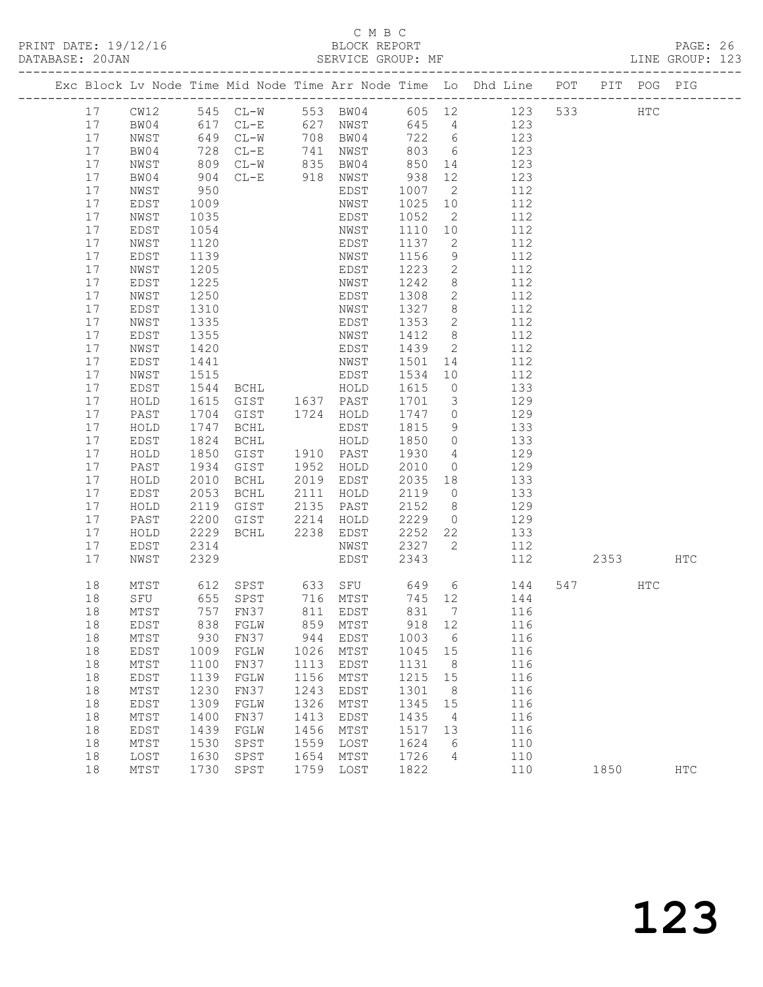## C M B C<br>BLOCK REPORT

PAGE: 26<br>LINE GROUP: 123

|    |               |      |                          |      |                  |        |                 | Exc Block Lv Node Time Mid Node Time Arr Node Time Lo Dhd Line POT PIT POG PIG |     |      |               |            |
|----|---------------|------|--------------------------|------|------------------|--------|-----------------|--------------------------------------------------------------------------------|-----|------|---------------|------------|
| 17 | CW12          |      | 545 CL-W                 |      |                  |        |                 | 553 BW04 605 12 123                                                            | 533 |      | $_{\rm{HTC}}$ |            |
| 17 | BW04          |      |                          |      | 627 NWST         | 645 4  |                 | 123                                                                            |     |      |               |            |
| 17 | NWST          |      | 617 CL-E<br>649 CL-W     |      | 708 BW04         | 722 6  |                 | 123                                                                            |     |      |               |            |
| 17 | BW04          | 728  | $CL-E$                   | 741  | NWST             | 803    | 6               | 123                                                                            |     |      |               |            |
| 17 | NWST          | 809  | $CL-W$                   | 835  | BW04             | 850    | 14              | 123                                                                            |     |      |               |            |
| 17 | BW04          | 904  | $CL-E$                   | 918  | NWST             | 938    | 12              | 123                                                                            |     |      |               |            |
| 17 | NWST          | 950  |                          |      | EDST             | 1007   | $\overline{2}$  | 112                                                                            |     |      |               |            |
| 17 | EDST          | 1009 |                          |      | NWST             | 1025   | 10 <sub>o</sub> | 112                                                                            |     |      |               |            |
| 17 | NWST          | 1035 |                          |      | EDST             | 1052   | 2               | 112                                                                            |     |      |               |            |
| 17 | EDST          | 1054 |                          |      | NWST             | 1110   | 10 <sup>°</sup> | 112                                                                            |     |      |               |            |
| 17 | NWST          | 1120 |                          |      | EDST             | 1137   | 2               | 112                                                                            |     |      |               |            |
| 17 | EDST          | 1139 |                          |      | NWST             | 1156   | 9               | 112                                                                            |     |      |               |            |
| 17 | NWST          | 1205 |                          |      | EDST             | 1223   | $\overline{2}$  | 112                                                                            |     |      |               |            |
| 17 | EDST          | 1225 |                          |      | NWST             | 1242   | 8               | 112                                                                            |     |      |               |            |
| 17 | NWST          | 1250 |                          |      | EDST             | 1308   | $\mathbf{2}$    | 112                                                                            |     |      |               |            |
| 17 | EDST          | 1310 |                          |      | NWST             | 1327   | 8               | 112                                                                            |     |      |               |            |
| 17 | NWST          | 1335 |                          |      | EDST             | 1353   | 2               | 112                                                                            |     |      |               |            |
| 17 | EDST          | 1355 |                          |      | NWST             | 1412   | 8               | 112                                                                            |     |      |               |            |
| 17 | NWST          | 1420 |                          |      | EDST             | 1439   | $\overline{2}$  | 112                                                                            |     |      |               |            |
| 17 | EDST          | 1441 |                          |      | NWST             | 1501   | 14              | 112                                                                            |     |      |               |            |
| 17 | NWST          | 1515 |                          |      | EDST             | 1534   | 10              | 112                                                                            |     |      |               |            |
| 17 | EDST          | 1544 | <b>BCHL</b>              |      | HOLD             | 1615   | $\overline{0}$  | 133                                                                            |     |      |               |            |
| 17 | HOLD          | 1615 | GIST                     |      | 1637 PAST        | 1701   | $\mathcal{S}$   | 129                                                                            |     |      |               |            |
| 17 | PAST          | 1704 | GIST                     |      | 1724 HOLD        | 1747   | $\circ$         | 129                                                                            |     |      |               |            |
| 17 | HOLD          | 1747 | BCHL                     |      | EDST             | 1815   | 9               | 133                                                                            |     |      |               |            |
| 17 | EDST          | 1824 | BCHL                     |      | HOLD             | 1850   | $\overline{0}$  | 133                                                                            |     |      |               |            |
| 17 | HOLD          | 1850 | GIST                     |      | 1910 PAST        | 1930   | 4               | 129                                                                            |     |      |               |            |
| 17 | PAST          | 1934 | GIST                     | 1952 | HOLD             | 2010   | $\overline{0}$  | 129                                                                            |     |      |               |            |
| 17 | HOLD          | 2010 | BCHL                     | 2019 | EDST             | 2035   | 18              | 133                                                                            |     |      |               |            |
| 17 | EDST          | 2053 | BCHL                     | 2111 | HOLD             | 2119   | $\overline{0}$  | 133                                                                            |     |      |               |            |
| 17 | HOLD          | 2119 | GIST                     | 2135 | PAST             | 2152   | 8 <sup>8</sup>  | 129                                                                            |     |      |               |            |
| 17 | PAST          | 2200 | GIST                     | 2214 | HOLD             | 2229   | $\overline{0}$  | 129                                                                            |     |      |               |            |
| 17 | $\verb HOLD $ | 2229 | BCHL                     | 2238 | EDST             | 2252   | 22              | 133                                                                            |     |      |               |            |
| 17 | EDST          | 2314 |                          |      | NWST             | 2327   | $\overline{2}$  | 112                                                                            |     |      |               |            |
| 17 | NWST          | 2329 |                          |      | EDST             | 2343   |                 | 112                                                                            |     | 2353 |               | HTC        |
| 18 | MTST          | 612  |                          |      | SPST 633 SFU 649 |        |                 | $6\overline{6}$<br>144                                                         |     | 547  | HTC           |            |
| 18 | SFU           |      | 655 SPST                 |      | 716 MTST         | 745 12 |                 | 144                                                                            |     |      |               |            |
| 18 | MTST          | 757  | FN37                     |      | 811 EDST         | 831    | $7\overline{ }$ | 116                                                                            |     |      |               |            |
|    | 18 EDST       |      | 838 FGLW 859 MTST 918 12 |      |                  |        |                 | 116                                                                            |     |      |               |            |
| 18 | MTST          | 930  | FN37                     | 944  | EDST             | 1003   | 6               | 116                                                                            |     |      |               |            |
| 18 | <b>EDST</b>   | 1009 | FGLW                     | 1026 | MTST             | 1045   | 15              | 116                                                                            |     |      |               |            |
| 18 | MTST          | 1100 | FN37                     | 1113 | EDST             | 1131   | 8               | 116                                                                            |     |      |               |            |
| 18 | EDST          | 1139 | FGLW                     | 1156 | MTST             | 1215   | 15              | 116                                                                            |     |      |               |            |
| 18 | MTST          | 1230 | FN37                     | 1243 | EDST             | 1301   | 8               | 116                                                                            |     |      |               |            |
| 18 | EDST          | 1309 | FGLW                     | 1326 | MTST             | 1345   | 15              | 116                                                                            |     |      |               |            |
| 18 | MTST          | 1400 | FN37                     | 1413 | EDST             | 1435   | 4               | 116                                                                            |     |      |               |            |
| 18 | EDST          | 1439 | FGLW                     | 1456 | MTST             | 1517   | 13              | 116                                                                            |     |      |               |            |
| 18 | MTST          | 1530 | SPST                     | 1559 | LOST             | 1624   | 6               | 110                                                                            |     |      |               |            |
| 18 | LOST          | 1630 | SPST                     | 1654 | MTST             | 1726   | 4               | 110                                                                            |     |      |               |            |
| 18 | MTST          | 1730 | SPST                     | 1759 | LOST             | 1822   |                 | 110                                                                            |     | 1850 |               | <b>HTC</b> |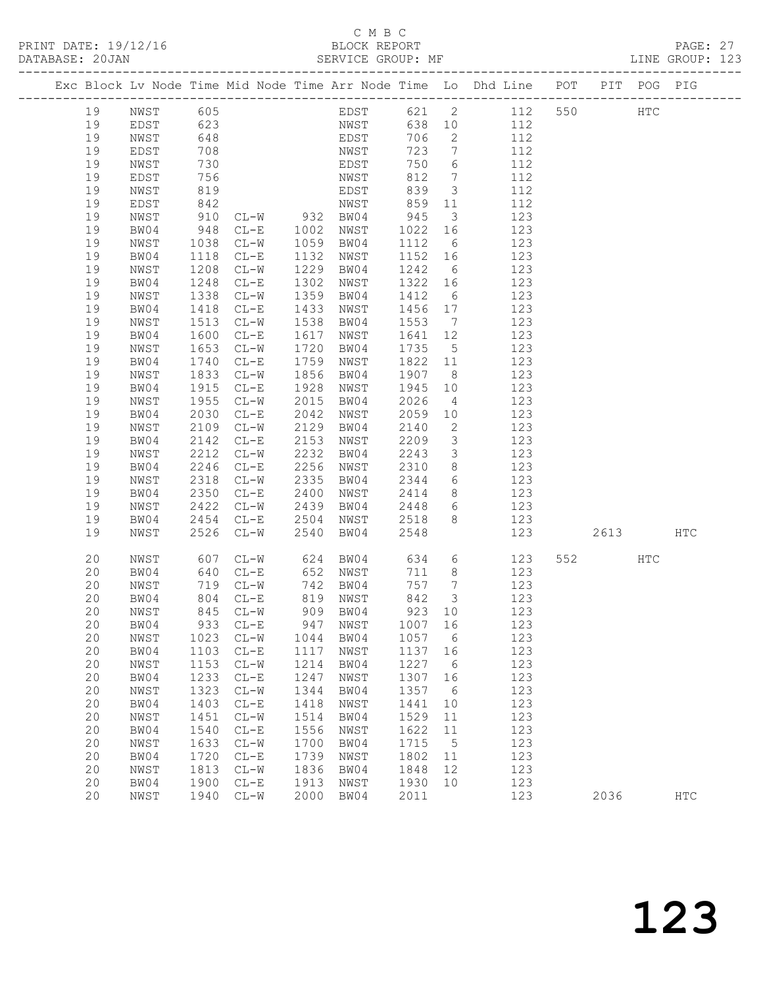### C M B C<br>BLOCK REPORT

| 19 | NWST         | 605  |           |      | EDST      | 621    | $\mathbf{2}$     | 112 | 550 |      | HTC |               |
|----|--------------|------|-----------|------|-----------|--------|------------------|-----|-----|------|-----|---------------|
| 19 | EDST         | 623  |           |      | NWST      | 638    | $10$             | 112 |     |      |     |               |
| 19 | NWST         | 648  |           |      | EDST      | 706    | 2                | 112 |     |      |     |               |
| 19 | EDST         | 708  |           |      | NWST      | 723    | $7\phantom{.}$   | 112 |     |      |     |               |
| 19 | NWST         | 730  |           |      | EDST      | 750    | 6                | 112 |     |      |     |               |
| 19 | EDST         | 756  |           |      | NWST      | 812    | $\boldsymbol{7}$ | 112 |     |      |     |               |
| 19 | NWST         | 819  |           |      | EDST      | 839    | 3                | 112 |     |      |     |               |
| 19 | EDST         | 842  |           |      | NWST      | 859    | 11               | 112 |     |      |     |               |
|    |              |      |           |      |           |        |                  |     |     |      |     |               |
| 19 | NWST         | 910  | $CL-W$    | 932  | BW04      | 945    | $\mathfrak{Z}$   | 123 |     |      |     |               |
| 19 | BW04         | 948  | $CL-E$    | 1002 | NWST      | 1022   | 16               | 123 |     |      |     |               |
| 19 | NWST         | 1038 | $CL-W$    | 1059 | BW04      | 1112   | $6\phantom{.}6$  | 123 |     |      |     |               |
| 19 | BW04         | 1118 | $CL-E$    | 1132 | NWST      | 1152   | 16               | 123 |     |      |     |               |
| 19 | NWST         | 1208 | $CL-W$    | 1229 | BW04      | 1242   | $6\,$            | 123 |     |      |     |               |
| 19 | BW04         | 1248 | $CL-E$    | 1302 | NWST      | 1322   | 16               | 123 |     |      |     |               |
| 19 | NWST         | 1338 | $CL-W$    | 1359 | BW04      | 1412   | $6\,$            | 123 |     |      |     |               |
| 19 | BW04         | 1418 | $CL-E$    | 1433 | NWST      | 1456   | 17               | 123 |     |      |     |               |
| 19 | NWST         | 1513 | $CL-W$    | 1538 | BW04      | 1553   | $7\phantom{.0}$  | 123 |     |      |     |               |
| 19 | BW04         | 1600 | $CL-E$    | 1617 | NWST      | 1641   | 12               | 123 |     |      |     |               |
| 19 | NWST         | 1653 | $CL-W$    | 1720 | BW04      | 1735   | $\mathsf S$      | 123 |     |      |     |               |
| 19 | BW04         | 1740 | $CL-E$    | 1759 | NWST      | 1822   | 11               | 123 |     |      |     |               |
| 19 | NWST         | 1833 | $CL-W$    | 1856 | BW04      | 1907   | 8                | 123 |     |      |     |               |
| 19 | BW04         | 1915 | $CL-E$    | 1928 | NWST      | 1945   | 10               | 123 |     |      |     |               |
| 19 | NWST         | 1955 | $CL-W$    | 2015 | BW04      | 2026   | 4                | 123 |     |      |     |               |
| 19 | BW04         | 2030 | $CL-E$    | 2042 | NWST      | 2059   | 10               | 123 |     |      |     |               |
| 19 | NWST         | 2109 | $CL-W$    | 2129 | BW04      | 2140   | $\mathbf{2}$     | 123 |     |      |     |               |
| 19 | BW04         | 2142 | $CL-E$    | 2153 | NWST      | 2209   | $\mathfrak{Z}$   | 123 |     |      |     |               |
| 19 | NWST         | 2212 | $CL-W$    | 2232 | BW04      | 2243   | $\mathfrak{Z}$   | 123 |     |      |     |               |
| 19 | BW04         | 2246 |           | 2256 | NWST      | 2310   |                  | 123 |     |      |     |               |
|    |              |      | $CL-E$    |      |           |        | $\,8\,$          |     |     |      |     |               |
| 19 | NWST         | 2318 | $CL-W$    | 2335 | BW04      | 2344   | 6                | 123 |     |      |     |               |
| 19 | BW04         | 2350 | $CL-E$    | 2400 | NWST      | 2414   | 8                | 123 |     |      |     |               |
| 19 | NWST         | 2422 | $CL-W$    | 2439 | BW04      | 2448   | 6                | 123 |     |      |     |               |
| 19 | BW04         | 2454 | $CL-E$    | 2504 | NWST      | 2518   | 8                | 123 |     |      |     |               |
| 19 | NWST         | 2526 | $CL-W$    | 2540 | BW04      | 2548   |                  | 123 |     | 2613 |     | $_{\rm{HTC}}$ |
| 20 | NWST         | 607  | $CL-W$    | 624  | BW04      | 634    | $\sqrt{6}$       | 123 | 552 |      | HTC |               |
| 20 | BW04         | 640  | $CL-E$    | 652  | NWST      | 711    | 8                | 123 |     |      |     |               |
| 20 | NWST         | 719  | $CL-W$    | 742  | BW04      | 757    | 7                | 123 |     |      |     |               |
| 20 | BW04         | 804  | $CL-E$    | 819  | NWST      | 842    | $\mathfrak{Z}$   | 123 |     |      |     |               |
| 20 | ${\tt NWST}$ | 845  | $CL-W$    | 909  | BW04      | 923    | 10               | 123 |     |      |     |               |
| 20 | BW04         | 933  | $CL-E$    | 947  | NWST      | 1007   | 16               | 123 |     |      |     |               |
| 20 | NWST         | 1023 | $CL-W$    | 1044 | BW04      | 1057   | 6                | 123 |     |      |     |               |
| 20 | BW04         | 1103 | $CL-E$    | 1117 | NWST      | 1137   | 16               | 123 |     |      |     |               |
| 20 | NWST         |      | 1153 CL-W |      | 1214 BW04 | 1227 6 |                  | 123 |     |      |     |               |
| 20 | BW04         | 1233 | $CL-E$    | 1247 | NWST      | 1307   | 16               | 123 |     |      |     |               |
| 20 | NWST         | 1323 | $CL-W$    | 1344 | BW04      | 1357   | 6                | 123 |     |      |     |               |
| 20 | BW04         | 1403 | $CL-E$    | 1418 | NWST      | 1441   | 10               | 123 |     |      |     |               |
| 20 | NWST         | 1451 | $CL-W$    | 1514 | BW04      | 1529   | 11               | 123 |     |      |     |               |
| 20 | BW04         | 1540 | $CL-E$    | 1556 | NWST      | 1622   | 11               | 123 |     |      |     |               |
| 20 | NWST         | 1633 | $CL-W$    | 1700 | BW04      | 1715   | 5                | 123 |     |      |     |               |
| 20 | BW04         | 1720 | $CL-E$    | 1739 | NWST      | 1802   | 11               | 123 |     |      |     |               |
| 20 | NWST         | 1813 | $CL-W$    | 1836 | BW04      | 1848   | 12               | 123 |     |      |     |               |
| 20 | BW04         | 1900 | $CL-E$    | 1913 | NWST      | 1930   | 10               | 123 |     |      |     |               |
| 20 | NWST         | 1940 | $CL-W$    | 2000 | BW04      | 2011   |                  | 123 |     | 2036 |     | HTC           |
|    |              |      |           |      |           |        |                  |     |     |      |     |               |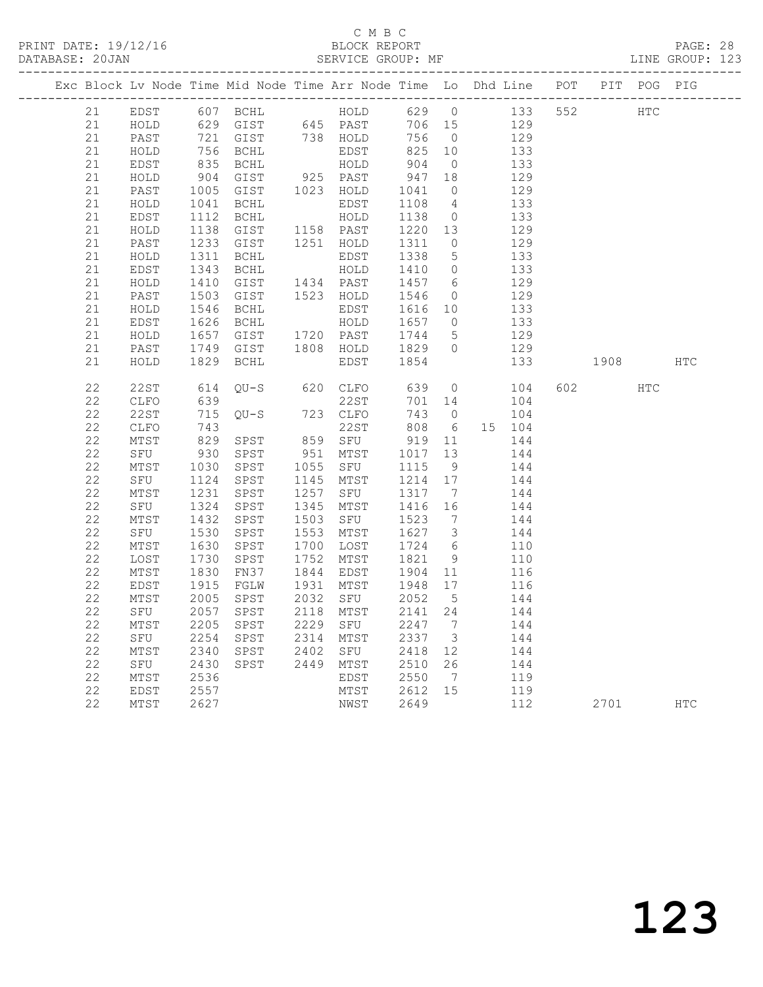PRINT DATE: 19/12/16 BLOCK REPORT<br>DATABASE: 20JAN BATABASE: 20JAN

## C M B C<br>BLOCK REPORT

PAGE: 28<br>LINE GROUP: 123

|             |              |      |                             |                                                     |                                                      |                         | Exc Block Lv Node Time Mid Node Time Arr Node Time Lo Dhd Line POT PIT POG PIG |     |                                                                                                                                                                                                                                 |     |            |
|-------------|--------------|------|-----------------------------|-----------------------------------------------------|------------------------------------------------------|-------------------------|--------------------------------------------------------------------------------|-----|---------------------------------------------------------------------------------------------------------------------------------------------------------------------------------------------------------------------------------|-----|------------|
| 21          | EDST         |      |                             |                                                     |                                                      |                         |                                                                                |     | HTC                                                                                                                                                                                                                             |     |            |
| 21          | HOLD         |      |                             |                                                     |                                                      |                         |                                                                                |     |                                                                                                                                                                                                                                 |     |            |
| 21          | PAST         |      |                             |                                                     |                                                      |                         |                                                                                |     |                                                                                                                                                                                                                                 |     |            |
| 21          | HOLD         |      | 756 BCHL<br>835 BCHL        |                                                     | 825 10<br>825<br>904                                 |                         | 133                                                                            |     |                                                                                                                                                                                                                                 |     |            |
| 21          | EDST         |      |                             |                                                     |                                                      | $\overline{0}$          | 133                                                                            |     |                                                                                                                                                                                                                                 |     |            |
| 21          | HOLD         |      | 904 GIST                    | EDST<br>HOLD<br>925 PAST<br>1023 HOLD               | $\begin{array}{cc} 947 & 18 \\ 1041 & 0 \end{array}$ |                         | 129                                                                            |     |                                                                                                                                                                                                                                 |     |            |
| 21          | PAST         |      | 1005 GIST                   |                                                     |                                                      |                         | 129                                                                            |     |                                                                                                                                                                                                                                 |     |            |
| 21          | HOLD         |      | 1041 BCHL                   | EDST<br>HOLD                                        | 1108<br>1138                                         | $\overline{4}$          | 133                                                                            |     |                                                                                                                                                                                                                                 |     |            |
| 21          | EDST         |      | 1112 BCHL                   |                                                     |                                                      | $\overline{0}$          | 133                                                                            |     |                                                                                                                                                                                                                                 |     |            |
| 21          | HOLD         |      |                             | $1158$ PAST                                         | 1220 13<br>1311 0                                    |                         | 129                                                                            |     |                                                                                                                                                                                                                                 |     |            |
| 21          | PAST         |      | $1138$ $942$<br>$1233$ GIST | 1251 HOLD                                           |                                                      |                         | 129                                                                            |     |                                                                                                                                                                                                                                 |     |            |
| 21          | HOLD         | 1311 | BCHL                        | EDST<br>EDST<br>HOLD                                | 1338<br>1410                                         | $5\overline{)}$         | 133                                                                            |     |                                                                                                                                                                                                                                 |     |            |
| 21          | EDST         |      | 1343 BCHL                   |                                                     |                                                      | $\overline{0}$          | 133                                                                            |     |                                                                                                                                                                                                                                 |     |            |
| 21          | HOLD         | 1410 | GIST                        | $1434$ PAST                                         | 1457<br>1546                                         | $6\overline{6}$         | 129<br>129                                                                     |     |                                                                                                                                                                                                                                 |     |            |
| 21          | PAST         |      | 1503 GIST                   | 1523 HOLD                                           |                                                      | $\overline{0}$          |                                                                                |     |                                                                                                                                                                                                                                 |     |            |
| 21<br>21    | HOLD         | 1546 | BCHL<br>1626 BCHL           | HOLD<br>EDST                                        | 1616<br>1657<br>1744<br>1829                         | 10<br>$\overline{0}$    | 133                                                                            |     |                                                                                                                                                                                                                                 |     |            |
| 21          | EDST         | 1657 |                             |                                                     |                                                      | $5^{\circ}$             | 133                                                                            |     |                                                                                                                                                                                                                                 |     |            |
| 21          | HOLD<br>PAST |      | GIST<br>1749 GIST           | 1720 PAST<br>1808 HOLD                              |                                                      | $\overline{0}$          | 129<br>129                                                                     |     |                                                                                                                                                                                                                                 |     |            |
| 21          | HOLD         | 1829 | BCHL                        | EDST                                                | 1854                                                 |                         | 133                                                                            |     | 1908 - 1908 - 1908 - 1910 - 1910 - 1920 - 1930 - 1930 - 1930 - 1930 - 1930 - 1930 - 1930 - 1930 - 1930 - 1930 - 1930 - 1930 - 1930 - 1930 - 1930 - 1930 - 1930 - 1930 - 1930 - 1930 - 1930 - 1930 - 1930 - 1930 - 1930 - 1930 - |     | HTC        |
|             |              |      |                             |                                                     |                                                      |                         |                                                                                |     |                                                                                                                                                                                                                                 |     |            |
| 22          | 22ST         | 614  | QU-S                        | 620 CLFO                                            |                                                      | $\overline{0}$          | 104                                                                            |     | 602 — 100                                                                                                                                                                                                                       | HTC |            |
| 22          | CLFO         | 639  |                             | 22ST                                                | $639$<br>701<br>701 14                               |                         | 104                                                                            |     |                                                                                                                                                                                                                                 |     |            |
| 22          | 22ST         |      | 715 QU-S 723 CLFO           |                                                     | 743                                                  |                         | $0 \qquad \qquad 104$                                                          |     |                                                                                                                                                                                                                                 |     |            |
| 22          | CLFO         | 743  |                             | 22ST                                                | 808                                                  | $6\overline{6}$         | 15 104                                                                         |     |                                                                                                                                                                                                                                 |     |            |
| 22          | MTST         |      | 829 SPST                    |                                                     | 919 11                                               |                         | 144                                                                            |     |                                                                                                                                                                                                                                 |     |            |
| 22          | SFU          |      | 930 SPST                    | 859 SFU<br>951 MTST                                 | 1017 13                                              |                         | 144                                                                            |     |                                                                                                                                                                                                                                 |     |            |
| 22          | MTST         | 1030 | SPST                        | 1055 SFU 1115 9<br>1145 MTST 1214 17                |                                                      |                         | 144                                                                            |     |                                                                                                                                                                                                                                 |     |            |
| 22          | SFU          | 1124 | SPST                        |                                                     |                                                      |                         | 144                                                                            |     |                                                                                                                                                                                                                                 |     |            |
| 22          | MTST         | 1231 | SPST                        |                                                     |                                                      | $\overline{7}$          | 144                                                                            |     |                                                                                                                                                                                                                                 |     |            |
| 22          | SFU          | 1324 | SPST                        | 1257 SFU 1317 7<br>1345 MTST 1416 16                |                                                      |                         | 144                                                                            |     |                                                                                                                                                                                                                                 |     |            |
| 22          | MTST         |      | 1432 SPST                   |                                                     |                                                      | $\overline{7}$          | 144                                                                            |     |                                                                                                                                                                                                                                 |     |            |
| 22          | SFU          | 1530 | SPST                        | 1503 SFU 1523<br>1553 MTST 1627<br>1553 MTST        |                                                      | $\overline{\mathbf{3}}$ | 144                                                                            |     |                                                                                                                                                                                                                                 |     |            |
| 22          | MTST         | 1630 | SPST                        | 1700 LOST                                           | 1724<br>1821                                         | $6\overline{6}$         | 110                                                                            |     |                                                                                                                                                                                                                                 |     |            |
| 22          | LOST         | 1730 | SPST                        | 1752 MTST                                           |                                                      | 9                       | 110                                                                            |     |                                                                                                                                                                                                                                 |     |            |
| 22          | MTST         | 1830 | FN37                        | 1844 EDST                                           |                                                      |                         | 116                                                                            |     |                                                                                                                                                                                                                                 |     |            |
| 22          | EDST         | 1915 | FGLW                        | 1931 MTST                                           | 1904 11<br>1948 17                                   |                         | 116                                                                            |     |                                                                                                                                                                                                                                 |     |            |
| 22          | MTST         | 2005 | SPST                        | 2032 SFU                                            | 2052 5<br>2141 24                                    |                         | 144                                                                            |     |                                                                                                                                                                                                                                 |     |            |
| 22          | SFU          |      | 2057 SPST                   | 2118 MTST                                           |                                                      |                         | 144                                                                            |     |                                                                                                                                                                                                                                 |     |            |
| 22          | MTST         | 2205 | SPST                        | 2229 SFU 2247<br>2314 MTST 2337                     |                                                      | $\overline{7}$          | 144                                                                            |     |                                                                                                                                                                                                                                 |     |            |
| 22          | SFU          | 2254 | SPST                        |                                                     |                                                      | $\overline{\mathbf{3}}$ | 144                                                                            |     |                                                                                                                                                                                                                                 |     |            |
| $2\sqrt{2}$ | MTST         | 2340 | SPST                        | 2314 11131<br>2402 SFU 2418 12<br>2449 MTST 2510 26 |                                                      |                         | 144                                                                            |     |                                                                                                                                                                                                                                 |     |            |
| 22          | SFU          | 2430 | SPST                        |                                                     |                                                      |                         | 144                                                                            |     |                                                                                                                                                                                                                                 |     |            |
| $2\sqrt{2}$ | MTST         | 2536 |                             | EDST                                                | 2550                                                 | $\overline{7}$          | 119                                                                            |     |                                                                                                                                                                                                                                 |     |            |
| 22          | EDST         | 2557 |                             | MTST 2612 15                                        |                                                      |                         | 119                                                                            |     |                                                                                                                                                                                                                                 |     |            |
| 22          | MTST         | 2627 |                             | NWST                                                | 2649                                                 |                         |                                                                                | 112 | 2701                                                                                                                                                                                                                            |     | <b>HTC</b> |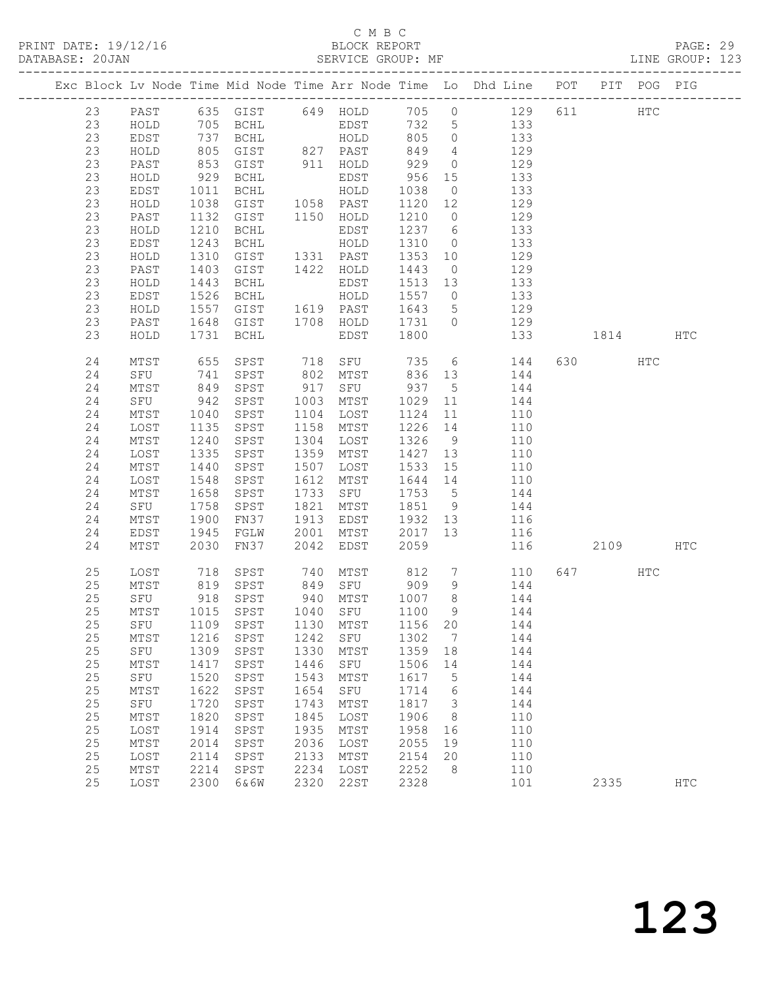## C M B C<br>BLOCK REPORT

PAGE: 29<br>LINE GROUP: 123

|          |              |      |                                                         |      |                                                                           |              |                         | Exc Block Lv Node Time Mid Node Time Arr Node Time Lo Dhd Line POT PIT POG PIG |         |            |            |
|----------|--------------|------|---------------------------------------------------------|------|---------------------------------------------------------------------------|--------------|-------------------------|--------------------------------------------------------------------------------|---------|------------|------------|
|          |              |      |                                                         |      |                                                                           |              |                         |                                                                                |         |            |            |
| 23       | PAST         |      |                                                         |      |                                                                           |              |                         | 635 GIST 649 HOLD 705 0 129 611 HTC                                            |         |            |            |
| 23       | HOLD         |      | 705 BCHL                                                |      | EDST                                                                      | 732 5        |                         | 133                                                                            |         |            |            |
| 23       | EDST         |      |                                                         |      | 737 BCHL HOLD                                                             | 805          | $\overline{0}$          | 133                                                                            |         |            |            |
| 23       | HOLD         |      | 805 GIST 827 PAST<br>853 GIST 911 HOLD<br>929 BCHL EDST |      |                                                                           | 849          | $\overline{4}$          | 129                                                                            |         |            |            |
| 23       | PAST         |      |                                                         |      |                                                                           | 929          | $\overline{0}$          | 129                                                                            |         |            |            |
| 23       | HOLD         |      |                                                         |      |                                                                           | 956          | 15                      | 133                                                                            |         |            |            |
| 23       | EDST         |      | 1011 BCHL                                               |      | HOLD                                                                      | 1038         | $\overline{0}$          | 133                                                                            |         |            |            |
| 23       | HOLD         | 1038 | GIST                                                    |      | 1058 PAST                                                                 | 1120 12      |                         | 129                                                                            |         |            |            |
| 23       | PAST         |      | 1132 GIST                                               |      | 1150 HOLD                                                                 | 1210         | $\overline{0}$          | 129                                                                            |         |            |            |
| 23       | HOLD         |      | 1210 BCHL                                               |      | EDST                                                                      | 1237 6       |                         | $\frac{1}{133}$                                                                |         |            |            |
| 23       | EDST         | 1243 | BCHL                                                    |      | HOLD                                                                      | 1310         | $\overline{0}$          | 133                                                                            |         |            |            |
| 23       | HOLD         | 1310 | GIST                                                    |      | 1331 PAST                                                                 | 1353         | 10                      | 129                                                                            |         |            |            |
| 23       | PAST         | 1403 | GIST                                                    |      | 1422 HOLD                                                                 | 1443         | $\overline{0}$          | 129                                                                            |         |            |            |
| 23       | HOLD         |      | 1443 BCHL                                               |      | EDST                                                                      | 1513         | 13<br>$\overline{0}$    | 133<br>133                                                                     |         |            |            |
| 23<br>23 | EDST         | 1526 | BCHL<br>1557 GIST                                       |      | HOLD<br>1619 PAST                                                         | 1557<br>1643 | $5\overline{)}$         | 129                                                                            |         |            |            |
| 23       | HOLD         |      | 1648 GIST                                               |      | 1708 HOLD                                                                 |              | $\overline{0}$          |                                                                                |         |            |            |
| 23       | PAST<br>HOLD |      | 1731 BCHL                                               |      | EDST                                                                      | 1731<br>1800 |                         | 129<br>133                                                                     | 1814    |            | HTC        |
|          |              |      |                                                         |      |                                                                           |              |                         |                                                                                |         |            |            |
| 24       | MTST         | 655  | SPST                                                    |      |                                                                           |              |                         | 718 SFU 735 6 144                                                              | 630 HTC |            |            |
| 24       | SFU          |      | 741 SPST<br>849 SPST                                    |      | 802 MTST<br>917 SFU                                                       |              |                         | 836 13 144                                                                     |         |            |            |
| 24       | MTST         |      |                                                         |      |                                                                           | 937          | $5\overline{)}$         | 144                                                                            |         |            |            |
| 24       | SFU          |      | 942 SPST                                                |      | 1003 MTST                                                                 | 1029         | 11                      | 144                                                                            |         |            |            |
| 24       | MTST         | 1040 | SPST                                                    |      | 1104 LOST                                                                 | 1124         | 11                      | 110                                                                            |         |            |            |
| 24       | LOST         | 1135 | SPST                                                    |      | 1158 MTST                                                                 | 1226 14      |                         | 110                                                                            |         |            |            |
| 24       | MTST         |      | 1240 SPST                                               | 1304 | LOST                                                                      | 1326 9       |                         | 110                                                                            |         |            |            |
| 24       | LOST         | 1335 | SPST                                                    |      | 1359 MTST                                                                 | 1427 13      |                         | 110                                                                            |         |            |            |
| 24       | MTST         | 1440 | SPST                                                    |      | 1507 LOST                                                                 | 1533 15      |                         | 110                                                                            |         |            |            |
| 24       | LOST         | 1548 | SPST                                                    | 1612 | MTST                                                                      | 1644 14      |                         | 110                                                                            |         |            |            |
| 24       | MTST         | 1658 | SPST                                                    | 1733 | SFU                                                                       | 1753         | $5^{\circ}$             | 144<br>144                                                                     |         |            |            |
| 24       | SFU          | 1758 | SPST                                                    |      | 1821 MTST                                                                 | 1851         | 9                       |                                                                                |         |            |            |
| 24       | MTST         | 1900 | FN37                                                    |      | 1913 EDST                                                                 | 1932 13      |                         | 116                                                                            |         |            |            |
| 24       | EDST         | 1945 | FGLW                                                    | 2001 | MTST                                                                      | 2017         | 13                      | 116                                                                            |         |            |            |
| 24       | MTST         | 2030 | FN37                                                    | 2042 | EDST                                                                      | 2059         |                         | 116                                                                            | 2109    |            | HTC        |
| 25       | LOST         |      | 718 SPST                                                | 740  |                                                                           |              |                         | MTST 812 7 110                                                                 | 647     | <b>HTC</b> |            |
| 25       | MTST         |      |                                                         |      | 819 SPST 849 SFU 909<br>918 SPST 940 MTST 1007<br>1015 SPST 1040 SFU 1100 |              | 9                       | 144                                                                            |         |            |            |
| 25       | SFU          |      |                                                         |      |                                                                           |              | 8 <sup>8</sup>          | $144$<br>$144$                                                                 |         |            |            |
| 25       | MTST         |      |                                                         |      |                                                                           |              | 9                       |                                                                                |         |            |            |
|          |              |      |                                                         |      |                                                                           |              |                         | 25 SFU 1109 SPST 1130 MTST 1156 20 144                                         |         |            |            |
| 25       | MTST         | 1216 | SPST                                                    | 1242 | SFU                                                                       | 1302         | $\overline{7}$          | 144                                                                            |         |            |            |
| 25       | SFU          | 1309 | SPST                                                    | 1330 | MTST                                                                      | 1359 18      |                         | 144                                                                            |         |            |            |
| 25       | MTST         | 1417 | SPST                                                    | 1446 | SFU                                                                       | 1506         | 14                      | 144                                                                            |         |            |            |
| 25       | SFU          | 1520 | SPST                                                    | 1543 | MTST                                                                      | 1617         | $5^{\circ}$             | 144                                                                            |         |            |            |
| $25$     | MTST         | 1622 | SPST                                                    | 1654 | SFU                                                                       | 1714         | 6                       | 144                                                                            |         |            |            |
| $2\,5$   | SFU          | 1720 | SPST                                                    | 1743 | MTST                                                                      | 1817         | $\overline{\mathbf{3}}$ | 144                                                                            |         |            |            |
| 25       | MTST         | 1820 | SPST                                                    | 1845 | LOST                                                                      | 1906         | 8                       | 110                                                                            |         |            |            |
| 25       | LOST         | 1914 | SPST                                                    | 1935 | MTST                                                                      | 1958         | 16                      | 110                                                                            |         |            |            |
| 25       | MTST         | 2014 | SPST                                                    | 2036 | LOST                                                                      | 2055         | 19                      | 110                                                                            |         |            |            |
| 25       | LOST         | 2114 | SPST                                                    | 2133 | MTST                                                                      | 2154         | 20                      | 110                                                                            |         |            |            |
| 25       | MTST         | 2214 | SPST                                                    | 2234 | LOST                                                                      | 2252         | 8                       | 110                                                                            |         |            |            |
| 25       | LOST         | 2300 | 6&6W                                                    | 2320 | 22ST                                                                      | 2328         |                         | 101                                                                            | 2335    |            | <b>HTC</b> |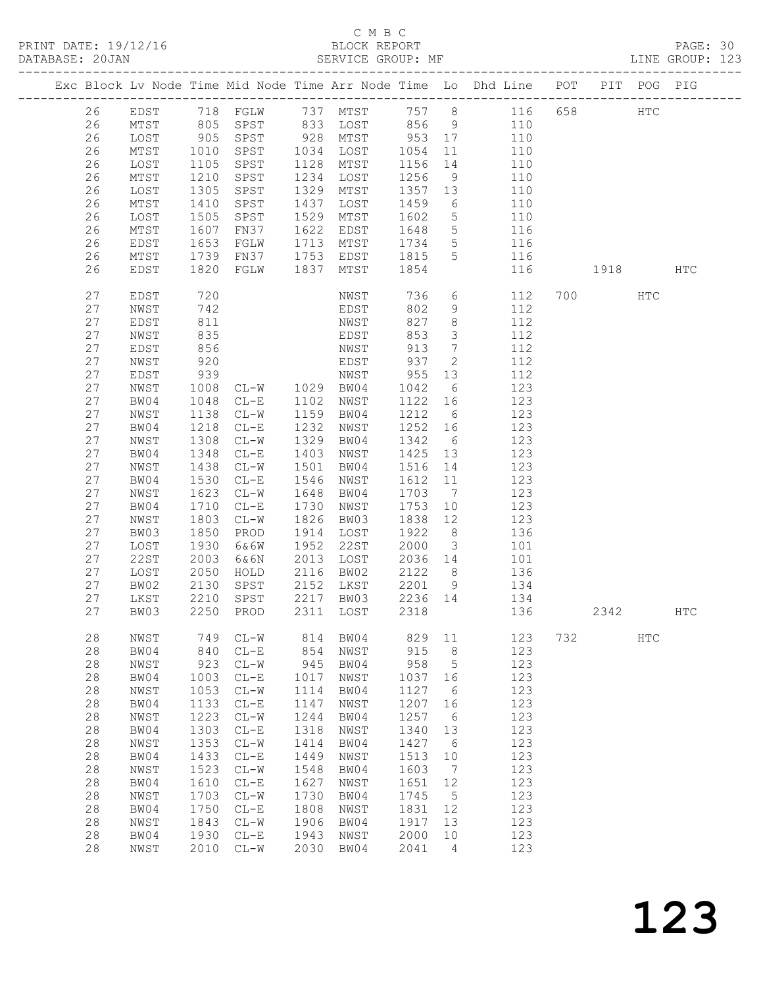PRINT DATE: 19/12/16 BLOCK REPORT<br>DATABASE: 20JAN BATABASE: 20JAN

## C M B C<br>BLOCK REPORT

PAGE: 30<br>LINE GROUP: 123

|  |          |              |              |                                                     |            |                         |                   |                              | Exc Block Lv Node Time Mid Node Time Arr Node Time Lo Dhd Line POT PIT POG PIG |     |          |               |     |
|--|----------|--------------|--------------|-----------------------------------------------------|------------|-------------------------|-------------------|------------------------------|--------------------------------------------------------------------------------|-----|----------|---------------|-----|
|  | 26       | EDST         |              |                                                     |            |                         |                   |                              | 718 FGLW 737 MTST 757 8 116 658                                                |     |          | $_{\rm HTC}$  |     |
|  | 26       | MTST         |              | 805 SPST                                            |            |                         |                   |                              | 833 LOST 856 9 110                                                             |     |          |               |     |
|  | 26       | LOST         | $905$ $1010$ | SPST                                                |            | $928$ MTST<br>1034 TOST | 953 17<br>1054 11 |                              | 110                                                                            |     |          |               |     |
|  | 26       | MTST         | 1010         | SPST                                                | 1034       | LOST                    | 1054              | 11                           | 110                                                                            |     |          |               |     |
|  | 26       | LOST         | 1105         | SPST                                                | 1128       | MTST                    | 1156 14           |                              | 110                                                                            |     |          |               |     |
|  | 26       | MTST         | 1210         | SPST                                                | 1234       | LOST                    | 1256              | 9                            | 110                                                                            |     |          |               |     |
|  | 26       | LOST         | 1305         | SPST                                                | 1329       | MTST                    | 1357 13           |                              | 110                                                                            |     |          |               |     |
|  | 26       | ${\tt MTST}$ | 1410         | SPST                                                | 1437       | LOST                    | 1459              | $6\overline{6}$              | 110                                                                            |     |          |               |     |
|  | 26       | LOST         | 1505         | SPST                                                | 1529       | MTST                    | 1602              | $5\overline{)}$              | 110                                                                            |     |          |               |     |
|  | 26       | MTST         | 1607         | FN37                                                | 1622       | EDST                    | 1648              | $5\overline{)}$              | 116                                                                            |     |          |               |     |
|  | 26       | EDST         | 1653         | FGLW                                                | 1713       | MTST                    |                   | 5 <sub>5</sub>               | 116                                                                            |     |          |               |     |
|  | 26       | MTST         |              | 1739 FN37                                           |            | 1753 EDST               | 1734<br>1815      | $5\overline{)}$              | 116                                                                            |     |          |               |     |
|  | 26       | EDST         |              | 1820 FGLW                                           | 1837       | MTST                    | 1854              |                              | 116                                                                            |     | 1918 HTC |               |     |
|  | 27       | EDST         | 720          |                                                     |            | NWST                    | 736               | 6                            | 112                                                                            |     | 700 000  | HTC           |     |
|  | 27       | NWST         | 742          |                                                     |            | EDST                    | 802               | 9                            | 112                                                                            |     |          |               |     |
|  | 27       | EDST         | 811          |                                                     |            | NWST                    | 827               | 8                            | 112                                                                            |     |          |               |     |
|  | 27       | NWST         | 835          |                                                     |            | EDST                    | 853               | $\overline{\mathbf{3}}$      | 112                                                                            |     |          |               |     |
|  | 27       | EDST         | 856          |                                                     |            | NWST                    | 913               | $7\phantom{.0}\phantom{.0}7$ | 112                                                                            |     |          |               |     |
|  | 27       | NWST         | 920          |                                                     |            | EDST                    | 937               | $\overline{2}$               | 112                                                                            |     |          |               |     |
|  | 27       | EDST         | 939          |                                                     |            | NWST                    | 955               | 13                           | 112                                                                            |     |          |               |     |
|  | 27       | NWST         | 1008         | CL-W 1029 BW04                                      |            |                         | 1042              | $6\overline{6}$              | 123                                                                            |     |          |               |     |
|  | 27       | BW04         | 1048         | $CL-E$                                              | 1102       | NWST                    | 1122              | 16                           | 123                                                                            |     |          |               |     |
|  | 27       | NWST         | 1138         | $CL-W$                                              | 1159       | BW04                    | 1212              | 6                            | 123                                                                            |     |          |               |     |
|  | 27       | BW04         | 1218         | $CL-E$                                              | 1232       | NWST                    | 1252 16           |                              | 123                                                                            |     |          |               |     |
|  | 27       | NWST         | 1308         | $CL-W$                                              | 1329       | BW04                    | 1342              | $6\overline{6}$              | 123                                                                            |     |          |               |     |
|  | 27       | BW04         | 1348         | $CL-E$                                              | 1403       | NWST                    | 1425              | 13                           | 123                                                                            |     |          |               |     |
|  | 27       | NWST         | 1438         | $CL-W$                                              | 1501       | BW04                    | 1516              | 14                           | 123                                                                            |     |          |               |     |
|  | 27       | BW04         | 1530         | $CL-E$                                              | 1546       | NWST                    | 1612              | 11                           | 123                                                                            |     |          |               |     |
|  | 27       | NWST         | 1623         | $CL-W$                                              | 1648       | BW04                    | 1703              | $\overline{7}$               | 123                                                                            |     |          |               |     |
|  | 27       | BW04         | 1710         | $CL-E$                                              | 1730       | NWST                    | 1753              | 10 <sup>°</sup>              | 123                                                                            |     |          |               |     |
|  | 27       | NWST         | 1803         | $CL-W$                                              | 1826       | BW03                    | 1838              | 12                           | 123                                                                            |     |          |               |     |
|  | 27       | BW03         | 1850         | PROD                                                | 1914       | LOST                    | 1922              | 8 <sup>8</sup>               | 136                                                                            |     |          |               |     |
|  | 27       | LOST         | 1930         | 6&6W                                                | 1952       | 22ST                    | 2000              | $\overline{\mathbf{3}}$      | 101                                                                            |     |          |               |     |
|  | 27       | <b>22ST</b>  | 2003         | 6&6N                                                | 2013       | LOST                    |                   |                              | 2036 14<br>101                                                                 |     |          |               |     |
|  | 27       | LOST         | 2050         | HOLD                                                | 2116       | BW02                    | 2122              | 8 <sup>8</sup>               | 136                                                                            |     |          |               |     |
|  | 27       | BW02         | 2130         | SPST                                                | 2152       | LKST                    | 2201              | 9                            | 134                                                                            |     |          |               |     |
|  | 27       | LKST         | 2210         | SPST                                                | 2217       | BW03 2236 14            |                   |                              | 134                                                                            |     |          |               |     |
|  | 27       | BW03         | 2250         | PROD                                                |            | 2311 LOST               | 2318              |                              | 136                                                                            |     | 2342     |               | HTC |
|  |          |              |              |                                                     |            |                         |                   |                              |                                                                                |     |          |               |     |
|  | 28<br>28 | NWST<br>BW04 | 749<br>840   | $CL-W$<br>$\mathbb{C}\mathbb{L}\text{--}\mathbb{E}$ | 814<br>854 | BW04<br>NWST            | 829<br>915        | 11<br>8                      | 123<br>123                                                                     | 732 |          | $_{\rm{HTC}}$ |     |
|  | 28       | NWST         | 923          | $CL-W$                                              | 945        | BW04                    | 958               | 5                            | 123                                                                            |     |          |               |     |
|  | $28$     | BW04         | 1003         | $CL-E$                                              | 1017       | NWST                    | 1037              | 16                           | 123                                                                            |     |          |               |     |
|  | 28       | NWST         | 1053         | $CL-W$                                              | 1114       | BW04                    | 1127              | 6                            | 123                                                                            |     |          |               |     |
|  | 28       | BW04         | 1133         | $\mathbb{C}\mathbb{L}-\mathbb{E}$                   | 1147       | NWST                    | 1207              | 16                           | 123                                                                            |     |          |               |     |
|  | 28       | NWST         | 1223         | $\mathtt{CL}-\mathtt{W}$                            | 1244       | BW04                    | 1257              | 6                            | 123                                                                            |     |          |               |     |
|  | $28$     | BW04         | 1303         | $CL-E$                                              | 1318       | NWST                    | 1340              | 13                           | 123                                                                            |     |          |               |     |
|  | 28       | NWST         | 1353         | $CL-W$                                              | 1414       | BW04                    | 1427              | 6                            | 123                                                                            |     |          |               |     |
|  | $28$     | BW04         | 1433         | $\mathbb{C}\mathbb{L}-\mathbb{E}$                   | 1449       | NWST                    | 1513              | 10                           | 123                                                                            |     |          |               |     |
|  | 28       | NWST         | 1523         | $CL-W$                                              | 1548       | BW04                    | 1603              | 7                            | 123                                                                            |     |          |               |     |
|  | $28$     | BW04         | 1610         | $CL-E$                                              | 1627       | NWST                    | 1651              | $12$                         | 123                                                                            |     |          |               |     |
|  | 28       | NWST         | 1703         | $\mathtt{CL}-\mathtt{W}$                            | 1730       | BW04                    | 1745              | 5                            | 123                                                                            |     |          |               |     |
|  | $28$     | BW04         | 1750         | $\mathbb{C}\mathbb{L}-\mathbb{E}$                   | 1808       | NWST                    | 1831              | 12                           | 123                                                                            |     |          |               |     |
|  | $28$     | NWST         | 1843         | $\mathtt{CL}-\mathtt{W}$                            | 1906       | BW04                    | 1917              | 13                           | 123                                                                            |     |          |               |     |
|  | $28$     | BW04         | 1930         | $CL-E$                                              | 1943       | ${\tt NWST}$            | 2000              | 10                           | 123                                                                            |     |          |               |     |
|  | 28       | NWST         | 2010         | $CL-W$                                              | 2030       | BW04                    | 2041              | $\overline{4}$               | 123                                                                            |     |          |               |     |
|  |          |              |              |                                                     |            |                         |                   |                              |                                                                                |     |          |               |     |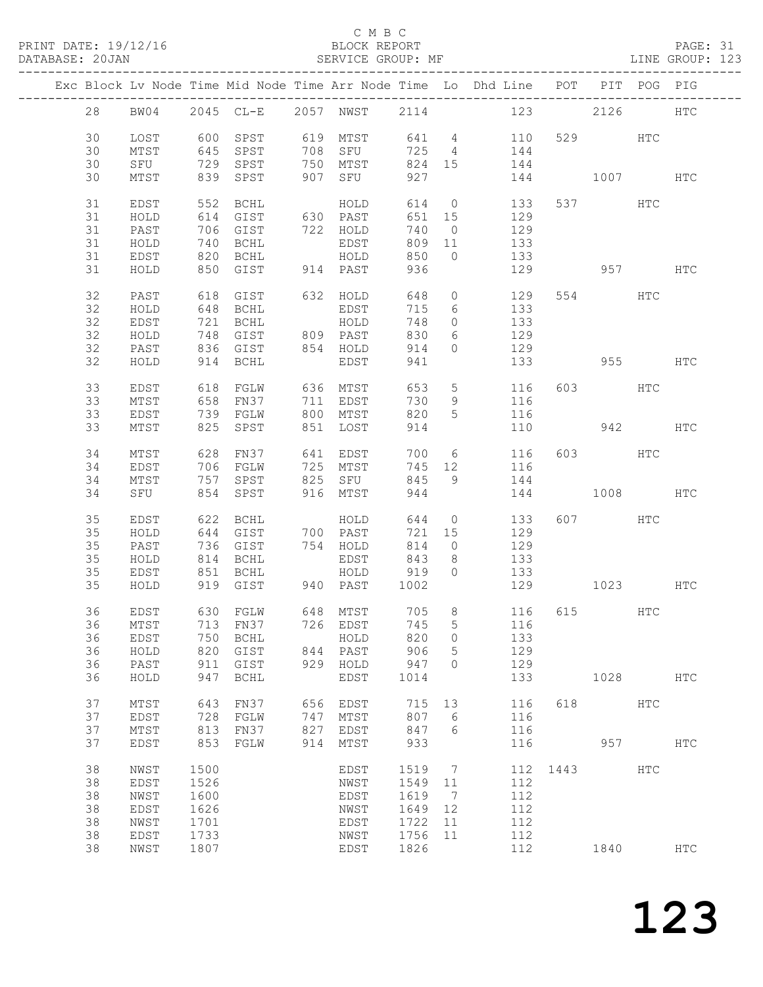#### C M B C<br>BLOCK REPORT

PAGE: 31<br>LINE GROUP: 123

|    |      |      |                      |     |                      |        |                 | Exc Block Lv Node Time Mid Node Time Arr Node Time Lo Dhd Line POT PIT POG PIG |      |          |              |               |
|----|------|------|----------------------|-----|----------------------|--------|-----------------|--------------------------------------------------------------------------------|------|----------|--------------|---------------|
| 28 | BW04 |      |                      |     |                      |        |                 | 2045 CL-E 2057 NWST 2114 123 2126                                              |      |          |              | $_{\rm{HTC}}$ |
|    |      |      |                      |     |                      |        |                 |                                                                                |      |          |              |               |
| 30 | LOST |      | 600 SPST             |     |                      |        |                 | 619 MTST 641 4 110                                                             |      | 529 HTC  |              |               |
| 30 | MTST |      | 645 SPST             | 708 | SFU                  |        |                 | 725 4 144                                                                      |      |          |              |               |
| 30 | SFU  |      | 729 SPST             |     | 750 MTST             |        |                 | 824 15 144                                                                     |      |          |              |               |
| 30 | MTST |      | 839 SPST             |     | 907 SFU              | 927    |                 |                                                                                |      | 144 1007 |              | HTC           |
| 31 | EDST | 552  | BCHL                 |     | HOLD                 | 614    |                 | $0$ 133                                                                        |      | 537      | HTC          |               |
| 31 | HOLD |      | 614 GIST             |     | 630 PAST             | 651 15 |                 | 129                                                                            |      |          |              |               |
| 31 | PAST |      | 706 GIST             |     | 722 HOLD             | 740    | $\overline{0}$  | 129                                                                            |      |          |              |               |
| 31 | HOLD |      | 740 BCHL             |     | EDST                 | 809 11 |                 | 133                                                                            |      |          |              |               |
| 31 | EDST |      | 820 BCHL             |     | HOLD                 | 850    | $\overline{0}$  | 133                                                                            |      |          |              |               |
| 31 | HOLD |      | 850 GIST             |     | 914 PAST             | 936    |                 |                                                                                |      | 129 957  |              | $_{\rm HTC}$  |
|    |      |      |                      |     |                      |        |                 |                                                                                |      |          |              |               |
| 32 | PAST | 618  | GIST                 |     | 632 HOLD             | 648    | $\circ$         | 129                                                                            |      | 554 HTC  |              |               |
| 32 | HOLD |      | 648 BCHL             |     | EDST                 | 715    | 6               | 133                                                                            |      |          |              |               |
| 32 | EDST |      | 721 BCHL             |     | HOLD                 | 748    | $\circ$         | 133                                                                            |      |          |              |               |
| 32 | HOLD |      | 748 GIST<br>836 GIST |     | 809 PAST<br>854 HOLD | 830    | 6               | 129                                                                            |      |          |              |               |
| 32 | PAST |      |                      |     |                      | 914    | $\circ$         | 129                                                                            |      |          |              |               |
| 32 | HOLD |      | 914 BCHL             |     | EDST                 | 941    |                 | 133                                                                            |      | 955      |              | HTC           |
| 33 | EDST | 618  | FGLW                 |     | 636 MTST             | 653    | 5 <sup>5</sup>  | 116                                                                            |      | 603 HTC  |              |               |
| 33 | MTST | 658  | FN37                 |     | 711 EDST             | 730    | 9               | 116                                                                            |      |          |              |               |
| 33 | EDST |      | 739 FGLW             |     | 800 MTST             | 820    | 5               | 116                                                                            |      |          |              |               |
| 33 | MTST |      | 825 SPST             |     | 851 LOST             | 914    |                 | 110                                                                            |      | 942      |              | $_{\rm{HTC}}$ |
|    |      |      |                      |     |                      |        |                 |                                                                                |      |          |              |               |
| 34 | MTST |      | 628 FN37             |     | 641 EDST             | 700    |                 | $6\overline{6}$<br>116                                                         |      | 603 HTC  |              |               |
| 34 | EDST |      | 706 FGLW             |     | 725 MTST             | 745 12 |                 | 116                                                                            |      |          |              |               |
| 34 | MTST |      | 757 SPST             | 825 | SFU                  | 845    | 9               | 144                                                                            |      |          |              |               |
| 34 | SFU  |      | 854 SPST             |     | 916 MTST             | 944    |                 | 144                                                                            |      | 1008 HTC |              |               |
| 35 | EDST | 622  | BCHL                 |     | HOLD                 | 644    | $\overline{0}$  | 133                                                                            |      | 607 HTC  |              |               |
| 35 | HOLD |      | 644 GIST             |     | 700 PAST             | 721 15 |                 | 129                                                                            |      |          |              |               |
| 35 | PAST |      | 736 GIST             |     | 754 HOLD             | 814    | $\circ$         | 129                                                                            |      |          |              |               |
| 35 | HOLD |      |                      |     | EDST                 | 843    | 8 <sup>8</sup>  | 133                                                                            |      |          |              |               |
| 35 | EDST |      | 814 BCHL<br>851 BCHL |     | HOLD                 | 919    | $\overline{0}$  | 133                                                                            |      |          |              |               |
| 35 | HOLD |      | 919 GIST             |     | 940 PAST             | 1002   |                 | 129 1023                                                                       |      |          |              | HTC           |
| 36 | EDST |      | 630 FGLW             |     | 648 MTST             |        |                 | 705 8 116 615 HTC                                                              |      |          |              |               |
|    |      |      |                      |     |                      |        |                 | 36 MTST 713 FN37 726 EDST 745 5 116                                            |      |          |              |               |
| 36 | EDST | 750  | <b>BCHL</b>          |     | HOLD                 | 820    | 0               | 133                                                                            |      |          |              |               |
| 36 | HOLD | 820  | GIST                 | 844 | PAST                 | 906    | 5               | 129                                                                            |      |          |              |               |
| 36 | PAST | 911  | GIST                 | 929 | HOLD                 | 947    | $\Omega$        | 129                                                                            |      |          |              |               |
| 36 | HOLD | 947  | BCHL                 |     | EDST                 | 1014   |                 | 133                                                                            |      | 1028     |              | $_{\rm{HTC}}$ |
|    |      |      |                      |     |                      |        |                 |                                                                                |      |          |              |               |
| 37 | MTST | 643  | FN37                 | 656 | EDST                 | 715    | 13              | 116                                                                            | 618  |          | <b>HTC</b>   |               |
| 37 | EDST | 728  | FGLW                 | 747 | MTST                 | 807    | 6               | 116                                                                            |      |          |              |               |
| 37 | MTST | 813  | FN37                 | 827 | EDST                 | 847    | 6               | 116                                                                            |      |          |              |               |
| 37 | EDST | 853  | FGLW                 | 914 | MTST                 | 933    |                 | 116                                                                            |      | 957      |              | <b>HTC</b>    |
| 38 | NWST | 1500 |                      |     | EDST                 | 1519   | $7\phantom{.0}$ | 112                                                                            | 1443 |          | $_{\rm HTC}$ |               |
| 38 | EDST | 1526 |                      |     | NWST                 | 1549   | 11              | 112                                                                            |      |          |              |               |
| 38 | NWST | 1600 |                      |     | EDST                 | 1619   | $7\phantom{.0}$ | 112                                                                            |      |          |              |               |
| 38 | EDST | 1626 |                      |     | NWST                 | 1649   | 12              | 112                                                                            |      |          |              |               |
|    |      |      |                      |     |                      |        |                 |                                                                                |      |          |              |               |
| 38 | NWST | 1701 |                      |     | EDST                 | 1722   | 11              | 112                                                                            |      |          |              |               |
| 38 | EDST | 1733 |                      |     | NWST                 | 1756   | 11              | 112                                                                            |      |          |              |               |
| 38 | NWST | 1807 |                      |     | EDST                 | 1826   |                 | 112                                                                            |      | 1840     |              | <b>HTC</b>    |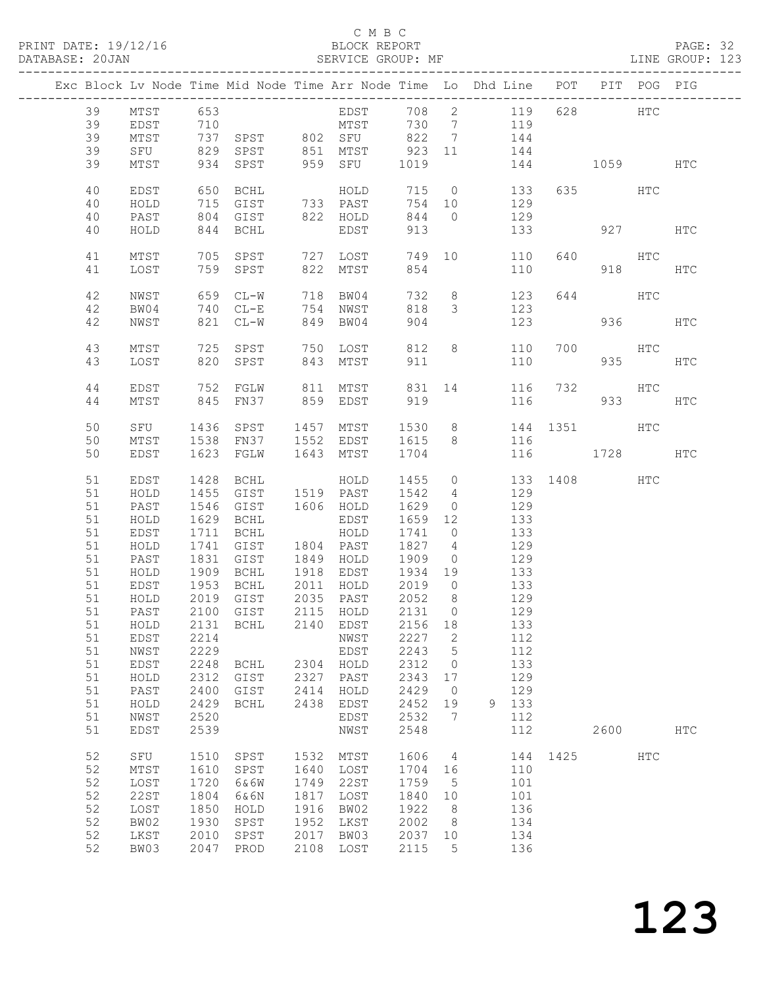#### C M B C )<br>BLOCK REPORT<br>SERVICE GROUP: MF

| PRINT DATE: 19/12/16<br>DATABASE: 20JAN                                                                            |                                                                                                                                                                                                   |                                                                                              |                                                                                                                                                |                                                              | BLOCK REPORT<br>---------------                                                                                                                                                                                                                             |                                                                                                                                 |                                                                                                                               | BLOCK REPORT<br>SERVICE GROUP: MF                                                                                                                                    |              |         |            | PAGE: 32<br>LINE GROUP: 123 |  |
|--------------------------------------------------------------------------------------------------------------------|---------------------------------------------------------------------------------------------------------------------------------------------------------------------------------------------------|----------------------------------------------------------------------------------------------|------------------------------------------------------------------------------------------------------------------------------------------------|--------------------------------------------------------------|-------------------------------------------------------------------------------------------------------------------------------------------------------------------------------------------------------------------------------------------------------------|---------------------------------------------------------------------------------------------------------------------------------|-------------------------------------------------------------------------------------------------------------------------------|----------------------------------------------------------------------------------------------------------------------------------------------------------------------|--------------|---------|------------|-----------------------------|--|
|                                                                                                                    | Exc Block Lv Node Time Mid Node Time Arr Node Time Lo Dhd Line POT PIT POG PIG                                                                                                                    |                                                                                              |                                                                                                                                                |                                                              |                                                                                                                                                                                                                                                             |                                                                                                                                 |                                                                                                                               |                                                                                                                                                                      |              |         |            |                             |  |
| 39<br>39                                                                                                           | 39 MTST 653 EDST 708 2 119 628 HTC<br>39 EDST 710 MTST 730 7 119<br>MTST<br>SFU                                                                                                                   |                                                                                              |                                                                                                                                                |                                                              |                                                                                                                                                                                                                                                             |                                                                                                                                 |                                                                                                                               | 737 SPST 802 SFU 822 7 144<br>829 SPST 851 MTST 923 11 144                                                                                                           |              |         |            |                             |  |
| 39                                                                                                                 | MTST                                                                                                                                                                                              |                                                                                              |                                                                                                                                                |                                                              | 934 SPST 959 SFU 1019                                                                                                                                                                                                                                       |                                                                                                                                 |                                                                                                                               |                                                                                                                                                                      | 144 1059 HTC |         |            |                             |  |
| 40<br>40<br>40                                                                                                     | EDST<br>HOLD<br>PAST                                                                                                                                                                              |                                                                                              | 650 BCHL<br>715 GIST 733 PAST                                                                                                                  |                                                              | HOLD                                                                                                                                                                                                                                                        | 715<br>844 0                                                                                                                    |                                                                                                                               | 0 133<br>754 10 129                                                                                                                                                  |              | 635 HTC |            |                             |  |
| 40                                                                                                                 | HOLD                                                                                                                                                                                              |                                                                                              | 804 GIST 822 HOLD<br>844 BCHL                                                                                                                  |                                                              | EDST                                                                                                                                                                                                                                                        | 913                                                                                                                             |                                                                                                                               | 129<br>133                                                                                                                                                           |              |         | 927 HTC    |                             |  |
| 41<br>41                                                                                                           | MTST<br>LOST                                                                                                                                                                                      |                                                                                              | 759 SPST                                                                                                                                       |                                                              | 822 MTST                                                                                                                                                                                                                                                    | 854                                                                                                                             |                                                                                                                               | 705 SPST 727 LOST 749 10 110<br>110                                                                                                                                  |              | 640 HTC | 918 — 18   | HTC                         |  |
| 42<br>42                                                                                                           | NWST<br>BW04                                                                                                                                                                                      |                                                                                              | 659 CL-W<br>740 CL-E                                                                                                                           |                                                              | 718 BW04<br>754 NWST                                                                                                                                                                                                                                        | 732<br>818<br>904                                                                                                               | $\mathcal{S}$                                                                                                                 | 8 123<br>123                                                                                                                                                         |              | 644 HTC | 936 7      |                             |  |
| 42<br>43                                                                                                           | NWST<br>MTST                                                                                                                                                                                      |                                                                                              | 821 CL-W                                                                                                                                       |                                                              | 849 BW04<br>725 SPST 750 LOST                                                                                                                                                                                                                               |                                                                                                                                 |                                                                                                                               | 123<br>812 8 110                                                                                                                                                     | 700          |         | HTC        | HTC                         |  |
| 43                                                                                                                 | LOST                                                                                                                                                                                              |                                                                                              | 820 SPST 843 MTST                                                                                                                              |                                                              |                                                                                                                                                                                                                                                             | 911                                                                                                                             |                                                                                                                               | 110                                                                                                                                                                  |              |         | 935 HTC    |                             |  |
| 44<br>44                                                                                                           | EDST<br>MTST                                                                                                                                                                                      |                                                                                              |                                                                                                                                                |                                                              |                                                                                                                                                                                                                                                             |                                                                                                                                 |                                                                                                                               | 831 14 116 732<br>116                                                                                                                                                |              |         | HTC<br>933 | HTC                         |  |
| 50<br>50<br>50                                                                                                     | SFU<br>MTST<br>EDST                                                                                                                                                                               |                                                                                              | 1436 SPST 1457 MTST                                                                                                                            |                                                              | 1538 FN37 1552 EDST 1615 8<br>1623 FGLW 1643 MTST 1704                                                                                                                                                                                                      | 1530                                                                                                                            |                                                                                                                               | 8 144 1351 HTC<br>116<br>116                                                                                                                                         | 1728 HTC     |         |            |                             |  |
| 51<br>51<br>51<br>51<br>51<br>51<br>51<br>51<br>51<br>$51\,$<br>51<br>51<br>51<br>51<br>51<br>51<br>51<br>51<br>51 | EDST<br>HOLD<br>PAST<br>HOLD<br>EDST<br>HOLD<br>PAST<br>HOLD<br>EDST<br>51 HOLD 2019 GIST 2035 PAST 2052 8<br>PAST<br>HOLD<br>EDST<br>NWST<br>EDST<br>HOLD<br>PAST<br>HOLD<br>NWST<br><b>EDST</b> | 1428<br>1455<br>2100<br>2131<br>2214<br>2229<br>2248<br>2312<br>2400<br>2429<br>2520<br>2539 | BCHL<br>GIST 1519 PAST<br>1546 GIST<br>1629 BCHL<br>1711 BCHL<br>1909 BCHL<br>1953 BCHL<br>GIST<br>BCHL<br>BCHL<br>GIST<br>GIST<br><b>BCHL</b> | 2115<br>2140<br>2304<br>2327<br>2414<br>2438                 | HOLD<br>1606 HOLD<br>EDST<br>HOLD<br>1741 GIST     1804   PAST      1827     4<br>1831   GIST      1849   HOLD     1909    0<br>1804 PAST<br>1918 EDST 1934 19<br>2011 HOLD<br>HOLD<br>EDST<br>NWST<br>EDST<br>HOLD<br>PAST<br>HOLD<br>EDST<br>EDST<br>NWST | 1455<br>1542<br>1629<br>1659 12<br>1741<br>2019<br>2131<br>2156<br>2227<br>2243<br>2312<br>2343<br>2429<br>2452<br>2532<br>2548 | $4\overline{4}$<br>$\overline{0}$<br>$\overline{0}$<br>$\bigcirc$<br>$\circ$<br>18<br>2<br>5<br>0<br>17<br>$\circ$<br>19<br>7 | 0 133 1408 HTC<br>129<br>129<br>133<br>133<br>129<br>$\frac{1}{129}$<br>133<br>133<br>129<br>129<br>133<br>112<br>112<br>133<br>129<br>129<br>133<br>9<br>112<br>112 |              | 2600    |            | <b>HTC</b>                  |  |
| 52<br>52<br>52<br>52<br>52<br>52<br>52<br>52                                                                       | SFU<br>MTST<br>LOST<br><b>22ST</b><br>LOST<br>BW02<br>LKST<br>BW03                                                                                                                                | 1510<br>1610<br>1720<br>1804<br>1850<br>1930<br>2010<br>2047                                 | SPST<br>SPST<br>6&6W<br>6&6N<br>HOLD<br>SPST<br>SPST<br>PROD                                                                                   | 1532<br>1640<br>1749<br>1817<br>1916<br>1952<br>2017<br>2108 | MTST<br>LOST<br>22ST<br>LOST<br>BW02<br>LKST<br>BW03<br>LOST                                                                                                                                                                                                | 1606<br>1704<br>1759<br>1840<br>1922<br>2002<br>2037<br>2115                                                                    | 4<br>16<br>5<br>10<br>8<br>8<br>10<br>5                                                                                       | 144<br>110<br>101<br>101<br>136<br>134<br>134<br>136                                                                                                                 | 1425         |         | <b>HTC</b> |                             |  |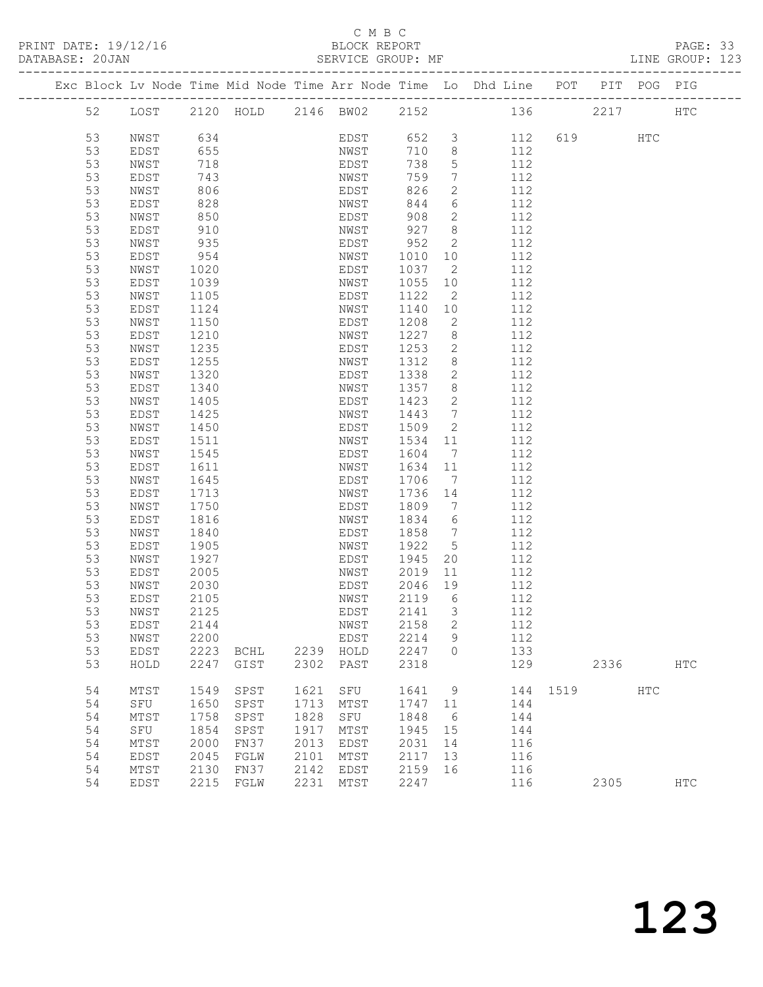#### C M B C<br>BLOCK REPORT

#### PAGE: 33<br>LINE GROUP: 123

|    |      |      |                               |      |             |         |                              | Exc Block Lv Node Time Mid Node Time Arr Node Time Lo Dhd Line POT |          |         | PIT POG PIG |               |
|----|------|------|-------------------------------|------|-------------|---------|------------------------------|--------------------------------------------------------------------|----------|---------|-------------|---------------|
| 52 |      |      | LOST 2120 HOLD 2146 BW02 2152 |      |             |         |                              | 136                                                                |          | 2217    |             | HTC           |
| 53 | NWST | 634  |                               |      | EDST        | 652 3   |                              | 112                                                                |          | 619 HTC |             |               |
| 53 | EDST | 655  |                               |      | NWST        | 710     | 8                            | 112                                                                |          |         |             |               |
| 53 | NWST | 718  |                               |      | EDST        | 738     | 5                            | 112                                                                |          |         |             |               |
| 53 | EDST | 743  |                               |      | NWST        | 759     | $7\phantom{.0}$              | 112                                                                |          |         |             |               |
| 53 | NWST | 806  |                               |      | EDST        | 826     | $\mathbf{2}$                 | 112                                                                |          |         |             |               |
| 53 | EDST | 828  |                               |      | NWST        | 844     | 6                            | 112                                                                |          |         |             |               |
| 53 | NWST | 850  |                               |      | EDST        | 908     | $\overline{2}$               | 112                                                                |          |         |             |               |
| 53 | EDST | 910  |                               |      | NWST        | 927     | 8 <sup>8</sup>               | 112                                                                |          |         |             |               |
| 53 | NWST | 935  |                               |      | EDST        | 952     | 2                            | 112                                                                |          |         |             |               |
| 53 | EDST | 954  |                               |      | NWST        | 1010    | 10                           | 112                                                                |          |         |             |               |
| 53 | NWST | 1020 |                               |      | EDST        | 1037    | $\overline{2}$               | 112                                                                |          |         |             |               |
| 53 | EDST | 1039 |                               |      | NWST        | 1055    | 10                           | 112                                                                |          |         |             |               |
| 53 | NWST | 1105 |                               |      | EDST        | 1122    | $\overline{2}$               | 112                                                                |          |         |             |               |
| 53 | EDST | 1124 |                               |      | NWST        | 1140    | 10                           | 112                                                                |          |         |             |               |
| 53 | NWST | 1150 |                               |      | EDST        | 1208    | 2                            | 112                                                                |          |         |             |               |
| 53 | EDST | 1210 |                               |      | NWST        | 1227    | 8 <sup>8</sup>               | 112                                                                |          |         |             |               |
| 53 | NWST | 1235 |                               |      | EDST        | 1253    | 2                            | 112                                                                |          |         |             |               |
| 53 | EDST | 1255 |                               |      | NWST        | 1312    | 8 <sup>8</sup>               | 112                                                                |          |         |             |               |
| 53 | NWST | 1320 |                               |      | EDST        | 1338    | $\mathbf{2}$                 | 112                                                                |          |         |             |               |
| 53 | EDST | 1340 |                               |      | NWST        | 1357    | 8                            | 112                                                                |          |         |             |               |
| 53 | NWST | 1405 |                               |      | EDST        | 1423    | 2                            | 112                                                                |          |         |             |               |
| 53 | EDST | 1425 |                               |      | NWST        | 1443    | $7\phantom{.0}\phantom{.0}7$ | 112                                                                |          |         |             |               |
| 53 | NWST | 1450 |                               |      | EDST        | 1509    | 2                            | 112                                                                |          |         |             |               |
| 53 | EDST | 1511 |                               |      | NWST        | 1534    | 11                           | 112                                                                |          |         |             |               |
| 53 | NWST | 1545 |                               |      | EDST        | 1604    | $\overline{7}$               | 112                                                                |          |         |             |               |
| 53 | EDST | 1611 |                               |      | NWST        | 1634    | 11                           | 112                                                                |          |         |             |               |
| 53 | NWST | 1645 |                               |      | EDST        | 1706    | $\overline{7}$               | 112                                                                |          |         |             |               |
| 53 | EDST | 1713 |                               |      | NWST        | 1736    | 14                           | 112                                                                |          |         |             |               |
| 53 | NWST | 1750 |                               |      | EDST        | 1809    | $\overline{7}$               | 112                                                                |          |         |             |               |
| 53 | EDST | 1816 |                               |      | NWST        | 1834    | 6                            | 112                                                                |          |         |             |               |
| 53 | NWST | 1840 |                               |      | EDST        | 1858    | $\overline{7}$               | 112                                                                |          |         |             |               |
| 53 | EDST | 1905 |                               |      | NWST        | 1922    | $5^{\circ}$                  | 112                                                                |          |         |             |               |
| 53 | NWST | 1927 |                               |      | EDST        | 1945    | 20                           | 112                                                                |          |         |             |               |
| 53 | EDST | 2005 |                               |      | NWST        | 2019    | 11                           | 112                                                                |          |         |             |               |
| 53 | NWST | 2030 |                               |      | EDST        | 2046    | 19                           | 112                                                                |          |         |             |               |
| 53 | EDST | 2105 |                               |      | NWST        | 2119    | 6                            | 112                                                                |          |         |             |               |
| 53 | NWST | 2125 |                               |      | EDST        | 2141    | $\overline{\mathbf{3}}$      | 112                                                                |          |         |             |               |
| 53 | EDST | 2144 |                               |      | NWST 2158 2 |         |                              | 112                                                                |          |         |             |               |
| 53 | NWST | 2200 |                               |      | EDST        | 2214    | 9                            | 112                                                                |          |         |             |               |
| 53 | EDST | 2223 | BCHL                          |      | 2239 HOLD   | 2247    | $\Omega$                     | 133                                                                |          |         |             |               |
| 53 | HOLD | 2247 | GIST                          |      | 2302 PAST   | 2318    |                              | 129                                                                |          | 2336    |             | HTC           |
| 54 | MTST | 1549 | SPST                          | 1621 | SFU         | 1641    | 9                            |                                                                    | 144 1519 |         | HTC         |               |
| 54 | SFU  | 1650 | SPST                          | 1713 | MTST        | 1747    | 11                           | 144                                                                |          |         |             |               |
| 54 | MTST | 1758 | SPST                          | 1828 | SFU         | 1848    | 6                            | 144                                                                |          |         |             |               |
| 54 | SFU  | 1854 | SPST                          | 1917 | MTST        | 1945    | 15                           | 144                                                                |          |         |             |               |
| 54 | MTST | 2000 | FN37                          | 2013 | EDST        | 2031    | 14                           | 116                                                                |          |         |             |               |
| 54 | EDST | 2045 | FGLW                          | 2101 | MTST        | 2117    | 13                           | 116                                                                |          |         |             |               |
| 54 | MTST | 2130 | FN37                          | 2142 | EDST        | 2159 16 |                              | 116                                                                |          |         |             |               |
| 54 | EDST | 2215 | FGLW                          |      | 2231 MTST   | 2247    |                              | 116                                                                |          | 2305    |             | $_{\rm{HTC}}$ |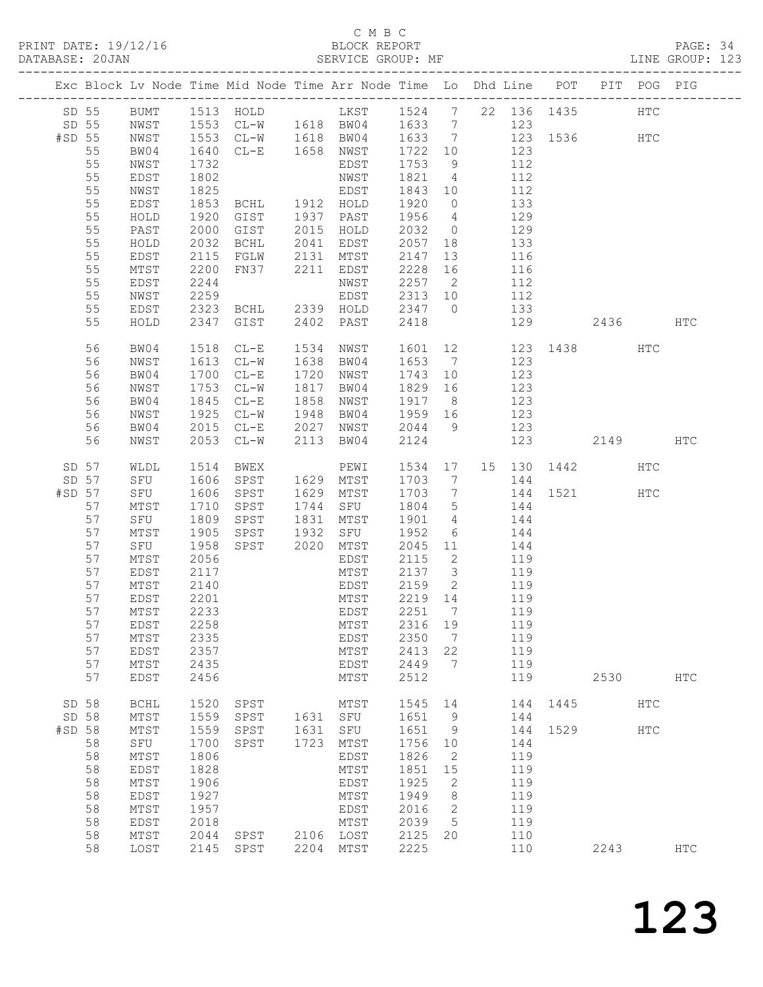#### C M B C DATABASE: 20JAN SERVICE GROUP: MF LINE GROUP: 123

|        |          |                     |              | Exc Block Lv Node Time Mid Node Time Arr Node Time Lo Dhd Line POT                        |          |                           |              |                |       |            |          |                     | PIT POG PIG |               |
|--------|----------|---------------------|--------------|-------------------------------------------------------------------------------------------|----------|---------------------------|--------------|----------------|-------|------------|----------|---------------------|-------------|---------------|
|        |          |                     |              | SD 55 BUMT 1513 HOLD LKST 1524 7 22 136 1435<br>SD 55 NWST 1553 CL-W 1618 BW04 1633 7 123 |          |                           |              |                |       |            |          |                     | HTC         |               |
| #SD 55 |          | NWST                |              | 1553 CL-W 1618 BW04 1633 7                                                                |          |                           |              |                |       |            |          | 123 1536 HTC        |             |               |
|        | 55       | BW04                | 1640         | CL-E 1658 NWST                                                                            |          |                           | 1722 10      |                | 123   |            |          |                     |             |               |
|        | 55       | NWST                |              |                                                                                           |          | EDST                      | 1753         | 9              |       |            |          |                     |             |               |
|        | 55       | EDST                | 1732<br>1802 |                                                                                           |          | NWST                      | 1821 4       |                |       | 112<br>112 |          |                     |             |               |
|        | 55       | NWST                | 1825         |                                                                                           |          | EDST                      | 1843 10      |                | 112   |            |          |                     |             |               |
|        | 55       |                     |              | BCHL 1912 HOLD                                                                            |          |                           | 1920 0       |                |       |            |          |                     |             |               |
|        |          | EDST                | 1853         |                                                                                           |          |                           |              |                | 133   |            |          |                     |             |               |
|        | 55       | HOLD                | 1920         | GIST 1937 PAST<br>GIST 2015 HOLD                                                          |          |                           | 1956 4       |                |       | 129        |          |                     |             |               |
|        | 55       | PAST                | 2000         |                                                                                           |          | 2041 EDST                 | 2032 0       |                | 133   | 129        |          |                     |             |               |
|        | 55       | HOLD                | 2032         | BCHL                                                                                      |          |                           | 2057 18      |                |       |            |          |                     |             |               |
|        | 55       | EDST                | 2115         | FGLW 2131 MTST                                                                            |          |                           | 2147         | 13             | 116   |            |          |                     |             |               |
|        | 55       | MTST                | 2200         | FN37 2211 EDST                                                                            |          |                           | 2228 16      |                | 116   |            |          |                     |             |               |
|        | 55       | EDST                | 2244         |                                                                                           |          | NWST                      | 2257 2       |                |       | 112<br>112 |          |                     |             |               |
|        | 55       | NWST                | 2259         |                                                                                           |          | EDST                      | 2313 10      |                |       |            |          |                     |             |               |
|        | 55       | EDST                | 2323         |                                                                                           |          | BCHL 2339 HOLD 2347 0 133 |              |                |       |            |          |                     |             |               |
|        | 55       | HOLD                | 2347         | GIST                                                                                      |          | 2402 PAST                 | 2418         |                |       |            | 129      | 2436                |             | HTC           |
|        | 56       | BW04                | 1518         | $CL-E$                                                                                    | 1534     | NWST                      | 1601 12      |                |       |            |          | 123 1438 HTC        |             |               |
|        | 56       | NWST                | 1613         | $CL-W$                                                                                    |          | 1638 BW04                 | 1653 7 123   |                |       |            |          |                     |             |               |
|        | 56       | BW04                | 1700         | $CL-E$                                                                                    | 1720     | NWST                      | 1743         | 10             |       | 123        |          |                     |             |               |
|        | 56       | NWST                | 1753         | $CL-W$                                                                                    |          | 1817 BW04                 | 1829 16      |                |       | 123<br>123 |          |                     |             |               |
|        | 56       | BW04                | 1845         | $CL-E$                                                                                    |          | 1858 NWST                 | 1917 8       |                |       |            |          |                     |             |               |
|        | 56       | NWST                | 1925         | CL-W 1948 BW04                                                                            |          |                           | 1959 16      |                | 123   |            |          |                     |             |               |
|        | 56       | BW04                | 2015         | CL-E 2027 NWST                                                                            |          |                           | 2044 9 123   |                |       |            |          |                     |             |               |
|        | 56       | NWST                | 2053         | $CL-W$                                                                                    |          | 2113 BW04                 | 2124         |                |       | 123        |          | 2149                |             | HTC           |
| SD 57  |          | WLDL                | 1514         | BWEX                                                                                      |          | PEWI                      |              |                |       |            |          | 1534 17 15 130 1442 | HTC         |               |
| SD 57  |          | SFU 1606            |              | SPST 1629 MTST                                                                            |          |                           | 1703 7       |                | 144   |            |          |                     |             |               |
| #SD 57 |          | SFU                 | 1606         | SPST                                                                                      |          | 1629 MTST                 | 1703 7       |                |       |            |          | 144 1521 HTC        |             |               |
|        | 57       | MTST                | 1710         | SPST                                                                                      |          | 1744 SFU                  | 1804 5       |                |       | 144        |          |                     |             |               |
|        | 57       | SFU                 | 1809         | SPST                                                                                      |          | 1831 MTST                 | 1901 4       |                | 144   |            |          |                     |             |               |
|        | 57       | MTST                | 1905         | SPST                                                                                      |          | 1932 SFU                  | 1952         | 6              | 144   |            |          |                     |             |               |
|        | 57       | SFU                 | 1958         | SPST                                                                                      | 2020     | MTST                      | 2045         | 11             |       | 144        |          |                     |             |               |
|        | 57       | MTST                | 2056         |                                                                                           |          | EDST                      | 2115 2       |                |       | 119        |          |                     |             |               |
|        | 57       | EDST                | 2117         |                                                                                           |          | MTST                      | 2137 3 119   |                |       |            |          |                     |             |               |
|        | 57       | MTST                | 2140         |                                                                                           |          | EDST                      | 2159         |                | 2 119 |            |          |                     |             |               |
|        | 57       | EDST                |              |                                                                                           |          | MTST                      | 2219 14      |                |       | 119        |          |                     |             |               |
|        | 57       | MTST                | 2201<br>2233 |                                                                                           |          | EDST                      | 2251 7       |                |       | 119        |          |                     |             |               |
|        |          | 57 EDST 2258        |              |                                                                                           |          | MTST 2316 19              |              |                |       | 119        |          |                     |             |               |
|        | 57       |                     |              |                                                                                           |          |                           |              | $\overline{7}$ |       | 119        |          |                     |             |               |
|        | 57       | MTST<br><b>EDST</b> | 2335<br>2357 |                                                                                           |          | EDST<br>MTST              | 2350<br>2413 | 22             |       | 119        |          |                     |             |               |
|        |          |                     |              |                                                                                           |          |                           |              |                |       |            |          |                     |             |               |
|        | 57<br>57 | MTST<br>EDST        | 2435<br>2456 |                                                                                           |          | EDST<br>MTST              | 2449<br>2512 | 7              |       | 119<br>119 |          | 2530                |             | <b>HTC</b>    |
|        |          |                     |              |                                                                                           |          |                           |              |                |       |            |          |                     |             |               |
| SD 58  |          | <b>BCHL</b>         | 1520         | SPST                                                                                      |          | MTST                      | 1545         | 14             |       | 144        | 1445     |                     | HTC         |               |
| SD 58  |          | MTST                | 1559         | SPST                                                                                      | 1631 SFU |                           | 1651         | 9              |       | 144        |          |                     |             |               |
| #SD 58 |          | MTST                | 1559         | SPST                                                                                      | 1631     | SFU                       | 1651         | 9              |       |            | 144 1529 |                     | HTC         |               |
|        | 58       | SFU                 | 1700         | SPST                                                                                      | 1723     | MTST                      | 1756         | 10             |       | 144        |          |                     |             |               |
|        | 58       | MTST                | 1806         |                                                                                           |          | EDST                      | 1826         | 2              |       | 119        |          |                     |             |               |
|        | 58       | EDST                | 1828         |                                                                                           |          | MTST                      | 1851         | 15             |       | 119        |          |                     |             |               |
|        | 58       | MTST                | 1906         |                                                                                           |          | EDST                      | 1925         | $\mathbf{2}$   |       | 119        |          |                     |             |               |
|        | 58       | EDST                | 1927         |                                                                                           |          | MTST                      | 1949         | 8              |       | 119        |          |                     |             |               |
|        | 58       | MTST                | 1957         |                                                                                           |          | EDST                      | 2016         | 2              |       | 119        |          |                     |             |               |
|        | 58       | EDST                | 2018         |                                                                                           |          | MTST                      | 2039         | $5^{\circ}$    |       | 119        |          |                     |             |               |
|        | 58       | MTST                | 2044         | SPST                                                                                      |          | 2106 LOST                 | 2125         | 20             |       | 110        |          |                     |             |               |
|        | 58       | LOST                |              | 2145 SPST                                                                                 |          | 2204 MTST                 | 2225         |                |       | 110        |          | 2243                |             | $_{\rm{HTC}}$ |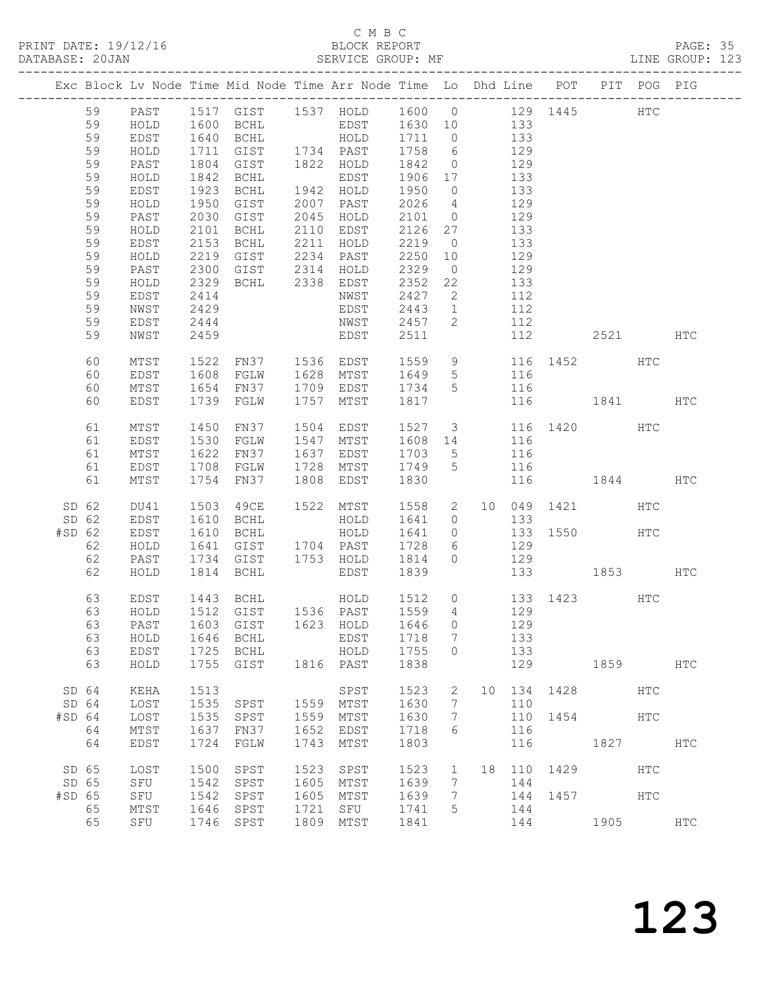PRINT DATE: 19/12/16 BLOCK REPORT<br>DATABASE: 20JAN BATABASE: 20JAN

### C M B C<br>BLOCK REPORT

PAGE: 35<br>LINE GROUP: 123

|          |       |               |              |                |      | Exc Block Lv Node Time Mid Node Time Arr Node Time Lo Dhd Line POT PIT POG PIG |                  |                 |     |     |      |              |            |            |
|----------|-------|---------------|--------------|----------------|------|--------------------------------------------------------------------------------|------------------|-----------------|-----|-----|------|--------------|------------|------------|
|          | 59    | PAST          |              |                |      | 1517 GIST 1537 HOLD 1600 0 129 1445                                            |                  |                 |     |     |      |              | <b>HTC</b> |            |
|          | 59    | HOLD          |              |                |      | 1600 BCHL EDST 1630 10 133                                                     |                  |                 |     |     |      |              |            |            |
|          | 59    | EDST          |              | BCHL           |      | HOLD                                                                           |                  |                 |     | 133 |      |              |            |            |
|          | 59    | $\verb HOLD $ | 1640<br>1711 | GIST 1734 PAST |      |                                                                                | 1711 0<br>1758 6 |                 |     | 129 |      |              |            |            |
|          | 59    | PAST          | 1804         | GIST           |      | 1822 HOLD                                                                      | 1842             | $\overline{0}$  | 129 |     |      |              |            |            |
|          | 59    | HOLD          | 1842         | BCHL           |      | EDST                                                                           | 1906 17          |                 | 133 |     |      |              |            |            |
|          | 59    | EDST          | 1923         | BCHL           |      | 1942 HOLD                                                                      | 1950             | $\overline{0}$  |     | 133 |      |              |            |            |
|          | 59    | $\verb HOLD $ | 1950         | GIST           |      | 2007 PAST                                                                      | 2026             | $\overline{4}$  |     | 129 |      |              |            |            |
|          | 59    | PAST          | 2030         | GIST           |      | 2045 HOLD                                                                      | 2101 0           |                 | 129 |     |      |              |            |            |
|          | 59    | HOLD          | 2101         | BCHL           |      | 2110 EDST                                                                      | 2126             | 27              |     | 133 |      |              |            |            |
|          | 59    | EDST          | 2153         | BCHL           | 2211 | HOLD                                                                           | 2219             | $\overline{0}$  |     | 133 |      |              |            |            |
|          | 59    | HOLD          | 2219         | GIST           |      | 2234 PAST                                                                      | 2250             | 10              |     | 129 |      |              |            |            |
|          | 59    | PAST          | 2300         | GIST 2314      |      | HOLD                                                                           | 2329             | $\overline{0}$  |     | 129 |      |              |            |            |
|          | 59    | HOLD          | 2329         | BCHL 2338      |      | EDST                                                                           | 2352             | 22              |     | 133 |      |              |            |            |
|          | 59    | EDST          | 2414         |                |      | NWST                                                                           | 2427             | 2               |     | 112 |      |              |            |            |
|          | 59    | NWST          | 2429         |                |      | EDST                                                                           | 2443             | 1               |     | 112 |      |              |            |            |
|          | 59    | EDST          | 2444         |                |      | NWST                                                                           | 2457             | $\overline{2}$  |     | 112 |      |              |            |            |
|          | 59    | NWST          | 2459         |                |      | EDST                                                                           | 2511             |                 |     | 112 |      | 2521         |            | HTC        |
|          | 60    | MTST          | 1522         |                |      | FN37 1536 EDST 1559 9 116 1452 HTC<br>FGLW 1628 MTST 1649 5 116                |                  |                 |     |     |      |              |            |            |
|          | 60    | EDST          | 1608         | FGLW           |      | 1628 MTST                                                                      |                  | $5\overline{)}$ |     |     |      |              |            |            |
|          | 60    | MTST          | 1654         | FN37           |      | 1709 EDST                                                                      | 1734 5           |                 |     | 116 |      |              |            |            |
|          | 60    | EDST          | 1739         | FGLW           | 1757 | MTST                                                                           | 1817             |                 |     |     |      | 116 1841 HTC |            |            |
|          | 61    | MTST          | 1450         | FN37           |      | 1504 EDST                                                                      | 1527 3           |                 |     |     |      | 116 1420 HTC |            |            |
|          | 61    | EDST          | 1530         | FGLW           |      | 1547 MTST                                                                      | 1608 14          |                 | 116 |     |      |              |            |            |
|          | 61    | MTST          | 1622         | FN37           | 1637 | EDST                                                                           | 1703             | $5\overline{)}$ |     | 116 |      |              |            |            |
|          | 61    | EDST          | 1708         | FGLW           | 1728 | MTST                                                                           | 1749             | $5\overline{)}$ |     | 116 |      |              |            |            |
|          | 61    | MTST          | 1754         | FN37           | 1808 | EDST                                                                           | 1830             |                 |     | 116 |      | 1844 HTC     |            |            |
| SD 62    |       | DU41          | 1503         | 49CE           |      | 1522 MTST                                                                      | 1558             | $\mathbf{2}$    |     |     |      | 10 049 1421  | HTC        |            |
|          | SD 62 | EDST          | 1610         | BCHL           |      | HOLD                                                                           | 1641             | $\overline{0}$  |     | 133 |      |              |            |            |
| $#SD$ 62 |       | EDST          | 1610         | BCHL           |      | HOLD                                                                           | 1641             | $\overline{0}$  |     |     |      | 133 1550 HTC |            |            |
|          | 62    | HOLD          | 1641         | GIST           |      | 1704 PAST                                                                      | 1728             | 6               | 129 |     |      |              |            |            |
|          | 62    | PAST          | 1734         | GIST           |      | 1753 HOLD                                                                      | 1814             | $\overline{0}$  |     | 129 |      |              |            |            |
|          | 62    | HOLD          | 1814         | BCHL           |      | EDST                                                                           | 1839             |                 |     |     |      | 133 1853     |            | HTC        |
|          | 63    | EDST          |              | 1443 BCHL      |      | HOLD 1512 0 133 1423 HTC                                                       |                  |                 |     |     |      |              |            |            |
|          | 63    | HOLD          |              |                |      | 1512 GIST 1536 PAST 1559 4 129                                                 |                  |                 |     |     |      |              |            |            |
|          | 63    | PAST          | 1603         | GIST           | 1623 | HOLD                                                                           | 1646 0           |                 |     | 129 |      |              |            |            |
|          | 63    | HOLD          | 1646         | <b>BCHL</b>    |      | EDST                                                                           | 1718             | 7               |     | 133 |      |              |            |            |
|          | 63    | EDST          | 1725         | <b>BCHL</b>    |      | HOLD                                                                           | 1755             | $\circ$         |     | 133 |      |              |            |            |
|          | 63    | HOLD          | 1755         | GIST           |      | 1816 PAST                                                                      | 1838             |                 |     | 129 |      | 1859         |            | HTC        |
|          | SD 64 | KEHA          | 1513         |                |      | SPST                                                                           | 1523             | 2               | 10  | 134 | 1428 |              | HTC        |            |
|          | SD 64 | LOST          | 1535         | SPST           | 1559 | MTST                                                                           | 1630             | 7               |     | 110 |      |              |            |            |
| $#SD$ 64 |       | LOST          | 1535         | SPST           | 1559 | MTST                                                                           | 1630             | 7               |     | 110 | 1454 |              | <b>HTC</b> |            |
|          | 64    | MTST          | 1637         | FN37           | 1652 | EDST                                                                           | 1718             | 6               |     | 116 |      |              |            |            |
|          | 64    | EDST          | 1724         | FGLW           | 1743 | MTST                                                                           | 1803             |                 |     | 116 |      | 1827         |            | HTC        |
| SD 65    |       | LOST          | 1500         | SPST           | 1523 | SPST                                                                           | 1523             | $\mathbf{1}$    | 18  | 110 | 1429 |              | HTC        |            |
| SD 65    |       | SFU           | 1542         | SPST           | 1605 | MTST                                                                           | 1639             | 7               |     | 144 |      |              |            |            |
| #SD 65   |       | SFU           | 1542         | SPST           | 1605 | MTST                                                                           | 1639             | 7               |     | 144 | 1457 |              | HTC        |            |
|          | 65    | MTST          | 1646         | SPST           | 1721 | SFU                                                                            | 1741             | 5               |     | 144 |      |              |            |            |
|          | 65    | SFU           | 1746         | SPST           | 1809 | MTST                                                                           | 1841             |                 |     | 144 |      | 1905         |            | <b>HTC</b> |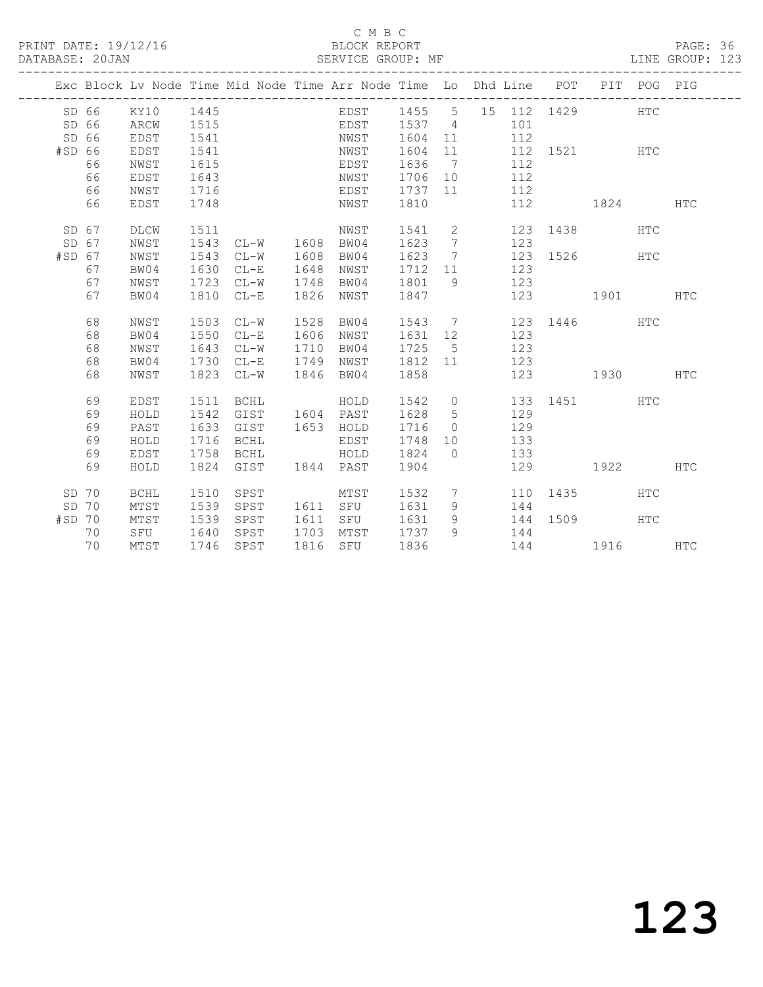#### C M B C C M B C C M B C C M B C C M B C C M B C C M B C C M B C C M B C C M B C C M B C C M B C C M B C C M B C C M B C C M B C C M B C C M B C C M B C C M B C C M B C C M B C C M B C C M B C C M B C C M B C C M B C C M B

#### DATABASE: 20JAN SERVICE GROUP: MF LINE GROUP: 123

|          |    |                 |      | -------------------------------- |      | Exc Block Lv Node Time Mid Node Time Arr Node Time Lo Dhd Line POT PIT POG PIG |             |                |                       |     |                     |     |            |
|----------|----|-----------------|------|----------------------------------|------|--------------------------------------------------------------------------------|-------------|----------------|-----------------------|-----|---------------------|-----|------------|
|          |    | SD 66 KY10 1445 |      |                                  |      | EDST 1455 5 15 112 1429 HTC                                                    |             |                |                       |     |                     |     |            |
| SD 66    |    | ARCW            | 1515 |                                  |      | EDST 1537 4 101                                                                |             |                |                       |     |                     |     |            |
| SD 66    |    | EDST            | 1541 |                                  |      | NWST                                                                           | 1604 11     |                |                       | 112 |                     |     |            |
| #SD 66   |    | EDST            | 1541 |                                  |      | NWST                                                                           | 1604 11     |                |                       |     | 112 1521 HTC        |     |            |
|          | 66 | NWST            | 1615 |                                  |      | EDST                                                                           | 1636 7      |                |                       | 112 |                     |     |            |
|          | 66 | EDST            | 1643 |                                  |      | NWST                                                                           | 1706 10     |                |                       | 112 |                     |     |            |
|          | 66 | NWST            | 1716 |                                  |      | EDST                                                                           | 1737 11     |                |                       | 112 |                     |     |            |
|          | 66 | EDST            | 1748 |                                  |      | NWST 1810                                                                      |             |                |                       | 112 | 1824                |     | <b>HTC</b> |
| SD 67    |    | DLCW            | 1511 |                                  |      | NWST                                                                           |             |                |                       |     | 1541 2 123 1438 HTC |     |            |
| SD 67    |    | NWST            |      | 1543 CL-W 1608 BW04              |      |                                                                                | 1623        | $\overline{7}$ |                       | 123 |                     |     |            |
| $#SD$ 67 |    | NWST            | 1543 | $CL-W$                           |      | 1608 BW04                                                                      | 1623 7      |                |                       |     | 123 1526 HTC        |     |            |
|          | 67 | BW04            | 1630 | $CL-E$                           | 1648 | NWST                                                                           | 1712 11 123 |                |                       |     |                     |     |            |
|          | 67 | NWST            | 1723 | $CL-W$                           | 1748 | BW04                                                                           | 1801 9 123  |                |                       |     |                     |     |            |
|          | 67 | BW04            |      | 1810 CL-E                        | 1826 | NWST                                                                           | 1847        |                |                       |     | 123 1901 HTC        |     |            |
|          | 68 | NWST            | 1503 | $CL-W$                           | 1528 | BW04                                                                           |             |                |                       |     | 1543 7 123 1446 HTC |     |            |
|          | 68 | BW04            | 1550 | $CL-E$                           | 1606 | NWST                                                                           | 1631 12 123 |                |                       |     |                     |     |            |
|          | 68 | NWST            | 1643 | $CL-W$                           | 1710 | BW04                                                                           | 1725 5      |                | 123                   |     |                     |     |            |
|          | 68 | BW04            | 1730 | $CL-E$                           | 1749 | NWST                                                                           | 1812 11 123 |                |                       |     |                     |     |            |
|          | 68 | NWST            |      | 1823 CL-W                        | 1846 | BW04                                                                           | 1858        |                |                       |     | 123 1930 HTC        |     |            |
|          | 69 | EDST            | 1511 | BCHL                             |      | HOLD                                                                           | 1542 0      |                |                       |     | 133 1451 HTC        |     |            |
|          | 69 | HOLD            | 1542 | GIST                             |      | 1604 PAST                                                                      | 1628 5 129  |                |                       |     |                     |     |            |
|          | 69 | PAST            | 1633 | GIST                             |      | 1653 HOLD                                                                      | 1716        |                | $0 \qquad \qquad 129$ |     |                     |     |            |
|          | 69 | HOLD            | 1716 | BCHL                             |      | EDST                                                                           | 1748        |                | 10 133                |     |                     |     |            |
|          | 69 | EDST            | 1758 | BCHL                             |      | HOLD 1824                                                                      |             |                | 0 133                 |     |                     |     |            |
|          | 69 | HOLD            |      | 1824 GIST 1844 PAST              |      |                                                                                | 1904        |                |                       |     | 129 1922 HTC        |     |            |
| SD 70    |    | <b>BCHL</b>     | 1510 | SPST                             |      | MTST                                                                           | 1532 7      |                |                       |     | 110 1435            | HTC |            |
| SD 70    |    | MTST            | 1539 | SPST                             |      | 1611 SFU                                                                       | 1631 9 144  |                |                       |     |                     |     |            |
| $#SD$ 70 |    | MTST            | 1539 | SPST                             |      | 1611 SFU                                                                       | 1631        | 9              |                       |     | 144 1509 HTC        |     |            |
|          | 70 | SFU 1640        |      | SPST                             |      | 1703 MTST 1737 9                                                               |             |                | 144                   |     |                     |     |            |
|          | 70 | MTST            |      | 1746 SPST                        |      | 1816 SFU 1836                                                                  |             |                |                       |     | 144 1916 HTC        |     |            |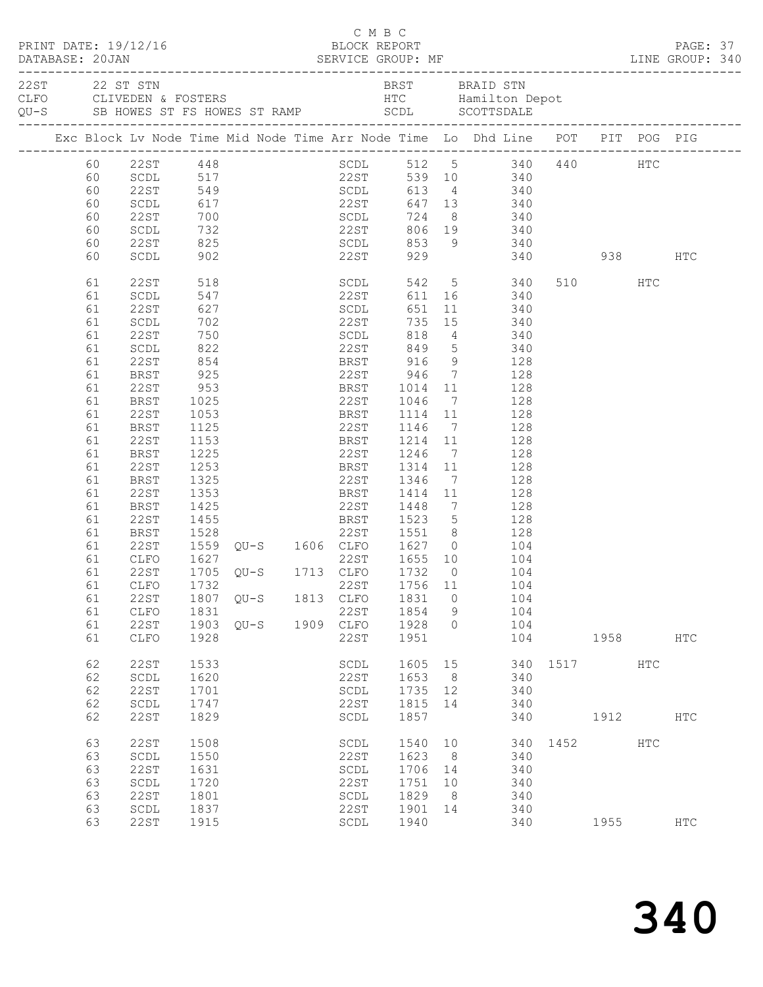|  |                                                                                                                                              | PRINT DATE: 19/12/16<br>DATABASE: 20JAN SERVICE GROUP: MF LINE GROUP: 340                                                                                                                                                                   |                                                                                                                                                                                          |  | C M B C<br>BLOCK REPORT                                                                                                                                                                                                              |                                                                                                                                                                                                  |                                                                                          |                                                                                                                            |                                                                                                                    |              |           |            | PAGE: 37   |  |
|--|----------------------------------------------------------------------------------------------------------------------------------------------|---------------------------------------------------------------------------------------------------------------------------------------------------------------------------------------------------------------------------------------------|------------------------------------------------------------------------------------------------------------------------------------------------------------------------------------------|--|--------------------------------------------------------------------------------------------------------------------------------------------------------------------------------------------------------------------------------------|--------------------------------------------------------------------------------------------------------------------------------------------------------------------------------------------------|------------------------------------------------------------------------------------------|----------------------------------------------------------------------------------------------------------------------------|--------------------------------------------------------------------------------------------------------------------|--------------|-----------|------------|------------|--|
|  |                                                                                                                                              | 22ST 22 ST STN<br>CLFO CLIVEDEN & FOSTERS HOWES ST RAMP AND SCOLL SCOTTSDALE                                                                                                                                                                |                                                                                                                                                                                          |  |                                                                                                                                                                                                                                      | BRST BRAID STN                                                                                                                                                                                   |                                                                                          |                                                                                                                            |                                                                                                                    |              |           |            |            |  |
|  |                                                                                                                                              | Exc Block Lv Node Time Mid Node Time Arr Node Time Lo Dhd Line POT PIT POG PIG                                                                                                                                                              |                                                                                                                                                                                          |  |                                                                                                                                                                                                                                      |                                                                                                                                                                                                  |                                                                                          |                                                                                                                            |                                                                                                                    |              |           |            |            |  |
|  | 60<br>60<br>60<br>60<br>60<br>60<br>60<br>60                                                                                                 | $22ST$ 448<br>SCDL 517<br>22ST 549<br>SCDL<br>22ST<br>$\operatorname{\mathsf{SCDL}}$<br>22ST<br>SCDL                                                                                                                                        |                                                                                                                                                                                          |  |                                                                                                                                                                                                                                      | SCDL 512 5 340 440<br>22ST 539 10 340<br>SCDL 613 4 340<br>617 22ST 647 13 340<br>700 SCDL 724<br>732 22ST 806<br>825 SCDL 853<br>902 22ST 929                                                   |                                                                                          | 8 340                                                                                                                      | 340<br>806 19 340<br>853 9 340<br>340 938                                                                          |              |           | HTC        | HTC        |  |
|  | 61<br>61<br>61<br>61<br>61<br>61<br>61<br>61<br>61<br>61<br>61<br>61<br>61<br>61<br>61<br>61<br>61<br>61<br>61<br>61<br>61<br>61<br>61<br>61 | 22ST<br>SCDL<br>22ST<br>SCDL<br>22ST<br>SCDL<br>22ST<br>BRST<br>22ST<br>BRST<br>22ST<br>BRST<br>22ST<br><b>BRST</b><br>22ST<br><b>BRST</b><br>22ST<br>BRST<br>22ST<br>BRST<br>22ST<br>CLFO<br>22ST<br>61 CLFO 1732 22ST 1756 11 104<br>22ST | 518<br>518<br>547<br>627<br>702<br>750<br>822<br>$\frac{622}{854}$<br>925<br>953<br>1025<br>1053<br>1125<br>1153<br>1225<br>1253<br>1325<br>1353<br>1425<br>1455<br>1455<br>1528<br>1627 |  | SCDL<br>22ST<br>SCDL<br>22ST<br>SCDL<br>22ST<br><b>BRST</b><br>22ST<br><b>BRST</b><br>22ST<br><b>BRST</b><br>22ST<br><b>BRST</b><br>22ST<br><b>BRST</b><br>22ST<br><b>BRST</b><br>22ST<br>1705 QU-S 1713 CLFO<br>1807 QU-S 1813 CLFO | 611<br>651<br>735<br>818<br>849<br>BRST 916<br>22ST 946<br>1014<br>1046<br>1114<br>1146<br>1214<br>1246<br>1314<br>1346<br>1414<br>1448<br>1523<br>22ST 1551<br>1559 QU-S 1606 CLFO 1627<br>1831 | $7\overline{ }$<br>11<br>11<br>$7\overline{ }$<br>11<br>11<br>$7\overline{ }$<br>$\circ$ | 11 340<br>15 340<br>$\frac{4}{5}$<br>9 128<br>7 128<br>11 128<br>$7\overline{ }$<br>7 128<br>$5$ $128$<br>8 128<br>$0$ 104 | 542 5 340<br>611 16 340<br>340<br>340<br>128<br>128<br>128<br>128<br>128<br>128<br>128<br>128<br>104<br>104<br>104 |              | 510 HTC   |            |            |  |
|  | 61<br>61<br>61                                                                                                                               | CLFO<br>22ST<br>CLFO                                                                                                                                                                                                                        | 1831<br>1928                                                                                                                                                                             |  | 22ST<br>1903 QU-S 1909 CLFO<br>22ST                                                                                                                                                                                                  | 1854<br>1928<br>1951                                                                                                                                                                             | 9<br>$\circ$                                                                             |                                                                                                                            | 104<br>104<br>104                                                                                                  |              | 1958 1990 |            | <b>HTC</b> |  |
|  | 62<br>62<br>62<br>62<br>62                                                                                                                   | <b>22ST</b><br>SCDL<br>22ST<br>$\operatorname{\mathsf{SCDL}}$<br><b>22ST</b>                                                                                                                                                                | 1533<br>1620<br>1701<br>1747<br>1829                                                                                                                                                     |  | SCDL<br>22ST<br>SCDL<br>22ST<br>SCDL                                                                                                                                                                                                 | 1605 15<br>1653<br>1735<br>1815<br>1857                                                                                                                                                          | 8 <sup>8</sup><br>12<br>14                                                               |                                                                                                                            | 340<br>340<br>340<br>340                                                                                           | 340 1517 HTC | 1912      |            | HTC        |  |
|  | 63<br>63<br>63<br>63<br>63<br>63<br>63                                                                                                       | <b>22ST</b><br>$\operatorname{\mathsf{SCDL}}$<br><b>22ST</b><br>$\operatorname{\mathsf{SCDL}}$<br>22ST<br>SCDL<br>22ST                                                                                                                      | 1508<br>1550<br>1631<br>1720<br>1801<br>1837<br>1915                                                                                                                                     |  | SCDL<br>22ST<br>SCDL<br>22ST<br>SCDL<br>22ST<br>SCDL                                                                                                                                                                                 | 1540<br>1623<br>1706<br>1751<br>1829<br>1901<br>1940                                                                                                                                             | 10<br>8<br>14<br>10<br>8<br>14                                                           |                                                                                                                            | 340<br>340<br>340<br>340<br>340<br>340                                                                             | 340 1452     | 1955      | <b>HTC</b> | HTC        |  |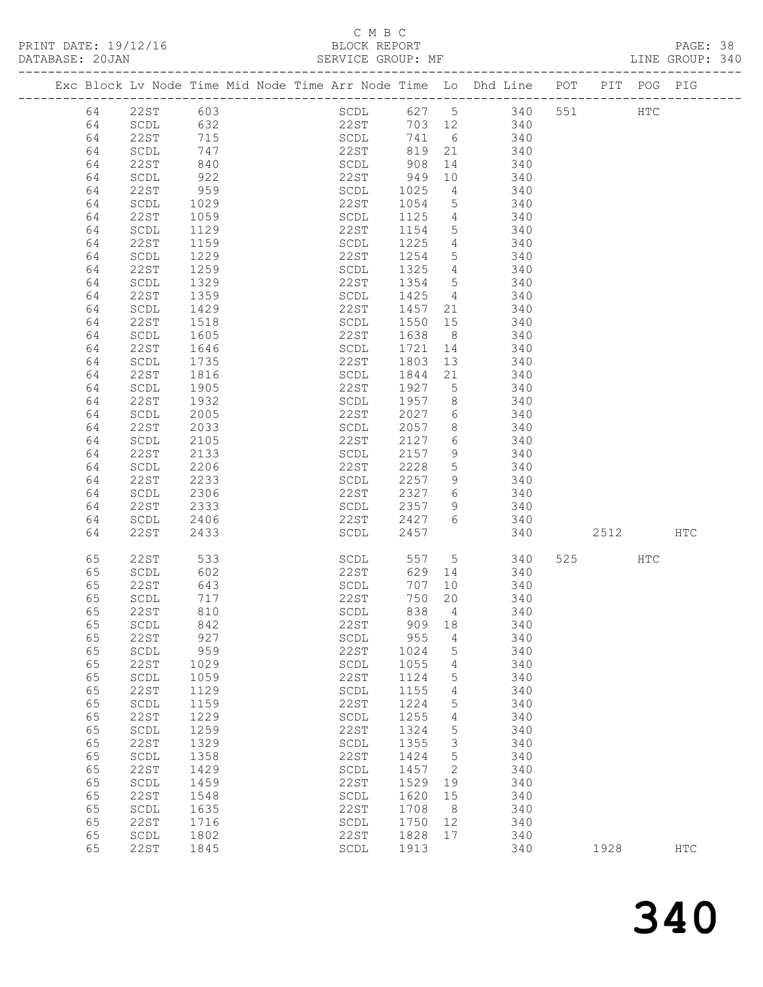### C M B C<br>BLOCK REPOF

| PRINT DATE: 19/12/16 | RI.OCK            | REPORT |  | PAGE:         |      |
|----------------------|-------------------|--------|--|---------------|------|
| DATARASE 20JAN       | SERVICE GROUP: MF |        |  | T.TNE GROUP > | 34 C |

| Exc Block Lv Node Time Mid Node Time Arr Node Time Lo Dhd Line POT |                                |            |  |                                |      |         |                 |            |                |     |      | PIT POG PIG |            |
|--------------------------------------------------------------------|--------------------------------|------------|--|--------------------------------|------|---------|-----------------|------------|----------------|-----|------|-------------|------------|
|                                                                    |                                |            |  |                                |      |         |                 |            |                |     |      |             |            |
| 64                                                                 | 22ST                           | 603        |  |                                |      |         |                 |            | SCDL 627 5 340 | 551 |      | HTC         |            |
| 64                                                                 | SCDL                           | 632        |  |                                | 22ST |         |                 | 703 12 340 |                |     |      |             |            |
| 64                                                                 | 22ST                           | 715        |  |                                | SCDL |         |                 | 741 6 340  |                |     |      |             |            |
| 64                                                                 | SCDL                           | 747<br>840 |  | 22ST                           |      | 819 21  |                 |            | 340            |     |      |             |            |
| 64                                                                 | 22ST                           |            |  | SCDL                           |      | 908     | 14              |            | 340            |     |      |             |            |
| 64                                                                 | SCDL                           | 922        |  | 22ST                           |      | 949     | 10              |            | 340            |     |      |             |            |
| 64                                                                 | 22ST                           | 959        |  | SCDL                           |      | 1025    | $\overline{4}$  | 340        |                |     |      |             |            |
| 64                                                                 | SCDL                           | 1029       |  | 22ST                           |      | 1054    | $5\overline{)}$ |            | 340            |     |      |             |            |
| 64                                                                 | 22ST                           | 1059       |  | SCDL                           |      | 1125    | $4\overline{4}$ |            | 340            |     |      |             |            |
| 64                                                                 | SCDL                           | 1129       |  | 22ST                           |      | 1154    | $5\overline{)}$ |            | 340            |     |      |             |            |
| 64                                                                 | 22ST                           | 1159       |  | SCDL                           |      | 1225    | $\overline{4}$  |            | 340            |     |      |             |            |
| 64                                                                 | SCDL                           | 1229       |  | 22ST                           |      | 1254    | $5\overline{)}$ |            | 340            |     |      |             |            |
| 64                                                                 | 22ST                           | 1259       |  | SCDL                           |      | 1325    | $\overline{4}$  |            | 340            |     |      |             |            |
| 64                                                                 | $\operatorname{\mathsf{SCDL}}$ | 1329       |  | 22ST                           |      | 1354    | $5\overline{)}$ |            | 340            |     |      |             |            |
| 64                                                                 | 22ST                           | 1359       |  | SCDL                           |      | 1425    | $\overline{4}$  | 340        |                |     |      |             |            |
| 64                                                                 | SCDL                           | 1429       |  | 22ST                           |      | 1457    | 21              |            | 340            |     |      |             |            |
| 64                                                                 | 22ST                           | 1518       |  | SCDL                           |      | 1550 15 |                 |            | 340            |     |      |             |            |
| 64                                                                 | SCDL                           | 1605       |  | 22ST                           |      | 1638    | 8 <sup>8</sup>  |            | 340            |     |      |             |            |
| 64                                                                 | 22ST                           | 1646       |  | SCDL                           |      | 1721    | 14              |            | 340            |     |      |             |            |
| 64                                                                 | SCDL                           | 1735       |  | 22ST                           |      | 1803    | 13              |            | 340            |     |      |             |            |
| 64                                                                 | 22ST                           | 1816       |  | SCDL                           |      | 1844    | 21              |            | 340            |     |      |             |            |
| 64                                                                 | $\operatorname{\mathsf{SCDL}}$ | 1905       |  | 22ST                           |      | 1927    | $5\overline{)}$ |            | 340            |     |      |             |            |
| 64                                                                 | 22ST                           | 1932       |  | SCDL                           |      | 1957    | 8 <sup>8</sup>  |            | 340            |     |      |             |            |
| 64                                                                 | $\operatorname{\mathsf{SCDL}}$ | 2005       |  | 22ST                           |      | 2027    | 6               |            | 340            |     |      |             |            |
| 64                                                                 | 22ST                           | 2033       |  | SCDL                           |      | 2057    | 8               |            | 340            |     |      |             |            |
| 64                                                                 | SCDL                           | 2105       |  | 22ST                           |      | 2127    | $6\overline{6}$ |            | 340            |     |      |             |            |
| 64                                                                 | 22ST                           | 2133       |  | SCDL                           |      | 2157    | 9               |            | 340            |     |      |             |            |
| 64                                                                 | $\operatorname{\mathsf{SCDL}}$ | 2206       |  | 22ST                           |      | 2228    | 5               | 340        |                |     |      |             |            |
| 64                                                                 | 22ST                           | 2233       |  | SCDL                           |      | 2257    | 9               |            | 340            |     |      |             |            |
| 64                                                                 | $\operatorname{\mathsf{SCDL}}$ | 2306       |  | 22ST                           |      | 2327    | 6               |            | 340            |     |      |             |            |
| 64                                                                 | 22ST                           | 2333       |  | SCDL                           |      | 2357    | 9               |            | 340            |     |      |             |            |
| 64                                                                 | SCDL                           | 2406       |  | 22ST                           |      | 2427    | 6               | 340        |                |     |      |             |            |
| 64                                                                 | 22ST                           | 2433       |  | SCDL                           |      | 2457    |                 |            | 340            |     | 2512 |             | <b>HTC</b> |
|                                                                    |                                |            |  |                                |      |         |                 |            |                |     |      |             |            |
| 65                                                                 | 22ST                           | 533        |  |                                | SCDL |         |                 | 557 5      | 340            |     | 525  | HTC         |            |
| 65                                                                 | SCDL                           | 602        |  |                                | 22ST |         | 629 14          |            | 340            |     |      |             |            |
| 65                                                                 | 22ST                           | 643        |  | SCDL                           |      | 707     | 10              |            | 340            |     |      |             |            |
| 65                                                                 | SCDL                           | 717        |  | 22ST                           |      | 750     | 20              |            | 340            |     |      |             |            |
| 65                                                                 | 22ST                           | 810        |  | SCDL                           |      | 838     | $\overline{4}$  |            | 340            |     |      |             |            |
|                                                                    | 65 SCDL 842                    |            |  | 22ST                           |      |         | 909 18          |            | 340            |     |      |             |            |
| 65                                                                 | 22ST                           | 927        |  | SCDL                           |      | 955     | 4               |            | 340            |     |      |             |            |
| 65                                                                 | $\operatorname{\mathsf{SCDL}}$ | 959        |  | 22ST                           |      | 1024    | $5\phantom{.0}$ |            | 340            |     |      |             |            |
| 65                                                                 | 22ST                           | 1029       |  | SCDL                           |      | 1055    | $\overline{4}$  |            | 340            |     |      |             |            |
| 65                                                                 | SCDL                           | 1059       |  | 22ST                           |      | 1124    | 5               |            | 340            |     |      |             |            |
| 65                                                                 | 22ST                           | 1129       |  | SCDL                           |      | 1155    | 4               |            | 340            |     |      |             |            |
| 65                                                                 | $\operatorname{\mathsf{SCDL}}$ | 1159       |  | 22ST                           |      | 1224    | 5               |            | 340            |     |      |             |            |
| 65                                                                 | 22ST                           | 1229       |  | $\operatorname{\mathsf{SCDL}}$ |      | 1255    | $\overline{4}$  |            | 340            |     |      |             |            |
| 65                                                                 | $\operatorname{\mathsf{SCDL}}$ | 1259       |  | 22ST                           |      | 1324    | 5               |            | 340            |     |      |             |            |
| 65                                                                 | 22ST                           | 1329       |  | SCDL                           |      | 1355    | $\mathcal{S}$   |            | 340            |     |      |             |            |
| 65                                                                 | SCDL                           | 1358       |  | 22ST                           |      | 1424    | 5               |            | 340            |     |      |             |            |
| 65                                                                 | 22ST                           | 1429       |  | $\operatorname{\mathsf{SCDL}}$ |      | 1457    | 2               |            | 340            |     |      |             |            |
| 65                                                                 | $\operatorname{\mathsf{SCDL}}$ | 1459       |  | 22ST                           |      | 1529    | 19              |            | 340            |     |      |             |            |
| 65                                                                 | 22ST                           | 1548       |  | SCDL                           |      | 1620    | 15              |            | 340            |     |      |             |            |
| 65                                                                 | SCDL                           | 1635       |  | 22ST                           |      | 1708    | 8               |            | 340            |     |      |             |            |
| 65                                                                 | 22ST                           | 1716       |  | $\operatorname{\mathsf{SCDL}}$ |      | 1750    | 12              |            | 340            |     |      |             |            |
| 65                                                                 | SCDL                           | 1802       |  | 22ST                           |      | 1828    | 17              |            | 340            |     |      |             |            |
| 65                                                                 | <b>22ST</b>                    | 1845       |  | SCDL                           |      | 1913    |                 |            | 340            |     | 1928 |             | <b>HTC</b> |
|                                                                    |                                |            |  |                                |      |         |                 |            |                |     |      |             |            |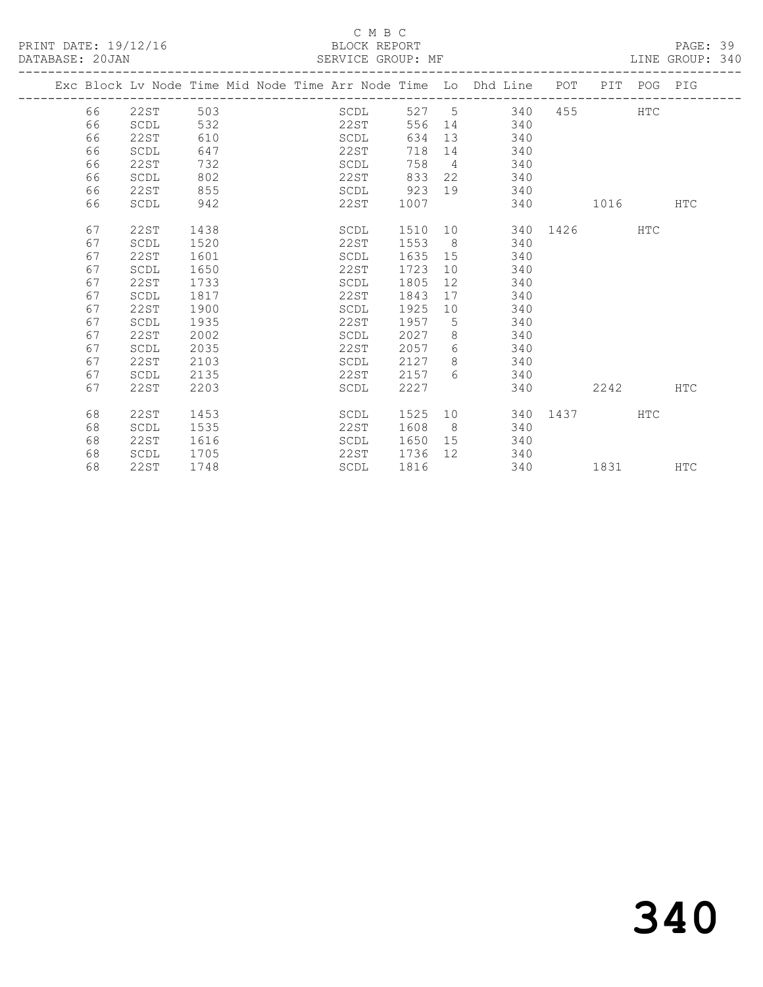PRINT DATE: 19/12/16 BLOCK REPORT DATABASE: 20JAN BLOCK REPORT SERVICE GROUP: MF

### C M B C<br>BLOCK REPORT

PAGE: 39<br>LINE GROUP: 340

|  |    |             |      |  |      |         |                 | Exc Block Lv Node Time Mid Node Time Arr Node Time Lo Dhd Line POT PIT POG PIG |           |            |            |
|--|----|-------------|------|--|------|---------|-----------------|--------------------------------------------------------------------------------|-----------|------------|------------|
|  | 66 | 22ST        | 503  |  | SCDL |         |                 | 527 5 340                                                                      | 455 7     | HTC        |            |
|  | 66 | SCDL        | 532  |  | 22ST | 556     |                 | 14 340                                                                         |           |            |            |
|  | 66 | 22ST        | 610  |  | SCDL | 634     |                 | 13<br>340                                                                      |           |            |            |
|  | 66 | SCDL        | 647  |  | 22ST | 718     |                 | 340                                                                            |           |            |            |
|  | 66 | 22ST        | 732  |  | SCDL | 758     | $\overline{4}$  | 340                                                                            |           |            |            |
|  | 66 | SCDL        | 802  |  | 22ST | 833     |                 | 22<br>340                                                                      |           |            |            |
|  | 66 | 22ST        | 855  |  | SCDL | 923     |                 | 340<br>19                                                                      |           |            |            |
|  | 66 | SCDL        | 942  |  | 22ST | 1007    |                 |                                                                                | 340 1016  |            | <b>HTC</b> |
|  |    |             |      |  |      |         |                 |                                                                                |           |            |            |
|  | 67 | 22ST        | 1438 |  | SCDL | 1510 10 |                 |                                                                                | 340 1426  | HTC        |            |
|  | 67 | SCDL        | 1520 |  | 22ST | 1553    | 8 <sup>8</sup>  | 340                                                                            |           |            |            |
|  | 67 | 22ST        | 1601 |  | SCDL | 1635    | 15              | 340                                                                            |           |            |            |
|  | 67 | SCDL        | 1650 |  | 22ST | 1723    | 10              | 340                                                                            |           |            |            |
|  | 67 | 22ST        | 1733 |  | SCDL | 1805    | 12              | 340                                                                            |           |            |            |
|  | 67 | SCDL        | 1817 |  | 22ST | 1843    | 17              | 340                                                                            |           |            |            |
|  | 67 | 22ST        | 1900 |  | SCDL | 1925    | 10              | 340                                                                            |           |            |            |
|  | 67 | SCDL        | 1935 |  | 22ST | 1957    | $5^{\circ}$     | 340                                                                            |           |            |            |
|  | 67 | <b>22ST</b> | 2002 |  | SCDL | 2027    | 8               | 340                                                                            |           |            |            |
|  | 67 | SCDL        | 2035 |  | 22ST | 2057    | 6               | 340                                                                            |           |            |            |
|  | 67 | <b>22ST</b> | 2103 |  | SCDL | 2127    | 8               | 340                                                                            |           |            |            |
|  | 67 | SCDL        | 2135 |  | 22ST | 2157    | $6^{\circ}$     | 340                                                                            |           |            |            |
|  | 67 | 22ST        | 2203 |  | SCDL | 2227    |                 | 340                                                                            | 2242      |            | <b>HTC</b> |
|  | 68 | <b>22ST</b> | 1453 |  | SCDL | 1525    |                 | 10                                                                             | 340 1437  | <b>HTC</b> |            |
|  | 68 | SCDL        | 1535 |  | 22ST | 1608    | - 8             | 340                                                                            |           |            |            |
|  | 68 | 22ST        | 1616 |  | SCDL | 1650    |                 | 15<br>340                                                                      |           |            |            |
|  | 68 | SCDL        | 1705 |  | 22ST | 1736    | 12 <sup>°</sup> | 340                                                                            |           |            |            |
|  |    |             |      |  |      |         |                 |                                                                                |           |            |            |
|  | 68 | 22ST        | 1748 |  | SCDL | 1816    |                 | 340                                                                            | 1831 1890 |            | <b>HTC</b> |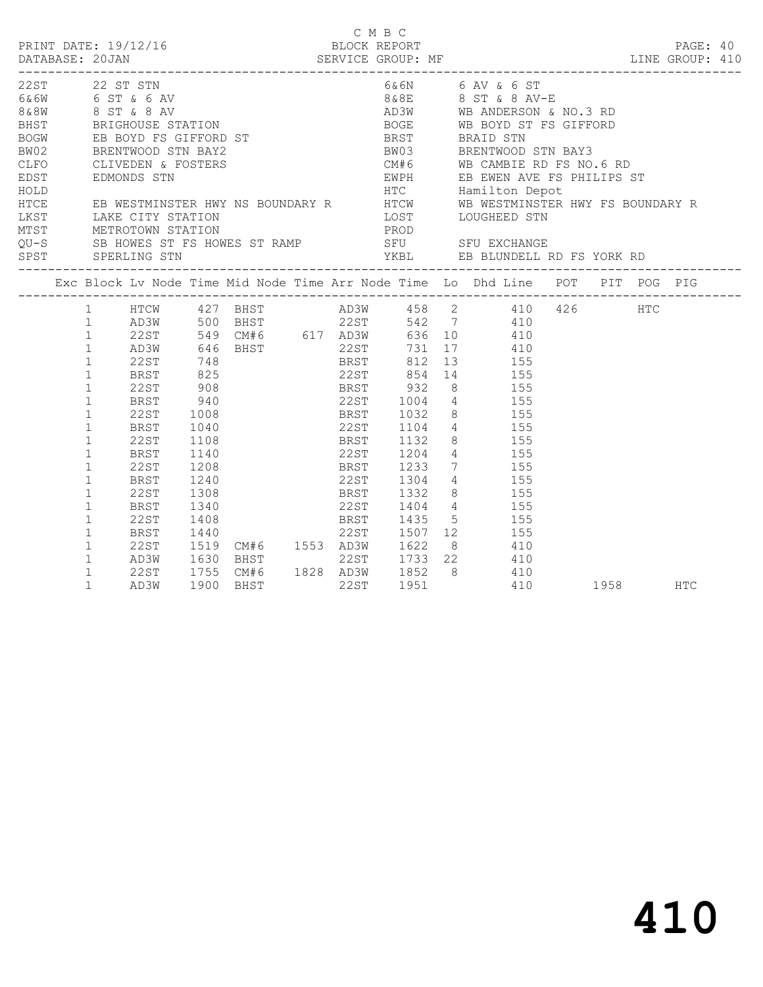| PRINT DATE: 19/12/16<br>DATABASE: 20JAN |                                                                                                                                                                                                                                                                                                               |                                                                                                      |                                              |                           |  | C M B C<br>BLOCK REPORT |      | DATABASE: 20JAN SERVICE GROUP: MF LINE GROUP: 410                                                                                                                                                                                                                                                                                                                                                                                           |           | PAGE: 40   |  |
|-----------------------------------------|---------------------------------------------------------------------------------------------------------------------------------------------------------------------------------------------------------------------------------------------------------------------------------------------------------------|------------------------------------------------------------------------------------------------------|----------------------------------------------|---------------------------|--|-------------------------|------|---------------------------------------------------------------------------------------------------------------------------------------------------------------------------------------------------------------------------------------------------------------------------------------------------------------------------------------------------------------------------------------------------------------------------------------------|-----------|------------|--|
| 22 ST STN                               |                                                                                                                                                                                                                                                                                                               |                                                                                                      |                                              |                           |  |                         |      | 6&6N 6 AV & 6 ST<br>CLIVEDEN & FOSTERS<br>EDST<br>EDMONDS STN ENGLISHER HWY NS BOUNDARY R<br>THOLD<br>HTC Hamilton Depot<br>HTC Hamilton Depot<br>HTC Hamilton Depot<br>HTC Hamilton Depot<br>HTC Hamilton Depot<br>HTC Hamilton Depot<br>HTC Hamilton Depot<br>HTC Hami<br>LOST LOUGHEED STN<br>PROD<br>LEST LAKE CITY STATION LOST LOUGHEED STN<br>MTST METROTOWN STATION PROD PROD<br>QU-S SB HOWES ST FS HOWES ST RAMP SFU SFU EXCHANGE |           |            |  |
|                                         |                                                                                                                                                                                                                                                                                                               |                                                                                                      |                                              |                           |  |                         |      |                                                                                                                                                                                                                                                                                                                                                                                                                                             |           |            |  |
|                                         | $1 \quad$<br>1<br>$\mathbf{1}$<br>$\mathbf{1}$<br>$\mathbf{1}$<br>$\mathbf{1}$<br>$\mathbf{1}$<br>$\mathbf{1}$<br>$\mathbf{1}$<br>$\mathbf{1}$<br>$\mathbf{1}$<br>$\mathbf 1$<br>$\mathbf{1}$<br>$\mathbf{1}$<br>$\mathbf{1}$<br>$\mathbf{1}$<br>$\mathbf{1}$<br>$\mathbf{1}$<br>$\mathbf{1}$<br>$\mathbf{1}$ | 22ST<br>BRST<br>22ST<br>BRST<br>22ST<br>BRST<br>22ST<br>BRST<br>22ST<br>BRST<br>22ST<br>22ST<br>AD3W | 1008<br>1040<br>1108<br>1208<br>1408<br>1900 | 1240<br>1308<br>BHST 22ST |  |                         | 1951 | 1 HTCW 427 BHST AD3W 458 2 410 426 HTC<br>1 AD3W 646 BHST 22ST 731 17 410<br>BRST 1032 8 155<br>22ST 1104 4 155<br>BRST 1132 8 155<br>1140 22ST 1204 4 155<br>BRST 1233 7 155<br>22ST 1304 4 155<br>BRST 1332 8 155<br>1340 22ST 1404 4 155<br>BRST 1435 5 155<br>22st 1507 12 155<br>AD3W 1630 BHST 22ST 1733 22 410<br>1755 CM#6 1828 AD3W 1852 8 410<br>410                                                                              | 1958 1990 | <b>HTC</b> |  |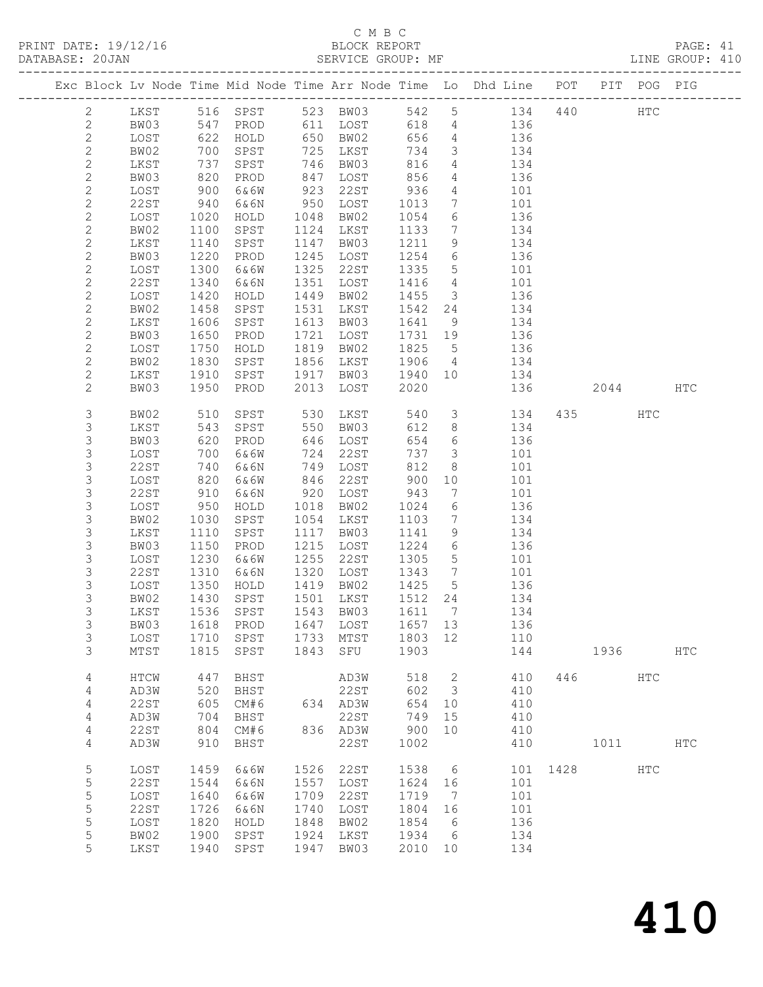### C M B C

| DATABASE: 20JAN |      |              | SERVICE GROUP: MF |      |               |              |                          |                                                                                |          |         |     | LINE GROUP: 410 |  |
|-----------------|------|--------------|-------------------|------|---------------|--------------|--------------------------|--------------------------------------------------------------------------------|----------|---------|-----|-----------------|--|
|                 |      |              |                   |      |               |              |                          | Exc Block Lv Node Time Mid Node Time Arr Node Time Lo Dhd Line POT PIT POG PIG |          |         |     |                 |  |
| 2               |      |              |                   |      |               |              |                          | LKST 516 SPST 523 BW03 542 5 134 440 HTC                                       |          |         |     |                 |  |
| $\mathbf{2}$    | BW03 | 547          |                   |      | PROD 611 LOST |              |                          | 618 4 136                                                                      |          |         |     |                 |  |
| $\mathbf{2}$    | LOST | 622          | HOLD              |      | 650 BW02      | 656          |                          | 4 136                                                                          |          |         |     |                 |  |
| $\sqrt{2}$      | BW02 | 700          | SPST              |      | 725 LKST      | 734          | 3 <sup>7</sup>           | 134                                                                            |          |         |     |                 |  |
| $\mathbf{2}$    | LKST | 737          | SPST              |      | 746 BW03      | 816          |                          | $\frac{1}{4}$ $\frac{1}{34}$                                                   |          |         |     |                 |  |
| $\mathbf{2}$    | BW03 | 820          | PROD              |      | 847 LOST      | 856          |                          | 4 136                                                                          |          |         |     |                 |  |
| $\mathbf{2}$    | LOST | 900          | 6&6W              |      | 923 22ST      | 936          | $4\overline{ }$          | 101                                                                            |          |         |     |                 |  |
| $\mathbf{2}$    | 22ST | 940          | 6&6N              |      | 950 LOST      | 1013         | $7\overline{ }$          | 101                                                                            |          |         |     |                 |  |
| $\mathbf{2}$    | LOST | 1020         | HOLD              |      | 1048 BW02     | 1054         | 6                        | 136                                                                            |          |         |     |                 |  |
| $\mathbf{2}$    | BW02 | 1100         | SPST              |      | 1124 LKST     | 1133         | $7\overline{ }$          | 134                                                                            |          |         |     |                 |  |
| $\mathbf{2}$    | LKST | 1140         | SPST              | 1147 | BW03          | 1211         | 9                        | 134                                                                            |          |         |     |                 |  |
| $\mathbf{2}$    | BW03 | 1220         | PROD              |      | 1245 LOST     | 1254         | $6\overline{6}$          | 136                                                                            |          |         |     |                 |  |
| $\sqrt{2}$      | LOST | 1300         | 6&6W              |      | 1325 22ST     | 1335         | 5 <sup>5</sup>           | 101                                                                            |          |         |     |                 |  |
| $\mathbf{2}$    | 22ST | 1340         | 6&6N              | 1351 | LOST          | 1416         | $\overline{4}$           | 101                                                                            |          |         |     |                 |  |
| $\mathbf{2}$    | LOST | 1420         | HOLD              | 1449 | BW02          | 1455         |                          | 3 136                                                                          |          |         |     |                 |  |
| $\mathbf{2}$    | BW02 | 1458         | SPST              | 1531 | LKST          | 1542         | 24                       | 134                                                                            |          |         |     |                 |  |
| $\mathbf{2}$    | LKST | 1606         | SPST              |      | 1613 BW03     | 1641         | 9                        | 134                                                                            |          |         |     |                 |  |
| $\mathbf{2}$    | BW03 | 1650         | PROD              | 1721 | LOST          | 1731 19      |                          | 136                                                                            |          |         |     |                 |  |
| $\mathbf{2}$    | LOST | 1750         | HOLD              |      | 1819 BW02     | 1825         | $5\overline{)}$          | 136                                                                            |          |         |     |                 |  |
| $\mathbf{2}$    |      | 1830         |                   |      | 1856 LKST     |              | $\overline{4}$           | 134                                                                            |          |         |     |                 |  |
| $\overline{c}$  | BW02 |              | SPST              |      | 1917 BW03     | 1906<br>1940 |                          |                                                                                |          |         |     |                 |  |
|                 | LKST | 1910         | SPST              |      |               |              | 10                       | 134                                                                            |          |         |     |                 |  |
| $\mathbf{2}$    | BW03 | 1950         | PROD              | 2013 | LOST          | 2020         |                          | 136                                                                            |          | 2044    |     | HTC             |  |
| 3               | BW02 | 510          | SPST              | 530  | LKST          | 540          | 3 <sup>7</sup>           | 134                                                                            |          | 435     | HTC |                 |  |
| $\mathsf S$     | LKST | 543          | SPST              |      | 550 BW03      | 612          | 8                        | 134                                                                            |          |         |     |                 |  |
| 3               | BW03 | 620          | PROD              |      | 646 LOST      | 654          | $6\overline{6}$          | 136                                                                            |          |         |     |                 |  |
| 3               | LOST | 700          | 6&6W              | 724  | 22ST          | 737          | $\overline{\mathbf{3}}$  | 101                                                                            |          |         |     |                 |  |
| 3               | 22ST | 740          | 6&6N              |      | 749 LOST      | 812          | 8                        | 101                                                                            |          |         |     |                 |  |
| $\mathsf S$     | LOST | 820          | 6&6W              |      | 846 22ST      | 900          | 10                       | 101                                                                            |          |         |     |                 |  |
| $\mathsf S$     | 22ST | 910          | 6&6N              |      | 920 LOST      | 943          | $7\overline{ }$          | 101                                                                            |          |         |     |                 |  |
| $\mathsf S$     | LOST | 950          | HOLD              | 1018 | BW02          | 1024         | 6                        | 136                                                                            |          |         |     |                 |  |
| 3               | BW02 | 1030         | SPST              |      | 1054 LKST     | 1103         | $7\overline{ }$          | 134                                                                            |          |         |     |                 |  |
| $\mathsf S$     | LKST | 1110         | SPST              |      | 1117 BW03     | 1141         | 9                        | 134                                                                            |          |         |     |                 |  |
| $\mathsf 3$     | BW03 | 1150         | PROD              | 1215 | LOST          | 1224         | $6\overline{6}$          | 136                                                                            |          |         |     |                 |  |
| 3               | LOST | 1230         | 6&6W              | 1255 | 22ST          | 1305         | $5\overline{)}$          | 101                                                                            |          |         |     |                 |  |
| 3               | 22ST | 1310         | 6&6N              | 1320 | LOST          | 1343         | $7\overline{ }$          | 101                                                                            |          |         |     |                 |  |
| 3               | LOST | 1350<br>1430 | HOLD              |      | 1419 BW02     | 1425         | $5\overline{)}$          | 136                                                                            |          |         |     |                 |  |
| 3               | BW02 |              | SPST              |      | 1501 LKST     | 1512 24      |                          | 134                                                                            |          |         |     |                 |  |
| 3               |      |              |                   |      |               |              |                          | LKST 1536 SPST 1543 BW03 1611 7 134                                            |          |         |     |                 |  |
| 3               | BW03 | 1618         | PROD              |      | 1647 LOST     | 1657 13      |                          | 136                                                                            |          |         |     |                 |  |
| 3               | LOST | 1710         | SPST              |      | 1733 MTST     | 1803 12      |                          | 110                                                                            |          |         |     |                 |  |
| 3               | MTST |              | 1815 SPST         | 1843 | SFU           | 1903         |                          | 144                                                                            |          | 1936    |     | <b>HTC</b>      |  |
| 4               | HTCW | 447          | BHST              |      | AD3W          | 518          | $\overline{\phantom{a}}$ | 410                                                                            |          | 446     | HTC |                 |  |
| 4               | AD3W | 520          | BHST              |      | 22ST          |              | 602 3                    | 410                                                                            |          |         |     |                 |  |
| 4               | 22ST | 605          | CM#6              |      | 634 AD3W      | 654 10       |                          | 410                                                                            |          |         |     |                 |  |
| 4               | AD3W | 704          | BHST              |      | 22ST          | 749          | 15                       | 410                                                                            |          |         |     |                 |  |
| 4               | 22ST | 804          | CM#6              |      | 836 AD3W      | 900          | 10                       | 410                                                                            |          |         |     |                 |  |
| 4               | AD3W | 910          | BHST              |      | 22ST          | 1002         |                          | 410                                                                            |          | 1011 \, |     | $_{\rm HTC}$    |  |
| 5               | LOST | 1459         | 6&6W              | 1526 | 22ST          | 1538         | 6                        |                                                                                | 101 1428 |         | HTC |                 |  |
| 5               | 22ST | 1544         | 6&6N              | 1557 | LOST          | 1624         | 16                       | 101                                                                            |          |         |     |                 |  |
| 5               | LOST | 1640         | 6&6W              | 1709 | 22ST          | 1719         | $\overline{7}$           | 101                                                                            |          |         |     |                 |  |
| 5               | 22ST | 1726         | 6&6N              | 1740 | LOST          | 1804 16      |                          | 101                                                                            |          |         |     |                 |  |
| 5               | LOST | 1820         | HOLD              | 1848 | BW02          | 1854         | 6                        | 136                                                                            |          |         |     |                 |  |
| 5               | BW02 | 1900         | SPST              | 1924 | LKST          | 1934         | 6                        | 134                                                                            |          |         |     |                 |  |
| 5               | LKST | 1940         | SPST              | 1947 | BW03          | 2010 10      |                          | 134                                                                            |          |         |     |                 |  |
|                 |      |              |                   |      |               |              |                          |                                                                                |          |         |     |                 |  |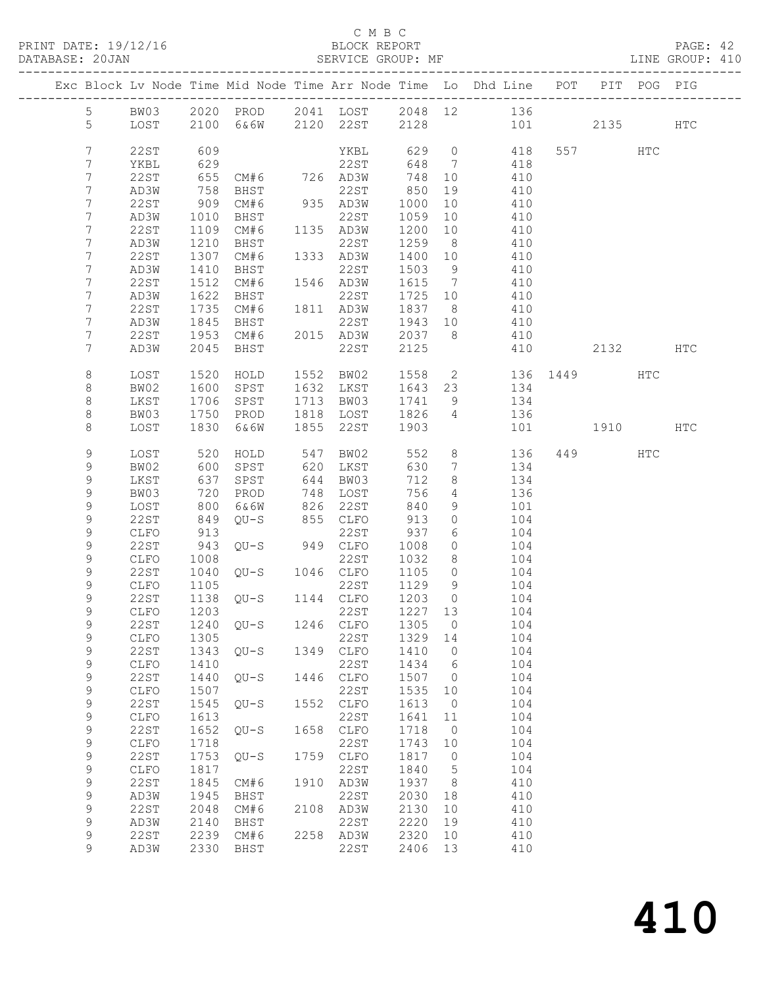### C M B C<br>BLOCK REPORT

PAGE: 42<br>LINE GROUP: 410

|                                  |              |              |                     |      |                                          |              |                      | Exc Block Lv Node Time Mid Node Time Arr Node Time Lo Dhd Line POT |      |         | PIT POG PIG |     |
|----------------------------------|--------------|--------------|---------------------|------|------------------------------------------|--------------|----------------------|--------------------------------------------------------------------|------|---------|-------------|-----|
| 5                                | BW03         |              |                     |      |                                          |              |                      | 2020 PROD 2041 LOST 2048 12 136                                    |      |         |             |     |
| 5                                | LOST         |              | 2100 6&6W 2120 22ST |      |                                          | 2128         |                      | 101                                                                |      | 2135    |             | HTC |
|                                  |              |              |                     |      |                                          |              |                      |                                                                    |      |         |             |     |
| 7                                | 22ST         | 609          |                     |      | YKBL                                     |              |                      | 629 0 418                                                          |      | 557 HTC |             |     |
| 7                                | YKBL         | 629          |                     |      | 22ST                                     | 648          | $7\overline{ }$      | 418                                                                |      |         |             |     |
| 7                                | 22ST         | 655          | CM#6 726 AD3W       |      |                                          | 748          | 10                   | 410                                                                |      |         |             |     |
| $7\phantom{.}$                   | AD3W         | 758          | BHST                |      | 22ST                                     | 850          | 19                   | 410                                                                |      |         |             |     |
| 7                                | 22ST         | 909          | CM#6                |      | 935 AD3W                                 | 1000         | 10                   | 410                                                                |      |         |             |     |
| 7                                | AD3W         | 1010         | BHST                |      | 22ST                                     | 1059         | 10                   | 410                                                                |      |         |             |     |
| $7\phantom{.}$<br>$7\phantom{.}$ | 22ST<br>AD3W | 1109<br>1210 | CM#6<br>BHST        |      | 1135 AD3W<br>22ST                        | 1200<br>1259 | 10<br>8 <sup>8</sup> | 410<br>410                                                         |      |         |             |     |
| 7                                | 22ST         | 1307         | CM#6                |      | 1333 AD3W                                | 1400 10      |                      | 410                                                                |      |         |             |     |
| 7                                | AD3W         | 1410         | BHST                |      | 22ST                                     | 1503         | 9                    | 410                                                                |      |         |             |     |
| 7                                | 22ST         | 1512         | CM#6                |      | 1546 AD3W                                | 1615 7       |                      | 410                                                                |      |         |             |     |
| 7                                | AD3W         | 1622         | BHST                |      | 22ST                                     | 1725 10      |                      | 410                                                                |      |         |             |     |
| 7                                | 22ST         | 1735         | CM#6                |      | 1811 AD3W                                | 1837 8       |                      | 410                                                                |      |         |             |     |
| 7                                | AD3W         | 1845         | BHST                |      | 22ST                                     | 1943         | 10                   | 410                                                                |      |         |             |     |
| 7                                | 22ST         | 1953         | CM#6                |      | 2015 AD3W                                | 2037 8       |                      | 410                                                                |      |         |             |     |
| $7\phantom{.}$                   | AD3W         | 2045         | BHST                |      | 22ST                                     | 2125         |                      | 410                                                                |      | 2132    |             | HTC |
|                                  |              |              |                     |      |                                          |              |                      |                                                                    |      |         |             |     |
| 8                                | LOST         | 1520         | HOLD                |      | 1552 BW02                                |              |                      | 1558 2 136 1449 HTC                                                |      |         |             |     |
| 8                                | BW02         | 1600         | SPST                |      | 1632 LKST                                | 1643 23      |                      | 134                                                                |      |         |             |     |
| $\,8\,$                          | LKST         | 1706         | SPST                |      | 1713 BW03                                | 1741         | 9                    | 134                                                                |      |         |             |     |
| 8                                | BW03         | 1750         | PROD                |      | 1818 LOST                                | 1826         | $\overline{4}$       | 136                                                                |      |         |             |     |
| 8                                | LOST         | 1830         | 6 & 6 W             | 1855 | 22ST                                     | 1903         |                      | 101                                                                | 1910 |         |             | HTC |
| 9                                | LOST         |              | HOLD                |      |                                          | 552          | 8 <sup>1</sup>       | 136                                                                |      | 449     | HTC         |     |
| 9                                | BW02         | 520<br>600   | SPST                |      | 547 BW02<br>620 I.KST<br>620 LKST        | 630          | $7\overline{ }$      | 134                                                                |      |         |             |     |
| 9                                | LKST         | 637          | SPST                | 644  | BW03                                     | 712          | 8                    | 134                                                                |      |         |             |     |
| 9                                | BW03         | 720          | PROD                | 748  | LOST                                     | 756          | $4\overline{ }$      | 136                                                                |      |         |             |     |
| 9                                | LOST         | 800          | 6&6W                |      | 826 22ST                                 | 840          | 9                    | 101                                                                |      |         |             |     |
| $\mathsf 9$                      | 22ST         | 849          | QU-S                |      | 855 CLFO                                 | 913          | $\circ$              | 104                                                                |      |         |             |     |
| 9                                | CLFO         | 913          |                     |      | 22ST                                     | 937          | 6                    | 104                                                                |      |         |             |     |
| 9                                | 22ST         | 943          | QU-S 949 CLFO       |      |                                          | 1008         | $\circ$              | 104                                                                |      |         |             |     |
| 9                                | CLFO         | 1008         | $QU-S$              |      | 22ST                                     | 1032         | 8                    | 104                                                                |      |         |             |     |
| 9                                | 22ST         | 1040         |                     |      | 1046 CLFO                                | 1105         | $\overline{0}$       | 104                                                                |      |         |             |     |
| 9                                | CLFO         | 1105         |                     |      | 22ST<br>22ST 1129<br>QU-S 1144 CLFO 1203 | 1129         | 9                    | 104                                                                |      |         |             |     |
| 9<br>9                           | 22ST         | 1138<br>1203 |                     |      | 22ST                                     | 1227 13      | $\overline{0}$       | 104<br>104                                                         |      |         |             |     |
| $\overline{9}$                   | CLFO         |              | 22ST 1240 QU-S      |      | 1246 CLFO 1305 0                         |              |                      | 104                                                                |      |         |             |     |
| 9                                | ${\tt CLFO}$ | 1305         |                     |      | 22ST                                     | 1329         | 14                   | 104                                                                |      |         |             |     |
| $\mathsf 9$                      | 22ST         | 1343         | $QU-S$              | 1349 | ${\tt CLFO}$                             | 1410         | $\circ$              | 104                                                                |      |         |             |     |
| $\mathsf 9$                      | ${\tt CLFO}$ | 1410         |                     |      | 22ST                                     | 1434         | 6                    | 104                                                                |      |         |             |     |
| $\mathsf 9$                      | <b>22ST</b>  | 1440         | $QU-S$              | 1446 | CLFO                                     | 1507         | $\overline{0}$       | 104                                                                |      |         |             |     |
| $\mathsf 9$                      | ${\tt CLFO}$ | 1507         |                     |      | 22ST                                     | 1535         | 10                   | 104                                                                |      |         |             |     |
| 9                                | 22ST         | 1545         | $QU-S$              | 1552 | ${\tt CLFO}$                             | 1613         | $\overline{0}$       | 104                                                                |      |         |             |     |
| 9                                | CLFO         | 1613         |                     |      | 22ST                                     | 1641         | 11                   | 104                                                                |      |         |             |     |
| 9                                | <b>22ST</b>  | 1652         | $QU-S$              | 1658 | CLFO                                     | 1718         | $\overline{0}$       | 104                                                                |      |         |             |     |
| $\mathsf 9$                      | ${\tt CLFO}$ | 1718         |                     |      | 22ST                                     | 1743         | 10                   | 104                                                                |      |         |             |     |
| 9                                | <b>22ST</b>  | 1753         | $QU-S$              | 1759 | CLFO                                     | 1817         | $\overline{0}$       | 104                                                                |      |         |             |     |
| 9                                | ${\tt CLFO}$ | 1817         |                     |      | 22ST                                     | 1840         | 5                    | 104                                                                |      |         |             |     |
| 9                                | <b>22ST</b>  | 1845         | CM#6                | 1910 | AD3W                                     | 1937         | - 8                  | 410                                                                |      |         |             |     |
| $\mathsf 9$                      | AD3W         | 1945         | BHST                |      | 22ST                                     | 2030         | 18                   | 410                                                                |      |         |             |     |
| 9<br>$\mathsf 9$                 | 22ST<br>AD3W | 2048<br>2140 | CM#6<br>BHST        | 2108 | AD3W<br>22ST                             | 2130<br>2220 | 10<br>19             | 410<br>410                                                         |      |         |             |     |
| 9                                | 22ST         | 2239         | CM#6                | 2258 | AD3W                                     | 2320         | 10                   | 410                                                                |      |         |             |     |
| 9                                | AD3W         | 2330         | BHST                |      | 22ST                                     | 2406         | 13                   | 410                                                                |      |         |             |     |
|                                  |              |              |                     |      |                                          |              |                      |                                                                    |      |         |             |     |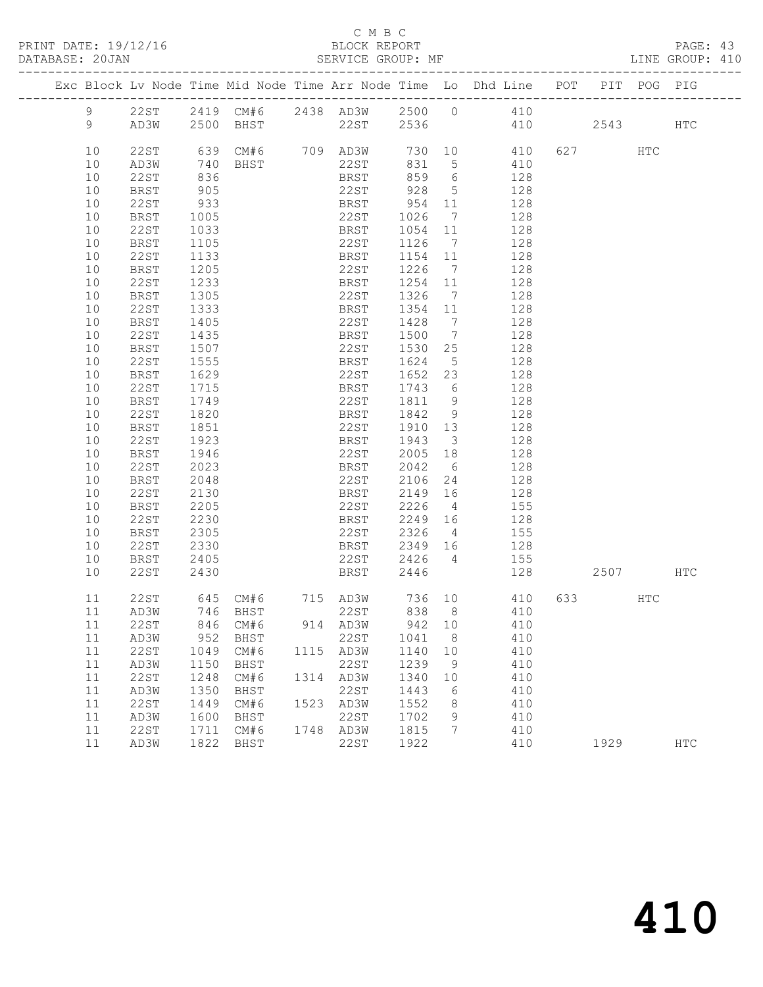PRINT DATE: 19/12/16 BLOCK REPORT<br>DATABASE: 20JAN BATABASE: 20JAN

### C M B C<br>BLOCK REPORT

PAGE: 43<br>LINE GROUP: 410

|            |                     |              |              |      |              |              |                               | Exc Block Lv Node Time Mid Node Time Arr Node Time Lo Dhd Line POT PIT POG PIG |      |     |            |
|------------|---------------------|--------------|--------------|------|--------------|--------------|-------------------------------|--------------------------------------------------------------------------------|------|-----|------------|
| 9          | 22ST                |              |              |      |              |              |                               | 2419 CM#6 2438 AD3W 2500 0 410                                                 |      |     |            |
| 9          | AD3W                |              |              |      |              |              |                               | 2500 BHST 22ST 2536 410 2543                                                   |      |     | HTC        |
|            |                     |              |              |      |              |              |                               |                                                                                |      |     |            |
| 10         | 22ST                |              |              |      |              |              |                               | 639 CM#6 709 AD3W 730 10 410 627 HTC                                           |      |     |            |
| 10         | AD3W                |              | 740 BHST     |      | 22ST         | 831          | 5 <sup>5</sup>                | 410                                                                            |      |     |            |
| 10         | 22ST                | 836          |              |      | BRST         | 859          | $6\overline{6}$               | 128                                                                            |      |     |            |
| 10         | BRST                | 905          |              |      | 22ST         | 928          | $5\overline{)}$               | 128                                                                            |      |     |            |
| 10         | 22ST                | 933          |              |      | BRST         | 954          | 11                            | 128                                                                            |      |     |            |
| 10         | <b>BRST</b>         | 1005         |              |      | 22ST         | 1026         | $\overline{7}$                | 128                                                                            |      |     |            |
| 10         | 22ST                | 1033         |              |      | BRST         | 1054         | 11                            | 128                                                                            |      |     |            |
| 10         | <b>BRST</b>         | 1105         |              |      | 22ST         | 1126         | $\overline{7}$                | 128                                                                            |      |     |            |
| 10         | 22ST                | 1133         |              |      | BRST         | 1154 11      |                               | 128                                                                            |      |     |            |
| 10         | BRST                | 1205         |              |      | 22ST         | 1226         | $\overline{7}$                | 128                                                                            |      |     |            |
| 10         | 22ST                | 1233         |              |      | BRST         | 1254         | 11                            | 128                                                                            |      |     |            |
| 10         | <b>BRST</b>         | 1305         |              |      | 22ST         | 1326         | $\overline{7}$                | 128                                                                            |      |     |            |
| 10         | 22ST                | 1333         |              |      | BRST         | 1354         | 11                            | 128                                                                            |      |     |            |
| 10         | <b>BRST</b>         | 1405         |              |      | 22ST         | 1428         | $\overline{7}$                | 128                                                                            |      |     |            |
| 10         | 22ST                | 1435         |              |      | BRST         | 1500         | $\overline{7}$                | 128                                                                            |      |     |            |
| 10         | <b>BRST</b>         | 1507         |              |      | 22ST         | 1530         | 25                            | 128                                                                            |      |     |            |
| 10         | 22ST                | 1555         |              |      | BRST         | 1624         | $5^{\circ}$                   | 128                                                                            |      |     |            |
| 10         | BRST                | 1629         |              |      | 22ST         | 1652         | 23                            | 128                                                                            |      |     |            |
| 10         | 22ST                | 1715         |              |      | BRST         | 1743         | 6                             | 128                                                                            |      |     |            |
| 10         | BRST                | 1749         |              |      | 22ST         | 1811         | 9                             | 128                                                                            |      |     |            |
| 10         | 22ST                | 1820         |              |      | BRST         | 1842         | 9                             | 128                                                                            |      |     |            |
| 10<br>10   | BRST<br>22ST        | 1851<br>1923 |              |      | 22ST<br>BRST | 1910<br>1943 | 13<br>$\overline{\mathbf{3}}$ | 128<br>128                                                                     |      |     |            |
| 10         | <b>BRST</b>         | 1946         |              |      | 22ST         | 2005         | 18                            | 128                                                                            |      |     |            |
| 10         | 22ST                | 2023         |              |      | BRST         | 2042         | 6                             | 128                                                                            |      |     |            |
| 10         | BRST                | 2048         |              |      | 22ST         | 2106         | 24                            | 128                                                                            |      |     |            |
| 10         | 22ST                | 2130         |              |      | BRST         | 2149         | 16                            | 128                                                                            |      |     |            |
| 10         | BRST                | 2205         |              |      | 22ST         | 2226         | $\overline{4}$                | 155                                                                            |      |     |            |
| 10         | 22ST                | 2230         |              |      | BRST         | 2249         | 16                            | 128                                                                            |      |     |            |
| 10         | BRST                | 2305         |              |      | 22ST         | 2326         | $\overline{4}$                | 155                                                                            |      |     |            |
| 10         | 22ST                | 2330         |              |      | BRST         | 2349         | 16                            | 128                                                                            |      |     |            |
| 10         | BRST                | 2405         |              |      | 22ST         | 2426         | $\overline{4}$                | 155                                                                            |      |     |            |
| 10         | 22ST                | 2430         |              |      | BRST         | 2446         |                               | 128                                                                            | 2507 |     | HTC        |
| 11         | 22ST                |              |              |      |              |              |                               | 645 CM#6 715 AD3W 736 10 410                                                   |      | HTC |            |
| 11         | AD3W                |              | 746 BHST     |      | 22ST         |              |                               | 838 8 410                                                                      |      |     |            |
| 11         | 22ST                |              | 846 CM#6     |      | 914 AD3W     | 942 10       |                               | 410                                                                            |      |     |            |
| 11         | AD3W                | 952          | BHST         |      | 22ST         | 1041         | 8                             | 410                                                                            |      |     |            |
| 11         | 22ST                | 1049         | CM#6         | 1115 | AD3W         | 1140         | 10                            | 410                                                                            |      |     |            |
| $11$       | AD3W                | 1150         | <b>BHST</b>  |      | <b>22ST</b>  | 1239         | 9                             | 410                                                                            |      |     |            |
| $11$       | 22ST                | 1248         | CM#6         | 1314 | AD3W         | 1340         | 10                            | 410                                                                            |      |     |            |
| $11$       | AD3W                | 1350         | BHST         |      | 22ST         | 1443         | 6                             | 410                                                                            |      |     |            |
| 11         | 22ST                | 1449         | CM#6         | 1523 | AD3W         | 1552         | 8                             | 410                                                                            |      |     |            |
| 11         | AD3W                | 1600         | BHST         |      | <b>22ST</b>  | 1702         | 9                             | 410                                                                            |      |     |            |
| $11$<br>11 | <b>22ST</b><br>AD3W | 1711<br>1822 | CM#6<br>BHST | 1748 | AD3W<br>22ST | 1815<br>1922 | 7                             | 410<br>410                                                                     | 1929 |     | <b>HTC</b> |
|            |                     |              |              |      |              |              |                               |                                                                                |      |     |            |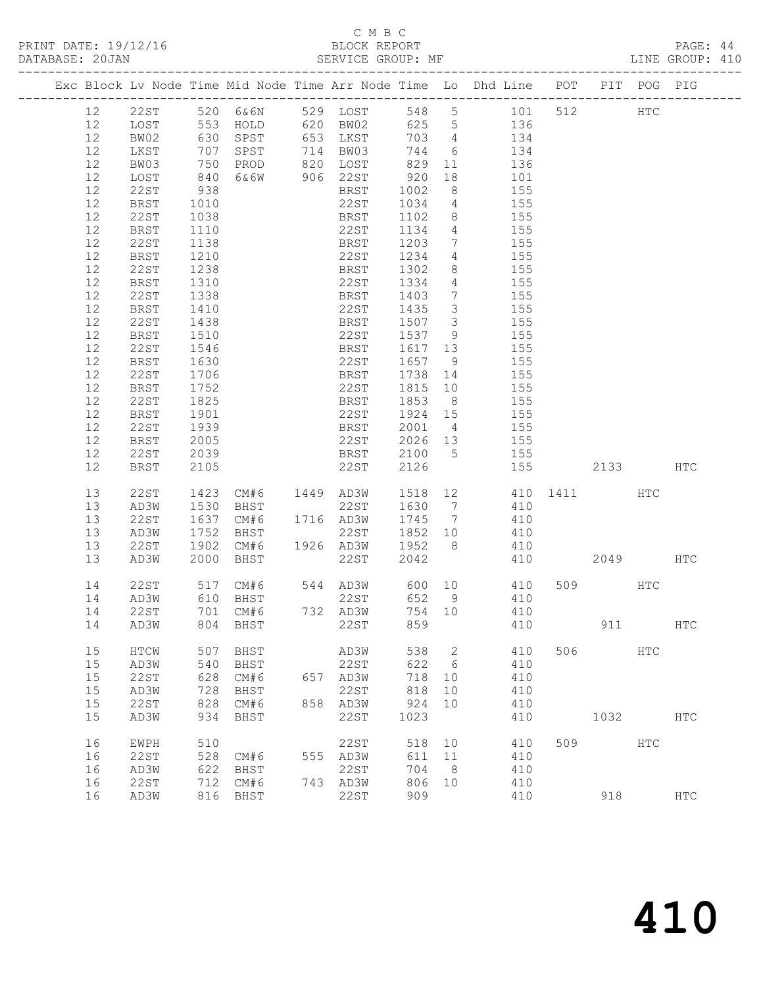PRINT DATE: 19/12/16 BLOCK REPORT BATABASE: 20JAN

## C M B C<br>BLOCK REPORT

PAGE: 44<br>LINE GROUP: 410

|  |                   |             |                   |      |     |             |      |                 | Exc Block Ly Node Time Mid Node Time Arr Node Time Lo Dhd Line POT PIT POG PIG |                            |  |  |
|--|-------------------|-------------|-------------------|------|-----|-------------|------|-----------------|--------------------------------------------------------------------------------|----------------------------|--|--|
|  | 12                | 22 ST       | ----------<br>520 | 6&6N |     | 529 LOST    | 548  |                 | $5 - 5$<br>101                                                                 | ---------------<br>512 HTC |  |  |
|  | 12                | LOST        | 553               | HOLD | 620 | BW02        | 625  | $5\overline{)}$ | 136                                                                            |                            |  |  |
|  | 12                | BW02        | 630               | SPST | 653 | LKST        | 703  | 4               | 134                                                                            |                            |  |  |
|  | 12                | LKST        | 707               | SPST | 714 | BW03        | 744  | 6               | 134                                                                            |                            |  |  |
|  | 12                | BW03        | 750               | PROD | 820 | LOST        | 829  | 11              | 136                                                                            |                            |  |  |
|  | 12                | LOST        | 840               | 6&6W | 906 | 22ST        | 920  | 18              | 101                                                                            |                            |  |  |
|  | 12                | 22ST        | 938               |      |     | BRST        | 1002 | 8               | 155                                                                            |                            |  |  |
|  | $12 \overline{ }$ | <b>BRST</b> | 1010              |      |     | 22ST        | 1034 | $\overline{4}$  | 155                                                                            |                            |  |  |
|  | 12                | 22ST        | 1038              |      |     | <b>BRST</b> | 1102 | 8               | 155                                                                            |                            |  |  |
|  | 12                | <b>BRST</b> | 1110              |      |     | 22ST        | 1134 | $\overline{4}$  | 155                                                                            |                            |  |  |
|  | 12                | 22ST        | 1138              |      |     | BRST        | 1203 | $7\phantom{.0}$ | 155                                                                            |                            |  |  |
|  | 12                | BRST        | 1210              |      |     | 22ST        | 1234 | 4               | 155                                                                            |                            |  |  |
|  | 12                | 22ST        | 1238              |      |     | BRST        | 1302 | 8               | 155                                                                            |                            |  |  |
|  | 12                | <b>BRST</b> | 1310              |      |     | 22ST        | 1334 | 4               | 155                                                                            |                            |  |  |
|  | 12                | 22ST        | 1338              |      |     | BRST        | 1403 | 7               | 155                                                                            |                            |  |  |
|  | 12                | BRST        | 1410              |      |     | 22ST        | 1435 | 3               | 155                                                                            |                            |  |  |
|  | 12                | 22ST        | 1438              |      |     | BRST        | 1507 | 3               | 155                                                                            |                            |  |  |
|  | 12                | BRST        | 1510              |      |     | 22ST        | 1537 | - 9             | 155                                                                            |                            |  |  |
|  | 12                | 22ST        | 1546              |      |     | BRST        | 1617 | 13              | 155                                                                            |                            |  |  |
|  | 12                | BRST        | 1630              |      |     | 22ST        | 1657 | $\overline{9}$  | 155                                                                            |                            |  |  |
|  | 12                | 22ST        | 1706              |      |     | BRST        | 1738 | 14              | 155                                                                            |                            |  |  |
|  | 12                | BRST        | 1752              |      |     | 22ST        | 1815 | 10              | 155                                                                            |                            |  |  |
|  | 12                | 22ST        | 1825              |      |     | BRST        | 1853 | 8               | 155                                                                            |                            |  |  |
|  | $12 \overline{ }$ | BRST        | 1901              |      |     | 22ST        | 1924 | 15              | 155                                                                            |                            |  |  |
|  | $12 \overline{ }$ | 22ST        | 1939              |      |     | BRST        | 2001 | $\overline{4}$  | 155                                                                            |                            |  |  |
|  | 12                | BRST        | 2005              |      |     | 22ST        | 2026 | 13              | 155                                                                            |                            |  |  |
|  | 12                | 22ST        | 2039              |      |     | BRST        | 2100 | 5               | 155                                                                            |                            |  |  |

| 12<br>12<br>12 | <b>BRST</b><br>22ST<br><b>BRST</b> | 2005<br>2039<br>2105 |             |      | 22ST<br><b>BRST</b><br>22ST | 2026<br>2100<br>2126 | 13<br>5 | 155<br>155<br>155 |      | 2133 |            | HTC           |
|----------------|------------------------------------|----------------------|-------------|------|-----------------------------|----------------------|---------|-------------------|------|------|------------|---------------|
| 13             | 22ST                               | 1423                 | CM#6        | 1449 | AD3W                        | 1518                 | 12      | 410               | 1411 |      | <b>HTC</b> |               |
| 13             | AD3W                               | 1530                 | BHST        |      | 22ST                        | 1630                 | 7       | 410               |      |      |            |               |
| 13             | 22ST                               | 1637                 | CM#6        | 1716 | AD3W                        | 1745                 | 7       | 410               |      |      |            |               |
| 13             | AD3W                               | 1752                 | BHST        |      | 22ST                        | 1852                 | 10      | 410               |      |      |            |               |
| 13             | 22ST                               | 1902                 | CM#6        | 1926 | AD3W                        | 1952                 | 8       | 410               |      |      |            |               |
| 13             | AD3W                               | 2000                 | <b>BHST</b> |      | 22ST                        | 2042                 |         | 410               |      | 2049 |            | <b>HTC</b>    |
| 14             | 22ST                               | 517                  | CM#6        | 544  | AD3W                        | 600                  | 10      | 410               | 509  |      | <b>HTC</b> |               |
| 14             | AD3W                               | 610                  | <b>BHST</b> |      | 22ST                        | 652                  | 9       | 410               |      |      |            |               |
| 14             | 22ST                               | 701                  | CM#6        | 732  | AD3W                        | 754                  | 10      | 410               |      |      |            |               |
| 14             | AD3W                               | 804                  | <b>BHST</b> |      | 22ST                        | 859                  |         | 410               |      | 911  |            | $_{\rm{HTC}}$ |
| 15             | HTCW                               | 507                  | BHST        |      | AD3W                        | 538                  | 2       | 410               | 506  |      | <b>HTC</b> |               |
| 15             | AD3W                               | 540                  | <b>BHST</b> |      | 22ST                        | 622                  | 6       | 410               |      |      |            |               |
| 15             | 22ST                               | 628                  | CM#6        | 657  | AD3W                        | 718                  | 10      | 410               |      |      |            |               |
| 15             | AD3W                               | 728                  | BHST        |      | 22ST                        | 818                  | 10      | 410               |      |      |            |               |
| 15             | 22ST                               | 828                  | CM#6        | 858  | AD3W                        | 924                  | 10      | 410               |      |      |            |               |
| 15             | AD3W                               | 934                  | BHST        |      | 22ST                        | 1023                 |         | 410               |      | 1032 |            | <b>HTC</b>    |
| 16             | <b>EWPH</b>                        | 510                  |             |      | 22ST                        | 518                  | 10      | 410               | 509  |      | <b>HTC</b> |               |
| 16             | 22ST                               | 528                  | CM#6        | 555  | AD3W                        | 611                  | 11      | 410               |      |      |            |               |
| 16             | AD3W                               | 622                  | <b>BHST</b> |      | 22ST                        | 704                  | 8       | 410               |      |      |            |               |
| 16             | 22ST                               | 712                  | CM#6        | 743  | AD3W                        | 806                  | 10      | 410               |      |      |            |               |
| 16             | AD3W                               | 816                  | BHST        |      | 22ST                        | 909                  |         | 410               |      | 918  |            | <b>HTC</b>    |
|                |                                    |                      |             |      |                             |                      |         |                   |      |      |            |               |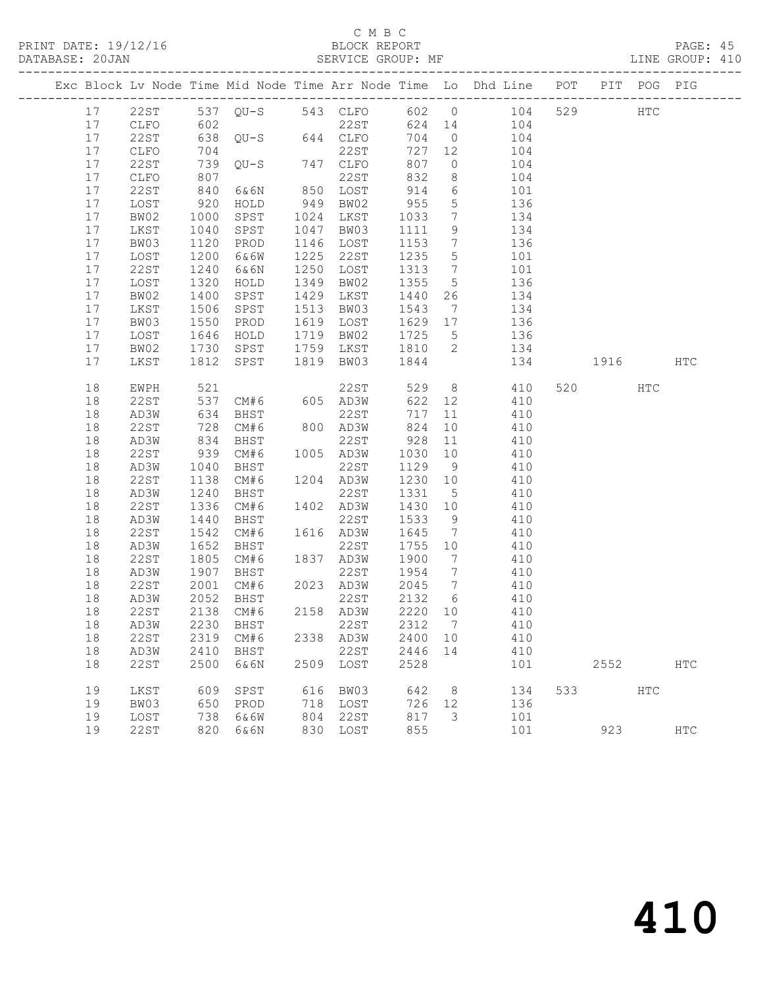### C M B C<br>BLOCK REPORT

### SERVICE GROUP: MF

| 17 22ST 537 QU-S 543 CLFO 602 0 104<br>529 HTC<br>602<br>22ST<br>624 14 104<br>17<br>CLFO<br>$638$ QU-S $644$ CLFO<br>704<br>17<br>22ST<br>$0$ 104<br>727 12<br>17<br>704<br>22ST<br>CLFO<br>104<br>$QU-S$ 747 $CLFO$<br>17<br>22ST<br>739<br>807<br>$\overline{0}$<br>104<br>104<br>832<br>17<br>807<br>22ST<br>8 <sup>8</sup><br>CLFO<br>6&6N<br>850 LOST<br>914<br>17<br>22ST<br>840<br>$6\overline{6}$<br>101<br>955<br>$5\overline{)}$<br>17<br>LOST<br>920<br>949 BW02<br>136<br>HOLD<br>17<br>BW02<br>1000<br>1024 LKST<br>1033<br>$7\overline{ }$<br>134<br>SPST<br>17<br>1040<br>SPST<br>1047 BW03<br>9<br>LKST<br>1111<br>134<br>136<br>17<br>BW03<br>1120<br>1146 LOST<br>1153<br>PROD<br>$\overline{7}$<br>17<br>1200<br>1225<br>22ST<br>1235<br>$5\overline{)}$<br>LOST<br>6&6W<br>101<br>17<br>22ST<br>1240<br>6&6N<br>1250 LOST<br>1313<br>$7\overline{)}$<br>101<br>1355<br>17<br>1320<br>1349 BW02<br>$5\overline{)}$<br>136<br>LOST<br>HOLD<br>134<br>17<br>BW02<br>1400<br>SPST<br>1429 LKST<br>1440<br>26<br>17<br>1506<br>SPST<br>1513 BW03<br>LKST<br>1543<br>$7\overline{)}$<br>134<br>17<br>1550<br>1646<br>1619 LOST<br>1629 17<br>136<br>BW03<br>PROD<br>17<br>1719 BW02<br>1725 5<br>LOST<br>HOLD<br>136<br>1730<br>134<br>SPST 1759 LKST 1810 2<br>17<br>BW02<br>SPST<br>1819 BW03 1844<br>17<br>LKST<br>1812<br>134<br>1916<br>HTC<br>8 410<br>22ST<br>18<br>521<br>529<br>520 000<br>EWPH<br>HTC<br>537<br>CM#6 605 AD3W<br>410<br>18<br>22ST<br>622 12<br>634<br>BHST<br>22ST<br>717<br>18<br>AD3W<br>11 410<br>800 AD3W<br>22ST<br>CM#6<br>824<br>10<br>18<br>410<br>$\frac{12}{834}$<br>22ST<br>928 11<br>18<br>AD3W<br>BHST<br>410<br>1005 AD3W<br>939<br>410<br>18<br>22ST<br>CM#6<br>1030 10<br>1040<br>22ST<br>1129 9<br>18<br>AD3W<br>BHST<br>410<br>22ST<br>1138<br>CM#6<br>1204 AD3W<br>1230 10<br>18<br>410<br>18<br>AD3W<br>1240<br>22ST<br>1331 5<br>410<br>BHST<br>18<br>22ST<br>1336<br>CM#6<br>1402 AD3W<br>1430 10<br>410<br>18<br>1440<br>BHST<br>22ST<br>1533<br>9<br>410<br>AD3W<br>22ST<br>1542<br>CM#6<br>1616 AD3W<br>1645 7<br>18<br>410<br>18<br>1652<br>22ST<br>1755 10<br>AD3W<br>BHST<br>410<br>1837 AD3W<br>18<br>22ST<br>1805<br>CM#6<br>1900<br>$7\overline{ }$<br>410<br>1907<br>22ST<br>1954 7<br>410<br>18<br>AD3W<br>BHST<br>2023 AD3W<br>22ST<br>2001<br>2045 7<br>18<br>CM#6<br>410<br>2052<br>2132 6<br>18<br>AD3W<br>22ST<br>BHST<br>410<br>2158 AD3W<br>2220 10<br>18<br>22ST<br>2138 CM#6<br>410<br>2230 BHST 22ST 2312 7 410<br>18 AD3W<br>22ST<br>2319 CM#6<br>2338 AD3W<br>2400 10<br>18<br>410<br>18<br>2410<br>22ST<br>2446 14<br>AD3W<br>BHST<br>410<br>2528<br>18<br>22ST<br>2500<br>2509 LOST<br>2552<br>6&6N<br>101<br><b>HTC</b><br>616 BW03<br>533<br>19<br>LKST<br>609<br>SPST<br>642<br>8 <sup>8</sup><br>134<br>HTC |    |      |     |      |  |     |    | Exc Block Lv Node Time Mid Node Time Arr Node Time Lo Dhd Line POT PIT POG PIG |  |  |
|----------------------------------------------------------------------------------------------------------------------------------------------------------------------------------------------------------------------------------------------------------------------------------------------------------------------------------------------------------------------------------------------------------------------------------------------------------------------------------------------------------------------------------------------------------------------------------------------------------------------------------------------------------------------------------------------------------------------------------------------------------------------------------------------------------------------------------------------------------------------------------------------------------------------------------------------------------------------------------------------------------------------------------------------------------------------------------------------------------------------------------------------------------------------------------------------------------------------------------------------------------------------------------------------------------------------------------------------------------------------------------------------------------------------------------------------------------------------------------------------------------------------------------------------------------------------------------------------------------------------------------------------------------------------------------------------------------------------------------------------------------------------------------------------------------------------------------------------------------------------------------------------------------------------------------------------------------------------------------------------------------------------------------------------------------------------------------------------------------------------------------------------------------------------------------------------------------------------------------------------------------------------------------------------------------------------------------------------------------------------------------------------------------------------------------------------------------------------------------------------------------------------------------------------------------------------------------------------------------------------------------------------------------------------------------------------------------------------------------------------------------------------------------------------------------|----|------|-----|------|--|-----|----|--------------------------------------------------------------------------------|--|--|
|                                                                                                                                                                                                                                                                                                                                                                                                                                                                                                                                                                                                                                                                                                                                                                                                                                                                                                                                                                                                                                                                                                                                                                                                                                                                                                                                                                                                                                                                                                                                                                                                                                                                                                                                                                                                                                                                                                                                                                                                                                                                                                                                                                                                                                                                                                                                                                                                                                                                                                                                                                                                                                                                                                                                                                                                          |    |      |     |      |  |     |    |                                                                                |  |  |
|                                                                                                                                                                                                                                                                                                                                                                                                                                                                                                                                                                                                                                                                                                                                                                                                                                                                                                                                                                                                                                                                                                                                                                                                                                                                                                                                                                                                                                                                                                                                                                                                                                                                                                                                                                                                                                                                                                                                                                                                                                                                                                                                                                                                                                                                                                                                                                                                                                                                                                                                                                                                                                                                                                                                                                                                          |    |      |     |      |  |     |    |                                                                                |  |  |
|                                                                                                                                                                                                                                                                                                                                                                                                                                                                                                                                                                                                                                                                                                                                                                                                                                                                                                                                                                                                                                                                                                                                                                                                                                                                                                                                                                                                                                                                                                                                                                                                                                                                                                                                                                                                                                                                                                                                                                                                                                                                                                                                                                                                                                                                                                                                                                                                                                                                                                                                                                                                                                                                                                                                                                                                          |    |      |     |      |  |     |    |                                                                                |  |  |
|                                                                                                                                                                                                                                                                                                                                                                                                                                                                                                                                                                                                                                                                                                                                                                                                                                                                                                                                                                                                                                                                                                                                                                                                                                                                                                                                                                                                                                                                                                                                                                                                                                                                                                                                                                                                                                                                                                                                                                                                                                                                                                                                                                                                                                                                                                                                                                                                                                                                                                                                                                                                                                                                                                                                                                                                          |    |      |     |      |  |     |    |                                                                                |  |  |
|                                                                                                                                                                                                                                                                                                                                                                                                                                                                                                                                                                                                                                                                                                                                                                                                                                                                                                                                                                                                                                                                                                                                                                                                                                                                                                                                                                                                                                                                                                                                                                                                                                                                                                                                                                                                                                                                                                                                                                                                                                                                                                                                                                                                                                                                                                                                                                                                                                                                                                                                                                                                                                                                                                                                                                                                          |    |      |     |      |  |     |    |                                                                                |  |  |
|                                                                                                                                                                                                                                                                                                                                                                                                                                                                                                                                                                                                                                                                                                                                                                                                                                                                                                                                                                                                                                                                                                                                                                                                                                                                                                                                                                                                                                                                                                                                                                                                                                                                                                                                                                                                                                                                                                                                                                                                                                                                                                                                                                                                                                                                                                                                                                                                                                                                                                                                                                                                                                                                                                                                                                                                          |    |      |     |      |  |     |    |                                                                                |  |  |
|                                                                                                                                                                                                                                                                                                                                                                                                                                                                                                                                                                                                                                                                                                                                                                                                                                                                                                                                                                                                                                                                                                                                                                                                                                                                                                                                                                                                                                                                                                                                                                                                                                                                                                                                                                                                                                                                                                                                                                                                                                                                                                                                                                                                                                                                                                                                                                                                                                                                                                                                                                                                                                                                                                                                                                                                          |    |      |     |      |  |     |    |                                                                                |  |  |
|                                                                                                                                                                                                                                                                                                                                                                                                                                                                                                                                                                                                                                                                                                                                                                                                                                                                                                                                                                                                                                                                                                                                                                                                                                                                                                                                                                                                                                                                                                                                                                                                                                                                                                                                                                                                                                                                                                                                                                                                                                                                                                                                                                                                                                                                                                                                                                                                                                                                                                                                                                                                                                                                                                                                                                                                          |    |      |     |      |  |     |    |                                                                                |  |  |
|                                                                                                                                                                                                                                                                                                                                                                                                                                                                                                                                                                                                                                                                                                                                                                                                                                                                                                                                                                                                                                                                                                                                                                                                                                                                                                                                                                                                                                                                                                                                                                                                                                                                                                                                                                                                                                                                                                                                                                                                                                                                                                                                                                                                                                                                                                                                                                                                                                                                                                                                                                                                                                                                                                                                                                                                          |    |      |     |      |  |     |    |                                                                                |  |  |
|                                                                                                                                                                                                                                                                                                                                                                                                                                                                                                                                                                                                                                                                                                                                                                                                                                                                                                                                                                                                                                                                                                                                                                                                                                                                                                                                                                                                                                                                                                                                                                                                                                                                                                                                                                                                                                                                                                                                                                                                                                                                                                                                                                                                                                                                                                                                                                                                                                                                                                                                                                                                                                                                                                                                                                                                          |    |      |     |      |  |     |    |                                                                                |  |  |
|                                                                                                                                                                                                                                                                                                                                                                                                                                                                                                                                                                                                                                                                                                                                                                                                                                                                                                                                                                                                                                                                                                                                                                                                                                                                                                                                                                                                                                                                                                                                                                                                                                                                                                                                                                                                                                                                                                                                                                                                                                                                                                                                                                                                                                                                                                                                                                                                                                                                                                                                                                                                                                                                                                                                                                                                          |    |      |     |      |  |     |    |                                                                                |  |  |
|                                                                                                                                                                                                                                                                                                                                                                                                                                                                                                                                                                                                                                                                                                                                                                                                                                                                                                                                                                                                                                                                                                                                                                                                                                                                                                                                                                                                                                                                                                                                                                                                                                                                                                                                                                                                                                                                                                                                                                                                                                                                                                                                                                                                                                                                                                                                                                                                                                                                                                                                                                                                                                                                                                                                                                                                          |    |      |     |      |  |     |    |                                                                                |  |  |
|                                                                                                                                                                                                                                                                                                                                                                                                                                                                                                                                                                                                                                                                                                                                                                                                                                                                                                                                                                                                                                                                                                                                                                                                                                                                                                                                                                                                                                                                                                                                                                                                                                                                                                                                                                                                                                                                                                                                                                                                                                                                                                                                                                                                                                                                                                                                                                                                                                                                                                                                                                                                                                                                                                                                                                                                          |    |      |     |      |  |     |    |                                                                                |  |  |
|                                                                                                                                                                                                                                                                                                                                                                                                                                                                                                                                                                                                                                                                                                                                                                                                                                                                                                                                                                                                                                                                                                                                                                                                                                                                                                                                                                                                                                                                                                                                                                                                                                                                                                                                                                                                                                                                                                                                                                                                                                                                                                                                                                                                                                                                                                                                                                                                                                                                                                                                                                                                                                                                                                                                                                                                          |    |      |     |      |  |     |    |                                                                                |  |  |
|                                                                                                                                                                                                                                                                                                                                                                                                                                                                                                                                                                                                                                                                                                                                                                                                                                                                                                                                                                                                                                                                                                                                                                                                                                                                                                                                                                                                                                                                                                                                                                                                                                                                                                                                                                                                                                                                                                                                                                                                                                                                                                                                                                                                                                                                                                                                                                                                                                                                                                                                                                                                                                                                                                                                                                                                          |    |      |     |      |  |     |    |                                                                                |  |  |
|                                                                                                                                                                                                                                                                                                                                                                                                                                                                                                                                                                                                                                                                                                                                                                                                                                                                                                                                                                                                                                                                                                                                                                                                                                                                                                                                                                                                                                                                                                                                                                                                                                                                                                                                                                                                                                                                                                                                                                                                                                                                                                                                                                                                                                                                                                                                                                                                                                                                                                                                                                                                                                                                                                                                                                                                          |    |      |     |      |  |     |    |                                                                                |  |  |
|                                                                                                                                                                                                                                                                                                                                                                                                                                                                                                                                                                                                                                                                                                                                                                                                                                                                                                                                                                                                                                                                                                                                                                                                                                                                                                                                                                                                                                                                                                                                                                                                                                                                                                                                                                                                                                                                                                                                                                                                                                                                                                                                                                                                                                                                                                                                                                                                                                                                                                                                                                                                                                                                                                                                                                                                          |    |      |     |      |  |     |    |                                                                                |  |  |
|                                                                                                                                                                                                                                                                                                                                                                                                                                                                                                                                                                                                                                                                                                                                                                                                                                                                                                                                                                                                                                                                                                                                                                                                                                                                                                                                                                                                                                                                                                                                                                                                                                                                                                                                                                                                                                                                                                                                                                                                                                                                                                                                                                                                                                                                                                                                                                                                                                                                                                                                                                                                                                                                                                                                                                                                          |    |      |     |      |  |     |    |                                                                                |  |  |
|                                                                                                                                                                                                                                                                                                                                                                                                                                                                                                                                                                                                                                                                                                                                                                                                                                                                                                                                                                                                                                                                                                                                                                                                                                                                                                                                                                                                                                                                                                                                                                                                                                                                                                                                                                                                                                                                                                                                                                                                                                                                                                                                                                                                                                                                                                                                                                                                                                                                                                                                                                                                                                                                                                                                                                                                          |    |      |     |      |  |     |    |                                                                                |  |  |
|                                                                                                                                                                                                                                                                                                                                                                                                                                                                                                                                                                                                                                                                                                                                                                                                                                                                                                                                                                                                                                                                                                                                                                                                                                                                                                                                                                                                                                                                                                                                                                                                                                                                                                                                                                                                                                                                                                                                                                                                                                                                                                                                                                                                                                                                                                                                                                                                                                                                                                                                                                                                                                                                                                                                                                                                          |    |      |     |      |  |     |    |                                                                                |  |  |
|                                                                                                                                                                                                                                                                                                                                                                                                                                                                                                                                                                                                                                                                                                                                                                                                                                                                                                                                                                                                                                                                                                                                                                                                                                                                                                                                                                                                                                                                                                                                                                                                                                                                                                                                                                                                                                                                                                                                                                                                                                                                                                                                                                                                                                                                                                                                                                                                                                                                                                                                                                                                                                                                                                                                                                                                          |    |      |     |      |  |     |    |                                                                                |  |  |
|                                                                                                                                                                                                                                                                                                                                                                                                                                                                                                                                                                                                                                                                                                                                                                                                                                                                                                                                                                                                                                                                                                                                                                                                                                                                                                                                                                                                                                                                                                                                                                                                                                                                                                                                                                                                                                                                                                                                                                                                                                                                                                                                                                                                                                                                                                                                                                                                                                                                                                                                                                                                                                                                                                                                                                                                          |    |      |     |      |  |     |    |                                                                                |  |  |
|                                                                                                                                                                                                                                                                                                                                                                                                                                                                                                                                                                                                                                                                                                                                                                                                                                                                                                                                                                                                                                                                                                                                                                                                                                                                                                                                                                                                                                                                                                                                                                                                                                                                                                                                                                                                                                                                                                                                                                                                                                                                                                                                                                                                                                                                                                                                                                                                                                                                                                                                                                                                                                                                                                                                                                                                          |    |      |     |      |  |     |    |                                                                                |  |  |
|                                                                                                                                                                                                                                                                                                                                                                                                                                                                                                                                                                                                                                                                                                                                                                                                                                                                                                                                                                                                                                                                                                                                                                                                                                                                                                                                                                                                                                                                                                                                                                                                                                                                                                                                                                                                                                                                                                                                                                                                                                                                                                                                                                                                                                                                                                                                                                                                                                                                                                                                                                                                                                                                                                                                                                                                          |    |      |     |      |  |     |    |                                                                                |  |  |
|                                                                                                                                                                                                                                                                                                                                                                                                                                                                                                                                                                                                                                                                                                                                                                                                                                                                                                                                                                                                                                                                                                                                                                                                                                                                                                                                                                                                                                                                                                                                                                                                                                                                                                                                                                                                                                                                                                                                                                                                                                                                                                                                                                                                                                                                                                                                                                                                                                                                                                                                                                                                                                                                                                                                                                                                          |    |      |     |      |  |     |    |                                                                                |  |  |
|                                                                                                                                                                                                                                                                                                                                                                                                                                                                                                                                                                                                                                                                                                                                                                                                                                                                                                                                                                                                                                                                                                                                                                                                                                                                                                                                                                                                                                                                                                                                                                                                                                                                                                                                                                                                                                                                                                                                                                                                                                                                                                                                                                                                                                                                                                                                                                                                                                                                                                                                                                                                                                                                                                                                                                                                          |    |      |     |      |  |     |    |                                                                                |  |  |
|                                                                                                                                                                                                                                                                                                                                                                                                                                                                                                                                                                                                                                                                                                                                                                                                                                                                                                                                                                                                                                                                                                                                                                                                                                                                                                                                                                                                                                                                                                                                                                                                                                                                                                                                                                                                                                                                                                                                                                                                                                                                                                                                                                                                                                                                                                                                                                                                                                                                                                                                                                                                                                                                                                                                                                                                          |    |      |     |      |  |     |    |                                                                                |  |  |
|                                                                                                                                                                                                                                                                                                                                                                                                                                                                                                                                                                                                                                                                                                                                                                                                                                                                                                                                                                                                                                                                                                                                                                                                                                                                                                                                                                                                                                                                                                                                                                                                                                                                                                                                                                                                                                                                                                                                                                                                                                                                                                                                                                                                                                                                                                                                                                                                                                                                                                                                                                                                                                                                                                                                                                                                          |    |      |     |      |  |     |    |                                                                                |  |  |
|                                                                                                                                                                                                                                                                                                                                                                                                                                                                                                                                                                                                                                                                                                                                                                                                                                                                                                                                                                                                                                                                                                                                                                                                                                                                                                                                                                                                                                                                                                                                                                                                                                                                                                                                                                                                                                                                                                                                                                                                                                                                                                                                                                                                                                                                                                                                                                                                                                                                                                                                                                                                                                                                                                                                                                                                          |    |      |     |      |  |     |    |                                                                                |  |  |
|                                                                                                                                                                                                                                                                                                                                                                                                                                                                                                                                                                                                                                                                                                                                                                                                                                                                                                                                                                                                                                                                                                                                                                                                                                                                                                                                                                                                                                                                                                                                                                                                                                                                                                                                                                                                                                                                                                                                                                                                                                                                                                                                                                                                                                                                                                                                                                                                                                                                                                                                                                                                                                                                                                                                                                                                          |    |      |     |      |  |     |    |                                                                                |  |  |
|                                                                                                                                                                                                                                                                                                                                                                                                                                                                                                                                                                                                                                                                                                                                                                                                                                                                                                                                                                                                                                                                                                                                                                                                                                                                                                                                                                                                                                                                                                                                                                                                                                                                                                                                                                                                                                                                                                                                                                                                                                                                                                                                                                                                                                                                                                                                                                                                                                                                                                                                                                                                                                                                                                                                                                                                          |    |      |     |      |  |     |    |                                                                                |  |  |
|                                                                                                                                                                                                                                                                                                                                                                                                                                                                                                                                                                                                                                                                                                                                                                                                                                                                                                                                                                                                                                                                                                                                                                                                                                                                                                                                                                                                                                                                                                                                                                                                                                                                                                                                                                                                                                                                                                                                                                                                                                                                                                                                                                                                                                                                                                                                                                                                                                                                                                                                                                                                                                                                                                                                                                                                          |    |      |     |      |  |     |    |                                                                                |  |  |
|                                                                                                                                                                                                                                                                                                                                                                                                                                                                                                                                                                                                                                                                                                                                                                                                                                                                                                                                                                                                                                                                                                                                                                                                                                                                                                                                                                                                                                                                                                                                                                                                                                                                                                                                                                                                                                                                                                                                                                                                                                                                                                                                                                                                                                                                                                                                                                                                                                                                                                                                                                                                                                                                                                                                                                                                          |    |      |     |      |  |     |    |                                                                                |  |  |
|                                                                                                                                                                                                                                                                                                                                                                                                                                                                                                                                                                                                                                                                                                                                                                                                                                                                                                                                                                                                                                                                                                                                                                                                                                                                                                                                                                                                                                                                                                                                                                                                                                                                                                                                                                                                                                                                                                                                                                                                                                                                                                                                                                                                                                                                                                                                                                                                                                                                                                                                                                                                                                                                                                                                                                                                          |    |      |     |      |  |     |    |                                                                                |  |  |
|                                                                                                                                                                                                                                                                                                                                                                                                                                                                                                                                                                                                                                                                                                                                                                                                                                                                                                                                                                                                                                                                                                                                                                                                                                                                                                                                                                                                                                                                                                                                                                                                                                                                                                                                                                                                                                                                                                                                                                                                                                                                                                                                                                                                                                                                                                                                                                                                                                                                                                                                                                                                                                                                                                                                                                                                          |    |      |     |      |  |     |    |                                                                                |  |  |
|                                                                                                                                                                                                                                                                                                                                                                                                                                                                                                                                                                                                                                                                                                                                                                                                                                                                                                                                                                                                                                                                                                                                                                                                                                                                                                                                                                                                                                                                                                                                                                                                                                                                                                                                                                                                                                                                                                                                                                                                                                                                                                                                                                                                                                                                                                                                                                                                                                                                                                                                                                                                                                                                                                                                                                                                          |    |      |     |      |  |     |    |                                                                                |  |  |
|                                                                                                                                                                                                                                                                                                                                                                                                                                                                                                                                                                                                                                                                                                                                                                                                                                                                                                                                                                                                                                                                                                                                                                                                                                                                                                                                                                                                                                                                                                                                                                                                                                                                                                                                                                                                                                                                                                                                                                                                                                                                                                                                                                                                                                                                                                                                                                                                                                                                                                                                                                                                                                                                                                                                                                                                          |    |      |     |      |  |     |    |                                                                                |  |  |
|                                                                                                                                                                                                                                                                                                                                                                                                                                                                                                                                                                                                                                                                                                                                                                                                                                                                                                                                                                                                                                                                                                                                                                                                                                                                                                                                                                                                                                                                                                                                                                                                                                                                                                                                                                                                                                                                                                                                                                                                                                                                                                                                                                                                                                                                                                                                                                                                                                                                                                                                                                                                                                                                                                                                                                                                          |    |      |     |      |  |     |    |                                                                                |  |  |
|                                                                                                                                                                                                                                                                                                                                                                                                                                                                                                                                                                                                                                                                                                                                                                                                                                                                                                                                                                                                                                                                                                                                                                                                                                                                                                                                                                                                                                                                                                                                                                                                                                                                                                                                                                                                                                                                                                                                                                                                                                                                                                                                                                                                                                                                                                                                                                                                                                                                                                                                                                                                                                                                                                                                                                                                          |    |      |     |      |  |     |    |                                                                                |  |  |
|                                                                                                                                                                                                                                                                                                                                                                                                                                                                                                                                                                                                                                                                                                                                                                                                                                                                                                                                                                                                                                                                                                                                                                                                                                                                                                                                                                                                                                                                                                                                                                                                                                                                                                                                                                                                                                                                                                                                                                                                                                                                                                                                                                                                                                                                                                                                                                                                                                                                                                                                                                                                                                                                                                                                                                                                          |    |      |     |      |  |     |    |                                                                                |  |  |
|                                                                                                                                                                                                                                                                                                                                                                                                                                                                                                                                                                                                                                                                                                                                                                                                                                                                                                                                                                                                                                                                                                                                                                                                                                                                                                                                                                                                                                                                                                                                                                                                                                                                                                                                                                                                                                                                                                                                                                                                                                                                                                                                                                                                                                                                                                                                                                                                                                                                                                                                                                                                                                                                                                                                                                                                          |    |      |     |      |  |     |    |                                                                                |  |  |
|                                                                                                                                                                                                                                                                                                                                                                                                                                                                                                                                                                                                                                                                                                                                                                                                                                                                                                                                                                                                                                                                                                                                                                                                                                                                                                                                                                                                                                                                                                                                                                                                                                                                                                                                                                                                                                                                                                                                                                                                                                                                                                                                                                                                                                                                                                                                                                                                                                                                                                                                                                                                                                                                                                                                                                                                          |    |      |     |      |  |     |    |                                                                                |  |  |
|                                                                                                                                                                                                                                                                                                                                                                                                                                                                                                                                                                                                                                                                                                                                                                                                                                                                                                                                                                                                                                                                                                                                                                                                                                                                                                                                                                                                                                                                                                                                                                                                                                                                                                                                                                                                                                                                                                                                                                                                                                                                                                                                                                                                                                                                                                                                                                                                                                                                                                                                                                                                                                                                                                                                                                                                          |    |      |     |      |  |     |    |                                                                                |  |  |
| 718 LOST                                                                                                                                                                                                                                                                                                                                                                                                                                                                                                                                                                                                                                                                                                                                                                                                                                                                                                                                                                                                                                                                                                                                                                                                                                                                                                                                                                                                                                                                                                                                                                                                                                                                                                                                                                                                                                                                                                                                                                                                                                                                                                                                                                                                                                                                                                                                                                                                                                                                                                                                                                                                                                                                                                                                                                                                 | 19 | BW03 | 650 | PROD |  | 726 | 12 | 136                                                                            |  |  |
| 19<br>738<br>804<br>22ST<br>817<br>$\overline{\mathbf{3}}$<br>101<br>LOST<br>6&6W                                                                                                                                                                                                                                                                                                                                                                                                                                                                                                                                                                                                                                                                                                                                                                                                                                                                                                                                                                                                                                                                                                                                                                                                                                                                                                                                                                                                                                                                                                                                                                                                                                                                                                                                                                                                                                                                                                                                                                                                                                                                                                                                                                                                                                                                                                                                                                                                                                                                                                                                                                                                                                                                                                                        |    |      |     |      |  |     |    |                                                                                |  |  |
| 19<br>22ST<br>820<br>830<br>LOST<br>855<br>923<br>6&6N<br>101<br>HTC                                                                                                                                                                                                                                                                                                                                                                                                                                                                                                                                                                                                                                                                                                                                                                                                                                                                                                                                                                                                                                                                                                                                                                                                                                                                                                                                                                                                                                                                                                                                                                                                                                                                                                                                                                                                                                                                                                                                                                                                                                                                                                                                                                                                                                                                                                                                                                                                                                                                                                                                                                                                                                                                                                                                     |    |      |     |      |  |     |    |                                                                                |  |  |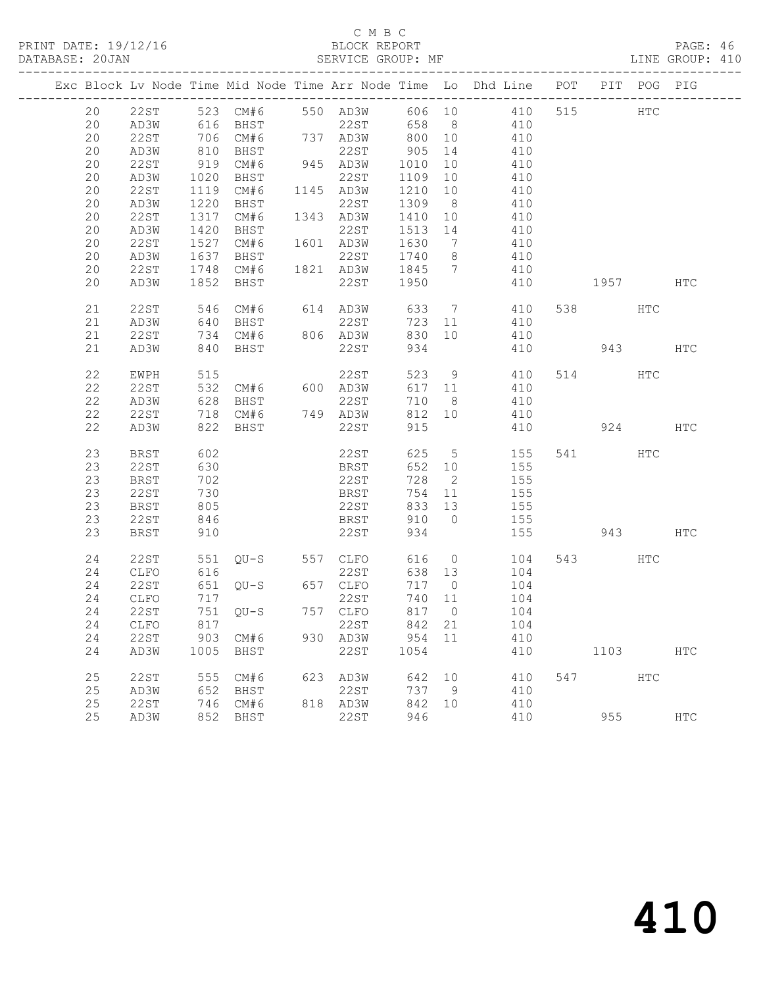### C M B C<br>BLOCK REPORT SERVICE GROUP: MF

|    |         |              |                                                         |     |                       |         |                | Exc Block Lv Node Time Mid Node Time Arr Node Time Lo Dhd Line POT |          | PIT POG PIG |     |
|----|---------|--------------|---------------------------------------------------------|-----|-----------------------|---------|----------------|--------------------------------------------------------------------|----------|-------------|-----|
| 20 |         |              |                                                         |     |                       |         |                | 22ST 523 CM#6 550 AD3W 606 10 410                                  | 515 HTC  |             |     |
| 20 | AD3W    |              | 616 BHST                                                |     |                       |         |                | $22ST$ 658 8 410                                                   |          |             |     |
| 20 | 22ST    |              | 706 CM#6 737 AD3W 800 10                                |     |                       |         |                | 410                                                                |          |             |     |
| 20 | AD3W    | 810          | BHST                                                    | 945 | 22ST                  | 905     | 14             | 410                                                                |          |             |     |
| 20 | 22ST    | 919          | CM#6                                                    |     | 945 AD3W 1010 10      |         |                | 410                                                                |          |             |     |
| 20 | AD3W    | 1020         | BHST                                                    |     | 22ST                  | 1109 10 |                | 410                                                                |          |             |     |
| 20 | 22ST    |              | 1119 CM#6                                               |     | 1145 AD3W             | 1210 10 |                | 410                                                                |          |             |     |
| 20 | AD3W    | 1220         | BHST                                                    |     | 22ST                  | 1309 8  |                | 410                                                                |          |             |     |
| 20 | 22ST    | 1317         | CM#6 1343 AD3W                                          |     |                       | 1410 10 |                | 410<br>410                                                         |          |             |     |
| 20 | AD3W    | 1420         | BHST                                                    |     | 22ST                  | 1513 14 |                |                                                                    |          |             |     |
| 20 | 22ST    | 1527         |                                                         |     | CM#6  1601  AD3W      |         |                | 1630 7 410                                                         |          |             |     |
| 20 | AD3W    | 1637         | BHST                                                    |     | 22ST                  | 1740 8  |                | 410                                                                |          |             |     |
| 20 | 22ST    | 1748         | CM#6 1821 AD3W                                          |     |                       | 1845 7  |                | 410                                                                |          |             |     |
| 20 | AD3W    |              | 1852 BHST                                               |     | 22ST 1950             |         |                | 410                                                                | 1957 HTC |             |     |
|    |         |              |                                                         |     |                       |         |                |                                                                    |          |             |     |
| 21 | 22ST    |              |                                                         |     |                       |         |                | 546 CM#6 614 AD3W 633 7 410                                        | 538 HTC  |             |     |
| 21 | AD3W    |              |                                                         |     |                       | 723 11  |                | 410                                                                |          |             |     |
| 21 | 22ST    | $-46$<br>640 |                                                         |     | 22ST<br>806 AD3W      | 830 10  |                | 410                                                                |          |             |     |
| 21 | AD3W    |              | ---<br>640 BHST<br>734 CM#6 806<br>840 BHST<br>840 BHST |     | 22ST                  | 934     |                | 410                                                                | 943 HTC  |             |     |
|    |         |              |                                                         |     |                       |         |                |                                                                    |          |             |     |
| 22 | EWPH    |              |                                                         |     |                       |         |                | 523 9 410                                                          | 514 HTC  |             |     |
| 22 | 22ST    | 532          |                                                         |     | 22ST<br>CM#6 600 AD3W | 617 11  |                | 410                                                                |          |             |     |
| 22 | AD3W    | 628          | BHST                                                    |     | 22ST                  | 710     | 8 <sup>8</sup> | 410                                                                |          |             |     |
| 22 | 22ST    |              | 718 CM#6 749 AD3W                                       |     |                       | 812 10  |                | 410                                                                |          |             |     |
| 22 | AD3W    | 822          | BHST                                                    |     | 22ST                  | 915     |                | 410                                                                | 924      |             | HTC |
|    |         |              |                                                         |     |                       |         |                |                                                                    |          |             |     |
| 23 | BRST    | 602          |                                                         |     | 22ST                  |         |                | 625 5 155                                                          | 541 HTC  |             |     |
| 23 | 22ST    | 630          |                                                         |     | <b>BRST</b>           | 652 10  |                | 155                                                                |          |             |     |
| 23 | BRST    | 702          |                                                         |     | 22ST                  | 728     | $\overline{2}$ | 155                                                                |          |             |     |
| 23 | 22ST    | 730          |                                                         |     | BRST                  | 754 11  |                |                                                                    |          |             |     |
| 23 | BRST    | 805          |                                                         |     | 22ST                  | 833 13  |                | $\begin{array}{c} 155 \\ 155 \end{array}$                          |          |             |     |
| 23 | 22ST    | 846          |                                                         |     | <b>BRST</b>           | 910 0   |                | 155                                                                |          |             |     |
| 23 | BRST    | 910          |                                                         |     | 22ST                  | 934     |                | 155                                                                |          | 943 — 10    | HTC |
|    |         |              |                                                         |     |                       |         |                |                                                                    |          |             |     |
| 24 | 22ST    |              | 551 QU-S 557 CLFO                                       |     |                       |         |                | 616 0<br>104                                                       | 543 HTC  |             |     |
| 24 | CLFO    | 616          |                                                         |     | 22ST                  |         |                | 638 13 104                                                         |          |             |     |
| 24 | 22ST    |              | 651 QU-S 657 CLFO                                       |     |                       | 717 0   |                | 104                                                                |          |             |     |
| 24 | CLFO    | 717          |                                                         |     | 22ST                  | 740 11  |                | $\begin{array}{c}\n104\n\end{array}$                               |          |             |     |
| 24 | 22ST    |              | 751 QU-S 757 CLFO                                       |     |                       | 817 0   |                | 104                                                                |          |             |     |
|    | 24 CLFO |              | 817 22ST 842 21                                         |     |                       |         |                | 104                                                                |          |             |     |
| 24 | 22ST    |              | 903 CM#6                                                |     | 930 AD3W              | 954 11  |                | 410                                                                |          |             |     |
| 24 | AD3W    | 1005         | BHST                                                    |     | 22ST                  | 1054    |                | 410                                                                | 1103     |             | HTC |
|    |         |              |                                                         |     |                       |         |                |                                                                    |          |             |     |
| 25 | 22ST    |              | 555 CM#6                                                | 623 | AD3W                  | 642     | 10             | 410                                                                | 547      | HTC         |     |
| 25 | AD3W    | 652          | BHST                                                    |     | 22ST                  | 737     | - 9            | 410                                                                |          |             |     |
| 25 | 22ST    | 746          | CM#6                                                    |     | 818 AD3W              | 842     | 10             | 410                                                                |          |             |     |
| 25 | AD3W    |              | 852 BHST                                                |     | 22ST                  | 946     |                | 410                                                                | 955      |             | HTC |
|    |         |              |                                                         |     |                       |         |                |                                                                    |          |             |     |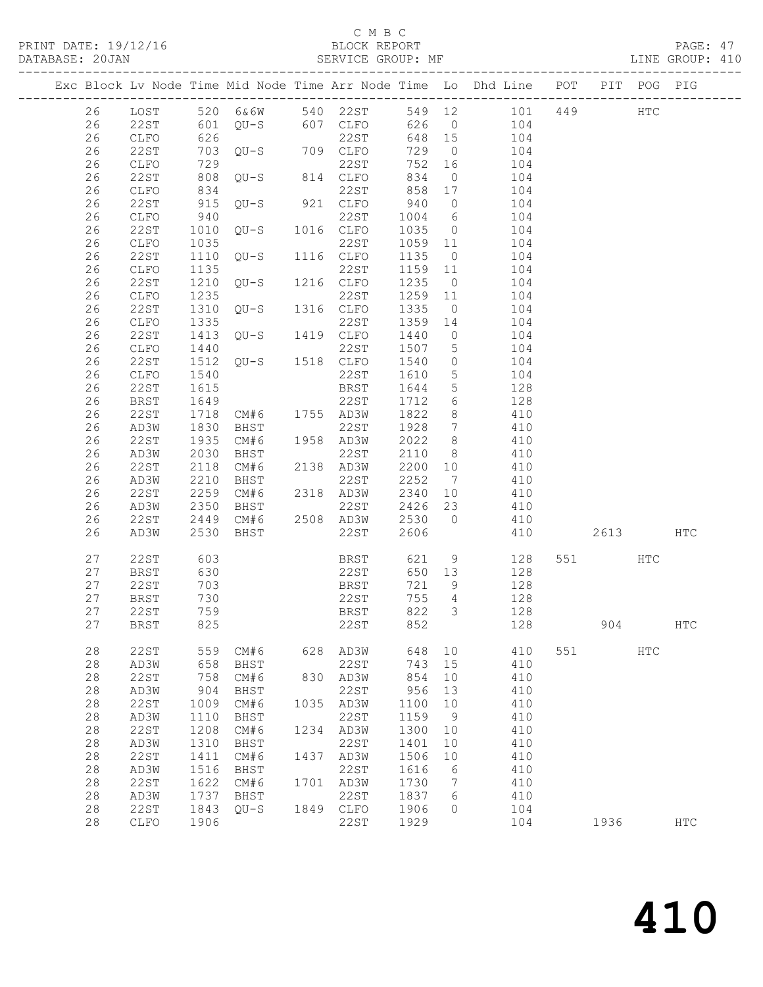### C M B C<br>BLOCK REPORT

#### SERVICE GROUP: MF

|               |                     |              |                        |      |                   |              |                         | Exc Block Lv Node Time Mid Node Time Arr Node Time Lo Dhd Line POT PIT POG PIG |     |        |     |              |
|---------------|---------------------|--------------|------------------------|------|-------------------|--------------|-------------------------|--------------------------------------------------------------------------------|-----|--------|-----|--------------|
| 26            | LOST                |              |                        |      | 520 6&6W 540 22ST |              |                         | 549 12 101 449                                                                 |     |        | HTC |              |
| 26            | 22ST                |              |                        |      |                   | 626 0        |                         | 104                                                                            |     |        |     |              |
| 26            | CLFO                |              |                        |      | 22ST              | 648 15       |                         | $\frac{1}{104}$                                                                |     |        |     |              |
| 26            | 22ST                |              | 703 QU-S               |      | 709 CLFO          | 729          | $\overline{0}$          | 104                                                                            |     |        |     |              |
| 26            | CLFO                | 729          |                        |      | 22ST              | 752          | 16                      | 104                                                                            |     |        |     |              |
| 26            | 22ST                | 808          | $QU-S$                 |      | 814 CLFO          | 834          | $\overline{0}$          | 104                                                                            |     |        |     |              |
| 26            | CLFO                | 834          |                        |      | 22ST              | 858          | 17                      | 104                                                                            |     |        |     |              |
| 26            | 22ST                | 915          | $QU-S$                 |      | 921 CLFO          | 940          | $\overline{0}$          | 104                                                                            |     |        |     |              |
| 26            | <b>CLFO</b>         | 940          | $QU-S$                 |      | 22ST              | 1004         | $6\overline{6}$         | 104                                                                            |     |        |     |              |
| 26            | 22ST                | 1010         |                        |      | 1016 CLFO         | 1035         | $\overline{0}$          | 104                                                                            |     |        |     |              |
| 26            | CLFO                | 1035         | 1110 QU-S 1116 CLFO    |      | 22ST              | 1059 11      |                         | 104                                                                            |     |        |     |              |
| 26            | 22ST                |              |                        |      |                   | 1135         | $\overline{0}$          | 104                                                                            |     |        |     |              |
| 26<br>26      | CLFO<br>22ST        | 1135<br>1210 | $QU-S$ 1216 $CLFO$     |      | 22ST              | 1159<br>1235 | 11<br>$\overline{0}$    | 104<br>104                                                                     |     |        |     |              |
| 26            | ${\tt CLFO}$        | 1235         |                        |      | 22ST              | 1259         | 11                      | 104                                                                            |     |        |     |              |
| 26            | 22ST                | 1310         | $QU-S$ 1316 $CLFO$     |      |                   | 1335         | $\overline{0}$          | 104                                                                            |     |        |     |              |
| 26            | CLFO                | 1335         |                        |      |                   | 1359         | 14                      | 104                                                                            |     |        |     |              |
| 26            | 22ST                | 1413         | $QU-S$ 1419 CLFO       |      |                   | 1440         | $\overline{0}$          | 104                                                                            |     |        |     |              |
| 26            | CLFO                | 1440         |                        |      | 22ST              | 1507         | 5 <sup>5</sup>          | 104                                                                            |     |        |     |              |
| 26            | 22ST                | 1512         | 22ST<br>QU-S 1518 CLFO |      |                   | 1540         | $\overline{0}$          | 104                                                                            |     |        |     |              |
| 26            | CLFO                | 1540         |                        |      | 22ST              | 1610         | $5\overline{)}$         | 104                                                                            |     |        |     |              |
| 26            | 22ST                | 1615         |                        |      | BRST              | 1644         | $5\overline{)}$         | 128                                                                            |     |        |     |              |
| 26            | <b>BRST</b>         | 1649         |                        |      | 22ST              | 1712         | $6\overline{6}$         | 128                                                                            |     |        |     |              |
| 26            | 22ST                | 1718         | CM#6 1755 AD3W         |      |                   | 1822         | 8                       | 410                                                                            |     |        |     |              |
| 26            | AD3W                | 1830         | BHST                   |      | 22ST              | 1928         | $\overline{7}$          | 410                                                                            |     |        |     |              |
| 26            | 22ST                | 1935         | CM#6                   |      | 1958 AD3W         | 2022         | 8 <sup>8</sup>          | 410                                                                            |     |        |     |              |
| 26            | AD3W                | 2030         | BHST                   |      | 22ST              | 2110         | 8 <sup>8</sup>          | 410                                                                            |     |        |     |              |
| 26            | 22ST                | 2118         | CM#6                   |      | 2138 AD3W         | 2200         | 10                      | 410                                                                            |     |        |     |              |
| 26            | AD3W                | 2210         | BHST                   |      | 22ST              | 2252         | $\overline{7}$          | 410                                                                            |     |        |     |              |
| 26            | 22ST                | 2259         | CM#6                   |      | 2318 AD3W         | 2340         | 10                      | 410                                                                            |     |        |     |              |
| 26            | AD3W                | 2350         | BHST                   |      | 22ST              | 2426<br>2530 | 23                      | 410                                                                            |     |        |     |              |
| 26<br>26      | 22ST<br>AD3W        | 2449<br>2530 | CM#6                   |      | 2508 AD3W<br>22ST | 2606         | $\overline{0}$          | 410<br>410                                                                     |     | 2613   |     | <b>HTC</b>   |
|               |                     |              | BHST                   |      |                   |              |                         |                                                                                |     |        |     |              |
| 27            | 22ST                | 603          |                        |      | BRST<br>22ST      | 621          | 9                       | 128                                                                            |     | 551 35 | HTC |              |
| 27            | BRST                | 630          |                        |      |                   | 650 13       |                         | 128                                                                            |     |        |     |              |
| 27            | 22ST                | 703          |                        |      | BRST              | 721          | 9                       | 128                                                                            |     |        |     |              |
| 27            | BRST                | 730          |                        |      | 22ST              | 755          | $\overline{4}$          | 128                                                                            |     |        |     |              |
| 27<br>27 BRST | 22ST                | 759<br>825   |                        |      | BRST<br>22ST 852  | 822          | $\overline{\mathbf{3}}$ | 128                                                                            |     |        |     |              |
|               |                     |              |                        |      |                   |              |                         | 128                                                                            |     | 904    |     | $_{\rm HTC}$ |
| 28            | <b>22ST</b>         | 559          | CM#6                   | 628  | AD3W              | 648          | 10                      | 410                                                                            | 551 |        | HTC |              |
| $2\,8$        | AD3W                | 658          | BHST                   |      | <b>22ST</b>       | 743          | 15                      | 410                                                                            |     |        |     |              |
| $2\,8$        | 22ST                | 758          | CM#6                   | 830  | AD3W              | 854          | 10                      | 410                                                                            |     |        |     |              |
| 28            | AD3W                | 904          | BHST                   |      | <b>22ST</b>       | 956          | 13                      | 410                                                                            |     |        |     |              |
| 28            | 22ST                | 1009         | CM#6                   | 1035 | AD3W              | 1100         | 10                      | 410                                                                            |     |        |     |              |
| $2\,8$<br>28  | AD3W<br><b>22ST</b> | 1110<br>1208 | BHST<br>CM#6           |      | 22ST              | 1159<br>1300 | 9                       | 410<br>410                                                                     |     |        |     |              |
| 28            | AD3W                | 1310         | BHST                   | 1234 | AD3W<br>22ST      | 1401         | 10<br>10                | 410                                                                            |     |        |     |              |
| $28$          | 22ST                | 1411         | CM#6                   | 1437 | AD3W              | 1506         | 10                      | 410                                                                            |     |        |     |              |
| 28            | AD3W                | 1516         | BHST                   |      | 22ST              | 1616         | 6                       | 410                                                                            |     |        |     |              |
| 28            | <b>22ST</b>         | 1622         | CM#6                   | 1701 | AD3W              | 1730         | 7                       | 410                                                                            |     |        |     |              |
| 28            | AD3W                | 1737         | BHST                   |      | <b>22ST</b>       | 1837         | 6                       | 410                                                                            |     |        |     |              |
| 28            | 22ST                | 1843         | $QU-S$                 | 1849 | CLFO              | 1906         | 0                       | 104                                                                            |     |        |     |              |
| 28            | CLFO                | 1906         |                        |      | 22ST              | 1929         |                         | 104                                                                            |     | 1936   |     | ${\tt HTC}$  |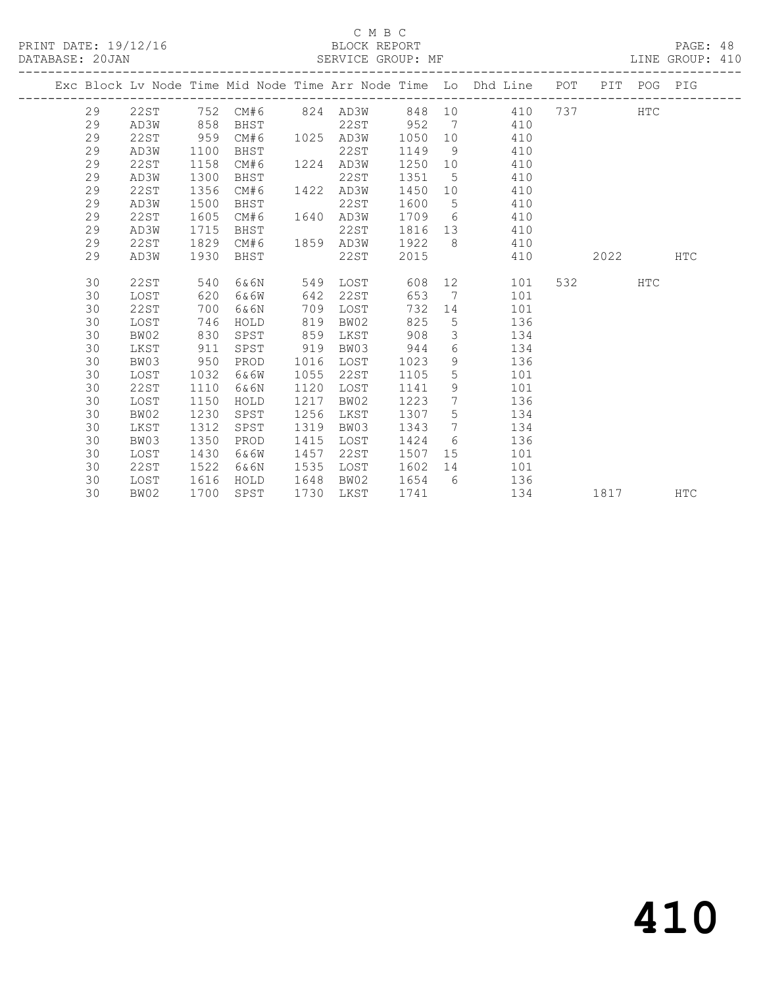### C M B C<br>BLOCK REPORT

PAGE: 48<br>LINE GROUP: 410

|  |    |             |      |          |      |          |      |                 | Exc Block Lv Node Time Mid Node Time Arr Node Time Lo Dhd Line POT |     | PIT  | POG PIG    |            |
|--|----|-------------|------|----------|------|----------|------|-----------------|--------------------------------------------------------------------|-----|------|------------|------------|
|  | 29 | 22ST        |      | 752 CM#6 |      | 824 AD3W |      |                 | 848 10 410                                                         | 737 |      | <b>HTC</b> |            |
|  | 29 | AD3W        | 858  | BHST     |      | 22ST     | 952  | $\overline{7}$  | 410                                                                |     |      |            |            |
|  | 29 | 22ST        | 959  | CM#6     | 1025 | AD3W     | 1050 | 10              | 410                                                                |     |      |            |            |
|  | 29 | AD3W        | 1100 | BHST     |      | 22ST     | 1149 | 9               | 410                                                                |     |      |            |            |
|  | 29 | <b>22ST</b> | 1158 | CM#6     | 1224 | AD3W     | 1250 | 10              | 410                                                                |     |      |            |            |
|  | 29 | AD3W        | 1300 | BHST     |      | 22ST     | 1351 | 5               | 410                                                                |     |      |            |            |
|  | 29 | 22ST        | 1356 | CM#6     | 1422 | AD3W     | 1450 | 10              | 410                                                                |     |      |            |            |
|  | 29 | AD3W        | 1500 | BHST     |      | 22ST     | 1600 | 5               | 410                                                                |     |      |            |            |
|  | 29 | 22ST        | 1605 | CM#6     | 1640 | AD3W     | 1709 | 6               | 410                                                                |     |      |            |            |
|  | 29 | AD3W        | 1715 | BHST     |      | 22ST     | 1816 | 13              | 410                                                                |     |      |            |            |
|  | 29 | 22ST        | 1829 | CM#6     | 1859 | AD3W     | 1922 | - 8             | 410                                                                |     |      |            |            |
|  | 29 | AD3W        | 1930 | BHST     |      | 22ST     | 2015 |                 | 410                                                                |     | 2022 |            | <b>HTC</b> |
|  |    |             |      |          |      |          |      |                 |                                                                    |     |      |            |            |
|  | 30 | <b>22ST</b> | 540  | 6&6N     | 549  | LOST     | 608  |                 | 12<br>101                                                          | 532 |      | <b>HTC</b> |            |
|  | 30 | LOST        | 620  | 6&6W     | 642  | 22ST     | 653  | $\overline{7}$  | 101                                                                |     |      |            |            |
|  | 30 | 22ST        | 700  | 6&6N     | 709  | LOST     | 732  | 14              | 101                                                                |     |      |            |            |
|  | 30 | LOST        | 746  | HOLD     | 819  | BW02     | 825  | 5               | 136                                                                |     |      |            |            |
|  | 30 | BW02        | 830  | SPST     | 859  | LKST     | 908  | 3               | 134                                                                |     |      |            |            |
|  | 30 | LKST        | 911  | SPST     | 919  | BW03     | 944  | 6               | 134                                                                |     |      |            |            |
|  | 30 | BW03        | 950  | PROD     | 1016 | LOST     | 1023 | 9               | 136                                                                |     |      |            |            |
|  | 30 | LOST        | 1032 | 6&6W     | 1055 | 22ST     | 1105 | 5               | 101                                                                |     |      |            |            |
|  | 30 | 22ST        | 1110 | 6&6N     | 1120 | LOST     | 1141 | 9               | 101                                                                |     |      |            |            |
|  | 30 | LOST        | 1150 | HOLD     | 1217 | BW02     | 1223 | $7\phantom{.0}$ | 136                                                                |     |      |            |            |
|  | 30 | BW02        | 1230 | SPST     | 1256 | LKST     | 1307 | 5               | 134                                                                |     |      |            |            |
|  | 30 | LKST        | 1312 | SPST     | 1319 | BW03     | 1343 | $7\phantom{.0}$ | 134                                                                |     |      |            |            |
|  | 30 | BW03        | 1350 | PROD     | 1415 | LOST     | 1424 | 6               | 136                                                                |     |      |            |            |
|  | 30 | LOST        | 1430 | 6&6W     | 1457 | 22ST     | 1507 | 15              | 101                                                                |     |      |            |            |
|  | 30 | 22ST        | 1522 | 6&6N     | 1535 | LOST     | 1602 | 14              | 101                                                                |     |      |            |            |
|  | 30 | LOST        | 1616 | HOLD     | 1648 | BW02     | 1654 | 6               | 136                                                                |     |      |            |            |
|  | 30 | BW02        | 1700 | SPST     | 1730 | LKST     | 1741 |                 | 134                                                                |     | 1817 |            | <b>HTC</b> |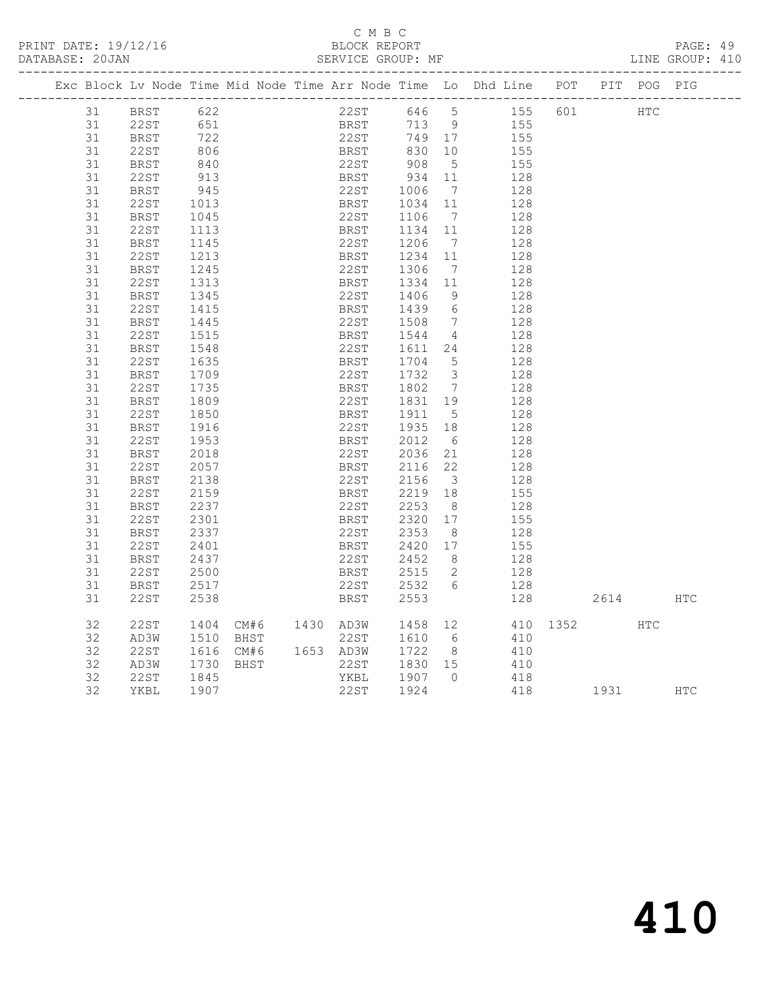### C M B C<br>BLOCK REPORT SERVICE GROUP: MF

|  |    |             |              |      |                |      |             |                                            |                         | Exc Block Lv Node Time Mid Node Time Arr Node Time Lo Dhd Line POT PIT POG PIG |     |          |     |     |
|--|----|-------------|--------------|------|----------------|------|-------------|--------------------------------------------|-------------------------|--------------------------------------------------------------------------------|-----|----------|-----|-----|
|  | 31 | BRST        | 622          |      |                |      |             |                                            |                         | 22ST 646 5 155 601                                                             |     | HTC      |     |     |
|  | 31 | 22ST        |              |      |                |      |             | 713 9                                      |                         |                                                                                | 155 |          |     |     |
|  | 31 | <b>BRST</b> | 651<br>722   |      |                |      |             | BRST 713 9<br>22ST 749 17                  |                         | 155                                                                            |     |          |     |     |
|  | 31 | 22 ST       |              |      |                |      |             |                                            |                         |                                                                                | 155 |          |     |     |
|  | 31 | BRST        | 806<br>840   |      |                |      |             | BRST 830 10<br>22ST 908 5                  |                         |                                                                                | 155 |          |     |     |
|  | 31 | 22ST        | 913          |      |                |      |             |                                            |                         |                                                                                | 128 |          |     |     |
|  | 31 | BRST        | 945          |      |                |      |             | BRST 934 11<br>22ST 1006 7                 | $\overline{7}$          |                                                                                | 128 |          |     |     |
|  | 31 | 22ST        | 1013         |      |                |      | <b>BRST</b> | 1034                                       | 11                      |                                                                                | 128 |          |     |     |
|  | 31 | BRST        | 1045         |      |                | 22ST |             | 1106 7                                     |                         |                                                                                | 128 |          |     |     |
|  | 31 | 22ST        | 1113         |      |                |      |             | BRST 1134 11                               |                         |                                                                                | 128 |          |     |     |
|  | 31 | BRST        | 1145         |      |                | 22ST |             | 1206                                       | $\overline{7}$          |                                                                                | 128 |          |     |     |
|  | 31 | 22ST        | 1213         |      |                | BRST |             | 1234 11                                    |                         |                                                                                | 128 |          |     |     |
|  | 31 | BRST        |              |      |                |      |             |                                            |                         |                                                                                | 128 |          |     |     |
|  | 31 | 22ST        | 1245<br>1313 |      |                |      |             | 22ST 1306 7<br>BRST 1334 11                |                         |                                                                                | 128 |          |     |     |
|  | 31 | BRST        |              |      |                | 22ST |             | 1406                                       | 9                       |                                                                                | 128 |          |     |     |
|  | 31 | 22ST        | 1345<br>1415 |      |                |      | <b>BRST</b> | 1439 6                                     |                         |                                                                                | 128 |          |     |     |
|  | 31 | BRST        | 1445         |      |                |      | 22ST        | 1508 7                                     |                         |                                                                                | 128 |          |     |     |
|  | 31 | 22ST        | 1515         |      |                | BRST |             | 1544 4                                     |                         |                                                                                | 128 |          |     |     |
|  | 31 | BRST        | 1548         |      |                |      | 22ST        | 1611 24                                    |                         |                                                                                | 128 |          |     |     |
|  | 31 | 22ST        | 1635         |      |                | BRST |             | 1704 5                                     |                         |                                                                                | 128 |          |     |     |
|  | 31 | BRST        | 1709         |      |                | 22ST |             | 1732 3                                     |                         |                                                                                | 128 |          |     |     |
|  | 31 | 22ST        |              |      |                |      |             |                                            |                         |                                                                                | 128 |          |     |     |
|  | 31 | BRST        | 1735<br>1809 |      |                |      |             | BRST 1802 7<br>22ST 1831 19                |                         |                                                                                | 128 |          |     |     |
|  | 31 | 22ST        | 1850         |      |                |      |             |                                            |                         |                                                                                | 128 |          |     |     |
|  | 31 | <b>BRST</b> | 1916         |      |                |      |             | BRST 1911 5<br>22ST 1935 18                |                         |                                                                                | 128 |          |     |     |
|  | 31 | 22ST        | 1953         |      |                |      | <b>BRST</b> | 2012 6                                     |                         |                                                                                | 128 |          |     |     |
|  | 31 | <b>BRST</b> | 2018         |      |                |      | 22ST        | 2036 21                                    |                         |                                                                                | 128 |          |     |     |
|  | 31 | 22ST        | 2057         |      |                |      |             | BRST 2116 22                               |                         |                                                                                | 128 |          |     |     |
|  | 31 | BRST        | 2138         |      |                | 22ST |             | 2156                                       | $\overline{\mathbf{3}}$ |                                                                                | 128 |          |     |     |
|  | 31 | 22ST        | 2159         |      |                |      |             | BRST 2219 18                               |                         |                                                                                | 155 |          |     |     |
|  | 31 | BRST        | 2237         |      |                | 22ST |             |                                            |                         |                                                                                | 128 |          |     |     |
|  | 31 | 22ST        | 2301         |      |                | BRST |             | 2253 8<br>2320 17                          |                         |                                                                                | 155 |          |     |     |
|  | 31 | BRST        | 2337         |      |                | 22ST |             | 2353                                       | 8 <sup>1</sup>          |                                                                                | 128 |          |     |     |
|  | 31 | 22ST        | 2401         |      |                | BRST |             | 2420 17                                    |                         |                                                                                | 155 |          |     |     |
|  | 31 | BRST        | 2437         |      |                | 22st |             | 2452 8                                     |                         | 128                                                                            |     |          |     |     |
|  | 31 | 22ST        | 2500         |      |                | BRST |             | 2515 2                                     |                         |                                                                                | 128 |          |     |     |
|  | 31 | BRST        | 2517         |      |                |      | 22ST        | 2532 6                                     |                         |                                                                                | 128 |          |     |     |
|  | 31 | 22ST        | 2538         |      |                |      | <b>BRST</b> | 2553                                       |                         |                                                                                | 128 | 2614     |     | HTC |
|  |    |             |              |      |                |      |             |                                            |                         |                                                                                |     |          |     |     |
|  | 32 | 22ST        |              |      |                |      |             |                                            |                         |                                                                                |     | 410 1352 | HTC |     |
|  | 32 | AD3W        | 1404<br>1510 |      |                |      |             | CM#6 1430 AD3W 1458 12<br>BHST 22ST 1610 6 |                         |                                                                                | 410 |          |     |     |
|  | 32 | 22ST        |              |      | CM#6 1653 AD3W |      |             | 1722 8                                     |                         |                                                                                | 410 |          |     |     |
|  | 32 | AD3W        | 1616<br>1730 | BHST |                |      | 22ST        | 1830 15                                    |                         |                                                                                | 410 |          |     |     |
|  | 32 | 22ST        | 1845         |      |                |      | YKBL        | 1907 0                                     |                         | 418                                                                            |     |          |     |     |
|  | 32 | YKBL        | 1907         |      |                | 22ST |             | 1924                                       |                         |                                                                                | 418 | 1931 HTC |     |     |
|  |    |             |              |      |                |      |             |                                            |                         |                                                                                |     |          |     |     |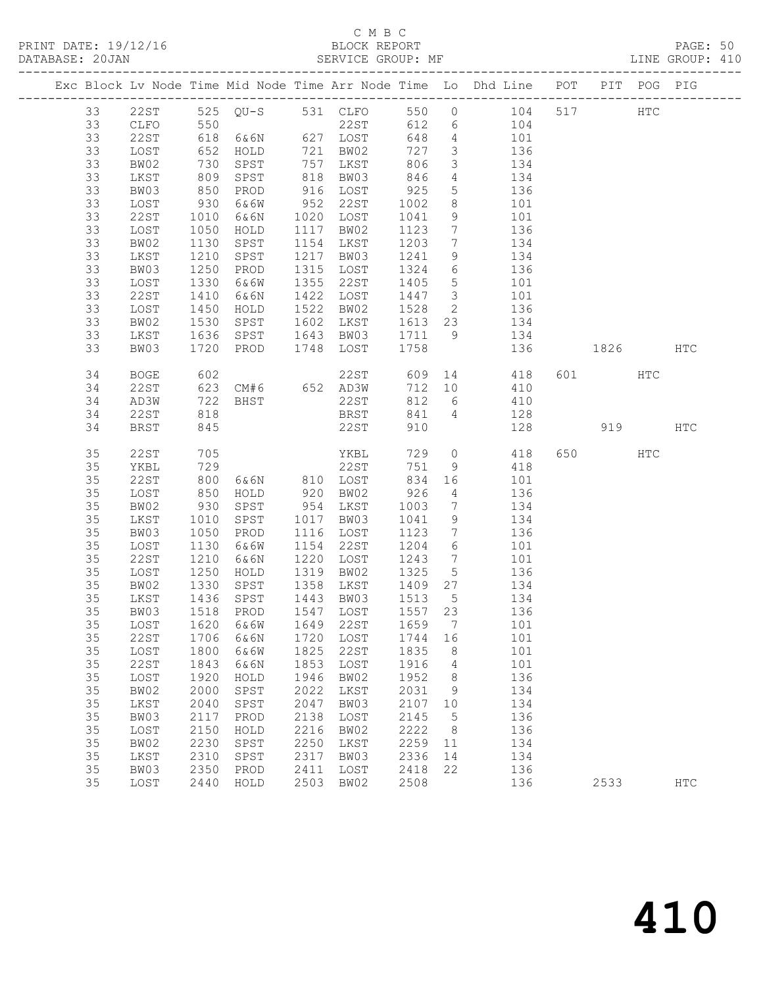## C M B C<br>BLOCK REPORT

PAGE: 50<br>LINE GROUP: 410

|    |             |                   |                                    |      |                                   |              |                         | Exc Block Lv Node Time Mid Node Time Arr Node Time Lo Dhd Line POT |         | PIT POG PIG   |            |
|----|-------------|-------------------|------------------------------------|------|-----------------------------------|--------------|-------------------------|--------------------------------------------------------------------|---------|---------------|------------|
| 33 | 22ST        |                   |                                    |      |                                   |              |                         | 525 QU-S 531 CLFO 550 0 104                                        | 517     | $_{\rm{HTC}}$ |            |
| 33 | CLFO        |                   |                                    |      |                                   |              |                         | $\begin{array}{c}\n104\n\end{array}$                               |         |               |            |
| 33 | 22ST        | 550<br>618<br>652 |                                    |      | 22ST 612 6<br>6&6N 627 LOST 648 4 |              |                         | 101                                                                |         |               |            |
| 33 | LOST        |                   | HOLD                               |      | 721 BW02                          | 727          | $\overline{\mathbf{3}}$ | 136                                                                |         |               |            |
| 33 | BW02        |                   | SPST                               |      | 757 LKST                          | 806          | $\overline{\mathbf{3}}$ | 134                                                                |         |               |            |
| 33 | LKST        |                   | SPST                               |      |                                   |              | $4\overline{4}$         |                                                                    |         |               |            |
| 33 | BW03        | 730<br>809<br>850 | PROD                               |      | 818 L.C<br>916 LOST<br>22ST       | 846<br>925   | 5 <sup>5</sup>          | 134<br>136                                                         |         |               |            |
| 33 | LOST        | 930               | 6&6W                               |      | 952 22ST                          | 1002         | 8 <sup>8</sup>          | 101                                                                |         |               |            |
| 33 | 22ST        | 1010              | 6&6N                               |      | 1020 LOST                         | 1041         | 9                       | 101                                                                |         |               |            |
| 33 | LOST        | 1050              | HOLD                               |      | 1117 BW02                         | 1123         | $7\overline{ }$         | 136                                                                |         |               |            |
| 33 | BW02        | 1130              | SPST                               |      | 1154 LKST                         | 1203         | $7\overline{)}$         | 134                                                                |         |               |            |
| 33 | LKST        | 1210              | SPST                               |      | 1217 BW03                         | 1241         | 9                       | 134                                                                |         |               |            |
| 33 | BW03        | 1250              | PROD                               |      | 1315 LOST                         | 1324         | $6\overline{6}$         | 136                                                                |         |               |            |
| 33 | LOST        | 1330              | 6&6W                               |      | 1355 22ST                         | 1405         | $5\overline{)}$         | 101                                                                |         |               |            |
| 33 | 22ST        | 1410              | 6&6N                               |      | 1422 LOST                         | 1447 3       |                         | 101                                                                |         |               |            |
| 33 | LOST        | 1450              | HOLD                               |      | 1522 BW02                         | 1528         |                         | $\frac{3}{2}$ $\frac{136}{136}$                                    |         |               |            |
| 33 | BW02        | 1530              | SPST                               |      | 1602 LKST                         |              |                         | 1613 23 134                                                        |         |               |            |
| 33 | LKST        | 1636              | SPST                               |      | 1643 BW03                         |              |                         | 1711 9 134                                                         |         |               |            |
| 33 | BW03        | 1720              | PROD                               |      | 1748 LOST                         | 1758         |                         | 136                                                                | 1826    |               | HTC        |
|    |             |                   |                                    |      |                                   |              |                         |                                                                    |         |               |            |
| 34 | <b>BOGE</b> | 602               |                                    |      |                                   |              |                         | 22ST 609 14 418                                                    | 601 000 | HTC           |            |
| 34 | 22ST        |                   | 623 CM#6 652 AD3W                  |      |                                   |              |                         | 712 10 410                                                         |         |               |            |
| 34 | AD3W        | 722               | <b>BHST</b>                        |      | 22ST                              | 812          | $6\overline{6}$         | 410                                                                |         |               |            |
| 34 | 22ST        | 818               |                                    |      | BRST                              | 841 4        |                         | 128                                                                |         |               |            |
| 34 | <b>BRST</b> | 845               |                                    |      | 22ST                              | 910          |                         | 128                                                                | 919     |               | <b>HTC</b> |
|    |             |                   |                                    |      |                                   |              |                         |                                                                    |         |               |            |
| 35 | 22ST        | 705<br>729        |                                    |      | YKBL<br>22ST                      | 729          | $\overline{0}$          | 418                                                                | 650 700 | HTC           |            |
| 35 | YKBL        |                   |                                    |      |                                   | 751          | 9                       | 418                                                                |         |               |            |
| 35 | 22ST        | 800               | 6&6N 810 LOST                      |      |                                   | 834 16       |                         | 101                                                                |         |               |            |
| 35 | LOST        | 850               | HOLD                               |      | 920 BW02                          | 926          | $\overline{4}$          | 136                                                                |         |               |            |
| 35 | BW02        | 930               | SPST                               |      | 954 LKST                          | 1003<br>1041 | $\overline{7}$          | 134                                                                |         |               |            |
| 35 | LKST        | 1010              | SPST                               |      | 1017 BW03                         | 1041         | 9                       | 134                                                                |         |               |            |
| 35 | BW03        | 1050              | PROD                               |      | 1116 LOST                         | 1123         | $\overline{7}$          | 136                                                                |         |               |            |
| 35 | LOST        | 1130              | 6&6W                               |      | 1154 22ST                         | 1204         | $6\overline{6}$         | 101                                                                |         |               |            |
| 35 | 22ST        | 1210              | 6&6N                               |      | 1220 LOST                         | 1243         | $7\overline{ }$         | 101                                                                |         |               |            |
| 35 | LOST        | 1250              | HOLD                               |      | 1319 BW02                         | 1325         | $5\overline{)}$         | 136                                                                |         |               |            |
| 35 | BW02        | 1330              | SPST                               |      | 1358 LKST                         | 1409 27      |                         | 134                                                                |         |               |            |
| 35 | LKST        | 1436              | SPST                               |      | 1443 BW03                         | 1513 5       |                         | 134                                                                |         |               |            |
| 35 | BW03        |                   | 1518 PROD                          |      | 1547 LOST                         | 1557 23      |                         | 136                                                                |         |               |            |
|    |             |                   | 35 LOST 1620 6&6W 1649 22ST 1659 7 |      |                                   |              |                         | 101                                                                |         |               |            |
| 35 | 22ST        | 1706              | 6&6N                               | 1720 | LOST                              | 1744         | 16                      | 101                                                                |         |               |            |
| 35 | LOST        | 1800              | 6&6W                               | 1825 | <b>22ST</b>                       | 1835         | 8                       | 101                                                                |         |               |            |
| 35 | <b>22ST</b> | 1843              | 6&6N                               | 1853 | LOST                              | 1916         | 4                       | 101                                                                |         |               |            |
| 35 | LOST        | 1920              | HOLD                               | 1946 | BW02                              | 1952         | 8                       | 136                                                                |         |               |            |
| 35 | BW02        | 2000              | SPST                               | 2022 | LKST                              | 2031         | 9                       | 134                                                                |         |               |            |
| 35 | LKST        | 2040              | SPST                               | 2047 | BW03                              | 2107         | 10                      | 134                                                                |         |               |            |
| 35 | BW03        | 2117              | PROD                               | 2138 | LOST                              | 2145         | 5                       | 136                                                                |         |               |            |
| 35 | LOST        | 2150              | HOLD                               | 2216 | BW02                              | 2222         | 8                       | 136                                                                |         |               |            |
| 35 | BW02        | 2230              | SPST                               | 2250 | LKST                              | 2259         | 11                      | 134                                                                |         |               |            |
| 35 | LKST        | 2310              | SPST                               | 2317 | BW03                              | 2336         | 14                      | 134                                                                |         |               |            |
| 35 | BW03        | 2350              | PROD                               | 2411 | LOST                              | 2418         | 22                      | 136                                                                |         |               |            |
| 35 | LOST        | 2440              | HOLD                               | 2503 | BW02                              | 2508         |                         | 136                                                                | 2533    |               | HTC        |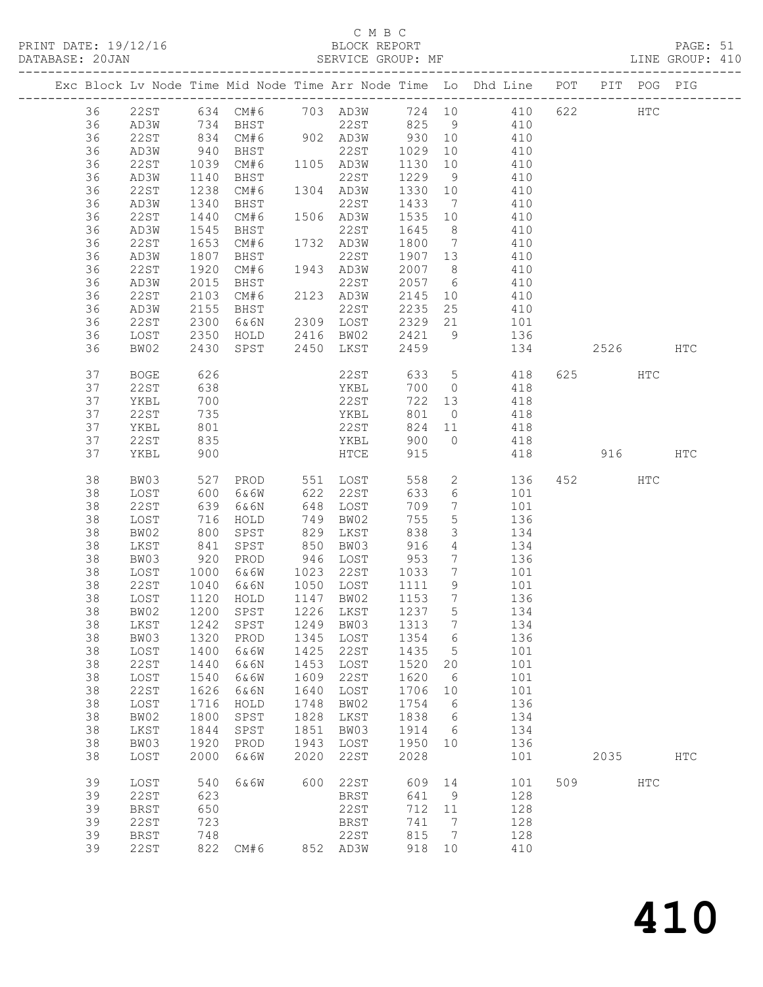### C M B C<br>BLOCK REPORT

PAGE: 51<br>LINE GROUP: 410

|  |    |             |                |                                    |      |                      |         |                              | Exc Block Lv Node Time Mid Node Time Arr Node Time Lo Dhd Line POT        |          | PIT POG PIG |     |
|--|----|-------------|----------------|------------------------------------|------|----------------------|---------|------------------------------|---------------------------------------------------------------------------|----------|-------------|-----|
|  | 36 |             |                |                                    |      |                      |         |                              | 22ST 634 CM#6 703 AD3W 724 10 410 622 HTC<br>AD3W 734 BHST 22ST 825 9 410 |          |             |     |
|  | 36 | AD3W        |                |                                    |      |                      |         |                              |                                                                           |          |             |     |
|  | 36 | 22ST        |                | 834 CM#6 902 AD3W 930 10           |      |                      |         |                              | 410                                                                       |          |             |     |
|  | 36 | AD3W        | 940            | BHST                               |      | 22ST                 | 1029    | 10                           | 410                                                                       |          |             |     |
|  | 36 | 22ST        |                |                                    |      |                      |         | 10                           |                                                                           |          |             |     |
|  |    |             | 1039<br>1140   | CM#6 1105 AD3W                     |      |                      | 1130    |                              | 410                                                                       |          |             |     |
|  | 36 | AD3W        |                | BHST                               |      | 22ST                 | 1229    | 9                            | 410                                                                       |          |             |     |
|  | 36 | 22ST        | 1238           | CM#6                               |      | 1304 AD3W            | 1330 10 |                              | 410                                                                       |          |             |     |
|  | 36 | AD3W        | 1340           | BHST                               |      | 22ST                 | 1433    | $7\overline{)}$              | 410                                                                       |          |             |     |
|  | 36 | 22ST        | 1440           | CM#6                               |      | 1506 AD3W            | 1535    | 10                           | 410                                                                       |          |             |     |
|  | 36 | AD3W        | 1545           | BHST                               |      | 22ST                 | 1645 8  |                              | 410                                                                       |          |             |     |
|  | 36 | 22ST        | 1653           | CM#6                               |      | 1732 AD3W            | 1800    | $7\phantom{0}$               | 410                                                                       |          |             |     |
|  | 36 | AD3W        | 1807           | BHST                               |      | 22ST                 | 1907 13 |                              | 410                                                                       |          |             |     |
|  | 36 | 22ST        | 1920           | CM#6                               |      | 1943 AD3W            | 2007 8  |                              | 410                                                                       |          |             |     |
|  | 36 | AD3W        | 2015           | BHST                               |      | 22ST                 | 2057 6  |                              | 410                                                                       |          |             |     |
|  | 36 | 22ST        | 2103           | CM#6                               |      | 2123 AD3W            | 2145    |                              | 10 410                                                                    |          |             |     |
|  | 36 | AD3W        | 2155           | BHST                               |      | 22ST                 | 2235 25 |                              | 410                                                                       |          |             |     |
|  | 36 | 22ST        | 2300           | 6&6N                               |      | 2309 LOST            |         |                              | 2329 21 101                                                               |          |             |     |
|  | 36 | LOST        | 2350           | HOLD                               |      | 2416 BW02            | 2421 9  |                              | 136                                                                       |          |             |     |
|  | 36 | BW02        | 2430           | SPST                               |      | 2450 LKST            | 2459    |                              | 134                                                                       | 2526 HTC |             |     |
|  |    |             |                |                                    |      |                      |         |                              |                                                                           |          |             |     |
|  | 37 | <b>BOGE</b> | 626            |                                    |      | 22ST                 |         |                              | 633 5 418                                                                 | 625 HTC  |             |     |
|  | 37 | 22ST        | 638            |                                    |      | YKBL                 | 700 0   |                              |                                                                           |          |             |     |
|  | 37 | YKBL        | 700            |                                    |      | 22ST                 | 722 13  |                              | $418$<br>$418$                                                            |          |             |     |
|  | 37 | 22ST        | 735            |                                    |      | YKBL                 | 801     |                              | $0$ 418                                                                   |          |             |     |
|  | 37 | YKBL        | 801            |                                    |      | 22ST                 | 824     |                              | 11 418                                                                    |          |             |     |
|  | 37 |             | 835            |                                    |      |                      | 900 0   |                              |                                                                           |          |             |     |
|  |    | 22ST        |                |                                    |      | YKBL                 |         |                              | 418                                                                       |          |             |     |
|  | 37 | YKBL        | 900            |                                    |      | HTCE                 | 915     |                              | 418                                                                       |          | 916 HTC     |     |
|  | 38 | BW03        | 527            |                                    |      | PROD 551 LOST        | 558     |                              | 2 136                                                                     | 452 HTC  |             |     |
|  | 38 | LOST        | $rac{22}{600}$ | 6&6W                               |      |                      | 633     | 6                            | 101                                                                       |          |             |     |
|  | 38 | 22ST        | 639            | 6&6N                               |      | 622 22ST<br>648 LOST | 709     | $7\overline{ }$              | 101                                                                       |          |             |     |
|  | 38 | LOST        | 716            | HOLD                               | 749  | BW02                 | 755     | $5\overline{)}$              | 136                                                                       |          |             |     |
|  | 38 | BW02        | 800            | SPST                               | 829  | LKST                 | 838     | $\mathcal{S}$                | 134                                                                       |          |             |     |
|  | 38 | LKST        |                | SPST                               | 850  | BW03                 | 916     | $4\overline{ }$              | 134                                                                       |          |             |     |
|  | 38 | BW03        | 841<br>920     | PROD                               |      | 946 LOST             | 953     | $7\overline{ }$              | 136                                                                       |          |             |     |
|  | 38 | LOST        | 1000           | 6&6W                               | 1023 | 22ST                 | 1033    | $7\overline{ }$              | 101                                                                       |          |             |     |
|  | 38 | 22ST        | 1040           | 6&6N                               |      | 1050 LOST            | 1111    | 9                            | 101                                                                       |          |             |     |
|  | 38 | LOST        |                | HOLD                               |      | 1147 BW02            | 1153    | $\overline{7}$               |                                                                           |          |             |     |
|  |    |             | 1120<br>1200   |                                    |      | 1226 LKST            |         |                              | 136                                                                       |          |             |     |
|  | 38 | BW02        |                | SPST                               |      |                      | 1237 5  |                              | 134                                                                       |          |             |     |
|  |    |             |                | 38 LKST 1242 SPST 1249 BW03 1313 7 |      |                      |         |                              | 134                                                                       |          |             |     |
|  | 38 | BW03        | 1320           | PROD                               | 1345 | LOST                 | 1354    | 6                            | 136                                                                       |          |             |     |
|  | 38 | LOST        | 1400           | 6&6W                               | 1425 | 22ST                 | 1435    | $5^{\circ}$                  | 101                                                                       |          |             |     |
|  | 38 | 22ST        | 1440           | 6&6N                               | 1453 | LOST                 | 1520    | 20                           | 101                                                                       |          |             |     |
|  | 38 | LOST        | 1540           | 6&6W                               | 1609 | 22ST                 | 1620    | 6                            | 101                                                                       |          |             |     |
|  | 38 | 22ST        | 1626           | 6&6N                               | 1640 | LOST                 | 1706    | 10                           | 101                                                                       |          |             |     |
|  | 38 | LOST        | 1716           | HOLD                               | 1748 | BW02                 | 1754    | - 6                          | 136                                                                       |          |             |     |
|  | 38 | BW02        | 1800           | SPST                               | 1828 | LKST                 | 1838    | $6\overline{6}$              | 134                                                                       |          |             |     |
|  | 38 | LKST        | 1844           | SPST                               | 1851 | BW03                 | 1914    | 6                            | 134                                                                       |          |             |     |
|  | 38 | BW03        | 1920           | PROD                               | 1943 | LOST                 | 1950 10 |                              | 136                                                                       |          |             |     |
|  | 38 | LOST        | 2000           | 6&6W                               | 2020 | 22ST                 | 2028    |                              | 101                                                                       | 2035     |             | HTC |
|  |    |             |                |                                    |      |                      |         |                              |                                                                           |          |             |     |
|  | 39 | LOST        | 540            | 6&6W                               | 600  | 22ST                 | 609     | 14                           | 101                                                                       | 509      | HTC         |     |
|  | 39 | 22ST        | 623            |                                    |      | BRST                 | 641     | 9                            | 128                                                                       |          |             |     |
|  | 39 | <b>BRST</b> | 650            |                                    |      | 22ST                 | 712     | 11                           | 128                                                                       |          |             |     |
|  | 39 | 22ST        | 723            |                                    |      | BRST                 | 741     | $\overline{7}$               | 128                                                                       |          |             |     |
|  | 39 | <b>BRST</b> | 748            |                                    |      | 22ST                 | 815     | $7\phantom{.0}\phantom{.0}7$ | 128                                                                       |          |             |     |
|  | 39 | 22ST        |                | 822 CM#6                           |      | 852 AD3W             | 918 10  |                              | 410                                                                       |          |             |     |
|  |    |             |                |                                    |      |                      |         |                              |                                                                           |          |             |     |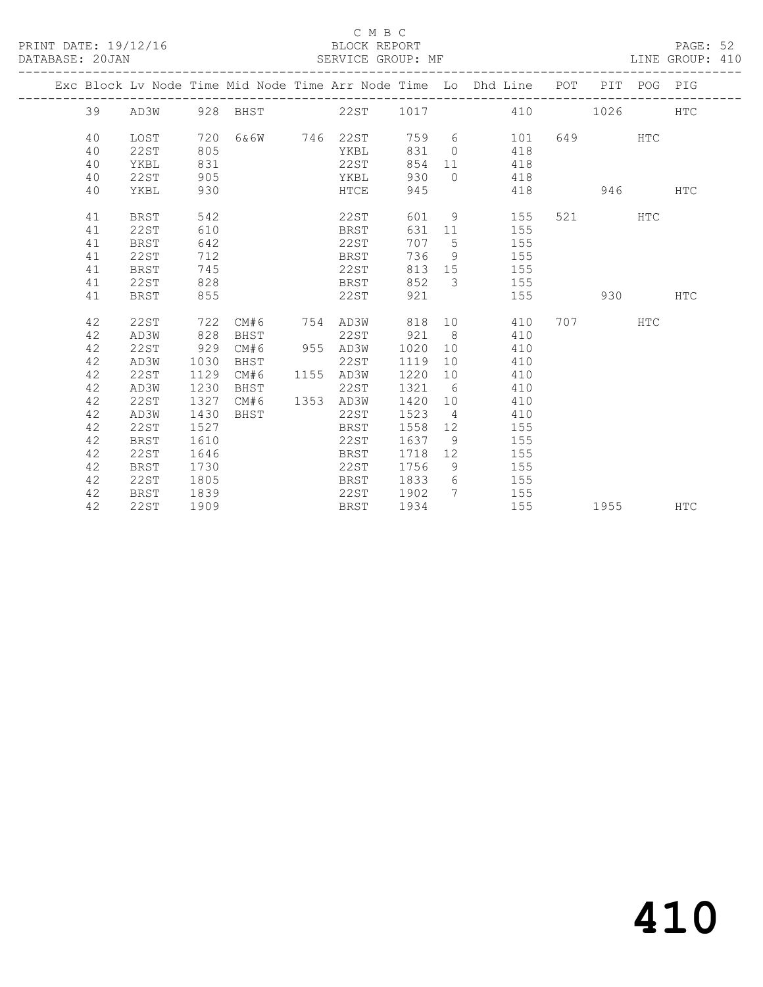### C M B C<br>BLOCK REPORT

PAGE: 52<br>LINE GROUP: 410

|  |    |             |      |                    |               |        |                | Exc Block Lv Node Time Mid Node Time Arr Node Time Lo Dhd Line POT PIT POG PIG |           |            |            |
|--|----|-------------|------|--------------------|---------------|--------|----------------|--------------------------------------------------------------------------------|-----------|------------|------------|
|  | 39 |             |      | AD3W 928 BHST 22ST |               |        |                | 1017 410                                                                       | 1026 70   |            | <b>HTC</b> |
|  | 40 | LOST        | 720  |                    | 6&6W 746 22ST |        |                | 759 6<br>101                                                                   | 649 — 100 | <b>HTC</b> |            |
|  | 40 | <b>22ST</b> | 805  |                    | YKBL          | 831    | $\overline{0}$ | 418                                                                            |           |            |            |
|  | 40 | YKBL        | 831  |                    | 22ST          | 854    | 11             | 418                                                                            |           |            |            |
|  | 40 | 22ST        | 905  |                    | YKBL          | 930    | $\bigcirc$     | 418                                                                            |           |            |            |
|  | 40 | YKBL        | 930  |                    | HTCE          | 945    |                | 418                                                                            | 946       |            | <b>HTC</b> |
|  | 41 | BRST        | 542  |                    | 22ST          | 601    | 9              | 155                                                                            | 521 72    | HTC        |            |
|  | 41 | 22ST        | 610  |                    | BRST          | 631    | 11             | 155                                                                            |           |            |            |
|  | 41 | <b>BRST</b> | 642  |                    | 22ST          | 707    | $5^{\circ}$    | 155                                                                            |           |            |            |
|  | 41 | 22ST        | 712  |                    | BRST          | 736    | 9              | 155                                                                            |           |            |            |
|  | 41 | BRST        | 745  |                    | 22ST          | 813    | 15             | 155                                                                            |           |            |            |
|  | 41 | 22ST        | 828  |                    | BRST          | 852    | 3              | 155                                                                            |           |            |            |
|  | 41 | <b>BRST</b> | 855  |                    | 22ST          | 921    |                | 155                                                                            | 930       |            | <b>HTC</b> |
|  | 42 | 22ST        | 722  | CM#6               | 754 AD3W      | 818    | 10             | 410                                                                            | 707       | <b>HTC</b> |            |
|  | 42 | AD3W        | 828  | BHST               | 22ST          | 921    | 8 <sup>8</sup> | 410                                                                            |           |            |            |
|  | 42 | <b>22ST</b> | 929  | CM#6               | 955 AD3W      | 1020   | 10             | 410                                                                            |           |            |            |
|  | 42 | AD3W        | 1030 | BHST               | 22ST          | 1119   | 10             | 410                                                                            |           |            |            |
|  | 42 | 22ST        | 1129 | CM#6               | 1155 AD3W     | 1220   | 10             | 410                                                                            |           |            |            |
|  | 42 | AD3W        | 1230 | BHST               | 22ST          | 1321 6 |                | 410                                                                            |           |            |            |
|  | 42 | <b>22ST</b> | 1327 | CM#6               | 1353 AD3W     | 1420   | 10             | 410                                                                            |           |            |            |
|  | 42 | AD3W        | 1430 | BHST               | 22ST          | 1523   | $\sim$ 4       | 410                                                                            |           |            |            |
|  | 42 | 22ST        | 1527 |                    | BRST          | 1558   | 12             | 155                                                                            |           |            |            |
|  | 42 | <b>BRST</b> | 1610 |                    | 22ST          | 1637   | - 9            | 155                                                                            |           |            |            |
|  | 42 | 22ST        | 1646 |                    | BRST          | 1718   | 12             | 155                                                                            |           |            |            |
|  | 42 | <b>BRST</b> | 1730 |                    | 22ST          | 1756   | 9              | 155                                                                            |           |            |            |
|  | 42 | 22ST        | 1805 |                    | BRST          | 1833   | 6              | 155                                                                            |           |            |            |
|  | 42 | BRST        | 1839 |                    | 22ST          | 1902   | $7\phantom{0}$ | 155                                                                            |           |            |            |
|  | 42 | 22ST        | 1909 |                    | BRST          | 1934   |                | 155                                                                            | 1955      |            | <b>HTC</b> |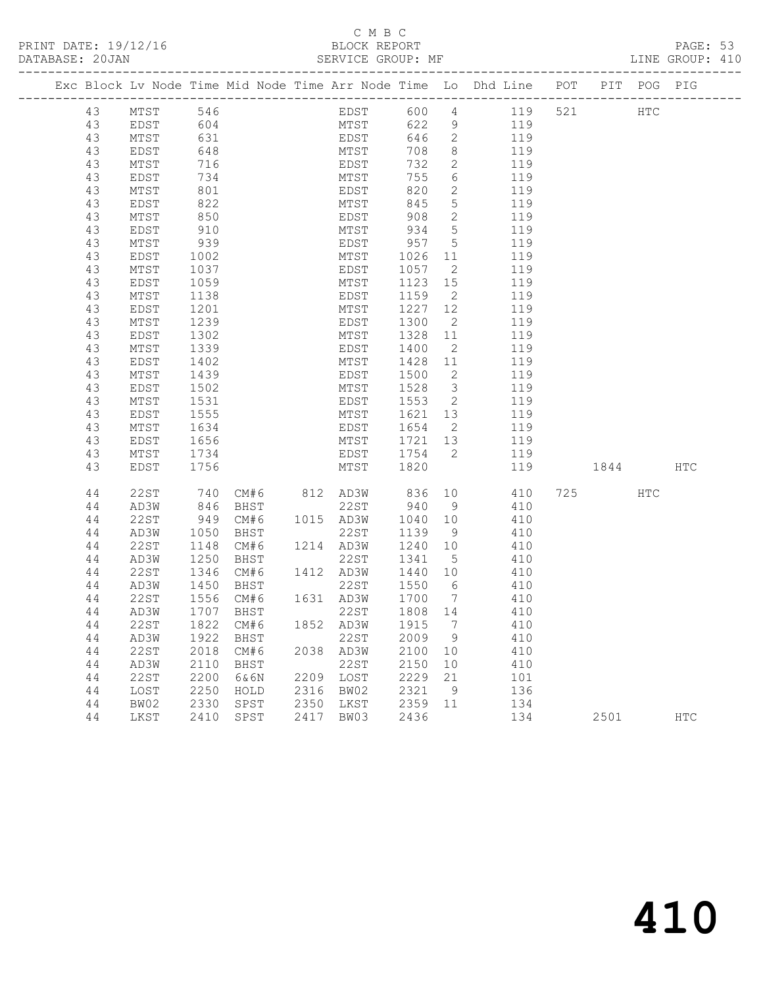### C M B C<br>BLOCK REPORT

PAGE: 53<br>LINE GROUP: 410

|  | Exc Block Lv Node Time Mid Node Time Arr Node Time Lo Dhd Line POT PIT POG PIG |              |                   |      |               |              |      |                  |                         |            |     |      |               |            |
|--|--------------------------------------------------------------------------------|--------------|-------------------|------|---------------|--------------|------|------------------|-------------------------|------------|-----|------|---------------|------------|
|  | 43                                                                             | MTST         | 546               |      |               |              | EDST | 600              |                         | 4 119      | 521 |      | $_{\rm{HTC}}$ |            |
|  | 43                                                                             | EDST         | 604               |      |               |              | MTST | 622              | 9                       | 119        |     |      |               |            |
|  | 43                                                                             | MTST         | 631               |      |               | EDST         |      | 646              | $\overline{2}$          | 119        |     |      |               |            |
|  | 43                                                                             | EDST         | 648               |      |               | MTST         |      | 708              | 8                       | 119        |     |      |               |            |
|  | 43                                                                             | MTST         | 716               |      |               | EDST         |      | 732              | $\mathbf{2}$            | 119        |     |      |               |            |
|  | 43                                                                             | EDST         | 734               |      |               | MTST         |      | 755              | 6                       | 119        |     |      |               |            |
|  | 43                                                                             | MTST         | 801               |      |               | EDST         |      | 820              | $\mathbf{2}$            | 119        |     |      |               |            |
|  | 43                                                                             | EDST         | 822               |      |               | MTST         |      | 845              | $5\overline{)}$         | 119        |     |      |               |            |
|  | 43                                                                             | MTST<br>EDST | 850<br>910        |      |               | EDST<br>MTST |      | 908<br>934       | 2<br>$5\phantom{.0}$    | 119<br>119 |     |      |               |            |
|  | 43<br>43                                                                       | MTST         | 939               |      |               | EDST         |      | 957              | $5\overline{)}$         | 119        |     |      |               |            |
|  | 43                                                                             | EDST         | 1002              |      |               | MTST         |      | 1026             | 11                      | 119        |     |      |               |            |
|  | 43                                                                             | MTST         | 1037              |      |               | EDST         |      | 1057             | $\overline{2}$          | 119        |     |      |               |            |
|  | 43                                                                             | EDST         | 1059              |      |               | MTST         |      | 1123             | 15                      | 119        |     |      |               |            |
|  | 43                                                                             | MTST         | 1138              |      |               | EDST         |      | 1159             | $\overline{2}$          | 119        |     |      |               |            |
|  | 43                                                                             | EDST         | 1201              |      |               | MTST         |      | 1227             | 12                      | 119        |     |      |               |            |
|  | 43                                                                             | MTST         | 1239              |      |               | EDST         |      | 1300             | $\overline{2}$          | 119        |     |      |               |            |
|  | 43                                                                             | EDST         | 1302              |      |               | MTST         |      | 1328             | 11                      | 119        |     |      |               |            |
|  | 43                                                                             | MTST         | 1339              |      |               | EDST         |      | 1400             | $\overline{2}$          | 119        |     |      |               |            |
|  | 43                                                                             | EDST         | 1402              |      |               | MTST         |      | 1428             | 11                      | 119        |     |      |               |            |
|  | 43                                                                             | MTST         | 1439              |      |               | EDST         |      | 1500             | $\overline{2}$          | 119        |     |      |               |            |
|  | 43                                                                             | EDST         | 1502              |      |               | MTST         |      | 1528             | $\overline{\mathbf{3}}$ | 119        |     |      |               |            |
|  | 43                                                                             | MTST         | 1531              |      |               | EDST         |      | 1553             | $\overline{2}$          | 119        |     |      |               |            |
|  | 43                                                                             | EDST         | 1555              |      |               | MTST         |      | 1621             | 13                      | 119        |     |      |               |            |
|  | 43                                                                             | MTST         | 1634              |      |               | EDST         |      | 1654             | $\overline{2}$          | 119        |     |      |               |            |
|  | 43                                                                             | EDST         | 1656              |      |               | MTST         |      | 1721 13          |                         | 119        |     |      |               |            |
|  | 43                                                                             | MTST         | 1734              |      |               | EDST         |      | 1754             | $\overline{2}$          | 119        |     |      |               |            |
|  | 43                                                                             | EDST         | 1756              |      |               | MTST         |      | 1820             |                         | 119        |     | 1844 |               | HTC        |
|  | 44                                                                             | 22ST         | 740               |      | CM#6 812 AD3W |              |      | 836              | 10                      | 410        |     | 725  | HTC           |            |
|  | 44                                                                             | AD3W         | 846               | BHST |               | 22ST         |      | 940              | 9                       | 410        |     |      |               |            |
|  | 44                                                                             | 22ST         | 949               | CM#6 | 1015 AD3W     |              |      | 1040             | 10                      | 410        |     |      |               |            |
|  | 44                                                                             | AD3W         | 1050              | BHST |               | 22ST         |      | 1139             | 9                       | 410        |     |      |               |            |
|  | 44                                                                             | 22ST         | 1148              | CM#6 | 1214 AD3W     |              |      | 1240             | 10                      | 410        |     |      |               |            |
|  | 44                                                                             | AD3W         | 1250              | BHST |               | 22ST         |      | 1341             | $5^{\circ}$             | 410        |     |      |               |            |
|  | 44                                                                             | 22ST         | 1346              | CM#6 | 1412 AD3W     |              |      | 1440 10          |                         | 410        |     |      |               |            |
|  | 44<br>44                                                                       | AD3W<br>22ST | 1450<br>1556 CM#6 | BHST | 1631 AD3W     | 22ST         |      | 1550<br>1700     | 6<br>$\overline{7}$     | 410<br>410 |     |      |               |            |
|  | 44                                                                             | AD3W         | 1707              | BHST |               | 22ST         |      | 1808 14          |                         | 410        |     |      |               |            |
|  | 44 22ST 1822 CM#6                                                              |              |                   |      |               |              |      | 1852 AD3W 1915 7 |                         | 410        |     |      |               |            |
|  | 44                                                                             | AD3W         | 1922              | BHST |               | 22ST         |      | 2009             | 9                       | 410        |     |      |               |            |
|  | 44                                                                             | 22ST         | 2018              | CM#6 | 2038          | AD3W         |      | 2100             | 10                      | 410        |     |      |               |            |
|  | 44                                                                             | AD3W         | 2110              | BHST |               | 22ST         |      | 2150             | 10                      | 410        |     |      |               |            |
|  | 44                                                                             | 22ST         | 2200              | 6&6N | 2209          | LOST         |      | 2229             | 21                      | 101        |     |      |               |            |
|  | 44                                                                             | LOST         | 2250              | HOLD | 2316          | BW02         |      | 2321             | 9                       | 136        |     |      |               |            |
|  | 44                                                                             | BW02         | 2330              | SPST | 2350          | LKST         |      | 2359             | 11                      | 134        |     |      |               |            |
|  | 44                                                                             | LKST         | 2410              | SPST | 2417          | BW03         |      | 2436             |                         | 134        |     | 2501 |               | <b>HTC</b> |
|  |                                                                                |              |                   |      |               |              |      |                  |                         |            |     |      |               |            |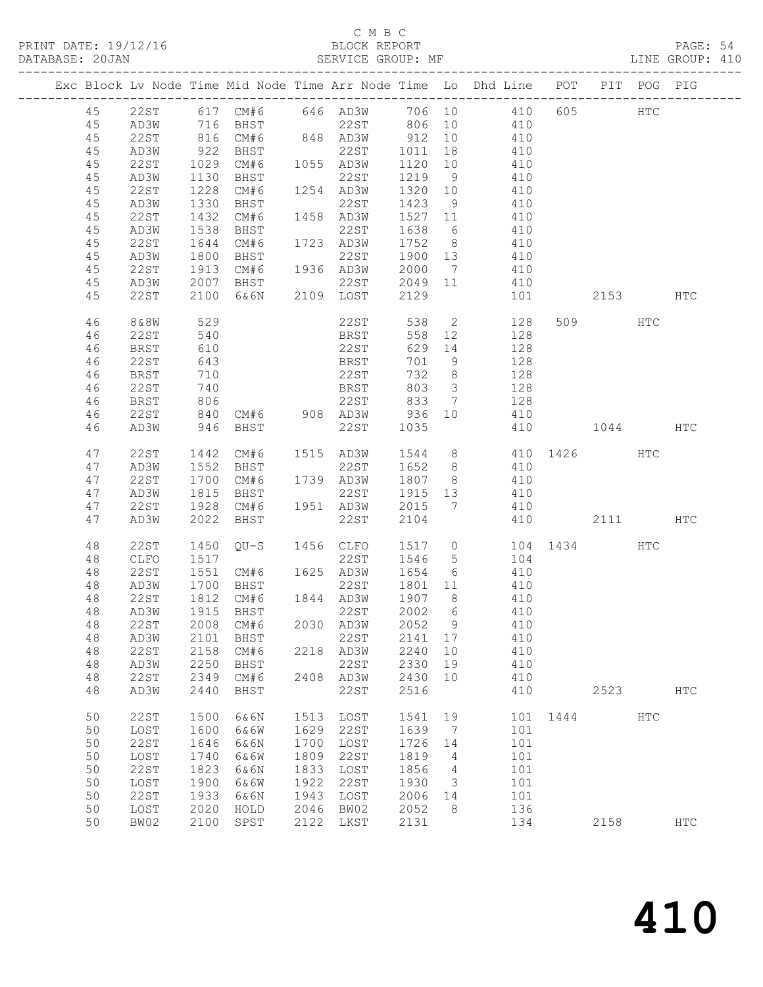### C M B C BLOCK REPORT<br>SERVICE GROUP: MF

|    |                            |                   |                        |      | PRINT DATE: 19/12/16 BLOCK REPORT DATABASE: 20JAN SERVICE GROUP: |        |                 | BLOCK REPORT PAGE: 54<br>SERVICE GROUP: MF LINE GROUP: 410                                                               |          |      |            |               |  |
|----|----------------------------|-------------------|------------------------|------|------------------------------------------------------------------|--------|-----------------|--------------------------------------------------------------------------------------------------------------------------|----------|------|------------|---------------|--|
|    | <br>---------------------- |                   |                        |      |                                                                  |        |                 | Exc Block Lv Node Time Mid Node Time Arr Node Time Lo Dhd Line POT PIT POG PIG                                           |          |      |            |               |  |
|    |                            |                   |                        |      |                                                                  |        |                 | 45 22ST 617 CM#6 646 AD3W 706 10 410 605 HTC<br>45 AD3W 716 BHST 22ST 806 10 410<br>45 22ST 816 CM#6 848 AD3W 912 10 410 |          |      |            |               |  |
|    |                            |                   |                        |      |                                                                  |        |                 |                                                                                                                          |          |      |            |               |  |
|    |                            |                   |                        |      |                                                                  |        |                 |                                                                                                                          |          |      |            |               |  |
| 45 | AD3W                       |                   |                        |      |                                                                  |        |                 |                                                                                                                          |          |      |            |               |  |
| 45 | 22ST                       |                   | 922 BHST               |      |                                                                  |        |                 | $22ST$ 1011 18 410                                                                                                       |          |      |            |               |  |
|    |                            |                   | 1029 CM#6<br>1130 BHST |      |                                                                  |        |                 | 1120 10 410<br>1219 9 410                                                                                                |          |      |            |               |  |
| 45 | AD3W                       | 1228              |                        |      | 22ST<br>1254 AD3W 1320 10                                        |        |                 | 410                                                                                                                      |          |      |            |               |  |
| 45 | 22ST                       |                   | CM#6                   |      |                                                                  |        |                 |                                                                                                                          |          |      |            |               |  |
| 45 | AD3W                       | 1330              | BHST                   |      | 22ST                                                             |        |                 | 1423 9 410                                                                                                               |          |      |            |               |  |
| 45 | 22ST                       | 1432              | CM#6                   |      | 1458 AD3W                                                        |        |                 | 1527 11 410<br>1638 6 410                                                                                                |          |      |            |               |  |
| 45 | AD3W                       | 1538              | BHST                   |      | 22ST                                                             | 1638 6 |                 |                                                                                                                          |          |      |            |               |  |
| 45 | 22ST                       | 1644              |                        |      |                                                                  |        |                 | CM#6 1723 AD3W 1752 8 410                                                                                                |          |      |            |               |  |
| 45 | AD3W                       | 1800              | BHST                   |      |                                                                  |        |                 | 22ST 1900 13 410                                                                                                         |          |      |            |               |  |
| 45 | 22ST                       | 1913              |                        |      |                                                                  |        |                 | CM#6 1936 AD3W 2000 7 410<br>BHST 22ST 2049 11 410                                                                       |          |      |            |               |  |
| 45 | AD3W                       |                   | 2007 BHST              |      |                                                                  |        |                 |                                                                                                                          |          |      |            |               |  |
| 45 | 22ST                       |                   |                        |      | 2100 6&6N 2109 LOST                                              | 2129   |                 | 101                                                                                                                      | 2153 HTC |      |            |               |  |
| 46 | 8&8W                       | 529               |                        |      |                                                                  |        |                 | 22ST 538 2 128<br>BRST 558 12 128                                                                                        |          | 509  | HTC        |               |  |
| 46 | 22ST                       | 540               |                        |      |                                                                  |        |                 |                                                                                                                          |          |      |            |               |  |
| 46 | BRST                       | 610               |                        |      | 22ST                                                             |        |                 | 629 14 128                                                                                                               |          |      |            |               |  |
| 46 | 22ST                       | 643               |                        |      | <b>BRST</b>                                                      | 701    |                 | 9 128                                                                                                                    |          |      |            |               |  |
| 46 | <b>BRST</b>                | 710<br>740<br>806 |                        |      | 22ST                                                             |        |                 | 22ST 732 8 128<br>BRST 803 3 128<br>22ST 833 7 128                                                                       |          |      |            |               |  |
| 46 | 22ST                       |                   |                        |      |                                                                  |        |                 |                                                                                                                          |          |      |            |               |  |
| 46 | <b>BRST</b>                |                   |                        |      |                                                                  |        |                 |                                                                                                                          |          |      |            |               |  |
| 46 | 22ST                       |                   |                        |      |                                                                  |        |                 | 840 CM#6 908 AD3W 936 10 410                                                                                             |          |      |            |               |  |
| 46 | AD3W                       |                   | 946 BHST               |      | 22ST                                                             | 1035   |                 | 410 1044 HTC                                                                                                             |          |      |            |               |  |
| 47 | 22ST                       |                   |                        |      |                                                                  |        |                 | 1442 CM#6 1515 AD3W 1544 8 410 1426 HTC                                                                                  |          |      |            |               |  |
| 47 | AD3W                       |                   | 1552 BHST              |      |                                                                  |        |                 | 22ST 1652 8 410                                                                                                          |          |      |            |               |  |
| 47 | 22ST                       | 1700              | CM#6                   |      | 1739 AD3W                                                        |        |                 | 1807 8 410                                                                                                               |          |      |            |               |  |
| 47 | AD3W                       |                   | BHST                   |      | 22ST                                                             |        |                 | 1915  13  410<br>2015  7  410                                                                                            |          |      |            |               |  |
| 47 | 22ST                       | 1815<br>1928      |                        |      | CM#6 1951 AD3W 2015 7                                            |        |                 |                                                                                                                          |          |      |            |               |  |
| 47 | AD3W                       |                   | 2022 BHST              |      | 22ST                                                             | 2104   |                 | 410                                                                                                                      | 2111     |      |            | HTC           |  |
| 48 | 22ST                       |                   |                        |      |                                                                  |        |                 | 1450 QU-S 1456 CLFO 1517 0 104 1434<br>1517 22ST 1546 5 104                                                              |          |      | HTC        |               |  |
| 48 | CLFO                       |                   |                        |      |                                                                  |        |                 |                                                                                                                          |          |      |            |               |  |
| 48 | 22ST                       |                   |                        |      |                                                                  |        |                 |                                                                                                                          |          |      |            |               |  |
| 48 | AD3W                       |                   | 1700 BHST              |      | 22ST                                                             |        |                 | 1801 11 410                                                                                                              |          |      |            |               |  |
|    |                            |                   |                        |      | 48  22ST  1812  CM#6  1844  AD3W  1907  8                        |        |                 | 410                                                                                                                      |          |      |            |               |  |
| 48 | AD3W                       | 1915              | BHST                   |      | 22ST                                                             | 2002   | 6               | 410                                                                                                                      |          |      |            |               |  |
| 48 | 22ST                       | 2008              | CM#6                   | 2030 | AD3W                                                             | 2052   | 9               | 410                                                                                                                      |          |      |            |               |  |
| 48 | AD3W                       | 2101              | BHST                   |      | 22ST                                                             | 2141   | 17              | 410                                                                                                                      |          |      |            |               |  |
| 48 | 22ST                       | 2158              | CM#6                   | 2218 | AD3W                                                             | 2240   | 10              | 410                                                                                                                      |          |      |            |               |  |
| 48 | AD3W                       | 2250              | <b>BHST</b>            |      | 22ST                                                             | 2330   | 19              | 410                                                                                                                      |          |      |            |               |  |
| 48 | 22ST                       | 2349              | CM#6                   | 2408 | AD3W                                                             | 2430   | 10              | 410                                                                                                                      |          |      |            |               |  |
| 48 | AD3W                       | 2440              | BHST                   |      | 22ST                                                             | 2516   |                 | 410                                                                                                                      |          | 2523 |            | $_{\rm{HTC}}$ |  |
| 50 | <b>22ST</b>                | 1500              | 6&6N                   | 1513 | LOST                                                             | 1541   | 19              | 101                                                                                                                      | 1444     |      | <b>HTC</b> |               |  |
| 50 | LOST                       | 1600              | 6&6W                   | 1629 | 22ST                                                             | 1639   | $7\phantom{.0}$ | 101                                                                                                                      |          |      |            |               |  |
| 50 | <b>22ST</b>                | 1646              | 6&6N                   | 1700 | LOST                                                             | 1726   | 14              | 101                                                                                                                      |          |      |            |               |  |
| 50 | LOST                       | 1740              | 6&6W                   | 1809 | 22ST                                                             | 1819   | 4               | 101                                                                                                                      |          |      |            |               |  |
| 50 | 22ST                       | 1823              | 6&6N                   | 1833 | LOST                                                             | 1856   | 4               | 101                                                                                                                      |          |      |            |               |  |
| 50 | LOST                       | 1900              | 6&6W                   | 1922 | 22ST                                                             | 1930   | 3               | 101                                                                                                                      |          |      |            |               |  |
| 50 | <b>22ST</b>                | 1933              | 6&6N                   | 1943 | LOST                                                             | 2006   | 14              | 101                                                                                                                      |          |      |            |               |  |
| 50 | LOST                       | 2020              | HOLD                   | 2046 | BW02                                                             | 2052   | 8               | 136                                                                                                                      |          |      |            |               |  |
| 50 | BW02                       | 2100              | SPST                   | 2122 | LKST                                                             | 2131   |                 | 134                                                                                                                      |          | 2158 |            | $_{\rm{HTC}}$ |  |
|    |                            |                   |                        |      |                                                                  |        |                 |                                                                                                                          |          |      |            |               |  |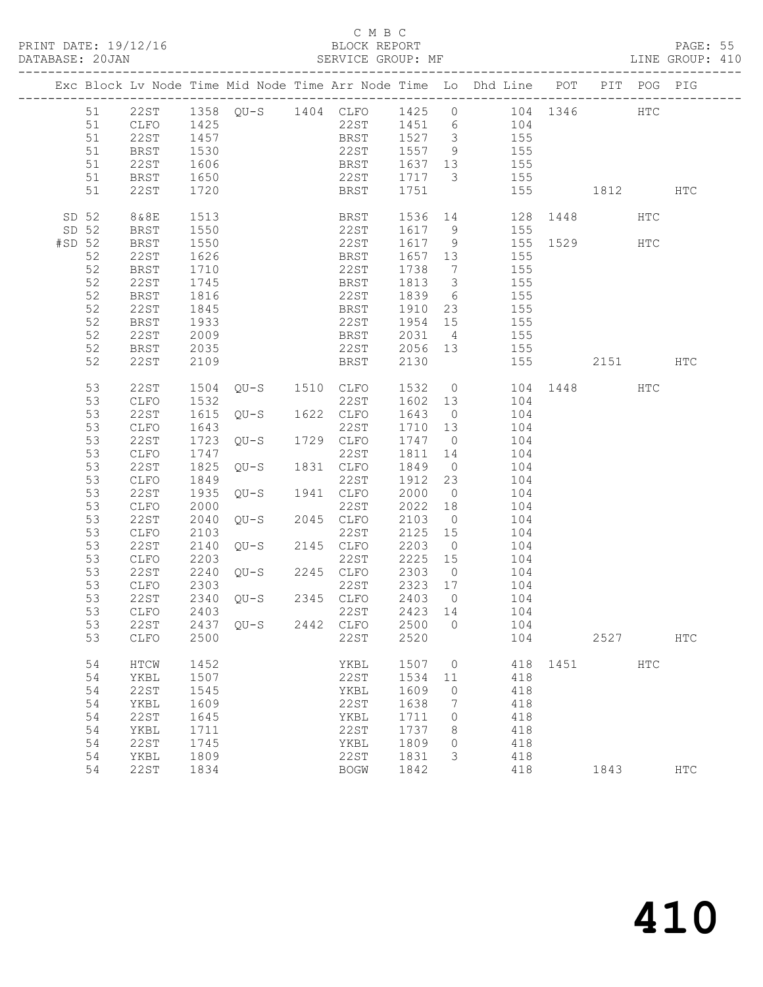### C M B C DATABASE: 2014<br>BATASE: 2005<br>SERVICE GROUP: MF

|        |                                                                                                                |                                                                                                                                                      |                                                                                              |                                                                            |      |                                                                                     |                                                                              |                                             | Exc Block Lv Node Time Mid Node Time Arr Node Time Lo Dhd Line POT PIT POG PIG                                                                                                                                                                                                                                                                                                                                                                                                                                                                           |      |              |     |                   |  |
|--------|----------------------------------------------------------------------------------------------------------------|------------------------------------------------------------------------------------------------------------------------------------------------------|----------------------------------------------------------------------------------------------|----------------------------------------------------------------------------|------|-------------------------------------------------------------------------------------|------------------------------------------------------------------------------|---------------------------------------------|----------------------------------------------------------------------------------------------------------------------------------------------------------------------------------------------------------------------------------------------------------------------------------------------------------------------------------------------------------------------------------------------------------------------------------------------------------------------------------------------------------------------------------------------------------|------|--------------|-----|-------------------|--|
|        | 51<br>51<br>51<br>51                                                                                           | <b>BRST</b><br>22ST<br><b>BRST</b><br>22ST                                                                                                           | 1530<br>1606<br>1650<br>1720                                                                 |                                                                            |      |                                                                                     |                                                                              |                                             | 51  22ST  1358  QU-S  1404  CLFO  1425  0  104  1346  HTC<br>51  CLFO  1425  22ST  1451  6  104<br>51  22ST  1457  BRST  1527  3  155<br>22ST 1557 9 155<br>BRST 1637 13<br>22ST 1717 3 155<br>BRST 1751 155 1812 HTC                                                                                                                                                                                                                                                                                                                                    |      |              |     |                   |  |
| #SD 52 | SD 52<br>SD 52<br>52<br>52<br>52<br>52<br>52<br>52<br>52<br>52<br>52                                           | 8&8E<br>BRST<br><b>BRST</b><br>22ST<br>BRST<br>22ST<br><b>BRST</b><br>22ST<br>BRST<br>22ST<br>BRST<br>22ST                                           | 1513<br>1550<br>1550<br>1626<br>1710<br>1745<br>1816<br>1845<br>1933<br>2009<br>2035<br>2109 |                                                                            |      |                                                                                     |                                                                              |                                             | BRST 1536 14 128 1448 HTC<br>22ST 1617 9 155<br>22ST 1617 9 155 1529 HTC<br>BRST 1657 13 155<br>22ST 1738 7 155<br>BRST 1813 3 155<br>22ST 1839 6 155<br>BRST 1910 23 155<br>22ST 1954 15 155<br>BRST 2031 4 155<br>22ST 2056 13 155<br>BRST 2130 155 2151 HTC                                                                                                                                                                                                                                                                                           |      |              |     |                   |  |
|        | 53<br>53<br>53<br>53<br>53<br>53<br>53<br>53<br>53<br>53<br>53<br>53<br>53<br>53<br>53<br>53<br>53<br>53<br>53 | 22ST<br>CLFO<br>22ST<br>CLFO<br>22ST<br>CLFO<br>22ST<br>CLFO<br>22ST<br>CLFO<br>22ST<br>CLFO<br>22ST<br>CLFO<br>22ST<br>CLFO<br>22ST<br>CLFO<br>22ST | 1849<br>2303<br>2403<br>2437                                                                 | $QU-S$ 1941 $ZZU-S$<br>$QU-S$ 1941 $Z2ST$<br>$Z2ST$<br>2340 QU-S<br>$OU-S$ | 2442 | 22ST<br>2345 CLFO<br>22ST<br>CLFO                                                   | 2403 0<br>2423<br>2500                                                       | 14<br>$\circ$                               | 1504 QU-S 1510 CLFO 1532 0 104 1448 HTC<br>1532 22ST 1602 13 104<br>1615 QU-S 1622 CLFO 1643 0 104<br>1643 22ST 1710 13 104<br>1723 QU-S 1729 CLFO 1747 0 104<br>1747 22ST 1811 14 104<br>1825 QU-S 1831 CLFO 1849 0 104<br>1849 0 104<br>1849<br>1912 23 104<br>1935 QU-S<br>1941 CLFO 2000 0 104<br>2000 0 22ST 2022 18 104<br>2040 QU-S 2045 CLFO 2103 0 104<br>2103 22ST 2125 15 104<br>2140 QU-S 2145 CLFO 2203 0 104<br>2203 22ST 2225 15 104<br>2240 QU-S 2245 CLFO 2303 0 104<br>2240 QU-S 2245 CLFO 23<br>22ST 2323 17 104<br>104<br>104<br>104 |      |              |     |                   |  |
|        | 53<br>54<br>54<br>54<br>54<br>54<br>54<br>54<br>54<br>54                                                       | CLFO<br>HTCW<br>YKBL<br>22ST<br>YKBL<br><b>22ST</b><br>YKBL<br><b>22ST</b><br>YKBL<br>22ST                                                           | 2500<br>1452<br>1507<br>1545<br>1609<br>1645<br>1711<br>1745<br>1809<br>1834                 |                                                                            |      | 22ST<br>YKBL<br>22ST<br>YKBL<br>22ST<br>YKBL<br>22ST<br>YKBL<br>22ST<br><b>BOGW</b> | 2520<br>1507<br>1534<br>1609<br>1638<br>1711<br>1737<br>1809<br>1831<br>1842 | 0<br>11<br>$\circ$<br>7<br>0<br>8<br>0<br>3 | 104<br>418<br>418<br>418<br>418<br>418<br>418<br>418<br>418<br>418                                                                                                                                                                                                                                                                                                                                                                                                                                                                                       | 1451 | 2527<br>1843 | HTC | <b>HTC</b><br>HTC |  |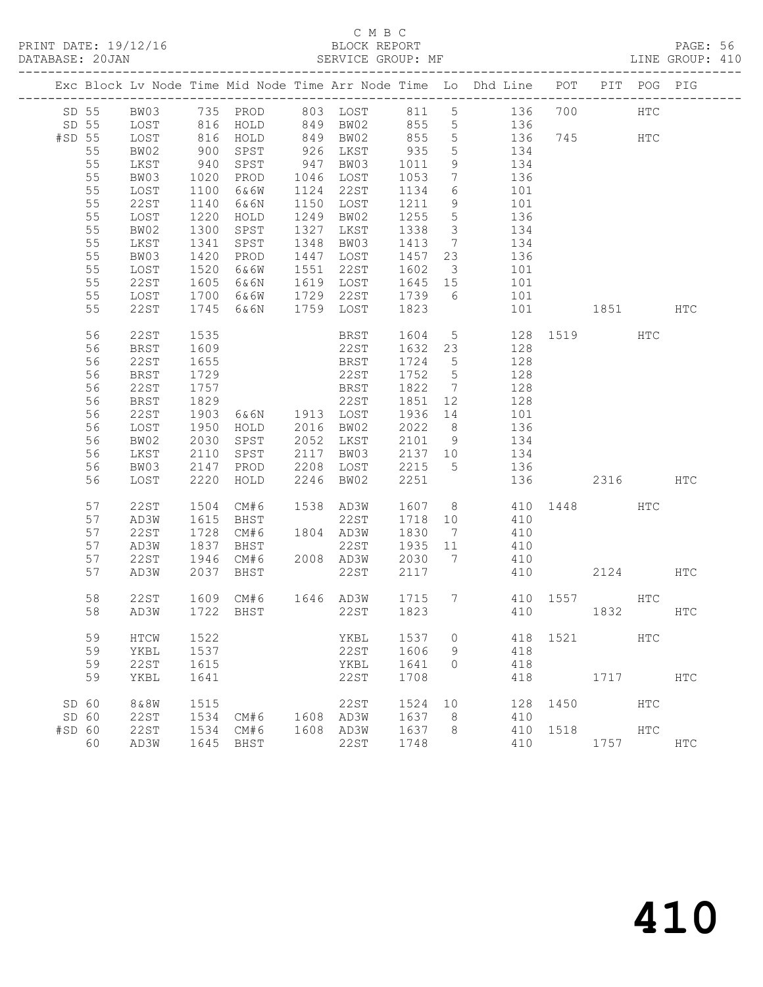## C M B C<br>
C M B C<br>
ELOCK REPORT

|        | DATABASE: 20JAN |             |                  |                                                                                         | SERVICE GROUP: MF             |         |                         |                                                                                |              |          |     | LINE GROUP: 410 |
|--------|-----------------|-------------|------------------|-----------------------------------------------------------------------------------------|-------------------------------|---------|-------------------------|--------------------------------------------------------------------------------|--------------|----------|-----|-----------------|
|        |                 |             |                  |                                                                                         |                               |         |                         | Exc Block Lv Node Time Mid Node Time Arr Node Time Lo Dhd Line POT PIT POG PIG |              |          |     |                 |
|        |                 |             |                  |                                                                                         |                               |         |                         | SD 55 BW03 735 PROD 803 LOST 811 5 136 700 HTC                                 |              |          |     |                 |
|        |                 |             |                  |                                                                                         |                               |         |                         | SD 55 LOST 816 HOLD 849 BW02 855 5 136                                         |              |          |     |                 |
| #SD 55 |                 | LOST        |                  | 816 HOLD       849   BW02<br>900   SPST       926   LKST<br>940   SPST       947   BW03 |                               |         |                         | 855 5 136 745 HTC                                                              |              |          |     |                 |
|        | 55              | BW02        |                  |                                                                                         | 926 LKST 935<br>947 BW03 1011 |         | $5^{\circ}$             | 134                                                                            |              |          |     |                 |
|        | 55              | LKST        |                  |                                                                                         |                               |         | 9                       | $\begin{array}{c} 15 \\ 134 \end{array}$                                       |              |          |     |                 |
|        | 55              | BW03        | 1020             | PROD                                                                                    | 1046 LOST                     | 1053    | $7\overline{ }$         | 136                                                                            |              |          |     |                 |
|        | 55              | LOST        | 1100             | 6&6W                                                                                    | 1124 22ST                     | 1134    | $6\overline{6}$         | 101                                                                            |              |          |     |                 |
|        | 55              | 22ST        | 1140             | 6&6N                                                                                    | 1150 LOST                     | 1211 9  |                         | 101                                                                            |              |          |     |                 |
|        | 55              | LOST        | 1220             | HOLD                                                                                    | 1249 BW02                     | 1255    | $5\overline{)}$         | $\frac{1}{136}$                                                                |              |          |     |                 |
|        | 55              | BW02        | 1300             | SPST                                                                                    | 1327 LKST                     | 1338    | $\overline{\mathbf{3}}$ | 134                                                                            |              |          |     |                 |
|        | 55              | LKST        | 1341             | SPST                                                                                    | 1348 BW03                     | 1413    |                         | 7 134                                                                          |              |          |     |                 |
|        | 55              | BW03        | 1420             | PROD                                                                                    | 1447 LOST                     | 1457 23 |                         | 136                                                                            |              |          |     |                 |
|        | 55              | LOST        | $\frac{1}{1520}$ | 6&6W                                                                                    | 1551 22ST                     | 1602    | $\overline{\mathbf{3}}$ | 101                                                                            |              |          |     |                 |
|        | 55              | 22ST        | 1605             | 6&6N                                                                                    |                               |         |                         | 1619 LOST 1645 15 101                                                          |              |          |     |                 |
|        | 55              | LOST        | 1700             | 6&6W                                                                                    |                               |         |                         | 1729 22ST 1739 6 101                                                           |              |          |     |                 |
|        | 55              | 22ST        | 1745             | 6&6N                                                                                    | 1759 LOST                     | 1823    |                         |                                                                                | 101 1851 HTC |          |     |                 |
|        | 56              | 22ST        | 1535             |                                                                                         | BRST                          |         |                         | 1604 5 128 1519 HTC                                                            |              |          |     |                 |
|        | 56              | BRST        | 1609             |                                                                                         | 22ST                          | 1632 23 |                         | 128                                                                            |              |          |     |                 |
|        | 56              | 22ST        | 1655             |                                                                                         | BRST                          | 1724 5  |                         | 128                                                                            |              |          |     |                 |
|        | 56              | <b>BRST</b> | 1729             |                                                                                         | 22ST                          | 1752 5  |                         | 128                                                                            |              |          |     |                 |
|        | 56              | 22ST        | 1757             |                                                                                         | <b>BRST</b>                   | 1822 7  |                         | 128                                                                            |              |          |     |                 |
|        | 56              | BRST        | 1829             |                                                                                         |                               | 1851 12 |                         | 128                                                                            |              |          |     |                 |
|        | 56              | 22ST        | 1903             | $22ST$<br>$6&6N$ $1913$ $LOST$<br>$0.316$ $0.719$                                       |                               | 1936 14 |                         | 101                                                                            |              |          |     |                 |
|        | 56              | LOST        | 1950             | HOLD 2016 BW02                                                                          |                               | 2022 8  |                         | 136                                                                            |              |          |     |                 |
|        | 56              | BW02        | 2030             | SPST                                                                                    | 2052 LKST                     |         |                         | 2101 9 134                                                                     |              |          |     |                 |
|        | 56              | LKST        | 2110             |                                                                                         |                               |         |                         | SPST 2117 BW03 2137 10 134                                                     |              |          |     |                 |
|        | 56              | BW03        | 2147             | PROD                                                                                    | 2208 LOST                     |         |                         | 2215 5 136                                                                     |              |          |     |                 |
|        | 56              | LOST        | 2220             | HOLD                                                                                    | 2246 BW02                     | 2251    |                         |                                                                                | 136 2316 HTC |          |     |                 |
|        | 57              | 22ST        | 1504             | CM#6                                                                                    | 1538 AD3W                     |         |                         | 1607 8 410 1448                                                                |              |          | HTC |                 |
|        | 57              | AD3W        | 1615             | BHST                                                                                    | 22ST                          | 1718 10 |                         | 410                                                                            |              |          |     |                 |
|        | 57              | 22ST        | 1728             | CM#6                                                                                    | 1804 AD3W                     | 1830 7  |                         | 410                                                                            |              |          |     |                 |
|        | 57              | AD3W        | 1837             | BHST                                                                                    | 22ST                          | 1935 11 |                         | 410                                                                            |              |          |     |                 |
|        | 57              | 22 S T      | 1946             |                                                                                         |                               |         |                         | CM#6 2008 AD3W 2030 7 410                                                      |              |          |     |                 |
|        | 57              | AD3W        | 2037             | BHST                                                                                    | 22ST                          | 2117    |                         |                                                                                | 410          | 2124 HTC |     |                 |
|        | 58              | 22ST        |                  |                                                                                         |                               |         |                         | 1609 CM#6 1646 AD3W 1715 7 410 1557 HTC                                        |              |          |     |                 |
|        |                 |             |                  |                                                                                         |                               |         |                         | 58 AD3W 1722 BHST 22ST 1823 410 1832                                           |              |          |     | HTC             |
|        | 59              | HTCW        | 1522             |                                                                                         | YKBL                          | 1537    | $\circ$                 |                                                                                | 418 1521     |          | HTC |                 |
|        | 59              | YKBL        | 1537             |                                                                                         | 22ST                          | 1606    | 9                       | 418                                                                            |              |          |     |                 |
|        | 59              | 22ST        | 1615             |                                                                                         | YKBL                          | 1641    | $\circ$                 | 418                                                                            |              |          |     |                 |
|        | 59              | YKBL        | 1641             |                                                                                         | 22ST                          | 1708    |                         | 418                                                                            |              | 1717     |     | HTC             |
| SD 60  |                 | 8&8W        | 1515             |                                                                                         | 22ST                          | 1524    | 10                      | 128                                                                            | 1450         | HTC      |     |                 |
| SD 60  |                 | 22ST        | 1534             | CM#6                                                                                    | 1608 AD3W                     | 1637    | 8                       | 410                                                                            |              |          |     |                 |
| #SD 60 |                 | 22ST        | 1534             | CM#6                                                                                    | 1608 AD3W                     | 1637    | - 8                     | 410                                                                            | 1518         |          | HTC |                 |
|        | 60              | AD3W        | 1645             | BHST                                                                                    | 22ST                          | 1748    |                         | 410                                                                            |              | 1757     |     | HTC             |
|        |                 |             |                  |                                                                                         |                               |         |                         |                                                                                |              |          |     |                 |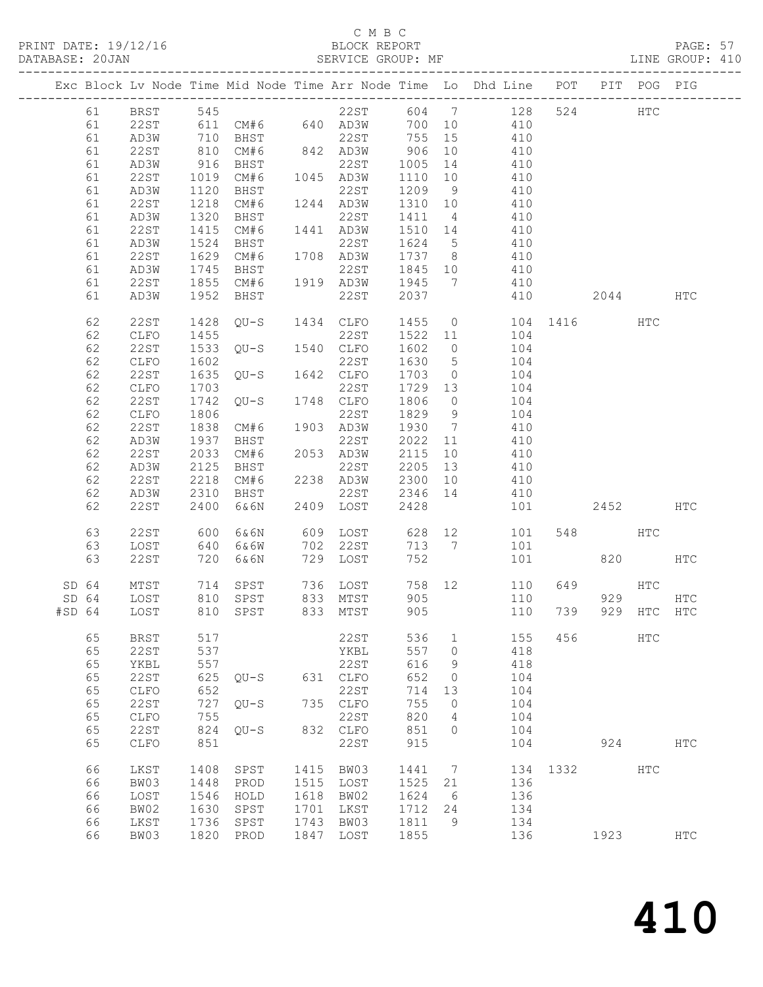### C M B C<br>BLOCK REPORT

PAGE: 57<br>LINE GROUP: 410

|        |    |                 |      |                   |      |              |       |                | Exc Block Lv Node Time Mid Node Time Arr Node Time Lo Dhd Line POT |      |         | PIT POG PIG   |               |
|--------|----|-----------------|------|-------------------|------|--------------|-------|----------------|--------------------------------------------------------------------|------|---------|---------------|---------------|
|        | 61 | <b>BRST</b>     | 545  |                   |      | 22ST         | 604 7 |                | 128                                                                | 524  |         | $_{\rm{HTC}}$ |               |
|        | 61 | 22ST            |      | 611 CM#6 640 AD3W |      |              | 700   | 10             | 410                                                                |      |         |               |               |
|        | 61 | AD3W            | 710  | BHST              |      | 22ST         | 755   | 15             | 410                                                                |      |         |               |               |
|        | 61 | 22ST            | 810  | CM#6              |      | 842 AD3W     | 906   | 10             | 410                                                                |      |         |               |               |
|        | 61 | AD3W            | 916  | BHST              |      | 22ST         | 1005  | 14             | 410                                                                |      |         |               |               |
|        | 61 | 22ST            | 1019 | CM#6              |      | 1045 AD3W    | 1110  | 10             | 410                                                                |      |         |               |               |
|        | 61 | AD3W            | 1120 | BHST              |      | 22ST         | 1209  | 9              | 410                                                                |      |         |               |               |
|        | 61 | 22ST            | 1218 | CM#6              |      | 1244 AD3W    | 1310  | 10             | 410                                                                |      |         |               |               |
|        | 61 | AD3W            | 1320 | BHST              |      | 22ST         | 1411  | $\overline{4}$ | 410                                                                |      |         |               |               |
|        | 61 | 22ST            | 1415 | CM#6              |      | 1441 AD3W    | 1510  | 14             | 410                                                                |      |         |               |               |
|        | 61 | AD3W            | 1524 | BHST              |      | 22ST         | 1624  | $5^{\circ}$    | 410                                                                |      |         |               |               |
|        | 61 | 22ST            | 1629 | CM#6              |      | 1708 AD3W    | 1737  | 8              | 410                                                                |      |         |               |               |
|        | 61 | AD3W            | 1745 | BHST              |      | 22ST         | 1845  | 10             | 410                                                                |      |         |               |               |
|        | 61 | 22ST            | 1855 | CM#6              |      | 1919 AD3W    | 1945  | 7              | 410                                                                |      |         |               |               |
|        | 61 | AD3W            | 1952 | BHST              |      | 22ST         | 2037  |                | 410                                                                |      | 2044    |               | HTC           |
|        |    |                 |      |                   |      |              |       |                |                                                                    |      |         |               |               |
|        | 62 | 22ST            | 1428 | QU-S              | 1434 | CLFO         | 1455  | $\overline{0}$ | 104                                                                |      | 1416    | HTC           |               |
|        | 62 | CLFO            | 1455 |                   |      | 22ST         | 1522  | 11             | 104                                                                |      |         |               |               |
|        | 62 | 22ST            | 1533 | QU-S              |      | 1540 CLFO    | 1602  | $\overline{0}$ | 104                                                                |      |         |               |               |
|        | 62 | CLFO            | 1602 |                   |      | 22ST         | 1630  | $5^{\circ}$    | 104                                                                |      |         |               |               |
|        | 62 | 22ST            | 1635 | QU-S              |      | 1642 CLFO    | 1703  | $\overline{0}$ | 104                                                                |      |         |               |               |
|        | 62 | CLFO            | 1703 |                   |      | 22ST         | 1729  | 13             | 104                                                                |      |         |               |               |
|        | 62 | 22ST            | 1742 | $OU-S$            |      | 1748 CLFO    | 1806  | $\overline{0}$ | 104                                                                |      |         |               |               |
|        | 62 | CLFO            | 1806 |                   |      | 22ST         | 1829  | 9              | 104                                                                |      |         |               |               |
|        | 62 | 22ST            | 1838 | CM#6              |      | 1903 AD3W    | 1930  | $\overline{7}$ | 410                                                                |      |         |               |               |
|        | 62 | AD3W            | 1937 | BHST              |      | 22ST         | 2022  | 11             | 410                                                                |      |         |               |               |
|        | 62 | 22ST            | 2033 | CM#6              |      | 2053 AD3W    | 2115  | 10             | 410                                                                |      |         |               |               |
|        | 62 | AD3W            | 2125 | BHST              |      | 22ST         | 2205  | 13             | 410                                                                |      |         |               |               |
|        | 62 | 22ST            | 2218 | CM#6              |      | 2238 AD3W    | 2300  | 10             | 410                                                                |      |         |               |               |
|        | 62 | AD3W            | 2310 | BHST              |      | 22ST         | 2346  | 14             | 410                                                                |      |         |               |               |
|        | 62 | 22ST            | 2400 | 6&6N              | 2409 | LOST         | 2428  |                | 101                                                                |      | 2452    |               | HTC           |
|        | 63 | 22ST            | 600  | 6&6N              | 609  | LOST         | 628   | 12             | 101                                                                | 548  |         | HTC           |               |
|        | 63 | LOST            | 640  | 6&6W              | 702  | 22ST         | 713   | $\overline{7}$ | 101                                                                |      |         |               |               |
|        | 63 | 22ST            | 720  | 6&6N              | 729  | LOST         | 752   |                | 101                                                                |      | 820     |               | HTC           |
| SD 64  |    | $\mathtt{MTST}$ | 714  | SPST              | 736  | LOST         | 758   | 12             | 110                                                                | 649  |         | HTC           |               |
| SD 64  |    | LOST            | 810  | SPST              | 833  | MTST         | 905   |                | 110                                                                |      | 929     |               | HTC           |
| #SD 64 |    | LOST            | 810  | SPST              | 833  | MTST         | 905   |                | 110                                                                | 739  | 929 HTC |               | HTC           |
|        | 65 | BRST            | 517  |                   |      | 22ST         | 536   | 1              | 155                                                                | 456  |         | HTC           |               |
|        | 65 | 22ST            | 537  |                   |      | YKBL         | 557   | $\circ$        | 418                                                                |      |         |               |               |
|        | 65 | YKBL            | 557  |                   |      | 22ST         | 616   | 9              | 418                                                                |      |         |               |               |
|        | 65 | 22ST            | 625  | $OU-S$            | 631  | CLFO         | 652   | 0              | 104                                                                |      |         |               |               |
|        | 65 | ${\tt CLFO}$    | 652  |                   |      | 22ST         | 714   | 13             | 104                                                                |      |         |               |               |
|        | 65 | 22ST            | 727  | $QU-S$            | 735  | ${\tt CLFO}$ | 755   | 0              | 104                                                                |      |         |               |               |
|        | 65 | CLFO            | 755  |                   |      | 22ST         | 820   | 4              | 104                                                                |      |         |               |               |
|        | 65 | <b>22ST</b>     | 824  | $QU-S$            | 832  | CLFO         | 851   | $\mathbf 0$    | 104                                                                |      |         |               |               |
|        | 65 | CLFO            | 851  |                   |      | 22ST         | 915   |                | 104                                                                |      | 924     |               | $_{\rm{HTC}}$ |
|        | 66 | LKST            | 1408 | SPST              | 1415 | BW03         | 1441  | 7              | 134                                                                | 1332 |         | HTC           |               |
|        | 66 | BW03            | 1448 | PROD              | 1515 | LOST         | 1525  | 21             | 136                                                                |      |         |               |               |
|        | 66 | LOST            | 1546 | HOLD              | 1618 | BW02         | 1624  | - 6            | 136                                                                |      |         |               |               |
|        | 66 | BW02            | 1630 | SPST              | 1701 | LKST         | 1712  | 24             | 134                                                                |      |         |               |               |
|        | 66 | LKST            | 1736 | SPST              | 1743 | BW03         | 1811  | 9              | 134                                                                |      |         |               |               |
|        | 66 | BW03            | 1820 | PROD              | 1847 | LOST         | 1855  |                | 136                                                                |      | 1923    |               | $_{\rm{HTC}}$ |
|        |    |                 |      |                   |      |              |       |                |                                                                    |      |         |               |               |

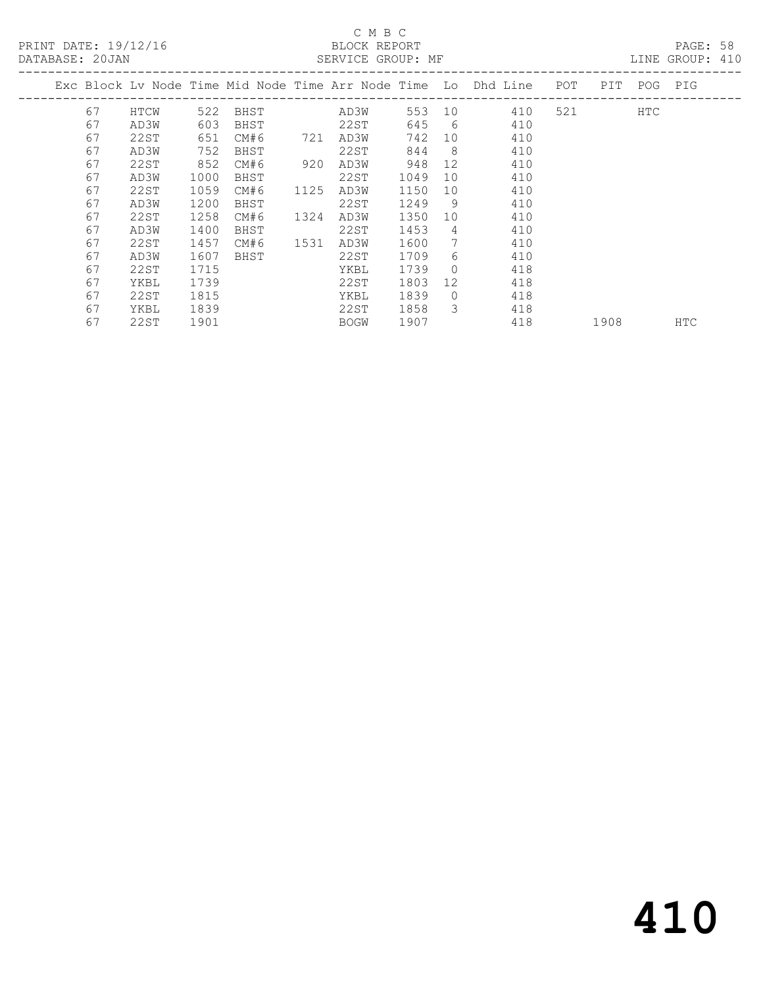PRINT DATE: 19/12/16 BLOCK REPORT<br>DATABASE: 20JAN BATABASE: 20JAN

### C M B C<br>BLOCK REPORT

PAGE: 58<br>LINE GROUP: 410

|    |      |      |      |      |      |        |                | Exc Block Lv Node Time Mid Node Time Arr Node Time Lo Dhd Line POT |           | PIT POG PIG |     |
|----|------|------|------|------|------|--------|----------------|--------------------------------------------------------------------|-----------|-------------|-----|
| 67 | HTCW | 522  | BHST |      | AD3W | 553 10 |                | 410                                                                | 521 — 100 | HTC         |     |
| 67 | AD3W | 603  | BHST |      | 22ST | 645 6  |                | 410                                                                |           |             |     |
| 67 | 22ST | 651  | CM#6 | 721  | AD3W | 742    | 10             | 410                                                                |           |             |     |
| 67 | AD3W | 752  | BHST |      | 22ST | 844    | 8 <sup>8</sup> | 410                                                                |           |             |     |
| 67 | 22ST | 852  | CM#6 | 920  | AD3W | 948    | 12             | 410                                                                |           |             |     |
| 67 | AD3W | 1000 | BHST |      | 22ST | 1049   | 10             | 410                                                                |           |             |     |
| 67 | 22ST | 1059 | CM#6 | 1125 | AD3W | 1150   | 10             | 410                                                                |           |             |     |
| 67 | AD3W | 1200 | BHST |      | 22ST | 1249   | - 9            | 410                                                                |           |             |     |
| 67 | 22ST | 1258 | CM#6 | 1324 | AD3W | 1350   | 10             | 410                                                                |           |             |     |
| 67 | AD3W | 1400 | BHST |      | 22ST | 1453   | 4              | 410                                                                |           |             |     |
| 67 | 22ST | 1457 | CM#6 | 1531 | AD3W | 1600   | 7              | 410                                                                |           |             |     |
| 67 | AD3W | 1607 | BHST |      | 22ST | 1709   | 6              | 410                                                                |           |             |     |
| 67 | 22ST | 1715 |      |      | YKBL | 1739   | $\Omega$       | 418                                                                |           |             |     |
| 67 | YKBL | 1739 |      |      | 22ST | 1803   | 12             | 418                                                                |           |             |     |
| 67 | 22ST | 1815 |      |      | YKBL | 1839   | $\Omega$       | 418                                                                |           |             |     |
| 67 | YKBL | 1839 |      |      | 22ST | 1858   | 3              | 418                                                                |           |             |     |
| 67 | 22ST | 1901 |      |      | BOGW | 1907   |                | 418                                                                | 1908      |             | HTC |
|    |      |      |      |      |      |        |                |                                                                    |           |             |     |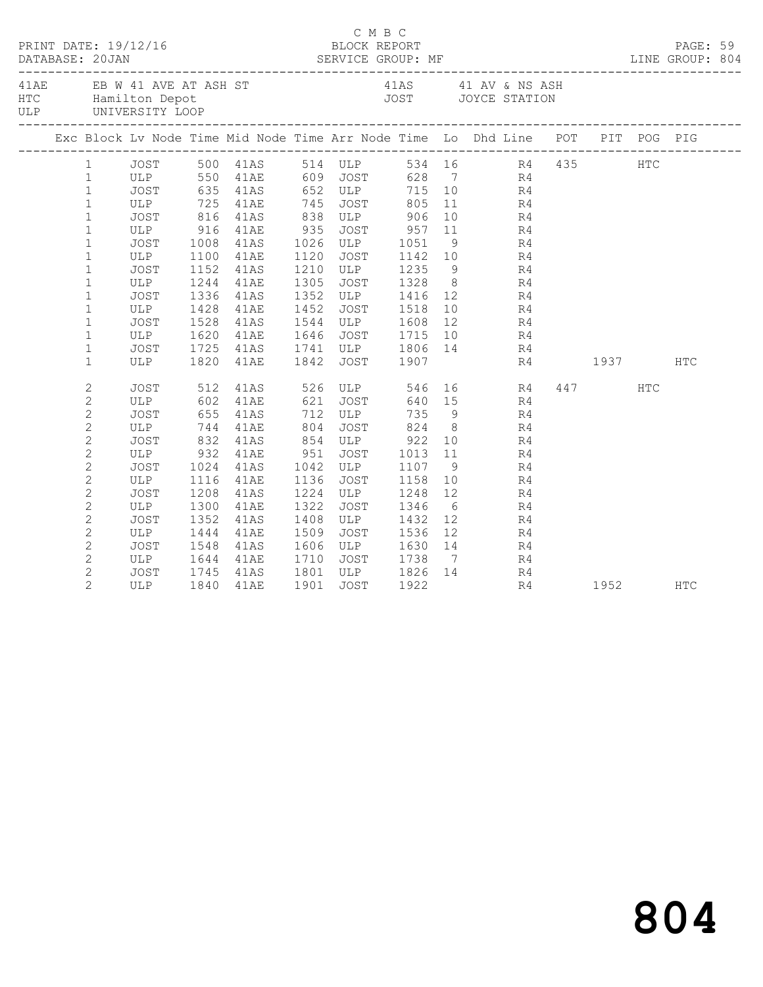| DATABASE: 20JAN | PRINT DATE: 19/12/16          |      |                       |      | C M B C<br>BLOCK REPORT |                                                             |    |                                                                                                                                                                                                                                                                                                                                                                                                                                                              |             | PAGE: 59 |  |
|-----------------|-------------------------------|------|-----------------------|------|-------------------------|-------------------------------------------------------------|----|--------------------------------------------------------------------------------------------------------------------------------------------------------------------------------------------------------------------------------------------------------------------------------------------------------------------------------------------------------------------------------------------------------------------------------------------------------------|-------------|----------|--|
|                 | ULP UNIVERSITY LOOP           |      |                       |      |                         |                                                             |    | 41AE EB W 41 AVE AT ASH ST 41AS 41 AV & NS ASH HTC Hamilton Depot<br>JOST JOYCE STATION                                                                                                                                                                                                                                                                                                                                                                      |             |          |  |
|                 |                               |      |                       |      |                         |                                                             |    | Exc Block Lv Node Time Mid Node Time Arr Node Time Lo Dhd Line POT PIT POG PIG                                                                                                                                                                                                                                                                                                                                                                               |             |          |  |
|                 |                               |      |                       |      |                         |                                                             |    | 1 JOST 500 41AS 514 ULP 534 16 R4 435 HTC<br>1 ULP 550 41AE 609 JOST 628 7 R4                                                                                                                                                                                                                                                                                                                                                                                |             |          |  |
|                 |                               |      |                       |      |                         |                                                             |    |                                                                                                                                                                                                                                                                                                                                                                                                                                                              |             |          |  |
| $\mathbf{1}$    |                               |      | JOST 635 41AS 652 ULP |      |                         |                                                             |    | 715 10 R4                                                                                                                                                                                                                                                                                                                                                                                                                                                    |             |          |  |
| $\mathbf{1}$    | ULP 725 41AE                  |      |                       |      | 745 JOST                | 805                                                         |    | 11 R4                                                                                                                                                                                                                                                                                                                                                                                                                                                        |             |          |  |
| $1\,$           | JOST 816 41AS<br>ULP 916 41AE |      |                       |      |                         |                                                             |    | $\begin{array}{ccc} 10 & \phantom{00} & \phantom{00} & \phantom{00} & \phantom{00} & \phantom{0} & \phantom{0} & \phantom{0} & \phantom{0} & \phantom{0} & \phantom{0} & \phantom{0} & \phantom{0} & \phantom{0} & \phantom{0} & \phantom{0} & \phantom{0} & \phantom{0} & \phantom{0} & \phantom{0} & \phantom{0} & \phantom{0} & \phantom{0} & \phantom{0} & \phantom{0} & \phantom{0} & \phantom{0} & \phantom{0} & \phantom{0} & \phantom{0} & \phant$   |             |          |  |
| $\mathbf{1}$    |                               |      |                       |      |                         |                                                             |    |                                                                                                                                                                                                                                                                                                                                                                                                                                                              |             |          |  |
| $\mathbf 1$     | JOST 1008 41AS                |      |                       |      |                         | 1026 ULP 1051                                               |    | 9 R4                                                                                                                                                                                                                                                                                                                                                                                                                                                         |             |          |  |
| $\mathbf{1}$    | ULP                           |      | 1100 41AE             |      |                         |                                                             |    | 1120 JOST 1142 10 R4<br>1210 ULP 1235 9 R4<br>1305 JOST 1328 8 R4                                                                                                                                                                                                                                                                                                                                                                                            |             |          |  |
| $\mathbf 1$     | JOST                          |      | 1152 41AS             |      |                         |                                                             |    |                                                                                                                                                                                                                                                                                                                                                                                                                                                              |             |          |  |
| $\mathbf 1$     | ULP                           |      | 1244 41AE             |      |                         |                                                             |    |                                                                                                                                                                                                                                                                                                                                                                                                                                                              |             |          |  |
| $\mathbf 1$     | JOST                          | 1336 | 41AS                  |      |                         |                                                             |    | 1352 ULP 1416 12 R4                                                                                                                                                                                                                                                                                                                                                                                                                                          |             |          |  |
| $\mathbf 1$     | ULP                           | 1428 | 41AE                  |      |                         | 1452 JOST 1518<br>1544 ULP 1608                             |    | $\begin{array}{ccc} 10 & \phantom{00} & \phantom{00} & \phantom{00} & \phantom{00} & \phantom{0} & \phantom{0} & \phantom{0} & \phantom{0} & \phantom{0} & \phantom{0} & \phantom{0} & \phantom{0} & \phantom{0} & \phantom{0} & \phantom{0} & \phantom{0} & \phantom{0} & \phantom{0} & \phantom{0} & \phantom{0} & \phantom{0} & \phantom{0} & \phantom{0} & \phantom{0} & \phantom{0} & \phantom{0} & \phantom{0} & \phantom{0} & \phantom{0} & \phant$   |             |          |  |
| $\mathbf{1}$    | JOST                          | 1528 | 41AS                  |      |                         |                                                             |    | 1646 JOST 1715 10 R4                                                                                                                                                                                                                                                                                                                                                                                                                                         |             |          |  |
| $\mathbf{1}$    | ULP                           |      | 1620 41AE             |      |                         |                                                             |    |                                                                                                                                                                                                                                                                                                                                                                                                                                                              |             |          |  |
| $\mathbf{1}$    | JOST                          |      | 1725 41AS             |      |                         |                                                             |    | 1741 ULP 1806 14 R4                                                                                                                                                                                                                                                                                                                                                                                                                                          |             |          |  |
| $\mathbf{1}$    | ULP                           | 1820 | 41AE                  |      | 1842 JOST 1907          |                                                             |    |                                                                                                                                                                                                                                                                                                                                                                                                                                                              | R4 1937 HTC |          |  |
| $\sqrt{2}$      |                               |      |                       |      |                         |                                                             |    | JOST 512 41AS 526 ULP 546 16 R4                                                                                                                                                                                                                                                                                                                                                                                                                              | 447 HTC     |          |  |
| $\mathbf{2}$    | ULP                           |      | 602 41AE              |      | 621 JOST                |                                                             |    | 640 15 R4                                                                                                                                                                                                                                                                                                                                                                                                                                                    |             |          |  |
| $\sqrt{2}$      | JOST 655 41AS<br>ULP 744 41AE |      |                       |      |                         |                                                             |    | 9 R4<br>8 R4                                                                                                                                                                                                                                                                                                                                                                                                                                                 |             |          |  |
| $\mathbf{2}$    |                               |      |                       |      |                         |                                                             |    |                                                                                                                                                                                                                                                                                                                                                                                                                                                              |             |          |  |
| $\sqrt{2}$      | JOST                          |      | 832 41AS              |      |                         | 854 ULP 922                                                 |    | 10 R4                                                                                                                                                                                                                                                                                                                                                                                                                                                        |             |          |  |
| $\mathbf{2}$    | ULP 932 41AE                  |      |                       | 951  |                         |                                                             |    | 951 JOST 1013 11 R4<br>1042 ULP 1107 9 R4<br>1136 JOST 1158 10 R4                                                                                                                                                                                                                                                                                                                                                                                            |             |          |  |
| $\overline{c}$  | JOST                          |      | 1024 41AS             |      |                         |                                                             |    |                                                                                                                                                                                                                                                                                                                                                                                                                                                              |             |          |  |
| $\mathbf{2}$    | ULP                           |      | 1116 41AE             |      | 1136 JOST               |                                                             |    |                                                                                                                                                                                                                                                                                                                                                                                                                                                              |             |          |  |
| $\overline{c}$  | JOST                          | 1208 | 41AS                  | 1224 |                         | ULP 1248 12                                                 |    | R <sub>4</sub>                                                                                                                                                                                                                                                                                                                                                                                                                                               |             |          |  |
| $\overline{c}$  | ULP                           | 1300 | 41AE                  | 1322 |                         | 1322 JOST 1346<br>1408 ULP 1432                             |    | $\begin{array}{ccc} 6 & & \phantom{0} & \phantom{0} & \phantom{0} & \phantom{0} & \phantom{0} & \phantom{0} & \phantom{0} & \phantom{0} & \phantom{0} & \phantom{0} & \phantom{0} & \phantom{0} & \phantom{0} & \phantom{0} & \phantom{0} & \phantom{0} & \phantom{0} & \phantom{0} & \phantom{0} & \phantom{0} & \phantom{0} & \phantom{0} & \phantom{0} & \phantom{0} & \phantom{0} & \phantom{0} & \phantom{0} & \phantom{0} & \phantom{0} & \phantom{0}$ |             |          |  |
| $\overline{c}$  | JOST                          | 1352 | 41AS                  |      |                         |                                                             |    |                                                                                                                                                                                                                                                                                                                                                                                                                                                              |             |          |  |
| $\overline{c}$  | ULP                           |      | 1444 41AE             | 1509 |                         | JOST 1536                                                   | 12 | R4                                                                                                                                                                                                                                                                                                                                                                                                                                                           |             |          |  |
| $\overline{c}$  | JOST                          | 1548 | 41AS                  |      |                         | 1606 ULP 1630 14                                            |    | R4                                                                                                                                                                                                                                                                                                                                                                                                                                                           |             |          |  |
| $\overline{2}$  | ULP 1644<br>JOST 1745         |      | 41AE                  |      |                         | 1710   JOST       1738     7<br>1801   ULP        1826   14 |    | $\frac{R4}{R4}$                                                                                                                                                                                                                                                                                                                                                                                                                                              |             |          |  |
| $\mathbf{2}$    | JOST                          |      | 1745 41AS             |      |                         |                                                             |    |                                                                                                                                                                                                                                                                                                                                                                                                                                                              |             |          |  |
| $\overline{2}$  | ULP 1840 41AE                 |      |                       |      | 1901 JOST 1922          |                                                             |    |                                                                                                                                                                                                                                                                                                                                                                                                                                                              | R4 1952 HTC |          |  |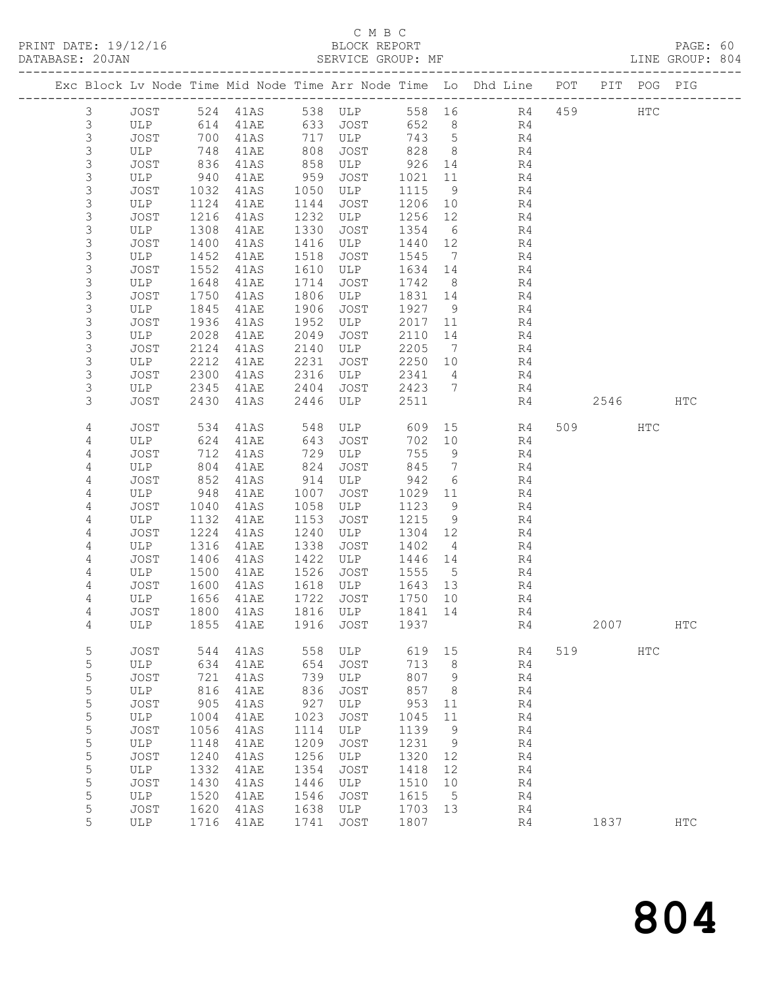### C M B C BLOCK REPORT<br>SERVICE GROUP: MF

| PRINT DATE: 19/12/16<br>DATABASE: 20JAN |                     | .N<br>.———————————————————— |              |                             |              | BLOCK REPORT               |                 |                 |                                                                                |     |      |              |            |  |
|-----------------------------------------|---------------------|-----------------------------|--------------|-----------------------------|--------------|----------------------------|-----------------|-----------------|--------------------------------------------------------------------------------|-----|------|--------------|------------|--|
|                                         |                     |                             |              |                             |              |                            |                 |                 | Exc Block Lv Node Time Mid Node Time Arr Node Time Lo Dhd Line POT PIT POG PIG |     |      |              |            |  |
|                                         | $\mathcal{S}$       |                             |              |                             |              |                            |                 |                 | JOST 524 41AS 538 ULP 558 16 R4 459 HTC<br>ULP 614 41AE 633 JOST 652 8 R4      |     |      |              |            |  |
|                                         | $\mathfrak{Z}$      |                             |              |                             |              |                            |                 |                 |                                                                                |     |      |              |            |  |
|                                         | $\mathfrak{Z}$      | JOST                        |              | 700 41AS 717 ULP            |              |                            |                 |                 | 743 5 R4                                                                       |     |      |              |            |  |
|                                         | $\mathsf 3$         | ULP                         | 748          | 41AE                        | 808          | JOST                       |                 |                 | 828 8 R4                                                                       |     |      |              |            |  |
|                                         | $\mathfrak{Z}$      | JOST                        | 836<br>940   | 41AS                        | 858          | ULP                        |                 |                 | $926$ 14 R4<br>1021 11 R4                                                      |     |      |              |            |  |
|                                         | 3                   | ULP                         |              | 41AE                        | 959          | JOST                       | 1021            | 11              | R4                                                                             |     |      |              |            |  |
|                                         | $\mathsf 3$         | JOST                        | 1032         | 41AS                        | 1050         | ULP                        | 1115            | 9               | R4                                                                             |     |      |              |            |  |
|                                         | $\mathfrak{Z}$      | ULP                         | 1124         | 41AE                        | 1144         | JOST                       | 1206 10         |                 | R4                                                                             |     |      |              |            |  |
|                                         | $\mathfrak{Z}$      | JOST<br>ATB                 | 1216         | 41AS                        | 1232         | ULP                        | 1256 12         |                 | R4                                                                             |     |      |              |            |  |
|                                         | 3                   |                             | 1308         | 41AE                        | 1330         | JOST                       | 1354            | $6\overline{6}$ | R4                                                                             |     |      |              |            |  |
|                                         | 3                   | JOST                        | 1400         | 41AS                        | 1416         | ULP                        | 1440 12         |                 | R4                                                                             |     |      |              |            |  |
|                                         | 3<br>$\mathfrak{Z}$ | ULP                         | 1452         | 41AE                        | 1518         | JOST                       | 1545            |                 | $7\overline{ }$<br>R4                                                          |     |      |              |            |  |
|                                         | 3                   | JOST<br>ULP                 | 1552<br>1648 | 41AS<br>41AE                | 1610<br>1714 | ULP<br>JOST                | 1634 14<br>1742 | 8 <sup>8</sup>  | R4<br>R4                                                                       |     |      |              |            |  |
|                                         | 3                   | JOST                        | 1750         | 41AS                        | 1806         | ULP                        | 1831 14         |                 | R4                                                                             |     |      |              |            |  |
|                                         | 3                   | ULP                         | 1845         | 41AE                        | 1906         | JOST                       | 1927            | 9               | R4                                                                             |     |      |              |            |  |
|                                         | $\mathfrak{Z}$      | JOST                        | 1936         | 41AS                        | 1952         |                            | 2017 11         |                 | R4                                                                             |     |      |              |            |  |
|                                         | $\mathfrak{Z}$      | ULP                         | 2028         | 41AE                        | 2049         | <b>ULP</b><br>TOST<br>JOST | 2110 14         |                 | R4                                                                             |     |      |              |            |  |
|                                         | 3                   | JOST                        | 2124         | 41AS                        | 2140         | ULP                        | 2205            | $\overline{7}$  | R <sub>4</sub>                                                                 |     |      |              |            |  |
|                                         | 3                   | ULP                         | 2212         | 41AE                        | 2231         | JOST 2250 10               |                 |                 | R <sub>4</sub>                                                                 |     |      |              |            |  |
|                                         | 3                   | JOST                        | 2300         | 41AS                        | 2316         | ULP                        | 2341            | $4\overline{4}$ | R4                                                                             |     |      |              |            |  |
|                                         | $\mathsf 3$         | ULP                         | 2345         | 41AE                        | 2404         |                            |                 |                 | JOST 2423 7 R4<br>TIT D 2511 R4                                                |     |      |              |            |  |
|                                         | 3                   | JOST                        | 2430         | 41AS                        | 2446         | ULP                        | 2511            |                 | R4                                                                             |     |      | 2546         | HTC        |  |
|                                         | 4                   | JOST                        | 534          | 41AS                        | 548          | ULP 609                    |                 |                 | 15<br>R4                                                                       |     | 509  | HTC          |            |  |
|                                         | 4                   | ULP                         |              | 624 41AE<br>712 41AS        | 643          | JOST                       | 702 10          |                 | R4                                                                             |     |      |              |            |  |
|                                         | 4                   | JOST                        |              |                             | 729          | ULP                        | 755             | 9               | R4                                                                             |     |      |              |            |  |
|                                         | 4                   | ULP                         | 804          | 41AE                        | 824          | JOST                       | 845             |                 | $7\overline{ }$<br>R4                                                          |     |      |              |            |  |
|                                         | 4                   | JOST                        | 852          | 41AS                        | 914          | ULP                        | 942             | 6               | R4                                                                             |     |      |              |            |  |
|                                         | $\sqrt{4}$          | ULP                         | 948          | 41AE                        | 1007         | JOST                       | 1029 11         |                 | R4                                                                             |     |      |              |            |  |
|                                         | 4                   | JOST                        | 1040         | 41AS                        | 1058         | ULP                        | 1123            | 9               | R4                                                                             |     |      |              |            |  |
|                                         | 4<br>4              | ULP<br>JOST                 | 1132<br>1224 | 41AE<br>41AS                | 1153<br>1240 | JOST<br>ULP                | 1215<br>1304 12 | 9               | R4<br>R4                                                                       |     |      |              |            |  |
|                                         | 4                   | ULP                         | 1316         | 41AE                        | 1338         | JOST                       | 1402            | $4\overline{4}$ | R4                                                                             |     |      |              |            |  |
|                                         | 4                   | JOST                        |              | 1406 41AS                   | 1422         | ULP                        | $1446$ $14$     |                 | R4                                                                             |     |      |              |            |  |
|                                         | 4                   | ULP                         |              | 1500 41AE                   |              | 1526 JOST 1555             |                 | $5\overline{)}$ | R4                                                                             |     |      |              |            |  |
|                                         | 4                   | JOST                        |              | 1600 41AS                   |              | 1618 ULP                   | 1643 13         |                 | R4                                                                             |     |      |              |            |  |
|                                         | $\overline{4}$      | ULP                         |              | 1656 41AE 1722 JOST 1750 10 |              |                            |                 |                 | R <sub>4</sub>                                                                 |     |      |              |            |  |
|                                         | 4                   | JOST                        | 1800         | 41AS                        | 1816         | ULP                        | 1841            | 14              | R4                                                                             |     |      |              |            |  |
|                                         | 4                   | ULP                         | 1855         | 41AE                        | 1916         | JOST                       | 1937            |                 | R4                                                                             |     | 2007 |              | <b>HTC</b> |  |
|                                         | 5                   | JOST                        | 544          | 41AS                        | 558          | ULP                        | 619             | 15              | R4                                                                             | 519 |      | $_{\rm HTC}$ |            |  |
|                                         | 5                   | ULP                         | 634          | 41AE                        | 654          | JOST                       | 713             | 8               | R4                                                                             |     |      |              |            |  |
|                                         | 5                   | JOST                        | 721          | 41AS                        | 739          | ULP                        | 807             | 9               | R4                                                                             |     |      |              |            |  |
|                                         | 5                   | ULP                         | 816          | 41AE                        | 836          | JOST                       | 857             | 8               | R4                                                                             |     |      |              |            |  |
|                                         | 5                   | <b>JOST</b>                 | 905          | 41AS                        | 927          | ULP                        | 953             | 11              | R4                                                                             |     |      |              |            |  |
|                                         | 5                   | ULP                         | 1004         | 41AE                        | 1023         | JOST                       | 1045            | 11              | R4                                                                             |     |      |              |            |  |
|                                         | 5                   | JOST                        | 1056         | 41AS                        | 1114         | ULP                        | 1139            | 9               | R4                                                                             |     |      |              |            |  |
|                                         | 5<br>5              | ULP<br>JOST                 | 1148<br>1240 | 41AE<br>41AS                | 1209<br>1256 | <b>JOST</b><br>ULP         | 1231<br>1320    | 9<br>12         | R4<br>R4                                                                       |     |      |              |            |  |
|                                         | 5                   | ULP                         | 1332         | 41AE                        | 1354         | JOST                       | 1418            | 12              | R <sub>4</sub>                                                                 |     |      |              |            |  |
|                                         | 5                   | JOST                        | 1430         | 41AS                        | 1446         | ULP                        | 1510            | 10              | R4                                                                             |     |      |              |            |  |
|                                         | 5                   | ULP                         | 1520         | 41AE                        | 1546         | JOST                       | 1615            | 5               | R4                                                                             |     |      |              |            |  |
|                                         | 5                   | <b>JOST</b>                 | 1620         | 41AS                        | 1638         | ULP                        | 1703            | 13              | R4                                                                             |     |      |              |            |  |
|                                         | 5                   | <b>ULP</b>                  | 1716         | 41AE                        | 1741         | JOST                       | 1807            |                 | R4                                                                             |     | 1837 |              | HTC        |  |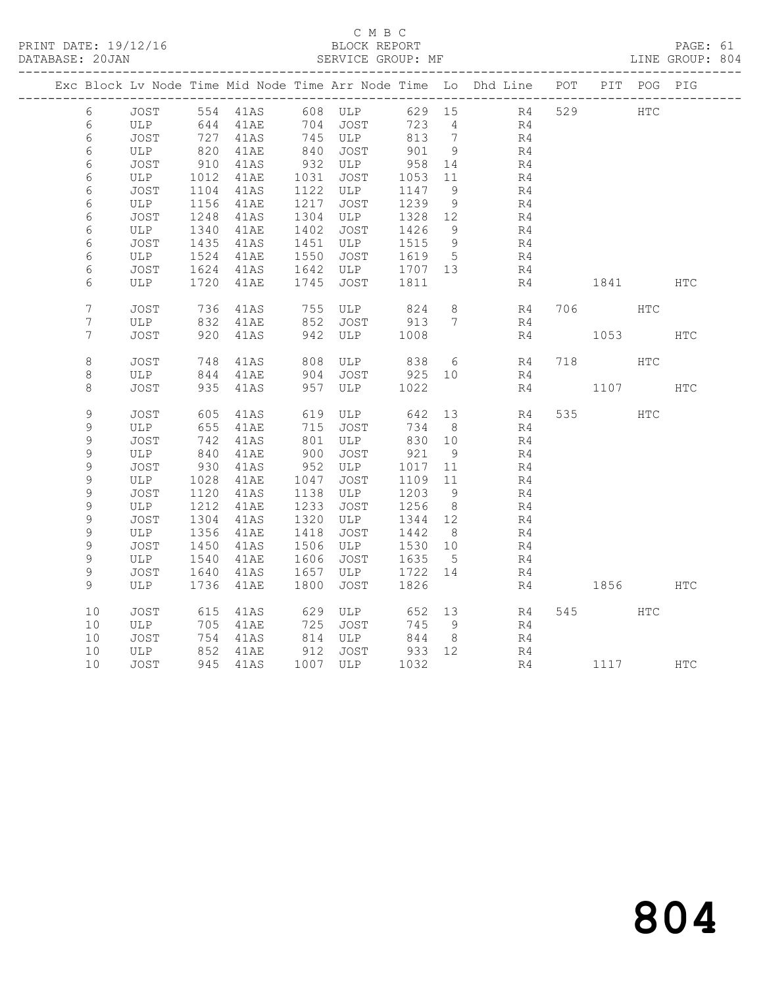## C M B C<br>BLOCK REPORT

PAGE: 61<br>LINE GROUP: 804

|  |                |             |              |                                                |              |                       |                 |                    | Exc Block Lv Node Time Mid Node Time Arr Node Time Lo Dhd Line POT PIT POG PIG |          |     |            |
|--|----------------|-------------|--------------|------------------------------------------------|--------------|-----------------------|-----------------|--------------------|--------------------------------------------------------------------------------|----------|-----|------------|
|  | 6              |             |              |                                                |              | JOST 554 41AS 608 ULP |                 |                    | 629 15 R4                                                                      | 529 HTC  |     |            |
|  | 6              |             |              | ULP 644 41AE 704 JOST<br>JOST 727 41AS 745 ULP |              |                       | 723             | $4\overline{ }$    | R4                                                                             |          |     |            |
|  | 6              |             |              |                                                |              |                       | 813 7           |                    | R4                                                                             |          |     |            |
|  | 6              | ULP         | 820          | 41AE                                           |              | 840 JOST              | 901             | 9                  | R4                                                                             |          |     |            |
|  | 6              | JOST        | 910          | 41AS                                           |              | 932 ULP               | 958             | 14                 | R4                                                                             |          |     |            |
|  | 6              | ULP         | 1012         | 41AE                                           |              | 1031 JOST             | 1053 11         |                    | R4                                                                             |          |     |            |
|  | 6              | JOST        | 1104         | 41AS                                           |              | 1122 ULP              | 1147            | 9                  | R4                                                                             |          |     |            |
|  | 6              | ULP         | 1156         | 41AE                                           | 1217         | JOST                  | 1239            | 9                  | R4                                                                             |          |     |            |
|  | 6              | JOST        | 1248         | 41AS                                           |              | 1304 ULP              | 1328 12         |                    | R4                                                                             |          |     |            |
|  | 6              | ULP         | 1340         | 41AE                                           | 1402         | JOST                  | 1426            | - 9                | R4                                                                             |          |     |            |
|  | 6              | JOST        | 1435         | 41AS                                           | 1451<br>1550 | ULP                   | 1515            | - 9<br>$5^{\circ}$ | R4                                                                             |          |     |            |
|  | 6<br>6         | ULP<br>JOST | 1524<br>1624 | 41AE<br>41AS                                   |              | JOST<br>1642 ULP      | 1619<br>1707 13 |                    | R4<br>R4                                                                       |          |     |            |
|  | 6              | ULP         |              | 1720 41AE                                      |              | 1745 JOST             | 1811            |                    | R4                                                                             | 1841 \   |     | <b>HTC</b> |
|  |                |             |              |                                                |              |                       |                 |                    |                                                                                |          |     |            |
|  | $\overline{7}$ | JOST        | 736          | 41AS                                           |              | 755 ULP               | 824             | 8 <sup>8</sup>     | R4                                                                             | 706 HTC  |     |            |
|  | $7\phantom{.}$ | ULP         | 832          | 41AE                                           |              | 852 JOST 913          |                 | $7\phantom{0}$     | R4                                                                             |          |     |            |
|  | 7              | JOST        |              | 920 41AS                                       |              | 942 ULP               | 1008            |                    | R4                                                                             | 1053     |     | <b>HTC</b> |
|  |                |             |              |                                                |              |                       |                 |                    |                                                                                |          |     |            |
|  | $\,8\,$        | JOST        | 748          | 41AS                                           |              | ULP 838               |                 | 6                  | R4                                                                             | 718      | HTC |            |
|  | 8              | ULP         |              | 844 41AE                                       |              | JOST                  | 925 10          |                    | R4                                                                             |          |     |            |
|  | 8              | JOST        |              | 935 41AS                                       | 957          | ULP                   | 1022            |                    | R4                                                                             | 1107     |     | HTC        |
|  |                |             |              |                                                |              |                       |                 |                    |                                                                                |          |     |            |
|  | 9              | JOST        | 605          | 41AS                                           |              | 619 ULP               | 642             | 13                 | R4                                                                             | 535 000  | HTC |            |
|  | 9              | ULP         | 655          | 41AE                                           |              | 715 JOST              | 734             | 8                  | R4                                                                             |          |     |            |
|  | 9              | JOST        |              | 742 41AS                                       |              | 801 ULP               | 830 10          |                    | R4                                                                             |          |     |            |
|  | 9              | ULP         | 840          | 41AE                                           | 900          | JOST                  | 921             | 9                  | R4                                                                             |          |     |            |
|  | 9              | JOST        | 930          | 41AS                                           | 952          | ULP                   | 1017 11         |                    | R4                                                                             |          |     |            |
|  | $\mathsf 9$    | ULP         | 1028         | 41AE                                           | 1047         | JOST                  | 1109            | 11                 | R4                                                                             |          |     |            |
|  | $\mathsf 9$    | JOST        | 1120         | 41AS                                           |              | 1138 ULP              | 1203            | 9                  | R4                                                                             |          |     |            |
|  | $\mathsf 9$    | ULP         | 1212         | 41AE                                           | 1233         | JOST                  | 1256            | 8 <sup>8</sup>     | R4                                                                             |          |     |            |
|  | 9              | JOST        | 1304         | 41AS                                           | 1320         | ULP                   | 1344 12         |                    | R4                                                                             |          |     |            |
|  | 9              | ULP         | 1356         | 41AE                                           | 1418         | JOST                  | 1442            | 8 <sup>8</sup>     | R4                                                                             |          |     |            |
|  | $\mathsf 9$    | JOST        | 1450         | 41AS                                           | 1506         | ULP                   | 1530 10         |                    | R4                                                                             |          |     |            |
|  | 9              | ULP         | 1540         | 41AE                                           | 1606         | JOST                  | 1635            | $5^{\circ}$        | R4                                                                             |          |     |            |
|  | 9              | JOST        | 1640         | 41AS                                           | 1657         | ULP                   | 1722 14         |                    | R4                                                                             |          |     |            |
|  | $\mathcal{G}$  | ULP         |              | 1736 41AE                                      | 1800         | JOST                  | 1826            |                    | R4                                                                             | 1856     | HTC |            |
|  | 10             | JOST        | 615          | 41AS                                           |              | 629 ULP               | 652 13          |                    | R4                                                                             | 545      | HTC |            |
|  | 10             | ULP         | 705          | 41AE                                           |              | 725 JOST              | 745             | - 9                | R4                                                                             |          |     |            |
|  | 10             | JOST        | 754          | 41AS                                           |              | 814 ULP               | 844             | 8 <sup>8</sup>     | R4                                                                             |          |     |            |
|  | 10             | ULP         |              | 852 41AE                                       |              | 912 JOST 933 12       |                 |                    | R4                                                                             |          |     |            |
|  | 10             | JOST        |              | 945 41AS                                       |              | 1007 ULP              | 1032            |                    | R4                                                                             | 1117 HTC |     |            |
|  |                |             |              |                                                |              |                       |                 |                    |                                                                                |          |     |            |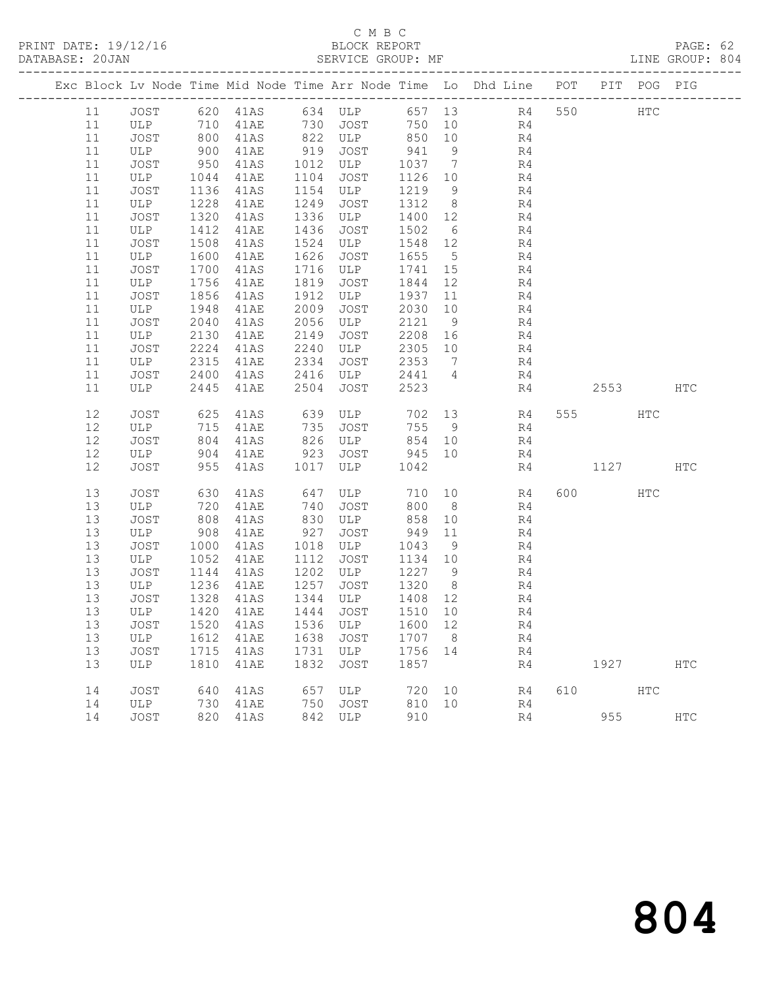| DATABASE: 20JAN |          |             |              |                                                                          |              | SERVICE GROUP: MF |                 |                |                                                                                |           |             | LINE GROUP: 804 |  |
|-----------------|----------|-------------|--------------|--------------------------------------------------------------------------|--------------|-------------------|-----------------|----------------|--------------------------------------------------------------------------------|-----------|-------------|-----------------|--|
|                 |          |             |              |                                                                          |              |                   |                 |                | Exc Block Lv Node Time Mid Node Time Arr Node Time Lo Dhd Line POT PIT POG PIG |           |             |                 |  |
|                 | 11       |             |              |                                                                          |              |                   |                 |                | JOST 620 41AS 634 ULP 657 13 R4 550 HTC                                        |           |             |                 |  |
|                 | 11       | ULP 710     |              |                                                                          |              |                   |                 |                | 41AE 730 JOST 750 10 R4                                                        |           |             |                 |  |
|                 | 11       | JOST        | 800<br>900   | 41AS                                                                     |              |                   |                 |                | 822 ULP 850 10 R4                                                              |           |             |                 |  |
|                 | 11       | ULP         |              | 41AE                                                                     |              | 919 JOST          | 941             | 9              | R4<br>R4                                                                       |           |             |                 |  |
|                 | 11       | JOST        | 950          | 41AS                                                                     |              | 1012 ULP          | 1037 7          |                |                                                                                |           |             |                 |  |
|                 | 11       | ULP         | 1044         | 41AE                                                                     | 1104         | JOST              | 1126 10         |                | R4                                                                             |           |             |                 |  |
|                 | 11       | JOST        | 1136         | 41AS                                                                     |              | 1154 ULP          | 1219 9          |                | R <sub>4</sub>                                                                 |           |             |                 |  |
|                 | 11       | ULP         | 1228         | 41AE                                                                     | 1249         | JOST              | 1312 8          |                | $\frac{R4}{R4}$                                                                |           |             |                 |  |
|                 | 11       | JOST        | 1320         | 41AS                                                                     | 1336         | ULP               | 1400 12         |                | R4                                                                             |           |             |                 |  |
|                 | 11<br>11 | ULP<br>JOST | 1412<br>1508 | 41AE<br>41AS                                                             | 1436<br>1524 | JOST<br>ULP       | 1502<br>1548 12 | 6              | R4                                                                             |           |             |                 |  |
|                 | 11       | ULP         | 1600         | 41AE                                                                     | 1626         | JOST              | 1655            | $5^{\circ}$    | R <sub>4</sub>                                                                 |           |             |                 |  |
|                 | 11       | JOST        | 1700         | 41AS                                                                     | 1716         | ULP               | 1741            | 15             | R4                                                                             |           |             |                 |  |
|                 | 11       | ULP         | 1756         | 41AE                                                                     | 1819         | JOST              | 1844            | 12             | R4                                                                             |           |             |                 |  |
|                 | 11       | JOST        | 1856         | 41AS                                                                     | 1912         | ULP               | 1937            | 11             | R4                                                                             |           |             |                 |  |
|                 | 11       | ULP         | 1948         | 41AE                                                                     | 2009         | JOST              | 2030 10         |                | R4                                                                             |           |             |                 |  |
|                 | 11       | JOST        | 2040         | 41AS                                                                     | 2056         | ULP               | 2121 9          |                | R4                                                                             |           |             |                 |  |
|                 | 11       | ULP         | 2130         | 41AE                                                                     | 2149         | JOST              | 2208 16         |                | R4                                                                             |           |             |                 |  |
|                 | 11       | JOST        | 2224         | 41AS                                                                     | 2240         | ULP               | 2305 10         |                | R4                                                                             |           |             |                 |  |
|                 | 11       | ULP         | 2315         | 41AE                                                                     | 2334         | JOST              | 2353            | $\overline{7}$ | R4                                                                             |           |             |                 |  |
|                 | 11       | JOST        | 2400         | 41AS                                                                     | 2416         | ULP               | 2441 4          |                | R4                                                                             |           |             |                 |  |
|                 | 11       | ULP         | 2445         | 41AE                                                                     | 2504         | JOST              | 2523            |                | R4                                                                             |           | 2553        | HTC             |  |
|                 | 12       | JOST        | 625          | 41AS                                                                     |              | 639 ULP           |                 |                | 702 13 R4                                                                      | 555 75    | HTC         |                 |  |
|                 | 12       | ULP         | $715\n\n804$ | 41AE                                                                     | 735          | JOST              | 755 9           |                | R4                                                                             |           |             |                 |  |
|                 | 12       | JOST        | 804          | 41AS                                                                     |              | 826 ULP           | 854 10          |                | R <sub>4</sub>                                                                 |           |             |                 |  |
|                 | 12       | ULP         | 904          | 41AE                                                                     | 923          | JOST 945 10       |                 |                | R4                                                                             |           |             |                 |  |
|                 | 12       | JOST        | 955          | 41AS                                                                     | 1017         | ULP               | 1042            |                | R4                                                                             | 1127      |             | <b>HTC</b>      |  |
|                 | 13       | JOST        | 630          | 41AS                                                                     | 647          | ULP               |                 |                | 710 10 R4                                                                      | 600 — 100 | HTC         |                 |  |
|                 | 13       | ULP         | 720          | 41AE                                                                     | 740          | JOST              |                 | 800 8          | R4                                                                             |           |             |                 |  |
|                 | 13       | JOST        | 808          | 41AS                                                                     | 830          | ULP               | 858             | 10             | R4                                                                             |           |             |                 |  |
|                 | 13<br>13 | ULP<br>JOST | 908<br>1000  | 41AE                                                                     | 927<br>1018  | JOST<br>ULP       | 949 11<br>1043  |                | R4<br>R4                                                                       |           |             |                 |  |
|                 | 13       | ULP         | 1052         | 41AS<br>41AE                                                             | 1112         | <b>JOST</b>       | 1134 10         | 9              | R4                                                                             |           |             |                 |  |
|                 | 13       | JOST        | 1144         | 41AS                                                                     | 1202         | ULP               | 1227 9          |                | R4                                                                             |           |             |                 |  |
|                 | 13       | ULP         | 1236         | 41AE                                                                     | 1257         | JOST              | 1320 8          |                | R <sup>1</sup>                                                                 |           |             |                 |  |
|                 | 13       | JOST        |              | $\begin{array}{cc}\n 1223 & 41AS \\  \hline\n 1328 & 41AS\n \end{array}$ |              | 1344 ULP          | 1408 12         |                | R4                                                                             |           |             |                 |  |
|                 |          |             |              |                                                                          |              |                   |                 |                | 13 ULP 1420 41AE 1444 JOST 1510 10 R4                                          |           |             |                 |  |
|                 | 13       | JOST        | 1520         | 41AS                                                                     |              | 1536 ULP          | 1600 12         |                | R4                                                                             |           |             |                 |  |
|                 | 13       | ULP         | 1612         | 41AE                                                                     | 1638         | JOST              | 1707 8          |                | R4                                                                             |           |             |                 |  |
|                 | 13       | JOST        | 1715         | 41AS                                                                     |              | 1731 ULP          | 1756 14         |                | R4                                                                             |           |             |                 |  |
|                 | 13       | ULP         | 1810         | 41AE                                                                     | 1832         | JOST              | 1857            |                | R4                                                                             |           | 1927   1927 | HTC             |  |
|                 | 14       | JOST        | 640          | 41AS                                                                     | 657          | ULP               | 720             | 10             | R4                                                                             | 610 HTC   |             |                 |  |
|                 | 14       | ULP         | 730          | 41AE                                                                     | 750          | JOST              | 810 10          |                | R4                                                                             |           |             |                 |  |
|                 | 14       | JOST        | 820          | 41AS                                                                     |              | 842 ULP           | 910             |                | R4                                                                             |           | 955 000     | $_{\rm HTC}$    |  |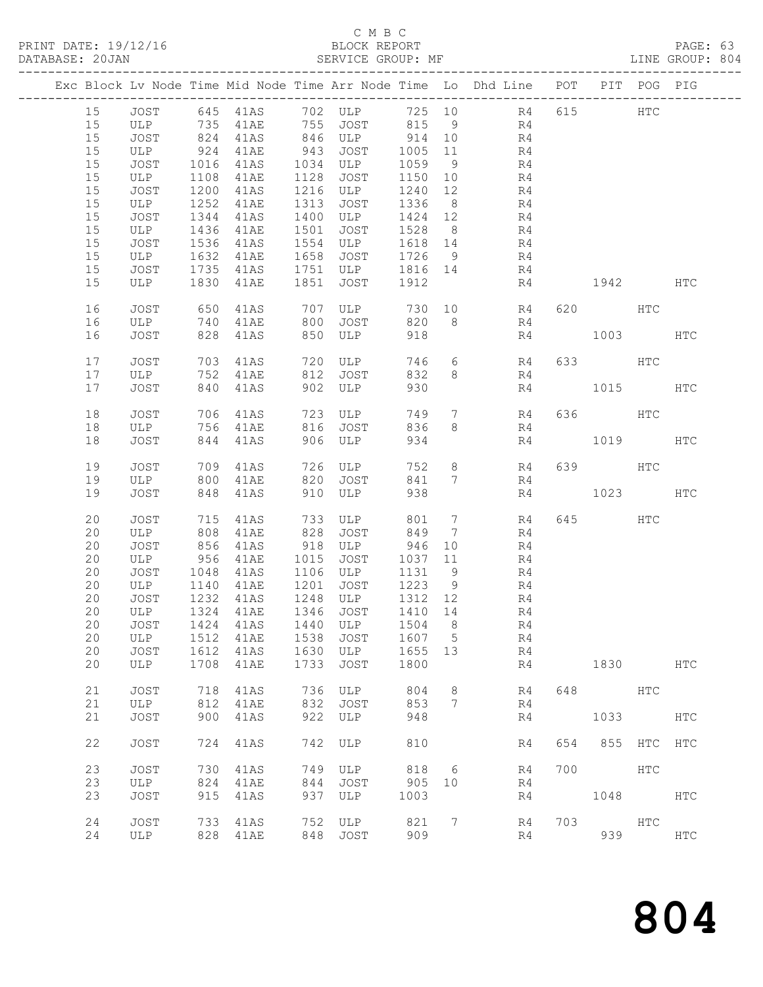|          |              |              | PRINT DATE: 19/12/16<br>DATABASE: 20JAN |              | BLOCK REPORT<br>SERVICE GROUP: MF                    |                   |                 |                                                                                 |     |             |              | PAGE: 63<br>LINE GROUP: 804 |  |
|----------|--------------|--------------|-----------------------------------------|--------------|------------------------------------------------------|-------------------|-----------------|---------------------------------------------------------------------------------|-----|-------------|--------------|-----------------------------|--|
|          |              |              |                                         |              |                                                      |                   |                 | Exc Block Lv Node Time Mid Node Time Arr Node Time Lo Dhd Line POT PIT POG PIG  |     |             |              |                             |  |
|          |              |              |                                         |              |                                                      |                   |                 | 15 JOST 645 41AS 702 ULP 725 10 R4 615 HTC<br>15 ULP 735 41AE 755 JOST 815 9 R4 |     |             |              |                             |  |
|          |              |              |                                         |              |                                                      |                   |                 |                                                                                 |     |             |              |                             |  |
| 15       | JOST         |              |                                         |              | 824 41AS 846 ULP 914 10                              |                   |                 | R <sub>4</sub>                                                                  |     |             |              |                             |  |
| 15       | ULP          |              | 924 41AE                                |              | 943 JOST                                             | 1005 11           |                 | R <sub>4</sub>                                                                  |     |             |              |                             |  |
| 15       | JOST         |              | 1016 41AS<br>1108 41AE                  |              | 1034 ULP<br>1128 JOST                                | 1059 9<br>1150 10 |                 | $\frac{R4}{R4}$                                                                 |     |             |              |                             |  |
| 15       | ULP          |              | 1108 41AE                               |              |                                                      |                   |                 |                                                                                 |     |             |              |                             |  |
| 15       | JOST         |              | 1200 41AS                               |              | 1216 ULP 1240 12                                     |                   |                 | R4                                                                              |     |             |              |                             |  |
| 15       | ULP          | 1252         | 41AE                                    | 1313         | JOST                                                 | 1336 8            |                 | R4                                                                              |     |             |              |                             |  |
| 15       | JOST         | 1344         | 41AS                                    |              |                                                      |                   |                 | R4                                                                              |     |             |              |                             |  |
| 15       | ULP          |              | 1436 41AE                               | 1501         | 1315 ULP $1424$ 1424 1424 1424 1528 8<br>ULP 1618 14 |                   |                 | R <sub>4</sub><br>R4                                                            |     |             |              |                             |  |
| 15       | JOST         |              | 1536 41AS                               | 1554         |                                                      |                   |                 |                                                                                 |     |             |              |                             |  |
| 15<br>15 | ULP          | 1632         | 41AE<br>1735 41AS                       | 1658         | JOST                                                 | 1726              | 9               | R4                                                                              |     |             |              |                             |  |
| 15       | JOST<br>ULP  |              | 1830 41AE                               |              | 1751 ULP 1816 14<br>1851 JOST 1912                   |                   |                 | R <sub>4</sub><br>R4                                                            |     | 1942 HTC    |              |                             |  |
|          |              |              |                                         |              |                                                      |                   |                 |                                                                                 |     |             |              |                             |  |
| 16       | JOST         | 650          | 41AS                                    |              |                                                      |                   |                 | 707 ULP 730 10 R4 620 HTC                                                       |     |             |              |                             |  |
| 16       | ULP 740 41AE |              |                                         |              | 800 JOST                                             | 820               |                 | 8 <sup>1</sup><br>R4                                                            |     |             |              |                             |  |
| 16       | JOST         | 828          | 41AS                                    |              | 850 ULP                                              | 918               |                 |                                                                                 | R4  | 1003 HTC    |              |                             |  |
| 17       | JOST         |              |                                         |              | 703 41AS 720 ULP                                     | 746               |                 | $6\overline{6}$<br>R4                                                           |     | 633 HTC     |              |                             |  |
| 17       | ULP 752 41AE |              |                                         |              | 812 JOST                                             | 832               |                 | 8 <sup>1</sup><br>R4                                                            |     |             |              |                             |  |
| 17       | JOST         |              | 840 41AS                                |              | 902 ULP                                              | 930               |                 | R4                                                                              |     | 1015 HTC    |              |                             |  |
| 18       | JOST         |              | 706 41AS                                |              | 723 ULP                                              | 749               |                 | $7$ R4                                                                          |     | 636 HTC     |              |                             |  |
| 18       | ULP 756 41AE |              |                                         |              | 816 JOST                                             | 836               |                 | 8 <sup>1</sup><br>R4                                                            |     |             |              |                             |  |
| 18       | JOST         |              | 844 41AS                                |              | 906 ULP                                              | 934               |                 |                                                                                 | R4  | 1019 HTC    |              |                             |  |
| 19       | JOST         |              | 709 41AS                                |              | 726 ULP                                              | 752               |                 | $8 - 8$                                                                         |     | R4 639 HTC  |              |                             |  |
| 19       | ULP          |              | 800 41AE                                | 820          | JOST                                                 | 841               |                 | $7\overline{ }$<br>R4                                                           |     |             |              |                             |  |
| 19       | JOST         |              | 848 41AS                                |              | 910 ULP                                              | 938               |                 |                                                                                 |     | R4 1023 HTC |              |                             |  |
| 20       | JOST         | 715          | 41AS                                    |              | 733 ULP                                              | 801               | $7\overline{ }$ | R4                                                                              |     | 645         | HTC          |                             |  |
| 20       | ULP          |              | 808 41AE                                |              | 828 JOST                                             | 849               |                 | $7\overline{ }$<br>R4                                                           |     |             |              |                             |  |
| 20       |              |              | JOST 856 41AS<br>ULP 956 41AE           |              | 918 ULP 946 10<br>1015 JOST 1037 11                  |                   |                 | R4                                                                              |     |             |              |                             |  |
| 20       |              |              |                                         |              |                                                      |                   |                 | R4                                                                              |     |             |              |                             |  |
| 20       | JOST         |              | 1048 41AS                               |              | 1106 ULP 1131 9                                      |                   |                 | R4                                                                              |     |             |              |                             |  |
| 20       | ULP          |              | 1140 41AE                               |              | 1201 JOST                                            | 1223 9            |                 | R4                                                                              |     |             |              |                             |  |
|          |              |              |                                         |              | 20 JOST 1232 41AS 1248 ULP 1312 12                   |                   |                 | R <sub>4</sub>                                                                  |     |             |              |                             |  |
| 20       | ULP          | 1324         | 41AE                                    | 1346         | JOST                                                 | 1410              | 14              | R4                                                                              |     |             |              |                             |  |
| 20       | <b>JOST</b>  | 1424         | 41AS                                    | 1440         | ULP                                                  | 1504              | 8               | R4                                                                              |     |             |              |                             |  |
| 20<br>20 | ULP<br>JOST  | 1512<br>1612 | 41AE<br>41AS                            | 1538<br>1630 | <b>JOST</b><br>ULP                                   | 1607<br>1655      | 5<br>13         | R4<br>R4                                                                        |     |             |              |                             |  |
| 20       | <b>ULP</b>   | 1708         | 41AE                                    | 1733         | JOST                                                 | 1800              |                 | R4                                                                              |     | 1830        |              | HTC                         |  |
|          |              |              |                                         |              |                                                      |                   |                 |                                                                                 |     |             |              |                             |  |
| 21       | <b>JOST</b>  | 718          | 41AS                                    | 736          | ULP                                                  | 804               | 8               | R4                                                                              | 648 |             | $_{\rm HTC}$ |                             |  |
| 21       | ULP          | 812          | 41AE                                    | 832          | <b>JOST</b>                                          | 853               | $7\phantom{.0}$ | R4                                                                              |     |             |              |                             |  |
| 21       | <b>JOST</b>  | 900          | 41AS                                    | 922          | ULP                                                  | 948               |                 | R4                                                                              |     | 1033        |              | HTC                         |  |
| 22       | <b>JOST</b>  | 724          | 41AS                                    | 742          | ULP                                                  | 810               |                 | R4                                                                              | 654 | 855         | $_{\rm HTC}$ | <b>HTC</b>                  |  |
| 23       | <b>JOST</b>  | 730          | 41AS                                    | 749          | ULP                                                  | 818               | 6               | R4                                                                              | 700 |             | HTC          |                             |  |
| 23       | ULP          | 824          | 41AE                                    | 844          | <b>JOST</b>                                          | 905               | 10              | R4                                                                              |     |             |              |                             |  |
| 23       | JOST         | 915          | 41AS                                    | 937          | ULP                                                  | 1003              |                 | R4                                                                              |     | 1048        |              | HTC                         |  |
| 24       | JOST         | 733          | 41AS                                    | 752          | ULP                                                  | 821               | 7               | R4                                                                              | 703 |             | HTC          |                             |  |
| 24       | ULP          | 828          | 41AE                                    | 848          | <b>JOST</b>                                          | 909               |                 | R4                                                                              |     | 939         |              | HTC                         |  |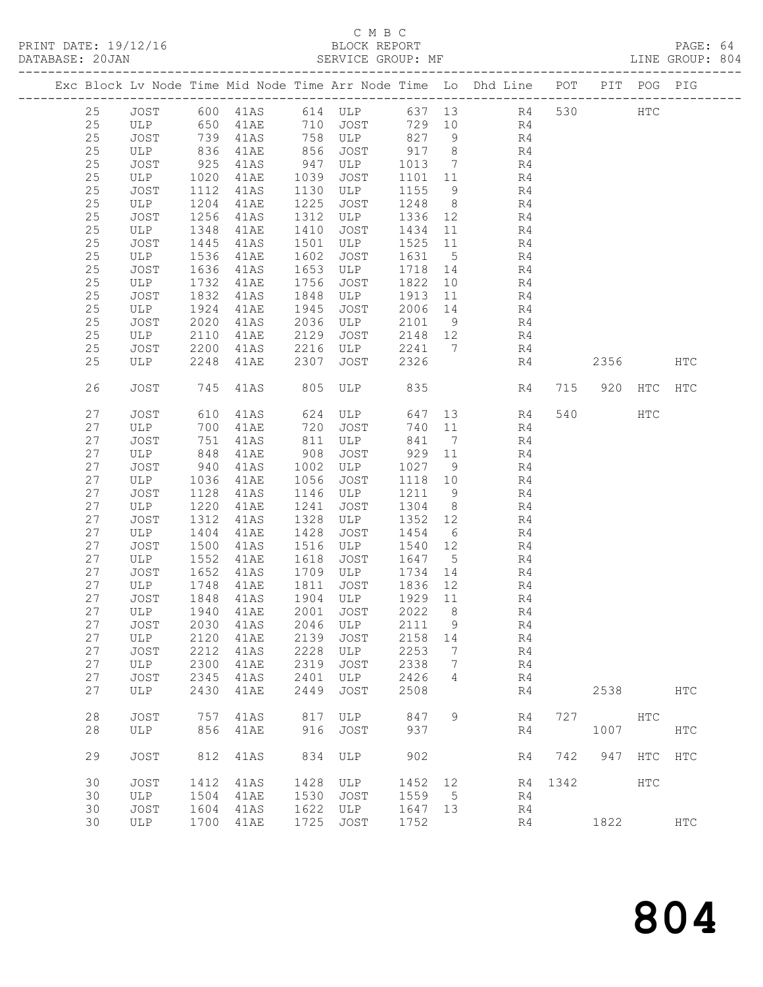| DATABASE: 20JAN |    |             |      | SERVICE GROUP: MF |      |               |         |                              |                                                                                |      |                 |         | LINE GROUP: 804 |  |
|-----------------|----|-------------|------|-------------------|------|---------------|---------|------------------------------|--------------------------------------------------------------------------------|------|-----------------|---------|-----------------|--|
|                 |    |             |      |                   |      |               |         |                              | Exc Block Lv Node Time Mid Node Time Arr Node Time Lo Dhd Line POT PIT POG PIG |      |                 |         |                 |  |
|                 | 25 |             |      |                   |      |               |         |                              | JOST 600 41AS 614 ULP 637 13 R4 530 HTC                                        |      |                 |         |                 |  |
|                 | 25 | ULP 650     |      |                   |      |               |         |                              | 41AE 710 JOST 729 10 R4                                                        |      |                 |         |                 |  |
|                 | 25 | JOST        | 739  | 41AS              |      | 758 ULP 827 9 |         |                              | R4                                                                             |      |                 |         |                 |  |
|                 | 25 | ULP         | 836  | 41AE              |      | 856 JOST      | 917 8   |                              | R4                                                                             |      |                 |         |                 |  |
|                 | 25 | JOST        | 925  | 41AS              | 947  | ULP           | 1013    | $\overline{7}$               | R4                                                                             |      |                 |         |                 |  |
|                 | 25 | ULP         | 1020 | 41AE              | 1039 | JOST          | 1101 11 |                              | R <sub>4</sub>                                                                 |      |                 |         |                 |  |
|                 | 25 | JOST        | 1112 | 41AS              | 1130 | ULP           | 1155    | 9                            | R4                                                                             |      |                 |         |                 |  |
|                 | 25 | ULP         | 1204 | 41AE              | 1225 | JOST          | 1248    | 8 <sup>8</sup>               | R4                                                                             |      |                 |         |                 |  |
|                 | 25 | JOST        | 1256 | 41AS              | 1312 | ULP           | 1336 12 |                              | R4                                                                             |      |                 |         |                 |  |
|                 | 25 | ULP         | 1348 | 41AE              | 1410 | JOST          | 1434    | 11                           | R4                                                                             |      |                 |         |                 |  |
|                 | 25 | JOST        | 1445 | 41AS              | 1501 | ULP           | 1525    | 11                           | R4                                                                             |      |                 |         |                 |  |
|                 | 25 | ULP         | 1536 | 41AE              | 1602 | JOST          | 1631    | $5^{\circ}$                  | R4                                                                             |      |                 |         |                 |  |
|                 | 25 | JOST        | 1636 | 41AS              | 1653 | ULP           | 1718    | 14                           | R4                                                                             |      |                 |         |                 |  |
|                 | 25 | ULP         | 1732 | 41AE              | 1756 | JOST          | 1822    | 10                           | R4                                                                             |      |                 |         |                 |  |
|                 | 25 | JOST        | 1832 | 41AS              | 1848 | ULP           | 1913    | 11                           | R4                                                                             |      |                 |         |                 |  |
|                 | 25 | ULP         | 1924 | 41AE              | 1945 | JOST          | 2006    | 14                           | R4                                                                             |      |                 |         |                 |  |
|                 | 25 | JOST        | 2020 | 41AS              | 2036 | ULP           | 2101 9  |                              | R4                                                                             |      |                 |         |                 |  |
|                 | 25 | ULP         | 2110 | 41AE              | 2129 | JOST          | 2148 12 |                              | R4                                                                             |      |                 |         |                 |  |
|                 | 25 | JOST        | 2200 | 41AS              | 2216 | ULP           | 2241    |                              | $7\overline{ }$<br>R4                                                          |      |                 |         |                 |  |
|                 | 25 | ULP         | 2248 | 41AE              | 2307 | JOST          | 2326    |                              | R4                                                                             |      | 2356            |         | HTC             |  |
|                 |    |             |      |                   |      |               |         |                              |                                                                                |      |                 |         |                 |  |
|                 | 26 | <b>JOST</b> | 745  | 41AS              | 805  | ULP           | 835     |                              | R4                                                                             | 715  |                 | 920 HTC | <b>HTC</b>      |  |
|                 | 27 | JOST        | 610  | 41AS              |      | 624 ULP       | 647     |                              | 13<br>R4                                                                       |      | 540             | HTC     |                 |  |
|                 | 27 | ULP         | 700  | 41AE              | 720  | JOST          | 740 11  |                              | R4                                                                             |      |                 |         |                 |  |
|                 | 27 | JOST        | 751  | 41AS              | 811  | ULP           | 841     | $\overline{7}$               | R4                                                                             |      |                 |         |                 |  |
|                 | 27 | ULP         | 848  | 41AE              | 908  | JOST          | 929 11  |                              | R4                                                                             |      |                 |         |                 |  |
|                 | 27 | JOST        | 940  | 41AS              | 1002 | ULP           | 1027    | 9                            | R4                                                                             |      |                 |         |                 |  |
|                 | 27 | ULP         | 1036 | 41AE              | 1056 | JOST          | 1118 10 |                              | R4                                                                             |      |                 |         |                 |  |
|                 | 27 | JOST        | 1128 | 41AS              | 1146 | ULP           | 1211    | 9                            | R4                                                                             |      |                 |         |                 |  |
|                 | 27 | ULP         | 1220 | 41AE              | 1241 | JOST          | 1304    | 8 <sup>8</sup>               | R4                                                                             |      |                 |         |                 |  |
|                 | 27 | JOST        | 1312 | 41AS              | 1328 | ULP           | 1352    | 12                           | R4                                                                             |      |                 |         |                 |  |
|                 | 27 | ULP         | 1404 | 41AE              | 1428 | JOST          | 1454    | 6                            | R4                                                                             |      |                 |         |                 |  |
|                 | 27 | JOST        | 1500 | 41AS              | 1516 | ULP           | 1540    | 12                           | R4                                                                             |      |                 |         |                 |  |
|                 | 27 | ULP         | 1552 | 41AE              | 1618 | JOST          | 1647 5  |                              | R4                                                                             |      |                 |         |                 |  |
|                 | 27 | JOST        | 1652 | 41AS              | 1709 | ULP           | 1734    | 14                           | R4                                                                             |      |                 |         |                 |  |
|                 | 27 | ULP         | 1748 | 41AE              | 1811 | JOST          | 1836 12 |                              | R4                                                                             |      |                 |         |                 |  |
|                 | 27 | JOST        | 1848 | 41AS              |      | 1904 ULP      | 1929 11 |                              | R4                                                                             |      |                 |         |                 |  |
|                 |    |             |      |                   |      |               |         |                              | 27 ULP 1940 41AE 2001 JOST 2022 8 R4                                           |      |                 |         |                 |  |
|                 | 27 | JOST        | 2030 | 41AS              | 2046 | ULP           | 2111    | $\overline{9}$               | R4                                                                             |      |                 |         |                 |  |
|                 | 27 | ULP         | 2120 | 41AE              | 2139 | JOST          | 2158 14 |                              | R4                                                                             |      |                 |         |                 |  |
|                 | 27 | JOST        | 2212 | 41AS              | 2228 | ULP           | 2253    | $7\phantom{.0}\phantom{.0}7$ | R4                                                                             |      |                 |         |                 |  |
|                 | 27 | ULP         | 2300 | 41AE              | 2319 | JOST          | 2338    | $\overline{7}$               | R4                                                                             |      |                 |         |                 |  |
|                 | 27 | JOST        | 2345 | 41AS              | 2401 | ULP           | 2426    | 4                            | R4                                                                             |      |                 |         |                 |  |
|                 | 27 | ULP         | 2430 | 41AE              | 2449 | JOST          | 2508    |                              | R4                                                                             |      | 2538            |         | HTC             |  |
|                 | 28 | <b>JOST</b> | 757  | 41AS              | 817  | ULP           | 847     | 9                            | R4                                                                             | 727  | HTC             |         |                 |  |
|                 | 28 | ULP         | 856  | 41AE              | 916  | JOST          | 937     |                              | R4                                                                             |      | 1007            |         | HTC             |  |
|                 | 29 | JOST        | 812  | 41AS              | 834  | ULP           | 902     |                              | R4                                                                             |      | 742 947 HTC HTC |         |                 |  |
|                 | 30 | JOST        | 1412 | 41AS              | 1428 | ULP           | 1452    | 12                           | R4                                                                             | 1342 |                 | HTC     |                 |  |
|                 | 30 | ULP         | 1504 | 41AE              | 1530 | JOST          | 1559 5  |                              | R4                                                                             |      |                 |         |                 |  |
|                 | 30 | JOST        | 1604 | 41AS              | 1622 | ULP           | 1647 13 |                              | R4                                                                             |      |                 |         |                 |  |
|                 | 30 | ULP         | 1700 | 41AE              | 1725 | JOST          | 1752    |                              | R4                                                                             |      | 1822            |         | $_{\rm{HTC}}$   |  |
|                 |    |             |      |                   |      |               |         |                              |                                                                                |      |                 |         |                 |  |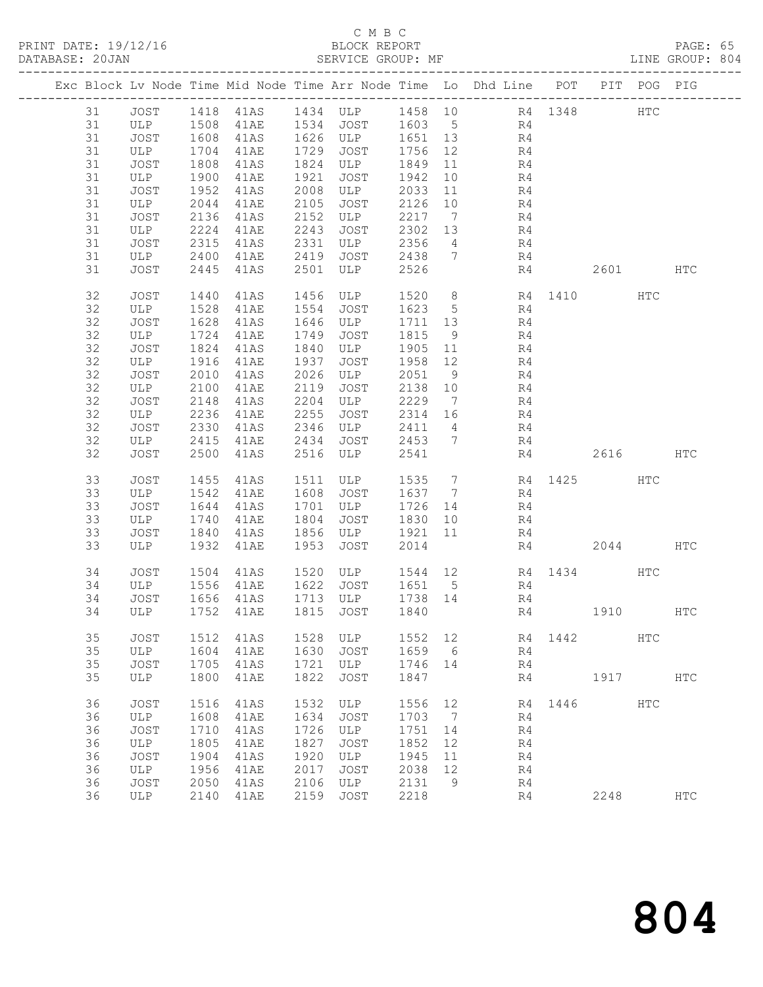PRINT DATE: 19/12/16 BLOCK REPORT<br>DATABASE: 20JAN BATABASE: 20JAN

### C M B C<br>BLOCK REPORT

PAGE: 65<br>LINE GROUP: 804

|  |    |             |                      |                |      | Exc Block Lv Node Time Mid Node Time Arr Node Time Lo Dhd Line POT PIT POG PIG |           |                 |                 |                |      |                     |            |            |
|--|----|-------------|----------------------|----------------|------|--------------------------------------------------------------------------------|-----------|-----------------|-----------------|----------------|------|---------------------|------------|------------|
|  | 31 |             |                      |                |      | JOST 1418 41AS 1434 ULP 1458 10 R4 1348                                        |           |                 |                 |                |      |                     | <b>HTC</b> |            |
|  | 31 | ULP 1508    |                      | 41AE 1534 JOST |      |                                                                                | 1603 5 R4 |                 |                 |                |      |                     |            |            |
|  | 31 | JOST        |                      | 41AS           |      | 1626 ULP<br>1626 ULP<br>1700 TOST                                              | 1651 13   |                 |                 |                |      |                     |            |            |
|  | 31 | ULP         | 1608<br>1704<br>1704 | 41AE           | 1729 | JOST                                                                           | 1756 12   |                 | $\frac{R4}{R4}$ |                |      |                     |            |            |
|  | 31 | JOST        | 1808                 | 41AS           | 1824 | ULP                                                                            | 1849      | 11              |                 | R <sub>4</sub> |      |                     |            |            |
|  |    |             |                      |                |      |                                                                                |           |                 |                 |                |      |                     |            |            |
|  | 31 | ULP         | 1900                 | 41AE           | 1921 | JOST                                                                           | 1942      | 10              |                 | R4             |      |                     |            |            |
|  | 31 | JOST        | 1952                 | 41AS           | 2008 | ULP                                                                            | 2033      | 11              |                 | R4             |      |                     |            |            |
|  | 31 | ULP         | 2044                 | 41AE           | 2105 | JOST                                                                           | 2126      | 10              |                 | R <sub>4</sub> |      |                     |            |            |
|  | 31 | JOST        | 2136                 | 41AS           | 2152 | ULP                                                                            | 2217      | $\overline{7}$  |                 | R <sub>4</sub> |      |                     |            |            |
|  | 31 | ULP         | 2224                 | 41AE           | 2243 | JOST                                                                           | 2302      | 13              |                 | R4             |      |                     |            |            |
|  | 31 | JOST        | 2315                 | 41AS           | 2331 | ULP                                                                            | 2356      | $4\overline{4}$ |                 | $R4$<br>$R4$   |      |                     |            |            |
|  | 31 | ULP         | 2400                 | 41AE           | 2419 | JOST                                                                           | 2438 7    |                 |                 |                |      |                     |            |            |
|  | 31 | JOST        | 2445                 | 41AS           | 2501 | ULP                                                                            | 2526      |                 |                 | R4             |      | 2601 HTC            |            |            |
|  | 32 | <b>JOST</b> | 1440                 | 41AS           | 1456 | ULP                                                                            | 1520      |                 |                 |                |      | 8 R4 1410 HTC       |            |            |
|  | 32 | ULP         | 1528                 | 41AE           | 1554 | JOST                                                                           | 1623 5    |                 |                 | R <sub>4</sub> |      |                     |            |            |
|  | 32 | JOST        | 1628                 | 41AS           | 1646 | ULP                                                                            | 1711 13   |                 |                 | R <sub>4</sub> |      |                     |            |            |
|  | 32 | ULP         | 1724                 | 41AE           | 1749 | JOST                                                                           | 1815      | 9               |                 | R <sub>4</sub> |      |                     |            |            |
|  | 32 | JOST        | 1824                 | 41AS           | 1840 | ULP                                                                            | 1905      | 11              |                 | R4             |      |                     |            |            |
|  | 32 | ULP         | 1916                 | 41AE           | 1937 | JOST                                                                           | 1958 12   |                 |                 | R4             |      |                     |            |            |
|  | 32 | JOST        | 2010                 | 41AS           | 2026 | ULP                                                                            | 2051      | 9               |                 | R4             |      |                     |            |            |
|  | 32 | ULP         | 2100                 | 41AE           | 2119 | JOST                                                                           | 2138 10   |                 |                 | R <sub>4</sub> |      |                     |            |            |
|  | 32 | JOST        | 2148                 | 41AS           | 2204 | ULP                                                                            | 2229      | $\overline{7}$  |                 | R4             |      |                     |            |            |
|  | 32 | ULP         | 2236                 | 41AE           | 2255 | JOST                                                                           | 2314 16   |                 |                 |                |      |                     |            |            |
|  | 32 | JOST        | 2330                 | 41AS           | 2346 | ULP                                                                            | 2411 4    |                 |                 | R4<br>R4       |      |                     |            |            |
|  | 32 | ULP         | 2415                 | 41AE           | 2434 | JOST                                                                           | 2453      | $\overline{7}$  |                 | R4             |      |                     |            |            |
|  | 32 | JOST        | 2500                 | 41AS           | 2516 | ULP                                                                            | 2541      |                 |                 | R4             |      | 2616                |            | HTC        |
|  |    |             |                      |                |      |                                                                                |           |                 |                 |                |      |                     |            |            |
|  | 33 | JOST        | 1455                 | 41AS           | 1511 | ULP                                                                            |           |                 |                 |                |      | 1535 7 R4 1425 HTC  |            |            |
|  | 33 | ULP         | 1542                 | 41AE           | 1608 | JOST                                                                           | 1637 7    |                 |                 | R4             |      |                     |            |            |
|  | 33 | JOST        | 1644                 | 41AS           | 1701 | ULP                                                                            | 1726      | 14              |                 | R4             |      |                     |            |            |
|  | 33 | ULP         | 1740                 | 41AE           | 1804 | JOST                                                                           | 1830      | 10              |                 | R4             |      |                     |            |            |
|  | 33 | JOST        | 1840                 | 41AS           | 1856 | ULP                                                                            | 1921      | 11              |                 | R4             |      |                     |            |            |
|  | 33 | ULP         | 1932                 | 41AE           | 1953 | JOST                                                                           | 2014      |                 |                 | R4             |      | 2044                |            | HTC        |
|  | 34 | JOST        | 1504                 | 41AS           | 1520 | ULP                                                                            |           |                 |                 |                |      | 1544 12 R4 1434 HTC |            |            |
|  | 34 | ULP 1556    |                      | 41AE           | 1622 | JOST                                                                           | 1651 5    |                 |                 | R <sub>4</sub> |      |                     |            |            |
|  | 34 | JOST        | 1656                 | 41AS           | 1713 | ULP                                                                            | 1738 14   |                 |                 | R4             |      |                     |            |            |
|  | 34 | ULP 1752    |                      | 41AE           | 1815 | JOST                                                                           | 1840      |                 |                 |                |      | R4 1910 HTC         |            |            |
|  | 35 | JOST        | 1512                 | 41AS           | 1528 | ULP                                                                            | 1552      | 12              |                 | R4             | 1442 |                     | HTC        |            |
|  | 35 | ULP         | 1604                 | 41AE           | 1630 | JOST                                                                           | 1659      | - 6             |                 | R4             |      |                     |            |            |
|  | 35 | <b>JOST</b> | 1705                 | 41AS           | 1721 | ULP                                                                            | 1746      | 14              |                 | R4             |      |                     |            |            |
|  | 35 | ULP         | 1800                 | 41AE           | 1822 | JOST                                                                           | 1847      |                 |                 | R4             |      | 1917                |            | HTC        |
|  |    |             |                      |                |      |                                                                                |           |                 |                 |                |      |                     |            |            |
|  | 36 | JOST        | 1516                 | 41AS           | 1532 | ULP                                                                            | 1556      | 12              |                 | R4             | 1446 |                     | HTC        |            |
|  | 36 | <b>ULP</b>  | 1608                 | 41AE           | 1634 | <b>JOST</b>                                                                    | 1703      | $\overline{7}$  |                 | R4             |      |                     |            |            |
|  | 36 | <b>JOST</b> | 1710                 | 41AS           | 1726 | ULP                                                                            | 1751      | 14              |                 | R4             |      |                     |            |            |
|  | 36 | <b>ULP</b>  | 1805                 | 41AE           | 1827 | <b>JOST</b>                                                                    | 1852      | 12              |                 | R4             |      |                     |            |            |
|  | 36 | JOST        | 1904                 | 41AS           | 1920 | ULP                                                                            | 1945      | 11              |                 | R4             |      |                     |            |            |
|  | 36 | ULP         | 1956                 | 41AE           | 2017 | JOST                                                                           | 2038      | 12              |                 | R4             |      |                     |            |            |
|  | 36 | <b>JOST</b> | 2050                 | 41AS           | 2106 | ULP                                                                            | 2131      | 9               |                 | R4             |      |                     |            |            |
|  | 36 | ULP         | 2140                 | 41AE           | 2159 | JOST                                                                           | 2218      |                 |                 | R4             |      | 2248                |            | <b>HTC</b> |
|  |    |             |                      |                |      |                                                                                |           |                 |                 |                |      |                     |            |            |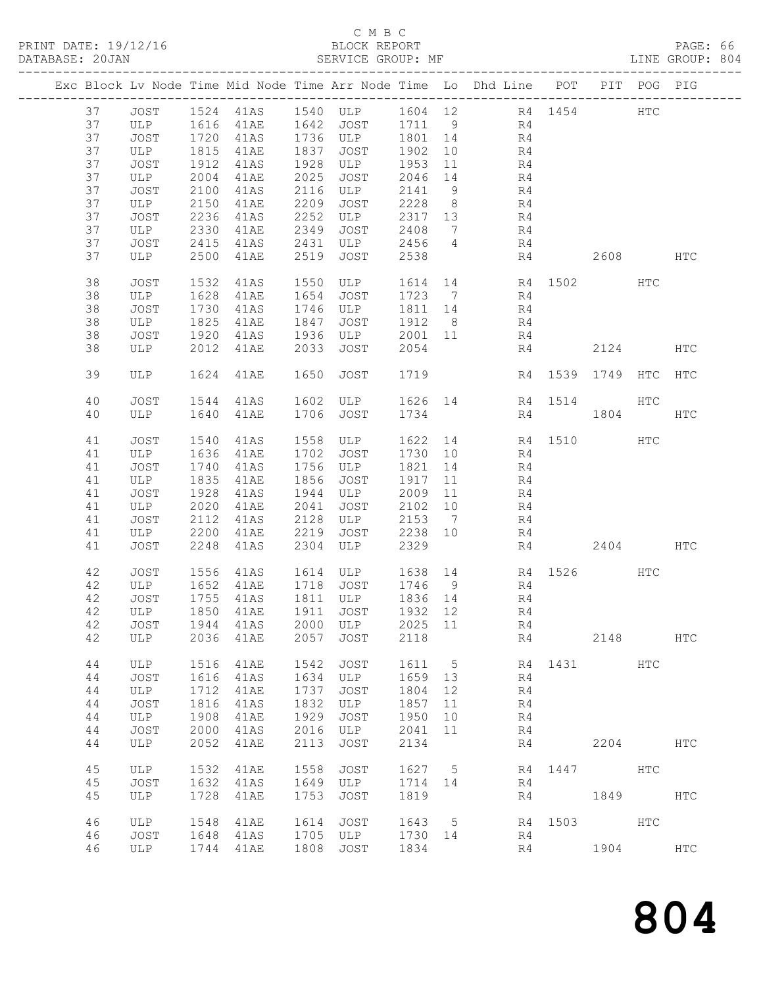### C M B C<br>BLOCK REPORT

PAGE: 66<br>LINE GROUP: 804

|  |    |             |      |                   |      |                                 |         |                 | Exc Block Lv Node Time Mid Node Time Arr Node Time Lo Dhd Line POT PIT POG PIG |      |                  |              |               |
|--|----|-------------|------|-------------------|------|---------------------------------|---------|-----------------|--------------------------------------------------------------------------------|------|------------------|--------------|---------------|
|  | 37 | JOST        |      |                   |      | 1524 41AS 1540 ULP              |         |                 | 1604 12 R4 1454                                                                |      |                  | $_{\rm HTC}$ |               |
|  | 37 | ULP         |      | $1616 \quad 41AE$ |      | 1642 JOST                       |         |                 | 1711 9 R4                                                                      |      |                  |              |               |
|  | 37 | JOST        |      | 1720 41AS         |      | 1736 ULP                        | 1801 14 |                 | R <sub>4</sub>                                                                 |      |                  |              |               |
|  | 37 | ULP         | 1815 | 41AE              | 1837 | JOST                            | 1902    | 10              | R4                                                                             |      |                  |              |               |
|  | 37 | JOST        | 1912 | 41AS              | 1928 | ULP                             | 1953    | 11              | R4                                                                             |      |                  |              |               |
|  | 37 | ULP         | 2004 | 41AE              | 2025 | JOST                            | 2046    | 14              | R4                                                                             |      |                  |              |               |
|  | 37 | JOST        | 2100 | 41AS              | 2116 | ULP                             | 2141    | 9               | R4                                                                             |      |                  |              |               |
|  | 37 | ULP         | 2150 | 41AE              | 2209 | JOST                            | 2228    | 8 <sup>8</sup>  | R4                                                                             |      |                  |              |               |
|  | 37 | JOST        | 2236 | 41AS              | 2252 | ULP                             | 2317 13 |                 | R4                                                                             |      |                  |              |               |
|  | 37 | ULP         | 2330 | 41AE              | 2349 | JOST                            | 2408    | $\overline{7}$  | R4                                                                             |      |                  |              |               |
|  | 37 | JOST        | 2415 | 41AS              | 2431 | ULP                             | 2456    | $4\overline{4}$ | R4                                                                             |      |                  |              |               |
|  | 37 | ULP         | 2500 | 41AE              | 2519 | JOST                            | 2538    |                 | R4                                                                             |      | 2608 HTC         |              |               |
|  |    |             |      |                   |      |                                 |         |                 |                                                                                |      |                  |              |               |
|  | 38 | JOST        | 1532 | 41AS              | 1550 | ULP                             |         |                 | 1614 14 R4 1502                                                                |      |                  | HTC          |               |
|  | 38 | ULP         | 1628 | 41AE              | 1654 | JOST                            | 1723    | $\overline{7}$  | R4                                                                             |      |                  |              |               |
|  | 38 | JOST        | 1730 | 41AS              | 1746 | ULP                             | 1811 14 |                 | R4                                                                             |      |                  |              |               |
|  | 38 | ULP         | 1825 | 41AE              | 1847 | JOST                            | 1912    | 8 <sup>8</sup>  | R4                                                                             |      |                  |              |               |
|  | 38 | JOST        | 1920 | 41AS              | 1936 | ULP                             | 2001    | 11              | R4                                                                             |      |                  |              |               |
|  | 38 | ULP         | 2012 | 41AE              | 2033 | JOST                            | 2054    |                 | R4                                                                             |      | 2124             |              | HTC           |
|  |    |             |      |                   |      |                                 |         |                 |                                                                                |      |                  |              |               |
|  | 39 | ULP         | 1624 | 41AE              | 1650 | JOST                            | 1719    |                 |                                                                                |      | R4 1539 1749 HTC |              | HTC           |
|  |    |             |      |                   |      |                                 |         |                 |                                                                                |      |                  |              |               |
|  | 40 | <b>JOST</b> | 1544 | 41AS              |      | 1602 ULP                        |         |                 | 1626 14 R4 1514                                                                |      |                  | HTC          |               |
|  | 40 | ULP         | 1640 | 41AE              | 1706 | JOST                            | 1734    |                 |                                                                                | R4   | 1804             |              | $_{\rm{HTC}}$ |
|  |    |             |      |                   |      |                                 |         |                 |                                                                                |      |                  |              |               |
|  | 41 | JOST        | 1540 | 41AS              | 1558 | ULP                             | 1622    | 14              | R4                                                                             | 1510 |                  | <b>HTC</b>   |               |
|  | 41 | ULP         | 1636 | 41AE              | 1702 | JOST                            | 1730 10 |                 | R4                                                                             |      |                  |              |               |
|  | 41 | JOST        | 1740 | 41AS              | 1756 | ULP                             | 1821 14 |                 | R4                                                                             |      |                  |              |               |
|  | 41 | ULP         | 1835 | 41AE              | 1856 | JOST                            | 1917    | 11              | R4                                                                             |      |                  |              |               |
|  | 41 | JOST        | 1928 | 41AS              | 1944 | ULP                             | 2009    | 11              | R4                                                                             |      |                  |              |               |
|  | 41 | ULP         | 2020 | 41AE              | 2041 | JOST                            | 2102    | 10              | R4                                                                             |      |                  |              |               |
|  | 41 | JOST        | 2112 | 41AS              | 2128 | ULP                             | 2153    | $\overline{7}$  | R4                                                                             |      |                  |              |               |
|  | 41 | ULP         | 2200 | 41AE              | 2219 | JOST                            | 2238    | 10              | R4                                                                             |      |                  |              |               |
|  | 41 | JOST        | 2248 | 41AS              | 2304 | ULP                             | 2329    |                 | R4                                                                             |      | 2404             |              | HTC           |
|  |    |             |      |                   |      |                                 |         |                 |                                                                                |      |                  |              |               |
|  | 42 | JOST        | 1556 | 41AS              |      | 1614 ULP                        |         |                 | 1638 14 R4 1526<br>1746 9 R4                                                   |      |                  | HTC          |               |
|  | 42 | ULP         |      | 1652 41AE         |      | 1718 JOST                       |         |                 |                                                                                |      |                  |              |               |
|  | 42 | JOST        | 1755 | 41AS              |      | 1811 ULP                        | 1836 14 |                 | R4                                                                             |      |                  |              |               |
|  | 42 | ULP         | 1850 | 41AE              |      | 1911 JOST                       | 1932 12 |                 | R4                                                                             |      |                  |              |               |
|  | 42 |             |      |                   |      | JOST 1944 41AS 2000 ULP 2025 11 |         |                 | R <sub>4</sub>                                                                 |      |                  |              |               |
|  | 42 | ULP         | 2036 | 41AE              | 2057 | JOST                            | 2118    |                 | R4                                                                             |      | 2148             |              | $_{\rm{HTC}}$ |
|  |    |             |      |                   |      |                                 |         |                 |                                                                                |      |                  |              |               |
|  | 44 | ULP         | 1516 | 41AE              | 1542 | <b>JOST</b>                     | 1611    | 5               | R4                                                                             | 1431 |                  | <b>HTC</b>   |               |
|  | 44 | JOST        | 1616 | 41AS              | 1634 | ULP                             | 1659    | 13              | R4                                                                             |      |                  |              |               |
|  | 44 | ULP         | 1712 | 41AE              | 1737 | JOST                            | 1804    | 12              | R4                                                                             |      |                  |              |               |
|  | 44 | JOST        | 1816 | 41AS              | 1832 | ULP                             | 1857    | 11              | R4                                                                             |      |                  |              |               |
|  | 44 | ULP         | 1908 | 41AE              | 1929 | JOST                            | 1950    | 10              | R4                                                                             |      |                  |              |               |
|  | 44 | JOST        | 2000 | 41AS              | 2016 | ULP                             | 2041    | 11              | R4                                                                             |      |                  |              |               |
|  | 44 | ULP         | 2052 | 41AE              | 2113 | JOST                            | 2134    |                 | R4                                                                             |      | 2204             |              | HTC           |
|  |    |             |      |                   |      |                                 |         |                 |                                                                                |      |                  |              |               |
|  | 45 | ULP         | 1532 | 41AE              | 1558 | JOST                            | 1627    | 5               | R4                                                                             | 1447 |                  | HTC          |               |
|  | 45 | JOST        | 1632 | 41AS              | 1649 | ULP                             | 1714    | 14              | R4                                                                             |      |                  |              |               |
|  | 45 | ULP         | 1728 | 41AE              | 1753 | JOST                            | 1819    |                 | R4                                                                             |      | 1849             |              | HTC           |
|  |    |             |      |                   |      |                                 |         |                 |                                                                                |      |                  |              |               |
|  | 46 | ULP         | 1548 | 41AE              | 1614 | <b>JOST</b>                     | 1643    | 5               | R4                                                                             | 1503 |                  | HTC          |               |
|  | 46 | <b>JOST</b> | 1648 | 41AS              | 1705 | ULP                             | 1730    | 14              | R4                                                                             |      |                  |              |               |
|  | 46 | ULP         | 1744 | 41AE              | 1808 | JOST                            | 1834    |                 | R4                                                                             |      | 1904             |              | HTC           |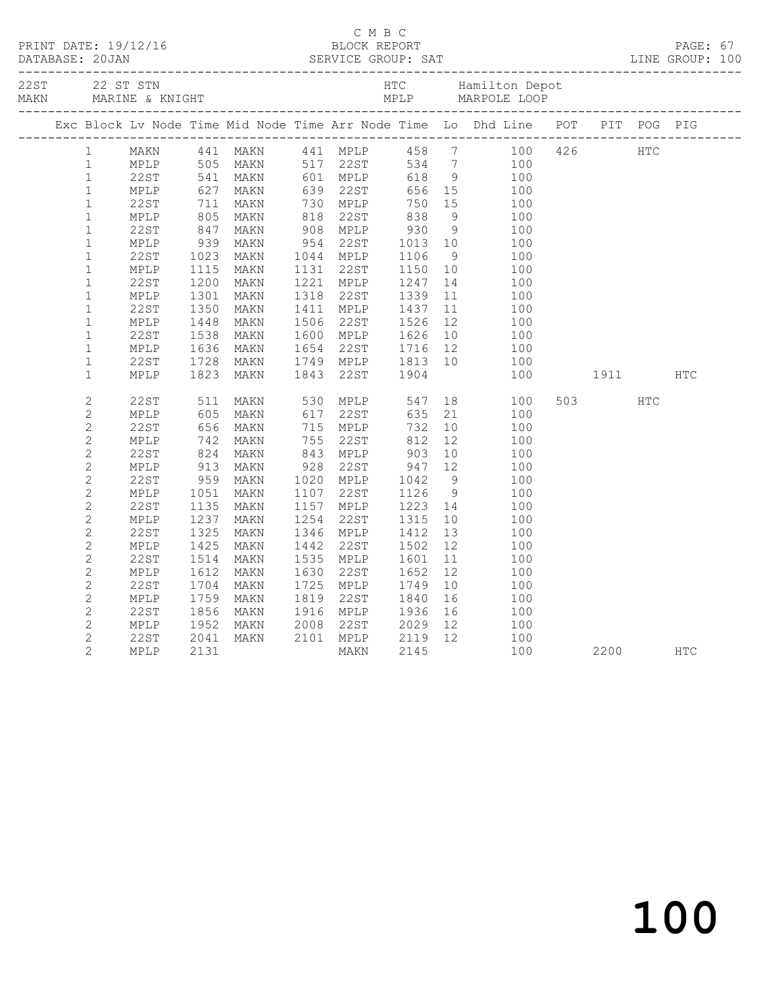|                |      |                          |      |      |                                                                                               |                    |    | PRINT DATE: 19/12/16 BLOCK REPORT PRINT DATE: 19/12/16 BLOCK REPORT PRINT DATABASE: 20JAN PAGE: 67<br>DATABASE: 20JAN SERVICE GROUP: SAT LINE GROUP: 100                                                                                        |                                                                                                                                                                                                                                 |            |  |
|----------------|------|--------------------------|------|------|-----------------------------------------------------------------------------------------------|--------------------|----|-------------------------------------------------------------------------------------------------------------------------------------------------------------------------------------------------------------------------------------------------|---------------------------------------------------------------------------------------------------------------------------------------------------------------------------------------------------------------------------------|------------|--|
|                |      |                          |      |      |                                                                                               |                    |    | 22 ST STN MARINE & KNIGHT ALL PROPERTY ARE MANUSCULE DOOR MARINE & ANIGHT MARINE AND MPLP MARPOLE LOOP MELE                                                                                                                                     |                                                                                                                                                                                                                                 |            |  |
|                |      |                          |      |      |                                                                                               |                    |    | Exc Block Lv Node Time Mid Node Time Arr Node Time Lo Dhd Line POT PIT POG PIG                                                                                                                                                                  |                                                                                                                                                                                                                                 |            |  |
|                |      |                          |      |      |                                                                                               |                    |    | 1 MAKN 441 MAKN 441 MPLP 458 7 100 426 HTC<br>1 MPLP 505 MAKN 517 22ST 534 7 100<br>1 22ST 541 MAKN 601 MPLP 618 9 100<br>1 MPLP 627 MAKN 639 22ST 656 15 100<br>1 22ST 711 MAKN 730 MPLP 750 15 100<br>1 MPLP 805 MAKN 818 22ST 838 9 100<br>1 |                                                                                                                                                                                                                                 |            |  |
|                |      |                          |      |      |                                                                                               |                    |    |                                                                                                                                                                                                                                                 |                                                                                                                                                                                                                                 |            |  |
|                |      |                          |      |      |                                                                                               |                    |    |                                                                                                                                                                                                                                                 |                                                                                                                                                                                                                                 |            |  |
|                |      |                          |      |      |                                                                                               |                    |    |                                                                                                                                                                                                                                                 |                                                                                                                                                                                                                                 |            |  |
|                |      |                          |      |      |                                                                                               |                    |    |                                                                                                                                                                                                                                                 |                                                                                                                                                                                                                                 |            |  |
|                |      |                          |      |      | 818 22ST 838 9<br>908 MPLP 930 9<br>954 22ST 1013 10<br>1044 MPLP 1106 9<br>1131 22ST 1150 10 |                    |    |                                                                                                                                                                                                                                                 |                                                                                                                                                                                                                                 |            |  |
|                |      |                          |      |      |                                                                                               |                    |    |                                                                                                                                                                                                                                                 |                                                                                                                                                                                                                                 |            |  |
| $\mathbbm{1}$  | MPLP | 939                      | MAKN |      |                                                                                               |                    |    | 100                                                                                                                                                                                                                                             |                                                                                                                                                                                                                                 |            |  |
| $\mathbf{1}$   | 22ST | 1023<br>1115             | MAKN |      |                                                                                               |                    |    | 100                                                                                                                                                                                                                                             |                                                                                                                                                                                                                                 |            |  |
| $\mathbf{1}$   | MPLP |                          | MAKN |      |                                                                                               |                    |    | 100                                                                                                                                                                                                                                             |                                                                                                                                                                                                                                 |            |  |
| $\mathbf 1$    | 22ST | 1200<br>1301             | MAKN |      | 1221 MPLP                                                                                     | 1247<br>1339       |    | $\begin{array}{cc} 14 & \hspace{1.5cm} 100 \\ 11 & \hspace{1.5cm} 100 \end{array}$                                                                                                                                                              |                                                                                                                                                                                                                                 |            |  |
| $\mathbf{1}$   | MPLP |                          | MAKN |      | 1318 22ST                                                                                     |                    |    |                                                                                                                                                                                                                                                 |                                                                                                                                                                                                                                 |            |  |
| $\mathbf 1$    | 22ST | 1350                     | MAKN |      | 1411 MPLP 1437 11<br>1506 22ST 1526 12<br>1600 MPLP 1626 10                                   |                    |    | 100                                                                                                                                                                                                                                             |                                                                                                                                                                                                                                 |            |  |
| $\mathbf 1$    | MPLP | 1448<br>1538             | MAKN |      |                                                                                               |                    |    | 100                                                                                                                                                                                                                                             |                                                                                                                                                                                                                                 |            |  |
| $\mathbf{1}$   | 22ST |                          | MAKN |      |                                                                                               |                    |    | 100                                                                                                                                                                                                                                             |                                                                                                                                                                                                                                 |            |  |
| $\mathbf{1}$   | MPLP | 1636<br>1728             | MAKN |      | 1654 22ST 1716 12<br>1749 MPLP 1813 10                                                        |                    |    | 100                                                                                                                                                                                                                                             |                                                                                                                                                                                                                                 |            |  |
| $\mathbf 1$    | 22ST |                          | MAKN |      |                                                                                               |                    |    | 100                                                                                                                                                                                                                                             |                                                                                                                                                                                                                                 |            |  |
| $\mathbf{1}$   | MPLP | 1823                     | MAKN | 1843 | 22ST 1904                                                                                     |                    |    | 100                                                                                                                                                                                                                                             | 1911 — 1911 — 1912 — 1923 — 1924 — 1925 — 1926 — 1927 — 1927 — 1928 — 1928 — 1928 — 1928 — 1928 — 1928 — 1928 — 1928 — 1928 — 1928 — 1928 — 1928 — 1928 — 1928 — 1928 — 1928 — 1928 — 1928 — 1928 — 1928 — 1928 — 1928 — 1928 — | <b>HTC</b> |  |
| $\mathbf{2}$   | 22ST | 511<br>605<br>656        | MAKN |      | 530 MPLP 547 18                                                                               |                    |    | 100                                                                                                                                                                                                                                             | 503 HTC                                                                                                                                                                                                                         |            |  |
| $\mathbf{2}$   | MPLP |                          | MAKN |      | 617 22ST                                                                                      | 635                | 21 | 100                                                                                                                                                                                                                                             |                                                                                                                                                                                                                                 |            |  |
| $\mathbf{2}$   | 22ST |                          | MAKN |      | $715$ MPLP                                                                                    | 732                |    | $\frac{1}{10}$<br>100                                                                                                                                                                                                                           |                                                                                                                                                                                                                                 |            |  |
| $\mathbf{2}$   | MPLP | 742<br>824<br>913<br>959 | MAKN |      |                                                                                               |                    |    | 100<br>$\begin{array}{c} 12 \\ 10 \end{array}$                                                                                                                                                                                                  |                                                                                                                                                                                                                                 |            |  |
| $\mathbf{2}$   | 22ST |                          | MAKN |      |                                                                                               |                    |    | 100                                                                                                                                                                                                                                             |                                                                                                                                                                                                                                 |            |  |
| $\mathbf{2}$   | MPLP |                          | MAKN |      |                                                                                               |                    |    | 100                                                                                                                                                                                                                                             |                                                                                                                                                                                                                                 |            |  |
| $\mathbf{2}$   | 22ST |                          | MAKN |      | 928 22ST 947 12<br>1020 MPLP 1042 9<br>1107 22ST 1126 9                                       |                    |    | 100                                                                                                                                                                                                                                             |                                                                                                                                                                                                                                 |            |  |
| $\mathbf{2}$   | MPLP | 1051                     | MAKN |      |                                                                                               |                    |    | 100                                                                                                                                                                                                                                             |                                                                                                                                                                                                                                 |            |  |
| $\mathbf{2}$   | 22ST | 1135                     | MAKN |      | 1157 MPLP                                                                                     | 1223 14<br>1315 10 |    | 100                                                                                                                                                                                                                                             |                                                                                                                                                                                                                                 |            |  |
| $\mathbf{2}$   | MPLP | 1237                     | MAKN | 1254 | 22ST                                                                                          |                    |    | 100                                                                                                                                                                                                                                             |                                                                                                                                                                                                                                 |            |  |
| $\overline{c}$ | 22ST | 1325                     | MAKN |      | 1346 MPLP                                                                                     | 1412<br>1502       | 13 | 100                                                                                                                                                                                                                                             |                                                                                                                                                                                                                                 |            |  |
| $\mathbf{2}$   | MPLP | 1425                     | MAKN | 1442 | 22ST                                                                                          | 1502               | 12 | 100                                                                                                                                                                                                                                             |                                                                                                                                                                                                                                 |            |  |
| $\mathbf{2}$   | 22ST | 1514                     | MAKN |      | 1535 MPLP                                                                                     | 1601               | 11 | 100                                                                                                                                                                                                                                             |                                                                                                                                                                                                                                 |            |  |
| $\mathbf{2}$   | MPLP | 1612                     | MAKN | 1630 | 22ST                                                                                          | 1652               | 12 | 100                                                                                                                                                                                                                                             |                                                                                                                                                                                                                                 |            |  |
| $\mathbf{2}$   | 22ST | 1704                     | MAKN |      | 1725 MPLP 1749                                                                                |                    | 10 | 100                                                                                                                                                                                                                                             |                                                                                                                                                                                                                                 |            |  |
| 2              | MPLP | 1759                     | MAKN |      |                                                                                               |                    | 16 | 100                                                                                                                                                                                                                                             |                                                                                                                                                                                                                                 |            |  |
| $\mathbf{2}$   | 22ST | 1856                     | MAKN |      |                                                                                               |                    | 16 | 100                                                                                                                                                                                                                                             |                                                                                                                                                                                                                                 |            |  |
| $\overline{c}$ | MPLP | 1952                     |      |      |                                                                                               |                    |    | 100                                                                                                                                                                                                                                             |                                                                                                                                                                                                                                 |            |  |
| $\mathbf{2}$   | 22ST | 2041                     |      |      |                                                                                               |                    |    | 100                                                                                                                                                                                                                                             |                                                                                                                                                                                                                                 |            |  |
| $\overline{2}$ | MPLP | 2131                     |      |      | MAKN 2008 22ST 2029 12<br>MAKN 2101 MPLP 2119 12<br>MAKN 2145                                 |                    |    | 100                                                                                                                                                                                                                                             | 2200 HTC                                                                                                                                                                                                                        |            |  |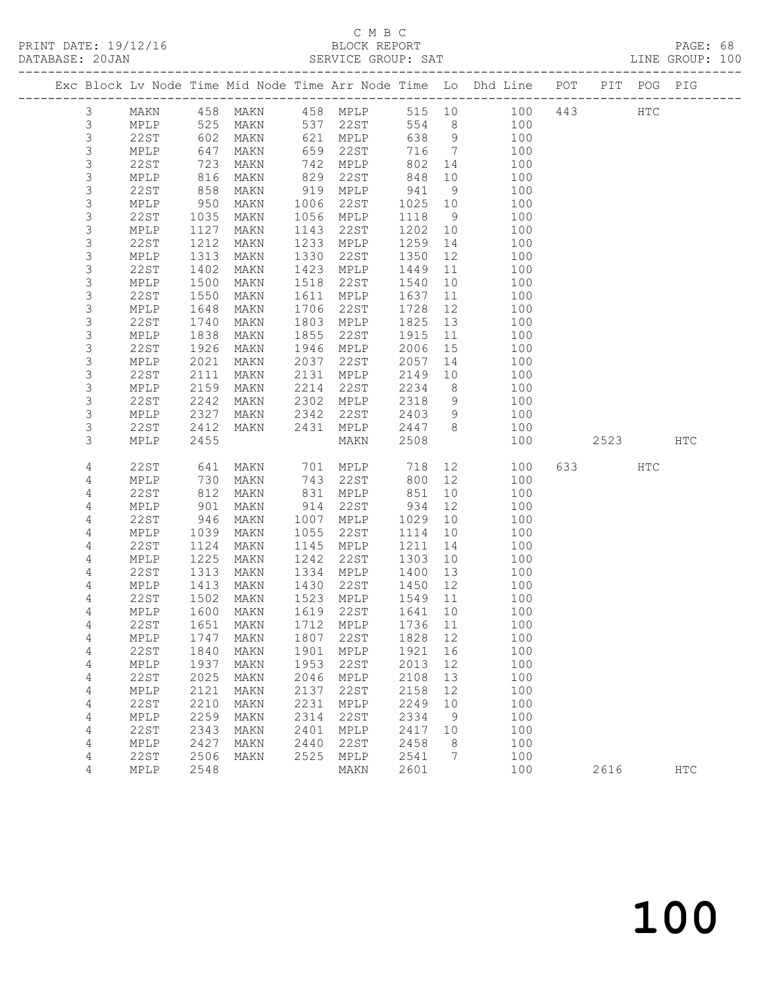### C M B C<br>BLOCK REPORT

PAGE: 68<br>LINE GROUP: 100

|  |             |              |               |                                  |              |                       |              |                | Exc Block Lv Node Time Mid Node Time Arr Node Time Lo Dhd Line POT |     |      | PIT POG PIG |            |
|--|-------------|--------------|---------------|----------------------------------|--------------|-----------------------|--------------|----------------|--------------------------------------------------------------------|-----|------|-------------|------------|
|  | 3           | MAKN         |               | 458 MAKN                         |              | 458 MPLP              |              |                | 515 10 100                                                         | 443 |      | HTC         |            |
|  | $\mathsf 3$ | MPLP         | 525<br>602    | MAKN                             |              | 537 22ST<br>421 MPT.P | 554          | 8 <sup>8</sup> | 100                                                                |     |      |             |            |
|  | $\mathsf S$ | 22ST         |               | MAKN                             |              | 621 MPLP              | 638          | 9              | 100                                                                |     |      |             |            |
|  | 3           | MPLP         | 647           | MAKN                             | 659          | 22ST                  | 716          | $\overline{7}$ | 100                                                                |     |      |             |            |
|  | $\mathsf S$ | 22ST         | 723           | MAKN                             | 742          | MPLP                  | 802          | 14             | 100                                                                |     |      |             |            |
|  | 3           | MPLP         | $rac{c}{858}$ | MAKN                             | 829          | 22ST                  | 848          | 10             | 100                                                                |     |      |             |            |
|  | $\mathsf S$ | 22ST         |               | MAKN                             | 919          | MPLP                  | 941          | 9              | 100                                                                |     |      |             |            |
|  | 3           | MPLP         | 950           | MAKN                             | 1006         | 22ST                  | 1025         | 10             | 100                                                                |     |      |             |            |
|  | $\mathsf S$ | 22ST         | 1035          | MAKN                             | 1056         | MPLP                  | 1118         | 9              | 100                                                                |     |      |             |            |
|  | 3           | MPLP         | 1127          | MAKN                             | 1143         | 22ST                  | 1202         | 10             | 100                                                                |     |      |             |            |
|  | $\mathsf S$ | 22ST         | 1212          | MAKN                             | 1233         | MPLP                  | 1259         | 14             | 100                                                                |     |      |             |            |
|  | 3<br>3      | MPLP         | 1313          | MAKN                             | 1330         | 22ST                  | 1350         | 12             | 100                                                                |     |      |             |            |
|  | 3           | 22ST         | 1402          | MAKN                             | 1423<br>1518 | MPLP<br>22ST          | 1449         | 11             | 100                                                                |     |      |             |            |
|  | $\mathsf S$ | MPLP<br>22ST | 1500<br>1550  | MAKN<br>MAKN                     | 1611         | MPLP                  | 1540<br>1637 | 10<br>11       | 100<br>100                                                         |     |      |             |            |
|  | $\mathsf S$ | MPLP         | 1648          | MAKN                             | 1706         | 22ST                  | 1728         | 12             | 100                                                                |     |      |             |            |
|  | $\mathsf S$ | 22ST         | 1740          | MAKN                             | 1803         | MPLP                  | 1825         | 13             | 100                                                                |     |      |             |            |
|  | 3           | MPLP         | 1838          | MAKN                             | 1855         | 22ST                  | 1915         | 11             | 100                                                                |     |      |             |            |
|  | $\mathsf S$ | 22ST         | 1926          | MAKN                             | 1946         | MPLP                  | 2006         | 15             | 100                                                                |     |      |             |            |
|  | $\mathsf S$ | MPLP         | 2021          | MAKN                             | 2037         | 22ST                  | 2057         | 14             | 100                                                                |     |      |             |            |
|  | $\mathsf 3$ | 22ST         | 2111          | MAKN                             | 2131         | MPLP                  | 2149         | 10             | 100                                                                |     |      |             |            |
|  | 3           | MPLP         | 2159          | MAKN                             | 2214         | 22ST                  | 2234         | 8 <sup>8</sup> | 100                                                                |     |      |             |            |
|  | $\mathsf S$ | 22ST         | 2242          | MAKN                             | 2302         | MPLP                  | 2318         | 9              | 100                                                                |     |      |             |            |
|  | $\mathsf S$ | MPLP         | 2327          | MAKN                             | 2342         | 22ST                  | 2403         | 9              | 100                                                                |     |      |             |            |
|  | 3           | 22ST         | 2412          | MAKN                             | 2431         | MPLP                  | 2447         | 8 <sup>8</sup> | 100                                                                |     |      |             |            |
|  | 3           | MPLP         | 2455          |                                  |              | MAKN                  | 2508         |                | 100                                                                |     | 2523 |             | HTC        |
|  | 4           | 22ST         | 641           | MAKN                             |              | 701 MPLP              | 718          |                | 12 and $\overline{a}$<br>100                                       |     |      | HTC         |            |
|  | 4           | MPLP         | 730           | MAKN                             | 743          | 22ST                  | 800          | 12             | 100                                                                |     |      |             |            |
|  | 4           | 22ST         | 812           | MAKN                             | 831          | MPLP                  | 851          | 10             | 100                                                                |     |      |             |            |
|  | 4           | MPLP         | 901           | MAKN                             | 914          | 22ST                  | 934          | 12             | 100                                                                |     |      |             |            |
|  | 4           | 22ST         | 946           | MAKN                             | 1007         | MPLP                  | 1029         | 10             | 100                                                                |     |      |             |            |
|  | 4           | MPLP         | 1039          | MAKN                             | 1055         | 22ST                  | 1114         | 10             | 100                                                                |     |      |             |            |
|  | 4           | 22ST         | 1124          | MAKN                             | 1145         | MPLP                  | 1211         | 14             | 100                                                                |     |      |             |            |
|  | 4           | MPLP         | 1225<br>1313  | MAKN                             | 1242<br>1334 | 22ST                  | 1303         | 10             | 100<br>100                                                         |     |      |             |            |
|  | 4<br>4      | 22ST<br>MPLP | 1413          | MAKN<br>MAKN                     | 1430         | MPLP<br>22ST          | 1400<br>1450 | 13<br>12       | 100                                                                |     |      |             |            |
|  | 4           | 22ST         | 1502          | MAKN                             | 1523         | MPLP                  | 1549         | 11             | 100                                                                |     |      |             |            |
|  | 4           | MPLP         | 1600          | MAKN                             |              | 1619 22ST             | 1641         | 10             | 100                                                                |     |      |             |            |
|  | 4           |              |               | 22ST 1651 MAKN 1712 MPLP 1736 11 |              |                       |              |                | 100                                                                |     |      |             |            |
|  | 4           | MPLP         | 1747          | MAKN                             | 1807         | 22ST                  | 1828         | 12             | 100                                                                |     |      |             |            |
|  | 4           | <b>22ST</b>  | 1840          | MAKN                             | 1901         | MPLP                  | 1921         | 16             | 100                                                                |     |      |             |            |
|  | 4           | MPLP         | 1937          | MAKN                             | 1953         | 22ST                  | 2013         | 12             | 100                                                                |     |      |             |            |
|  | 4           | <b>22ST</b>  | 2025          | MAKN                             | 2046         | MPLP                  | 2108         | 13             | 100                                                                |     |      |             |            |
|  | 4           | MPLP         | 2121          | MAKN                             | 2137         | 22ST                  | 2158         | 12             | 100                                                                |     |      |             |            |
|  | 4           | <b>22ST</b>  | 2210          | MAKN                             | 2231         | MPLP                  | 2249         | 10             | 100                                                                |     |      |             |            |
|  | 4           | MPLP         | 2259          | MAKN                             | 2314         | 22ST                  | 2334         | 9              | 100                                                                |     |      |             |            |
|  | 4           | 22ST         | 2343          | MAKN                             | 2401         | MPLP                  | 2417         | 10             | 100                                                                |     |      |             |            |
|  | 4           | MPLP         | 2427          | MAKN                             | 2440         | 22ST                  | 2458         | 8              | 100                                                                |     |      |             |            |
|  | 4           | 22ST         | 2506          | MAKN                             | 2525         | MPLP                  | 2541         | 7              | 100                                                                |     |      |             |            |
|  | 4           | MPLP         | 2548          |                                  |              | MAKN                  | 2601         |                | 100                                                                |     | 2616 |             | <b>HTC</b> |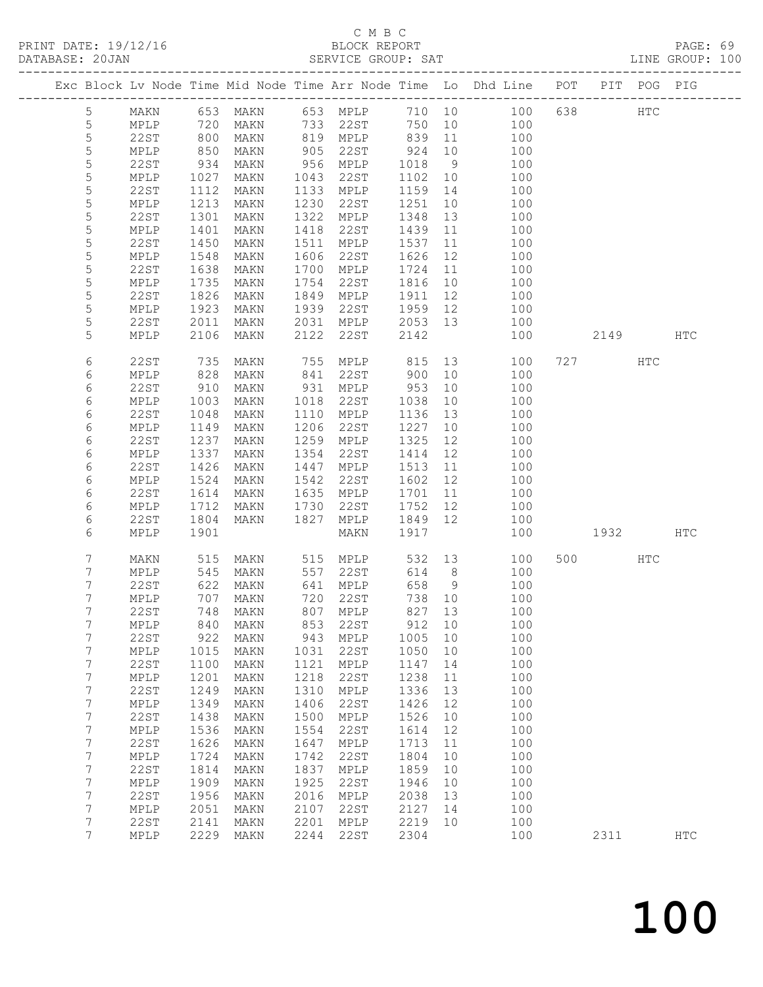### C M B C<br>BLOCK REPORT

| DATABASE: 20JAN |                  |              |                   |              |            | SERVICE GROUP: SAT   |             |          | LINE GROUP: 100                                                                |          |     |            |  |
|-----------------|------------------|--------------|-------------------|--------------|------------|----------------------|-------------|----------|--------------------------------------------------------------------------------|----------|-----|------------|--|
|                 |                  |              |                   |              |            |                      |             |          | Exc Block Lv Node Time Mid Node Time Arr Node Time Lo Dhd Line POT PIT POG PIG |          |     |            |  |
|                 | $5\overline{)}$  |              |                   |              |            |                      |             |          | MAKN 653 MAKN 653 MPLP 710 10 100 638 HTC                                      |          |     |            |  |
|                 | 5                | MPLP 720     |                   |              |            | MAKN 733 22ST        |             |          | 750 10 100                                                                     |          |     |            |  |
|                 | 5                | 22ST         | 800<br>850<br>934 | MAKN         |            | 819 MPLP 839         |             |          | 11 100                                                                         |          |     |            |  |
|                 | $\mathsf S$      | MPLP         |                   | MAKN         |            |                      |             |          | 100                                                                            |          |     |            |  |
|                 | 5                | 22ST         |                   | MAKN         |            |                      |             |          | $\frac{1}{100}$                                                                |          |     |            |  |
|                 | 5                | MPLP         | 1027              | MAKN         |            | 1043 22ST            | 1102        | 10       | 100                                                                            |          |     |            |  |
|                 | 5                | 22ST         | 1112              | MAKN         |            | 1133 MPLP            | 1159        | 14       | 100                                                                            |          |     |            |  |
|                 | $\mathsf S$      | MPLP         | 1213              | MAKN         |            | 1230 22ST            | 1251        | 10       | 100                                                                            |          |     |            |  |
|                 | 5                | 22ST         | 1301              | MAKN         |            | 1322 MPLP            | 1348        | 13       | 100                                                                            |          |     |            |  |
|                 | 5                | MPLP         | 1401              | MAKN         | 1418       | 22ST                 | 1439        | 11       | 100                                                                            |          |     |            |  |
|                 | 5                | 22ST         | 1450              | MAKN         | 1511       | MPLP                 | 1537        | 11       | 100                                                                            |          |     |            |  |
|                 | 5                | MPLP         | 1548              | MAKN         | 1606       | 22ST                 | 1626        | 12       | 100                                                                            |          |     |            |  |
|                 | 5                | 22ST         | 1638              | MAKN         |            | 1700 MPLP            | 1724        | 11       | 100                                                                            |          |     |            |  |
|                 | 5                | MPLP         | 1735              | MAKN         |            | 1754 22ST            | 1816        |          | 10<br>100                                                                      |          |     |            |  |
|                 | 5                | 22ST         | 1826              | MAKN         |            | 1849 MPLP            | 1911        |          | 12 and $\overline{a}$<br>100                                                   |          |     |            |  |
|                 | 5                | MPLP         | 1923              | MAKN         |            | 1939 22ST            | 1959 12     |          | 100                                                                            |          |     |            |  |
|                 | 5                | 22ST         | 2011<br>2106      | MAKN         |            | 2031 MPLP<br>22ST    | 2053 13     |          | 100                                                                            |          |     |            |  |
|                 | 5                | MPLP         |                   | MAKN         | 2122       |                      | 2142        |          | 100                                                                            | 2149 HTC |     |            |  |
|                 | 6                | 22ST         | $\frac{735}{1}$   | MAKN         |            |                      |             |          |                                                                                | 727 HTC  |     |            |  |
|                 | 6                | MPLP         | 828               | MAKN         |            |                      |             |          |                                                                                |          |     |            |  |
|                 | 6                | 22ST         | 910               | MAKN         |            | 931 MPLP             | 953         | 10       | 100                                                                            |          |     |            |  |
|                 | 6                | MPLP         | 1003              | MAKN         |            | 1018 22ST            | 1038        | 10       | 100                                                                            |          |     |            |  |
|                 | 6                | 22ST         | 1048              | MAKN         |            | 1110 MPLP            | 1136        | 13       | 100                                                                            |          |     |            |  |
|                 | 6                | MPLP         | 1149              | MAKN         |            | 1206 22ST            | 1227        | 10       | 100                                                                            |          |     |            |  |
|                 | 6                | 22ST         | 1237              | MAKN         |            | 1259 MPLP            | 1325        | 12       | 100                                                                            |          |     |            |  |
|                 | 6                | MPLP         | 1337              | MAKN         | 1354       | 22ST                 | 1414        | 12       | 100                                                                            |          |     |            |  |
|                 | 6                | 22ST         | 1426              | MAKN         | 1447       | MPLP                 | 1513        | 11       | 100                                                                            |          |     |            |  |
|                 | 6                | MPLP         | 1524              | MAKN         |            | 1542 22ST            | 1602 12     |          | 100                                                                            |          |     |            |  |
|                 | 6                | 22ST         | 1614              | MAKN         |            | 1635 MPLP            | 1701        |          | 11<br>100                                                                      |          |     |            |  |
|                 | 6                | MPLP         | 1712              | MAKN         | 1730       | 22ST                 | 1752 12     |          | 100                                                                            |          |     |            |  |
|                 | 6                | 22ST         | 1804              | MAKN         | 1827       | MPLP                 | 1849 12     |          | 100                                                                            |          |     |            |  |
|                 | 6                | MPLP         | 1901              |              |            | MAKN                 | 1917        |          | 100                                                                            | 1932 HTC |     |            |  |
|                 | 7                | MAKN         | 515               |              |            | MAKN 515 MPLP        |             |          | 532 13<br>100                                                                  | 500 000  | HTC |            |  |
|                 | 7                | MPLP         | 545               | MAKN         |            | 557 22ST             | 614 8       |          | 100                                                                            |          |     |            |  |
|                 | 7                | 22ST         | 622               | MAKN         |            | 641 MPLP<br>720 22ST | 658 9       |          | 100                                                                            |          |     |            |  |
|                 | 7<br>7           | MPLP         | 707               | MAKN         |            |                      | 738 10      |          | 100                                                                            |          |     |            |  |
|                 |                  | 22ST         |                   |              |            |                      |             |          | 748 MAKN 807 MPLP 827 13 100<br>100                                            |          |     |            |  |
|                 | 7<br>7           | MPLP<br>22ST | 840<br>922        | MAKN<br>MAKN | 853<br>943 | 22ST<br>MPLP         | 912<br>1005 | 10<br>10 | 100                                                                            |          |     |            |  |
|                 | $\overline{7}$   | MPLP         | 1015              | MAKN         | 1031       | 22ST                 | 1050        | 10       | 100                                                                            |          |     |            |  |
|                 | 7                | 22ST         | 1100              | MAKN         | 1121       | MPLP                 | 1147        | 14       | 100                                                                            |          |     |            |  |
|                 | 7                | MPLP         | 1201              | MAKN         | 1218       | 22ST                 | 1238        | 11       | 100                                                                            |          |     |            |  |
|                 | $\boldsymbol{7}$ | 22ST         | 1249              | MAKN         | 1310       | MPLP                 | 1336        | 13       | 100                                                                            |          |     |            |  |
|                 | $\overline{7}$   | MPLP         | 1349              | MAKN         | 1406       | 22ST                 | 1426        | 12       | 100                                                                            |          |     |            |  |
|                 | 7                | 22ST         | 1438              | MAKN         | 1500       | MPLP                 | 1526        | 10       | 100                                                                            |          |     |            |  |
|                 | 7                | MPLP         | 1536              | MAKN         | 1554       | 22ST                 | 1614        | 12       | 100                                                                            |          |     |            |  |
|                 | 7                | <b>22ST</b>  | 1626              | MAKN         | 1647       | MPLP                 | 1713        | 11       | 100                                                                            |          |     |            |  |
|                 | $\overline{7}$   | MPLP         | 1724              | MAKN         | 1742       | 22ST                 | 1804        | 10       | 100                                                                            |          |     |            |  |
|                 | 7                | 22ST         | 1814              | MAKN         | 1837       | MPLP                 | 1859        | 10       | 100                                                                            |          |     |            |  |
|                 | $\overline{7}$   | MPLP         | 1909              | MAKN         | 1925       | 22ST                 | 1946        | 10       | 100                                                                            |          |     |            |  |
|                 | 7                | 22ST         | 1956              | MAKN         | 2016       | MPLP                 | 2038        | 13       | 100                                                                            |          |     |            |  |
|                 | $7\phantom{.}$   | MPLP         | 2051              | MAKN         | 2107       | 22ST                 | 2127        | 14       | 100                                                                            |          |     |            |  |
|                 | 7                | 22ST         | 2141              | MAKN         | 2201       | MPLP                 | 2219        | 10       | 100                                                                            |          |     |            |  |
|                 | $7\overline{ }$  | MPLP         | 2229              | MAKN         | 2244       | 22ST                 | 2304        |          | 100                                                                            | 2311     |     | <b>HTC</b> |  |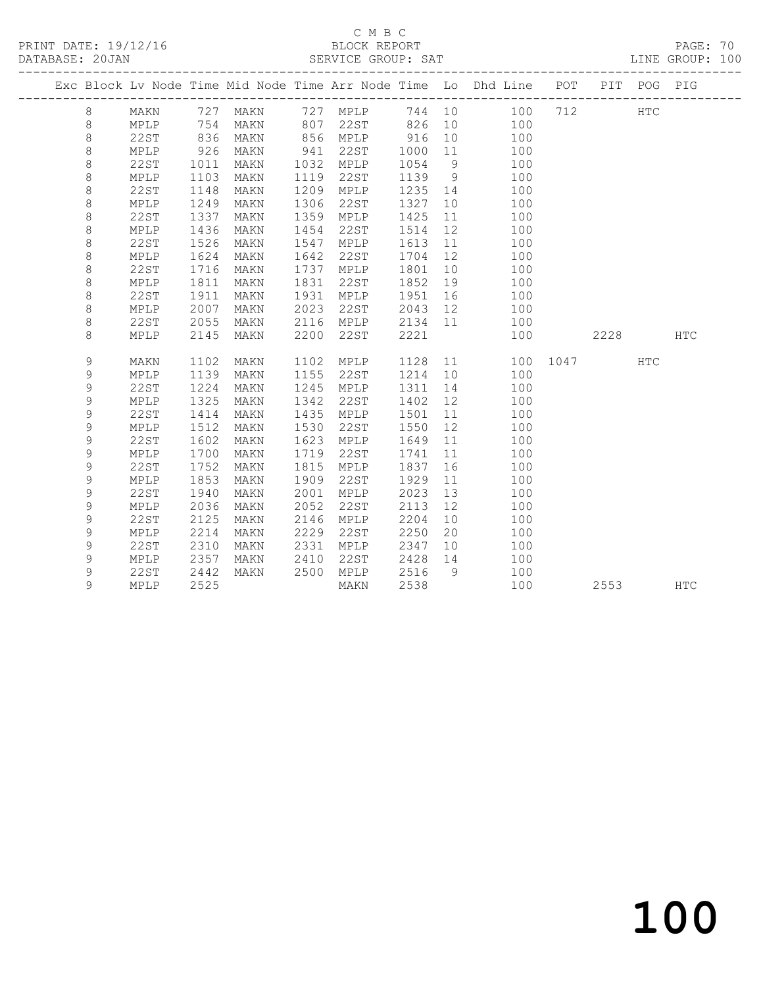## C M B C<br>BLOCK REPORT

PAGE: 70<br>LINE GROUP: 100

|               | Exc Block Lv Node Time Mid Node Time Arr Node Time Lo Dhd Line POT |      |      |      |      |      |               |     |      |      | PIT POG PIG |            |
|---------------|--------------------------------------------------------------------|------|------|------|------|------|---------------|-----|------|------|-------------|------------|
| 8             | MAKN                                                               | 727  | MAKN | 727  | MPLP | 744  | 10            | 100 | 712  |      | <b>HTC</b>  |            |
| $\,8\,$       | MPLP                                                               | 754  | MAKN | 807  | 22ST | 826  | 10            | 100 |      |      |             |            |
| $\,8\,$       | 22ST                                                               | 836  | MAKN | 856  | MPLP | 916  | 10            | 100 |      |      |             |            |
| $\,8\,$       | MPLP                                                               | 926  | MAKN | 941  | 22ST | 1000 | 11            | 100 |      |      |             |            |
| $\,8\,$       | 22ST                                                               | 1011 | MAKN | 1032 | MPLP | 1054 | 9             | 100 |      |      |             |            |
| $\,8\,$       | MPLP                                                               | 1103 | MAKN | 1119 | 22ST | 1139 | $\mathcal{G}$ | 100 |      |      |             |            |
| $\,8\,$       | <b>22ST</b>                                                        | 1148 | MAKN | 1209 | MPLP | 1235 | 14            | 100 |      |      |             |            |
| 8             | MPLP                                                               | 1249 | MAKN | 1306 | 22ST | 1327 | 10            | 100 |      |      |             |            |
| 8             | <b>22ST</b>                                                        | 1337 | MAKN | 1359 | MPLP | 1425 | 11            | 100 |      |      |             |            |
| 8             | MPLP                                                               | 1436 | MAKN | 1454 | 22ST | 1514 | 12            | 100 |      |      |             |            |
| 8             | 22ST                                                               | 1526 | MAKN | 1547 | MPLP | 1613 | 11            | 100 |      |      |             |            |
| 8             | MPLP                                                               | 1624 | MAKN | 1642 | 22ST | 1704 | 12            | 100 |      |      |             |            |
| $\,8\,$       | <b>22ST</b>                                                        | 1716 | MAKN | 1737 | MPLP | 1801 | 10            | 100 |      |      |             |            |
| $\,8\,$       | MPLP                                                               | 1811 | MAKN | 1831 | 22ST | 1852 | 19            | 100 |      |      |             |            |
| $\,8\,$       | <b>22ST</b>                                                        | 1911 | MAKN | 1931 | MPLP | 1951 | 16            | 100 |      |      |             |            |
| $\,8\,$       | MPLP                                                               | 2007 | MAKN | 2023 | 22ST | 2043 | 12            | 100 |      |      |             |            |
| 8             | 22ST                                                               | 2055 | MAKN | 2116 | MPLP | 2134 | 11            | 100 |      |      |             |            |
| 8             | MPLP                                                               | 2145 | MAKN | 2200 | 22ST | 2221 |               | 100 |      | 2228 |             | <b>HTC</b> |
| $\mathsf 9$   | MAKN                                                               | 1102 | MAKN | 1102 | MPLP | 1128 | 11            | 100 | 1047 |      | HTC         |            |
| 9             | MPLP                                                               | 1139 | MAKN | 1155 | 22ST | 1214 | 10            | 100 |      |      |             |            |
| $\mathcal{G}$ | 22ST                                                               | 1224 | MAKN | 1245 | MPLP | 1311 | 14            | 100 |      |      |             |            |
| $\mathsf 9$   | MPLP                                                               | 1325 | MAKN | 1342 | 22ST | 1402 | 12            | 100 |      |      |             |            |
| $\mathcal{G}$ | <b>22ST</b>                                                        | 1414 | MAKN | 1435 | MPLP | 1501 | 11            | 100 |      |      |             |            |
| 9             | MPLP                                                               | 1512 | MAKN | 1530 | 22ST | 1550 | 12            | 100 |      |      |             |            |
| 9             | <b>22ST</b>                                                        | 1602 | MAKN | 1623 | MPLP | 1649 | 11            | 100 |      |      |             |            |
| 9             | MPLP                                                               | 1700 | MAKN | 1719 | 22ST | 1741 | 11            | 100 |      |      |             |            |
| $\mathsf 9$   | <b>22ST</b>                                                        | 1752 | MAKN | 1815 | MPLP | 1837 | 16            | 100 |      |      |             |            |
| $\mathsf 9$   | MPLP                                                               | 1853 | MAKN | 1909 | 22ST | 1929 | 11            | 100 |      |      |             |            |
| 9             | <b>22ST</b>                                                        | 1940 | MAKN | 2001 | MPLP | 2023 | 13            | 100 |      |      |             |            |
| 9             | MPLP                                                               | 2036 | MAKN | 2052 | 22ST | 2113 | 12            | 100 |      |      |             |            |
| 9             | <b>22ST</b>                                                        | 2125 | MAKN | 2146 | MPLP | 2204 | 10            | 100 |      |      |             |            |
| 9             | MPLP                                                               | 2214 | MAKN | 2229 | 22ST | 2250 | 20            | 100 |      |      |             |            |
| 9             | <b>22ST</b>                                                        | 2310 | MAKN | 2331 | MPLP | 2347 | 10            | 100 |      |      |             |            |
| 9             | MPLP                                                               | 2357 | MAKN | 2410 | 22ST | 2428 | 14            | 100 |      |      |             |            |
| 9             | <b>22ST</b>                                                        | 2442 | MAKN | 2500 | MPLP | 2516 | 9             | 100 |      |      |             |            |
| 9             | MPLP                                                               | 2525 |      |      | MAKN | 2538 |               | 100 |      | 2553 |             | <b>HTC</b> |
|               |                                                                    |      |      |      |      |      |               |     |      |      |             |            |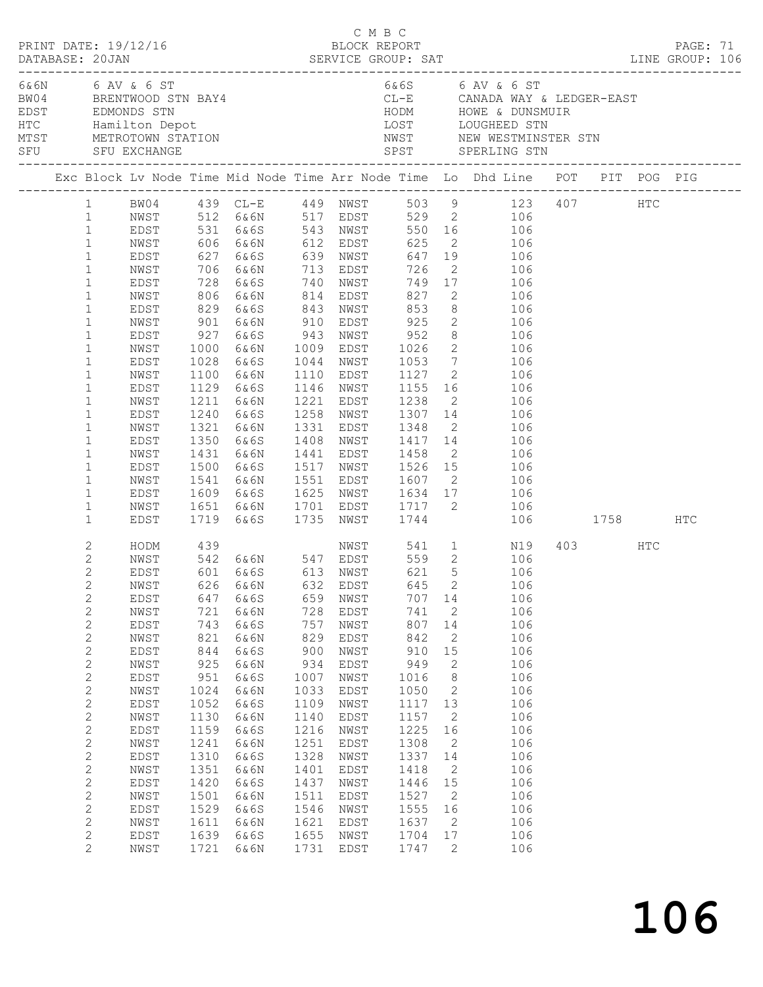|                                                                                                                                                                                                                                                                                                                              | PRINT DATE: 19/12/16                                                                                                                                         |                                                                                                                                                       |                                                                                                                                                              | C M B C<br>BLOCK REPORT                                                                                                                                |                                                                                                                                                              |                                                                                                                                                              |                                                                                                                                                                                                                                                                |                                                                                                                                                                                                                                                                                                                                                                                                                                                                                                            |  |         |  | PAGE: 71 |  |
|------------------------------------------------------------------------------------------------------------------------------------------------------------------------------------------------------------------------------------------------------------------------------------------------------------------------------|--------------------------------------------------------------------------------------------------------------------------------------------------------------|-------------------------------------------------------------------------------------------------------------------------------------------------------|--------------------------------------------------------------------------------------------------------------------------------------------------------------|--------------------------------------------------------------------------------------------------------------------------------------------------------|--------------------------------------------------------------------------------------------------------------------------------------------------------------|--------------------------------------------------------------------------------------------------------------------------------------------------------------|----------------------------------------------------------------------------------------------------------------------------------------------------------------------------------------------------------------------------------------------------------------|------------------------------------------------------------------------------------------------------------------------------------------------------------------------------------------------------------------------------------------------------------------------------------------------------------------------------------------------------------------------------------------------------------------------------------------------------------------------------------------------------------|--|---------|--|----------|--|
| 6& 6N 6 AV & 6 ST<br>BW04 BRENTWOOD STN BAY4                                                                                                                                                                                                                                                                                 |                                                                                                                                                              |                                                                                                                                                       |                                                                                                                                                              | $6&6$ S 6 AV & 6 ST<br>CL-E CANADA WAY & LEDGER-EAST                                                                                                   |                                                                                                                                                              |                                                                                                                                                              |                                                                                                                                                                                                                                                                |                                                                                                                                                                                                                                                                                                                                                                                                                                                                                                            |  |         |  |          |  |
|                                                                                                                                                                                                                                                                                                                              |                                                                                                                                                              |                                                                                                                                                       |                                                                                                                                                              |                                                                                                                                                        |                                                                                                                                                              |                                                                                                                                                              |                                                                                                                                                                                                                                                                | Exc Block Lv Node Time Mid Node Time Arr Node Time Lo Dhd Line POT PIT POG PIG                                                                                                                                                                                                                                                                                                                                                                                                                             |  |         |  |          |  |
| 1<br>$\mathbf{1}$<br>$\mathbf{1}$<br>$\mathbf{1}$<br>$\mathbf{1}$<br>$\mathbf{1}$<br>$\mathbf{1}$<br>$\mathbf{1}$<br>$\mathbf{1}$<br>$\mathbf{1}$<br>$\mathbf{1}$<br>$\mathbf 1$<br>$\mathbf{1}$<br>$\mathbf{1}$<br>$\mathbf{1}$<br>$\mathbf 1$<br>$\mathbf{1}$<br>$\mathbf 1$                                               | NWST<br>EDST<br>NWST<br>EDST<br>NWST<br>EDST<br>NWST<br>EDST<br>NWST<br>EDST<br>NWST<br>EDST<br>NWST<br>EDST                                                 | 1350                                                                                                                                                  | EDST 627 6&6S 639 NWST<br>829 6&6S<br>901 6&6N 910 EDST 925<br>1028 6&6S<br>1100 6&6N<br>1129 6&6S<br>1211 6&6N<br>1240 6&6S<br>1321 6&6N<br>6&6S            |                                                                                                                                                        |                                                                                                                                                              | 843 NWST 853<br>1044 NWST 1053<br>1331 EDST 1348                                                                                                             |                                                                                                                                                                                                                                                                | 1 BW04 439 CL-E 449 NWST 503 9 123 407 HTC<br>NWST 512 6&6N 517 EDST 529 2 106<br>EDST 531 6&6S 543 NWST 550 16 106<br>NWST 606 6&6N 612 EDST 625 2 106<br>647 19 106<br>706 6&6N 713 EDST 726 2 106<br>728 6&6S 740 NWST 749 17 106<br>806 6&6N 814 EDST 827 2 106<br>8 106<br>2 106<br>$\begin{array}{ccc} 8 & \hspace{1.5cm} 106 \\ 2 & \hspace{1.5cm} 106 \end{array}$<br>$\frac{1}{7}$ 106<br>1110 EDST 1127 2 106<br>1146 NWST 1155 16 106<br>1221 EDST 1238 2 106<br>1258 NWST 1307 14 106<br>2 106 |  |         |  |          |  |
| $\mathbf{1}$<br>$\mathbf{1}$<br>$\mathbf{1}$<br>$\mathbf{1}$<br>$\mathbf{1}$                                                                                                                                                                                                                                                 | NWST<br>EDST<br>NWST<br>EDST                                                                                                                                 |                                                                                                                                                       | $1431$ b $001$<br>$1500$ 6 6 6 5<br>1541 6&6N                                                                                                                |                                                                                                                                                        |                                                                                                                                                              |                                                                                                                                                              |                                                                                                                                                                                                                                                                | 1408 NWST 1417 14 106<br>1441 EDST 1458 2 106<br>1517 NWST 1526 15 106<br>1551 EDST 1607 2 106                                                                                                                                                                                                                                                                                                                                                                                                             |  |         |  |          |  |
| $\mathbf{1}$                                                                                                                                                                                                                                                                                                                 | NWST<br>EDST                                                                                                                                                 |                                                                                                                                                       |                                                                                                                                                              |                                                                                                                                                        |                                                                                                                                                              |                                                                                                                                                              |                                                                                                                                                                                                                                                                | 1609 6&6S 1625 NWST 1634 17 106<br>1651 6&6N 1701 EDST 1717 2 106<br>1719 6&6S 1735 NWST 1744 106 1758 HTC                                                                                                                                                                                                                                                                                                                                                                                                 |  |         |  |          |  |
| 2<br>2<br>$\mathbf{2}$<br>$\mathbf{2}$<br>2<br>$\mathbf{2}$<br>$\mathbf{2}$<br>$\mathbf{2}$<br>2<br>$\mathbf{2}$<br>$\mathbf{2}$<br>$\mathbf{2}$<br>$\mathbf{2}$<br>$\mathbf{2}$<br>$\mathbf{2}$<br>$\mathbf{2}$<br>$\mathbf{2}$<br>$\mathbf{2}$<br>$\mathbf{2}$<br>$\mathbf{2}$<br>2<br>2<br>$\mathbf{2}$<br>$\overline{2}$ | EDST<br>NWST<br>EDST<br>NWST<br>EDST<br>NWST<br>EDST<br>NWST<br>EDST<br>NWST<br>EDST<br>NWST<br>EDST<br>NWST<br>EDST<br>NWST<br>EDST<br>NWST<br>EDST<br>NWST | 647<br>721<br>743<br>821<br>844<br>925<br>951<br>1024<br>1052<br>1130<br>1159<br>1241<br>1310<br>1351<br>1420<br>1501<br>1529<br>1611<br>1639<br>1721 | 6&6S<br>6&6N<br>6&6S<br>6&6N<br>6&6S<br>6&6N<br>6&6S<br>6&6N<br>6&6S<br>6&6N<br>6&6S<br>6&6N<br>6&6S<br>6&6N<br>6&6S<br>6&6N<br>6&6S<br>6&6N<br>6&6S<br>6&6N | 659<br>728<br>757<br>829<br>900<br>934<br>1007<br>1033<br>1109<br>1140<br>1216<br>1251<br>1328<br>1401<br>1437<br>1511<br>1546<br>1621<br>1655<br>1731 | NWST<br>EDST<br>NWST<br>EDST<br>NWST<br>EDST<br>NWST<br>EDST<br>NWST<br>EDST<br>NWST<br>EDST<br>NWST<br>EDST<br>NWST<br>EDST<br>NWST<br>EDST<br>NWST<br>EDST | 707 14<br>741<br>807<br>842<br>910<br>949<br>1016<br>1050<br>1117 13<br>1157<br>1225<br>1308<br>1337<br>1418<br>1446<br>1527<br>1555<br>1637<br>1704<br>1747 | $\overline{\phantom{a}}$<br>14<br>2<br>15<br>2<br>8 <sup>8</sup><br>$\overline{\phantom{a}}$<br>$\overline{2}$<br>16<br>$\overline{2}$<br>14<br>$\overline{\phantom{0}}^2$<br>15<br>$\overline{\phantom{0}}^2$<br>16<br>$\overline{2}$<br>17<br>$\overline{2}$ | NWST 541 1 N19<br>HODM 439 NWST 541 1 N19<br>NWST 542 6&6N 547 EDST 559 2 106<br>EDST 601 6&6S 613 NWST 621 5 106<br>NWST 626 6&6N 632 EDST 645 2 106<br>106<br>106<br>106<br>106<br>106<br>106<br>106<br>106<br>106<br>106<br>106<br>106<br>106<br>106<br>106<br>106<br>106<br>106<br>106<br>106                                                                                                                                                                                                          |  | 403 HTC |  |          |  |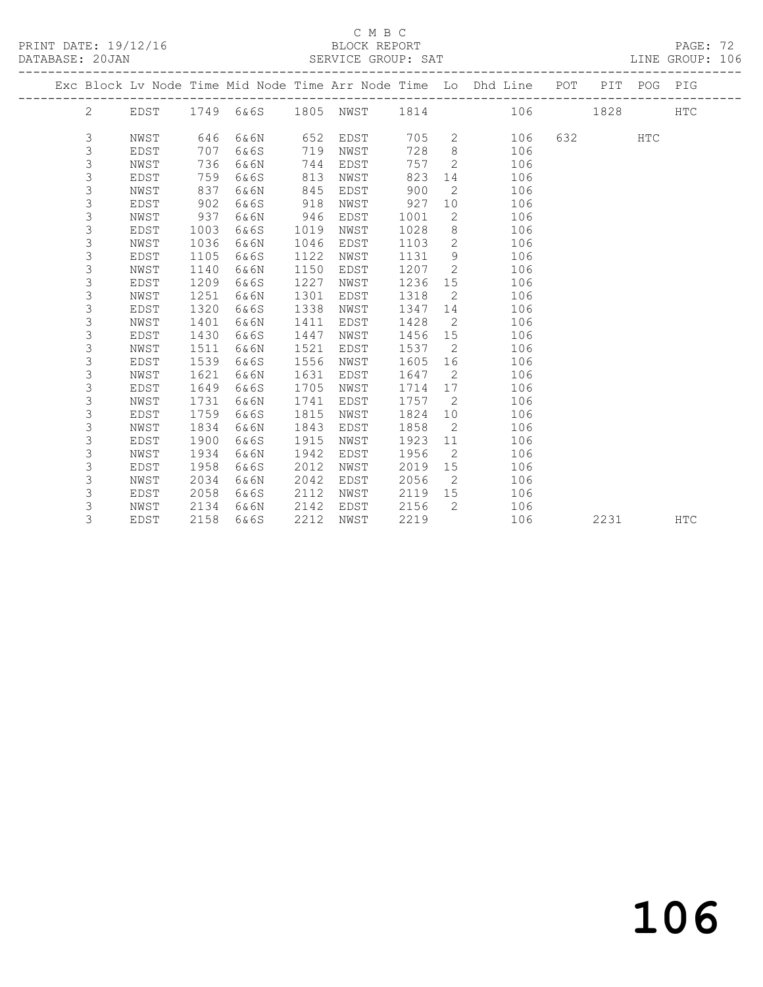PRINT DATE: 19/12/16 BLOCK REPORT DATABASE: 20JAN

### C M B C<br>BLOCK REPORT

### PAGE: 72<br>LINE GROUP: 106

|  |   |             |      |           |      |      |      |              | Exc Block Lv Node Time Mid Node Time Arr Node Time Lo Dhd Line POT |     |      | PIT POG PIG |            |
|--|---|-------------|------|-----------|------|------|------|--------------|--------------------------------------------------------------------|-----|------|-------------|------------|
|  | 2 | EDST        |      | 1749 6&6S | 1805 | NWST | 1814 |              | 106                                                                |     | 1828 |             | <b>HTC</b> |
|  | 3 | NWST        | 646  | 6&6N      | 652  | EDST | 705  | 2            | 106                                                                | 632 |      | <b>HTC</b>  |            |
|  | 3 | <b>EDST</b> | 707  | 6&6S      | 719  | NWST | 728  | 8            | 106                                                                |     |      |             |            |
|  | 3 | NWST        | 736  | 6&6N      | 744  | EDST | 757  | 2            | 106                                                                |     |      |             |            |
|  | 3 | <b>EDST</b> | 759  | 6&6S      | 813  | NWST | 823  | 14           | 106                                                                |     |      |             |            |
|  | 3 | NWST        | 837  | 6&6N      | 845  | EDST | 900  | 2            | 106                                                                |     |      |             |            |
|  | 3 | <b>EDST</b> | 902  | 6&6S      | 918  | NWST | 927  | 10           | 106                                                                |     |      |             |            |
|  | 3 | NWST        | 937  | 6&6N      | 946  | EDST | 1001 | 2            | 106                                                                |     |      |             |            |
|  | 3 | <b>EDST</b> | 1003 | 6&6S      | 1019 | NWST | 1028 | 8            | 106                                                                |     |      |             |            |
|  | 3 | NWST        | 1036 | 6&6N      | 1046 | EDST | 1103 | $\mathbf{2}$ | 106                                                                |     |      |             |            |
|  | 3 | <b>EDST</b> | 1105 | 6&6S      | 1122 | NWST | 1131 | 9            | 106                                                                |     |      |             |            |
|  | 3 | NWST        | 1140 | 6&6N      | 1150 | EDST | 1207 | 2            | 106                                                                |     |      |             |            |
|  | 3 | <b>EDST</b> | 1209 | 6&6S      | 1227 | NWST | 1236 | 15           | 106                                                                |     |      |             |            |
|  | 3 | NWST        | 1251 | 6&6N      | 1301 | EDST | 1318 | 2            | 106                                                                |     |      |             |            |
|  | 3 | <b>EDST</b> | 1320 | 6&6S      | 1338 | NWST | 1347 | 14           | 106                                                                |     |      |             |            |
|  | 3 | NWST        | 1401 | 6&6N      | 1411 | EDST | 1428 | 2            | 106                                                                |     |      |             |            |
|  | 3 | <b>EDST</b> | 1430 | 6&6S      | 1447 | NWST | 1456 | 15           | 106                                                                |     |      |             |            |
|  | 3 | NWST        | 1511 | 6&6N      | 1521 | EDST | 1537 | 2            | 106                                                                |     |      |             |            |
|  | 3 | EDST        | 1539 | 6&6S      | 1556 | NWST | 1605 | 16           | 106                                                                |     |      |             |            |
|  | 3 | NWST        | 1621 | 6&6N      | 1631 | EDST | 1647 | 2            | 106                                                                |     |      |             |            |
|  | 3 | EDST        | 1649 | 6&6S      | 1705 | NWST | 1714 | 17           | 106                                                                |     |      |             |            |
|  | 3 | NWST        | 1731 | 6&6N      | 1741 | EDST | 1757 | 2            | 106                                                                |     |      |             |            |
|  | 3 | <b>EDST</b> | 1759 | 6&6S      | 1815 | NWST | 1824 | 10           | 106                                                                |     |      |             |            |
|  | 3 | NWST        | 1834 | 6&6N      | 1843 | EDST | 1858 | 2            | 106                                                                |     |      |             |            |
|  | 3 | EDST        | 1900 | 6&6S      | 1915 | NWST | 1923 | 11           | 106                                                                |     |      |             |            |
|  | 3 | NWST        | 1934 | 6&6N      | 1942 | EDST | 1956 | 2            | 106                                                                |     |      |             |            |
|  | 3 | EDST        | 1958 | 6&6S      | 2012 | NWST | 2019 | 15           | 106                                                                |     |      |             |            |
|  | 3 | NWST        | 2034 | 6&6N      | 2042 | EDST | 2056 | 2            | 106                                                                |     |      |             |            |
|  | 3 | EDST        | 2058 | 6&6S      | 2112 | NWST | 2119 | 15           | 106                                                                |     |      |             |            |
|  | 3 | NWST        | 2134 | 6&6N      | 2142 | EDST | 2156 | 2            | 106                                                                |     |      |             |            |
|  | 3 | EDST        | 2158 | 6&6S      | 2212 | NWST | 2219 |              | 106                                                                |     | 2231 |             | <b>HTC</b> |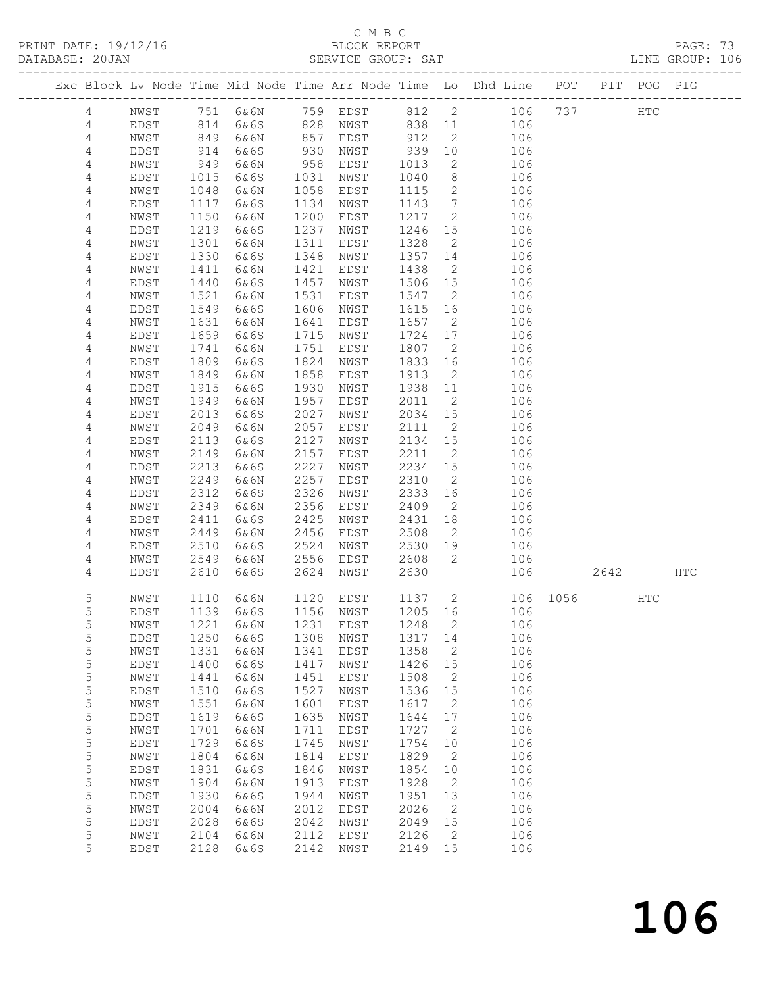## C M B C<br>BLOCK REPORT<br>SERVICE GROUP: SAT

| DATABASE: 20JAN<br>----------------- |                |              |              |                          |              | SERVICE GROUP: SAT                            |              |                            |                                                                                |          |      |     | LINE GROUP: 106 |  |
|--------------------------------------|----------------|--------------|--------------|--------------------------|--------------|-----------------------------------------------|--------------|----------------------------|--------------------------------------------------------------------------------|----------|------|-----|-----------------|--|
|                                      |                |              |              |                          |              |                                               |              |                            | Exc Block Lv Node Time Mid Node Time Arr Node Time Lo Dhd Line POT PIT POG PIG |          |      |     |                 |  |
|                                      | $4\degree$     |              |              |                          |              |                                               |              |                            | NWST 751 6&6N 759 EDST 812 2 106 737 HTC                                       |          |      |     |                 |  |
|                                      | $\overline{4}$ | EDST         |              | 814 6&6S 828 NWST 838 11 |              |                                               |              |                            | 106                                                                            |          |      |     |                 |  |
|                                      | 4              | NWST         | 849          | 6&6N                     |              | 857 EDST 912<br>930 NWST 939<br>958 EDST 1013 |              | $\overline{2}$             | 106                                                                            |          |      |     |                 |  |
|                                      | $\overline{4}$ | EDST         | 914<br>949   | 6&6S                     |              |                                               |              | 10                         | 106                                                                            |          |      |     |                 |  |
|                                      | 4              | NWST         |              | 6&6N                     | 958          | EDST                                          | 1013         | $\overline{2}$             | 106                                                                            |          |      |     |                 |  |
|                                      | 4              | EDST         | 1015         | 6&6S                     | 1031         | NWST                                          | 1040         | 8 <sup>8</sup>             | 106                                                                            |          |      |     |                 |  |
|                                      | 4              | NWST         | 1048         | 6&6N                     | 1058         | EDST                                          | 1115         | $\overline{2}$             | 106                                                                            |          |      |     |                 |  |
|                                      | 4              | EDST         | 1117         | 6&6S                     |              | 1134 NWST                                     | 1143         | $7\overline{ }$            | 106                                                                            |          |      |     |                 |  |
|                                      | 4              | NWST         | 1150         | 6&6N                     | 1200         | EDST                                          | 1217         | $\overline{2}$             | 106                                                                            |          |      |     |                 |  |
|                                      | 4              | EDST         | 1219         | 6&6S                     | 1237         | NWST                                          | 1246 15      |                            | 106                                                                            |          |      |     |                 |  |
|                                      | 4              | NWST         | 1301         | 6&6N                     | 1311         | EDST                                          | 1328         | $\overline{2}$             | 106                                                                            |          |      |     |                 |  |
|                                      | 4              | EDST         | 1330         | 6&6S                     | 1348         | NWST                                          | 1357 14      |                            | 106                                                                            |          |      |     |                 |  |
|                                      | 4              | NWST         | 1411         | 6&6N                     | 1421         | EDST                                          | 1438         | $\overline{2}$             | 106                                                                            |          |      |     |                 |  |
|                                      | 4              | EDST         | 1440         | 6&6S                     | 1457         | NWST                                          | 1506 15      |                            | 106                                                                            |          |      |     |                 |  |
|                                      | 4              | NWST         | 1521         | 6&6N                     | 1531         | EDST                                          | 1547         | $\overline{2}$             | 106                                                                            |          |      |     |                 |  |
|                                      | 4              | EDST         | 1549         | 6&6S                     | 1606         | NWST                                          | 1615 16      |                            | 106                                                                            |          |      |     |                 |  |
|                                      | 4              | NWST         | 1631         | 6&6N                     | 1641         | EDST                                          | 1657 2       |                            | 106                                                                            |          |      |     |                 |  |
|                                      | 4              | EDST         | 1659         | 6&6S                     | 1715         | NWST                                          | 1724 17      |                            | 106                                                                            |          |      |     |                 |  |
|                                      | 4              | NWST         | 1741         | 6&6N                     | 1751         | EDST                                          | 1807         | $\overline{2}$             | 106                                                                            |          |      |     |                 |  |
|                                      | 4              | EDST         | 1809         | 6&6S                     | 1824         | NWST                                          | 1833 16      |                            | 106                                                                            |          |      |     |                 |  |
|                                      | $\overline{4}$ | NWST         | 1849         | 6&6N                     | 1858         | EDST                                          | 1913         | $\overline{2}$             | 106                                                                            |          |      |     |                 |  |
|                                      | 4              | EDST         | 1915         | 6&6S                     | 1930         | NWST                                          | 1938 11      |                            | 106                                                                            |          |      |     |                 |  |
|                                      | 4              | NWST         | 1949         | 6&6N                     | 1957         | EDST                                          | 2011         | $\overline{2}$             | 106                                                                            |          |      |     |                 |  |
|                                      | 4              | EDST         | 2013         | 6&6S                     | 2027         | NWST                                          | 2034 15      |                            | 106                                                                            |          |      |     |                 |  |
|                                      | $\overline{4}$ | NWST         | 2049         | 6&6N                     | 2057         | EDST                                          | 2111         | $\overline{2}$             | 106                                                                            |          |      |     |                 |  |
|                                      | 4              | EDST         | 2113         | 6&6S                     | 2127         | NWST                                          | 2134 15      |                            | 106                                                                            |          |      |     |                 |  |
|                                      | 4              | NWST         | 2149         | 6&6N                     | 2157         | EDST                                          | 2211         | $\overline{2}$             | 106                                                                            |          |      |     |                 |  |
|                                      | 4              | EDST         | 2213         | 6&6S                     | 2227         | NWST                                          | 2234         | 15                         | 106                                                                            |          |      |     |                 |  |
|                                      | 4              | NWST         | 2249<br>2312 | 6&6N                     | 2257<br>2326 | EDST                                          | 2310<br>2333 | $\overline{2}$             | 106                                                                            |          |      |     |                 |  |
|                                      | 4<br>4         | EDST<br>NWST | 2349         | 6&6S<br>6&6N             | 2356         | NWST<br>EDST                                  | 2409         | 16<br>$\overline{2}$       | 106<br>106                                                                     |          |      |     |                 |  |
|                                      | 4              | EDST         | 2411         | 6&6S                     | 2425         | NWST                                          | 2431         | 18                         | 106                                                                            |          |      |     |                 |  |
|                                      | 4              | NWST         | 2449         | 6&6N                     | 2456         | EDST                                          | 2508         | $\overline{2}$             | 106                                                                            |          |      |     |                 |  |
|                                      | 4              | EDST         | 2510         | 6&6S                     | 2524         | NWST                                          | 2530         | 19                         | 106                                                                            |          |      |     |                 |  |
|                                      | 4              | NWST         | 2549         | 6&6N                     | 2556         | EDST                                          | 2608         | $\overline{2}$             | 106                                                                            |          |      |     |                 |  |
|                                      | 4              | EDST         | 2610         | 6&6S                     | 2624         | NWST                                          | 2630         |                            |                                                                                | 106      | 2642 |     | HTC             |  |
|                                      |                |              |              |                          |              |                                               |              |                            |                                                                                |          |      |     |                 |  |
|                                      | 5              | NWST         | 1110         |                          |              | 6&6N 1120 EDST 1137 2                         |              |                            |                                                                                | 106 1056 |      | HTC |                 |  |
|                                      | 5              | EDST         |              |                          |              |                                               |              |                            | 1139 6&6S 1156 NWST 1205 16 106                                                |          |      |     |                 |  |
|                                      | $\mathsf S$    | NWST         | 1221         | 6&6N                     | 1231         | EDST                                          | 1248         | 2                          | 106                                                                            |          |      |     |                 |  |
|                                      | $\mathsf S$    | EDST         | 1250         | 6&6S                     | 1308         | NWST                                          | 1317 14      |                            | 106                                                                            |          |      |     |                 |  |
|                                      | $\mathsf S$    | NWST         | 1331         | 6&6N                     | 1341         | EDST                                          | 1358         | $\overline{2}$             | 106                                                                            |          |      |     |                 |  |
|                                      | $\mathsf S$    | EDST         | 1400         | 6&6S                     | 1417         | NWST                                          | 1426         | 15                         | 106                                                                            |          |      |     |                 |  |
|                                      | $\mathsf S$    | NWST         | 1441         | 6&6N                     | 1451         | EDST                                          | 1508         | $\overline{\phantom{a}}$   | 106                                                                            |          |      |     |                 |  |
|                                      | $\mathsf S$    | EDST         | 1510         | 6&6S                     | 1527         | NWST                                          | 1536         | 15                         | 106                                                                            |          |      |     |                 |  |
|                                      | $\mathsf S$    | NWST         | 1551         | 6&6N                     | 1601         | EDST                                          | 1617         | $\overline{2}$             | 106                                                                            |          |      |     |                 |  |
|                                      | 5              | EDST         | 1619         | 6&6S                     | 1635         | NWST                                          | 1644         | 17                         | 106                                                                            |          |      |     |                 |  |
|                                      | $\mathsf S$    | NWST         | 1701         | 6&6N                     | 1711         | EDST                                          | 1727         | $\overline{\phantom{a}}$   | 106                                                                            |          |      |     |                 |  |
|                                      | $\mathsf S$    | EDST         | 1729         | 6&6S                     | 1745         | NWST                                          | 1754         | 10                         | 106                                                                            |          |      |     |                 |  |
|                                      | $\mathsf S$    | NWST         | 1804         | 6&6N                     | 1814         | EDST                                          | 1829         | $\overline{2}$             | 106                                                                            |          |      |     |                 |  |
|                                      | 5              | EDST         | 1831         | 6&6S                     | 1846         | NWST                                          | 1854         | 10                         | 106                                                                            |          |      |     |                 |  |
|                                      | $\mathsf S$    | NWST         | 1904         | 6&6N                     | 1913         | EDST                                          | 1928         | $\overline{\phantom{a}}$   | 106                                                                            |          |      |     |                 |  |
|                                      | $\mathsf S$    | EDST         | 1930         | 6&6S                     | 1944         | NWST                                          | 1951         | 13                         | 106                                                                            |          |      |     |                 |  |
|                                      | $\mathsf S$    | NWST         | 2004         | 6&6N                     | 2012         | EDST                                          | 2026         | $\overline{2}$             | 106                                                                            |          |      |     |                 |  |
|                                      | 5              | EDST         | 2028         | 6&6S                     | 2042         | NWST                                          | 2049         | 15                         | 106                                                                            |          |      |     |                 |  |
|                                      | 5              | NWST         | 2104         | 6&6N                     | 2112         | EDST                                          | 2126         | $\overline{\phantom{0}}^2$ | 106                                                                            |          |      |     |                 |  |
|                                      | 5              | EDST         | 2128         | 6&6S                     | 2142         | NWST                                          | 2149 15      |                            | 106                                                                            |          |      |     |                 |  |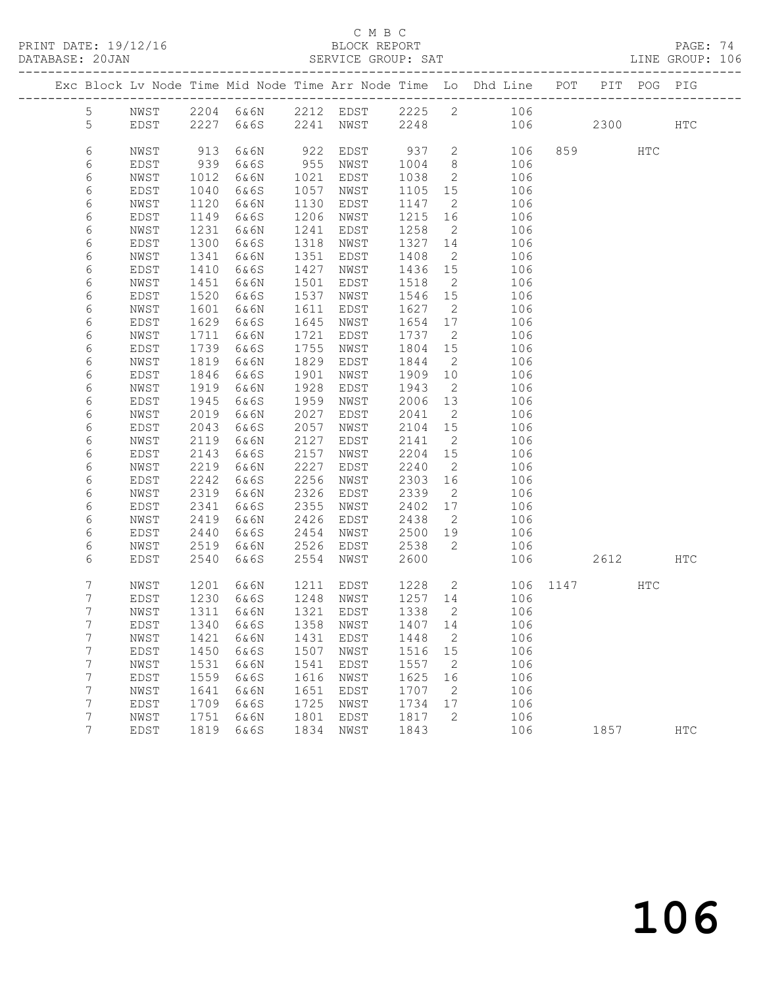PRINT DATE: 19/12/16 BLOCK REPORT BATABASE: 20JAN BLOCK REPORT

#### C M B C<br>BLOCK REPORT

PAGE: 74<br>LINE GROUP: 106

|                |      |                             |                     |      |           |         |                            | Exc Block Lv Node Time Mid Node Time Arr Node Time Lo Dhd Line POT |          |          | PIT POG PIG |            |
|----------------|------|-----------------------------|---------------------|------|-----------|---------|----------------------------|--------------------------------------------------------------------|----------|----------|-------------|------------|
| 5              | NWST |                             |                     |      |           |         |                            | 2204 6&6N 2212 EDST 2225 2 106                                     |          |          |             |            |
| 5              | EDST |                             | 2227 6&6S 2241 NWST |      |           | 2248    |                            |                                                                    | 106 10   | 2300 HTC |             |            |
|                |      |                             |                     |      |           |         |                            |                                                                    |          |          |             |            |
| 6              | NWST | 913                         | 6&6N                | 922  | EDST      | 937 2   |                            | 106                                                                |          | 859 30   | HTC         |            |
| 6              | EDST | 939                         | 6&6S                | 955  | NWST      | 1004    | 8 <sup>8</sup>             | 106                                                                |          |          |             |            |
| 6              | NWST | 1012                        | 6&6N                | 1021 | EDST      | 1038    | $\overline{2}$             | 106                                                                |          |          |             |            |
| 6              | EDST | 1040                        | 6&6S                | 1057 | NWST      | 1105    | 15                         | 106                                                                |          |          |             |            |
| 6              | NWST | 1120                        | 6&6N                | 1130 | EDST      | 1147    | $\overline{2}$             | 106                                                                |          |          |             |            |
| 6              | EDST | 1149                        | 6&6S                | 1206 | NWST      | 1215    | 16                         | 106                                                                |          |          |             |            |
| 6              | NWST | 1231                        | 6&6N                | 1241 | EDST      | 1258    | $\overline{2}$             | 106                                                                |          |          |             |            |
| 6              | EDST | 1300                        | 6&6S                | 1318 | NWST      | 1327    | 14                         | 106                                                                |          |          |             |            |
| 6              | NWST | 1341                        | 6&6N                | 1351 | EDST      | 1408    | $\overline{2}$             | 106                                                                |          |          |             |            |
| 6              | EDST | 1410                        | 6&6S                | 1427 | NWST      | 1436    | 15                         | 106                                                                |          |          |             |            |
| 6              | NWST | 1451                        | 6&6N                | 1501 | EDST      | 1518    | $\overline{2}$             | 106                                                                |          |          |             |            |
| 6              | EDST | 1520                        | 6&6S                | 1537 | NWST      | 1546    | 15                         | 106                                                                |          |          |             |            |
| 6              | NWST | 1601                        | 6&6N                | 1611 | EDST      | 1627    | $\overline{2}$             | 106                                                                |          |          |             |            |
| 6              | EDST | 1629                        | 6&6S                | 1645 | NWST      | 1654    | 17                         | 106                                                                |          |          |             |            |
| 6              | NWST | 1711                        | 6&6N                | 1721 | EDST      | 1737    | $\overline{2}$             | 106                                                                |          |          |             |            |
| 6              | EDST | 1739                        | 6&6S                | 1755 | NWST      | 1804    | 15                         | 106                                                                |          |          |             |            |
| 6              | NWST | 1819                        | 6&6N                | 1829 | EDST      | 1844    | $\overline{2}$             | 106                                                                |          |          |             |            |
| 6              | EDST | 1846                        | 6&6S                | 1901 | NWST      | 1909    | 10                         | 106                                                                |          |          |             |            |
| 6              | NWST | 1919                        | 6&6N                | 1928 | EDST      | 1943    | $\overline{2}$             | 106                                                                |          |          |             |            |
| 6              | EDST | 1945                        | 6&6S                | 1959 | NWST      | 2006    | 13                         | 106                                                                |          |          |             |            |
| 6              | NWST | 2019                        | 6&6N                | 2027 | EDST      | 2041    | $\overline{2}$             | 106                                                                |          |          |             |            |
| 6              | EDST | 2043                        | 6&6S                | 2057 | NWST      | 2104    | 15                         | 106                                                                |          |          |             |            |
| 6              | NWST | 2119                        | 6&6N                | 2127 | EDST      | 2141    | $\overline{2}$             | 106                                                                |          |          |             |            |
| 6              | EDST | 2143                        | 6&6S                | 2157 | NWST      | 2204    | 15                         | 106                                                                |          |          |             |            |
| 6              | NWST | 2219                        | 6&6N                | 2227 | EDST      | 2240    | $\overline{2}$             | 106                                                                |          |          |             |            |
| 6              | EDST | 2242                        | 6&6S                | 2256 | NWST      | 2303    | 16                         | 106                                                                |          |          |             |            |
| 6              | NWST | 2319                        | 6&6N                | 2326 | EDST      | 2339    | $\overline{2}$             | 106                                                                |          |          |             |            |
| 6              | EDST | 2341                        | 6&6S                | 2355 | NWST      | 2402    | 17                         | 106                                                                |          |          |             |            |
| 6              | NWST | 2419                        | 6&6N                | 2426 | EDST      | 2438    | $\overline{2}$             | 106                                                                |          |          |             |            |
| 6              | EDST | 2440                        | 6&6S                | 2454 | NWST      | 2500    | 19                         | 106                                                                |          |          |             |            |
| 6              | NWST | 2519                        | 6&6N                | 2526 | EDST      | 2538    | $\overline{2}$             | 106                                                                |          |          |             |            |
| 6              | EDST | 2540                        | 6&6S                | 2554 | NWST      | 2600    |                            | 106                                                                |          | 2612 HTC |             |            |
| 7              | NWST | 1201                        | 6&6N                |      | 1211 EDST |         |                            | 1228 2                                                             | 106 1147 |          | HTC         |            |
| 7              | EDST |                             | 6&6S                |      | 1248 NWST | 1257 14 |                            | 106                                                                |          |          |             |            |
| $\overline{7}$ | NWST | $\frac{1230}{1211}$<br>1311 | 6&6N                |      | 1321 EDST | 1338    | $\overline{2}$             | 106                                                                |          |          |             |            |
| 7              | EDST |                             | 1340 6&6S 1358 NWST |      |           | 1407 14 |                            | 106                                                                |          |          |             |            |
| 7              | NWST | 1421                        | 6&6N                | 1431 | EDST      | 1448    | $\overline{\phantom{0}}^2$ | 106                                                                |          |          |             |            |
| 7              | EDST | 1450                        | 6&6S                | 1507 | NWST      | 1516 15 |                            | 106                                                                |          |          |             |            |
| 7              | NWST | 1531                        | 6&6N                | 1541 | EDST      | 1557    | $\overline{\phantom{0}}^2$ | 106                                                                |          |          |             |            |
| 7              | EDST | 1559                        | 6&6S                | 1616 | NWST      | 1625    | 16                         | 106                                                                |          |          |             |            |
| 7              | NWST | 1641                        | 6&6N                | 1651 | EDST      | 1707    | $\overline{2}$             | 106                                                                |          |          |             |            |
| 7              | EDST | 1709                        | 6&6S                | 1725 | NWST      | 1734    | 17                         | 106                                                                |          |          |             |            |
| 7              | NWST | 1751                        | 6&6N                | 1801 | EDST      | 1817    | 2                          | 106                                                                |          |          |             |            |
| 7              | EDST | 1819                        | 6&6S                | 1834 | NWST      | 1843    |                            | 106                                                                |          | 1857     |             | <b>HTC</b> |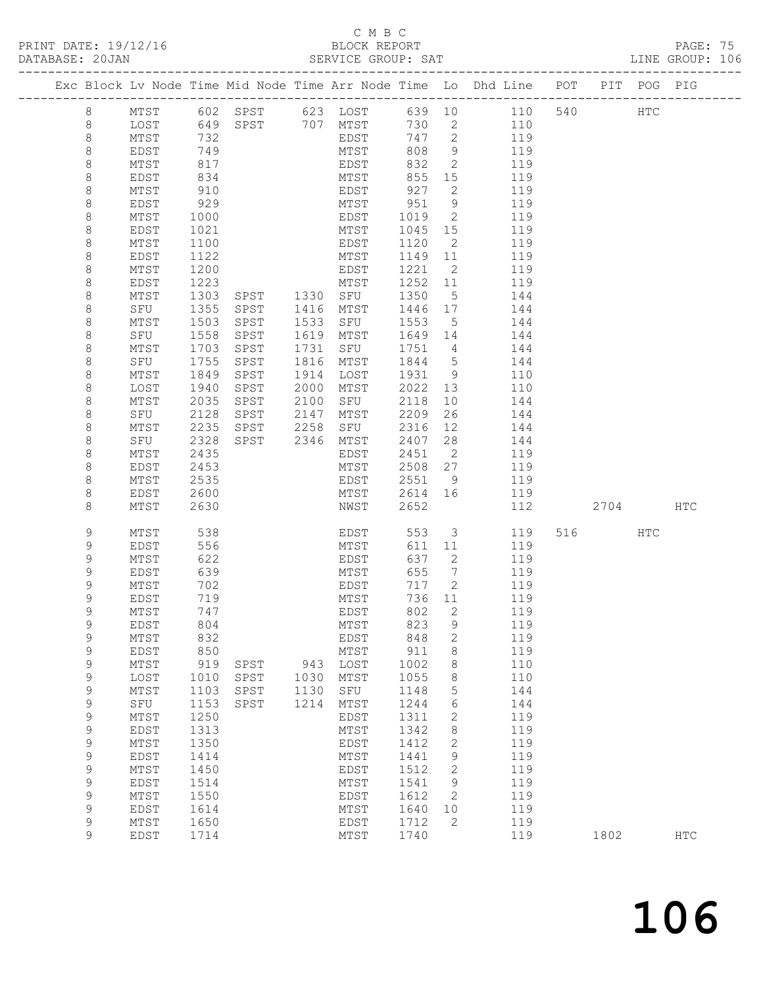## C M B C<br>BLOCK REPORT<br>SERVICE GROUP: SAT

|                                                                                                                                                                                                                                                                                                |                                                                                                                                                                                                     |                                                                                                                                                                                   |                                                                                             |                                                              | ب ہت ہے ک                                                                                                                                                                                              |                                                                                                                                                                      |                                                                                                                                                                              |                                                                                                                                                                                                                                                       |      |             |     | LINE GROUP: 106 |  |
|------------------------------------------------------------------------------------------------------------------------------------------------------------------------------------------------------------------------------------------------------------------------------------------------|-----------------------------------------------------------------------------------------------------------------------------------------------------------------------------------------------------|-----------------------------------------------------------------------------------------------------------------------------------------------------------------------------------|---------------------------------------------------------------------------------------------|--------------------------------------------------------------|--------------------------------------------------------------------------------------------------------------------------------------------------------------------------------------------------------|----------------------------------------------------------------------------------------------------------------------------------------------------------------------|------------------------------------------------------------------------------------------------------------------------------------------------------------------------------|-------------------------------------------------------------------------------------------------------------------------------------------------------------------------------------------------------------------------------------------------------|------|-------------|-----|-----------------|--|
|                                                                                                                                                                                                                                                                                                |                                                                                                                                                                                                     |                                                                                                                                                                                   |                                                                                             |                                                              |                                                                                                                                                                                                        |                                                                                                                                                                      |                                                                                                                                                                              | Exc Block Lv Node Time Mid Node Time Arr Node Time Lo Dhd Line POT PIT POG PIG                                                                                                                                                                        |      |             |     |                 |  |
| 8<br>$8\,$<br>$\,8\,$<br>8<br>8<br>8<br>8<br>8<br>8<br>8<br>8<br>8<br>8<br>8<br>8<br>8                                                                                                                                                                                                         | LOST<br>MTST<br>EDST<br>MTST<br>EDST<br>MTST<br>EDST<br>MTST<br>EDST<br>MTST<br>EDST<br>MTST<br>EDST<br>MTST<br>SFU                                                                                 | 749<br>817<br>834<br>910<br>929<br>1000<br>1021<br>1100<br>1122<br>1200<br>1223<br>1303<br>1355                                                                                   | EDST<br>SPST 1330 SFU<br>SPST 1416 MTST                                                     |                                                              | MTST<br>EDST<br>MTST<br>EDST<br>MTST<br>MTST<br>EDST<br>MTST<br>EDST<br>MTST                                                                                                                           | 747 2<br>808<br>832<br>855<br>927<br>951<br>1120<br>1221<br>1350<br>1446 17                                                                                          | $\overline{2}$<br>$\overline{2}$<br>5 <sup>5</sup>                                                                                                                           | MTST 602 SPST 623 LOST 639 10 110 540<br>730  2  110<br>747  2  119<br>$\frac{1}{9}$ $\frac{115}{119}$<br>2 119<br>15 119<br>119<br>$9 \overline{119}$<br>1019 2 119<br>1045 15 119<br>119<br>$1149$ $11$ $119$<br>2 119<br>1252 11 119<br>144<br>144 |      |             | HTC |                 |  |
| 8<br>8<br>8<br>8<br>8<br>8<br>8<br>8<br>8<br>8<br>8<br>8<br>8<br>8<br>8                                                                                                                                                                                                                        | MTST<br>SFU<br>MTST<br>SFU<br>MTST<br>LOST<br>MTST<br>SFU<br>MTST<br>SFU<br>MTST<br>EDST<br>MTST<br>EDST<br>MTST                                                                                    | 1503<br>1558<br>1703<br>1755<br>1849<br>1940<br>2035<br>2128<br>2235<br>2328<br>2435<br>2453<br>2535<br>2600<br>2630                                                              | SPST<br>SPST<br>SPST<br>SPST<br>SPST<br>SPST<br>SPST<br>SPST<br>SPST 2258<br>SPST 2346 MTST | 1533<br>1619<br>1731<br>1816<br>1914<br>2000<br>2100<br>2147 | SFU<br>MTST<br>SFU<br>MTST<br>LOST<br>MTST<br>SFU<br>MTST<br>SFU<br>EDST<br>MTST<br>EDST<br>MTST<br>NWST                                                                                               | 1553<br>1751 4<br>2118<br>2209<br>2316<br>2407<br>2451<br>2508 27<br>2652                                                                                            | $5\overline{)}$<br>10<br>26<br>$\overline{2}$                                                                                                                                | 144<br>1649 14 144<br>144<br>$1/51$ 4 144<br>1844 5 144<br>1931 9 110<br>2022 13 110<br>144<br>144<br>12 144<br>28 144<br>119<br>119<br>2551 9 119<br>2614 16 119<br>112                                                                              | 2704 |             |     | HTC             |  |
| 9<br>9<br>9<br>9<br>9<br>$\mathsf 9$<br>$\mathsf 9$<br>9<br>$\mathsf 9$<br>$\mathsf 9$<br>$\mathsf 9$<br>$\mathsf 9$<br>$\mathsf 9$<br>$\mathsf 9$<br>$\mathsf 9$<br>$\mathsf 9$<br>$\mathsf 9$<br>$\mathsf 9$<br>$\mathsf 9$<br>$\mathsf 9$<br>$\mathsf 9$<br>$\mathsf 9$<br>$\mathsf 9$<br>9 | MTST<br>EDST<br>MTST<br>EDST<br>MTST<br>EDST<br>MTST<br>EDST<br>MTST<br>EDST<br>MTST<br>LOST<br>MTST<br>${\tt SFU}$<br>MTST<br>EDST<br>MTST<br>EDST<br>MTST<br>EDST<br>MTST<br>EDST<br>MTST<br>EDST | 538<br>556<br>622<br>639<br>702<br>719<br>747<br>804<br>832<br>850<br>919<br>1010<br>1103<br>1153<br>1250<br>1313<br>1350<br>1414<br>1450<br>1514<br>1550<br>1614<br>1650<br>1714 | SPST<br>SPST<br>SPST<br>SPST                                                                | 943<br>1030<br>1130<br>1214                                  | EDST<br>MTST<br>EDST<br>MTST<br>EDST<br>MTST<br>EDST<br>MTST<br>EDST<br>MTST<br>LOST<br>MTST<br>SFU<br>MTST<br>EDST<br>$\mathtt{MTST}$<br>EDST<br>MTST<br>EDST<br>MTST<br>EDST<br>MTST<br>EDST<br>MTST | 553<br>637<br>655<br>736<br>802<br>823<br>848<br>911<br>1002<br>1055<br>1148<br>1244<br>1311<br>1342<br>1412<br>1441<br>1512<br>1541<br>1612<br>1640<br>1712<br>1740 | $\overline{2}$<br>$7\overline{ }$<br>717 2<br>11<br>2<br>$\mathsf 9$<br>$\mathbf{2}$<br>8<br>8<br>8<br>5<br>6<br>2<br>$\,8\,$<br>$\mathbf{2}$<br>9<br>2<br>9<br>2<br>10<br>2 | 3 119<br>611 11<br>119<br>119<br>119<br>119<br>119<br>119<br>119<br>119<br>119<br>110<br>110<br>144<br>144<br>119<br>119<br>119<br>119<br>119<br>119<br>119<br>119<br>119<br>119                                                                      |      | 516<br>1802 | HTC | $_{\rm HTC}$    |  |

106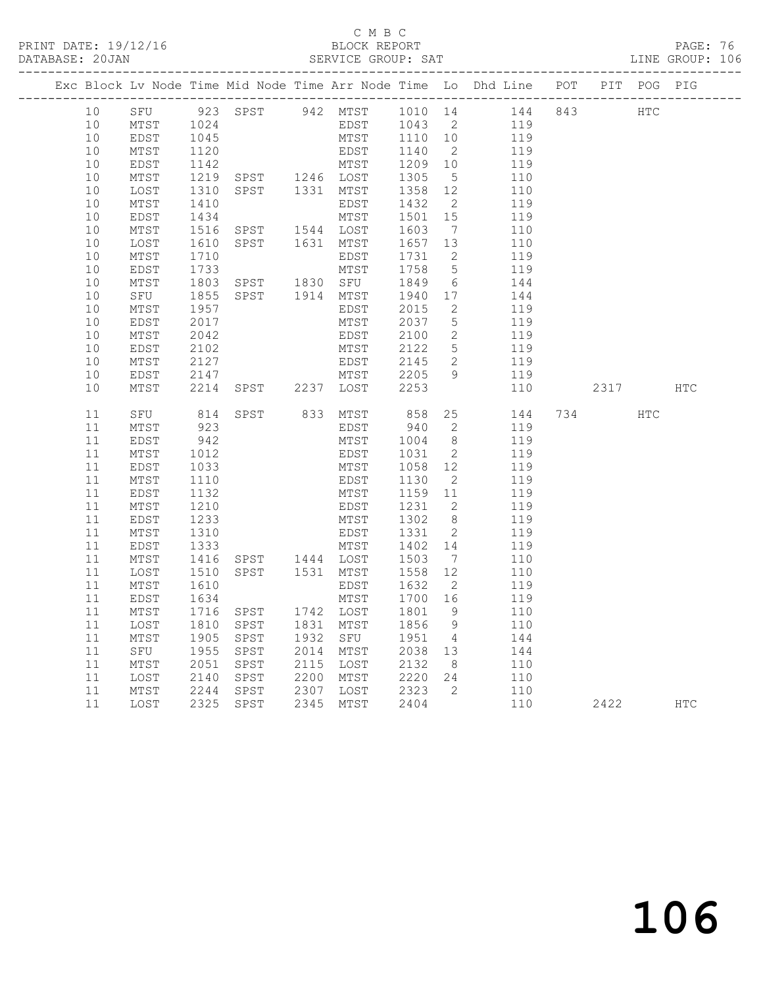#### C M B C<br>BLOCK REPORT

PAGE: 76<br>LINE GROUP: 106

|          |              |              | Exc Block Lv Node Time Mid Node Time Arr Node Time Lo Dhd Line POT PIT POG PIG |           |              |      |                 |                                   |            |      |            |            |
|----------|--------------|--------------|--------------------------------------------------------------------------------|-----------|--------------|------|-----------------|-----------------------------------|------------|------|------------|------------|
| 10       |              |              | SFU 923 SPST 942 MTST 1010 14 144 843                                          |           |              |      |                 |                                   |            | HTC  |            |            |
| 10       | MTST         | 1024         |                                                                                |           |              | EDST | 1043 2          |                                   | 119        |      |            |            |
| 10       | EDST         | 1045         |                                                                                |           | MTST         |      | 1110 10         |                                   | 119        |      |            |            |
| 10       | MTST         | 1120         |                                                                                |           | EDST         |      | 1140            | $\overline{2}$                    | 119        |      |            |            |
| 10       | EDST         | 1142         |                                                                                |           |              |      | 1209 10         |                                   | 119        |      |            |            |
| 10       | MTST         | 1219         | TERNATION<br>MTST 1246 LOST<br>SPST 1331 MTST                                  |           |              |      | 1305            | $5^{\circ}$                       | 110        |      |            |            |
| 10       | LOST         | 1310         |                                                                                |           |              |      | 1358 12         |                                   | 110        |      |            |            |
| 10       | MTST         | 1410         |                                                                                |           | EDST         |      | 1432            | $\overline{\phantom{a}}$          | 119        |      |            |            |
| 10       | EDST         | 1434         |                                                                                |           | MTST         |      | 1501            | 15                                | 119        |      |            |            |
| 10       | MTST         | 1516         | SPST 1544 LOST<br>SPST 1631 MTST                                               |           |              |      | 1603            | $7\overline{ }$                   | 110        |      |            |            |
| 10       | LOST         | 1610         |                                                                                |           |              |      | 1657 13         |                                   | 110        |      |            |            |
| 10       | MTST         | 1710         |                                                                                |           | EDST         |      | 1731            | $\overline{2}$                    | 119        |      |            |            |
| 10       | EDST         | 1733         |                                                                                |           | MTST         |      | 1758            | $5\overline{)}$                   | 119        |      |            |            |
| 10       | MTST         | 1803         | SPST 1830 SFU                                                                  |           |              |      | 1849            | 6                                 | 144        |      |            |            |
| 10       | SFU          | 1855         | SPST 1914 MTST                                                                 |           |              |      | 1940            | 17                                | 144        |      |            |            |
| 10       | MTST         | 1957         |                                                                                |           | EDST         |      | 2015            | $\overline{2}$                    | 119        |      |            |            |
| 10       | EDST         | 2017         |                                                                                |           | MTST         |      | 2037            | $5^{\circ}$                       | 119        |      |            |            |
| 10<br>10 | MTST<br>EDST | 2042<br>2102 |                                                                                |           | EDST<br>MTST |      | 2100<br>2122    | $\overline{2}$<br>$5\overline{)}$ | 119<br>119 |      |            |            |
| 10       | MTST         | 2127         |                                                                                |           | EDST         |      | 2145            | $\overline{2}$                    | 119        |      |            |            |
| 10       | EDST         | 2147         |                                                                                |           | MTST         |      | 2205 9          |                                   | 119        |      |            |            |
| 10       | MTST         | 2214         | SPST 2237 LOST                                                                 |           |              |      | 2253            |                                   | 110        | 2317 |            | HTC        |
|          |              |              |                                                                                |           |              |      |                 |                                   |            |      |            |            |
| 11       | SFU          | 814          | SPST 833 MTST                                                                  |           |              |      | 858             | 25                                | 144        | 734  | <b>HTC</b> |            |
| 11       | MTST         | 923          |                                                                                |           | EDST         |      | 940             | $\overline{2}$                    | 119        |      |            |            |
| 11       | EDST         | 942          |                                                                                |           | MTST         |      | 1004            | 8 <sup>8</sup>                    | 119        |      |            |            |
| 11       | MTST         | 1012         |                                                                                |           | EDST         |      | 1031            | $\overline{2}$                    | 119        |      |            |            |
| 11       | EDST         | 1033         |                                                                                |           | MTST         |      | 1058 12         |                                   | 119        |      |            |            |
| 11       | MTST         | 1110         |                                                                                |           | EDST         |      | 1130            | $\overline{2}$                    | 119        |      |            |            |
| 11       | EDST         | 1132         |                                                                                |           | MTST         |      | 1159 11         |                                   | 119        |      |            |            |
| 11       | MTST         | 1210         |                                                                                |           | EDST         |      | 1231            | $\overline{2}$                    | 119        |      |            |            |
| 11       | EDST         | 1233         |                                                                                |           | MTST         |      | 1302            | 8 <sup>1</sup>                    | 119        |      |            |            |
| 11       | MTST         | 1310         |                                                                                |           | EDST         |      | 1331            | $\overline{2}$                    | 119        |      |            |            |
| 11       | EDST         | 1333         | EDSI<br>MTST<br>SPST 1444 LOST<br>SPST 1531 MTST                               |           |              |      | 1402            | 14                                | 119        |      |            |            |
| 11       | MTST         | 1416         |                                                                                |           |              |      | 1503            | $\overline{7}$                    | 110        |      |            |            |
| 11       | LOST         | 1510         |                                                                                |           |              |      | 1558            | 12                                | 110        |      |            |            |
| 11<br>11 | MTST         | 1610<br>1634 |                                                                                |           | EDST<br>MTST |      | 1632<br>1700 16 | $\overline{2}$                    | 119<br>119 |      |            |            |
| 11       | EDST<br>MTST | 1716         | SPST                                                                           | 1742 LOST |              |      | 1801            | 9                                 | 110        |      |            |            |
| 11       | LOST         | 1810         | SPST                                                                           | 1831 MTST |              |      | 1856            | $\overline{9}$                    | 110        |      |            |            |
| 11       | MTST         | 1905         | SPST                                                                           | 1932 SFU  |              |      | 1951            | $\overline{4}$                    | 144        |      |            |            |
| 11       | SFU          | 1955         | SPST                                                                           | 2014 MTST |              |      | 2038 13         |                                   | 144        |      |            |            |
| 11       | MTST         | 2051         | SPST                                                                           | 2115 LOST |              |      | 2132            | 8 <sup>8</sup>                    | 110        |      |            |            |
| 11       | LOST         | 2140         | SPST                                                                           | 2200 MTST |              |      | 2220 24         |                                   | 110        |      |            |            |
| 11       | MTST         | 2244         | SPST                                                                           | 2307      | LOST         |      | 2323            | $\overline{2}$                    | 110        |      |            |            |
| 11       | LOST         | 2325         | SPST                                                                           | 2345      | MTST         |      | 2404            |                                   | 110        | 2422 |            | <b>HTC</b> |
|          |              |              |                                                                                |           |              |      |                 |                                   |            |      |            |            |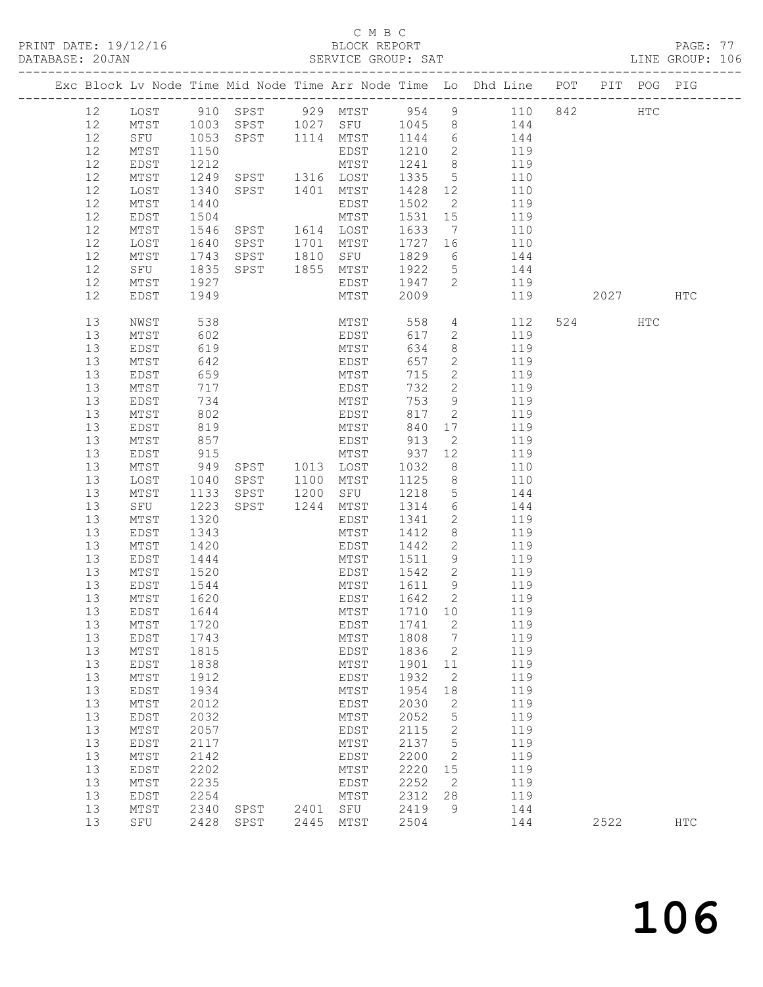#### C M B C<br>BLOCK REPORT

| DATABASE: 20JAN |    |                               |                           |                |                                           |          |                            |                                                                                |             |            |  |
|-----------------|----|-------------------------------|---------------------------|----------------|-------------------------------------------|----------|----------------------------|--------------------------------------------------------------------------------|-------------|------------|--|
|                 |    |                               |                           |                |                                           |          |                            | Exc Block Lv Node Time Mid Node Time Arr Node Time Lo Dhd Line POT PIT POG PIG |             |            |  |
|                 | 12 |                               |                           |                |                                           |          |                            | LOST 910 SPST 929 MTST 954 9 110 842 HTC                                       |             |            |  |
|                 | 12 |                               |                           |                |                                           |          |                            | MTST 1003 SPST 1027 SFU 1045 8 144                                             |             |            |  |
|                 | 12 |                               |                           |                |                                           |          |                            | SPST 1114 MTST 1144 6 144<br>EDST 1210 2 119<br>MTST 1241 8 119                |             |            |  |
|                 | 12 | SFU 1053<br>MTST 1150<br>MTST | 1150                      |                |                                           |          |                            |                                                                                |             |            |  |
|                 | 12 | EDST                          | $\frac{1}{212}$           |                |                                           |          |                            |                                                                                |             |            |  |
|                 | 12 | MTST                          | 1249                      |                | SPST 1316 LOST 1335                       |          |                            | 5 110                                                                          |             |            |  |
|                 | 12 |                               |                           |                |                                           |          |                            |                                                                                |             |            |  |
|                 |    | LOST                          | 1340                      |                | SPST 1401 MTST                            |          |                            | 1428 12 110                                                                    |             |            |  |
|                 | 12 | MTST                          | 1440                      |                | EDST                                      | 1502 2   |                            | 119                                                                            |             |            |  |
|                 | 12 | EDST                          | 1504                      |                | MTST                                      | 1531 15  |                            | 119                                                                            |             |            |  |
|                 | 12 | MTST                          | 1546                      | SPST 1614 LOST |                                           | 1633     |                            | 7 110                                                                          |             |            |  |
|                 | 12 | LOST                          | 1640                      | SPST 1701 MTST |                                           | 1727     | 16                         | 110                                                                            |             |            |  |
|                 | 12 | MTST 1743<br>SFU 1835         |                           |                | SPST 1810 SFU 1829<br>SPST 1855 MTST 1922 |          |                            | $\overline{6}$<br>144                                                          |             |            |  |
|                 | 12 |                               |                           |                |                                           |          | 5 <sup>5</sup>             | 144                                                                            |             |            |  |
|                 | 12 | MTST                          | 1927                      |                |                                           |          |                            | EDST 1947 2 119                                                                |             |            |  |
|                 | 12 | EDST                          | 1949                      |                | MTST                                      | 2009     |                            | 119                                                                            | 2027 — 2027 | <b>HTC</b> |  |
|                 |    |                               |                           |                |                                           |          |                            |                                                                                |             |            |  |
|                 | 13 | NWST                          | 538<br>602                |                | MTST<br>EDST                              | 558      |                            | $4\overline{ }$<br>112                                                         | 524 HTC     |            |  |
|                 | 13 | MTST                          |                           |                |                                           | 617      |                            | $\overline{2}$<br>119                                                          |             |            |  |
|                 | 13 | EDST                          | 619                       |                | MTST                                      | 634      |                            | $8 - 8$<br>119                                                                 |             |            |  |
|                 | 13 | MTST                          | 642                       |                | EDST<br>MTST                              | 657      | $\overline{2}$             | 119                                                                            |             |            |  |
|                 | 13 | EDST                          | 659                       |                |                                           | 715      | $2^{\circ}$                | 119                                                                            |             |            |  |
|                 | 13 | MTST                          | 717                       |                | EDST                                      | 732      | $\overline{2}$             | 119                                                                            |             |            |  |
|                 | 13 | EDST                          | 734                       |                | MTST                                      | 753      | 9                          | 119                                                                            |             |            |  |
|                 | 13 | MTST                          | 802                       |                |                                           | 817      | $\overline{2}$             | 119                                                                            |             |            |  |
|                 | 13 | EDST                          | 819                       |                | EDST<br>MTST                              | 840      | 17                         | 119                                                                            |             |            |  |
|                 | 13 | MTST                          | 857                       |                | EDST 913                                  |          | $\overline{2}$             | 119                                                                            |             |            |  |
|                 | 13 | EDST                          | 915                       |                | MTST 937 12                               |          |                            | 119                                                                            |             |            |  |
|                 | 13 | $\mathtt{MTST}$               |                           | SPST 1013 LOST |                                           | 1032     | 8 <sup>8</sup>             | 110                                                                            |             |            |  |
|                 | 13 | LOST                          | $949$<br>$1040$<br>$1133$ | SPST 1100 MTST |                                           | 1125     | 8 <sup>8</sup>             | 110                                                                            |             |            |  |
|                 | 13 | MTST                          | 1133                      | SPST           | 1200 SFU                                  | 1218     | $5\overline{)}$            | 144                                                                            |             |            |  |
|                 | 13 | SFU                           | 1223                      |                | SPST 1244 MTST 1314                       |          |                            | 6 144                                                                          |             |            |  |
|                 |    |                               |                           |                |                                           |          | $\overline{2}$             |                                                                                |             |            |  |
|                 | 13 | MTST                          | 1320                      |                | EDST                                      | 1341     |                            | 119                                                                            |             |            |  |
|                 | 13 | EDST                          | 1343                      |                | MTST                                      | 1412     | 8 <sup>8</sup>             | 119                                                                            |             |            |  |
|                 | 13 | MTST                          | 1420                      |                | EDST                                      | 1442     | $\overline{2}$             | 119                                                                            |             |            |  |
|                 | 13 | EDST                          | 1444                      |                | MTST                                      | 1511     |                            | 9 119                                                                          |             |            |  |
|                 | 13 | MTST                          | 1520                      |                | EDST                                      | 1542     |                            | 2 119                                                                          |             |            |  |
|                 | 13 | EDST                          | 1544<br>1620              |                | MTST                                      | 1611 9   |                            | 119                                                                            |             |            |  |
|                 | 13 | MTST                          |                           |                | EDST                                      | $1642$ 2 |                            | 119                                                                            |             |            |  |
|                 |    | 13 EDST 1644                  |                           |                |                                           |          |                            | MTST 1710 10 119                                                               |             |            |  |
|                 | 13 | MTST                          | 1720                      |                | EDST                                      | 1741     | 2                          | 119                                                                            |             |            |  |
|                 | 13 | EDST                          | 1743                      |                | MTST                                      | 1808     | $\overline{7}$             | 119                                                                            |             |            |  |
|                 | 13 | MTST                          | 1815                      |                | EDST                                      | 1836     | 2                          | 119                                                                            |             |            |  |
|                 | 13 | EDST                          | 1838                      |                | MTST                                      | 1901     | 11                         | 119                                                                            |             |            |  |
|                 | 13 | MTST                          | 1912                      |                | EDST                                      | 1932     | 2                          | 119                                                                            |             |            |  |
|                 | 13 | EDST                          | 1934                      |                | MTST                                      | 1954     | 18                         | 119                                                                            |             |            |  |
|                 | 13 | MTST                          | 2012                      |                | EDST                                      | 2030     | 2                          | 119                                                                            |             |            |  |
|                 |    |                               |                           |                |                                           |          |                            |                                                                                |             |            |  |
|                 | 13 | EDST                          | 2032                      |                | MTST                                      | 2052     | $5\phantom{.0}$            | 119                                                                            |             |            |  |
|                 | 13 | MTST                          | 2057                      |                | EDST                                      | 2115     | $\mathbf{2}$               | 119                                                                            |             |            |  |
|                 | 13 | EDST                          | 2117                      |                | MTST                                      | 2137     | $5\phantom{.0}$            | 119                                                                            |             |            |  |
|                 | 13 | MTST                          | 2142                      |                | EDST                                      | 2200     | $\overline{\phantom{0}}^2$ | 119                                                                            |             |            |  |
|                 | 13 | EDST                          | 2202                      |                | MTST                                      | 2220     | 15                         | 119                                                                            |             |            |  |
|                 | 13 | MTST                          | 2235                      |                | EDST                                      | 2252     | $\overline{\phantom{0}}^2$ | 119                                                                            |             |            |  |
|                 | 13 | EDST                          | 2254                      |                | MTST                                      | 2312     | 28                         | 119                                                                            |             |            |  |
|                 | 13 | MTST                          | 2340                      | SPST           | 2401 SFU                                  | 2419     | 9                          | 144                                                                            |             |            |  |
|                 | 13 | SFU                           |                           | 2428 SPST      | 2445 MTST                                 | 2504     |                            | 144                                                                            | 2522        | <b>HTC</b> |  |
|                 |    |                               |                           |                |                                           |          |                            |                                                                                |             |            |  |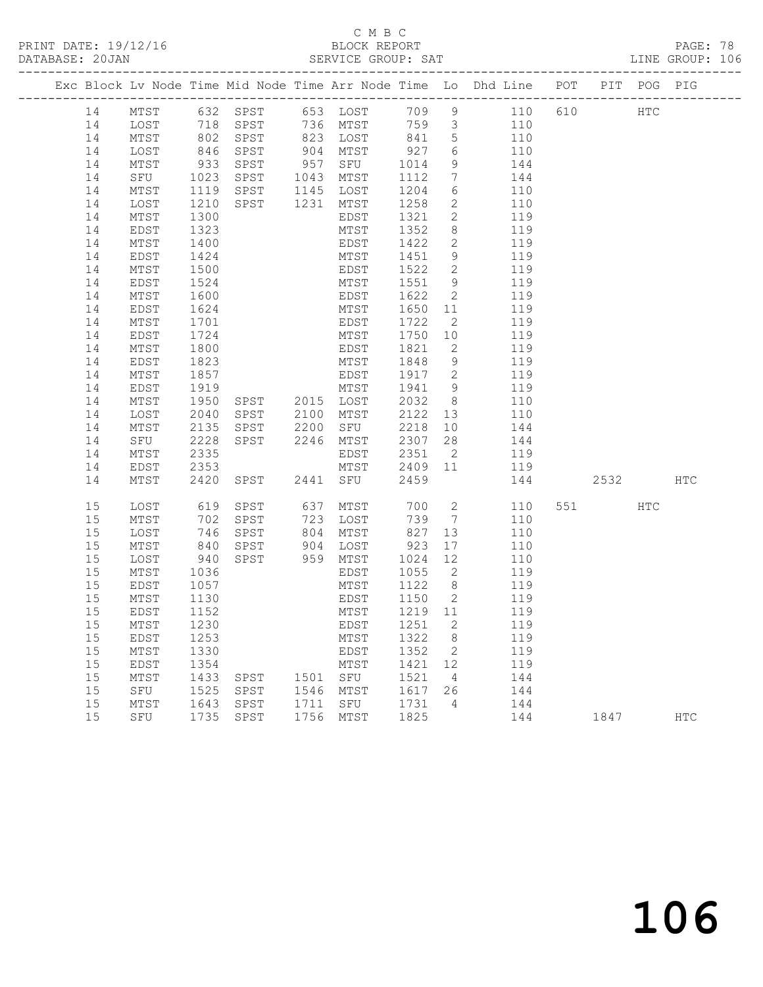PRINT DATE: 19/12/16 BLOCK REPORT BATABASE: 20JAN BLOCK REPORT

## C M B C<br>BLOCK REPORT

PAGE: 78<br>LINE GROUP: 106

|    |              |              |                                  |      |             |         |                            | Exc Block Lv Node Time Mid Node Time Arr Node Time Lo Dhd Line POT PIT POG PIG |     |          |              |              |
|----|--------------|--------------|----------------------------------|------|-------------|---------|----------------------------|--------------------------------------------------------------------------------|-----|----------|--------------|--------------|
| 14 | MTST         | 632 SPST     |                                  |      |             |         |                            | 653 LOST 709 9 110                                                             | 610 |          | $_{\rm HTC}$ |              |
| 14 | LOST         |              | 718    SPST<br>802    SPST       |      |             |         |                            | 110                                                                            |     |          |              |              |
| 14 | MTST         |              |                                  |      |             |         |                            | 110                                                                            |     |          |              |              |
| 14 | LOST         | 846          | SPST                             |      | 904 MTST    | 927     | $6\overline{6}$            | 110                                                                            |     |          |              |              |
| 14 | MTST         | 933          | SPST                             |      | 957 SFU     | 1014    | 9                          | 144                                                                            |     |          |              |              |
| 14 | SFU          | 1023<br>1119 | SPST                             |      | 1043 MTST   | 1112    | $7\overline{ }$            | 144                                                                            |     |          |              |              |
| 14 | MTST         |              | SPST                             |      | 1145 LOST   | 1204    | 6                          | 110                                                                            |     |          |              |              |
| 14 | LOST         | 1210         | SPST                             | 1231 | MTST        | 1258    | $\overline{2}$             | 110                                                                            |     |          |              |              |
| 14 | MTST         | 1300         |                                  |      | EDST        | 1321    | $\overline{2}$             | 119                                                                            |     |          |              |              |
| 14 | EDST         | 1323         |                                  |      | MTST        | 1352    | 8                          | 119                                                                            |     |          |              |              |
| 14 | MTST         | 1400         |                                  |      | EDST        | 1422    | $\mathbf{2}$               | 119                                                                            |     |          |              |              |
| 14 | EDST         | 1424         |                                  |      | MTST        | 1451    | 9                          | 119                                                                            |     |          |              |              |
| 14 | MTST         | 1500         |                                  |      | EDST        | 1522    | 2                          | 119                                                                            |     |          |              |              |
| 14 | EDST         | 1524         |                                  |      | MTST        | 1551    | 9                          | 119                                                                            |     |          |              |              |
| 14 | MTST         | 1600         |                                  |      | EDST        | 1622    | 2                          | 119                                                                            |     |          |              |              |
| 14 | EDST         | 1624         |                                  |      | MTST        | 1650    | 11                         | 119                                                                            |     |          |              |              |
| 14 | MTST         | 1701         |                                  |      | EDST        | 1722    | 2                          | 119                                                                            |     |          |              |              |
| 14 | EDST         | 1724         |                                  |      | MTST        | 1750    | 10                         | 119                                                                            |     |          |              |              |
| 14 | MTST         | 1800         |                                  |      | EDST        | 1821    | $\overline{2}$             | 119                                                                            |     |          |              |              |
| 14 | EDST         | 1823         |                                  |      | MTST        | 1848    | 9                          | 119                                                                            |     |          |              |              |
| 14 | MTST         | 1857         |                                  |      | EDST        | 1917 2  |                            | 119                                                                            |     |          |              |              |
| 14 | EDST         | 1919         |                                  |      | MTST        | 1941    | 9                          | 119                                                                            |     |          |              |              |
| 14 | MTST         | 1950         | SPST 2015 LOST<br>SPST 2100 MTST |      |             | 2032    | 8 <sup>8</sup>             | 110                                                                            |     |          |              |              |
| 14 | LOST         | 2040         |                                  |      |             | 2122    | 13                         | 110                                                                            |     |          |              |              |
| 14 | MTST         | 2135         | SPST 2200                        |      | SFU         | 2218    | 10                         | 144                                                                            |     |          |              |              |
| 14 | SFU          | 2228         | SPST                             | 2246 | MTST        | 2307    | 28                         | 144                                                                            |     |          |              |              |
| 14 | MTST         | 2335         |                                  |      | EDST        | 2351    | $\overline{\phantom{a}}$ 2 | 119                                                                            |     |          |              |              |
| 14 | EDST         | 2353         |                                  |      | MTST        | 2409 11 |                            | 119                                                                            |     |          |              |              |
| 14 | MTST         | 2420         | SPST                             |      | 2441 SFU    | 2459    |                            | 144                                                                            |     | 2532 HTC |              |              |
| 15 | LOST         | 619          | SPST                             |      | 637 MTST    | 700     | $\overline{2}$             | 110                                                                            |     | 551 HTC  |              |              |
| 15 | MTST         | 702          | SPST                             | 723  | LOST        | 739     | $\overline{7}$             | 110                                                                            |     |          |              |              |
| 15 | LOST         | 746          | SPST                             | 804  | MTST        | 827     | 13                         | 110                                                                            |     |          |              |              |
| 15 | MTST         | 840          | SPST                             | 904  | LOST        | 923     | 17                         | 110                                                                            |     |          |              |              |
| 15 | LOST         | 940          | SPST                             |      | 959 MTST    | 1024    | 12                         | 110                                                                            |     |          |              |              |
| 15 | MTST         | 1036         |                                  |      | EDST        | 1055    | $\overline{2}$             | 119                                                                            |     |          |              |              |
| 15 | EDST         | 1057         |                                  |      | MTST        | 1122 8  |                            | 119                                                                            |     |          |              |              |
| 15 | MTST         | 1130         |                                  |      | EDST        | 1150 2  |                            | 119                                                                            |     |          |              |              |
| 15 | EDST         | 1152         |                                  |      | MTST        | 1219 11 |                            | 119                                                                            |     |          |              |              |
|    | 15 MTST 1230 |              |                                  |      | EDST 1251 2 |         |                            | 119                                                                            |     |          |              |              |
| 15 | EDST         | 1253         |                                  |      | MTST        | 1322    | 8                          | 119                                                                            |     |          |              |              |
| 15 | MTST         | 1330         |                                  |      | EDST        | 1352    | 2                          | 119                                                                            |     |          |              |              |
| 15 | <b>EDST</b>  | 1354         |                                  |      | MTST        | 1421    | 12                         | 119                                                                            |     |          |              |              |
| 15 | MTST         | 1433         | SPST                             | 1501 | ${\tt SFU}$ | 1521    | 4                          | 144                                                                            |     |          |              |              |
| 15 | SFU          | 1525         | SPST                             | 1546 | MTST        | 1617    | 26                         | 144                                                                            |     |          |              |              |
| 15 | MTST         | 1643         | SPST                             | 1711 | SFU         | 1731    | 4                          | 144                                                                            |     |          |              |              |
| 15 | SFU          | 1735         | SPST                             | 1756 | MTST        | 1825    |                            | 144                                                                            |     | 1847     |              | $_{\rm HTC}$ |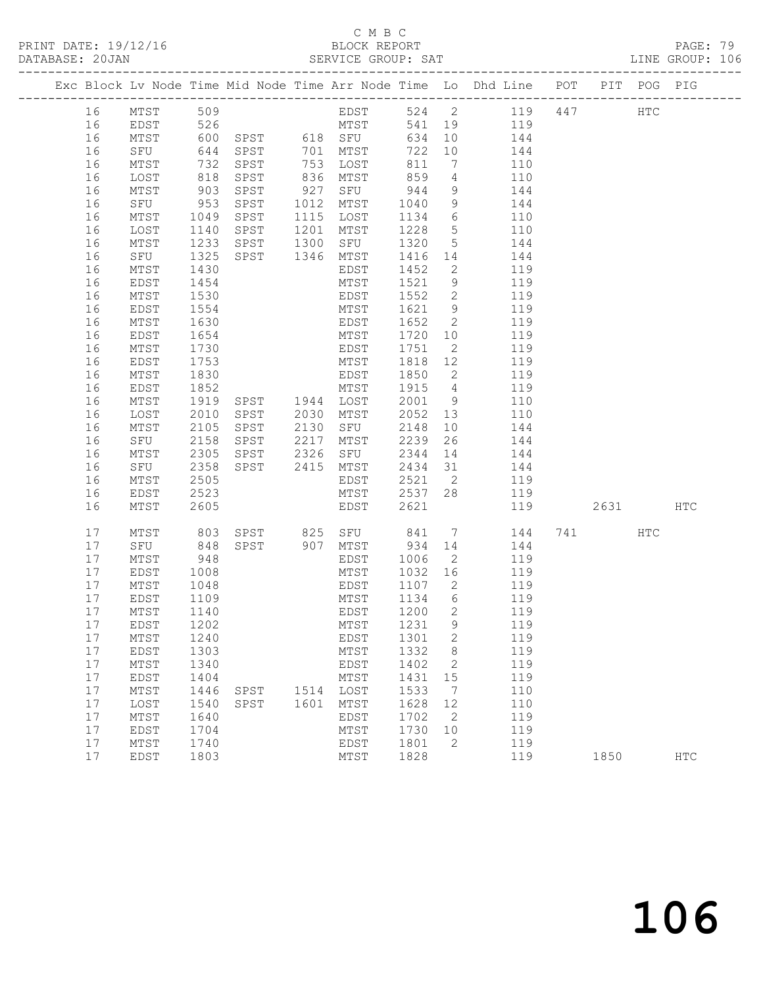PRINT DATE: 19/12/16 BLOCK REPORT BATABASE: 20JAN BLOCK REPORT

#### C M B C<br>BLOCK REPORT

PAGE: 79<br>LINE GROUP: 106

|  |          |                 |            |                |      |                  |         |                 | Exc Block Lv Node Time Mid Node Time Arr Node Time Lo Dhd Line POT PIT POG PIG |     |          |            |            |
|--|----------|-----------------|------------|----------------|------|------------------|---------|-----------------|--------------------------------------------------------------------------------|-----|----------|------------|------------|
|  | 16       | MTST            | 509        |                |      | EDST             |         |                 | 524 2 119                                                                      | 447 |          | <b>HTC</b> |            |
|  | 16       | EDST            |            |                |      |                  | 541 19  |                 | 119                                                                            |     |          |            |            |
|  | 16       | MTST            | 526<br>600 |                |      |                  | 634     | 10              | 144                                                                            |     |          |            |            |
|  | 16       | SFU             | 644        | SPST           |      | 701 MTST         | 722     | 10              | 144                                                                            |     |          |            |            |
|  | 16       | MTST            | 732        | SPST           |      | 753 LOST         | 811     | $7\overline{ }$ | 110                                                                            |     |          |            |            |
|  | 16       | LOST            |            | SPST           |      | 836 MTST         | 859     | 4               | 110                                                                            |     |          |            |            |
|  | 16       | MTST            | 818<br>903 | SPST           | 927  | SFU              | 944     | 9               | 144                                                                            |     |          |            |            |
|  | 16       | SFU             | 953        | SPST           | 1012 | MTST             | 1040    | 9               | 144                                                                            |     |          |            |            |
|  | 16       | MTST            | 1049       | SPST           | 1115 | LOST             | 1134    | $6\overline{6}$ | 110                                                                            |     |          |            |            |
|  | 16       | LOST            | 1140       | SPST           | 1201 | MTST             | 1228    | $5\overline{)}$ | 110                                                                            |     |          |            |            |
|  | 16       | MTST            | 1233       | SPST           | 1300 | SFU              | 1320    | $5\overline{)}$ | 144                                                                            |     |          |            |            |
|  | 16       | SFU             | 1325       | SPST 1346      |      | MTST             | 1416 14 |                 | 144                                                                            |     |          |            |            |
|  | 16       | MTST            | 1430       |                |      | EDST             | 1452    | $\overline{2}$  | 119                                                                            |     |          |            |            |
|  | 16       | EDST            | 1454       |                |      | MTST             | 1521    | 9               | 119                                                                            |     |          |            |            |
|  | 16       | MTST            | 1530       |                |      | EDST             | 1552    | $\overline{2}$  | 119                                                                            |     |          |            |            |
|  | 16       | EDST            | 1554       |                |      | MTST             | 1621    | 9               | 119                                                                            |     |          |            |            |
|  | 16       | MTST            | 1630       |                |      | EDST             | 1652    | $\overline{2}$  | 119                                                                            |     |          |            |            |
|  | 16       | EDST            | 1654       |                |      | MTST             | 1720    | 10              | 119                                                                            |     |          |            |            |
|  | 16       | MTST            | 1730       |                |      | EDST             | 1751    | $\overline{2}$  | 119                                                                            |     |          |            |            |
|  | 16       | EDST            | 1753       |                |      | MTST             | 1818 12 |                 | 119                                                                            |     |          |            |            |
|  | 16       | MTST            | 1830       |                |      | EDST             | 1850    | $\overline{2}$  | 119                                                                            |     |          |            |            |
|  | 16       | EDST            | 1852       |                |      | MTST             | 1915    | $\overline{4}$  | 119                                                                            |     |          |            |            |
|  | 16       | MTST            | 1919       | SPST 1944 LOST |      |                  | 2001    | 9               | 110                                                                            |     |          |            |            |
|  | 16       | LOST            | 2010       | SPST           |      | 2030 MTST        | 2052    | 13              | 110                                                                            |     |          |            |            |
|  | 16       | MTST            | 2105       | SPST           | 2130 | SFU              | 2148    | 10              | 144                                                                            |     |          |            |            |
|  | 16       | SFU             | 2158       | SPST           | 2217 | MTST             | 2239    | 26              | 144                                                                            |     |          |            |            |
|  | 16       | MTST            | 2305       |                | 2326 |                  | 2344    | 14              |                                                                                |     |          |            |            |
|  |          |                 | 2358       | SPST           | 2415 | SFU              | 2434 31 |                 | 144                                                                            |     |          |            |            |
|  | 16<br>16 | SFU<br>MTST     | 2505       | SPST           |      | MTST<br>EDST     | 2521    | $\overline{2}$  | 144<br>119                                                                     |     |          |            |            |
|  | 16       | EDST            | 2523       |                |      | MTST             | 2537 28 |                 | 119                                                                            |     |          |            |            |
|  | 16       | MTST            | 2605       |                |      | EDST             | 2621    |                 | 119                                                                            |     | 2631 200 |            | HTC        |
|  |          |                 |            |                |      |                  |         |                 |                                                                                |     |          |            |            |
|  | 17       | MTST            | 803        |                |      | SPST 825 SFU 841 |         |                 | $7\overline{ }$<br>144                                                         |     | 741      | HTC        |            |
|  | 17       | SFU             | 848        | SPST           |      | 907 MTST         | 934     | 14              | 144                                                                            |     |          |            |            |
|  | 17       | MTST            | 948        |                |      | EDST             | 1006    | $\overline{2}$  | 119                                                                            |     |          |            |            |
|  | 17       | EDST            | 1008       |                |      | MTST             | 1032    | 16              | 119                                                                            |     |          |            |            |
|  | 17       | MTST            | 1048       |                |      | EDST             | 1107 2  |                 | 119                                                                            |     |          |            |            |
|  | 17       | EDST            | 1109       |                |      | MTST             | 1134    | $6\overline{6}$ | 119                                                                            |     |          |            |            |
|  | 17       | MTST            | 1140       |                |      | EDST             | 1200    | $\overline{2}$  | 119                                                                            |     |          |            |            |
|  |          | 17 EDST 1202    |            |                |      | MTST 1231 9      |         |                 | 119                                                                            |     |          |            |            |
|  | 17       | MTST            | 1240       |                |      | EDST             | 1301    | $\mathbf{2}$    | 119                                                                            |     |          |            |            |
|  | 17       | EDST            | 1303       |                |      | MTST             | 1332    | 8               | 119                                                                            |     |          |            |            |
|  | 17       | MTST            | 1340       |                |      | <b>EDST</b>      | 1402    | 2               | 119                                                                            |     |          |            |            |
|  | 17       | EDST            | 1404       |                |      | MTST             | 1431    | 15              | 119                                                                            |     |          |            |            |
|  | 17       | $\mathtt{MTST}$ | 1446       | SPST           | 1514 | LOST             | 1533    | 7               | 110                                                                            |     |          |            |            |
|  | 17       | LOST            | 1540       | SPST           | 1601 | MTST             | 1628    | 12              | 110                                                                            |     |          |            |            |
|  | 17       | MTST            | 1640       |                |      | EDST             | 1702    | 2               | 119                                                                            |     |          |            |            |
|  | 17       | EDST            | 1704       |                |      | MTST             | 1730    | 10              | 119                                                                            |     |          |            |            |
|  | 17       | MTST            | 1740       |                |      | EDST             | 1801    | 2               | 119                                                                            |     |          |            |            |
|  | 17       | EDST            | 1803       |                |      | MTST             | 1828    |                 | 119                                                                            |     | 1850     |            | <b>HTC</b> |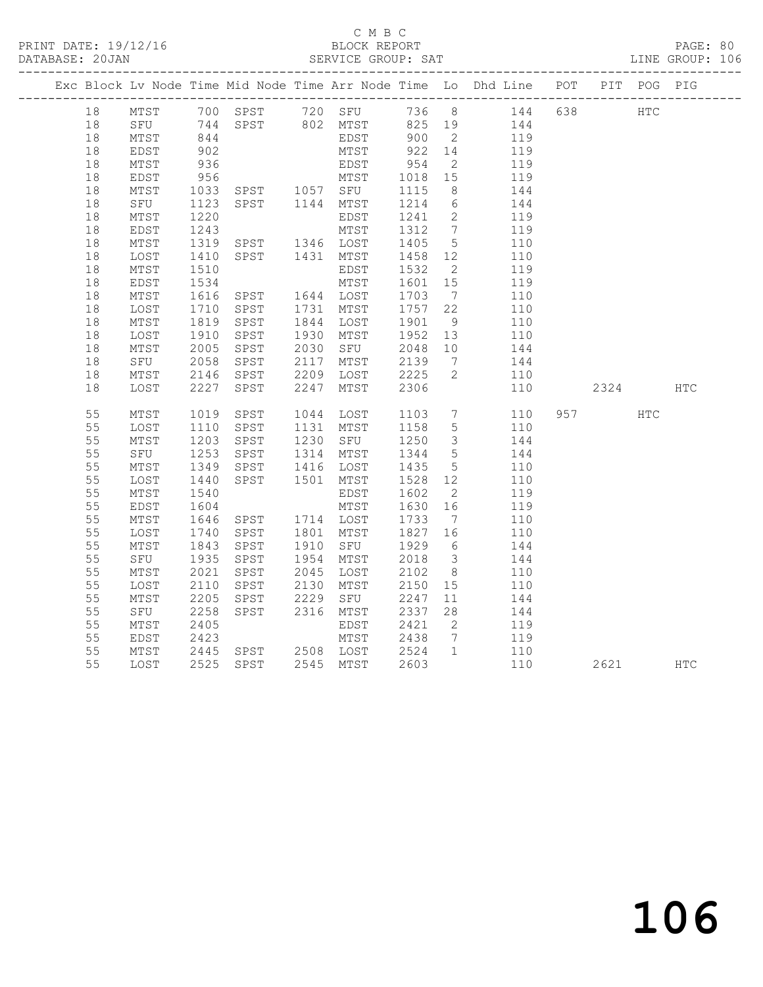#### C M B C<br>BLOCK REPORT

#### PAGE: 80<br>LINE GROUP: 106

|    |      |                  |                                  |      |                                                        |         |                         | Exc Block Lv Node Time Mid Node Time Arr Node Time Lo Dhd Line POT PIT POG PIG |           |            |     |
|----|------|------------------|----------------------------------|------|--------------------------------------------------------|---------|-------------------------|--------------------------------------------------------------------------------|-----------|------------|-----|
| 18 |      |                  |                                  |      |                                                        |         |                         | MTST 700 SPST 720 SFU 736 8 144 638 HTC                                        |           |            |     |
| 18 |      |                  |                                  |      |                                                        |         |                         | 144                                                                            |           |            |     |
| 18 | MTST |                  |                                  |      |                                                        |         |                         | 119                                                                            |           |            |     |
| 18 | EDST | 902              |                                  |      | MTST                                                   | 922 14  |                         | 119                                                                            |           |            |     |
| 18 | MTST | 936              |                                  |      | EDST                                                   | 954     | $\overline{2}$          | 119                                                                            |           |            |     |
| 18 | EDST | 956              |                                  |      | MTST 1018 15                                           |         |                         | 119                                                                            |           |            |     |
| 18 | MTST |                  |                                  |      |                                                        |         | 8 <sup>8</sup>          | 144                                                                            |           |            |     |
| 18 | SFU  | 1033<br>1123     |                                  |      | MTST 1018<br>SPST 1057 SFU 1115<br>SPST 1144 MTST 1214 |         | $6\overline{6}$         | 144                                                                            |           |            |     |
| 18 | MTST | 1220             |                                  |      | EDST                                                   | 1241    | $\overline{2}$          | 119                                                                            |           |            |     |
| 18 | EDST | 1243             |                                  |      | MTST                                                   | 1312    | $7\overline{ }$         | 119                                                                            |           |            |     |
| 18 | MTST | 1319             |                                  |      |                                                        | 1405    | $5\overline{)}$         | 110                                                                            |           |            |     |
| 18 | LOST | 1410             | SPST 1431 MTST                   |      |                                                        | 1458 12 |                         | 110                                                                            |           |            |     |
| 18 | MTST | 1510             |                                  |      | EDST                                                   | 1532    | $\overline{2}$          | 119                                                                            |           |            |     |
| 18 | EDST | 1534             |                                  |      | MTST                                                   | 1601 15 |                         | 119                                                                            |           |            |     |
| 18 | MTST | 1616<br>1710     | SPST 1644 LOST<br>SPST 1731 MTST |      |                                                        | 1703    | $\overline{7}$          | 110                                                                            |           |            |     |
| 18 | LOST |                  |                                  |      |                                                        | 1757    | 22                      | 110                                                                            |           |            |     |
| 18 | MTST |                  | SPST                             |      | 1844 LOST                                              | 1901    | 9                       | 110                                                                            |           |            |     |
| 18 | LOST | 1819<br>1910     | SPST                             |      | 1930 MTST                                              | 1952 13 |                         | 110                                                                            |           |            |     |
| 18 | MTST | 2005             | SPST                             |      | 2030 SFU                                               | 2048 10 |                         | 144                                                                            |           |            |     |
| 18 | SFU  | 2058             | SPST                             | 2117 | MTST                                                   | 2139    | $\overline{7}$          | 144                                                                            |           |            |     |
| 18 | MTST | 2146             | SPST                             | 2209 | LOST                                                   | 2225    | 2                       | 110                                                                            |           |            |     |
| 18 | LOST | 2227             | SPST                             | 2247 | MTST                                                   | 2306    |                         | 110                                                                            | 2324      |            | HTC |
| 55 | MTST | 1019             | SPST                             |      | 1044 LOST                                              | 1103    | $7\overline{ }$         | 110                                                                            | 957 — 100 | <b>HTC</b> |     |
| 55 | LOST | 1110             | SPST                             |      | 1131 MTST                                              | 1158    | $5\overline{)}$         | 110                                                                            |           |            |     |
| 55 | MTST | 1203             | SPST                             |      | 1230 SFU                                               | 1250    | $\overline{\mathbf{3}}$ | 144                                                                            |           |            |     |
| 55 | SFU  | 1253             | SPST                             |      | 1314 MTST                                              | 1344    | $5\overline{)}$         | 144                                                                            |           |            |     |
| 55 | MTST | 1349             | SPST                             | 1416 | LOST                                                   | 1435    | 5 <sup>5</sup>          | 110                                                                            |           |            |     |
| 55 | LOST | $1342$<br>$1440$ | SPST                             |      | 1501 MTST                                              | 1528 12 |                         | 110                                                                            |           |            |     |
| 55 | MTST | 1540             |                                  |      | EDST                                                   | 1602    | $\overline{2}$          | 119                                                                            |           |            |     |
| 55 | EDST | 1604             |                                  |      | MTST                                                   | 1630 16 |                         | 119                                                                            |           |            |     |
| 55 | MTST | 1646             | SPST 1714 LOST                   |      |                                                        | 1733    | $\overline{7}$          | 110                                                                            |           |            |     |
| 55 | LOST | 1740             | SPST                             | 1801 | MTST                                                   | 1827 16 |                         | 110                                                                            |           |            |     |
| 55 | MTST | 1843             | SPST                             |      | 1910 SFU                                               | 1929    | $6\overline{6}$         | 144                                                                            |           |            |     |
| 55 | SFU  | 1935             | SPST                             |      | 1954 MTST                                              | 2018    | $\overline{\mathbf{3}}$ | 144                                                                            |           |            |     |
| 55 | MTST | 2021             | SPST                             |      | 2045 LOST                                              | 2102    | 8 <sup>8</sup>          | 110                                                                            |           |            |     |
| 55 | LOST | 2110             | SPST                             | 2130 | MTST                                                   | 2150 15 |                         | 110                                                                            |           |            |     |
| 55 | MTST | 2205             | SPST                             | 2229 | SFU                                                    | 2247    | 11                      | 144                                                                            |           |            |     |
| 55 | SFU  | 2258             | SPST                             |      | 2316 MTST                                              | 2337    | 28                      | 144                                                                            |           |            |     |
| 55 | MTST | 2405             |                                  |      | EDST                                                   | 2421    | $\overline{2}$          | 119                                                                            |           |            |     |
| 55 | EDST | 2423             |                                  |      | MTST                                                   | 2438    | $7\overline{ }$         | 119                                                                            |           |            |     |
| 55 | MTST | 2445             | SPST 2508 LOST                   |      |                                                        | 2524    | $\overline{1}$          | 110                                                                            |           |            |     |
| 55 | LOST |                  | 2525 SPST 2545 MTST              |      |                                                        | 2603    |                         | 110                                                                            | 2621 HTC  |            |     |
|    |      |                  |                                  |      |                                                        |         |                         |                                                                                |           |            |     |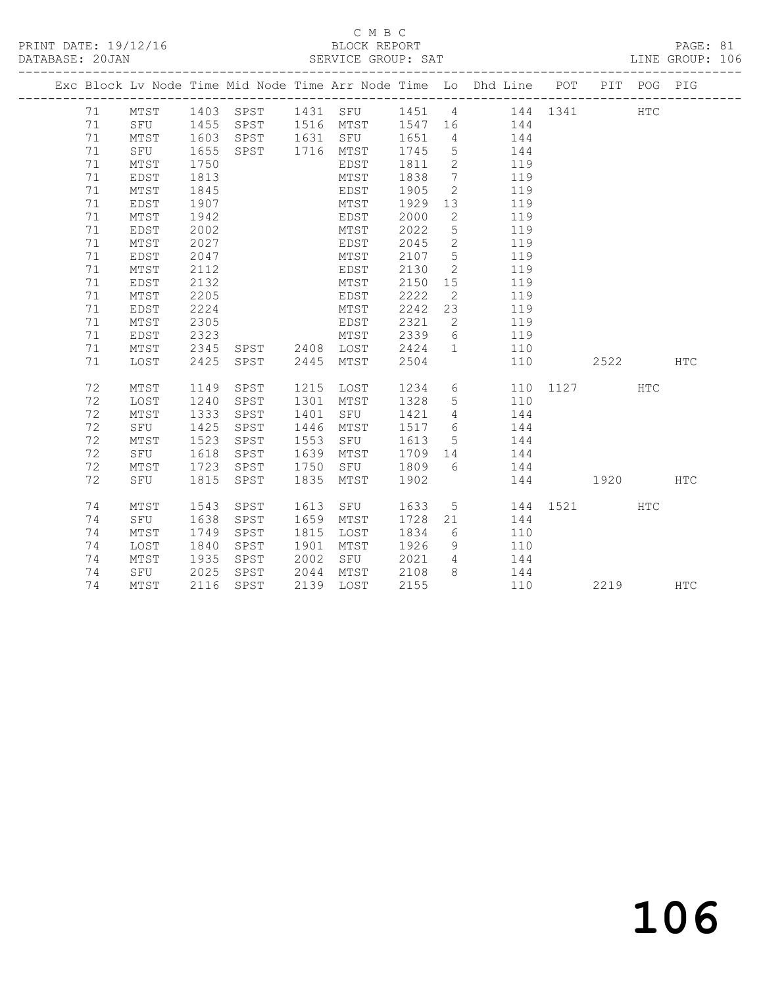### C M B C<br>BLOCK REPORT

|    |      |              | PRINT DATE: 19/12/16 BLOCK REPORT DATABASE: 20JAN SERVICE GROUP: SAT |      |           |              |                 |                                                                                |          |            | PAGE: 81<br>LINE GROUP: 106 |  |
|----|------|--------------|----------------------------------------------------------------------|------|-----------|--------------|-----------------|--------------------------------------------------------------------------------|----------|------------|-----------------------------|--|
|    |      |              |                                                                      |      |           |              |                 | Exc Block Lv Node Time Mid Node Time Arr Node Time Lo Dhd Line POT PIT POG PIG |          |            |                             |  |
| 71 | MTST |              |                                                                      |      |           |              |                 | 1403 SPST 1431 SFU 1451 4 144 1341                                             |          | <b>HTC</b> |                             |  |
| 71 |      |              |                                                                      |      |           |              |                 | SFU 1455 SPST 1516 MTST 1547 16 144                                            |          |            |                             |  |
| 71 | MTST |              |                                                                      |      |           |              |                 |                                                                                |          |            |                             |  |
| 71 |      |              |                                                                      |      |           |              |                 | MTST 1603 SPST 1631 SFU 1651 4 144<br>SFU 1655 SPST 1716 MTST 1745 5 144       |          |            |                             |  |
| 71 | MTST | 1750         |                                                                      |      | EDST      | 1811         |                 | 2 119                                                                          |          |            |                             |  |
| 71 | EDST | 1813         |                                                                      |      | MTST      | 1838         |                 | 7 119                                                                          |          |            |                             |  |
| 71 | MTST | 1845         |                                                                      |      | EDST 1905 |              |                 | 2 119                                                                          |          |            |                             |  |
| 71 | EDST | 1907         |                                                                      |      | MTST      | 1929         |                 | 13 119                                                                         |          |            |                             |  |
| 71 | MTST | 1942         |                                                                      |      | EDST      | 2000         |                 | 2 119                                                                          |          |            |                             |  |
| 71 | EDST | 2002         |                                                                      |      | MTST      | 2022<br>2045 |                 | 5 119                                                                          |          |            |                             |  |
| 71 | MTST | 2027         |                                                                      |      | EDST      |              |                 | $\begin{array}{ccc} 2 & & 119 \\ 5 & & 119 \\ & & 119 \end{array}$             |          |            |                             |  |
| 71 | EDST | 2047         |                                                                      |      | MTST      | 2107         | 5 <sup>5</sup>  |                                                                                |          |            |                             |  |
| 71 | MTST | 2112         |                                                                      |      | EDST      | 2130         | $\overline{2}$  | 119                                                                            |          |            |                             |  |
| 71 | EDST | 2132         |                                                                      |      | MTST      | 2150         |                 | 15 119                                                                         |          |            |                             |  |
| 71 | MTST | 2205         |                                                                      |      | EDST      | 2222         |                 | 2 119                                                                          |          |            |                             |  |
| 71 | EDST | 2224         |                                                                      |      | MTST      | 2242         |                 | 23 119                                                                         |          |            |                             |  |
| 71 | MTST | 2305         |                                                                      |      | EDST      | 2321         |                 | 2 119                                                                          |          |            |                             |  |
| 71 | EDST |              |                                                                      |      |           | 2339<br>2424 | $6\overline{6}$ | 119                                                                            |          |            |                             |  |
| 71 | MTST |              |                                                                      |      |           |              | $\mathbf 1$     | 110                                                                            |          |            |                             |  |
| 71 | LOST |              |                                                                      |      |           | 2504         |                 | 110                                                                            |          | 2522 HTC   |                             |  |
| 72 | MTST |              | 1149 SPST                                                            |      | 1215 LOST |              |                 | 1234 6 110 1127                                                                |          | HTC        |                             |  |
| 72 | LOST | 1240         | SPST                                                                 |      |           |              |                 | 1301 MTST 1328 5 110                                                           |          |            |                             |  |
| 72 | MTST | 1333         | SPST                                                                 | 1401 | SFU 1421  |              |                 | 4 144                                                                          |          |            |                             |  |
| 72 | SFU  | 1425         | SPST                                                                 | 1446 | MTST      | 1517         |                 | 6 144                                                                          |          |            |                             |  |
| 72 | MTST | 1523<br>1618 | SPST                                                                 | 1553 | SFU       | 1613         | 5 <sub>1</sub>  | 144                                                                            |          |            |                             |  |
| 72 | SFU  | 1618         | SPST                                                                 | 1639 | MTST      | $1709$ 14    |                 | $144$<br>$144$                                                                 |          |            |                             |  |
| 72 | MTST | 1723         | SPST                                                                 | 1750 | SFU       | 1809         | $6\overline{6}$ |                                                                                |          |            |                             |  |
| 72 | SFU  | 1815         | SPST                                                                 | 1835 | MTST      | 1902         |                 |                                                                                | 144 1920 |            | HTC                         |  |
| 74 | MTST | 1543         | SPST                                                                 | 1613 | SFU       | 1633         |                 | 5 144 1521                                                                     |          | <b>HTC</b> |                             |  |
| 74 | SFU  | 1638         | SPST                                                                 |      | 1659 MTST | 1728         |                 | 21 144                                                                         |          |            |                             |  |
| 74 | MTST | 1749         | SPST                                                                 |      | 1815 LOST | 1834         | $6\overline{6}$ | 110                                                                            |          |            |                             |  |
| 74 | LOST | 1840         | SPST                                                                 |      | 1901 MTST | 1926         | 9               | $110$                                                                          |          |            |                             |  |
| 74 | MTST | 1935         | SPST                                                                 | 2002 | SFU       | 2021 4       |                 | 144                                                                            |          |            |                             |  |

74 MTST 2116 SPST 2139 LOST 2155 110 2219 HTC

74 SFU 2025 SPST 2044 MTST 2108 8 144

# 106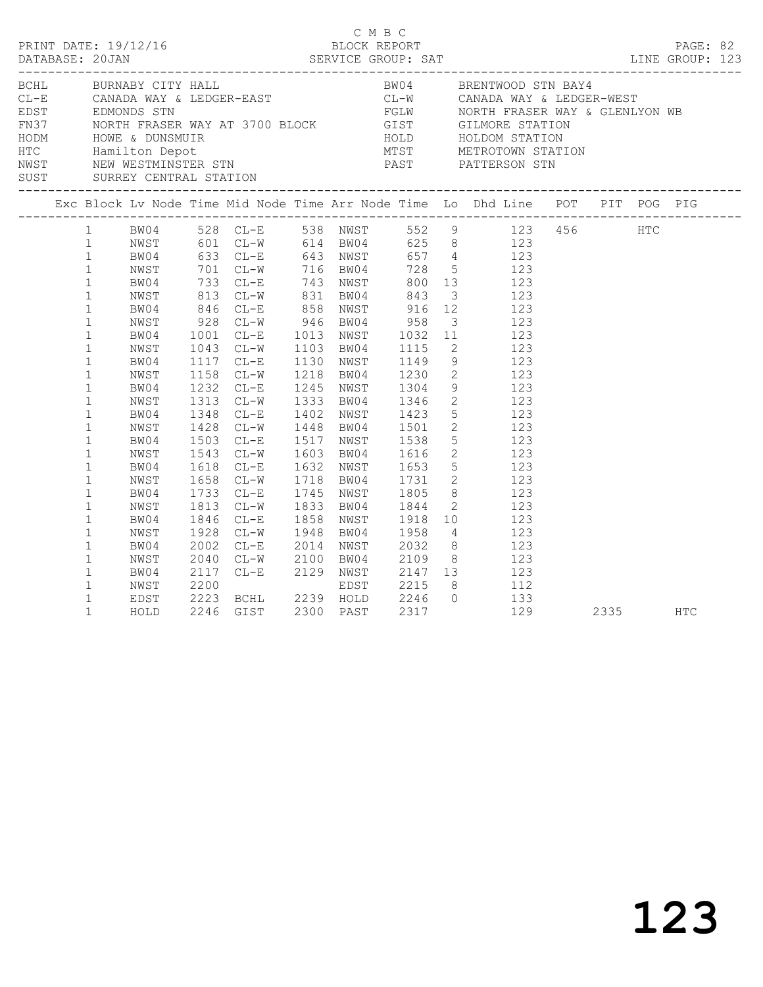| PRINT DATE: 19/12/16<br>PRINT DATE: 19/12/16 BLOCK REPORT PRINT DATE: 19/12/16 BLOCK REPORT PRINT DATE: 19/12/16 BLOCK REPORT PRINT PROFE: 82<br>DATABASE: 20JAN SERVICE GROUP: SAT LINE GROUP: 123                                                                   |  |                                                                                      |  |                                     | C M B C |  |                                                                                                                                                                                                                                                                                                                                                                                                                                                                                                                                                                                                                                                                                                                                                                                                        |      |            |  |
|-----------------------------------------------------------------------------------------------------------------------------------------------------------------------------------------------------------------------------------------------------------------------|--|--------------------------------------------------------------------------------------|--|-------------------------------------|---------|--|--------------------------------------------------------------------------------------------------------------------------------------------------------------------------------------------------------------------------------------------------------------------------------------------------------------------------------------------------------------------------------------------------------------------------------------------------------------------------------------------------------------------------------------------------------------------------------------------------------------------------------------------------------------------------------------------------------------------------------------------------------------------------------------------------------|------|------------|--|
|                                                                                                                                                                                                                                                                       |  |                                                                                      |  |                                     |         |  |                                                                                                                                                                                                                                                                                                                                                                                                                                                                                                                                                                                                                                                                                                                                                                                                        |      |            |  |
|                                                                                                                                                                                                                                                                       |  |                                                                                      |  |                                     |         |  | Exc Block Lv Node Time Mid Node Time Arr Node Time Lo Dhd Line POT PIT POG PIG                                                                                                                                                                                                                                                                                                                                                                                                                                                                                                                                                                                                                                                                                                                         |      |            |  |
| $\mathbf{1}$<br>$1\,$<br>$\mathbf{1}$<br>$\mathbf{1}$<br>$\mathbf{1}$<br>$\mathbf{1}$<br>$\mathbf{1}$<br>$\mathbf{1}$<br>$\mathbf{1}$<br>$\mathbf{1}$<br>$\mathbf{1}$<br>$\mathbf{1}$<br>$\mathbf{1}$<br>$\mathbf{1}$<br>$\mathbf{1}$<br>$\mathbf{1}$<br>$\mathbf{1}$ |  | BW04<br>NWST<br>BW04<br>NWST<br>BW04<br>NWST<br>BW04<br>NWST<br>BW04<br>NWST<br>BW04 |  |                                     |         |  | 1 BW04 528 CL-E 538 NWST 552 9 123 456 HTC<br>1 NWST 601 CL-W 614 BW04 625 8 123<br>1 BW04 633 CL-E 643 NWST 657 4 123<br>1 NWST 701 CL-W 716 BW04 728 5 123<br>NW51<br>BW04<br>23<br>NWST 813 CL-W 831 BW04 843 3 123<br>BW04 846 CL-E 858 NWST 916 12 123<br>NWST 928 CL-W 946 BW04 958 3 123<br>BW04 1001 CL-E 1013 NWST 1032 11 123<br>NWST 1043 CL-W 1103 BW04 1115 2 123<br>1117 CL-E 1130 NWST 1149 9 123<br>1158 CL-W 1218 BW04 1230 2 123<br>1232 CL-E 1245 NWST 1304 9 123<br>1313 CL-W 1333 BW04 1346 2 123<br>1348 CL-E 1402 NWST 1423 5 123<br>1428 CL-W 1448 BW04 1501 2 123<br>1503 CL-E 1517 NWST 1538 5 123<br>1543 CL-W 1603 BW04 1616 2 123<br>1618 CL-E 1632 NWST 1653 5 123<br>1658 CL-W 1718 BW04 1731 2 123<br>1733 CL-E 1745 NWST 1805 8 123<br>1813 CL-W 1833 BW04 1844 2 123 |      |            |  |
| $\mathbf{1}$<br>$\mathbf{1}$<br>$\mathbf{1}$<br>$\mathbf{1}$<br>$\mathbf{1}$<br>$\mathbf{1}$<br>$\mathbf{1}$<br>$\mathbf{1}$<br>$\mathbf{1}$                                                                                                                          |  | NWST<br>BW04<br>NWST<br>BW04<br>NWST<br>BW04<br>NWST<br>EDST<br>HOLD                 |  | 1846 CL-E<br>1928 CL-W<br>2002 CL-E |         |  | 1858 NWST 1918 10 123<br>1948 BW04 1958 4 123<br>2014 NWST 2032 8 123<br>2040 CL-W 2100 BW04 2109 8 123<br>2117 CL-E 2129 NWST 2147 13 123<br>2200 EDST 2215 8 112<br>2223 BCHL 2239 HOLD 2246 0 133<br>2246 GIST 2300 PAST 2317 129<br>129                                                                                                                                                                                                                                                                                                                                                                                                                                                                                                                                                            | 2335 | <b>HTC</b> |  |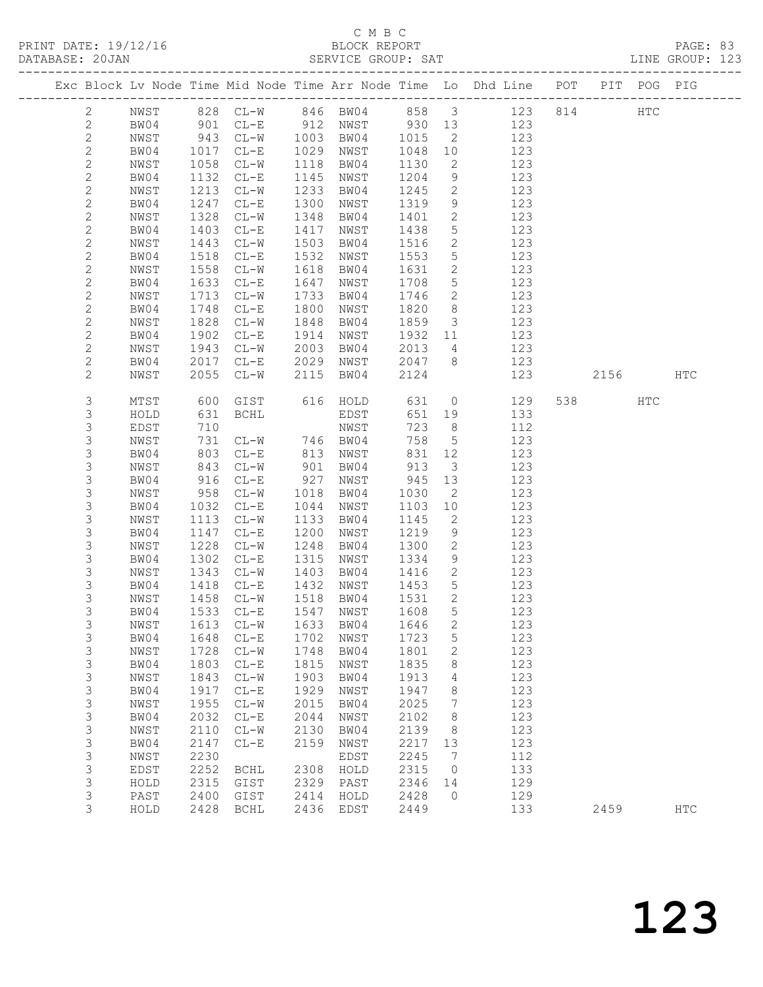## C M B C

| DATABASE: 20JAN |                  |              |                   |                        |              | SERVICE GROUP: SAT                                                              |              |                         |                                                                                |        |     | LINE GROUP: 123 |  |
|-----------------|------------------|--------------|-------------------|------------------------|--------------|---------------------------------------------------------------------------------|--------------|-------------------------|--------------------------------------------------------------------------------|--------|-----|-----------------|--|
|                 |                  |              |                   |                        |              |                                                                                 |              |                         | Exc Block Lv Node Time Mid Node Time Arr Node Time Lo Dhd Line POT PIT POG PIG |        |     |                 |  |
|                 | 2                | NWST         |                   |                        |              |                                                                                 |              |                         | 828 CL-W 846 BW04 858 3 123 814 HTC                                            |        |     |                 |  |
|                 | $\mathbf{2}$     | BW04         |                   |                        |              |                                                                                 |              |                         | 901 CL-E 912 NWST 930 13 123                                                   |        |     |                 |  |
|                 | $\mathbf{2}$     | NWST         |                   |                        |              | 943 CL-W 1003 BW04 1015<br>1017 CL-E 1029 NWST 1048<br>1058 CL-W 1118 BW04 1130 |              | $\overline{2}$          | 123                                                                            |        |     |                 |  |
|                 | $\sqrt{2}$       | BW04         |                   |                        |              |                                                                                 | 1048 10      |                         | 123                                                                            |        |     |                 |  |
|                 | $\mathbf{2}$     | NWST         |                   |                        |              |                                                                                 |              | $\overline{2}$          | 123                                                                            |        |     |                 |  |
|                 | $\mathbf{2}$     | BW04         | 1132              | $CL-E$                 |              | 1145 NWST                                                                       | 1204         | 9                       | 123                                                                            |        |     |                 |  |
|                 | $\mathbf{2}$     | NWST         | 1213              | $CL-W$                 | 1233         | BW04                                                                            | 1245         | $\overline{2}$          | 123                                                                            |        |     |                 |  |
|                 | $\mathbf{2}$     | BW04         | 1247              | $CL-E$                 | 1300         | NWST                                                                            | 1319         | 9                       | 123                                                                            |        |     |                 |  |
|                 | $\mathbf{2}$     | NWST         | 1328              | $CL-W$                 | 1348         | BW04                                                                            | 1401         | $\overline{2}$          | 123                                                                            |        |     |                 |  |
|                 | $\mathbf{2}$     | BW04         | 1403              | $CL-E$                 | 1417         | NWST                                                                            | 1438         | $5\overline{)}$         | 123                                                                            |        |     |                 |  |
|                 | $\mathbf{2}$     | NWST         | 1443              | $CL-W$                 | 1503         | BW04                                                                            | 1516         | $\overline{2}$          | 123                                                                            |        |     |                 |  |
|                 | $\mathbf{2}$     | BW04         | 1518              | $CL-E$                 | 1532         | NWST                                                                            | 1553         | $5\overline{)}$         | 123                                                                            |        |     |                 |  |
|                 | $\sqrt{2}$       | NWST         | 1558              | $CL-W$                 | 1618         | BW04                                                                            | 1631         | $\overline{2}$          | 123                                                                            |        |     |                 |  |
|                 | $\mathbf{2}$     | BW04         | 1633              | $CL-E$                 | 1647         | NWST                                                                            | 1708         | $5\overline{)}$         | 123                                                                            |        |     |                 |  |
|                 | $\mathbf{2}$     | NWST         | 1713              | $CL - W$               | 1733         | BW04                                                                            | 1746         | $\overline{2}$          | 123                                                                            |        |     |                 |  |
|                 | $\mathbf{2}$     | BW04         |                   | $CL-E$                 | 1800         | NWST                                                                            | 1820         | 8 <sup>8</sup>          | 123                                                                            |        |     |                 |  |
|                 | $\mathbf{2}$     | NWST         | $1/2$<br>1828     | $CL-W$                 | 1848         | BW04                                                                            | 1859         | $\overline{\mathbf{3}}$ | 123                                                                            |        |     |                 |  |
|                 | $\mathbf{2}$     | BW04         | 1902              | $CL-E$                 | 1914         | NWST                                                                            | 1932 11      |                         | 123                                                                            |        |     |                 |  |
|                 | $\mathbf{2}$     | NWST         | 1943              | $CL-W$                 | 2003         | BW04                                                                            | 2013         | $\overline{4}$          | 123                                                                            |        |     |                 |  |
|                 | $\mathbf{2}$     | BW04         | 2017              | $CL-E$                 |              | 2029 NWST                                                                       | 2047 8       |                         | 123                                                                            |        |     |                 |  |
|                 | $\overline{c}$   | NWST         | 2055              | CL-W 2115 BW04         |              |                                                                                 | 2124         |                         | 123                                                                            | 2156   |     | HTC             |  |
|                 | 3                | MTST         | 600               | GIST 616 HOLD          |              |                                                                                 | 631          |                         | $\overline{0}$<br>129                                                          | 538 33 | HTC |                 |  |
|                 | 3                | HOLD         | 631               | BCHL                   |              | EDST                                                                            | 651          | 19                      | 133                                                                            |        |     |                 |  |
|                 | $\mathsf S$      | EDST         | 710               |                        |              | NWST                                                                            | 723          | 8 <sup>8</sup>          | 112                                                                            |        |     |                 |  |
|                 | 3                | NWST         | 731               | $CL-W$ 746 BW04        |              |                                                                                 | 758          | $5\overline{)}$         | 123                                                                            |        |     |                 |  |
|                 | 3                | BW04         | 803               | $CL-E$                 |              | 813 NWST                                                                        |              | 831 12                  | 123                                                                            |        |     |                 |  |
|                 | 3                | NWST         | 843<br>916<br>958 | $CL-W$                 | 901          | BW04                                                                            | 913          | $\overline{\mathbf{3}}$ | 123                                                                            |        |     |                 |  |
|                 | $\mathsf S$      | BW04         |                   | $CL-E$                 |              | 927 NWST                                                                        | 945          | 13                      | 123                                                                            |        |     |                 |  |
|                 | $\mathsf 3$      | NWST         |                   | $CL-W$                 | 1018         | BW04                                                                            | 1030         | $\overline{2}$          | 123                                                                            |        |     |                 |  |
|                 | $\mathsf S$      | BW04         | 1032              | $CL-E$                 |              | 1044 NWST                                                                       | 1103         | 10                      | 123                                                                            |        |     |                 |  |
|                 | 3                | NWST         | 1113              | $CL-W$                 | 1133         | BW04                                                                            | 1145         | $\overline{2}$          | 123                                                                            |        |     |                 |  |
|                 | $\mathsf S$      | BW04         | 1147<br>1228      | $CL-E$                 | 1200         | NWST                                                                            | 1219         | 9                       | 123                                                                            |        |     |                 |  |
|                 | $\mathsf 3$<br>3 | NWST<br>BW04 | 1302              | $CL-W$<br>$CL-E$       | 1248<br>1315 | BW04                                                                            | 1300<br>1334 | $\overline{2}$<br>9     | 123<br>123                                                                     |        |     |                 |  |
|                 | 3                | NWST         | 1343              | $CL-W$                 | 1403         | NWST<br>BW04                                                                    | 1416         | $\overline{2}$          | 123                                                                            |        |     |                 |  |
|                 | $\mathsf S$      | BW04         |                   |                        |              | 1432 NWST                                                                       | 1453         | 5 <sup>5</sup>          | 123                                                                            |        |     |                 |  |
|                 | 3                | NWST         |                   | 1418 CL-E<br>1458 CL-W |              | 1518 BW04                                                                       | 1531 2       |                         | 123                                                                            |        |     |                 |  |
|                 | 3                |              |                   |                        |              | BW04 1533 CL-E 1547 NWST 1608 5                                                 |              |                         | 123                                                                            |        |     |                 |  |
|                 | 3                | NWST         |                   | 1613 CL-W              | 1633         | BW04                                                                            | 1646         | $\mathbf{2}$            | 123                                                                            |        |     |                 |  |
|                 | 3                | BW04         | 1648              | $CL-E$                 | 1702         | NWST                                                                            | 1723         | $5\phantom{.0}$         | 123                                                                            |        |     |                 |  |
|                 | 3                | NWST         | 1728              | $CL-W$                 | 1748         | BW04                                                                            | 1801         | 2                       | 123                                                                            |        |     |                 |  |
|                 | $\mathsf 3$      | BW04         | 1803              | $CL-E$                 | 1815         | NWST                                                                            | 1835         | 8                       | 123                                                                            |        |     |                 |  |
|                 | 3                | NWST         | 1843              | $CL-W$                 | 1903         | BW04                                                                            | 1913         | 4                       | 123                                                                            |        |     |                 |  |
|                 | $\mathsf S$      | BW04         | 1917              | $CL-E$                 | 1929         | NWST                                                                            | 1947         | 8                       | 123                                                                            |        |     |                 |  |
|                 | $\mathsf S$      | NWST         | 1955              | $CL-W$                 | 2015         | BW04                                                                            | 2025         | $\overline{7}$          | 123                                                                            |        |     |                 |  |
|                 | $\mathsf 3$      | BW04         | 2032              | $CL-E$                 | 2044         | NWST                                                                            | 2102         | 8                       | 123                                                                            |        |     |                 |  |
|                 | $\mathsf 3$      | NWST         | 2110              | $CL-W$                 | 2130         | BW04                                                                            | 2139         | 8 <sup>8</sup>          | 123                                                                            |        |     |                 |  |
|                 | $\mathsf S$      | BW04         | 2147              | $CL-E$                 | 2159         | NWST                                                                            | 2217         | 13                      | 123                                                                            |        |     |                 |  |
|                 | $\mathsf S$      | NWST         | 2230              |                        |              | EDST                                                                            | 2245         | $\overline{7}$          | 112                                                                            |        |     |                 |  |
|                 | $\mathsf 3$      | EDST         | 2252              | BCHL                   | 2308         | HOLD                                                                            | 2315         | $\overline{0}$          | 133                                                                            |        |     |                 |  |
|                 | $\mathsf S$      | HOLD         | 2315              | GIST                   | 2329         | PAST                                                                            | 2346         | 14                      | 129                                                                            |        |     |                 |  |
|                 | 3                | PAST         | 2400              | GIST                   | 2414         | HOLD                                                                            | 2428         | $\overline{0}$          | 129                                                                            |        |     |                 |  |
|                 | 3                | HOLD         |                   | 2428 BCHL              |              | 2436 EDST                                                                       | 2449         |                         | 133                                                                            | 2459   |     | <b>HTC</b>      |  |
|                 |                  |              |                   |                        |              |                                                                                 |              |                         |                                                                                |        |     |                 |  |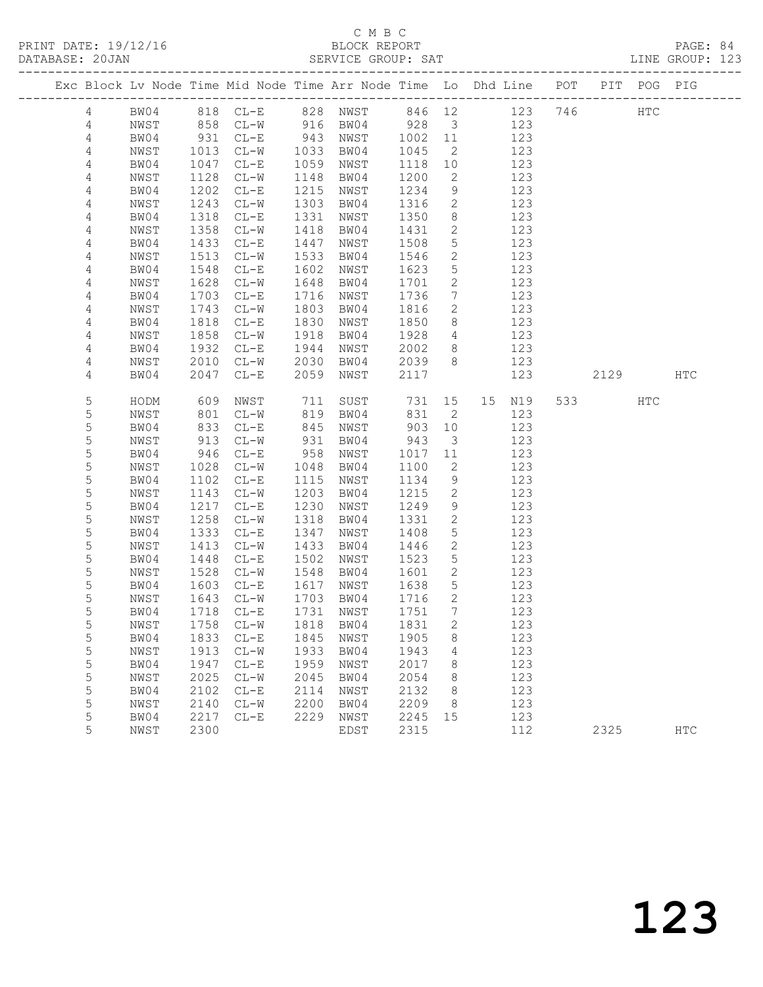#### C M B C<br>BLOCK REPORT SERVICE GROUP: SAT

|                |      |      |                          |      | Exc Block Lv Node Time Mid Node Time Arr Node Time Lo Dhd Line POT |         |                         |                |     |      | PIT POG PIG  |            |
|----------------|------|------|--------------------------|------|--------------------------------------------------------------------|---------|-------------------------|----------------|-----|------|--------------|------------|
| 4              | BW04 |      | 818 CL-E 828 NWST        |      |                                                                    |         |                         | 846 12 123 746 |     |      | $_{\rm HTC}$ |            |
| 4              | NWST |      | 858 CL-W                 |      | 916 BW04                                                           | 928 3   |                         | 123            |     |      |              |            |
| 4              | BW04 | 931  | $CL-E$                   | 943  | NWST                                                               | 1002 11 |                         | 123            |     |      |              |            |
| 4              | NWST | 1013 | $CL-W$                   | 1033 | BW04                                                               | 1045    | $\overline{2}$          | 123            |     |      |              |            |
| 4              | BW04 | 1047 | $CL-E$                   | 1059 | NWST                                                               | 1118    | 10                      | 123            |     |      |              |            |
| 4              | NWST | 1128 | $CL-W$                   | 1148 | BW04                                                               | 1200    | $\mathbf{2}$            | 123            |     |      |              |            |
| 4              | BW04 | 1202 | $CL-E$                   | 1215 | NWST                                                               | 1234    | 9                       | 123            |     |      |              |            |
| 4              | NWST | 1243 | $CL-W$                   | 1303 | BW04                                                               | 1316    | $\overline{2}$          | 123            |     |      |              |            |
| 4              | BW04 | 1318 | $CL-E$                   | 1331 | NWST                                                               | 1350    | 8                       | 123            |     |      |              |            |
| $\overline{4}$ | NWST | 1358 | $CL-W$                   | 1418 | BW04                                                               | 1431    | 2                       | 123            |     |      |              |            |
| $\overline{4}$ | BW04 | 1433 | $CL-E$                   | 1447 | NWST                                                               | 1508    | $5\phantom{.0}$         | 123            |     |      |              |            |
| $\overline{4}$ | NWST | 1513 | $CL-W$                   | 1533 | BW04                                                               | 1546    | 2                       | 123            |     |      |              |            |
| 4              | BW04 | 1548 | $CL-E$                   | 1602 | NWST                                                               | 1623    | 5                       | 123            |     |      |              |            |
| 4              | NWST | 1628 | $CL-W$                   | 1648 | BW04                                                               | 1701    | $\mathbf{2}$            | 123            |     |      |              |            |
| 4              | BW04 | 1703 | $CL-E$                   | 1716 | NWST                                                               | 1736    | $7\overline{ }$         | 123            |     |      |              |            |
| 4              | NWST | 1743 | $CL-W$                   | 1803 | BW04                                                               | 1816    | $\mathbf{2}$            | 123            |     |      |              |            |
| 4              | BW04 | 1818 | $CL-E$                   | 1830 | NWST                                                               | 1850    | 8                       | 123            |     |      |              |            |
| 4              | NWST | 1858 | $CL-W$                   | 1918 | BW04                                                               | 1928    | $\overline{4}$          | 123            |     |      |              |            |
| 4              | BW04 | 1932 | $CL-E$                   | 1944 | NWST                                                               | 2002    | 8 <sup>8</sup>          | 123            |     |      |              |            |
| 4              | NWST | 2010 | $CL-W$                   | 2030 | BW04                                                               | 2039    | 8 <sup>8</sup>          | 123            |     |      |              |            |
| 4              | BW04 | 2047 | $CL-E$                   | 2059 | NWST                                                               | 2117    |                         | 123            |     | 2129 |              | HTC        |
| 5              | HODM | 609  | NWST                     | 711  | SUST                                                               | 731     | 15                      | 15 N19         | 533 |      | HTC          |            |
| 5              | NWST | 801  | $CL-W$                   | 819  | BW04                                                               | 831     | 2                       | 123            |     |      |              |            |
| 5              | BW04 | 833  | $CL-E$                   | 845  | NWST                                                               | 903     | 10                      | 123            |     |      |              |            |
| 5              | NWST | 913  | $CL-W$                   | 931  | BW04                                                               | 943     | $\overline{\mathbf{3}}$ | 123            |     |      |              |            |
| $\mathsf S$    | BW04 | 946  | $CL-E$                   | 958  | NWST                                                               | 1017    | 11                      | 123            |     |      |              |            |
| 5              | NWST | 1028 | $CL-W$                   | 1048 | BW04                                                               | 1100    | 2                       | 123            |     |      |              |            |
| 5              | BW04 | 1102 | $CL-E$                   | 1115 | NWST                                                               | 1134    | 9                       | 123            |     |      |              |            |
| 5              | NWST | 1143 | $CL-W$                   | 1203 | BW04                                                               | 1215    | $\mathbf{2}$            | 123            |     |      |              |            |
| 5              | BW04 | 1217 | $CL-E$                   | 1230 | NWST                                                               | 1249    | 9                       | 123            |     |      |              |            |
| 5              | NWST | 1258 | $CL-W$                   | 1318 | BW04                                                               | 1331    | 2                       | 123            |     |      |              |            |
| 5              | BW04 | 1333 | $CL-E$                   | 1347 | NWST                                                               | 1408    | $5\phantom{.0}$         | 123            |     |      |              |            |
| 5              | NWST | 1413 | $CL-W$                   | 1433 | BW04                                                               | 1446    | $\mathbf{2}$            | 123            |     |      |              |            |
| 5              | BW04 | 1448 | $CL-E$                   | 1502 | NWST                                                               | 1523    | $5\phantom{.0}$         | 123            |     |      |              |            |
| 5              | NWST | 1528 | $CL-W$                   | 1548 | BW04                                                               | 1601    | 2                       | 123            |     |      |              |            |
| 5              | BW04 | 1603 | $CL-E$                   | 1617 | NWST                                                               | 1638    | $5\overline{)}$         | 123            |     |      |              |            |
| 5              | NWST | 1643 | $CL-W$                   | 1703 | BW04                                                               | 1716    | 2                       | 123            |     |      |              |            |
| 5              | BW04 | 1718 | $CL-E$                   |      | 1731 NWST                                                          | 1751    | 7                       | 123            |     |      |              |            |
| 5              |      |      |                          |      | NWST 1758 CL-W 1818 BW04 1831                                      |         | $2^{\circ}$             | 123            |     |      |              |            |
| 5              | BW04 | 1833 | $CL-E$                   | 1845 | NWST                                                               | 1905    | 8                       | 123            |     |      |              |            |
| 5              | NWST | 1913 | $CL-W$                   | 1933 | BW04                                                               | 1943    | 4                       | 123            |     |      |              |            |
| $\mathsf S$    | BW04 | 1947 | $CL-E$                   | 1959 | NWST                                                               | 2017    | 8                       | 123            |     |      |              |            |
| 5              | NWST | 2025 | $CL-W$                   | 2045 | BW04                                                               | 2054    | 8                       | 123            |     |      |              |            |
| $\mathsf S$    | BW04 | 2102 | $CL-E$                   | 2114 | NWST                                                               | 2132    | 8                       | 123            |     |      |              |            |
| 5              | NWST | 2140 | $\mathtt{CL}-\mathtt{W}$ | 2200 | BW04                                                               | 2209    | 8                       | 123            |     |      |              |            |
| $\mathsf S$    | BW04 | 2217 | $CL-E$                   | 2229 | NWST                                                               | 2245    | 15                      | 123            |     |      |              |            |
| 5              | NWST | 2300 |                          |      | EDST                                                               | 2315    |                         | 112            |     | 2325 |              | <b>HTC</b> |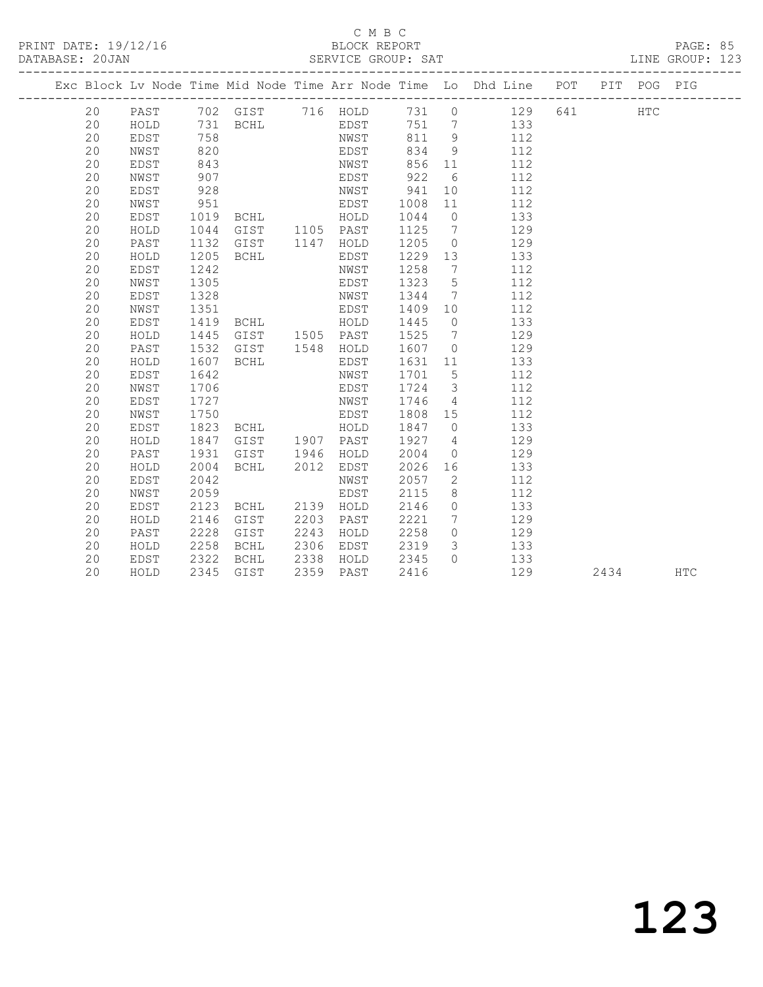PRINT DATE: 19/12/16 BLOCK REPORT BATABASE: 20JAN BLOCK REPORT

#### C M B C<br>BLOCK REPORT

PAGE: 85<br>LINE GROUP: 123

|  |    |              |      |                |      |           |         |                 | Exc Block Lv Node Time Mid Node Time Arr Node Time Lo Dhd Line POT PIT POG PIG |       |      |               |            |
|--|----|--------------|------|----------------|------|-----------|---------|-----------------|--------------------------------------------------------------------------------|-------|------|---------------|------------|
|  | 20 | PAST         |      |                |      |           |         |                 | 702 GIST 716 HOLD 731 0 129                                                    | 641 0 |      | $_{\rm{HTC}}$ |            |
|  | 20 | HOLD         |      | 731 BCHL EDST  |      |           |         |                 | 751 7 133                                                                      |       |      |               |            |
|  | 20 | EDST         | 758  |                |      | NWST      | 811     | 9               | 112                                                                            |       |      |               |            |
|  | 20 | NWST         | 820  |                |      | EDST      | 834     | - 9             | 112                                                                            |       |      |               |            |
|  | 20 | EDST         | 843  |                |      | NWST      | 856     | 11              | 112                                                                            |       |      |               |            |
|  | 20 | NWST         | 907  |                |      | EDST      | 922     | 6               | 112                                                                            |       |      |               |            |
|  | 20 | EDST         | 928  |                |      | NWST      | 941     | 10 <sub>1</sub> | 112                                                                            |       |      |               |            |
|  | 20 | NWST         | 951  |                |      | EDST      | 1008    | 11              | 112                                                                            |       |      |               |            |
|  | 20 | EDST         | 1019 |                |      |           | 1044    | $\overline{0}$  | 133                                                                            |       |      |               |            |
|  | 20 | ${\tt HOLD}$ | 1044 |                |      |           | 1125    | $\overline{7}$  | 129                                                                            |       |      |               |            |
|  | 20 | PAST         | 1132 |                |      |           | 1205    | $\overline{0}$  | 129                                                                            |       |      |               |            |
|  | 20 | HOLD         | 1205 | BCHL           |      | EDST      | 1229    | 13              | 133                                                                            |       |      |               |            |
|  | 20 | EDST         | 1242 |                |      | NWST      | 1258    | $\overline{7}$  | 112                                                                            |       |      |               |            |
|  | 20 | NWST         | 1305 |                |      | EDST      | 1323    | $5^{\circ}$     | 112                                                                            |       |      |               |            |
|  | 20 | EDST         | 1328 |                |      | NWST      | 1344    | $\overline{7}$  | 112                                                                            |       |      |               |            |
|  | 20 | NWST         | 1351 |                |      | EDST      | 1409 10 |                 | 112                                                                            |       |      |               |            |
|  | 20 | EDST         | 1419 | <b>BCHL</b>    |      | HOLD      | 1445    | $\overline{0}$  | 133                                                                            |       |      |               |            |
|  | 20 | HOLD         | 1445 | GIST 1505 PAST |      |           | 1525    | $7\phantom{0}$  | 129                                                                            |       |      |               |            |
|  | 20 | PAST         | 1532 | GIST           |      | 1548 HOLD | 1607    | $\overline{0}$  | 129                                                                            |       |      |               |            |
|  | 20 | HOLD         | 1607 | BCHL           |      | EDST      | 1631    | 11              | 133                                                                            |       |      |               |            |
|  | 20 | EDST         | 1642 |                |      | NWST      | 1701    | $5^{\circ}$     | 112                                                                            |       |      |               |            |
|  | 20 | NWST         | 1706 |                |      | EDST      | 1724    | $\overline{3}$  | 112                                                                            |       |      |               |            |
|  | 20 | EDST         | 1727 |                |      | NWST      | 1746    | $\overline{4}$  | 112                                                                            |       |      |               |            |
|  | 20 | NWST         | 1750 |                |      | EDST      | 1808    | 15              | 112                                                                            |       |      |               |            |
|  | 20 | EDST         | 1823 | <b>BCHL</b>    |      | HOLD      | 1847    | $\overline{0}$  | 133                                                                            |       |      |               |            |
|  | 20 | HOLD         | 1847 | GIST           |      | 1907 PAST | 1927    | $4\overline{4}$ | 129                                                                            |       |      |               |            |
|  | 20 | PAST         | 1931 | GIST           | 1946 | HOLD      | 2004    | $\overline{0}$  | 129                                                                            |       |      |               |            |
|  | 20 | HOLD         | 2004 | BCHL           | 2012 | EDST      | 2026    | 16              | 133                                                                            |       |      |               |            |
|  | 20 | EDST         | 2042 |                |      | NWST      | 2057    | 2               | 112                                                                            |       |      |               |            |
|  | 20 | NWST         | 2059 |                |      | EDST      | 2115    | 8               | 112                                                                            |       |      |               |            |
|  | 20 | EDST         | 2123 | BCHL           |      | 2139 HOLD | 2146    | $\circ$         | 133                                                                            |       |      |               |            |
|  | 20 | HOLD         | 2146 | GIST           | 2203 | PAST      | 2221    | $7\phantom{0}$  | 129                                                                            |       |      |               |            |
|  | 20 | PAST         | 2228 | GIST           | 2243 | HOLD      | 2258    | $\circ$         | 129                                                                            |       |      |               |            |
|  | 20 | HOLD         | 2258 | BCHL           | 2306 | EDST      | 2319    | $\mathcal{S}$   | 133                                                                            |       |      |               |            |
|  | 20 | EDST         | 2322 | BCHL           | 2338 | HOLD      | 2345    | $\Omega$        | 133                                                                            |       |      |               |            |
|  | 20 | HOLD         | 2345 | GIST           | 2359 | PAST      | 2416    |                 | 129                                                                            |       | 2434 |               | <b>HTC</b> |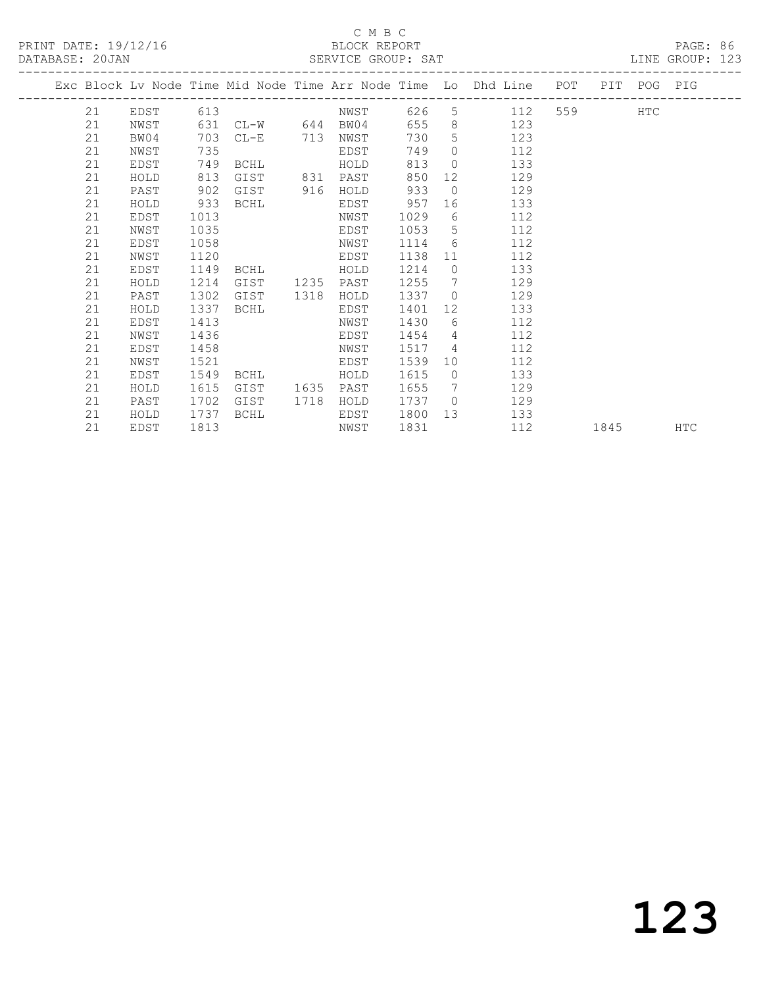### C M B C<br>BLOCK REPORT

LINE GROUP: 123

|  |    |      |      |                   |      |      |      |                              | Exc Block Lv Node Time Mid Node Time Arr Node Time Lo Dhd Line | POT   | PIT  | POG PIG    |     |
|--|----|------|------|-------------------|------|------|------|------------------------------|----------------------------------------------------------------|-------|------|------------|-----|
|  | 21 | EDST | 613  |                   |      | NWST | 626  | 5                            | 112                                                            | 559 7 |      | <b>HTC</b> |     |
|  | 21 | NWST |      | 631 CL-W 644 BW04 |      |      | 655  | 8                            | 123                                                            |       |      |            |     |
|  | 21 | BW04 | 703  | $CL-E$            | 713  | NWST | 730  | 5                            | 123                                                            |       |      |            |     |
|  | 21 | NWST | 735  |                   |      | EDST | 749  | $\Omega$                     | 112                                                            |       |      |            |     |
|  | 21 | EDST | 749  | BCHL              |      | HOLD | 813  | $\Omega$                     | 133                                                            |       |      |            |     |
|  | 21 | HOLD | 813  | GIST              | 831  | PAST | 850  | 12                           | 129                                                            |       |      |            |     |
|  | 21 | PAST | 902  | GIST              | 916  | HOLD | 933  | $\Omega$                     | 129                                                            |       |      |            |     |
|  | 21 | HOLD | 933  | BCHL              |      | EDST | 957  | 16                           | 133                                                            |       |      |            |     |
|  | 21 | EDST | 1013 |                   |      | NWST | 1029 | 6                            | 112                                                            |       |      |            |     |
|  | 21 | NWST | 1035 |                   |      | EDST | 1053 | 5                            | 112                                                            |       |      |            |     |
|  | 21 | EDST | 1058 |                   |      | NWST | 1114 | 6                            | 112                                                            |       |      |            |     |
|  | 21 | NWST | 1120 |                   |      | EDST | 1138 | 11                           | 112                                                            |       |      |            |     |
|  | 21 | EDST | 1149 | BCHL              |      | HOLD | 1214 | $\circ$                      | 133                                                            |       |      |            |     |
|  | 21 | HOLD | 1214 | GIST              | 1235 | PAST | 1255 | $7\phantom{.0}\phantom{.0}7$ | 129                                                            |       |      |            |     |
|  | 21 | PAST | 1302 | GIST              | 1318 | HOLD | 1337 | $\overline{0}$               | 129                                                            |       |      |            |     |
|  | 21 | HOLD | 1337 | BCHL              |      | EDST | 1401 | 12                           | 133                                                            |       |      |            |     |
|  | 21 | EDST | 1413 |                   |      | NWST | 1430 | 6                            | 112                                                            |       |      |            |     |
|  | 21 | NWST | 1436 |                   |      | EDST | 1454 | 4                            | 112                                                            |       |      |            |     |
|  | 21 | EDST | 1458 |                   |      | NWST | 1517 | 4                            | 112                                                            |       |      |            |     |
|  | 21 | NWST | 1521 |                   |      | EDST | 1539 | 10                           | 112                                                            |       |      |            |     |
|  | 21 | EDST | 1549 | BCHL              |      | HOLD | 1615 | $\Omega$                     | 133                                                            |       |      |            |     |
|  | 21 | HOLD | 1615 | GIST              | 1635 | PAST | 1655 | 7                            | 129                                                            |       |      |            |     |
|  | 21 | PAST | 1702 | GIST              | 1718 | HOLD | 1737 | $\bigcirc$                   | 129                                                            |       |      |            |     |
|  | 21 | HOLD | 1737 | BCHL              |      | EDST | 1800 | 13                           | 133                                                            |       |      |            |     |
|  | 21 | EDST | 1813 |                   |      | NWST | 1831 |                              | 112                                                            |       | 1845 |            | HTC |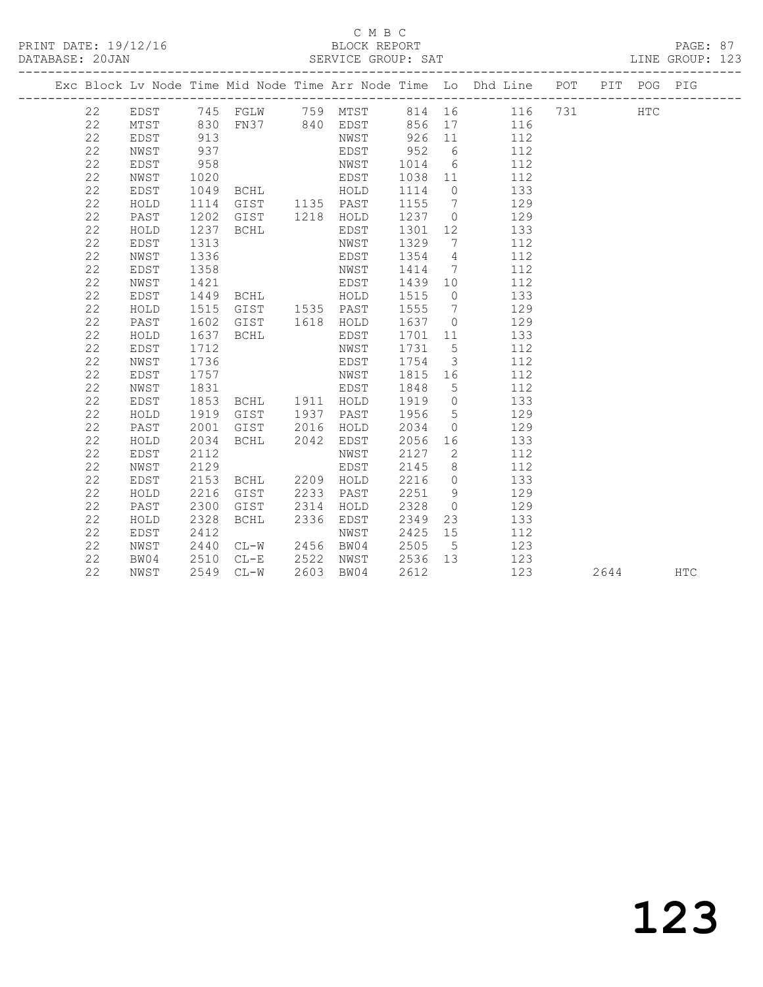PRINT DATE: 19/12/16 BLOCK REPORT BATABASE: 20JAN BLOCK REPORT

#### C M B C<br>BLOCK REPORT

PAGE: 87<br>LINE GROUP: 123

|  |    |      |                      |                                                                           |                                                 |                                                                |                         | Exc Block Lv Node Time Mid Node Time Arr Node Time Lo Dhd Line POT PIT POG PIG |      |            |
|--|----|------|----------------------|---------------------------------------------------------------------------|-------------------------------------------------|----------------------------------------------------------------|-------------------------|--------------------------------------------------------------------------------|------|------------|
|  | 22 |      |                      |                                                                           |                                                 |                                                                |                         | EDST 745 FGLW 759 MTST 814 16 116 731 HTC                                      |      |            |
|  | 22 | MTST |                      |                                                                           |                                                 |                                                                |                         | 830 FN37 840 EDST 856 17 116                                                   |      |            |
|  | 22 | EDST | 913                  |                                                                           |                                                 |                                                                |                         | NWST 926 11 112                                                                |      |            |
|  | 22 | NWST | 937                  |                                                                           |                                                 |                                                                |                         | EDST 952 6 112                                                                 |      |            |
|  | 22 | EDST | 958                  |                                                                           |                                                 |                                                                |                         | NWST 1014 6 112                                                                |      |            |
|  | 22 | NWST |                      | 1020 EDST<br>1049 BCHL HOLD<br>1114 GIST 1135 PAST<br>1202 GIST 1218 HOLD | EDST 1038 11 112                                |                                                                |                         |                                                                                |      |            |
|  | 22 | EDST |                      |                                                                           |                                                 |                                                                |                         | 133                                                                            |      |            |
|  | 22 | HOLD |                      |                                                                           |                                                 | 1114 0<br>1155 7                                               |                         | 129                                                                            |      |            |
|  | 22 | PAST |                      |                                                                           |                                                 | $\begin{array}{cc} 11111 & 0 \\ 1237 & 0 \\ 0 & 0 \end{array}$ |                         | 129                                                                            |      |            |
|  | 22 | HOLD | 1114<br>1202<br>1237 | <b>BCHL</b>                                                               | EDST                                            | 1301 12                                                        |                         | 133                                                                            |      |            |
|  | 22 | EDST | 1313                 |                                                                           | NWST                                            | 1329 7                                                         |                         | 112                                                                            |      |            |
|  | 22 | NWST | 1336                 |                                                                           | EDST                                            | 1354 4                                                         |                         | 112                                                                            |      |            |
|  | 22 | EDST | 1358                 |                                                                           | NWST                                            |                                                                |                         | 1414 7 112                                                                     |      |            |
|  | 22 | NWST | 1421                 |                                                                           | EDST 1439 10 112                                |                                                                |                         |                                                                                |      |            |
|  | 22 | EDST | 1449                 |                                                                           | BCHL  HOLD  1515  0  133                        |                                                                |                         |                                                                                |      |            |
|  | 22 | HOLD | 1515                 | GIST 1535 PAST                                                            |                                                 |                                                                |                         | 1555 7 129                                                                     |      |            |
|  | 22 | PAST | 1602                 | GIST 1618 HOLD                                                            |                                                 |                                                                |                         | 1637 0 129                                                                     |      |            |
|  | 22 | HOLD | 1637                 | BCHL                                                                      | EDST                                            |                                                                |                         | 1701 11 133                                                                    |      |            |
|  | 22 | EDST | 1712                 |                                                                           | NWST                                            | 1731 5                                                         |                         | 112                                                                            |      |            |
|  | 22 | NWST | 1736                 |                                                                           | EDST                                            | 1754                                                           | $\overline{\mathbf{3}}$ | 112                                                                            |      |            |
|  | 22 | EDST | 1757                 |                                                                           | NWST                                            | 1815 16                                                        |                         | 112                                                                            |      |            |
|  | 22 | NWST | 1831                 |                                                                           | EDST                                            | 1848 5                                                         |                         | 112                                                                            |      |            |
|  | 22 | EDST | $\frac{1}{1853}$     | BCHL 1911 HOLD                                                            |                                                 | $1919$ 0                                                       |                         | 133                                                                            |      |            |
|  | 22 | HOLD | 1919                 | GIST 1937 PAST                                                            |                                                 | 1956                                                           | 5 <sup>5</sup>          | 129                                                                            |      |            |
|  | 22 | PAST | 2001                 | GIST 2016 HOLD                                                            |                                                 |                                                                |                         | 2034 0 129                                                                     |      |            |
|  | 22 | HOLD | 2034                 | BCHL 2042 EDST                                                            |                                                 |                                                                |                         | 2056 16 133                                                                    |      |            |
|  | 22 | EDST | 2112                 |                                                                           | NWST                                            |                                                                |                         | 2127 2 112                                                                     |      |            |
|  | 22 | NWST | 2129                 |                                                                           | EDST                                            | 2145                                                           |                         | 8 112                                                                          |      |            |
|  | 22 | EDST | 2153                 | BCHL 2209 HOLD                                                            |                                                 |                                                                |                         | 2216 0 133                                                                     |      |            |
|  | 22 | HOLD | 2216                 | GIST                                                                      | 2233 PAST                                       |                                                                |                         | 2251 9 129                                                                     |      |            |
|  | 22 | PAST | 2300                 | GIST 2314                                                                 | HOLD                                            | 2328                                                           |                         | $0$ 129                                                                        |      |            |
|  | 22 | HOLD | 2328                 | BCHL                                                                      | 2336 EDST                                       | 2349                                                           |                         | 23 133                                                                         |      |            |
|  | 22 | EDST | 2412                 |                                                                           | NWST                                            | 2425 15                                                        |                         | 112                                                                            |      |            |
|  | 22 | NWST | 2440<br>2510<br>2549 |                                                                           | CL-W 2456 BW04 2505 5<br>CL-E 2522 NWST 2536 13 | 2505 5                                                         |                         | 123                                                                            |      |            |
|  | 22 | BW04 |                      |                                                                           |                                                 |                                                                |                         | 123                                                                            |      |            |
|  | 22 | NWST |                      | 2549 CL-W                                                                 | 2603 BW04                                       | 2612                                                           |                         | 123                                                                            | 2644 | <b>HTC</b> |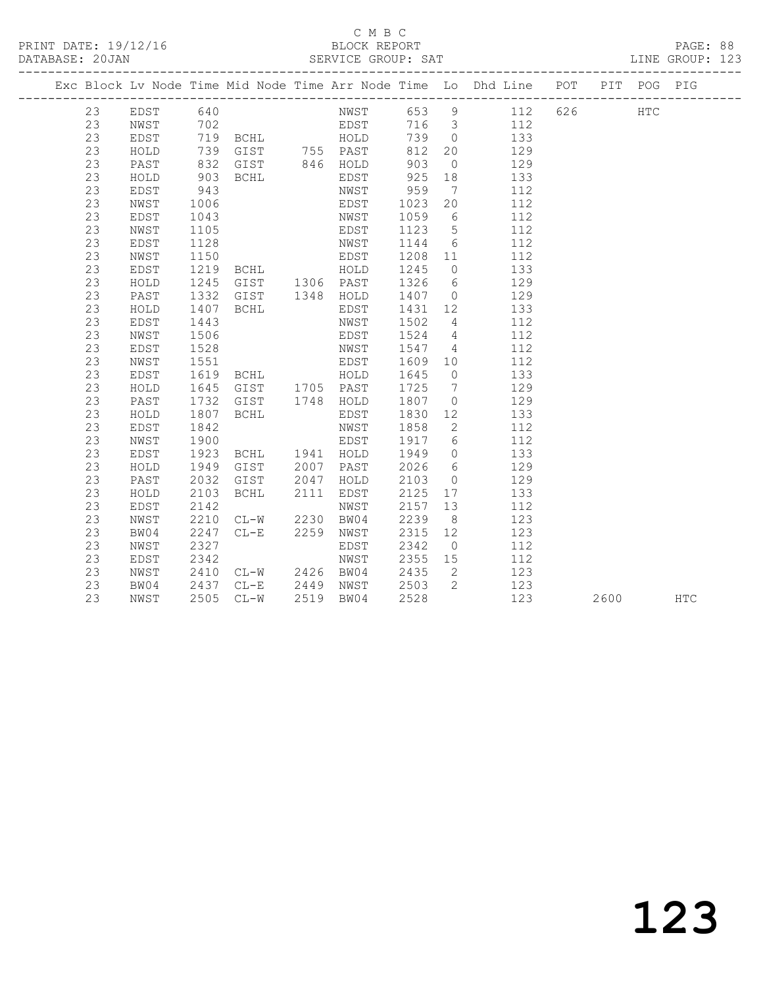#### C M B C<br>BLOCK REPORT

PAGE: 88<br>LINE GROUP: 123

|  |    |      |      |                                             |      |           |       |                              | Exc Block Lv Node Time Mid Node Time Arr Node Time Lo Dhd Line POT PIT POG PIG |     |      |     |            |
|--|----|------|------|---------------------------------------------|------|-----------|-------|------------------------------|--------------------------------------------------------------------------------|-----|------|-----|------------|
|  | 23 | EDST | 640  |                                             |      |           |       |                              | NWST 653 9 112                                                                 | 626 |      | HTC |            |
|  | 23 | NWST | 702  |                                             |      | EDST      | 716 3 |                              | 112                                                                            |     |      |     |            |
|  | 23 | EDST |      | 719 BCHL HOLD                               |      |           | 739   | $\overline{0}$               | 133                                                                            |     |      |     |            |
|  | 23 | HOLD | 739  | GIST 755 PAST<br>GIST 846 HOLD<br>BCHL EDST |      |           | 812   | 20                           | 129                                                                            |     |      |     |            |
|  | 23 | PAST | 832  |                                             |      |           | 903   | $\overline{0}$               | 129                                                                            |     |      |     |            |
|  | 23 | HOLD | 903  |                                             |      |           | 925   | 18                           | 133                                                                            |     |      |     |            |
|  | 23 | EDST | 943  |                                             |      | NWST      | 959   | $7\phantom{.0}\phantom{.0}7$ | 112                                                                            |     |      |     |            |
|  | 23 | NWST | 1006 |                                             |      | EDST      | 1023  | 20                           | 112                                                                            |     |      |     |            |
|  | 23 | EDST | 1043 |                                             |      | NWST      | 1059  | 6                            | 112                                                                            |     |      |     |            |
|  | 23 | NWST | 1105 |                                             |      | EDST      | 1123  | $5\overline{)}$              | 112                                                                            |     |      |     |            |
|  | 23 | EDST | 1128 |                                             |      | NWST      | 1144  | 6                            | 112                                                                            |     |      |     |            |
|  | 23 | NWST | 1150 |                                             |      | EDST      | 1208  | 11                           | 112                                                                            |     |      |     |            |
|  | 23 | EDST | 1219 | <b>BCHL</b>                                 |      | HOLD      | 1245  | $\overline{0}$               | 133                                                                            |     |      |     |            |
|  | 23 | HOLD | 1245 | GIST 1306 PAST                              |      |           | 1326  | 6                            | 129                                                                            |     |      |     |            |
|  | 23 | PAST | 1332 | GIST                                        |      | 1348 HOLD | 1407  | $\overline{0}$               | 129                                                                            |     |      |     |            |
|  | 23 | HOLD | 1407 | BCHL                                        |      | EDST      | 1431  | 12                           | 133                                                                            |     |      |     |            |
|  | 23 | EDST | 1443 |                                             |      | NWST      | 1502  | $\overline{4}$               | 112                                                                            |     |      |     |            |
|  | 23 | NWST | 1506 |                                             |      | EDST      | 1524  | $\overline{4}$               | 112                                                                            |     |      |     |            |
|  | 23 | EDST | 1528 |                                             |      | NWST      | 1547  | $\overline{4}$               | 112                                                                            |     |      |     |            |
|  | 23 | NWST | 1551 |                                             |      | EDST      | 1609  | 10                           | 112                                                                            |     |      |     |            |
|  | 23 | EDST | 1619 | BCHL                                        |      | HOLD      | 1645  | $\overline{0}$               | 133                                                                            |     |      |     |            |
|  | 23 | HOLD | 1645 | GIST 1705 PAST                              |      |           | 1725  | $7\phantom{.0}\phantom{.0}7$ | 129                                                                            |     |      |     |            |
|  | 23 | PAST | 1732 | GIST                                        |      | 1748 HOLD | 1807  | $\circ$                      | 129                                                                            |     |      |     |            |
|  | 23 | HOLD | 1807 | BCHL                                        |      | EDST      | 1830  | 12                           | 133                                                                            |     |      |     |            |
|  | 23 | EDST | 1842 |                                             |      | NWST      | 1858  | $\mathbf{2}$                 | 112                                                                            |     |      |     |            |
|  | 23 | NWST | 1900 |                                             |      | EDST      | 1917  | 6                            | 112                                                                            |     |      |     |            |
|  | 23 | EDST | 1923 | BCHL                                        |      | 1941 HOLD | 1949  | $\overline{0}$               | 133                                                                            |     |      |     |            |
|  | 23 | HOLD | 1949 | GIST                                        | 2007 | PAST      | 2026  | 6                            | 129                                                                            |     |      |     |            |
|  | 23 | PAST | 2032 | GIST                                        | 2047 | HOLD      | 2103  | $\overline{0}$               | 129                                                                            |     |      |     |            |
|  | 23 | HOLD | 2103 | <b>BCHL</b>                                 | 2111 | EDST      | 2125  | 17                           | 133                                                                            |     |      |     |            |
|  | 23 | EDST | 2142 |                                             |      | NWST      | 2157  | 13                           | 112                                                                            |     |      |     |            |
|  | 23 | NWST | 2210 | $CL-W$                                      | 2230 | BW04      | 2239  | 8                            | 123                                                                            |     |      |     |            |
|  | 23 | BW04 | 2247 | $CL-E$                                      | 2259 | NWST      | 2315  | 12                           | 123                                                                            |     |      |     |            |
|  | 23 | NWST | 2327 |                                             |      | EDST      | 2342  | $\overline{0}$               | 112                                                                            |     |      |     |            |
|  | 23 | EDST | 2342 |                                             |      | NWST      | 2355  | 15                           | 112                                                                            |     |      |     |            |
|  | 23 | NWST | 2410 | $CL-W$                                      |      | 2426 BW04 | 2435  | 2                            | 123                                                                            |     |      |     |            |
|  | 23 | BW04 | 2437 | $CL-E$                                      | 2449 | NWST      | 2503  | 2                            | 123                                                                            |     |      |     |            |
|  | 23 | NWST | 2505 | $CL-W$                                      | 2519 | BW04      | 2528  |                              | 123                                                                            |     | 2600 |     | <b>HTC</b> |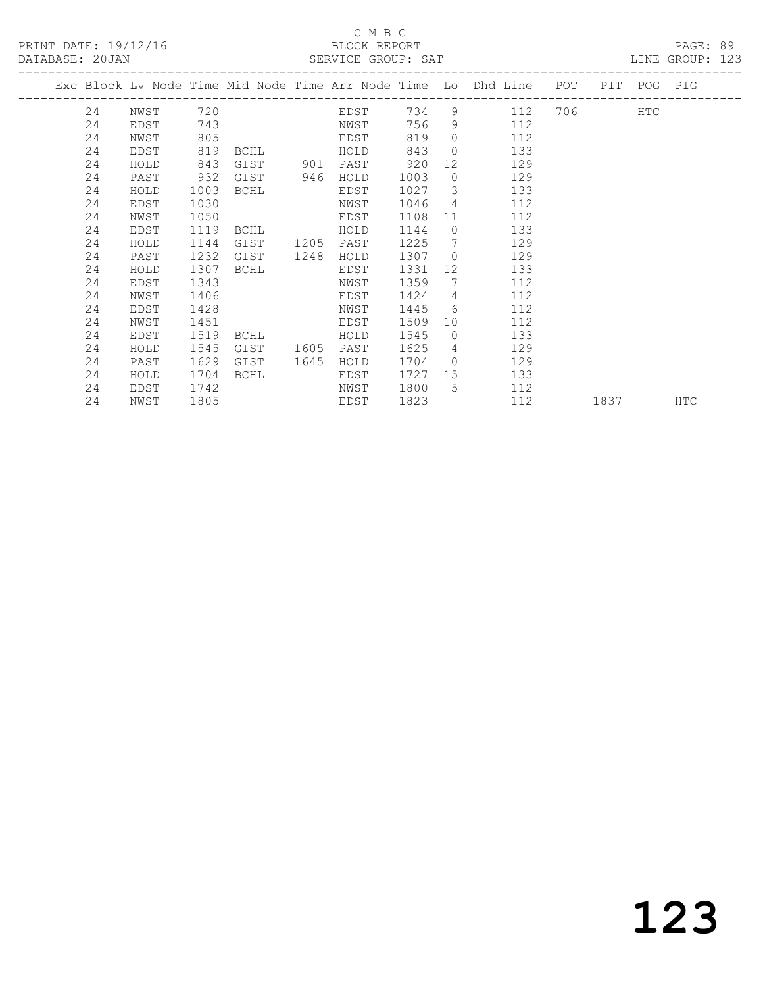#### C M B C

| DATABASE: 20JAN |      |      |               |      |             |      |                | SERVICE GROUP: SAT LINE GROUP: 123                                             |      |  |            |  |
|-----------------|------|------|---------------|------|-------------|------|----------------|--------------------------------------------------------------------------------|------|--|------------|--|
|                 |      |      |               |      |             |      |                | Exc Block Lv Node Time Mid Node Time Arr Node Time Lo Dhd Line POT PIT POG PIG |      |  |            |  |
|                 |      |      |               |      |             |      |                | 24 NWST 720 EDST 734 9 112 706 HTC                                             |      |  |            |  |
| 24              | EDST |      |               |      | 743 NWST    | 756  |                | 9 112                                                                          |      |  |            |  |
| 24              | NWST | 805  |               |      | <b>EDST</b> | 819  |                | $0$ 112                                                                        |      |  |            |  |
| 24              | EDST | 819  |               |      | BCHL HOLD   | 843  |                | $\overline{0}$<br>133                                                          |      |  |            |  |
| 24              | HOLD | 843  | GIST 901 PAST |      |             | 920  |                | 129<br>12 and $\overline{a}$                                                   |      |  |            |  |
| 24              | PAST | 932  | GIST          | 946  | HOLD        | 1003 | $\overline{0}$ | 129                                                                            |      |  |            |  |
| 24              | HOLD | 1003 | BCHL          |      | EDST        | 1027 |                | $\overline{\mathbf{3}}$<br>133                                                 |      |  |            |  |
| 24              | EDST | 1030 |               |      | NWST        | 1046 |                | $4\overline{ }$<br>112                                                         |      |  |            |  |
| 24              | NWST | 1050 |               |      | EDST        | 1108 |                | 112<br>$11$ and $\sim$                                                         |      |  |            |  |
| 24              | EDST | 1119 | <b>BCHL</b>   |      | HOLD        | 1144 |                | 133<br>$\Omega$                                                                |      |  |            |  |
| 24              | HOLD | 1144 | GIST          |      | 1205 PAST   | 1225 | $\overline{7}$ | 129                                                                            |      |  |            |  |
| 24              | PAST | 1232 | GIST          | 1248 | HOLD        | 1307 |                | $\overline{0}$<br>129                                                          |      |  |            |  |
| 24              | HOLD | 1307 | BCHL          |      | EDST        | 1331 |                | 133                                                                            |      |  |            |  |
| 24              | EDST | 1343 |               |      | NWST        | 1359 | $7\phantom{0}$ | 112                                                                            |      |  |            |  |
| 24              | NWST | 1406 |               |      | EDST        | 1424 |                | $4\overline{ }$<br>112                                                         |      |  |            |  |
| 24              | EDST | 1428 |               |      | NWST        | 1445 | 6              | 112                                                                            |      |  |            |  |
| 24              | NWST | 1451 |               |      | EDST        | 1509 |                | 112<br>10                                                                      |      |  |            |  |
| 24              | EDST | 1519 | <b>BCHL</b>   |      | HOLD        | 1545 | $\bigcirc$     | 133                                                                            |      |  |            |  |
| 24              | HOLD | 1545 | GIST          | 1605 | PAST        | 1625 | $\overline{4}$ | 129                                                                            |      |  |            |  |
| 24              | PAST | 1629 | GIST          | 1645 | HOLD        | 1704 |                | $\Omega$<br>129                                                                |      |  |            |  |
| 24              | HOLD | 1704 | BCHL          |      | EDST        | 1727 |                | 15<br>133                                                                      |      |  |            |  |
| 24              | EDST | 1742 |               |      | NWST        | 1800 |                | $5^{\circ}$<br>112                                                             |      |  |            |  |
| 24              | NWST | 1805 |               |      | EDST        | 1823 |                | 112                                                                            | 1837 |  | <b>HTC</b> |  |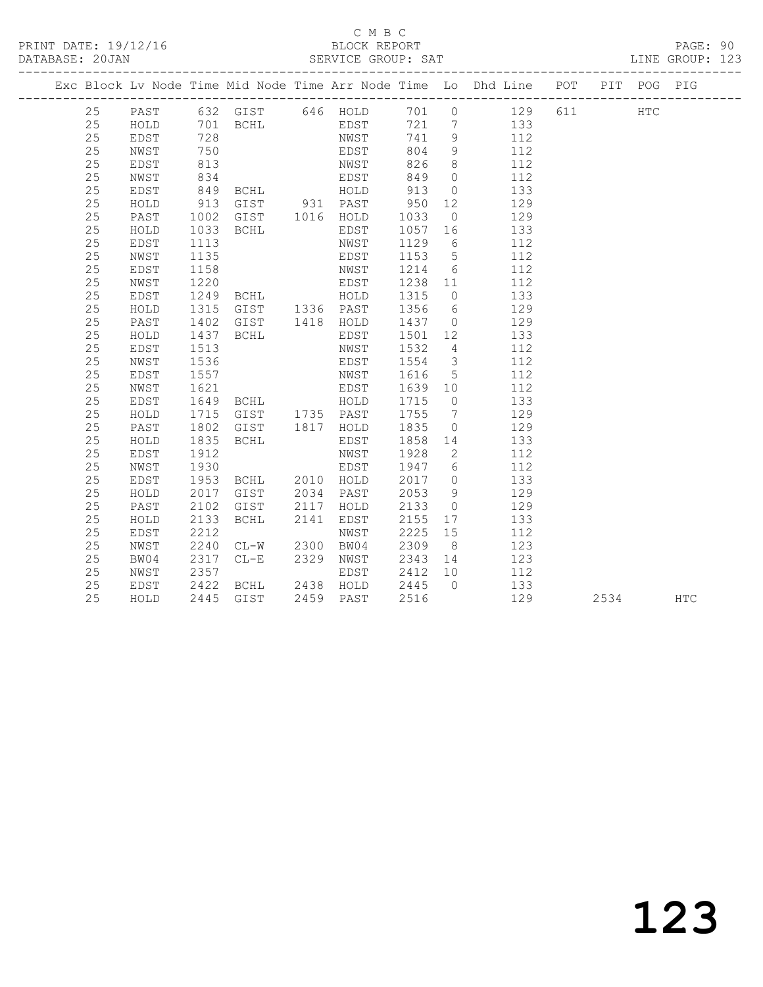PRINT DATE: 19/12/16 BLOCK REPORT<br>DATABASE: 20JAN BATABASE: 2015

#### C M B C<br>BLOCK REPORT

PAGE: 90<br>LINE GROUP: 123

|  |    |              |      |                                  |      | ODNATOD QUOOL. OHI |         |                         |                                                                                                                    |      |            |
|--|----|--------------|------|----------------------------------|------|--------------------|---------|-------------------------|--------------------------------------------------------------------------------------------------------------------|------|------------|
|  |    |              |      |                                  |      |                    |         |                         | --------------------------------<br>Exc Block Lv Node Time Mid Node Time Arr Node Time Lo Dhd Line POT PIT POG PIG |      |            |
|  | 25 | PAST         |      |                                  |      | 632 GIST 646 HOLD  |         |                         | 701 0 129 611 HTC                                                                                                  |      |            |
|  | 25 | HOLD         |      | 701 BCHL<br>728                  |      | EDST               | 721 7   |                         | 133                                                                                                                |      |            |
|  | 25 | EDST         |      |                                  |      | NWST               | 741 9   |                         | 112                                                                                                                |      |            |
|  | 25 | NWST         | 750  |                                  |      | EDST               | 804     | 9                       | 112                                                                                                                |      |            |
|  | 25 | EDST         | 813  |                                  |      | NWST               | 826     | 8 <sup>8</sup>          | 112                                                                                                                |      |            |
|  | 25 | NWST         | 834  | <b>BCHL</b>                      |      | EDST               | 849     | $\overline{0}$          | 112                                                                                                                |      |            |
|  | 25 | EDST         | 849  |                                  |      | HOLD               | 913     | $\overline{0}$          | 133                                                                                                                |      |            |
|  | 25 | ${\tt HOLD}$ | 913  | GIST 931 PAST                    |      |                    | 950     | 12                      | 129                                                                                                                |      |            |
|  | 25 | PAST         | 1002 | GIST 1016 HOLD                   |      |                    | 1033    | $\overline{0}$          | 129                                                                                                                |      |            |
|  | 25 | HOLD         | 1033 | <b>BCHL</b>                      |      | EDST               | 1057    | 16                      | 133                                                                                                                |      |            |
|  | 25 | EDST         | 1113 |                                  |      | NWST               | 1129    | 6                       | 112                                                                                                                |      |            |
|  | 25 | NWST         | 1135 |                                  |      | EDST               | 1153    | 5 <sup>5</sup>          | 112                                                                                                                |      |            |
|  | 25 | EDST         | 1158 |                                  |      | NWST               | 1214    | 6                       | 112                                                                                                                |      |            |
|  | 25 | NWST         | 1220 |                                  |      | EDST               | 1238 11 |                         | 112                                                                                                                |      |            |
|  | 25 | EDST         | 1249 | BCHL HOLD                        |      |                    | 1315    | $\overline{0}$          | 133                                                                                                                |      |            |
|  | 25 | HOLD         | 1315 | GIST 1336 PAST                   |      |                    | 1356    | $6\overline{6}$         | 129                                                                                                                |      |            |
|  | 25 | PAST         | 1402 | GIST 1418 HOLD<br>BCHL EDST      |      |                    | 1437 0  |                         | 129                                                                                                                |      |            |
|  | 25 | HOLD         | 1437 |                                  |      |                    | 1501 12 |                         | 133                                                                                                                |      |            |
|  | 25 | EDST         | 1513 |                                  |      | NWST               | 1532    | $4\overline{4}$         | 112                                                                                                                |      |            |
|  | 25 | NWST         | 1536 |                                  |      | EDST               | 1554    | $\overline{\mathbf{3}}$ | 112                                                                                                                |      |            |
|  | 25 | EDST         | 1557 |                                  |      | NWST               | 1616    | $5\overline{)}$         | 112                                                                                                                |      |            |
|  | 25 | NWST         | 1621 | <b>BCHL</b>                      |      | EDST               | 1639 10 |                         | 112                                                                                                                |      |            |
|  | 25 | EDST         | 1649 |                                  |      | HOLD               | 1715    | $\overline{0}$          | 133                                                                                                                |      |            |
|  | 25 | HOLD         | 1715 | GIST 1735 PAST                   |      |                    | 1755    | $\overline{7}$          | 129                                                                                                                |      |            |
|  | 25 | PAST         | 1802 | GIST 1817 HOLD                   |      |                    | 1835    | $\overline{0}$          | 129                                                                                                                |      |            |
|  | 25 | HOLD         | 1835 | <b>BCHL</b>                      |      | EDST               | 1858    | 14                      | 133                                                                                                                |      |            |
|  | 25 | EDST         | 1912 |                                  |      | NWST               | 1928    | $\overline{2}$          | 112                                                                                                                |      |            |
|  | 25 | NWST         | 1930 | BCHL 2010 HOLD                   |      | EDST               | 1947 6  |                         | 112                                                                                                                |      |            |
|  | 25 | EDST         | 1953 |                                  |      |                    | 2017    | $\overline{0}$          | 133                                                                                                                |      |            |
|  | 25 | HOLD         | 2017 | GIST 2034 PAST                   |      |                    | 2053    | 9                       | 129                                                                                                                |      |            |
|  | 25 | PAST         | 2102 | GIST                             | 2117 | HOLD               | 2133    | $\overline{0}$          | 129                                                                                                                |      |            |
|  | 25 | HOLD         | 2133 | BCHL                             | 2141 | EDST               | 2155    | 17                      | 133                                                                                                                |      |            |
|  | 25 | EDST         | 2212 |                                  |      | NWST               | 2225    | 15                      | 112                                                                                                                |      |            |
|  | 25 | NWST         | 2240 | $CL-W$                           |      | 2300 BW04          | 2309    | 8 <sup>8</sup>          | 123                                                                                                                |      |            |
|  | 25 | BW04         | 2317 | $CL-E$                           | 2329 | NWST               | 2343    | 14                      | 123                                                                                                                |      |            |
|  | 25 | NWST         | 2357 |                                  |      | EDST               | 2412    | 10                      | 112                                                                                                                |      |            |
|  | 25 | EDST         | 2422 | BCHL 2438 HOLD<br>GIST 2459 PAST |      |                    | 2445    | $\bigcap$               | 133                                                                                                                |      |            |
|  | 25 | HOLD         | 2445 | GIST                             |      | 2459 PAST          | 2516    |                         | 129                                                                                                                | 2534 | <b>HTC</b> |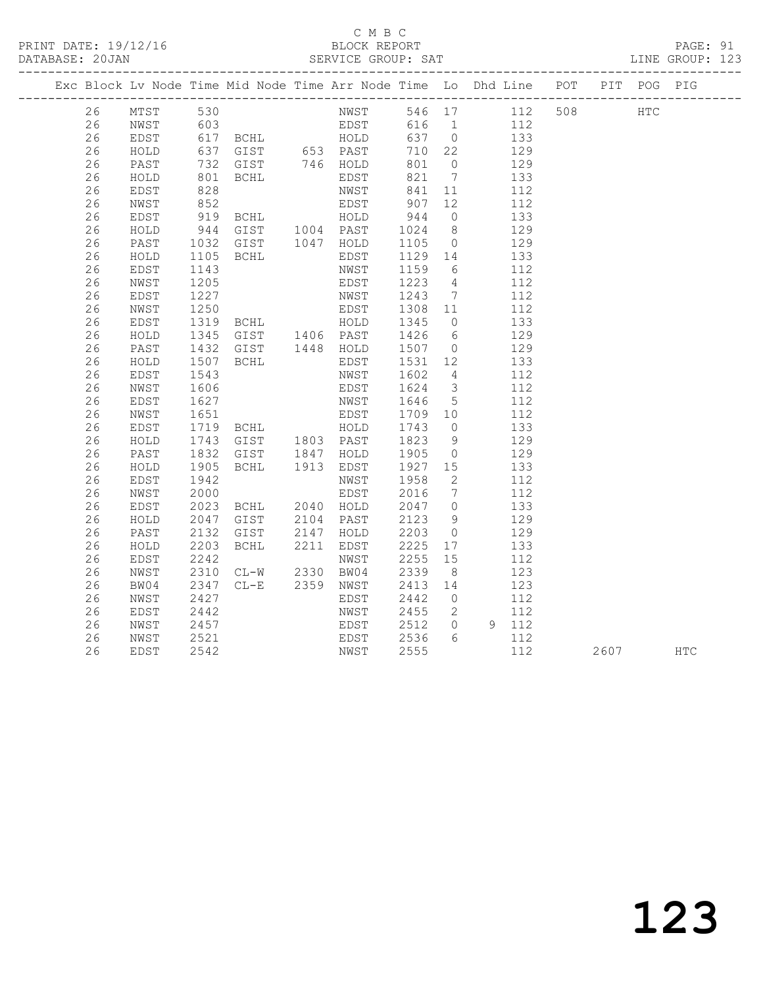PRINT DATE: 19/12/16 BLOCK REPORT<br>DATABASE: 20JAN BERVICE GROUP: SAT

#### C M B C<br>BLOCK REPORT

PAGE: 91<br>LINE GROUP: 123

|    |                            |                      | Exc Block Lv Node Time Mid Node Time Arr Node Time Lo Dhd Line POT PIT POG PIG                                                                                                                             |                                                                                |                   |               |                                                   |          |  |
|----|----------------------------|----------------------|------------------------------------------------------------------------------------------------------------------------------------------------------------------------------------------------------------|--------------------------------------------------------------------------------|-------------------|---------------|---------------------------------------------------|----------|--|
|    | 26 MTST 530<br>26 NWST 603 |                      |                                                                                                                                                                                                            |                                                                                |                   |               |                                                   |          |  |
|    |                            |                      |                                                                                                                                                                                                            |                                                                                |                   |               |                                                   |          |  |
| 26 | EDST                       |                      |                                                                                                                                                                                                            |                                                                                |                   |               |                                                   |          |  |
| 26 | HOLD                       |                      |                                                                                                                                                                                                            |                                                                                |                   |               |                                                   |          |  |
| 26 | PAST                       |                      |                                                                                                                                                                                                            |                                                                                |                   |               |                                                   |          |  |
| 26 | HOLD                       |                      |                                                                                                                                                                                                            |                                                                                |                   |               |                                                   |          |  |
| 26 | EDST                       |                      |                                                                                                                                                                                                            |                                                                                |                   |               |                                                   |          |  |
| 26 | NWST                       |                      |                                                                                                                                                                                                            |                                                                                |                   |               |                                                   |          |  |
| 26 | EDST                       |                      | 828 MWST 841 11 112<br>852 EDST 907 12 112<br>919 BCHL HOLD 944 0 133<br>944 GIST 1004 PAST 1024 8 129<br>1032 GIST 1047 HOLD 1105 0 129                                                                   |                                                                                |                   |               |                                                   |          |  |
| 26 | HOLD                       |                      |                                                                                                                                                                                                            |                                                                                |                   |               |                                                   |          |  |
| 26 | PAST                       |                      |                                                                                                                                                                                                            |                                                                                |                   |               |                                                   |          |  |
| 26 | HOLD                       |                      |                                                                                                                                                                                                            |                                                                                |                   |               |                                                   |          |  |
| 26 | EDST                       | 1105<br>1143         |                                                                                                                                                                                                            | BCHL EDST 1129 14 133<br>NWST 1159 6 112                                       |                   |               |                                                   |          |  |
| 26 | NWST                       | 1205                 |                                                                                                                                                                                                            | NWST 1159 6 112<br>EDST 1223 4 112                                             |                   |               |                                                   |          |  |
| 26 | EDST                       |                      |                                                                                                                                                                                                            |                                                                                |                   |               |                                                   |          |  |
| 26 | NWST                       |                      |                                                                                                                                                                                                            |                                                                                |                   |               |                                                   |          |  |
| 26 | EDST                       |                      |                                                                                                                                                                                                            |                                                                                |                   |               |                                                   |          |  |
| 26 | HOLD                       |                      |                                                                                                                                                                                                            |                                                                                |                   |               |                                                   |          |  |
| 26 | PAST                       |                      | 1227 MWST 1243 7 112<br>1250 EDST 1308 11 112<br>1319 BCHL HOLD 1345 0 133<br>1345 GIST 1406 PAST 1426 6 129<br>1432 GIST 1448 HOLD 1507 0 129<br>1507 BCHL EDST 1531 12 133<br>1507 BCHL EDST 1531 12 133 |                                                                                |                   |               |                                                   |          |  |
| 26 | HOLD                       |                      |                                                                                                                                                                                                            |                                                                                |                   |               |                                                   |          |  |
| 26 | EDST                       |                      |                                                                                                                                                                                                            | NWST 1602 4 112<br>EDST 1624 3 112                                             |                   |               |                                                   |          |  |
| 26 | NWST                       |                      |                                                                                                                                                                                                            |                                                                                |                   |               |                                                   |          |  |
| 26 | EDST                       |                      |                                                                                                                                                                                                            |                                                                                |                   |               |                                                   |          |  |
| 26 | NWST                       |                      |                                                                                                                                                                                                            |                                                                                |                   |               |                                                   |          |  |
| 26 | EDST                       |                      |                                                                                                                                                                                                            |                                                                                |                   |               |                                                   |          |  |
| 26 | HOLD                       |                      |                                                                                                                                                                                                            |                                                                                |                   |               |                                                   |          |  |
| 26 | PAST                       |                      |                                                                                                                                                                                                            |                                                                                |                   |               |                                                   |          |  |
| 26 | HOLD                       |                      |                                                                                                                                                                                                            |                                                                                |                   |               |                                                   |          |  |
| 26 | EDST                       |                      |                                                                                                                                                                                                            |                                                                                |                   |               |                                                   |          |  |
| 26 | NWST                       | 1942<br>2000<br>2023 |                                                                                                                                                                                                            | NWST 1958 2<br>EDST 2016 7 112<br>EDST 2016 7 112<br>BCHL 2040 HOLD 2047 0 133 |                   |               |                                                   |          |  |
| 26 | EDST                       |                      |                                                                                                                                                                                                            |                                                                                |                   |               |                                                   |          |  |
| 26 | HOLD                       | 2047<br>2132         | GIST 2104 PAST<br>GIST 2147 HOLD<br>BCHL 2211 EDST                                                                                                                                                         |                                                                                | 2123 9<br>2203 0  | $\frac{9}{1}$ | 129<br>129                                        |          |  |
| 26 | PAST                       |                      |                                                                                                                                                                                                            |                                                                                |                   |               |                                                   |          |  |
| 26 | HOLD                       | 2203                 |                                                                                                                                                                                                            |                                                                                |                   |               | 2225 17 133                                       |          |  |
| 26 | EDST                       |                      | 2242 NWST<br>2310 CL-W 2330 BW04                                                                                                                                                                           |                                                                                | 2255 15<br>2339 8 |               | 112                                               |          |  |
| 26 | NWST                       |                      |                                                                                                                                                                                                            |                                                                                |                   |               | 123                                               |          |  |
| 26 | BW04                       |                      | 2347 CL-E 2359 NWST 2413 14                                                                                                                                                                                |                                                                                |                   |               | 123                                               |          |  |
| 26 | NWST                       | 2427<br>2442         |                                                                                                                                                                                                            | EDST                                                                           |                   |               | 2442 0 112<br>2455 2 112                          |          |  |
| 26 | EDST                       |                      |                                                                                                                                                                                                            | NWST                                                                           |                   |               |                                                   |          |  |
| 26 | NWST                       | 2457                 |                                                                                                                                                                                                            | EDST 2512 0 9 112                                                              |                   |               |                                                   |          |  |
| 26 | NWST                       | 2521<br>2542         |                                                                                                                                                                                                            | EDST 2536<br>NWST 2555                                                         |                   |               | $\begin{array}{ccc} 6 & 112 \\ 112 & \end{array}$ |          |  |
| 26 | EDST                       | 2542                 |                                                                                                                                                                                                            |                                                                                |                   |               | 112                                               | 2607 HTC |  |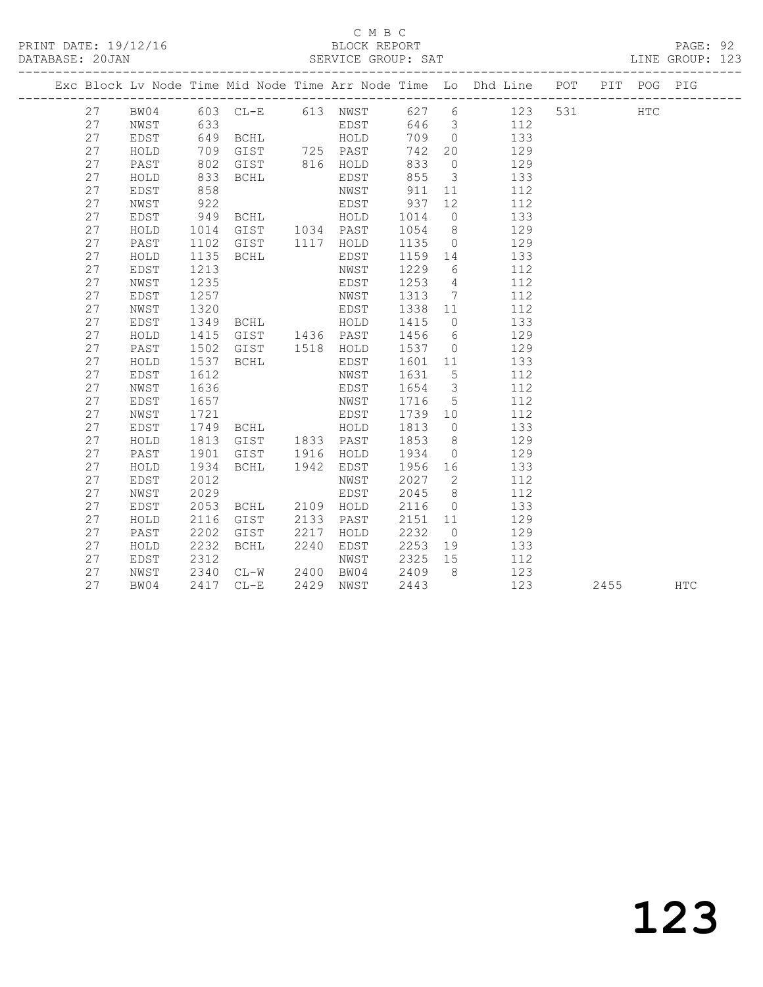#### C M B C

| DATABASE: 20JAN |    |      |                      | N<br>--------------------------                       |                                          |                                             |                 | SERVICE GROUP: SAT LINE G                                                      |  |      | LINE GROUP: 123 |  |
|-----------------|----|------|----------------------|-------------------------------------------------------|------------------------------------------|---------------------------------------------|-----------------|--------------------------------------------------------------------------------|--|------|-----------------|--|
|                 |    |      |                      |                                                       |                                          |                                             |                 | Exc Block Lv Node Time Mid Node Time Arr Node Time Lo Dhd Line POT PIT POG PIG |  |      |                 |  |
|                 |    |      |                      |                                                       |                                          |                                             |                 | 27 BW04 603 CL-E 613 NWST 627 6 123 531 HTC<br>27 NWST 633 EDST 646 3 112      |  |      |                 |  |
|                 |    |      |                      |                                                       |                                          |                                             |                 |                                                                                |  |      |                 |  |
|                 | 27 | EDST |                      |                                                       |                                          |                                             |                 | 709 0 133                                                                      |  |      |                 |  |
|                 | 27 | HOLD | 709                  |                                                       | GIST 725 PAST                            |                                             |                 | 742 20 129                                                                     |  |      |                 |  |
|                 | 27 | PAST | 802                  |                                                       | GIST 816 HOLD                            | 833                                         |                 | $0 \qquad \qquad 129$                                                          |  |      |                 |  |
|                 | 27 | HOLD | 833                  | <b>BCHL</b>                                           | EDST 855<br>NWST 911<br>EDST 937         |                                             |                 | 3 133                                                                          |  |      |                 |  |
|                 | 27 | EDST | 858<br>922           |                                                       |                                          |                                             | 11              | 112                                                                            |  |      |                 |  |
|                 | 27 | NWST |                      |                                                       |                                          |                                             | 12              | 112                                                                            |  |      |                 |  |
|                 | 27 | EDST | 949                  |                                                       | BCHL HOLD 1014                           |                                             |                 | $0$ 133                                                                        |  |      |                 |  |
|                 | 27 | HOLD | 1014                 |                                                       |                                          |                                             |                 | GIST 1034 PAST 1054 8 129                                                      |  |      |                 |  |
|                 | 27 | PAST | 1102                 | GIST 1117 HOLD                                        |                                          |                                             |                 | 1135 0 129                                                                     |  |      |                 |  |
|                 | 27 | HOLD | 1135                 | <b>BCHL</b>                                           | EDST                                     |                                             |                 | 1159 14 133                                                                    |  |      |                 |  |
|                 | 27 | EDST | 1213                 |                                                       | NWST                                     | 1229                                        | $6\overline{6}$ | 112                                                                            |  |      |                 |  |
|                 | 27 | NWST | 1235                 |                                                       | EDST                                     | 1253 4                                      |                 | 112                                                                            |  |      |                 |  |
|                 | 27 | EDST | 1257                 |                                                       | NWST                                     | 1313                                        | $7\overline{ }$ | 112                                                                            |  |      |                 |  |
|                 | 27 | NWST | 1320                 | EDST                                                  |                                          | 1338 11                                     |                 | 112                                                                            |  |      |                 |  |
|                 | 27 | EDST | 1349                 | BCHL HOLD                                             |                                          | 1415                                        |                 | 133<br>$\overline{0}$                                                          |  |      |                 |  |
|                 | 27 | HOLD | 1415<br>1502<br>1537 | GIST 1436 PAST<br>GIST 1518 HOLD<br>BCHL EDST<br>NWST |                                          | 1456 6<br>1537 0                            |                 | 129                                                                            |  |      |                 |  |
|                 | 27 | PAST |                      |                                                       |                                          |                                             |                 | 129                                                                            |  |      |                 |  |
|                 | 27 | HOLD |                      |                                                       |                                          | $\begin{array}{cc}\n1601 & 11\n\end{array}$ |                 | 133                                                                            |  |      |                 |  |
|                 | 27 | EDST | 1612                 |                                                       |                                          | 1631 5                                      |                 | 112                                                                            |  |      |                 |  |
|                 | 27 | NWST | 1636                 |                                                       | EDST                                     |                                             |                 | 1654 3 112                                                                     |  |      |                 |  |
|                 | 27 | EDST | 1657                 |                                                       | NWST                                     | 1716 5                                      |                 | 112                                                                            |  |      |                 |  |
|                 | 27 | NWST |                      |                                                       |                                          | 1739 10                                     |                 | 112                                                                            |  |      |                 |  |
|                 | 27 | EDST |                      | 1721 EDST<br>1749 BCHL HOLD<br>1813 GIST 1833 PAST    |                                          | 1813                                        | $\overline{0}$  | 133                                                                            |  |      |                 |  |
|                 | 27 | HOLD |                      |                                                       |                                          | 1853 8                                      |                 | 129                                                                            |  |      |                 |  |
|                 | 27 | PAST | 1901                 | GIST 1916 HOLD                                        |                                          | 1934                                        |                 | $0$ 129                                                                        |  |      |                 |  |
|                 | 27 | HOLD | 1934                 | BCHL 1942                                             | EDST                                     |                                             |                 | 1956 16 133                                                                    |  |      |                 |  |
|                 | 27 | EDST | 2012                 |                                                       | NWST                                     | 2027                                        |                 | $\overline{2}$<br>112                                                          |  |      |                 |  |
|                 | 27 | NWST | 2029                 |                                                       | EDST                                     | 2045                                        | 8 <sup>8</sup>  | 112                                                                            |  |      |                 |  |
|                 | 27 | EDST | 2053                 | BCHL 2109 HOLD                                        |                                          | 2116                                        | $\overline{0}$  | 133                                                                            |  |      |                 |  |
|                 | 27 | HOLD | 2116                 | GIST                                                  | 2133 PAST                                | 2151 11                                     |                 | 129                                                                            |  |      |                 |  |
|                 | 27 | PAST | 2202                 | GIST 2217                                             | HOLD                                     | 2232                                        |                 | $\overline{0}$<br>129                                                          |  |      |                 |  |
|                 | 27 | HOLD | 2232                 | BCHL 2240                                             | EDST                                     | 2253                                        |                 | 19 133                                                                         |  |      |                 |  |
|                 | 27 | EDST | 2312                 |                                                       |                                          | 2325 15                                     |                 | 112                                                                            |  |      |                 |  |
|                 | 27 | NWST | 2340<br>2417         |                                                       | NWST<br>CL-W 2400 BW04<br>CL-E 2429 NWST | 2409 8                                      |                 | 123                                                                            |  |      |                 |  |
|                 | 27 | BW04 |                      | 2417 CL-E                                             |                                          | 2443                                        |                 | 123                                                                            |  | 2455 | HTC             |  |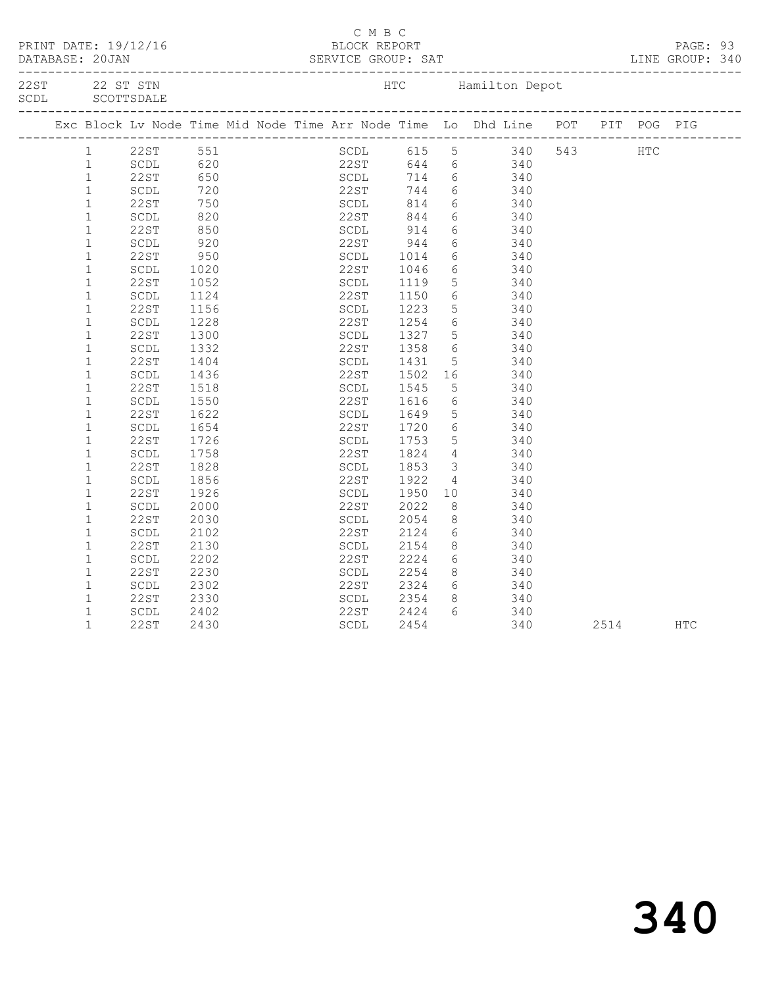| Exc Block Lv Node Time Mid Node Time Arr Node Time Lo Dhd Line POT PIT POG PIG<br>SCDL 615 5 340 543 HTC<br>22ST 644 6 340<br>22ST 551<br>SCDL 620<br>22ST 650<br>SCDL 720<br>22ST 750<br>SCDL 820<br>820<br>$\mathbf{1}$<br>$\mathbf{1}$<br>SCDL 714 6 340<br>$\mathbf{1}$<br>22ST 744 6 340<br>SCDL 814 6 340<br>$\mathbf{1}$<br>$\mathbf{1}$<br>22ST 844 6 340<br>$\mathbf 1$<br>SCDL 914 6 340<br>22ST 944 6 340<br>$\mathbf{1}$<br>22ST<br>850<br>$\frac{1}{920}$<br>$\mathbf 1$<br>SCDL<br>1014<br>1046<br>$\mathbf{1}$<br>6 340<br>22ST<br>950<br>SCDL<br>$\mathbf 1$<br>$6\overline{6}$<br>22ST<br>SCDL<br>1020<br>340<br>1119<br>$5 \overline{\smash)340}$<br>SCDL<br>$\mathbf 1$<br>22ST<br>1052<br>$6 \t 340$<br>$\mathbf{1}$<br>22ST<br>SCDL<br>SCDL<br>1124<br>1150<br>1223<br>5 <sup>5</sup><br>$\mathbf 1$<br>22ST<br>1156<br>340<br>6 340<br>1254<br>$\mathbf 1$<br>1228<br>22ST<br>SCDL<br>$\mathbf{1}$<br>22ST<br>1327<br>1358<br>$\frac{5}{6}$<br>1300<br>SCDL<br>340<br>22ST<br>$\mathbf{1}$<br>1332<br>340<br>SCDL<br>$\mathbf 1$<br>22ST<br>1431<br>5 340<br>1404<br>SCDL<br>$\mathbf{1}$<br>22ST<br>$\begin{array}{ccc} 16 & \qquad & 340 \\ 5 & \qquad & 340 \end{array}$<br>SCDL<br>1436<br>1502<br>1545<br>SCDL<br>$\mathbf{1}$<br>22ST<br>1518<br>$\mathbf{1}$<br>$\begin{array}{ccc} 6 & 340 \end{array}$<br>SCDL<br>1550<br>22ST<br>1616<br>$\mathbf{1}$<br>5 <sup>5</sup><br>22ST<br>1622<br>SCDL<br>1649<br>340<br>1720<br>6 340<br>$\mathbf{1}$<br>22ST<br>SCDL<br>1654<br>$\frac{5}{4}$ $\frac{340}{340}$<br>$\mathbf{1}$<br>22ST<br>1726<br>1753<br>1824<br>SCDL<br>22ST<br>$\mathbf{1}$<br>$\operatorname{\mathsf{SCDL}}$<br>1758<br>340<br>3 340<br>$1\,$<br>1853<br>22ST<br>1828<br>SCDL<br>$\mathbf 1$<br>$\operatorname{\mathsf{SCDL}}$<br>1856<br>22ST<br>1922<br>$\begin{array}{ccc} 4 & 340 \\ 10 & 340 \end{array}$<br>1950<br>SCDL<br>$\mathbf{1}$<br>22ST<br>1926<br>$\mathbf 1$<br>SCDL<br>2000<br>22ST<br>2022<br>8 <sup>8</sup><br>340<br>$1\,$<br>8<br>22ST<br>2030<br>2054<br>340<br>SCDL<br>6 340<br>$\mathbf 1$<br>SCDL<br>2102<br>22ST<br>2124<br>$\mathbf{1}$<br><b>22ST</b><br>8 340<br>2130<br>SCDL<br>2154<br>$1\,$<br>2224<br>$6\overline{6}$<br>$\operatorname{\mathsf{SCDL}}$<br>2202<br>22ST<br>340<br>8 340<br>2254<br>$\mathbf 1$<br>22ST<br>2230<br>SCDL<br>2324<br>2354<br>$\begin{array}{ccc} 6 & 340 \\ 8 & 340 \end{array}$<br>$\mathbf{1}$<br>SCDL<br>2302<br>22ST<br>SCDL<br>$\mathbf{1}$<br>22ST<br>2330<br>6 340<br>$\mathbf 1$<br>2424<br>SCDL<br>2402<br>22ST<br>$\mathbf{1}$<br>22ST<br>SCDL<br>2454<br>340<br>2430<br>2514<br><b>HTC</b> |  |  |  | C M B C |  |  |  |  |
|----------------------------------------------------------------------------------------------------------------------------------------------------------------------------------------------------------------------------------------------------------------------------------------------------------------------------------------------------------------------------------------------------------------------------------------------------------------------------------------------------------------------------------------------------------------------------------------------------------------------------------------------------------------------------------------------------------------------------------------------------------------------------------------------------------------------------------------------------------------------------------------------------------------------------------------------------------------------------------------------------------------------------------------------------------------------------------------------------------------------------------------------------------------------------------------------------------------------------------------------------------------------------------------------------------------------------------------------------------------------------------------------------------------------------------------------------------------------------------------------------------------------------------------------------------------------------------------------------------------------------------------------------------------------------------------------------------------------------------------------------------------------------------------------------------------------------------------------------------------------------------------------------------------------------------------------------------------------------------------------------------------------------------------------------------------------------------------------------------------------------------------------------------------------------------------------------------------------------------------------------------------------------------------------------------------------------------------------------------------------------------------------------------------------------------------------------------------------------------------------------------------------------------------------------------------------------------------------------------------------|--|--|--|---------|--|--|--|--|
|                                                                                                                                                                                                                                                                                                                                                                                                                                                                                                                                                                                                                                                                                                                                                                                                                                                                                                                                                                                                                                                                                                                                                                                                                                                                                                                                                                                                                                                                                                                                                                                                                                                                                                                                                                                                                                                                                                                                                                                                                                                                                                                                                                                                                                                                                                                                                                                                                                                                                                                                                                                                                      |  |  |  |         |  |  |  |  |
|                                                                                                                                                                                                                                                                                                                                                                                                                                                                                                                                                                                                                                                                                                                                                                                                                                                                                                                                                                                                                                                                                                                                                                                                                                                                                                                                                                                                                                                                                                                                                                                                                                                                                                                                                                                                                                                                                                                                                                                                                                                                                                                                                                                                                                                                                                                                                                                                                                                                                                                                                                                                                      |  |  |  |         |  |  |  |  |
|                                                                                                                                                                                                                                                                                                                                                                                                                                                                                                                                                                                                                                                                                                                                                                                                                                                                                                                                                                                                                                                                                                                                                                                                                                                                                                                                                                                                                                                                                                                                                                                                                                                                                                                                                                                                                                                                                                                                                                                                                                                                                                                                                                                                                                                                                                                                                                                                                                                                                                                                                                                                                      |  |  |  |         |  |  |  |  |
|                                                                                                                                                                                                                                                                                                                                                                                                                                                                                                                                                                                                                                                                                                                                                                                                                                                                                                                                                                                                                                                                                                                                                                                                                                                                                                                                                                                                                                                                                                                                                                                                                                                                                                                                                                                                                                                                                                                                                                                                                                                                                                                                                                                                                                                                                                                                                                                                                                                                                                                                                                                                                      |  |  |  |         |  |  |  |  |
|                                                                                                                                                                                                                                                                                                                                                                                                                                                                                                                                                                                                                                                                                                                                                                                                                                                                                                                                                                                                                                                                                                                                                                                                                                                                                                                                                                                                                                                                                                                                                                                                                                                                                                                                                                                                                                                                                                                                                                                                                                                                                                                                                                                                                                                                                                                                                                                                                                                                                                                                                                                                                      |  |  |  |         |  |  |  |  |
|                                                                                                                                                                                                                                                                                                                                                                                                                                                                                                                                                                                                                                                                                                                                                                                                                                                                                                                                                                                                                                                                                                                                                                                                                                                                                                                                                                                                                                                                                                                                                                                                                                                                                                                                                                                                                                                                                                                                                                                                                                                                                                                                                                                                                                                                                                                                                                                                                                                                                                                                                                                                                      |  |  |  |         |  |  |  |  |
|                                                                                                                                                                                                                                                                                                                                                                                                                                                                                                                                                                                                                                                                                                                                                                                                                                                                                                                                                                                                                                                                                                                                                                                                                                                                                                                                                                                                                                                                                                                                                                                                                                                                                                                                                                                                                                                                                                                                                                                                                                                                                                                                                                                                                                                                                                                                                                                                                                                                                                                                                                                                                      |  |  |  |         |  |  |  |  |
|                                                                                                                                                                                                                                                                                                                                                                                                                                                                                                                                                                                                                                                                                                                                                                                                                                                                                                                                                                                                                                                                                                                                                                                                                                                                                                                                                                                                                                                                                                                                                                                                                                                                                                                                                                                                                                                                                                                                                                                                                                                                                                                                                                                                                                                                                                                                                                                                                                                                                                                                                                                                                      |  |  |  |         |  |  |  |  |
|                                                                                                                                                                                                                                                                                                                                                                                                                                                                                                                                                                                                                                                                                                                                                                                                                                                                                                                                                                                                                                                                                                                                                                                                                                                                                                                                                                                                                                                                                                                                                                                                                                                                                                                                                                                                                                                                                                                                                                                                                                                                                                                                                                                                                                                                                                                                                                                                                                                                                                                                                                                                                      |  |  |  |         |  |  |  |  |
|                                                                                                                                                                                                                                                                                                                                                                                                                                                                                                                                                                                                                                                                                                                                                                                                                                                                                                                                                                                                                                                                                                                                                                                                                                                                                                                                                                                                                                                                                                                                                                                                                                                                                                                                                                                                                                                                                                                                                                                                                                                                                                                                                                                                                                                                                                                                                                                                                                                                                                                                                                                                                      |  |  |  |         |  |  |  |  |
|                                                                                                                                                                                                                                                                                                                                                                                                                                                                                                                                                                                                                                                                                                                                                                                                                                                                                                                                                                                                                                                                                                                                                                                                                                                                                                                                                                                                                                                                                                                                                                                                                                                                                                                                                                                                                                                                                                                                                                                                                                                                                                                                                                                                                                                                                                                                                                                                                                                                                                                                                                                                                      |  |  |  |         |  |  |  |  |
|                                                                                                                                                                                                                                                                                                                                                                                                                                                                                                                                                                                                                                                                                                                                                                                                                                                                                                                                                                                                                                                                                                                                                                                                                                                                                                                                                                                                                                                                                                                                                                                                                                                                                                                                                                                                                                                                                                                                                                                                                                                                                                                                                                                                                                                                                                                                                                                                                                                                                                                                                                                                                      |  |  |  |         |  |  |  |  |
|                                                                                                                                                                                                                                                                                                                                                                                                                                                                                                                                                                                                                                                                                                                                                                                                                                                                                                                                                                                                                                                                                                                                                                                                                                                                                                                                                                                                                                                                                                                                                                                                                                                                                                                                                                                                                                                                                                                                                                                                                                                                                                                                                                                                                                                                                                                                                                                                                                                                                                                                                                                                                      |  |  |  |         |  |  |  |  |
|                                                                                                                                                                                                                                                                                                                                                                                                                                                                                                                                                                                                                                                                                                                                                                                                                                                                                                                                                                                                                                                                                                                                                                                                                                                                                                                                                                                                                                                                                                                                                                                                                                                                                                                                                                                                                                                                                                                                                                                                                                                                                                                                                                                                                                                                                                                                                                                                                                                                                                                                                                                                                      |  |  |  |         |  |  |  |  |
|                                                                                                                                                                                                                                                                                                                                                                                                                                                                                                                                                                                                                                                                                                                                                                                                                                                                                                                                                                                                                                                                                                                                                                                                                                                                                                                                                                                                                                                                                                                                                                                                                                                                                                                                                                                                                                                                                                                                                                                                                                                                                                                                                                                                                                                                                                                                                                                                                                                                                                                                                                                                                      |  |  |  |         |  |  |  |  |
|                                                                                                                                                                                                                                                                                                                                                                                                                                                                                                                                                                                                                                                                                                                                                                                                                                                                                                                                                                                                                                                                                                                                                                                                                                                                                                                                                                                                                                                                                                                                                                                                                                                                                                                                                                                                                                                                                                                                                                                                                                                                                                                                                                                                                                                                                                                                                                                                                                                                                                                                                                                                                      |  |  |  |         |  |  |  |  |
|                                                                                                                                                                                                                                                                                                                                                                                                                                                                                                                                                                                                                                                                                                                                                                                                                                                                                                                                                                                                                                                                                                                                                                                                                                                                                                                                                                                                                                                                                                                                                                                                                                                                                                                                                                                                                                                                                                                                                                                                                                                                                                                                                                                                                                                                                                                                                                                                                                                                                                                                                                                                                      |  |  |  |         |  |  |  |  |
|                                                                                                                                                                                                                                                                                                                                                                                                                                                                                                                                                                                                                                                                                                                                                                                                                                                                                                                                                                                                                                                                                                                                                                                                                                                                                                                                                                                                                                                                                                                                                                                                                                                                                                                                                                                                                                                                                                                                                                                                                                                                                                                                                                                                                                                                                                                                                                                                                                                                                                                                                                                                                      |  |  |  |         |  |  |  |  |
|                                                                                                                                                                                                                                                                                                                                                                                                                                                                                                                                                                                                                                                                                                                                                                                                                                                                                                                                                                                                                                                                                                                                                                                                                                                                                                                                                                                                                                                                                                                                                                                                                                                                                                                                                                                                                                                                                                                                                                                                                                                                                                                                                                                                                                                                                                                                                                                                                                                                                                                                                                                                                      |  |  |  |         |  |  |  |  |
|                                                                                                                                                                                                                                                                                                                                                                                                                                                                                                                                                                                                                                                                                                                                                                                                                                                                                                                                                                                                                                                                                                                                                                                                                                                                                                                                                                                                                                                                                                                                                                                                                                                                                                                                                                                                                                                                                                                                                                                                                                                                                                                                                                                                                                                                                                                                                                                                                                                                                                                                                                                                                      |  |  |  |         |  |  |  |  |
|                                                                                                                                                                                                                                                                                                                                                                                                                                                                                                                                                                                                                                                                                                                                                                                                                                                                                                                                                                                                                                                                                                                                                                                                                                                                                                                                                                                                                                                                                                                                                                                                                                                                                                                                                                                                                                                                                                                                                                                                                                                                                                                                                                                                                                                                                                                                                                                                                                                                                                                                                                                                                      |  |  |  |         |  |  |  |  |
|                                                                                                                                                                                                                                                                                                                                                                                                                                                                                                                                                                                                                                                                                                                                                                                                                                                                                                                                                                                                                                                                                                                                                                                                                                                                                                                                                                                                                                                                                                                                                                                                                                                                                                                                                                                                                                                                                                                                                                                                                                                                                                                                                                                                                                                                                                                                                                                                                                                                                                                                                                                                                      |  |  |  |         |  |  |  |  |
|                                                                                                                                                                                                                                                                                                                                                                                                                                                                                                                                                                                                                                                                                                                                                                                                                                                                                                                                                                                                                                                                                                                                                                                                                                                                                                                                                                                                                                                                                                                                                                                                                                                                                                                                                                                                                                                                                                                                                                                                                                                                                                                                                                                                                                                                                                                                                                                                                                                                                                                                                                                                                      |  |  |  |         |  |  |  |  |
|                                                                                                                                                                                                                                                                                                                                                                                                                                                                                                                                                                                                                                                                                                                                                                                                                                                                                                                                                                                                                                                                                                                                                                                                                                                                                                                                                                                                                                                                                                                                                                                                                                                                                                                                                                                                                                                                                                                                                                                                                                                                                                                                                                                                                                                                                                                                                                                                                                                                                                                                                                                                                      |  |  |  |         |  |  |  |  |
|                                                                                                                                                                                                                                                                                                                                                                                                                                                                                                                                                                                                                                                                                                                                                                                                                                                                                                                                                                                                                                                                                                                                                                                                                                                                                                                                                                                                                                                                                                                                                                                                                                                                                                                                                                                                                                                                                                                                                                                                                                                                                                                                                                                                                                                                                                                                                                                                                                                                                                                                                                                                                      |  |  |  |         |  |  |  |  |
|                                                                                                                                                                                                                                                                                                                                                                                                                                                                                                                                                                                                                                                                                                                                                                                                                                                                                                                                                                                                                                                                                                                                                                                                                                                                                                                                                                                                                                                                                                                                                                                                                                                                                                                                                                                                                                                                                                                                                                                                                                                                                                                                                                                                                                                                                                                                                                                                                                                                                                                                                                                                                      |  |  |  |         |  |  |  |  |
|                                                                                                                                                                                                                                                                                                                                                                                                                                                                                                                                                                                                                                                                                                                                                                                                                                                                                                                                                                                                                                                                                                                                                                                                                                                                                                                                                                                                                                                                                                                                                                                                                                                                                                                                                                                                                                                                                                                                                                                                                                                                                                                                                                                                                                                                                                                                                                                                                                                                                                                                                                                                                      |  |  |  |         |  |  |  |  |
|                                                                                                                                                                                                                                                                                                                                                                                                                                                                                                                                                                                                                                                                                                                                                                                                                                                                                                                                                                                                                                                                                                                                                                                                                                                                                                                                                                                                                                                                                                                                                                                                                                                                                                                                                                                                                                                                                                                                                                                                                                                                                                                                                                                                                                                                                                                                                                                                                                                                                                                                                                                                                      |  |  |  |         |  |  |  |  |
|                                                                                                                                                                                                                                                                                                                                                                                                                                                                                                                                                                                                                                                                                                                                                                                                                                                                                                                                                                                                                                                                                                                                                                                                                                                                                                                                                                                                                                                                                                                                                                                                                                                                                                                                                                                                                                                                                                                                                                                                                                                                                                                                                                                                                                                                                                                                                                                                                                                                                                                                                                                                                      |  |  |  |         |  |  |  |  |
|                                                                                                                                                                                                                                                                                                                                                                                                                                                                                                                                                                                                                                                                                                                                                                                                                                                                                                                                                                                                                                                                                                                                                                                                                                                                                                                                                                                                                                                                                                                                                                                                                                                                                                                                                                                                                                                                                                                                                                                                                                                                                                                                                                                                                                                                                                                                                                                                                                                                                                                                                                                                                      |  |  |  |         |  |  |  |  |
|                                                                                                                                                                                                                                                                                                                                                                                                                                                                                                                                                                                                                                                                                                                                                                                                                                                                                                                                                                                                                                                                                                                                                                                                                                                                                                                                                                                                                                                                                                                                                                                                                                                                                                                                                                                                                                                                                                                                                                                                                                                                                                                                                                                                                                                                                                                                                                                                                                                                                                                                                                                                                      |  |  |  |         |  |  |  |  |
|                                                                                                                                                                                                                                                                                                                                                                                                                                                                                                                                                                                                                                                                                                                                                                                                                                                                                                                                                                                                                                                                                                                                                                                                                                                                                                                                                                                                                                                                                                                                                                                                                                                                                                                                                                                                                                                                                                                                                                                                                                                                                                                                                                                                                                                                                                                                                                                                                                                                                                                                                                                                                      |  |  |  |         |  |  |  |  |
|                                                                                                                                                                                                                                                                                                                                                                                                                                                                                                                                                                                                                                                                                                                                                                                                                                                                                                                                                                                                                                                                                                                                                                                                                                                                                                                                                                                                                                                                                                                                                                                                                                                                                                                                                                                                                                                                                                                                                                                                                                                                                                                                                                                                                                                                                                                                                                                                                                                                                                                                                                                                                      |  |  |  |         |  |  |  |  |
|                                                                                                                                                                                                                                                                                                                                                                                                                                                                                                                                                                                                                                                                                                                                                                                                                                                                                                                                                                                                                                                                                                                                                                                                                                                                                                                                                                                                                                                                                                                                                                                                                                                                                                                                                                                                                                                                                                                                                                                                                                                                                                                                                                                                                                                                                                                                                                                                                                                                                                                                                                                                                      |  |  |  |         |  |  |  |  |
|                                                                                                                                                                                                                                                                                                                                                                                                                                                                                                                                                                                                                                                                                                                                                                                                                                                                                                                                                                                                                                                                                                                                                                                                                                                                                                                                                                                                                                                                                                                                                                                                                                                                                                                                                                                                                                                                                                                                                                                                                                                                                                                                                                                                                                                                                                                                                                                                                                                                                                                                                                                                                      |  |  |  |         |  |  |  |  |
|                                                                                                                                                                                                                                                                                                                                                                                                                                                                                                                                                                                                                                                                                                                                                                                                                                                                                                                                                                                                                                                                                                                                                                                                                                                                                                                                                                                                                                                                                                                                                                                                                                                                                                                                                                                                                                                                                                                                                                                                                                                                                                                                                                                                                                                                                                                                                                                                                                                                                                                                                                                                                      |  |  |  |         |  |  |  |  |
|                                                                                                                                                                                                                                                                                                                                                                                                                                                                                                                                                                                                                                                                                                                                                                                                                                                                                                                                                                                                                                                                                                                                                                                                                                                                                                                                                                                                                                                                                                                                                                                                                                                                                                                                                                                                                                                                                                                                                                                                                                                                                                                                                                                                                                                                                                                                                                                                                                                                                                                                                                                                                      |  |  |  |         |  |  |  |  |
|                                                                                                                                                                                                                                                                                                                                                                                                                                                                                                                                                                                                                                                                                                                                                                                                                                                                                                                                                                                                                                                                                                                                                                                                                                                                                                                                                                                                                                                                                                                                                                                                                                                                                                                                                                                                                                                                                                                                                                                                                                                                                                                                                                                                                                                                                                                                                                                                                                                                                                                                                                                                                      |  |  |  |         |  |  |  |  |
|                                                                                                                                                                                                                                                                                                                                                                                                                                                                                                                                                                                                                                                                                                                                                                                                                                                                                                                                                                                                                                                                                                                                                                                                                                                                                                                                                                                                                                                                                                                                                                                                                                                                                                                                                                                                                                                                                                                                                                                                                                                                                                                                                                                                                                                                                                                                                                                                                                                                                                                                                                                                                      |  |  |  |         |  |  |  |  |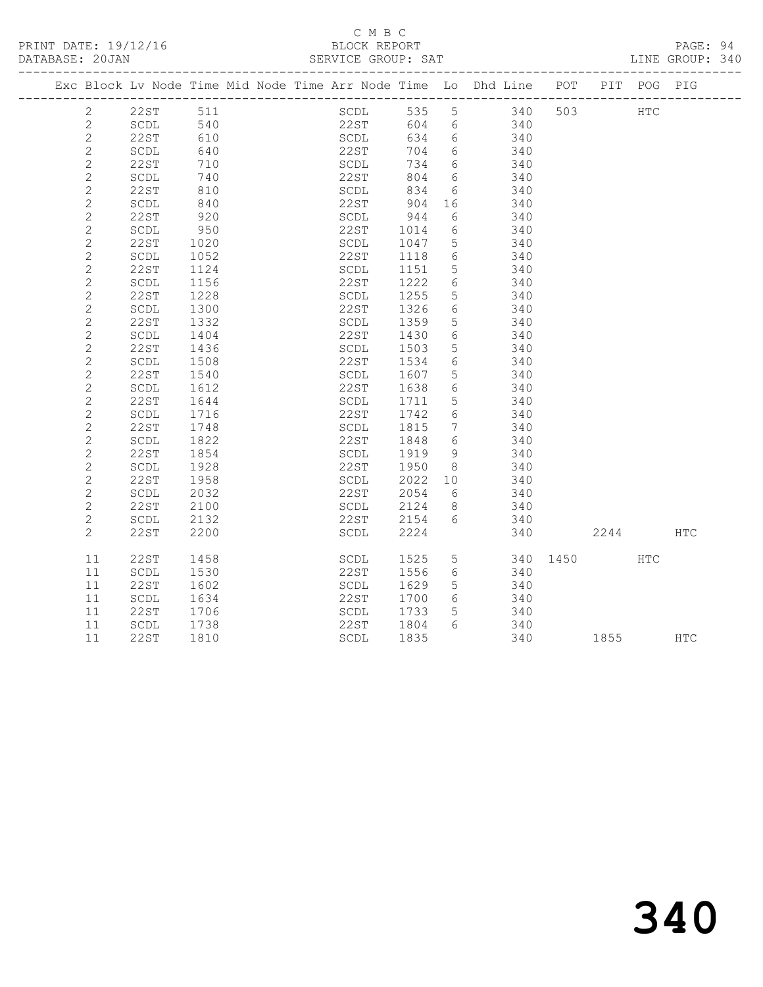PRINT DATE: 19/12/16 BLOCK REPORT<br>DATABASE: 20JAN SERVICE GROUP: SAT

#### C M B C<br>BLOCK REPORT

PAGE: 94<br>LINE GROUP: 340

|  |                |          |             | Exc Block Lv Node Time Mid Node Time Arr Node Time Lo Dhd Line POT |                           |        |                 |                              |      | PIT POG PIG |            |
|--|----------------|----------|-------------|--------------------------------------------------------------------|---------------------------|--------|-----------------|------------------------------|------|-------------|------------|
|  | $\overline{2}$ | 22ST 511 |             |                                                                    |                           |        |                 | SCDL 535 5 340 503           |      | <b>HTC</b>  |            |
|  | $\overline{2}$ | SCDL     | 540<br>610  |                                                                    | 22ST 604 6<br>SCDL 634 6  |        |                 | 604 6 340<br>634 6 340       |      |             |            |
|  | $\overline{c}$ | 22ST     |             |                                                                    |                           |        |                 |                              |      |             |            |
|  | $\mathbf{2}$   | SCDL     | 640         |                                                                    | 22ST                      |        |                 | 704 6 340                    |      |             |            |
|  | $\mathbf{2}$   | 22ST     | 710         |                                                                    | SCDL<br>22ST              | 734 6  |                 | 340                          |      |             |            |
|  | $\sqrt{2}$     | SCDL     | 740         |                                                                    |                           |        |                 | $804$ 6 340                  |      |             |            |
|  | $\sqrt{2}$     | 22ST     | 810         |                                                                    | SCDL                      | 834    |                 | 6 340                        |      |             |            |
|  | $\sqrt{2}$     | SCDL     | 840         |                                                                    | 22ST 904 16<br>SCDL 944 6 |        |                 | 340<br>340                   |      |             |            |
|  | $\mathbf{2}$   | 22ST     | 920         |                                                                    |                           |        |                 |                              |      |             |            |
|  | $\sqrt{2}$     | SCDL     | 950         |                                                                    | 22ST 1014                 |        |                 | 6 340                        |      |             |            |
|  | $\overline{2}$ | 22ST     | 1020        |                                                                    | SCDL                      | 1047 5 |                 | 340                          |      |             |            |
|  | $\sqrt{2}$     | SCDL     | 1052        |                                                                    | 22ST                      | 1118   | $6\overline{6}$ | 340                          |      |             |            |
|  | $\mathbf{2}$   | 22ST     | 1124        |                                                                    | SCDL                      | 1151 5 |                 | 340                          |      |             |            |
|  | $\overline{c}$ | SCDL     | 1156        |                                                                    | 22ST                      | 1222   | $6\overline{6}$ | 340                          |      |             |            |
|  | $\sqrt{2}$     | 22ST     | 1228        |                                                                    | SCDL                      | 1255   | 5 <sup>5</sup>  | 340                          |      |             |            |
|  | $\sqrt{2}$     | SCDL     | 1300        |                                                                    | 22ST                      | 1326   | 6               | 340                          |      |             |            |
|  | $\overline{c}$ | 22ST     | 1332        |                                                                    | SCDL                      | 1359   | 5 <sup>5</sup>  | 340                          |      |             |            |
|  | $\sqrt{2}$     | SCDL     | 1404        |                                                                    | 22ST                      | 1430   | 6 <sup>1</sup>  | 340                          |      |             |            |
|  | $\overline{c}$ | 22ST     | 1436        |                                                                    | SCDL                      | 1503   | $5\overline{)}$ | 340                          |      |             |            |
|  | $\mathbf{2}$   | SCDL     | 1508        |                                                                    | 22ST                      | 1534   | 6               | 340                          |      |             |            |
|  | $\sqrt{2}$     | 22ST     | 1540        |                                                                    | SCDL                      | 1607 5 |                 | 340                          |      |             |            |
|  | $\mathbf{2}$   | SCDL     | 1612        |                                                                    | 22ST                      |        |                 | $1607$ 340<br>1638 6 340     |      |             |            |
|  | $\overline{c}$ | 22ST     | 1644        |                                                                    | SCDL                      | 1711 5 |                 | 340                          |      |             |            |
|  | $\sqrt{2}$     | SCDL     | 1716<br>1/1 |                                                                    | 22ST                      | 1742   |                 | 6 <sup>2</sup><br>340<br>340 |      |             |            |
|  | $\mathbf{2}$   | 22ST     |             |                                                                    | SCDL                      | 1815   | $7\overline{ }$ |                              |      |             |            |
|  | $\sqrt{2}$     | SCDL     | 1822        |                                                                    | 22ST                      | 1848   | $6\overline{6}$ | 340                          |      |             |            |
|  | $\overline{2}$ | 22ST     | 1854        |                                                                    | SCDL                      | 1919 9 |                 | 340                          |      |             |            |
|  | $\sqrt{2}$     | SCDL     | 1928        |                                                                    | 22ST                      | 1950 8 |                 | 340                          |      |             |            |
|  | $\sqrt{2}$     | 22 S T   | 1958        |                                                                    |                           |        |                 | SCDL 2022 10 340             |      |             |            |
|  | $\overline{2}$ | SCDL     | 2032        |                                                                    | 22ST                      | 2054   | $6\overline{6}$ | 340                          |      |             |            |
|  | $\overline{c}$ | 22ST     | 2100        |                                                                    | SCDL                      | 2124 8 |                 | 340                          |      |             |            |
|  | $\overline{2}$ | SCDL     | 2132        |                                                                    | 22ST 2154 6               |        |                 | 340                          |      |             |            |
|  | $\overline{2}$ | 22ST     | 2200        |                                                                    | SCDL                      | 2224   |                 | 340 2244                     |      |             | <b>HTC</b> |
|  | 11             | 22ST     | 1458        |                                                                    | SCDL                      |        |                 | 1525 5 340 1450 HTC          |      |             |            |
|  | 11             | SCDL     | 1530        |                                                                    | 22ST                      | 1556   |                 | 6 340                        |      |             |            |
|  | 11             | 22ST     | 1602        |                                                                    | SCDL                      | 1629   | 5 <sup>5</sup>  | 340                          |      |             |            |
|  | 11             | SCDL     | 1634        |                                                                    | 22ST                      | 1700   | 6               | $\frac{1}{340}$              |      |             |            |
|  | 11             | 22ST     | 1706        |                                                                    | SCDL                      | 1733   | $5\overline{)}$ | 340                          |      |             |            |
|  | 11             | SCDL     | 1738        |                                                                    | 22ST                      | 1804   |                 | $6\overline{6}$<br>340       |      |             |            |
|  | 11             | 22ST     | 1810        |                                                                    | SCDL                      | 1835   |                 | 340                          | 1855 |             | <b>HTC</b> |
|  |                |          |             |                                                                    |                           |        |                 |                              |      |             |            |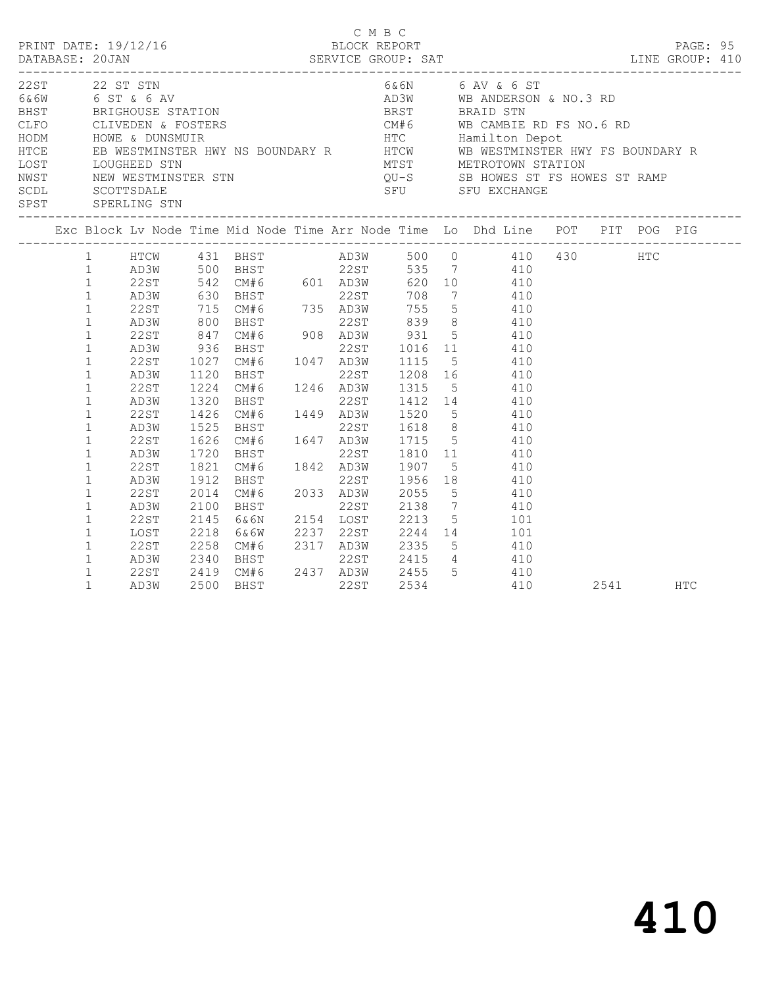|                                              |                                                                                                                             | PRINT DATE: 19/12/16                                                 |                                                      |                                                              |  | C M B C<br>BLOCK REPORT |  | DATABASE: 20JAN SERVICE GROUP: SAT LINE GROUP: 410                                                                                                                                                                                                                                                                                                                                                                                            |          | PAGE: 95 |  |
|----------------------------------------------|-----------------------------------------------------------------------------------------------------------------------------|----------------------------------------------------------------------|------------------------------------------------------|--------------------------------------------------------------|--|-------------------------|--|-----------------------------------------------------------------------------------------------------------------------------------------------------------------------------------------------------------------------------------------------------------------------------------------------------------------------------------------------------------------------------------------------------------------------------------------------|----------|----------|--|
|                                              |                                                                                                                             | 22ST 22 ST STN<br>SPST SPERLING STN                                  |                                                      |                                                              |  |                         |  | 6 & 6N 6 AV & 6 ST<br>$\begin{tabular}{lllllllllllllllllllllll} \multicolumn{3}{c}{22.8\text{T} & 22 & $\text{ST}$ & $\text{ST}$ & $\text{6\&6N}$ & $\text{6\&N}$ & $\text{6\&N}$ & $\text{6\&N}$ & $\text{6\&N}$ & $\text{6\&N}$ & $\text{6\&N}$ & $\text{6\&N}$ & $\text{6\&N}$ & $\text{6\&N}$ & $\text{6\&N}$ & $\text{6\&N}$ & $\text{6\&N}$ & $\text{6\&N}$ & $\text{6\&N}$ & $\text{6\&N}$ & $\text{6\&N}$ & $\text{6\&N}$ & $\text{6$ |          |          |  |
|                                              |                                                                                                                             |                                                                      |                                                      |                                                              |  |                         |  | Exc Block Lv Node Time Mid Node Time Arr Node Time Lo Dhd Line POT PIT POG PIG                                                                                                                                                                                                                                                                                                                                                                |          |          |  |
| $\mathbf{1}$<br>$\mathbf{1}$<br>$\mathbf{1}$ | $\mathbf{1}$<br>$\mathbf{1}$<br>$\mathbf 1$<br>$\mathbf 1$                                                                  | AD3W<br>22ST<br>AD3W<br>22ST<br>AD3W<br>22ST<br>AD3W                 | 1720                                                 | 1120 BHST 22ST 1208 16 410<br>1224 CM#6 1246 AD3W 1315 5 410 |  |                         |  | 1 HTCW 431 BHST AD3W 500 410 430 HTC<br>1 AD3W 500 BHST 22ST 535 7 410<br>1 AD3W 630 BHST 22ST 708 7 410<br>1 AD3W 630 BHST 22ST 708 7 410<br>1 22ST 715 CM#6 735 AD3W 755 5 410<br>1 AD3W 800 BHST 22ST 839 8 410<br>1 AD3W 800 BHST 22ST<br>1320 BHST<br>1320 BHST<br>1426 CM#6 1449 AD3W 1520 5 410<br>1525 BHST 22ST 1618 8 410<br>1626 CM#6 1647 AD3W 1715 5 410<br>BHST 22ST 1810 11 410                                                |          |          |  |
| $\mathbf{1}$                                 | $\mathbf{1}$<br>$\mathbf 1$<br>$\mathbf{1}$<br>$\mathbf{1}$<br>$\mathbf{1}$<br>$\mathbf{1}$<br>$\mathbf{1}$<br>$\mathbf{1}$ | 22ST<br>AD3W<br>22ST<br>AD3W<br>22ST<br>LOST<br>22ST<br>AD3W<br>22ST | 1821<br>1912<br>2014<br>2100<br>2145<br>2218<br>2258 | BHST<br>2340 BHST                                            |  |                         |  | CM#6 1842 AD3W 1907 5 410<br>BHST 2033 AD3W 2055 5 410<br>22ST 2138 7 410<br>6 a 6N 2154 LOST 2213 5<br>6 a 6N 2237 22ST 2244 14 101<br>CM#6 2317 AD3W 2335 5 410<br>22ST 2415 4 410                                                                                                                                                                                                                                                          |          |          |  |
|                                              | $\mathbf{1}$                                                                                                                | AD3W                                                                 |                                                      | 2419 CM#6 2437 AD3W 2455 5 410<br>2500 BHST 22ST 2534 410    |  |                         |  |                                                                                                                                                                                                                                                                                                                                                                                                                                               | 2541 HTC |          |  |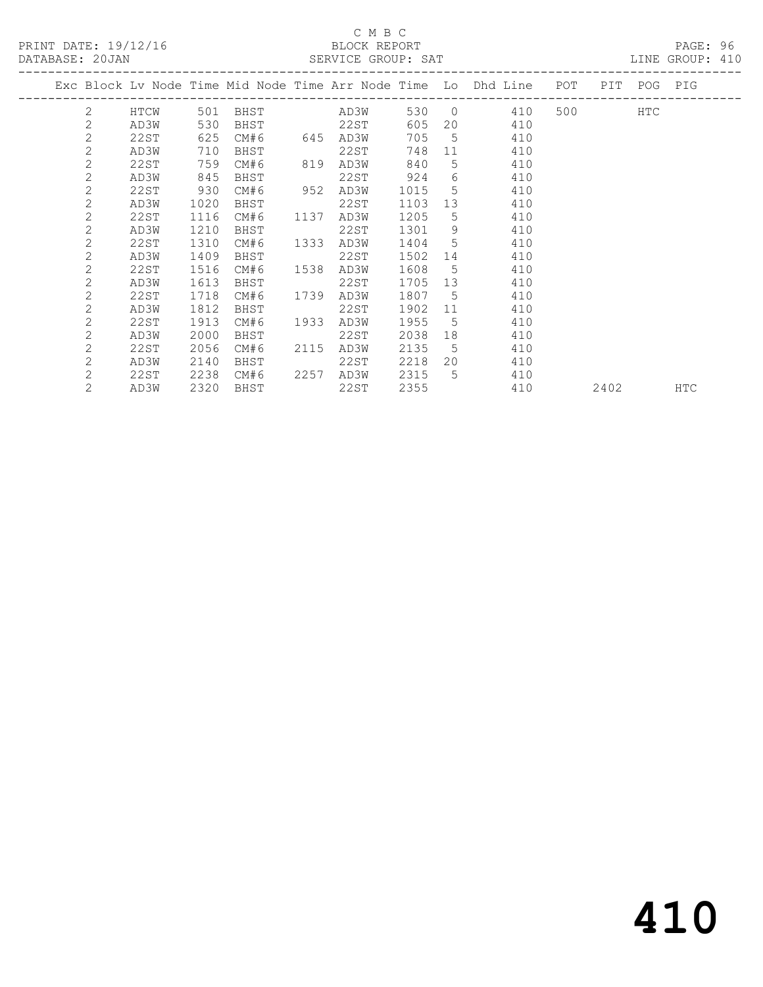## C M B C<br>BLOCK REPORT

| DATABASE: 20JAN |                |      |      |                      |      |           |        |                | SERVICE GROUP: SAT                                                                                                                                                                                                                    |                      |         |     | LINE GROUP: 410 |
|-----------------|----------------|------|------|----------------------|------|-----------|--------|----------------|---------------------------------------------------------------------------------------------------------------------------------------------------------------------------------------------------------------------------------------|----------------------|---------|-----|-----------------|
|                 |                |      |      |                      |      |           |        |                | Exc Block Lv Node Time Mid Node Time Arr Node Time Lo Dhd Line POT PIT POG PIG                                                                                                                                                        |                      |         |     |                 |
|                 |                |      |      | 2 HTCW 501 BHST AD3W |      |           |        |                | 530 0 410                                                                                                                                                                                                                             | -------------------- | 500 000 | HTC |                 |
|                 | 2              | AD3W | 530  | <b>BHST</b>          |      | 22ST      | 605    |                | 20<br>410                                                                                                                                                                                                                             |                      |         |     |                 |
|                 | $\overline{c}$ | 22ST | 625  | CM#6 645 AD3W        |      |           |        |                | 705 5<br>410                                                                                                                                                                                                                          |                      |         |     |                 |
|                 | $\mathbf{2}$   | AD3W | 710  | BHST                 |      | 22ST      | 748    |                | 11 — 11 — 11 — 11 — 11 — 11 — 11 — 11 — 11 — 11 — 11 — 11 — 11 — 11 — 11 — 11 — 11 — 11 — 11 — 11 — 11 — 11 — 11 — 11 — 11 — 11 — 11 — 11 — 11 — 11 — 11 — 11 — 11 — 11 — 11 — 11 — 11 — 11 — 11 — 11 — 11 — 11 — 11 — 11 — 11<br>410 |                      |         |     |                 |
|                 | $\overline{2}$ | 22ST | 759  | CM#6                 | 819  | AD3W      | 840    |                | $5^{\circ}$<br>410                                                                                                                                                                                                                    |                      |         |     |                 |
|                 | $\mathbf{2}$   | AD3W | 845  | BHST                 |      | 22ST      | 924    |                | $6\degree$<br>410                                                                                                                                                                                                                     |                      |         |     |                 |
|                 | $\overline{2}$ | 22ST | 930  | CM#6                 | 952  | AD3W      | 1015   |                | 5 <sub>5</sub><br>410                                                                                                                                                                                                                 |                      |         |     |                 |
|                 | $\overline{2}$ | AD3W | 1020 | BHST                 |      | 22ST      | 1103   |                | 13<br>410                                                                                                                                                                                                                             |                      |         |     |                 |
|                 | $\overline{2}$ | 22ST | 1116 | CM#6                 | 1137 | AD3W      | 1205   |                | $5^{\circ}$<br>410                                                                                                                                                                                                                    |                      |         |     |                 |
|                 | $\mathbf{2}$   | AD3W | 1210 | BHST                 |      | 22ST      | 1301   | 9              | 410                                                                                                                                                                                                                                   |                      |         |     |                 |
|                 | $\mathbf{2}$   | 22ST | 1310 | CM#6                 | 1333 | AD3W      | 1404 5 |                | 410                                                                                                                                                                                                                                   |                      |         |     |                 |
|                 | $\overline{2}$ | AD3W | 1409 | BHST                 |      | 22ST      | 1502   |                | 14<br>410                                                                                                                                                                                                                             |                      |         |     |                 |
|                 | $\mathbf{2}$   | 22ST | 1516 | CM#6                 | 1538 | AD3W      | 1608 5 |                | 410                                                                                                                                                                                                                                   |                      |         |     |                 |
|                 | $\overline{2}$ | AD3W | 1613 | BHST                 |      | 22ST      | 1705   |                | 13<br>410                                                                                                                                                                                                                             |                      |         |     |                 |
|                 | $\mathbf{2}$   | 22ST | 1718 | CM#6                 | 1739 | AD3W      | 1807 5 |                | 410                                                                                                                                                                                                                                   |                      |         |     |                 |
|                 | $\overline{2}$ | AD3W | 1812 | BHST                 |      | 22ST      | 1902   | 11             | 410                                                                                                                                                                                                                                   |                      |         |     |                 |
|                 | $\mathbf{2}$   | 22ST | 1913 | CM#6                 | 1933 | AD3W      | 1955   | 5 <sup>5</sup> | 410                                                                                                                                                                                                                                   |                      |         |     |                 |
|                 | $\overline{2}$ | AD3W | 2000 | BHST                 |      | 22ST      | 2038   | 18             | 410                                                                                                                                                                                                                                   |                      |         |     |                 |
|                 | $\mathbf{2}$   | 22ST | 2056 | CM#6                 |      | 2115 AD3W | 2135 5 |                | 410                                                                                                                                                                                                                                   |                      |         |     |                 |
|                 | 2              | AD3W | 2140 | BHST                 |      | 22ST      | 2218   |                | 20<br>410                                                                                                                                                                                                                             |                      |         |     |                 |
|                 | $\overline{2}$ | 22ST |      | 2238 CM#6            |      | 2257 AD3W | 2315 5 |                | 410                                                                                                                                                                                                                                   |                      |         |     |                 |

2 AD3W 2320 BHST 22ST 2355 410 2402 HTC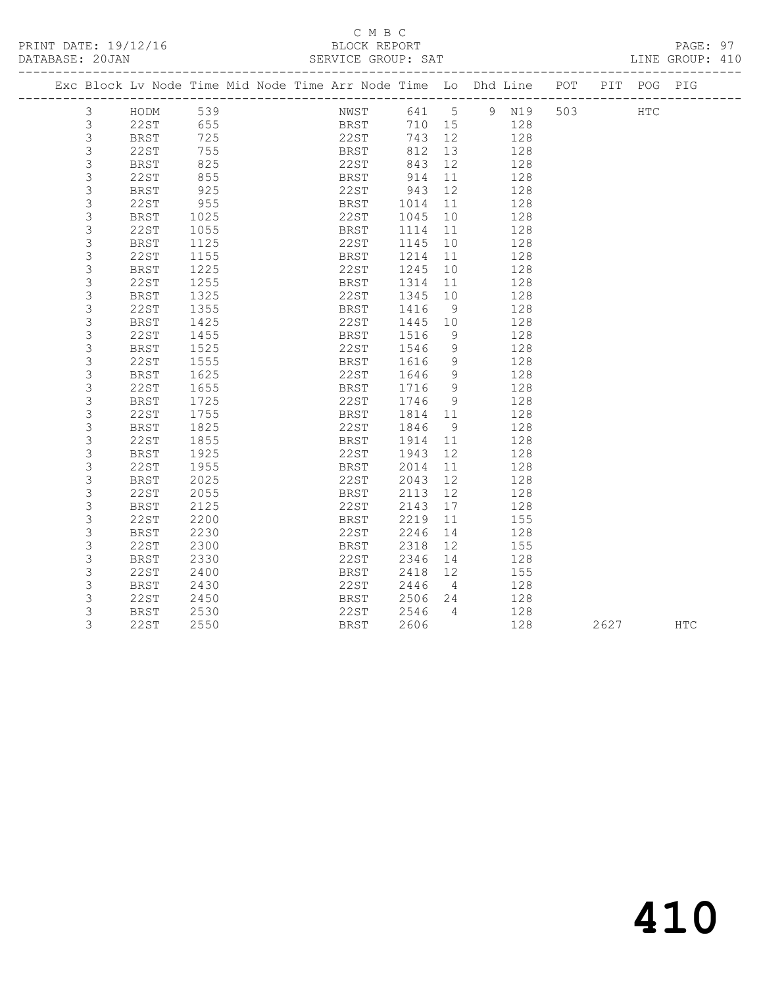#### C M B C<br>BLOCK REPORT SERVICE GROUP: SAT

|                | Exc Block Lv Node Time Mid Node Time Arr Node Time Lo Dhd Line POT PIT POG PIG |            |  |                  |         |                |     |     |               |            |
|----------------|--------------------------------------------------------------------------------|------------|--|------------------|---------|----------------|-----|-----|---------------|------------|
| $\mathfrak{Z}$ | HODM                                                                           | 539        |  | NWST 641 5 9 N19 |         |                |     | 503 | $_{\rm{HTC}}$ |            |
| $\mathfrak{Z}$ | 22ST                                                                           | 655<br>725 |  | BRST<br>22ST     | 710 15  |                | 128 |     |               |            |
| $\mathfrak{Z}$ | BRST                                                                           |            |  |                  | 743 12  |                | 128 |     |               |            |
| $\mathcal{S}$  | 22ST                                                                           | 755        |  | <b>BRST</b>      | 812 13  |                | 128 |     |               |            |
| $\mathfrak{Z}$ | BRST                                                                           | 825        |  | 22ST             | 843     | 12             | 128 |     |               |            |
| $\mathfrak{Z}$ | 22ST                                                                           | 855        |  | BRST             | 914     | 11             | 128 |     |               |            |
| 3              | BRST                                                                           | 925        |  | 22ST             | 943     | 12             | 128 |     |               |            |
| 3              | 22ST                                                                           | 955        |  | <b>BRST</b>      | 1014    | 11             | 128 |     |               |            |
| $\mathfrak{Z}$ | <b>BRST</b>                                                                    | 1025       |  | 22ST             | 1045    | 10             | 128 |     |               |            |
| 3              | 22ST                                                                           | 1055       |  | BRST             | 1114 11 |                | 128 |     |               |            |
| $\mathsf 3$    | BRST                                                                           | 1125       |  | 22ST             | 1145    | 10             | 128 |     |               |            |
| 3              | 22ST                                                                           | 1155       |  | BRST             | 1214    | 11             | 128 |     |               |            |
| 3              | BRST                                                                           | 1225       |  | 22ST             | 1245    | 10             | 128 |     |               |            |
| 3              | 22ST                                                                           | 1255       |  | BRST             | 1314    | 11             | 128 |     |               |            |
| 3              | BRST                                                                           | 1325       |  | 22ST             | 1345    | 10             | 128 |     |               |            |
| 3              | 22ST                                                                           | 1355       |  | BRST             | 1416    | - 9            | 128 |     |               |            |
| 3              | BRST                                                                           | 1425       |  | 22ST             | 1445 10 |                | 128 |     |               |            |
| 3              | 22ST                                                                           | 1455       |  | BRST             | 1516    | 9              | 128 |     |               |            |
| 3              | BRST                                                                           | 1525       |  | 22ST             | 1546    | $\overline{9}$ | 128 |     |               |            |
| 3              | 22ST                                                                           | 1555       |  | BRST             | 1616    | 9              | 128 |     |               |            |
| 3              | <b>BRST</b>                                                                    | 1625       |  | 22ST             | 1646    | 9              | 128 |     |               |            |
| 3              | 22ST                                                                           | 1655       |  | BRST             | 1716    | - 9            | 128 |     |               |            |
| 3              | <b>BRST</b>                                                                    | 1725       |  | 22ST             | 1746    | 9              | 128 |     |               |            |
| 3              | 22ST                                                                           | 1755       |  | BRST             | 1814 11 |                | 128 |     |               |            |
| 3              | BRST                                                                           | 1825       |  | 22ST             | 1846    | 9              | 128 |     |               |            |
| 3              | 22ST                                                                           | 1855       |  | BRST             | 1914    | 11             | 128 |     |               |            |
| $\mathfrak{Z}$ | <b>BRST</b>                                                                    | 1925       |  | 22ST             | 1943    | 12             | 128 |     |               |            |
| 3              | 22ST                                                                           | 1955       |  | BRST             | 2014    | 11             | 128 |     |               |            |
| 3              | <b>BRST</b>                                                                    | 2025       |  | 22ST             | 2043    | 12             | 128 |     |               |            |
| 3              | 22ST                                                                           | 2055       |  | BRST             | 2113    | 12             | 128 |     |               |            |
| 3              | <b>BRST</b>                                                                    | 2125       |  | 22ST             | 2143    | 17             | 128 |     |               |            |
| 3              | 22ST                                                                           | 2200       |  | BRST             | 2219    | 11             | 155 |     |               |            |
| $\mathsf 3$    | BRST                                                                           | 2230       |  | 22ST             | 2246    | 14             | 128 |     |               |            |
| 3              | 22ST                                                                           | 2300       |  | BRST             | 2318    | 12             | 155 |     |               |            |
| 3              | <b>BRST</b>                                                                    | 2330       |  | 22ST             | 2346    | 14             | 128 |     |               |            |
| 3              | 22ST                                                                           | 2400       |  | BRST             | 2418    | 12             | 155 |     |               |            |
| 3              | <b>BRST</b>                                                                    | 2430       |  | 22ST             | 2446    | $\overline{4}$ | 128 |     |               |            |
| $\mathcal{S}$  | 22ST                                                                           | 2450       |  | BRST             | 2506    | 24             | 128 |     |               |            |
| 3              | BRST                                                                           | 2530       |  | 22ST             | 2546    | $\overline{4}$ | 128 |     |               |            |
| 3              | 22ST                                                                           | 2550       |  | BRST             | 2606    |                | 128 |     | 2627          | <b>HTC</b> |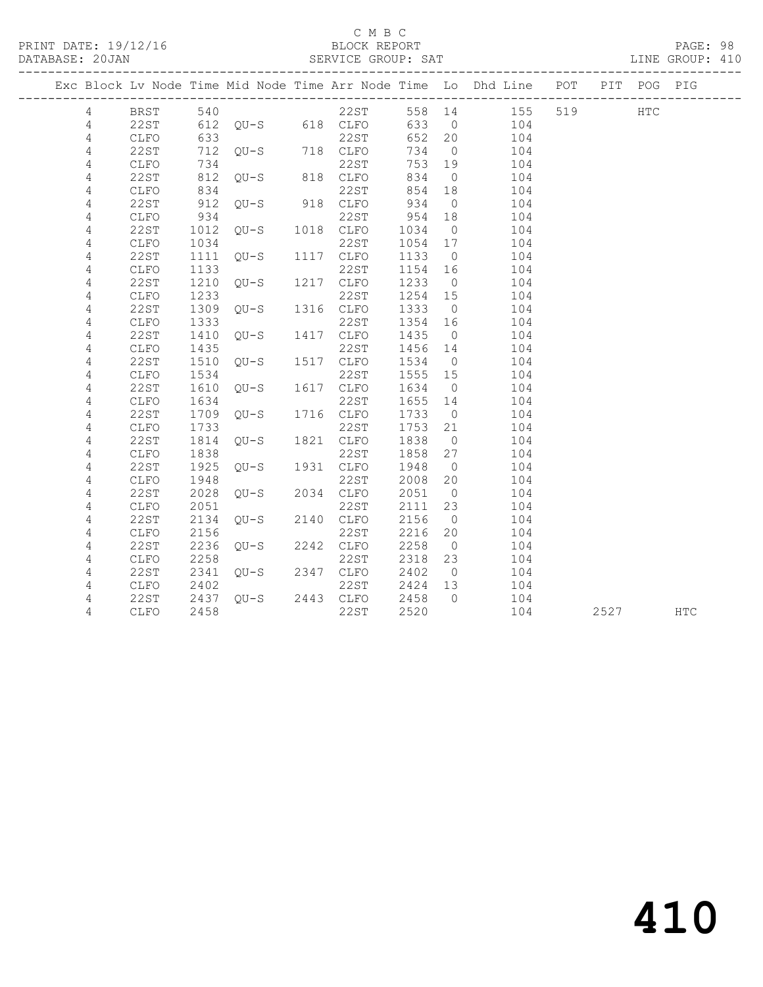PRINT DATE: 19/12/16 BLOCK REPORT BATABASE: 20JAN BLOCK REPORT

#### C M B C<br>BLOCK REPORT

PAGE: 98<br>LINE GROUP: 410

|  |                |              |      |                               |           |         |                | Exc Block Lv Node Time Mid Node Time Arr Node Time Lo Dhd Line POT PIT POG PIG |         |      |     |
|--|----------------|--------------|------|-------------------------------|-----------|---------|----------------|--------------------------------------------------------------------------------|---------|------|-----|
|  | $\overline{4}$ |              |      |                               |           |         |                | BRST 540 22ST 558 14 155<br>22ST 612 QU-S 618 CLFO 633 0 104                   | 519 HTC |      |     |
|  | 4              |              |      |                               |           |         |                |                                                                                |         |      |     |
|  | 4              | CLFO         | 633  |                               | 22ST      | 652 20  |                | 104                                                                            |         |      |     |
|  | 4              | 22ST         |      | 712 QU-S 718 CLFO             |           | 734     | $\overline{0}$ | 104                                                                            |         |      |     |
|  | 4              | CLFO         | 734  |                               |           | 753 19  |                | 104                                                                            |         |      |     |
|  | $\overline{4}$ | 22ST         |      | 734 22ST<br>812 QU-S 818 CLFO |           | 834     | $\overline{0}$ | 104                                                                            |         |      |     |
|  | 4              | CLFO         | 834  |                               | 22ST      | 854 18  |                | 104                                                                            |         |      |     |
|  | $\overline{4}$ | 22ST         |      | 912 $QU-S$ 918 $CLFO$         |           | 934     | $\overline{0}$ | 104                                                                            |         |      |     |
|  | 4              | CLFO         | 934  | 934<br>1012    QU-S           | 22ST      | 954     | 18             | 104                                                                            |         |      |     |
|  | $\overline{4}$ | 22ST         |      |                               | 1018 CLFO | 1034    | $\overline{0}$ | 104                                                                            |         |      |     |
|  | 4              | CLFO         | 1034 |                               | 22ST      | 1054 17 |                | 104                                                                            |         |      |     |
|  | 4              | 22ST         |      | $1111 QU-S$                   | 1117 CLFO | 1133    | $\overline{0}$ | 104                                                                            |         |      |     |
|  | 4              | <b>CLFO</b>  | 1133 |                               | 22ST      | 1154 16 |                | 104                                                                            |         |      |     |
|  | 4              | 22ST         | 1210 | $QU-S$ 1217 $CLFO$            |           | 1233    | $\overline{0}$ | 104                                                                            |         |      |     |
|  | 4              | CLFO         | 1233 |                               | 22ST      | 1254 15 |                | 104                                                                            |         |      |     |
|  | 4              | 22ST         |      | 1309 QU-S 1316 CLFO           |           | 1333    | $\overline{0}$ | 104                                                                            |         |      |     |
|  | 4              | CLFO         | 1333 |                               | 22ST      | 1354 16 |                | 104                                                                            |         |      |     |
|  | 4              | 22ST         | 1410 | $QU-S$                        | 1417 CLFO | 1435    | $\overline{0}$ | 104                                                                            |         |      |     |
|  | 4              | CLFO         | 1435 | $QU-S$ 1517                   | 22ST      | 1456    | 14             | 104                                                                            |         |      |     |
|  | 4              | 22ST         | 1510 |                               | 1517 CLFO | 1534    | $\overline{0}$ | 104                                                                            |         |      |     |
|  | 4              | CLFO         | 1534 |                               | 22ST      | 1555 15 |                | 104                                                                            |         |      |     |
|  | 4              | 22ST         | 1610 | $QU-S$                        | 1617 CLFO | 1634    | $\overline{0}$ | 104                                                                            |         |      |     |
|  | 4              | CLFO         | 1634 |                               | 22ST      | 1655 14 |                | 104                                                                            |         |      |     |
|  | 4              | 22ST         |      | 1709 QU-S 1716 CLFO           |           | 1733    | $\overline{0}$ | 104                                                                            |         |      |     |
|  | 4              | ${\tt CLFO}$ | 1733 |                               | 22ST      | 1753 21 |                | 104                                                                            |         |      |     |
|  | 4              | 22ST         | 1814 | $QU-S$ 1821 $CLFO$            |           | 1838    | $\overline{0}$ | 104                                                                            |         |      |     |
|  | 4              | CLFO         | 1838 |                               | 22ST      | 1858    | 27             | 104                                                                            |         |      |     |
|  | 4              | 22ST         | 1925 | $QU-S$ 1931 $CLFO$            |           | 1948    | $\overline{0}$ | 104                                                                            |         |      |     |
|  | 4              | CLFO         | 1948 | $QU-S$ 203                    | 22ST      | 2008    | 20             | 104                                                                            |         |      |     |
|  | 4              | 22ST         | 2028 |                               | 2034 CLFO | 2051    | $\overline{0}$ | 104                                                                            |         |      |     |
|  | 4              | <b>CLFO</b>  | 2051 | 22ST<br>QU-S 2140 CLFO        | 22ST      | 2111    | 23             | 104                                                                            |         |      |     |
|  | 4              | 22ST         | 2134 |                               |           | 2156    | $\overline{0}$ | 104                                                                            |         |      |     |
|  | 4              | <b>CLFO</b>  | 2156 |                               | 22ST      | 2216    | 20             | 104                                                                            |         |      |     |
|  | 4              | 22ST         | 2236 | $QU-S$ 2242 $CLFO$            |           | 2258    | $\overline{0}$ | 104                                                                            |         |      |     |
|  | 4              | CLFO         | 2258 |                               | 22ST      | 2318 23 |                | 104                                                                            |         |      |     |
|  | 4              | 22ST         |      | 2341 QU-S 2347 CLFO           |           | 2402    | $\overline{0}$ | 104                                                                            |         |      |     |
|  | 4              | CLFO         | 2402 |                               | 22ST      | 2424 13 |                | 104                                                                            |         |      |     |
|  | 4              | <b>22ST</b>  |      | 2437 QU-S 2443 CLFO           |           | 2458    | $\overline{0}$ | 104                                                                            |         |      |     |
|  | 4              | CLFO         | 2458 |                               | 22ST      | 2520    |                | 104                                                                            |         | 2527 | HTC |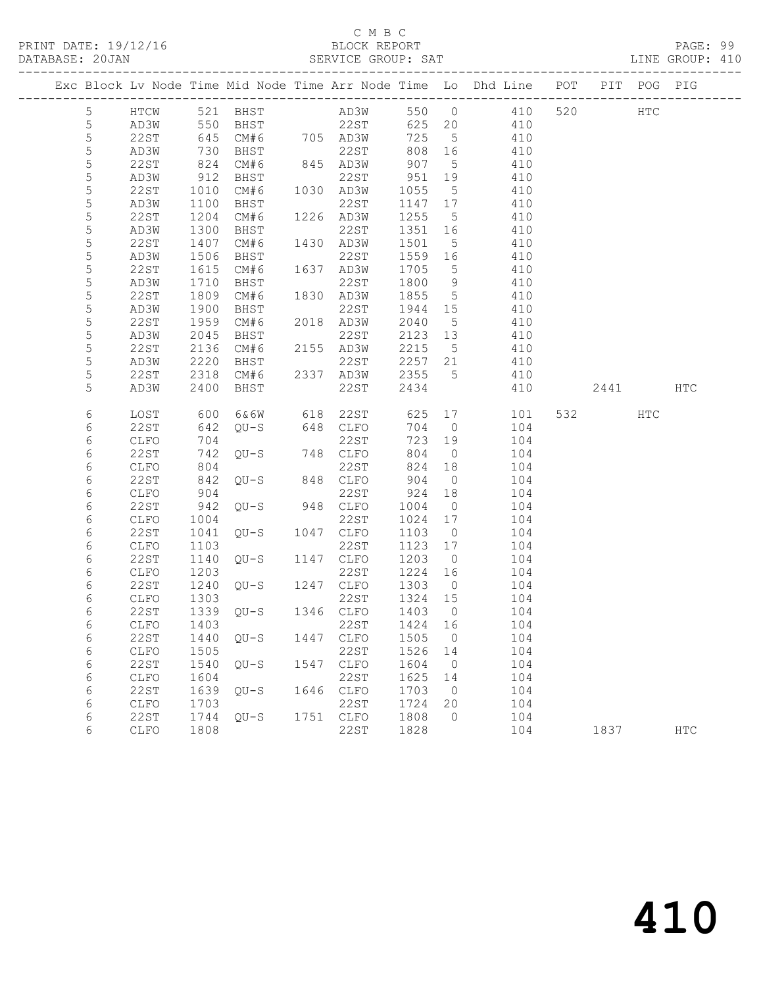## C M B C<br>BLOCK REPORT

LINE GROUP: 410

|                 |             |      |                     |      |                                |         |                 | Exc Block Lv Node Time Mid Node Time Arr Node Time Lo Dhd Line POT |      | PIT POG PIG |     |
|-----------------|-------------|------|---------------------|------|--------------------------------|---------|-----------------|--------------------------------------------------------------------|------|-------------|-----|
| $5\phantom{.0}$ | HTCW        |      | 521 BHST            |      |                                |         |                 | AD3W 550 0 410 520                                                 |      | HTC         |     |
| $5\phantom{.0}$ | AD3W        |      |                     |      |                                | 625 20  |                 | 410                                                                |      |             |     |
| 5               | 22ST        |      |                     |      |                                | 725     | 5 <sup>5</sup>  | 410                                                                |      |             |     |
| 5               | AD3W        | 730  | BHST                |      | 22ST                           | 808 16  |                 | 410                                                                |      |             |     |
| 5               | 22ST        | 824  | CM#6                |      | 845 AD3W                       | 907     | $5^{\circ}$     | 410                                                                |      |             |     |
| $\mathsf S$     | AD3W        | 912  | BHST                |      | 22ST                           | 951     | 19              | 410                                                                |      |             |     |
| 5               | 22ST        | 1010 | CM#6                |      | 1030 AD3W                      | 1055    | $5^{\circ}$     | 410                                                                |      |             |     |
| 5               | AD3W        | 1100 | BHST                |      | 22ST                           | 1147 17 |                 | 410                                                                |      |             |     |
| 5               | 22ST        | 1204 | CM#6                |      | 1226 AD3W                      | 1255    | $5\overline{)}$ | 410                                                                |      |             |     |
| 5               | AD3W        | 1300 | BHST                |      | 22ST                           | 1351 16 |                 | 410                                                                |      |             |     |
| 5               | 22ST        | 1407 | CM#6                |      | 1430 AD3W                      | 1501    | $5\overline{)}$ | 410                                                                |      |             |     |
| 5               | AD3W        | 1506 | BHST                |      | 22ST                           | 1559 16 |                 | 410                                                                |      |             |     |
| 5               | 22ST        | 1615 | CM#6                |      | 1637 AD3W                      | 1705    | $5^{\circ}$     | 410                                                                |      |             |     |
| $\mathsf S$     | AD3W        | 1710 | BHST                |      | 22ST                           | 1800 9  |                 | 410                                                                |      |             |     |
| $\mathsf S$     | 22ST        | 1809 | CM#6                |      | 1830 AD3W                      | 1855    | $5\overline{)}$ | 410                                                                |      |             |     |
| 5               | AD3W        | 1900 | BHST                |      | 22ST                           | 1944 15 |                 | 410                                                                |      |             |     |
| $\mathsf S$     | 22ST        | 1959 | CM#6                |      | 2018 AD3W                      | 2040    | $5^{\circ}$     | 410                                                                |      |             |     |
| 5               | AD3W        | 2045 | BHST                |      | 22ST                           | 2123 13 |                 | 410                                                                |      |             |     |
| $\mathsf S$     | 22ST        | 2136 | CM#6                |      | 2155 AD3W                      | 2215 5  |                 | 410                                                                |      |             |     |
| 5               | AD3W        | 2220 | BHST                |      | 22ST                           | 2257 21 |                 | 410                                                                |      |             |     |
| 5               | 22ST        | 2318 | CM#6                |      | 2337 AD3W                      | 2355    | $5\overline{)}$ | 410                                                                |      |             |     |
| 5               | AD3W        | 2400 | BHST                |      | 22ST                           | 2434    |                 | 410                                                                | 2441 |             | HTC |
| 6               | LOST        | 600  | 6&6W                |      | 618 22ST                       | 625     |                 | 17<br>101                                                          | 532  | HTC         |     |
| 6               | 22ST        | 642  | $QU-S$              |      | 648 CLFO                       | 704     | $\overline{0}$  | 104                                                                |      |             |     |
| 6               | CLFO        | 704  |                     |      | 22ST                           | 723     | 19              | 104                                                                |      |             |     |
| $\epsilon$      | 22ST        | 742  | QU-S                |      | 748 CLFO                       | 804     | $\overline{0}$  | 104                                                                |      |             |     |
| 6               | CLFO        | 804  |                     |      | 22ST                           | 824 18  |                 | 104                                                                |      |             |     |
| 6               | 22ST        | 842  | $QU-S$ 848          |      | 848 CLFO                       | 904     | $\overline{0}$  | 104                                                                |      |             |     |
| 6               | CLFO        | 904  |                     |      | 22ST                           | 924     | 18              | 104                                                                |      |             |     |
| 6               | 22ST        | 942  | $QU-S$              |      | 948 CLFO                       | 1004    | $\overline{0}$  | 104                                                                |      |             |     |
| 6               | CLFO        | 1004 |                     |      | 22ST                           | 1024 17 |                 | 104                                                                |      |             |     |
| 6               | 22ST        | 1041 | $OU-S$              |      | 1047 CLFO                      | 1103    | $\overline{0}$  | 104                                                                |      |             |     |
| 6               | <b>CLFO</b> | 1103 |                     |      | 22ST                           | 1123    | 17              | 104                                                                |      |             |     |
| $\epsilon$      | 22ST        | 1140 | QU-S                |      | 1147 CLFO                      | 1203    | $\overline{0}$  | 104                                                                |      |             |     |
| 6               | CLFO        | 1203 |                     |      | 22ST<br>22ST<br>QU-S 1247 CLFO | 1224 16 |                 | 104                                                                |      |             |     |
| 6               | 22ST        | 1240 |                     |      |                                | 1303    | $\overline{0}$  | 104                                                                |      |             |     |
| 6               | CLFO        | 1303 |                     |      | 22ST                           | 1324 15 |                 | 104                                                                |      |             |     |
| 6               | 22ST        |      | 1339 QU-S 1346 CLFO |      |                                | 1403    | $\overline{0}$  | 104                                                                |      |             |     |
| 6               | CLFO 1403   |      |                     |      | 22ST 1424 16                   |         |                 | 104                                                                |      |             |     |
| 6               | 22ST        | 1440 | $QU-S$              | 1447 | CLFO                           | 1505    | $\overline{0}$  | 104                                                                |      |             |     |
| 6               | CLFO        | 1505 |                     |      | 22ST                           | 1526    | 14              | 104                                                                |      |             |     |
| 6               | 22ST        | 1540 | $OU-S$              | 1547 | CLFO                           | 1604    | $\overline{0}$  | 104                                                                |      |             |     |
| 6               | CLFO        | 1604 |                     |      | 22ST                           | 1625    | 14              | 104                                                                |      |             |     |
| 6               | 22ST        | 1639 | $QU-S$              | 1646 | CLFO                           | 1703    | $\overline{0}$  | 104                                                                |      |             |     |
| 6               | CLFO        | 1703 |                     |      | 22ST                           | 1724    | 20              | 104                                                                |      |             |     |
| 6               | <b>22ST</b> | 1744 | $QU-S$              | 1751 | CLFO                           | 1808    | 0               | 104                                                                |      |             |     |

6 CLFO 1808 22ST 1828 104 1837 HTC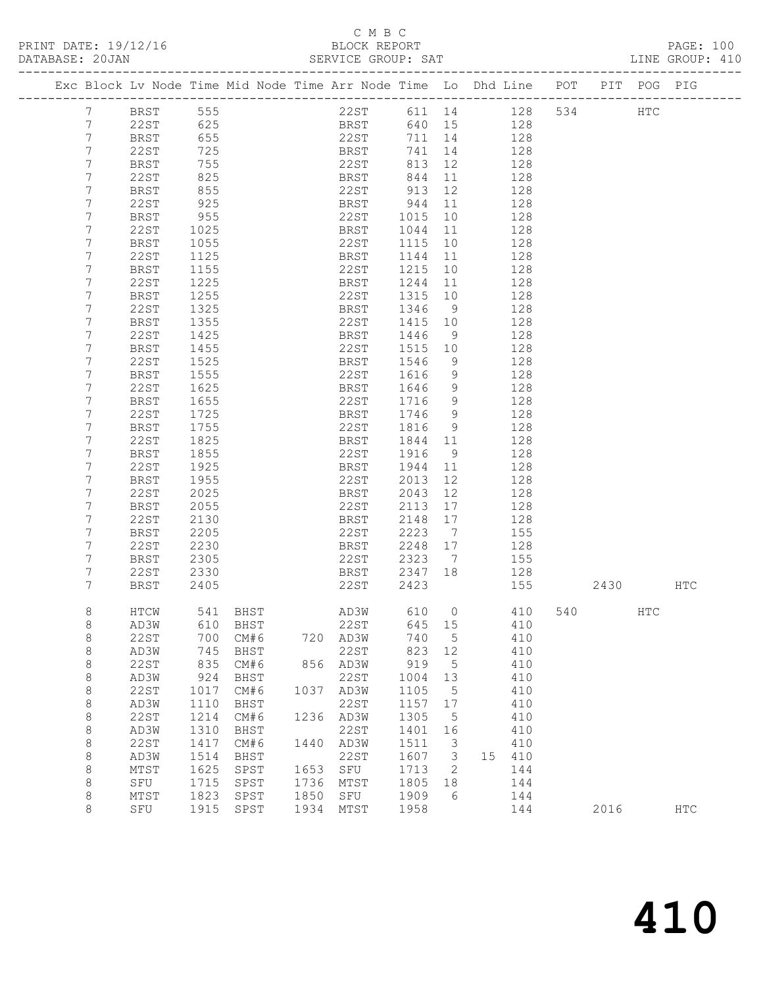PRINT DATE: 19/12/16 BLOCK REPORT PAGE: 100 DATABASE: 20JAN

#### C M B C<br>BLOCK REPORT

|                 |             |          |             |      |             | ULIVIUS UNUUI. UAI |                 |                                                                                |     |      |     |     |
|-----------------|-------------|----------|-------------|------|-------------|--------------------|-----------------|--------------------------------------------------------------------------------|-----|------|-----|-----|
|                 |             |          |             |      |             |                    |                 | Exc Block Lv Node Time Mid Node Time Arr Node Time Lo Dhd Line POT PIT POG PIG |     |      |     |     |
| 7               | BRST        | 555      |             |      | 22ST        | 611 14             |                 | 128                                                                            | 534 |      | HTC |     |
| $7\phantom{.0}$ | 22ST        | 625      |             |      | <b>BRST</b> | 640 15             |                 | 128                                                                            |     |      |     |     |
| $7\phantom{.}$  | BRST        | 655      |             |      | 22ST        | 711 14             |                 | 128                                                                            |     |      |     |     |
| 7               | 22ST        | 725      |             |      | BRST        | 741                | 14              | 128                                                                            |     |      |     |     |
| 7               | BRST        | 755      |             |      | 22ST        | 813                | 12              | 128                                                                            |     |      |     |     |
| 7               | 22ST        | 825      |             |      | <b>BRST</b> | 844                | 11              | 128                                                                            |     |      |     |     |
| 7               | BRST        | 855      |             |      | 22ST        | 913                | 12              | 128                                                                            |     |      |     |     |
| 7               | 22ST        | 925      |             |      | BRST        | 944                | 11              | 128                                                                            |     |      |     |     |
| 7               | BRST        | 955      |             |      | 22ST        | 1015               | 10              | 128                                                                            |     |      |     |     |
| 7               | 22ST        | 1025     |             |      | BRST        | 1044               | 11              | 128                                                                            |     |      |     |     |
| 7               | BRST        | 1055     |             |      | 22ST        | 1115               | 10              | 128                                                                            |     |      |     |     |
| 7               | 22ST        | 1125     |             |      | BRST        | 1144               | 11              | 128                                                                            |     |      |     |     |
| 7               | BRST        | 1155     |             |      | 22ST        | 1215               | 10              | 128                                                                            |     |      |     |     |
| 7               | 22ST        | 1225     |             |      | BRST        | 1244               | 11              | 128                                                                            |     |      |     |     |
| 7               | BRST        | 1255     |             |      | 22ST        | 1315               | 10              | 128                                                                            |     |      |     |     |
| 7               |             |          |             |      |             |                    |                 |                                                                                |     |      |     |     |
|                 | 22ST        | 1325     |             |      | BRST        | 1346               | 9               | 128                                                                            |     |      |     |     |
| 7<br>7          | BRST        | 1355     |             |      | 22ST        | 1415               | 10              | 128                                                                            |     |      |     |     |
|                 | 22ST        | 1425     |             |      | BRST        | 1446               | 9               | 128                                                                            |     |      |     |     |
| 7               | BRST        | 1455     |             |      | 22ST        | 1515               | 10              | 128                                                                            |     |      |     |     |
| 7               | 22ST        | 1525     |             |      | BRST        | 1546               | 9               | 128                                                                            |     |      |     |     |
| 7               | BRST        | 1555     |             |      | 22ST        | 1616               | 9               | 128                                                                            |     |      |     |     |
| 7               | 22ST        | 1625     |             |      | BRST        | 1646               | 9               | 128                                                                            |     |      |     |     |
| 7               | BRST        | 1655     |             |      | 22ST        | 1716 9             |                 | 128                                                                            |     |      |     |     |
| 7               | 22ST        | 1725     |             |      | BRST        | 1746               | 9               | 128                                                                            |     |      |     |     |
| 7               | BRST        | 1755     |             |      | 22ST        | 1816               | 9               | 128                                                                            |     |      |     |     |
| 7               | 22ST        | 1825     |             |      | BRST        | 1844 11            |                 | 128                                                                            |     |      |     |     |
| 7               | BRST        | 1855     |             |      | 22ST        | 1916               | 9               | 128                                                                            |     |      |     |     |
| 7               | 22ST        | 1925     |             |      | BRST        | 1944               | 11              | 128                                                                            |     |      |     |     |
| 7               | BRST        | 1955     |             |      | 22ST        | 2013               | 12              | 128                                                                            |     |      |     |     |
| 7               | 22ST        | 2025     |             |      | BRST        | 2043               | 12              | 128                                                                            |     |      |     |     |
| 7               | BRST        | 2055     |             |      | 22ST        | 2113               | 17              | 128                                                                            |     |      |     |     |
| 7               | 22ST        | 2130     |             |      | BRST        | 2148               | 17              | 128                                                                            |     |      |     |     |
| 7               | BRST        | 2205     |             |      | 22ST        | 2223               | $\overline{7}$  | 155                                                                            |     |      |     |     |
| 7               | 22ST        | 2230     |             |      | BRST        | 2248               | 17              | 128                                                                            |     |      |     |     |
| 7               | BRST        | 2305     |             |      | 22ST        | 2323               | $7\overline{ }$ | 155                                                                            |     |      |     |     |
| 7               | 22ST        | 2330     |             |      | BRST        | 2347 18            |                 | 128                                                                            |     |      |     |     |
| $7\phantom{.0}$ | BRST        | 2405     |             |      | 22ST        | 2423               |                 | 155                                                                            |     | 2430 |     | HTC |
| 8               | HTCW        | 541 BHST |             | AD3W |             | 610                |                 | $\overline{0}$<br>410                                                          | 540 |      | HTC |     |
|                 | AD3W        | 610      | BHST        |      | 22ST        | 645                | 15              | 410                                                                            |     |      |     |     |
| 8<br>8          | <b>22ST</b> | 700      | CM#6        | 720  | AD3W        | 740                | 5               | 410                                                                            |     |      |     |     |
| $\,8\,$         | AD3W        | 745      |             |      | 22ST        | 823                | 12              | 410                                                                            |     |      |     |     |
|                 | <b>22ST</b> | 835      | BHST        | 856  |             | 919                | 5               | 410                                                                            |     |      |     |     |
| $\,8\,$         |             |          | CM#6        |      | AD3W        |                    |                 |                                                                                |     |      |     |     |
| 8               | AD3W        | 924      | <b>BHST</b> |      | <b>22ST</b> | 1004               | 13              | 410                                                                            |     |      |     |     |
| $\,8\,$         | <b>22ST</b> | 1017     | CM#6        | 1037 | AD3W        | 1105               | 5               | 410                                                                            |     |      |     |     |
| $\,8\,$         | AD3W        | 1110     | BHST        |      | 22ST        | 1157               | 17              | 410                                                                            |     |      |     |     |
| $\,8\,$         | <b>22ST</b> | 1214     | CM#6        | 1236 | AD3W        | 1305               | 5               | 410                                                                            |     |      |     |     |
| 8               | AD3W        | 1310     | BHST        |      | 22ST        | 1401               | 16              | 410                                                                            |     |      |     |     |
| 8               | <b>22ST</b> | 1417     | CM#6        | 1440 | AD3W        | 1511               | 3               | 410                                                                            |     |      |     |     |

 8 AD3W 1514 BHST 22ST 1607 3 15 410 8 MTST 1625 SPST 1653 SFU 1713 2 144 8 SFU 1715 SPST 1736 MTST 1805 18 144 8 MTST 1823 SPST 1850 SFU 1909 6 144

8 SFU 1915 SPST 1934 MTST 1958 144 2016 HTC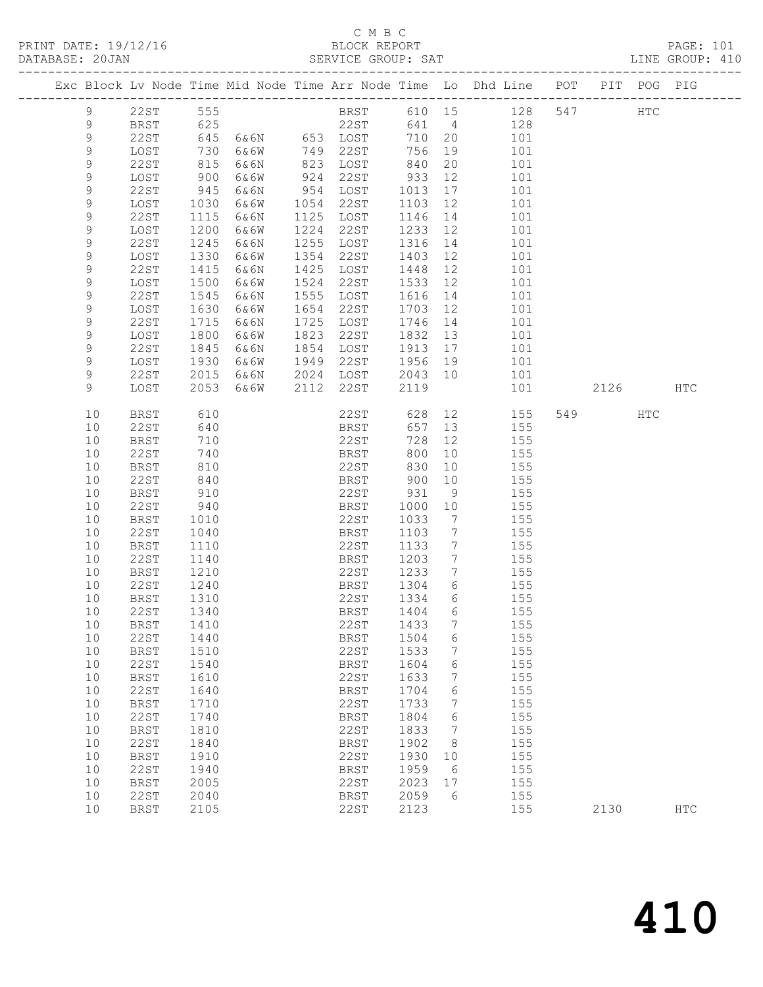#### C M B C<br>BLOCK REPORT

|                  |              |              |                                                             |                        |              |                                  | PRINT DATE: 19/12/16 BLOCK REPORT<br>DATABASE: 20JAN SERVICE GROUP: SAT        |     |      |            | PAGE: 101<br>LINE GROUP: 410 |
|------------------|--------------|--------------|-------------------------------------------------------------|------------------------|--------------|----------------------------------|--------------------------------------------------------------------------------|-----|------|------------|------------------------------|
|                  |              |              |                                                             |                        |              |                                  | Exc Block Lv Node Time Mid Node Time Arr Node Time Lo Dhd Line POT PIT POG PIG |     |      |            |                              |
| 9                |              |              |                                                             |                        |              |                                  | 22ST 555 BRST 610 15 128 547 HTC                                               |     |      |            |                              |
| $\overline{9}$   |              |              |                                                             |                        |              |                                  | BRST 625 22ST 641 4 128                                                        |     |      |            |                              |
| $\mathsf 9$      | 22ST         |              |                                                             |                        | 710 20       |                                  | 101                                                                            |     |      |            |                              |
| $\mathsf 9$      | LOST         |              | 645 6&6N 653 LOST<br>730 6&6W 749 22ST<br>815 6&6N 823 LOST |                        | 756          | 19                               | 101                                                                            |     |      |            |                              |
| $\mathsf 9$      | 22ST         |              |                                                             |                        | 840          | 20                               | 101                                                                            |     |      |            |                              |
| $\mathsf 9$      | LOST         |              | 900 6&6W                                                    | 924 22ST               | 933          | 12                               | 101                                                                            |     |      |            |                              |
| $\mathsf 9$      | 22ST         |              | 945 6&6N                                                    | 954 LOST               | 1013         | 17                               | 101                                                                            |     |      |            |                              |
| $\mathsf 9$      | LOST         |              | 1030 6&6W                                                   | 1054 22ST              | 1103<br>1146 | 12                               | 101                                                                            |     |      |            |                              |
| 9                | 22ST         |              | 1115 6&6N                                                   | 1125 LOST              |              | 14                               | 101                                                                            |     |      |            |                              |
| 9                | LOST         |              | 1200 6&6W                                                   | 1224 22ST              | 1233         | 12                               | 101                                                                            |     |      |            |                              |
| 9                | 22ST         | 1245         | 6&6N                                                        | 1255 LOST              | 1316         | 14                               | 101                                                                            |     |      |            |                              |
| 9                | LOST         | 1330         | 6&6W                                                        | 1354 22ST              | 1403         | 12                               | 101                                                                            |     |      |            |                              |
| 9                | 22ST         | 1415         | 6 & 6 N                                                     | 1425 LOST              | 1448         | 12                               | 101                                                                            |     |      |            |                              |
| 9                | LOST         |              | 1500 6&6W                                                   | 1524 22ST              | 1533         | 12                               | 101                                                                            |     |      |            |                              |
| $\mathsf 9$      | 22ST         | 1545         | 6&6N                                                        | 1555 LOST              | 1616         | 14                               | 101                                                                            |     |      |            |                              |
| $\mathsf 9$<br>9 | LOST<br>22ST | 1630         | 6&6W                                                        | 1654 22ST<br>1725 LOST | 1703<br>1746 | 12                               | 101<br>101                                                                     |     |      |            |                              |
| 9                | LOST         | 1715         | 6&6N<br>1800 6&6W                                           | 1823 22ST              | 1832         | 14<br>13                         | 101                                                                            |     |      |            |                              |
| 9                | 22ST         | 1845         | 6 & 6 N                                                     | 1854 LOST              | 1913         | 17                               | 101                                                                            |     |      |            |                              |
| 9                | LOST         | 1930         | 6&6W                                                        | 1949 22ST              | 1956         | 19                               | 101                                                                            |     |      |            |                              |
| 9                | 22ST         | 2015         | 6&6N                                                        | 2024 LOST              | 2043         | 10                               | 101                                                                            |     |      |            |                              |
| 9                | LOST         |              | 2053 6&6W                                                   | 2112 22ST              | 2119         |                                  |                                                                                | 101 | 2126 |            | HTC                          |
| 10               | BRST         |              | $610$<br>$640$<br>$710$<br>$740$                            | 22ST                   | 628          |                                  | 12 and $\overline{a}$<br>155                                                   |     | 549  | <b>HTC</b> |                              |
| 10               | 22ST         |              |                                                             | BRST                   | 657          | 13                               | 155                                                                            |     |      |            |                              |
| 10               | BRST         |              |                                                             | 22ST                   | 728          | 12                               | 155                                                                            |     |      |            |                              |
| 10               | 22ST         |              |                                                             | BRST                   | 800          | 10                               | 155                                                                            |     |      |            |                              |
| 10               | BRST         |              |                                                             | 22ST                   | 830          | 10 <sub>o</sub>                  | 155                                                                            |     |      |            |                              |
| 10               | 22ST         | 840          |                                                             | BRST                   | 900          | 10                               | 155                                                                            |     |      |            |                              |
| 10               | BRST         | 910          |                                                             | 22ST                   | 931          | 9                                | 155                                                                            |     |      |            |                              |
| 10               | 22ST         | 940          |                                                             | BRST                   | 1000         | 10                               | 155                                                                            |     |      |            |                              |
| 10               | BRST         | 1010         |                                                             | 22ST                   | 1033         | $\overline{7}$                   | 155                                                                            |     |      |            |                              |
| 10<br>10         | 22ST         | 1040         |                                                             | BRST<br>22ST           | 1103<br>1133 | $\overline{7}$<br>$\overline{7}$ | 155<br>155                                                                     |     |      |            |                              |
| 10               | BRST<br>22ST | 1110<br>1140 |                                                             | <b>BRST</b>            | 1203         | $\overline{7}$                   | 155                                                                            |     |      |            |                              |
| 10               | BRST         | 1210         |                                                             | 22ST                   | 1233         | $\overline{7}$                   | 155                                                                            |     |      |            |                              |
| 10               | 22ST         | 1240         |                                                             | BRST                   | 1304         | $6\overline{6}$                  | 155                                                                            |     |      |            |                              |
|                  | 10 BRST 1310 |              |                                                             | 22ST 1334 6            |              |                                  | 155                                                                            |     |      |            |                              |
| 10               | <b>22ST</b>  | 1340         |                                                             | BRST                   | 1404         | 6                                | 155                                                                            |     |      |            |                              |
| 10               | <b>BRST</b>  | 1410         |                                                             | 22ST                   | 1433         | 7                                | 155                                                                            |     |      |            |                              |
| 10               | 22ST         | 1440         |                                                             | <b>BRST</b>            | 1504         | 6                                | 155                                                                            |     |      |            |                              |
| 10               | <b>BRST</b>  | 1510         |                                                             | 22ST                   | 1533         | 7                                | 155                                                                            |     |      |            |                              |
| 10               | <b>22ST</b>  | 1540         |                                                             | <b>BRST</b>            | 1604         | 6                                | 155                                                                            |     |      |            |                              |
| 10               | <b>BRST</b>  | 1610         |                                                             | 22ST                   | 1633         | 7                                | 155                                                                            |     |      |            |                              |
| 10               | 22ST         | 1640         |                                                             | <b>BRST</b>            | 1704         | 6                                | 155                                                                            |     |      |            |                              |
| 10               | <b>BRST</b>  | 1710         |                                                             | 22ST                   | 1733         | 7                                | 155                                                                            |     |      |            |                              |
| 10               | 22ST         | 1740         |                                                             | <b>BRST</b>            | 1804         | 6                                | 155                                                                            |     |      |            |                              |
| 10               | <b>BRST</b>  | 1810         |                                                             | 22ST                   | 1833         | 7                                | 155                                                                            |     |      |            |                              |
| 10               | 22ST         | 1840         |                                                             | <b>BRST</b>            | 1902         | 8                                | 155                                                                            |     |      |            |                              |
| 10               | <b>BRST</b>  | 1910         |                                                             | 22ST                   | 1930         | 10                               | 155                                                                            |     |      |            |                              |
| 10               | 22ST         | 1940         |                                                             | <b>BRST</b>            | 1959         | 6                                | 155                                                                            |     |      |            |                              |
| 10               | <b>BRST</b>  | 2005         |                                                             | 22ST                   | 2023         | 17                               | 155                                                                            |     |      |            |                              |
| 10               | 22ST         | 2040         |                                                             | <b>BRST</b>            | 2059         | 6                                | 155                                                                            |     |      |            |                              |
| 10               | <b>BRST</b>  | 2105         |                                                             | 22ST                   | 2123         |                                  | 155                                                                            |     | 2130 |            | <b>HTC</b>                   |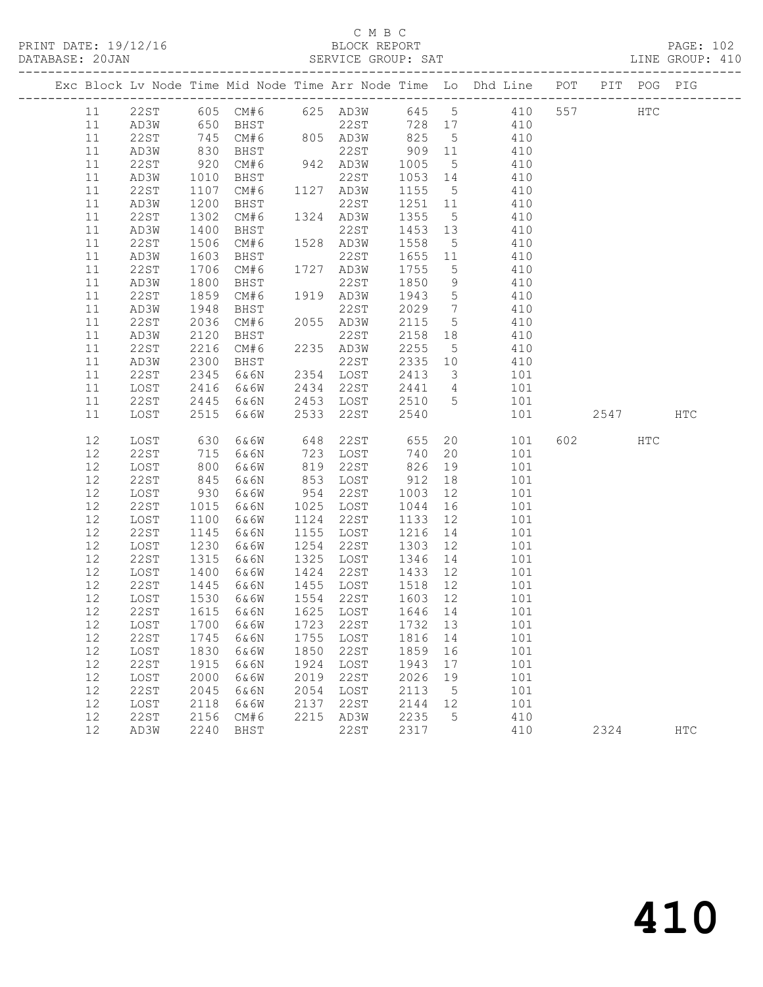#### C M B C<br>BLOCK REPORT SERVICE GROUP: SAT

PRINT DATE: 19/12/16 BLOCK REPORT PAGE: 102

|          |              |              |                |      |                                     |                    |                         | Exc Block Lv Node Time Mid Node Time Arr Node Time Lo Dhd Line POT PIT POG PIG |         |     |              |
|----------|--------------|--------------|----------------|------|-------------------------------------|--------------------|-------------------------|--------------------------------------------------------------------------------|---------|-----|--------------|
|          |              |              |                |      |                                     |                    |                         | 11 22ST 605 CM#6 625 AD3W 645 5 410                                            | 557 HTC |     |              |
| 11       | AD3W         | 650          | BHST           |      |                                     |                    |                         | 22ST 728 17 410                                                                |         |     |              |
| 11       | 22ST         | 745          | CM#6           |      | 805 AD3W 825                        |                    | $5\overline{)}$         | 410                                                                            |         |     |              |
| 11       | AD3W         | 830<br>920   | BHST           |      | 22ST<br>22ST<br>942 AD3W<br>22ST    | 909 11             |                         | 410                                                                            |         |     |              |
| 11       | 22ST         |              | CM#6           |      |                                     | 1005               | $5\overline{)}$         | 410                                                                            |         |     |              |
| 11       | AD3W         | 1010         | BHST           |      |                                     | 1053 14            |                         | 410                                                                            |         |     |              |
| 11       | 22ST         | 1107         | CM#6           |      | 1127 AD3W                           | 1155 5             |                         | 410                                                                            |         |     |              |
| 11       | AD3W         | 1200         | BHST           |      | 22ST                                | 1251 11            |                         | 410                                                                            |         |     |              |
| 11       | 22ST         | 1302         | CM#6           |      | 1324 AD3W                           | 1355 5             |                         | 410                                                                            |         |     |              |
| 11       | AD3W         | 1400         | BHST           |      | 22ST                                | 1453 13            |                         | 410                                                                            |         |     |              |
| 11       | 22ST         | 1506         | CM#6 1528 AD3W |      |                                     | 1558               | $5\overline{)}$         | 410                                                                            |         |     |              |
| 11       | AD3W         | 1603         | BHST           |      | 22ST                                | 1655 11            |                         | 410                                                                            |         |     |              |
| 11       | 22ST         | 1706         | CM#6           |      | 1727 AD3W                           | 1755               | $5\overline{)}$         | 410                                                                            |         |     |              |
| 11       | AD3W         | 1800         | BHST           |      | 22ST                                | 1850               | 9                       | 410                                                                            |         |     |              |
| 11       | 22ST         | 1859         | CM#6           |      | 1919 AD3W                           | 1943               | $5\overline{)}$         | 410                                                                            |         |     |              |
| 11       | AD3W         | 1948         | BHST           |      | 22ST<br>2055 AD3W                   | 2029               | $\overline{7}$          | 410                                                                            |         |     |              |
| 11<br>11 | 22ST         | 2036<br>2120 | CM#6           |      | 22ST                                | 2115<br>2158 18    | $5\overline{)}$         | 410<br>410                                                                     |         |     |              |
|          | AD3W         | 2216         | BHST<br>CM#6   |      | 2235 AD3W                           | 2255               |                         | 410                                                                            |         |     |              |
| 11<br>11 | 22ST<br>AD3W | 2300         | BHST           |      | 22ST                                | 2335 10            | $5\overline{)}$         | 410                                                                            |         |     |              |
| 11       | 22ST         | 2345         | 6&6N           |      | 2354 LOST                           | 2413               | $\overline{\mathbf{3}}$ | 101                                                                            |         |     |              |
| 11       | LOST         | 2416         | 6&6W           |      | 2434 22ST                           | 2441 4             |                         | 101                                                                            |         |     |              |
| 11       | 22ST         | 2445         | 6&6N           |      | 2453 LOST                           | 2510 5             |                         | 101                                                                            |         |     |              |
| 11       | LOST         | 2515         | 6&6W           | 2533 | 22ST                                | 2540               |                         | 101                                                                            | 2547    |     | $_{\rm HTC}$ |
|          |              |              |                |      |                                     |                    |                         |                                                                                |         |     |              |
| 12       | LOST         | 630          | 6&6W           |      | 648 22ST 655 20                     |                    |                         | 101                                                                            | 602 000 | HTC |              |
| 12       | 22ST         | 715          | 6&6N           |      | 723 LOST                            | 740 20             |                         | 101                                                                            |         |     |              |
| 12       | LOST         | 800          | 6&6W           | 819  | 22ST                                | 826 19             |                         | 101                                                                            |         |     |              |
| 12       | 22ST         | 845          | 6&6N           | 853  | LOST                                | 912                | 18                      | 101                                                                            |         |     |              |
| 12       | LOST         | 930          | 6&6W           |      | 954 22ST                            | 1003 12            |                         | 101                                                                            |         |     |              |
| 12       | 22ST         | 1015         | 6&6N           |      | 1025 LOST                           | 1044 16            |                         | 101                                                                            |         |     |              |
| 12       | LOST         | 1100         | 6&6W           |      | 1124 22ST                           | 1133 12            |                         | 101                                                                            |         |     |              |
| 12       | 22ST         | 1145         | 6&6N           |      | 1155 LOST                           | 1216 14            |                         | 101                                                                            |         |     |              |
| 12       | LOST         | 1230         | 6&6W           |      | 1254 22ST                           | 1303 12            |                         | 101                                                                            |         |     |              |
| 12       | 22ST         | 1315         | 6&6N           |      | 1325 LOST                           | 1346 14            |                         | 101                                                                            |         |     |              |
| 12       | LOST         | 1400         | 6&6W           |      | 1424 22ST                           | 1433 12            |                         | 101                                                                            |         |     |              |
| 12       | 22ST         | 1445         | 6&6N           |      | 1455 LOST                           | 1518 12            |                         | 101                                                                            |         |     |              |
| 12       | LOST         | 1530         | 6&6W           |      | 1554 22ST                           | 1603 12            |                         | 101                                                                            |         |     |              |
| 12       | 22ST         | 1615         | 6&6N           |      | 1625 LOST                           | 1646 14            |                         | 101                                                                            |         |     |              |
|          |              |              |                |      | 12 LOST 1700 6&6W 1723 22ST 1732 13 |                    |                         | 101                                                                            |         |     |              |
| 12<br>12 | 22ST         | 1745<br>1830 | 6&6N           | 1850 | 1755 LOST<br>22ST                   | 1816 14<br>1859 16 |                         | 101<br>101                                                                     |         |     |              |
| 12       | LOST<br>22ST | 1915         | 6&6W<br>6&6N   | 1924 | LOST                                | 1943               | 17                      | 101                                                                            |         |     |              |
| 12       | LOST         | 2000         | 6&6W           | 2019 | 22ST                                | 2026               | 19                      | 101                                                                            |         |     |              |
| 12       | 22ST         | 2045         | 6&6N           | 2054 | LOST                                | 2113               | $5^{\circ}$             | 101                                                                            |         |     |              |
| 12       | LOST         | 2118         | 6&6W           | 2137 | 22ST                                | 2144               | 12                      | 101                                                                            |         |     |              |
| 12       | 22ST         | 2156         | CM#6           | 2215 | AD3W                                | 2235               | $5^{\circ}$             | 410                                                                            |         |     |              |
| 12       | AD3W         | 2240         | BHST           |      | 22ST                                | 2317               |                         | 410                                                                            | 2324    |     | <b>HTC</b>   |
|          |              |              |                |      |                                     |                    |                         |                                                                                |         |     |              |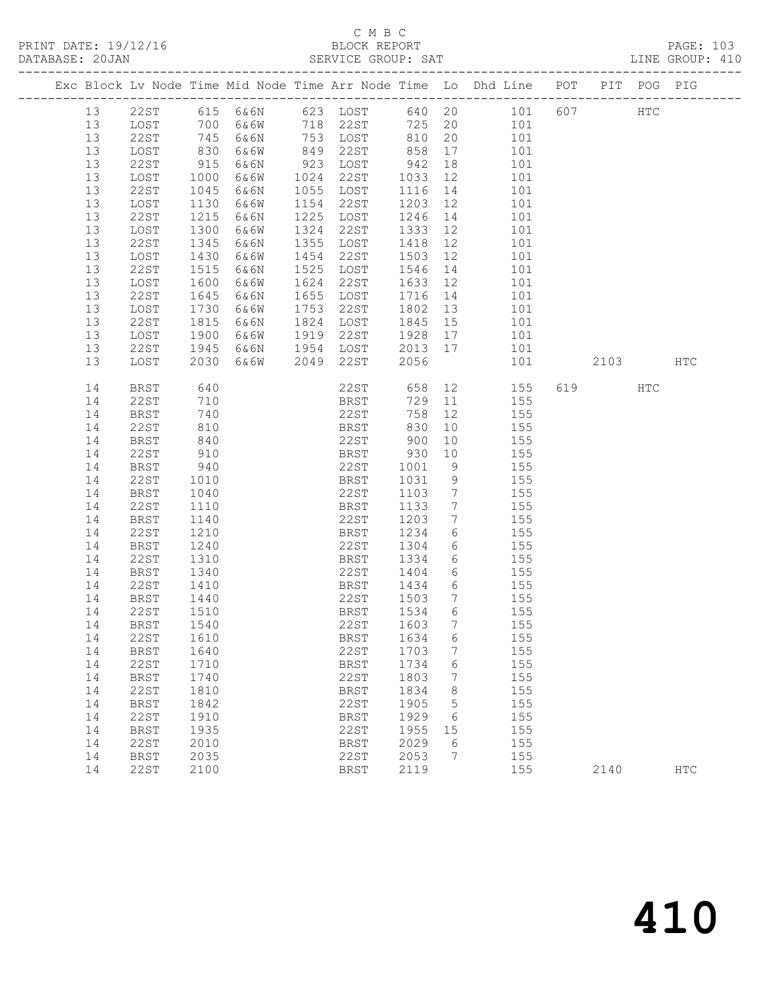## C M B C<br>BLOCK REPORT

|    |             |                           |      |                                                           |           |                 |                                                                                                             |     |              | PAGE: 103<br>LINE GROUP: 410 |
|----|-------------|---------------------------|------|-----------------------------------------------------------|-----------|-----------------|-------------------------------------------------------------------------------------------------------------|-----|--------------|------------------------------|
|    |             |                           |      |                                                           |           |                 | Exc Block Lv Node Time Mid Node Time Arr Node Time Lo Dhd Line POT PIT POG PIG                              |     |              |                              |
| 13 |             |                           |      |                                                           |           |                 | 22ST 615 6&6N 623 LOST 640 20 101 607                                                                       |     | $_{\rm HTC}$ |                              |
| 13 |             |                           |      |                                                           |           |                 |                                                                                                             |     |              |                              |
| 13 |             |                           |      |                                                           |           |                 | 108T 700 6&6W 718 22ST 725 20 101<br>22ST 745 6&6N 753 LOST 810 20 101<br>10ST 830 6&6W 849 22ST 858 17 101 |     |              |                              |
| 13 |             |                           |      |                                                           |           |                 |                                                                                                             |     |              |                              |
| 13 | 22ST        | $915$<br>$1000$<br>$1045$ | 6&6N |                                                           |           |                 | 101                                                                                                         |     |              |                              |
| 13 | LOST        |                           | 6&6W |                                                           |           |                 | 101                                                                                                         |     |              |                              |
| 13 | 22ST        |                           | 6&6N | 923 LOST 942 18<br>1024 22ST 1033 12<br>1055 LOST 1116 14 |           |                 | 101                                                                                                         |     |              |                              |
| 13 | LOST        | 1130                      | 6&6W | 1154 22ST                                                 |           |                 | 1203 12 101                                                                                                 |     |              |                              |
| 13 | 22ST        | 1215                      | 6&6N | 1225 LOST                                                 |           |                 | 1246 14 101                                                                                                 |     |              |                              |
| 13 | LOST        | 1300<br>1345              | 6&6W | 1324 22ST                                                 |           |                 | 101                                                                                                         |     |              |                              |
| 13 | 22ST        |                           | 6&6N | 1355 LOST                                                 |           |                 | 101                                                                                                         |     |              |                              |
| 13 | LOST        | 1430                      | 6&6W | 1454 22ST                                                 |           |                 | 1503 12 101                                                                                                 |     |              |                              |
| 13 | 22ST        | 1515                      | 6&6N | 1525 LOST                                                 | 1546 14   |                 | 101                                                                                                         |     |              |                              |
| 13 | LOST        | 1600<br>1645              | 6&6W | 1624 22ST                                                 | $1633$ 12 |                 | 101                                                                                                         |     |              |                              |
| 13 | 22ST        |                           | 6&6N | 1655 LOST                                                 | 1716 14   |                 | 101                                                                                                         |     |              |                              |
| 13 | LOST        | 1730                      | 6&6W | 1753 22ST                                                 |           |                 | $1802$ 13 101                                                                                               |     |              |                              |
| 13 | 22ST        | 1815                      | 6&6N | 1824 LOST                                                 |           |                 | 1845 15 101                                                                                                 |     |              |                              |
| 13 | LOST        | 1900<br>1945              | 6&6W | 1919 22ST                                                 |           |                 | 1928 17 101                                                                                                 |     |              |                              |
| 13 | 22ST        |                           | 6&6N |                                                           |           |                 |                                                                                                             |     |              |                              |
| 13 | LOST        | 2030                      | 6&6W |                                                           |           |                 |                                                                                                             |     |              | HTC                          |
| 14 | BRST        | 640                       |      |                                                           |           |                 |                                                                                                             | 619 | HTC          |                              |
| 14 | 22ST        | 710                       |      |                                                           |           |                 |                                                                                                             |     |              |                              |
| 14 | BRST        | 740                       |      |                                                           |           |                 | 22ST 658 12 155<br>BRST 729 11 155<br>22ST 758 12 155                                                       |     |              |                              |
| 14 | 22ST        | 810                       |      | <b>BRST</b>                                               | 830       |                 | 10 155                                                                                                      |     |              |                              |
| 14 | BRST        | 840                       |      | 22ST 900                                                  |           |                 | $10 \qquad \qquad 155$                                                                                      |     |              |                              |
| 14 | 22ST        |                           |      | BRST                                                      | 930       |                 |                                                                                                             |     |              |                              |
| 14 | BRST        | 910<br>940                |      | 22ST                                                      | 1001      |                 | $\begin{array}{cc} 10 & \hspace{1.5cm} 155 \\ 9 & \hspace{1.5cm} 155 \end{array}$                           |     |              |                              |
| 14 | 22ST        | 1010                      |      | BRST                                                      | 1031      |                 | 9 155                                                                                                       |     |              |                              |
| 14 | BRST        | 1040                      |      | 22ST                                                      | 1103      |                 | 7 155                                                                                                       |     |              |                              |
| 14 | 22ST        | 1110                      |      | BRST                                                      | 1133      | $7\overline{ }$ | 155                                                                                                         |     |              |                              |
| 14 | BRST        | 1140                      |      | 22ST                                                      |           |                 | 1133 7 155<br>1203 7 155                                                                                    |     |              |                              |
| 14 | 22ST        | 1210                      |      | BRST                                                      |           |                 | 1234 6 155                                                                                                  |     |              |                              |
| 14 | BRST        | 1240                      |      | 22ST                                                      |           |                 | 1304 6 155                                                                                                  |     |              |                              |
| 14 | 22ST        | 1310<br>1340              |      | <b>BRST</b>                                               |           |                 | 1334 6 155<br>1404 6 155                                                                                    |     |              |                              |
| 14 | BRST        |                           |      | BRST 1334 6<br>22ST 1404 6                                |           |                 |                                                                                                             |     |              |                              |
| 14 | 22ST        | 1410                      |      | <b>BRST</b>                                               |           |                 | 1434 6 155                                                                                                  |     |              |                              |
| 14 | <b>BRST</b> | 1440                      |      | 22ST                                                      | 1503      | 7               | 155                                                                                                         |     |              |                              |
| 14 | 22ST        | 1510                      |      | <b>BRST</b>                                               | 1534      | 6               | 155                                                                                                         |     |              |                              |
| 14 | <b>BRST</b> | 1540                      |      | 22ST                                                      | 1603      | 7               | 155                                                                                                         |     |              |                              |
| 14 | 22ST        | 1610                      |      | <b>BRST</b>                                               | 1634      | 6               | 155                                                                                                         |     |              |                              |
| 14 | <b>BRST</b> | 1640                      |      | 22ST                                                      | 1703      | 7               | 155                                                                                                         |     |              |                              |
| 14 | 22ST        | 1710                      |      | <b>BRST</b>                                               | 1734      | 6               | 155                                                                                                         |     |              |                              |
| 14 | <b>BRST</b> | 1740                      |      | 22ST                                                      | 1803      | 7               | 155                                                                                                         |     |              |                              |
| 14 | 22ST        | 1810                      |      | <b>BRST</b>                                               | 1834      | 8               | 155                                                                                                         |     |              |                              |
| 14 | <b>BRST</b> | 1842                      |      | 22ST                                                      | 1905      | 5               | 155                                                                                                         |     |              |                              |
| 14 | 22ST        | 1910                      |      | <b>BRST</b>                                               | 1929      | 6               | 155                                                                                                         |     |              |                              |
| 14 | <b>BRST</b> | 1935                      |      | 22ST                                                      | 1955      | 15              | 155                                                                                                         |     |              |                              |
| 14 | 22ST        | 2010                      |      | <b>BRST</b>                                               | 2029      | 6               | 155                                                                                                         |     |              |                              |

14 BRST 2035 22ST 2053 7 155

14 22ST 2100 BRST 2119 155 2140 HTC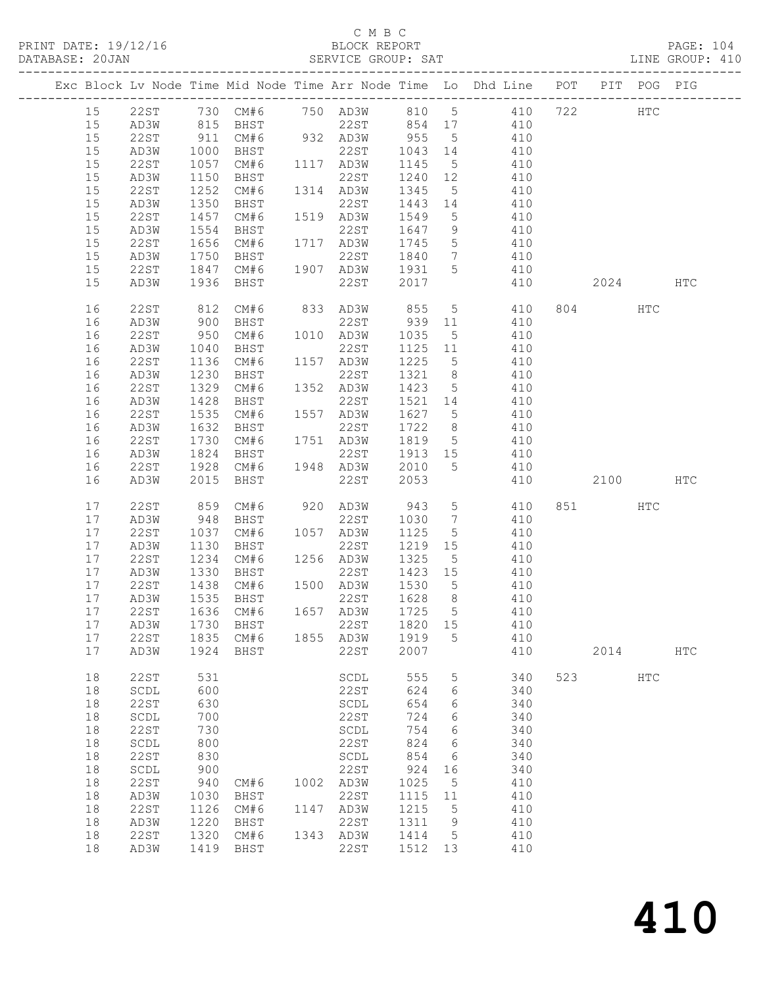#### C M B C

| DATABASE: 20JAN |    |                                |                   |                                                                                 | SERVICE GROUP: SAT  |         |                 |                                                                                             |                |            | LINE GROUP: 410 |  |
|-----------------|----|--------------------------------|-------------------|---------------------------------------------------------------------------------|---------------------|---------|-----------------|---------------------------------------------------------------------------------------------|----------------|------------|-----------------|--|
|                 |    |                                |                   |                                                                                 |                     |         |                 | Exc Block Lv Node Time Mid Node Time Arr Node Time Lo Dhd Line POT PIT POG PIG              |                |            |                 |  |
|                 | 15 |                                |                   |                                                                                 |                     |         |                 | 22ST 730 CM#6 750 AD3W 810 5 410 722 HTC                                                    |                |            |                 |  |
|                 | 15 | AD3W                           |                   |                                                                                 |                     |         |                 | 815 BHST 22ST 854 17 410                                                                    |                |            |                 |  |
|                 | 15 | 22ST                           |                   |                                                                                 |                     |         |                 |                                                                                             |                |            |                 |  |
|                 | 15 | AD3W                           |                   |                                                                                 |                     |         |                 | 911 CM#6 932 AD3W 955 5 410<br>1000 BHST 22ST 1043 14 410<br>1057 CM#6 1117 AD3W 1145 5 410 |                |            |                 |  |
|                 | 15 | 22ST                           |                   |                                                                                 |                     |         |                 |                                                                                             |                |            |                 |  |
|                 | 15 | AD3W                           | 1150              | <b>BHST</b>                                                                     | 22ST 1240 12        |         |                 | 410                                                                                         |                |            |                 |  |
|                 | 15 | 22ST                           | 1252              | CM#6                                                                            | 1314 AD3W 1345 5    |         |                 | 410                                                                                         |                |            |                 |  |
|                 | 15 | AD3W                           | 1350              | BHST                                                                            | 22ST                | 1443 14 |                 | 410                                                                                         |                |            |                 |  |
|                 | 15 | 22ST                           | $\frac{1}{1}$ 457 |                                                                                 | CM#6 1519 AD3W 1549 |         | 5 <sup>5</sup>  | 410                                                                                         |                |            |                 |  |
|                 | 15 | AD3W                           | 1554              | BHST                                                                            | 22ST                | 1647 9  |                 | 410                                                                                         |                |            |                 |  |
|                 | 15 | 22ST                           | 1656              |                                                                                 |                     |         | $5\overline{)}$ | 410                                                                                         |                |            |                 |  |
|                 | 15 | AD3W                           |                   |                                                                                 | CM#6 1717 AD3W 1745 | 1840 7  |                 | 410                                                                                         |                |            |                 |  |
|                 | 15 | 22ST                           |                   | 1750 BHST 22ST 1840<br>1847 CM#6 1907 AD3W 1931                                 |                     |         | 5 <sup>5</sup>  | 410                                                                                         |                |            |                 |  |
|                 | 15 | AD3W                           | 1936              | BHST                                                                            | 22ST                | 2017    |                 | 410                                                                                         | 2024           |            | HTC             |  |
|                 |    |                                |                   |                                                                                 |                     |         |                 |                                                                                             |                |            |                 |  |
|                 | 16 | 22ST                           | 812<br>900        |                                                                                 |                     |         |                 | CM#6 833 AD3W 855 5 410<br>BHST 22ST 939 11 410                                             | 804 HTC        |            |                 |  |
|                 | 16 | AD3W                           |                   |                                                                                 |                     |         |                 |                                                                                             |                |            |                 |  |
|                 | 16 | 22 S T                         | 950               |                                                                                 | CM#6 1010 AD3W 1035 |         |                 | 5 410                                                                                       |                |            |                 |  |
|                 | 16 | AD3W                           | 1040              | BHST                                                                            | 22ST                |         |                 | 1125 11 410                                                                                 |                |            |                 |  |
|                 | 16 | 22ST                           |                   | CM#6 1157 AD3W<br>BHST 22ST                                                     |                     | 1225    | $5\overline{)}$ | 410                                                                                         |                |            |                 |  |
|                 | 16 | AD3W                           | $1136$<br>$1230$  | BHST                                                                            | 22ST                | 1321 8  |                 | 410                                                                                         |                |            |                 |  |
|                 | 16 | 22ST                           | 1329              | CM#6                                                                            | 1352 AD3W 1423 5    |         |                 | 410                                                                                         |                |            |                 |  |
|                 | 16 | AD3W                           | 1428              | BHST                                                                            | 22ST                | 1521 14 |                 | 410                                                                                         |                |            |                 |  |
|                 | 16 | 22ST                           | 1535              | CM#6                                                                            | 1557 AD3W           | 1627 5  |                 | 410                                                                                         |                |            |                 |  |
|                 | 16 | AD3W                           | 1632              | BHST                                                                            | 22ST                | 1722 8  |                 | 410                                                                                         |                |            |                 |  |
|                 | 16 | 22ST                           | 1730              | $CM#6$ 1751 $AD3W$                                                              |                     |         |                 | 1819 5 410                                                                                  |                |            |                 |  |
|                 | 16 | AD3W                           | 1824              | BHST                                                                            |                     |         |                 | 22ST 1913 15 410                                                                            |                |            |                 |  |
|                 | 16 | 22ST                           | 1928              | CM#6                                                                            | 1948 AD3W           | 2010    | 5 <sup>5</sup>  | 410                                                                                         |                |            |                 |  |
|                 | 16 | AD3W                           | 2015              | BHST                                                                            | 22ST                | 2053    |                 | 410                                                                                         | 2100 HTC       |            |                 |  |
|                 | 17 | 22ST                           | 859               | CM#6 920 AD3W                                                                   |                     | 943     | $5\overline{)}$ | 410                                                                                         | 851 7          | <b>HTC</b> |                 |  |
|                 | 17 | AD3W                           | 948               | BHST                                                                            | 22ST                | 1030 7  |                 | 410                                                                                         |                |            |                 |  |
|                 | 17 | 22ST                           |                   | CM#6 1057 AD3W                                                                  |                     | 1125    | $5\overline{)}$ | 410                                                                                         |                |            |                 |  |
|                 | 17 | AD3W                           | 1037<br>1130      | BHST                                                                            | 22ST                |         |                 | $1219$ $15$ $410$                                                                           |                |            |                 |  |
|                 | 17 | 22ST                           | 1234              | CM#6 1256 AD3W                                                                  |                     | 1325    | $5\overline{)}$ | 410                                                                                         |                |            |                 |  |
|                 | 17 | AD3W                           |                   |                                                                                 |                     | 1423 15 |                 | 410                                                                                         |                |            |                 |  |
|                 | 17 | 22ST                           |                   | 1330 BHST<br>1438 CM#6<br>1535 BHST<br>BHST 22ST<br>CM#6 1500 AD3W<br>BHST 22ST |                     | 1530 5  |                 |                                                                                             |                |            |                 |  |
|                 | 17 | AD3W                           |                   |                                                                                 |                     | 1628 8  |                 | $410$<br>$410$                                                                              |                |            |                 |  |
|                 |    |                                |                   |                                                                                 |                     |         |                 | 17 22ST 1636 CM#6 1657 AD3W 1725 5 410                                                      |                |            |                 |  |
|                 | 17 | AD3W                           | 1730              | BHST                                                                            | 22ST                | 1820    | 15              | 410                                                                                         |                |            |                 |  |
|                 | 17 | 22ST                           |                   | 1835 CM#6 1855 AD3W                                                             |                     | 1919    | 5               | 410                                                                                         |                |            |                 |  |
|                 | 17 | AD3W                           |                   | 1924 BHST                                                                       | 22ST                | 2007    |                 | 410                                                                                         | 2014           |            | <b>HTC</b>      |  |
|                 | 18 | 22ST                           | 531               |                                                                                 |                     | 555     |                 | 340                                                                                         | 523 and $\sim$ | HTC        |                 |  |
|                 | 18 | SCDL                           | 600               |                                                                                 | SCDL<br>22ST        | 624     | 5<br>6          | 340                                                                                         |                |            |                 |  |
|                 |    |                                |                   |                                                                                 |                     |         |                 |                                                                                             |                |            |                 |  |
|                 | 18 | 22ST                           | 630               |                                                                                 | SCDL                | 654     | 6               | 340                                                                                         |                |            |                 |  |
|                 | 18 | $\operatorname{\mathsf{SCDL}}$ | 700               |                                                                                 | 22ST                | 724     | 6               | 340                                                                                         |                |            |                 |  |
|                 | 18 | 22ST                           | 730               |                                                                                 | SCDL                | 754     | 6               | 340                                                                                         |                |            |                 |  |
|                 | 18 | $\operatorname{\mathsf{SCDL}}$ | 800               |                                                                                 | 22ST                | 824     | 6               | 340                                                                                         |                |            |                 |  |
|                 | 18 | <b>22ST</b>                    | 830               |                                                                                 | SCDL                | 854     | 6               | 340                                                                                         |                |            |                 |  |
|                 | 18 | $\operatorname{\mathsf{SCDL}}$ | 900               |                                                                                 | 22ST                | 924     | 16              | 340                                                                                         |                |            |                 |  |
|                 | 18 | 22ST                           | 940               | CM#6                                                                            | 1002 AD3W           | 1025    | $5^{\circ}$     | 410                                                                                         |                |            |                 |  |
|                 | 18 | AD3W                           | 1030              | BHST                                                                            | 22ST                | 1115    | 11              | 410                                                                                         |                |            |                 |  |
|                 | 18 | 22ST                           | 1126              | CM#6                                                                            | 1147 AD3W           | 1215    | $5^{\circ}$     | 410                                                                                         |                |            |                 |  |
|                 | 18 | AD3W                           | 1220              | BHST                                                                            | 22ST                | 1311    | 9               | 410                                                                                         |                |            |                 |  |
|                 | 18 | 22ST                           | 1320              | CM#6                                                                            | 1343 AD3W           | 1414    | $5^{\circ}$     | 410                                                                                         |                |            |                 |  |
|                 | 18 | AD3W                           |                   | 1419 BHST                                                                       | 22ST                | 1512 13 |                 | 410                                                                                         |                |            |                 |  |

410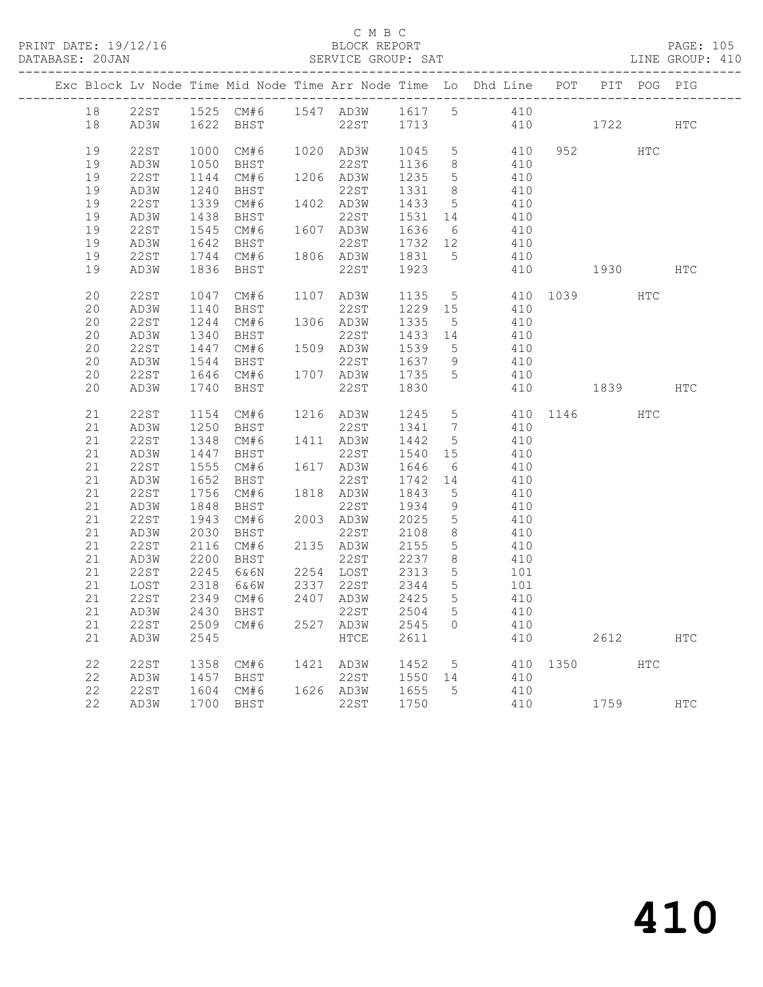|             |          | $  -$           |       |     | $\sim$ $\sim$ |
|-------------|----------|-----------------|-------|-----|---------------|
| PRINT DATE: | 19/12/17 | REPORT<br>BLOCK | PAGE: | ∸∨∽ |               |

#### C M B C<br>BLOCK REPORT

| DATABASE: 20JAN |    |      |      |                        | SERVICE GROUP: SAT                                   |         |                 |                                                                                |              |         |          | LINE GROUP: 410 |
|-----------------|----|------|------|------------------------|------------------------------------------------------|---------|-----------------|--------------------------------------------------------------------------------|--------------|---------|----------|-----------------|
|                 |    |      |      |                        |                                                      |         |                 | Exc Block Lv Node Time Mid Node Time Arr Node Time Lo Dhd Line POT PIT POG PIG |              |         |          |                 |
|                 |    |      |      |                        |                                                      |         |                 | 18  22ST  1525  CM#6  1547  AD3W  1617  5  410                                 |              |         |          |                 |
|                 | 18 |      |      |                        |                                                      |         |                 | AD3W 1622 BHST 22ST 1713 410 1722 HTC                                          |              |         |          |                 |
|                 | 19 | 22ST |      |                        |                                                      |         |                 | 1000 CM#6 1020 AD3W 1045 5 410                                                 |              | 952 HTC |          |                 |
|                 | 19 | AD3W | 1050 | BHST                   | 22ST 1136 8                                          |         |                 | 410                                                                            |              |         |          |                 |
|                 | 19 | 22ST | 1144 |                        |                                                      |         |                 | CM#6 1206 AD3W 1235 5 410                                                      |              |         |          |                 |
|                 | 19 | AD3W | 1240 |                        |                                                      |         |                 | 22ST 1331 8 410                                                                |              |         |          |                 |
|                 | 19 | 22ST |      |                        |                                                      |         |                 | 410                                                                            |              |         |          |                 |
|                 | 19 | AD3W | 1438 | BHST                   |                                                      |         |                 | $22ST$ $1531$ $14$ $410$                                                       |              |         |          |                 |
|                 | 19 | 22ST |      |                        |                                                      |         |                 | 1545 CM#6  1607 AD3W  1636  6  410                                             |              |         |          |                 |
|                 | 19 | AD3W | 1642 | BHST                   |                                                      |         |                 | 22ST 1732 12 410                                                               |              |         |          |                 |
|                 | 19 | 22ST |      |                        |                                                      |         |                 | 410                                                                            |              |         |          |                 |
|                 | 19 | AD3W |      |                        |                                                      |         |                 |                                                                                | 410 1930 HTC |         |          |                 |
|                 | 20 | 22ST |      | 1047 CM#6              |                                                      |         |                 | 1107 AD3W 1135 5 410 1039                                                      |              |         | HTC      |                 |
|                 | 20 | AD3W |      |                        | 1140 BHST 22ST 1229 15<br>1244 CM#6 1306 AD3W 1335 5 |         |                 | 410                                                                            |              |         |          |                 |
|                 | 20 | 22ST |      |                        |                                                      |         |                 | 410                                                                            |              |         |          |                 |
|                 | 20 | AD3W | 1340 | BHST                   | 22ST 1433 14                                         |         |                 | 410                                                                            |              |         |          |                 |
|                 | 20 | 22ST | 1447 |                        | CM#6 1509 AD3W 1539                                  |         | 5 <sup>5</sup>  | 410                                                                            |              |         |          |                 |
|                 | 20 | AD3W | 1544 |                        |                                                      |         |                 | 410                                                                            |              |         |          |                 |
|                 | 20 | 22ST |      |                        | 1544 BHST 22ST 1637 9<br>1646 CM#6 1707 AD3W 1735 5  |         |                 | 410                                                                            |              |         |          |                 |
|                 | 20 | AD3W |      | 1740 BHST              | 22ST 1830                                            |         |                 |                                                                                | 410 1839     |         |          | HTC             |
|                 | 21 | 22ST |      | 1154 CM#6              |                                                      |         |                 | 1216 AD3W 1245 5 410 1146 HTC<br>22ST 1341 7 410                               |              |         |          |                 |
|                 | 21 | AD3W |      | 1250 BHST              |                                                      |         |                 |                                                                                |              |         |          |                 |
|                 | 21 | 22ST | 1348 |                        | CM#6 1411 AD3W 1442 5                                |         |                 | 410                                                                            |              |         |          |                 |
|                 | 21 | AD3W | 1447 | BHST                   | 22ST 1540 15                                         |         |                 | 410                                                                            |              |         |          |                 |
|                 | 21 | 22ST | 1555 |                        | CM#6 1617 AD3W 1646                                  |         | 6               | 410                                                                            |              |         |          |                 |
|                 | 21 | AD3W | 1652 | BHST                   | 22ST                                                 | 1742 14 |                 | 410                                                                            |              |         |          |                 |
|                 | 21 | 22ST |      | 1756 CM#6              | 1818 AD3W                                            | 1843    | 5 <sup>5</sup>  | 410                                                                            |              |         |          |                 |
|                 | 21 | AD3W | 1848 | BHST                   | 22ST                                                 | 1934    | 9               | 410                                                                            |              |         |          |                 |
|                 | 21 | 22ST | 1943 | CM# 6                  | 2003 AD3W 2025                                       |         | $5\overline{)}$ | 410                                                                            |              |         |          |                 |
|                 | 21 | AD3W | 2030 | BHST                   |                                                      |         | 8 <sup>8</sup>  | 410                                                                            |              |         |          |                 |
|                 | 21 | 22ST | 2116 | CM#6                   | 22ST 2108<br>2135 AD3W 2155                          |         | $5\overline{)}$ | 410                                                                            |              |         |          |                 |
|                 | 21 | AD3W | 2200 | BHST                   | 22ST 2237                                            |         | 8 <sup>8</sup>  | 410                                                                            |              |         |          |                 |
|                 | 21 | 22ST | 2245 | 6&6N                   | 2254 LOST 2313                                       |         | $5\overline{)}$ | 101                                                                            |              |         |          |                 |
|                 | 21 | LOST |      | 2318 6&6W<br>2349 CM#6 |                                                      |         | 5 <sup>5</sup>  |                                                                                |              |         |          |                 |
|                 | 21 | 22ST |      |                        |                                                      |         | 5 <sup>5</sup>  | 101<br>410                                                                     |              |         |          |                 |
|                 |    |      |      |                        |                                                      |         |                 | 21 AD3W 2430 BHST 22ST 2504 5 410                                              |              |         |          |                 |
|                 | 21 | 22ST |      | 2509 CM#6 2527 AD3W    |                                                      | 2545 0  |                 | 410                                                                            |              |         |          |                 |
|                 | 21 | AD3W | 2545 |                        | HTCE                                                 | 2611    |                 |                                                                                | 410          |         | 2612     | HTC             |
|                 | 22 | 22ST | 1358 | CM#6                   | 1421 AD3W                                            | 1452 5  |                 |                                                                                | 410 1350     |         | HTC      |                 |
|                 | 22 | AD3W | 1457 | BHST                   | 22ST                                                 | 1550 14 |                 | 410                                                                            |              |         |          |                 |
|                 | 22 | 22ST | 1604 | CM# 6                  | 1626 AD3W                                            | 1655    | $5^{\circ}$     | 410                                                                            |              |         |          |                 |
|                 | 22 | AD3W |      | 1700 BHST              | 22ST                                                 | 1750    |                 | 410                                                                            |              |         | 1759 HTC |                 |
|                 |    |      |      |                        |                                                      |         |                 |                                                                                |              |         |          |                 |

410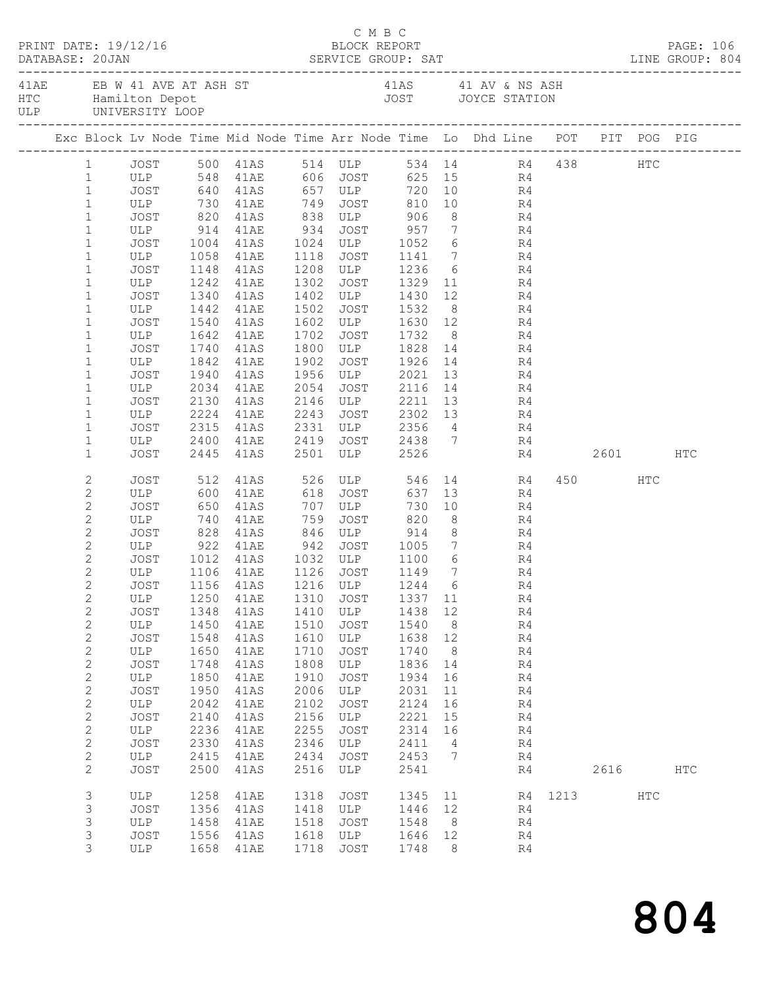|  | DATABASE: 20JAN              | PRINT DATE: 19/12/16 |              |                        |              | C M B C<br>BLOCK REPORT                                                                                  |                 |                |                |           |             |     | PAGE: 106     |  |
|--|------------------------------|----------------------|--------------|------------------------|--------------|----------------------------------------------------------------------------------------------------------|-----------------|----------------|----------------|-----------|-------------|-----|---------------|--|
|  |                              |                      |              |                        |              | 41AE EB W 41 AVE AT ASH ST 41AS 41 AV & NS ASH HTC Hamilton Depot 41 AV & NS ASH JOYCE STATION ULP       |                 |                |                |           |             |     |               |  |
|  |                              |                      |              |                        |              | Exc Block Lv Node Time Mid Node Time Arr Node Time Lo Dhd Line POT PIT POG PIG                           |                 |                |                |           |             |     |               |  |
|  |                              |                      |              |                        |              | 1 JOST 500 41AS 514 ULP 534 14 R4 438 HTC                                                                |                 |                |                |           |             |     |               |  |
|  | 1                            |                      |              |                        |              | ULP 548 41AE 606 JOST 625 15 R4<br>JOST 640 41AS 657 ULP 720 10 R4<br>ULP 730 41AE 749 JOST 810 10 R4    |                 |                |                |           |             |     |               |  |
|  | $\mathbf{1}$                 |                      |              |                        |              |                                                                                                          |                 |                |                |           |             |     |               |  |
|  | $\mathbf{1}$                 |                      |              |                        |              |                                                                                                          |                 |                |                |           |             |     |               |  |
|  | $\mathbf{1}$                 |                      |              |                        |              | JOST 820 41AS 838 ULP 906                                                                                |                 |                | 8 R4           |           |             |     |               |  |
|  | $\mathbf{1}$                 |                      |              |                        |              | ULP 914 41AE 934 JOST 957 7 R4<br>JOST 1004 41AS 1024 ULP 1052 6 R4<br>ULP 1058 41AE 1118 JOST 1141 7 R4 |                 |                |                |           |             |     |               |  |
|  | $\mathbf{1}$                 |                      |              |                        |              |                                                                                                          |                 |                |                |           |             |     |               |  |
|  | $\mathbf 1$<br>$\mathbf 1$   | JOST                 |              | 1148 41AS              |              | 1208 ULP 1236 6 R4                                                                                       |                 |                |                |           |             |     |               |  |
|  | $\mathbf 1$                  | ULP                  |              | 1242 41AE              |              | 1302 JOST 1329 11 R4                                                                                     |                 |                |                |           |             |     |               |  |
|  | $\mathbf{1}$                 | JOST                 |              | 1340 41AS              |              |                                                                                                          |                 |                |                |           |             |     |               |  |
|  | $\mathbf{1}$                 | ULP                  |              | 1442 41AE              | 1502         | 1402 ULP 1430 12 R4<br>1502 JOST 1532 8 R4                                                               |                 |                |                |           |             |     |               |  |
|  | $\mathbf{1}$                 | JOST 1540 41AS       |              |                        |              | 1602 ULP 1630 12 R4                                                                                      |                 |                |                |           |             |     |               |  |
|  | $\mathbf 1$                  | ULP                  |              | 1642 41AE              | 1702         | JOST 1732 8 R4                                                                                           |                 |                |                |           |             |     |               |  |
|  | $\mathbf 1$                  | JOST                 |              | 1740 41AS              |              | 1800 ULP 1828 14 R4<br>1902 JOST 1926 14 R4                                                              |                 |                |                |           |             |     |               |  |
|  | $\mathbf{1}$                 | ULP                  |              | 1842 41AE              | 1902         |                                                                                                          |                 |                |                |           |             |     |               |  |
|  | $\mathbf 1$                  | JOST                 |              | 1940 41AS              |              | 1956 ULP 2021 13 R4                                                                                      |                 |                |                |           |             |     |               |  |
|  | $\mathbf{1}$                 | ULP                  | 2034         | 41AE                   | 2054         | JOST 2116 14                                                                                             |                 |                |                | R4        |             |     |               |  |
|  | $\mathbf{1}$<br>$\mathbf{1}$ | JOST<br>ULP          |              | 2130 41AS<br>2224 41AE |              | 2146 ULP 2211 13 R4<br>2243 JOST 2302 13 R4                                                              |                 |                |                |           |             |     |               |  |
|  | $\mathbf 1$                  | JOST                 |              | 2315 41AS              |              | 2331 ULP 2356 4 R4                                                                                       |                 |                |                |           |             |     |               |  |
|  | $\mathbf 1$                  | ULP                  | 2400         | 41AE                   | 2419         | JOST 2438 7 R4                                                                                           |                 |                |                |           |             |     |               |  |
|  | $\mathbf{1}$                 | JOST                 | 2445         | 41AS                   |              | 2501 ULP 2526                                                                                            |                 |                |                |           | R4 2601 HTC |     |               |  |
|  |                              |                      |              |                        |              |                                                                                                          |                 |                |                |           |             |     |               |  |
|  | 2                            | JOST                 | 512          | 41AS                   |              | 526 ULP                                                                                                  |                 |                |                | 546 14 R4 | 450 HTC     |     |               |  |
|  | $\mathbf{2}$                 | ULP 600              |              | 41AE                   |              | 618 JOST                                                                                                 |                 |                | 637 13         | R4        |             |     |               |  |
|  | $\mathbf{2}$                 | JOST                 |              | 650 41AS<br>740 41AE   | 707          | ULP 730<br>JOST 820                                                                                      | 730             |                | $\frac{10}{8}$ | R4        |             |     |               |  |
|  | $\mathbf{2}$<br>$\mathbf{2}$ | ULP<br>JOST          |              |                        | 759          | 828 41AS 846 ULP 914 8 R4                                                                                |                 | 8 <sup>8</sup> |                | R4        |             |     |               |  |
|  | $\mathbf{2}$                 |                      |              |                        |              | ULP 922 41AE 942 JOST 1005 7 R4                                                                          |                 |                |                |           |             |     |               |  |
|  | $\mathbf{2}$                 |                      |              |                        |              |                                                                                                          |                 |                |                |           |             |     |               |  |
|  | $\overline{c}$               |                      |              |                        |              | JOST 1012 41AS 1032 ULP 1100 6 R4<br>ULP 1106 41AE 1126 JOST 1149 7 R4                                   |                 |                |                |           |             |     |               |  |
|  | $\mathbf{2}$                 |                      |              |                        |              | JOST 1156 41AS 1216 ULP 1244 6 R4                                                                        |                 |                |                |           |             |     |               |  |
|  | 2                            | ULP                  | 1250         | 41AE                   | 1310         | JOST                                                                                                     | 1337 11         |                |                | R4        |             |     |               |  |
|  | $\mathbf{2}$                 | JOST                 | 1348         | 41AS                   | 1410         | ULP                                                                                                      | 1438            | 12             |                | R4        |             |     |               |  |
|  | $\sqrt{2}$                   | ULP                  | 1450         | 41AE                   | 1510         | JOST                                                                                                     | 1540            | 8 <sup>8</sup> |                | R4        |             |     |               |  |
|  | $\sqrt{2}$                   | JOST                 | 1548         | 41AS                   | 1610         | ULP                                                                                                      | 1638            | 12             |                | R4        |             |     |               |  |
|  | $\sqrt{2}$                   | ULP                  | 1650         | 41AE                   | 1710         | JOST                                                                                                     | 1740            | 8 <sup>8</sup> |                | R4        |             |     |               |  |
|  | $\sqrt{2}$                   | <b>JOST</b>          | 1748         | 41AS                   | 1808         | ULP                                                                                                      | 1836<br>1934 16 | 14             |                | R4        |             |     |               |  |
|  | $\sqrt{2}$<br>$\sqrt{2}$     | ULP<br>JOST          | 1850<br>1950 | 41AE<br>41AS           | 1910<br>2006 | JOST<br>ULP                                                                                              | 2031            | 11             |                | R4<br>R4  |             |     |               |  |
|  | $\mathbf{2}$                 | ULP                  | 2042         | 41AE                   | 2102         | JOST                                                                                                     | 2124            | 16             |                | R4        |             |     |               |  |
|  | $\mathbf{2}$                 | <b>JOST</b>          | 2140         | 41AS                   | 2156         | ULP                                                                                                      | 2221            | 15             |                | R4        |             |     |               |  |
|  | $\mathbf{2}$                 | ULP                  | 2236         | 41AE                   | 2255         | JOST                                                                                                     | 2314            | 16             |                | R4        |             |     |               |  |
|  | $\sqrt{2}$                   | JOST                 | 2330         | 41AS                   | 2346         | ULP                                                                                                      | 2411            | $\overline{4}$ |                | R4        |             |     |               |  |
|  | $\mathbf{2}$                 | ULP                  | 2415         | 41AE                   | 2434         | JOST                                                                                                     | 2453            | $\overline{7}$ |                | R4        |             |     |               |  |
|  | $\mathbf{2}$                 | <b>JOST</b>          | 2500         | 41AS                   | 2516         | ULP                                                                                                      | 2541            |                |                | R4        | 2616        |     | $_{\rm{HTC}}$ |  |
|  | 3                            | ULP                  | 1258         | 41AE                   | 1318         | JOST                                                                                                     | 1345 11         |                |                |           | R4 1213     | HTC |               |  |
|  | 3                            | JOST                 | 1356         | 41AS                   | 1418         | ULP                                                                                                      | 1446 12         |                |                | R4        |             |     |               |  |
|  | 3                            | ULP                  | 1458         | 41AE                   | 1518         | JOST                                                                                                     | 1548            | 8 <sup>8</sup> |                | R4        |             |     |               |  |
|  | $\mathsf S$                  | JOST                 | 1556         | 41AS                   | 1618         | ULP                                                                                                      | 1646            | 12             |                | R4        |             |     |               |  |
|  | 3                            | ULP                  | 1658         | 41AE                   | 1718         | JOST                                                                                                     | 1748            | - 8            |                | R4        |             |     |               |  |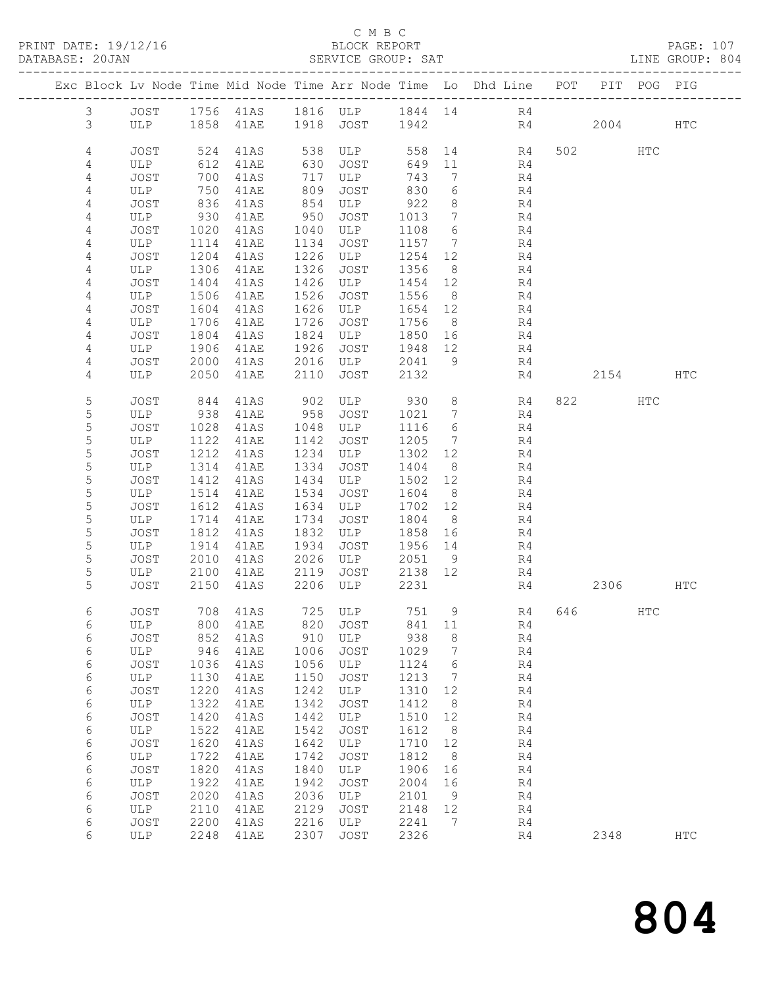#### C M B C<br>BLOCK REPORT SERVICE GROUP: SAT

|                 | Exc Block Lv Node Time Mid Node Time Arr Node Time Lo Dhd Line POT PIT POG PIG |      |                                      |      |               |         |                 |                |    |          |     |     |
|-----------------|--------------------------------------------------------------------------------|------|--------------------------------------|------|---------------|---------|-----------------|----------------|----|----------|-----|-----|
| $\mathfrak{Z}$  |                                                                                |      | JOST 1756 41AS 1816 ULP 1844 14 R4   |      |               |         |                 |                |    |          |     |     |
| 3               |                                                                                |      | ULP 1858 41AE 1918 JOST 1942 R4 2004 |      |               |         |                 |                |    |          |     | HTC |
|                 |                                                                                |      |                                      |      |               |         |                 |                |    |          |     |     |
| 4               | JOST                                                                           | 524  | 41AS                                 |      | 538 ULP       |         |                 | 558 14 R4      |    | 502 HTC  |     |     |
| 4               | ULP                                                                            | 612  | 41AE                                 | 630  | JOST          | 649     |                 | 11 R4          |    |          |     |     |
| 4               | JOST                                                                           | 700  | 41AS                                 | 717  | ULP           | 743     | $\overline{7}$  |                | R4 |          |     |     |
| 4               | ULP                                                                            | 750  | 41AE                                 | 809  | JOST          | 830     | 6               |                | R4 |          |     |     |
| 4               | JOST                                                                           | 836  | 41AS                                 | 854  | ULP           | 922     | 8 <sup>8</sup>  | R <sub>4</sub> |    |          |     |     |
| 4               | ULP                                                                            | 930  | 41AE                                 | 950  | JOST          | 1013    | $7\overline{ }$ |                | R4 |          |     |     |
| 4               | JOST                                                                           | 1020 | 41AS                                 | 1040 | ULP           | 1108    | 6               |                | R4 |          |     |     |
| 4               | ULP                                                                            | 1114 | 41AE                                 | 1134 | JOST          | 1157 7  |                 |                | R4 |          |     |     |
| $\overline{4}$  | JOST                                                                           | 1204 | 41AS                                 | 1226 | ULP           | 1254 12 |                 | R <sub>4</sub> |    |          |     |     |
| 4               | ULP                                                                            | 1306 | 41AE                                 | 1326 | JOST          | 1356    | 8 <sup>8</sup>  |                | R4 |          |     |     |
| 4               | JOST                                                                           | 1404 | 41AS                                 | 1426 | ULP           | 1454 12 |                 |                | R4 |          |     |     |
| 4               | ULP                                                                            | 1506 | 41AE                                 | 1526 | JOST          | 1556    | 8 <sup>8</sup>  |                | R4 |          |     |     |
| 4               | JOST                                                                           | 1604 | 41AS                                 | 1626 | ULP           | 1654 12 |                 |                | R4 |          |     |     |
| 4               | ULP                                                                            | 1706 | 41AE                                 | 1726 | JOST          | 1756    | 8 <sup>8</sup>  |                | R4 |          |     |     |
| 4               | JOST                                                                           | 1804 | 41AS                                 | 1824 | ULP           | 1850 16 |                 |                | R4 |          |     |     |
| 4               | ULP                                                                            | 1906 | 41AE                                 | 1926 | JOST          | 1948 12 |                 |                | R4 |          |     |     |
| 4               | JOST                                                                           | 2000 | 41AS                                 | 2016 | ULP           | 2041    | 9               |                | R4 |          |     |     |
| 4               | ULP                                                                            | 2050 | 41AE                                 | 2110 | JOST          | 2132    |                 |                | R4 | 2154 HTC |     |     |
|                 |                                                                                |      |                                      |      |               |         |                 |                |    |          |     |     |
| 5               | JOST                                                                           | 844  | 41AS                                 |      | 902 ULP 930   |         |                 | 8 R4           |    |          | HTC |     |
| 5               | ULP                                                                            | 938  | 41AE                                 | 958  | JOST          | 1021    | 7               |                | R4 |          |     |     |
| 5               | JOST                                                                           | 1028 | 41AS                                 | 1048 | ULP           | 1116    | 6               |                | R4 |          |     |     |
| 5               | ULP                                                                            | 1122 | 41AE                                 | 1142 | JOST          | 1205    | $\overline{7}$  |                | R4 |          |     |     |
| $\mathsf S$     | JOST                                                                           | 1212 | 41AS                                 | 1234 | ULP           | 1302 12 |                 |                | R4 |          |     |     |
| 5               | ULP                                                                            | 1314 | 41AE                                 | 1334 | JOST          | 1404    | 8 <sup>8</sup>  |                | R4 |          |     |     |
| 5               | JOST                                                                           | 1412 | 41AS                                 | 1434 | ULP           | 1502 12 |                 |                | R4 |          |     |     |
| 5               | ULP                                                                            | 1514 | 41AE                                 | 1534 | JOST          | 1604    | 8 <sup>8</sup>  |                | R4 |          |     |     |
| $\mathsf S$     | JOST                                                                           | 1612 | 41AS                                 | 1634 | ULP           | 1702 12 |                 |                | R4 |          |     |     |
| 5               | ULP                                                                            | 1714 | 41AE                                 | 1734 | JOST          | 1804    | 8 <sup>8</sup>  |                | R4 |          |     |     |
| 5               | JOST                                                                           | 1812 | 41AS                                 | 1832 | ULP           | 1858 16 |                 |                | R4 |          |     |     |
| 5               | ULP                                                                            | 1914 | 41AE                                 | 1934 | JOST          | 1956 14 |                 |                | R4 |          |     |     |
| 5               | JOST                                                                           | 2010 | 41AS                                 | 2026 | ULP<br>JOST   | 2051 9  |                 |                | R4 |          |     |     |
| 5               | ULP                                                                            | 2100 | 41AE                                 | 2119 | 2206 ULP      | 2138 12 |                 |                | R4 |          |     |     |
| 5               | JOST                                                                           | 2150 | 41AS                                 |      |               | 2231    |                 |                | R4 | 2306 HTC |     |     |
| 6               | JOST                                                                           |      | 708 41AS                             |      | 725 ULP 751 9 |         |                 | R4 646 HTC     |    |          |     |     |
| $6\overline{6}$ |                                                                                |      | ULP 800 41AE 820 JOST 841 11         |      |               |         |                 |                | R4 |          |     |     |
| 6               | JOST                                                                           | 852  | 41AS                                 | 910  | ULP           | 938     | 8               |                | R4 |          |     |     |
| 6               | ULP                                                                            | 946  | 41AE                                 | 1006 | JOST          | 1029    | 7               |                | R4 |          |     |     |
| $\epsilon$      | JOST                                                                           | 1036 | 41AS                                 | 1056 | ULP           | 1124    | 6               |                | R4 |          |     |     |
| $\epsilon$      | ULP                                                                            | 1130 | 41AE                                 | 1150 | JOST          | 1213    | 7               |                | R4 |          |     |     |
| 6               | JOST                                                                           | 1220 | 41AS                                 | 1242 | ULP           | 1310    | 12              |                | R4 |          |     |     |
| 6               | ULP                                                                            | 1322 | 41AE                                 | 1342 | JOST          | 1412    | 8               |                | R4 |          |     |     |
| 6               | JOST                                                                           | 1420 | 41AS                                 | 1442 | ULP           | 1510    | 12              |                | R4 |          |     |     |
| $\epsilon$      | ULP                                                                            | 1522 | 41AE                                 | 1542 | JOST          | 1612    | 8               |                | R4 |          |     |     |
| 6               | JOST                                                                           | 1620 | 41AS                                 | 1642 | ULP           | 1710    | 12              |                | R4 |          |     |     |
| 6               | ULP                                                                            | 1722 | 41AE                                 | 1742 | JOST          | 1812    | 8               |                | R4 |          |     |     |
| 6               | JOST                                                                           | 1820 | 41AS                                 | 1840 | ULP           | 1906    | 16              |                | R4 |          |     |     |
| $\epsilon$      | ULP                                                                            | 1922 | 41AE                                 | 1942 | <b>JOST</b>   | 2004    | 16              |                | R4 |          |     |     |
| 6               | JOST                                                                           | 2020 | 41AS                                 | 2036 | ULP           | 2101    | 9               |                | R4 |          |     |     |
| 6               | ULP                                                                            | 2110 | 41AE                                 | 2129 | JOST          | 2148    | 12              |                | R4 |          |     |     |
| 6               | <b>JOST</b>                                                                    | 2200 | 41AS                                 | 2216 | ULP           | 2241    | 7               |                | R4 |          |     |     |
| 6               | ULP                                                                            | 2248 | 41AE                                 | 2307 | JOST          | 2326    |                 |                | R4 | 2348     |     | HTC |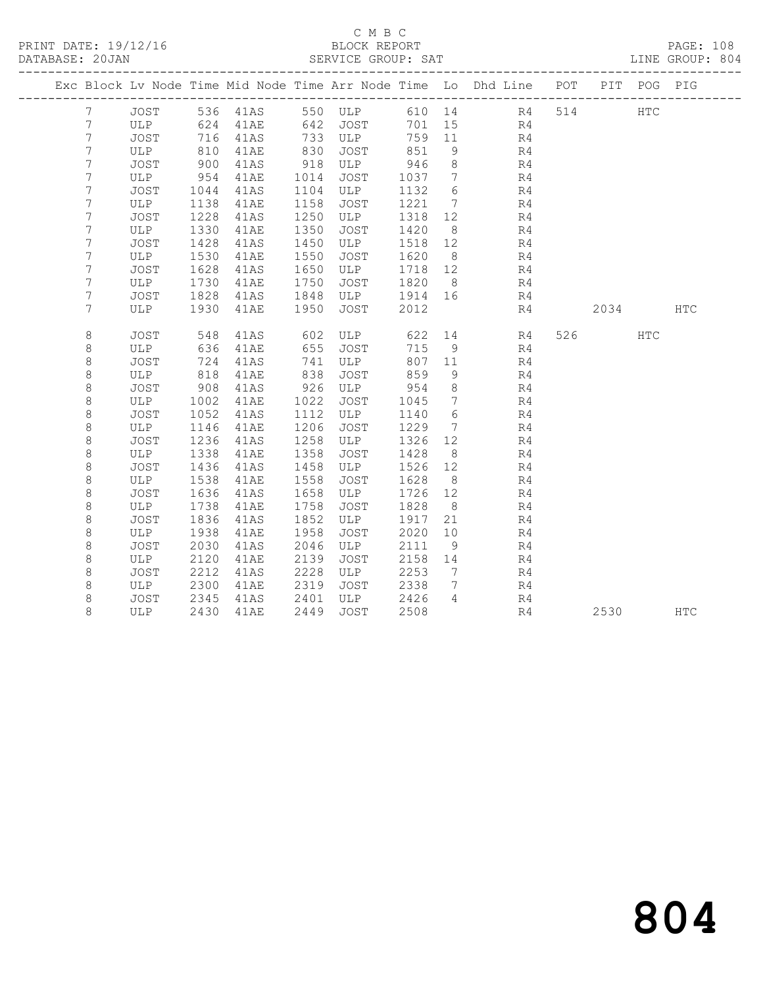#### C M B C<br>BLOCK REPORT SERVICE GROUP: SAT

|                 |             |      |      |      |                  |        |                 | Exc Block Lv Node Time Mid Node Time Arr Node Time Lo Dhd Line POT PIT POG PIG |      |            |            |
|-----------------|-------------|------|------|------|------------------|--------|-----------------|--------------------------------------------------------------------------------|------|------------|------------|
| $7\phantom{.0}$ | JOST        |      |      |      | 536 41AS 550 ULP |        |                 | 610 14 R4                                                                      | 514  | <b>HTC</b> |            |
| $7\phantom{.0}$ | ULP 624     |      | 41AE |      | 642 JOST         | 701 15 |                 | R <sub>4</sub>                                                                 |      |            |            |
| $7\phantom{.0}$ | JOST        | 716  | 41AS |      | 733 ULP          | 759    | 11              | R4                                                                             |      |            |            |
| $7\phantom{.0}$ | ULP         | 810  | 41AE | 830  | JOST             | 851    | 9               | R4                                                                             |      |            |            |
| $7\phantom{.0}$ | JOST        | 900  | 41AS | 918  | ULP              | 946    | 8               | R4                                                                             |      |            |            |
| 7               | ULP         | 954  | 41AE | 1014 | JOST             | 1037   | $\overline{7}$  | R4                                                                             |      |            |            |
| 7               | JOST        | 1044 | 41AS | 1104 | ULP              | 1132   | 6               | R4                                                                             |      |            |            |
| 7               | ULP         | 1138 | 41AE | 1158 | JOST             | 1221   | $\overline{7}$  | R4                                                                             |      |            |            |
| 7               | JOST        | 1228 | 41AS | 1250 | ULP              | 1318   | 12 <sup>°</sup> | R4                                                                             |      |            |            |
| 7               | ULP         | 1330 | 41AE | 1350 | <b>JOST</b>      | 1420   | 8               | R4                                                                             |      |            |            |
| 7               | JOST        | 1428 | 41AS | 1450 | ULP              | 1518   | 12              | R4                                                                             |      |            |            |
| 7               | ULP         | 1530 | 41AE | 1550 | JOST             | 1620   | 8 <sup>8</sup>  | R4                                                                             |      |            |            |
| $\overline{7}$  | JOST        | 1628 | 41AS | 1650 | ULP              | 1718   | 12              | R4                                                                             |      |            |            |
| 7               | ULP         | 1730 | 41AE | 1750 | JOST             | 1820   | 8 <sup>8</sup>  | R4                                                                             |      |            |            |
| 7               | JOST        | 1828 | 41AS | 1848 | ULP              | 1914   | 16              | R4                                                                             |      |            |            |
| 7               | ULP         | 1930 | 41AE | 1950 | JOST             | 2012   |                 | R4                                                                             | 2034 |            | <b>HTC</b> |
|                 |             |      |      |      |                  |        |                 |                                                                                |      |            |            |
| $\,8\,$         | JOST        | 548  | 41AS | 602  | ULP              | 622    |                 | 14 \,<br>R4                                                                    | 526  | HTC        |            |
| 8               | ULP         | 636  | 41AE | 655  | JOST             | 715    | 9               | R4                                                                             |      |            |            |
| 8               | JOST        | 724  | 41AS | 741  | ULP              | 807    | 11              | R4                                                                             |      |            |            |
| 8               | ULP         | 818  | 41AE | 838  | JOST             | 859    | 9               | R4                                                                             |      |            |            |
| 8               | JOST        | 908  | 41AS | 926  | ULP              | 954    | 8               | R4                                                                             |      |            |            |
| 8               | ULP         | 1002 | 41AE | 1022 | JOST             | 1045   | $\overline{7}$  | R4                                                                             |      |            |            |
| 8               | JOST        | 1052 | 41AS | 1112 | ULP              | 1140   | 6               | R4                                                                             |      |            |            |
| 8               | ULP         | 1146 | 41AE | 1206 | JOST             | 1229   | $7\phantom{.0}$ | R4                                                                             |      |            |            |
| 8               | JOST        | 1236 | 41AS | 1258 | ULP              | 1326   | 12              | R4                                                                             |      |            |            |
| 8               | ULP         | 1338 | 41AE | 1358 | JOST             | 1428   | 8               | R4                                                                             |      |            |            |
| 8               | <b>JOST</b> | 1436 | 41AS | 1458 | ULP              | 1526   | 12              | R4                                                                             |      |            |            |
| $\,8\,$         | ULP         | 1538 | 41AE | 1558 | JOST             | 1628   | 8 <sup>8</sup>  | R4                                                                             |      |            |            |
| $\,8\,$         | JOST        | 1636 | 41AS | 1658 | ULP              | 1726   | 12              | R4                                                                             |      |            |            |
| 8               | ULP         | 1738 | 41AE | 1758 | JOST             | 1828   | 8 <sup>8</sup>  | R4                                                                             |      |            |            |
| 8               | JOST        | 1836 | 41AS | 1852 | ULP              | 1917   | 21              | R4                                                                             |      |            |            |
| 8               | ULP         | 1938 | 41AE | 1958 | JOST             | 2020   | 10 <sup>°</sup> | R4                                                                             |      |            |            |
| 8               | <b>JOST</b> | 2030 | 41AS | 2046 | ULP              | 2111   | 9               | R <sub>4</sub>                                                                 |      |            |            |
| 8               | ULP         | 2120 | 41AE | 2139 | JOST             | 2158   | 14              | R4                                                                             |      |            |            |
| 8               | JOST        | 2212 | 41AS | 2228 | ULP              | 2253   | 7               | R4                                                                             |      |            |            |
| 8               | ULP         | 2300 | 41AE | 2319 | JOST             | 2338   | $7^{\circ}$     | R4                                                                             |      |            |            |
| 8               | JOST        | 2345 | 41AS | 2401 | ULP              | 2426   | $\overline{4}$  | R4                                                                             |      |            |            |
| 8               | ULP         | 2430 | 41AE | 2449 | JOST             | 2508   |                 | R4                                                                             | 2530 |            | HTC        |

# 804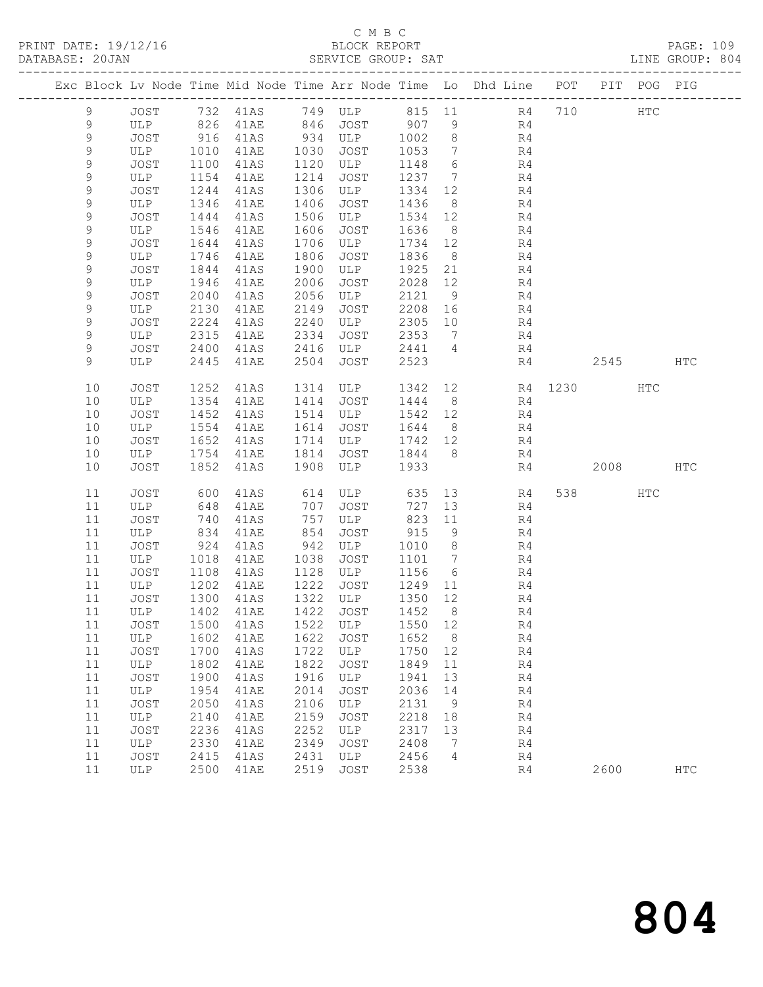# C M B C<br>BLOCK REPORT

PRINT DATE: 19/12/16 BLOCK REPORT PAGE: 109 ------------------------------------------------------------------------------------------------- Exc Block Lv Node Time Mid Node Time Arr Node Time Lo Dhd Line POT PIT POG PIG

LINE GROUP: 804

| 9           |      |            |      |              |                     |               |                 | JOST 732 41AS 749 ULP 815 11 R4       |    | 710      | HTC |            |
|-------------|------|------------|------|--------------|---------------------|---------------|-----------------|---------------------------------------|----|----------|-----|------------|
| 9           | ULP  | 826<br>916 | 41AE | 846          |                     |               |                 | R4                                    |    |          |     |            |
| $\mathsf 9$ | JOST |            | 41AS |              |                     |               |                 | R4                                    |    |          |     |            |
| 9           | ULP  | 1010       | 41AE | 1030         | JOST                | 1053          | $7\overline{ }$ | R4                                    |    |          |     |            |
| 9           | JOST | 1100       | 41AS | 1120         | ULP                 | 1148          | $6\overline{6}$ | R4                                    |    |          |     |            |
| $\mathsf 9$ | ULP  | 1154       | 41AE | 1214         | JOST                | 1237 7        |                 | R4                                    |    |          |     |            |
| $\mathsf 9$ | JOST | 1244       | 41AS | 1306         | ULP                 | 1334 12       |                 | R <sub>4</sub>                        |    |          |     |            |
| 9           | ULP  | 1346       | 41AE | 1406         | JOST                | 1436          | 8 <sup>8</sup>  | R4                                    |    |          |     |            |
| $\mathsf 9$ | JOST | 1444       | 41AS | 1506         | ULP                 | 1534 12       |                 | R <sub>4</sub>                        |    |          |     |            |
| $\mathsf 9$ | ULP  | 1546       | 41AE | 1606         | JOST                | 1636          | 8 <sup>8</sup>  | R4                                    |    |          |     |            |
| 9           | JOST | 1644       | 41AS | 1706         | ULP                 | 1734 12       |                 | R <sub>4</sub>                        |    |          |     |            |
| $\mathsf 9$ | ULP  | 1746       | 41AE | 1806         | JOST                | 1836          | 8 <sup>8</sup>  | R4                                    |    |          |     |            |
| 9           | JOST | 1844       | 41AS | 1900         | ULP                 | 1925 21       |                 | R <sub>4</sub>                        |    |          |     |            |
| $\mathsf 9$ | ULP  | 1946       | 41AE | 2006         | JOST                | 2028          | 12              | R4                                    |    |          |     |            |
| 9           | JOST | 2040       | 41AS | 2056         | ULP                 | 2121          | 9               | R4                                    |    |          |     |            |
| 9           | ULP  | 2130       | 41AE | 2149         | JOST                | 2208          | 16              | R <sub>4</sub>                        |    |          |     |            |
| 9           | JOST | 2224       | 41AS | 2240         | ULP                 | 2305          | 10              | R4                                    |    |          |     |            |
| 9           | ULP  | 2315       | 41AE | 2334         | JOST                | 2353          | $\overline{7}$  | R4                                    |    |          |     |            |
| 9           | JOST | 2400       | 41AS | 2416         |                     | 2441 4        |                 | R4                                    |    |          |     |            |
| $\mathsf 9$ | ULP  | 2445       | 41AE | 2504         | ULP<br>JOST<br>JOST | 2523          |                 |                                       | R4 | 2545 HTC |     |            |
|             |      |            |      |              |                     |               |                 |                                       |    |          |     |            |
| 10          | JOST | 1252       | 41AS |              | 1314 ULP            |               |                 | 1342 12 R4 1230 HTC                   |    |          |     |            |
| 10          | ULP  | 1354       | 41AE | 1414         | JOST                | 1444 8        |                 | R4                                    |    |          |     |            |
| 10          | JOST | 1452       | 41AS |              | 1514 ULP            | 1542 12       |                 | R <sub>4</sub>                        |    |          |     |            |
| 10          | ULP  | 1554       | 41AE | 1614         | JOST                | 1644          | 8 <sup>8</sup>  | R4                                    |    |          |     |            |
| 10          | JOST | 1652       | 41AS | 1714         | ULP                 | 1742 12       |                 | R4                                    |    |          |     |            |
| 10          | ULP  | 1754       | 41AE | 1814         | JOST                | 1844 8        |                 | R4                                    |    |          |     |            |
| 10          | JOST | 1852       | 41AS | 1908         | ULP                 | 1933          |                 | R4                                    |    | 2008 HTC |     |            |
|             |      |            |      |              |                     |               |                 |                                       |    |          |     |            |
| 11          | JOST | 600        | 41AS |              |                     |               |                 | 614 ULP 635 13 R4                     |    | 538 HTC  |     |            |
| 11          | ULP  | 648        | 41AE | 707          | JOST                | 727           | 13              | R4                                    |    |          |     |            |
| 11          | JOST | 740        | 41AS | 757          | ULP                 | 823 11<br>915 |                 | R4<br>R4                              |    |          |     |            |
| 11          | ULP  | 834        | 41AE | 854          | JOST                |               | 9               |                                       |    |          |     |            |
| 11          | JOST | 924        | 41AS | 942          | ULP                 | 1010          | 8 <sup>8</sup>  | R4                                    |    |          |     |            |
| 11          | ULP  | 1018       | 41AE | 1038         | JOST                | 1101 7        |                 | R4                                    |    |          |     |            |
| 11          | JOST | 1108       | 41AS | 1128         | ULP                 | 1156          | $6\overline{6}$ | R4                                    |    |          |     |            |
| 11          | ULP  | 1202       | 41AE | 1222         | JOST                | 1249          | 11              | R4                                    |    |          |     |            |
| 11          | JOST | 1300       | 41AS | 1322         | ULP                 | 1350 12       |                 | R4                                    |    |          |     |            |
| 11          | ULP  | 1402       | 41AE | 1422<br>1522 | JOST                | 1452          | 8 <sup>8</sup>  | R4                                    |    |          |     |            |
| 11          | JOST | 1500       | 41AS |              | ULP                 | 1550 12       |                 | R4<br>R4                              |    |          |     |            |
| 11          | ULP  | 1602       | 41AE | 1622         | JOST                | 1652          | 8 <sup>8</sup>  |                                       |    |          |     |            |
|             |      |            |      |              |                     |               |                 | 11 JOST 1700 41AS 1722 ULP 1750 12 R4 |    |          |     |            |
| 11          | ULP  | 1802       | 41AE | 1822         | JOST                | 1849          | 11              | R4                                    |    |          |     |            |
| 11          | JOST | 1900       | 41AS | 1916         | ULP                 | 1941          | 13              | R4                                    |    |          |     |            |
| 11          | ULP  | 1954       | 41AE | 2014         | JOST                | 2036          | 14              | R4                                    |    |          |     |            |
| 11          | JOST | 2050       | 41AS | 2106         | ULP                 | 2131          | - 9             | R4                                    |    |          |     |            |
| 11          | ULP  | 2140       | 41AE | 2159         | JOST                | 2218          | 18              | R4                                    |    |          |     |            |
| 11          | JOST | 2236       | 41AS | 2252         | ULP                 | 2317          | 13              | R4                                    |    |          |     |            |
| 11          | ULP  | 2330       | 41AE | 2349         | JOST                | 2408          | $\overline{7}$  | R4                                    |    |          |     |            |
| 11          | JOST | 2415       | 41AS | 2431         | ULP                 | 2456          | 4               | R4                                    |    |          |     |            |
| 11          | ULP  | 2500       | 41AE | 2519         | JOST                | 2538          |                 | R4                                    |    | 2600     |     | <b>HTC</b> |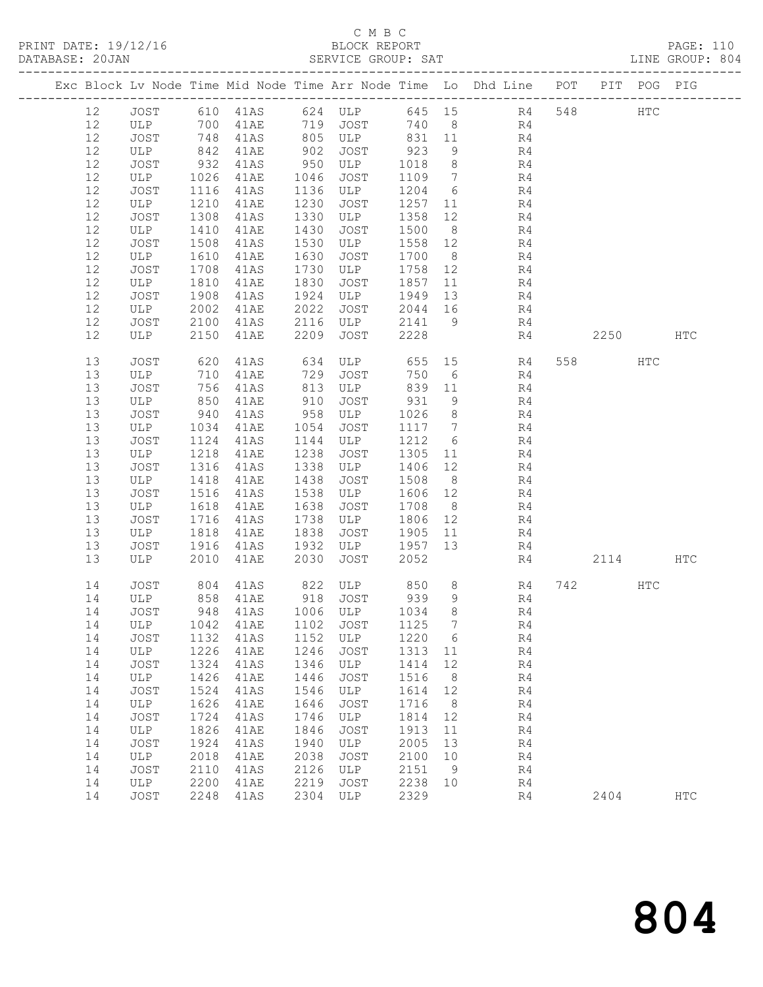# C M B C<br>BLOCK REPORT

| DATABASE: 20JAN | ----------------------        |                                                         |      |      | SERVICE GROUP: SAT                    |         |                |                                                                                |    |          |     | LINE GROUP: 804 |  |
|-----------------|-------------------------------|---------------------------------------------------------|------|------|---------------------------------------|---------|----------------|--------------------------------------------------------------------------------|----|----------|-----|-----------------|--|
|                 |                               |                                                         |      |      |                                       |         |                | Exc Block Lv Node Time Mid Node Time Arr Node Time Lo Dhd Line POT PIT POG PIG |    |          |     |                 |  |
| 12              |                               |                                                         |      |      |                                       |         |                | JOST 610 41AS 624 ULP 645 15 R4 548 HTC                                        |    |          |     |                 |  |
| 12              | ULP 700                       |                                                         |      |      |                                       |         |                | 41AE 719 JOST 740 8 R4                                                         |    |          |     |                 |  |
| 12              | JOST                          | 748                                                     |      |      |                                       |         |                | 41AS 805 ULP 831 11 R4                                                         |    |          |     |                 |  |
| 12              | ULP                           | 842                                                     | 41AE |      | 902 JOST                              | 923     | 9              | R4                                                                             |    |          |     |                 |  |
| 12              | JOST                          | 932                                                     | 41AS |      | $950$ ULP                             | 1018    | 8 <sup>8</sup> | R4                                                                             |    |          |     |                 |  |
| 12              | ULP                           | 1026                                                    | 41AE | 1046 | JOST                                  | 1109 7  |                | R <sub>4</sub>                                                                 |    |          |     |                 |  |
| 12              | JOST                          | 1116                                                    | 41AS |      | 1136 ULP                              | 1204 6  |                | R4                                                                             |    |          |     |                 |  |
| 12              | ULP                           | 1210                                                    | 41AE | 1230 | JOST                                  | 1257 11 |                | R4                                                                             |    |          |     |                 |  |
| 12              | JOST                          | 1308                                                    | 41AS | 1330 | ULP                                   | 1358 12 |                | R4                                                                             |    |          |     |                 |  |
| 12              | ULP                           | 1410                                                    | 41AE | 1430 | JOST                                  | 1500    | 8 <sup>8</sup> | R4                                                                             |    |          |     |                 |  |
| 12              | JOST                          | 1508                                                    | 41AS | 1530 | ULP                                   | 1558 12 |                | R4                                                                             |    |          |     |                 |  |
| 12              | ULP                           | 1610                                                    | 41AE | 1630 | JOST                                  | 1700 8  |                | R <sub>4</sub>                                                                 |    |          |     |                 |  |
| 12              | JOST                          | 1708                                                    | 41AS | 1730 | ULP                                   | 1758 12 |                | R4                                                                             |    |          |     |                 |  |
| 12              | ULP                           | 1810                                                    | 41AE | 1830 | JOST                                  | 1857    | 11             | R4                                                                             |    |          |     |                 |  |
| 12              | JOST                          | 1908                                                    | 41AS | 1924 | ULP                                   | 1949    | 13             | R4                                                                             |    |          |     |                 |  |
| 12              | ULP                           | 2002                                                    | 41AE | 2022 | JOST                                  | 2044 16 |                | R4                                                                             |    |          |     |                 |  |
| 12              | JOST                          | 2100                                                    | 41AS |      | 2116 ULP                              | 2141 9  |                | R4                                                                             |    |          |     |                 |  |
| 12              | ULP                           | 2150                                                    | 41AE | 2209 | JOST                                  | 2228    |                | R4                                                                             |    | 2250 HTC |     |                 |  |
| 13              | JOST                          | 620                                                     | 41AS |      |                                       |         |                | $634$ ULP $655$ 15 R4                                                          |    | 558 30   | HTC |                 |  |
| 13              | ULP                           | 710                                                     | 41AE | 729  | JOST                                  | 750     | 6              | R4                                                                             |    |          |     |                 |  |
| 13              | JOST                          | 756                                                     | 41AS |      | 813 ULP                               | 839 11  |                | R4                                                                             |    |          |     |                 |  |
| 13              | ULP                           | 850                                                     | 41AE | 910  | JOST                                  | 931     | 9              | R4                                                                             |    |          |     |                 |  |
| 13              | JOST                          | $\begin{array}{c}\n 940 \\  \hline\n 102\n \end{array}$ | 41AS | 958  | ULP                                   | 1026    | 8 <sup>8</sup> | R4                                                                             |    |          |     |                 |  |
| 13              | ULP                           | 1034                                                    | 41AE | 1054 | JOST                                  | 1117 7  |                | R4                                                                             |    |          |     |                 |  |
| 13              | JOST                          | 1124                                                    | 41AS | 1144 | ULP                                   | 1212 6  |                | R <sub>4</sub>                                                                 |    |          |     |                 |  |
| 13              | ULP                           | 1218                                                    | 41AE | 1238 | JOST                                  | 1305 11 |                | R4                                                                             |    |          |     |                 |  |
| 13              | JOST                          | 1316                                                    | 41AS | 1338 | ULP                                   | 1406    | 12             | R4                                                                             |    |          |     |                 |  |
| 13              | ULP                           | 1418                                                    | 41AE | 1438 | JOST                                  | 1508 8  |                | R4                                                                             |    |          |     |                 |  |
| 13              | JOST                          | 1516                                                    | 41AS | 1538 | ULP                                   | 1606 12 |                | R4                                                                             |    |          |     |                 |  |
| 13              | ULP                           | 1618                                                    | 41AE | 1638 | JOST                                  | 1708    | 8 <sup>8</sup> | R4                                                                             |    |          |     |                 |  |
| 13              | JOST                          | 1716                                                    | 41AS | 1738 | ULP                                   | 1806    | 12             | R4                                                                             |    |          |     |                 |  |
| 13              | ULP                           | 1818                                                    | 41AE | 1838 | JOST                                  | 1905 11 |                | R <sub>4</sub>                                                                 |    |          |     |                 |  |
| 13              | JOST                          | 1916                                                    | 41AS | 1932 | ULP                                   | 1957    | 13             | R4                                                                             |    |          |     |                 |  |
| 13              | ULP                           | 2010                                                    | 41AE | 2030 | JOST                                  | 2052    |                |                                                                                | R4 | 2114 HTC |     |                 |  |
| 14              | JOST 804 41AS<br>ULP 858 41AE |                                                         |      |      | 41AS 822 ULP 850<br>41AE 918 JOST 939 |         |                | $\begin{array}{ccc} 8 & & \mathbb{R}4 \\ 9 & & \mathbb{R}4 \end{array}$        |    | 742      | HTC |                 |  |
| 14              |                               |                                                         |      |      |                                       |         |                |                                                                                |    |          |     |                 |  |
|                 |                               |                                                         |      |      |                                       |         |                | 14 JOST 948 41AS 1006 ULP 1034 8 R4                                            |    |          |     |                 |  |
| 14              | ULP                           | 1042                                                    | 41AE | 1102 | JOST                                  | 1125 7  |                | R4                                                                             |    |          |     |                 |  |
| 14              | JOST                          | 1132                                                    | 41AS | 1152 | ULP                                   | 1220 6  |                | R4                                                                             |    |          |     |                 |  |
| 14              | ULP                           | 1226                                                    | 41AE | 1246 | JOST                                  | 1313 11 |                | R4                                                                             |    |          |     |                 |  |
| 14              | JOST                          | 1324                                                    | 41AS | 1346 | ULP                                   | 1414    | 12             | R4                                                                             |    |          |     |                 |  |
| 14              | ULP                           | 1426                                                    | 41AE | 1446 | JOST                                  | 1516    | 8 <sup>8</sup> | R4                                                                             |    |          |     |                 |  |
| 14              | JOST                          | 1524                                                    | 41AS | 1546 | ULP                                   | 1614 12 |                | R4                                                                             |    |          |     |                 |  |
| 14              | ULP                           | 1626                                                    | 41AE | 1646 | JOST                                  | 1716    | 8 <sup>8</sup> | R4                                                                             |    |          |     |                 |  |
| 14              | JOST                          | 1724                                                    | 41AS | 1746 | ULP                                   | 1814 12 |                | R4                                                                             |    |          |     |                 |  |
| 14              | ULP                           | 1826                                                    | 41AE | 1846 | JOST                                  | 1913    | 11             | R4                                                                             |    |          |     |                 |  |
| 14              | JOST                          | 1924                                                    | 41AS | 1940 | ULP                                   | 2005    | 13             | R4                                                                             |    |          |     |                 |  |
| 14              | ULP                           | 2018                                                    | 41AE | 2038 | JOST                                  | 2100 10 |                | R4                                                                             |    |          |     |                 |  |
| 14              | JOST                          | 2110                                                    | 41AS | 2126 | ULP                                   | 2151    | 9              | R4                                                                             |    |          |     |                 |  |
| 14              | ULP                           | 2200                                                    | 41AE | 2219 | JOST                                  | 2238 10 |                | R4                                                                             |    |          |     |                 |  |
| 14              | JOST                          | 2248                                                    | 41AS | 2304 | ULP                                   | 2329    |                | R4                                                                             |    | 2404     |     | <b>HTC</b>      |  |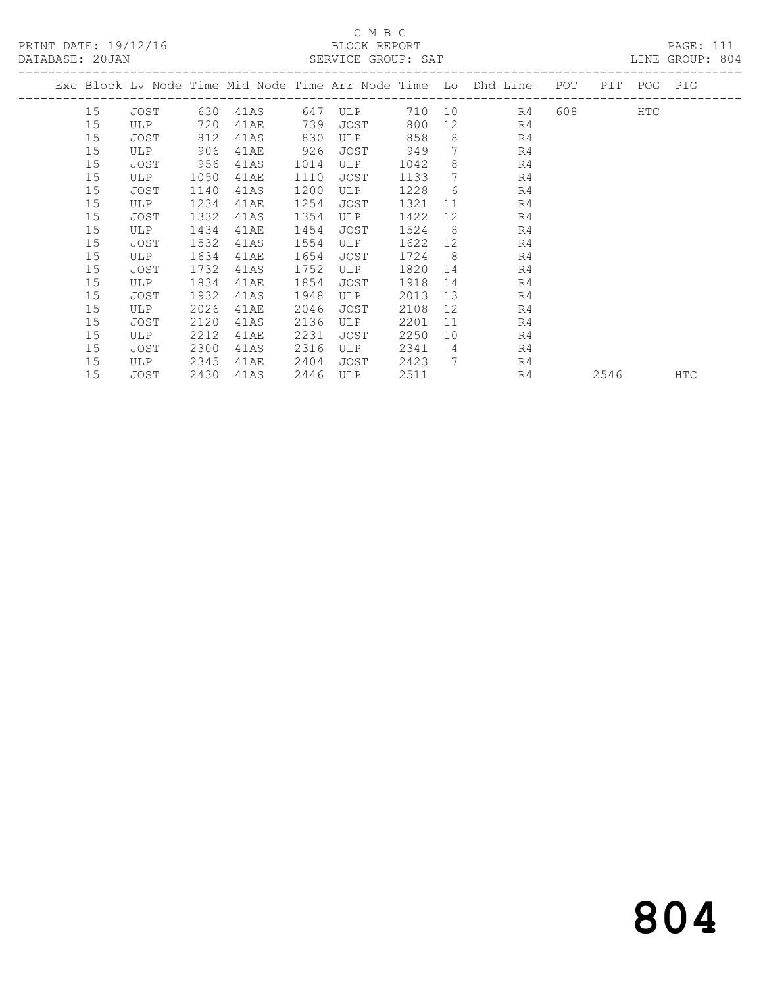### C M B C<br>BLOCK REPORT SERVICE GROUP: SAT

| DAIADAOL. ZUUAN |    |      |      |      |      | OLAVICL GAUUF, OAI |      |                 |                                                                    |           |             | DINE GROUF, 004 |
|-----------------|----|------|------|------|------|--------------------|------|-----------------|--------------------------------------------------------------------|-----------|-------------|-----------------|
|                 |    |      |      |      |      |                    |      |                 | Exc Block Lv Node Time Mid Node Time Arr Node Time Lo Dhd Line POT |           | PIT POG PIG |                 |
|                 | 15 | JOST | 630  | 41AS | 647  | ULP                |      |                 | 710 10<br>R4                                                       | 608 — 100 | <b>HTC</b>  |                 |
|                 | 15 | ULP  | 720  | 41AE | 739  | JOST               | 800  | 12 <sup>°</sup> | R4                                                                 |           |             |                 |
|                 | 15 | JOST | 812  | 41AS | 830  | ULP                | 858  | 8               | R4                                                                 |           |             |                 |
|                 | 15 | ULP  | 906  | 41AE | 926  | JOST               | 949  | $7\overline{ }$ | R <sub>4</sub>                                                     |           |             |                 |
|                 | 15 | JOST | 956  | 41AS | 1014 | ULP                | 1042 | 8               | R <sub>4</sub>                                                     |           |             |                 |
|                 | 15 | ULP  | 1050 | 41AE | 1110 | JOST               | 1133 | 7               | R <sub>4</sub>                                                     |           |             |                 |
|                 | 15 | JOST | 1140 | 41AS | 1200 | ULP                | 1228 | 6               | R <sub>4</sub>                                                     |           |             |                 |
|                 | 15 | ULP  | 1234 | 41AE | 1254 | JOST               | 1321 | 11              | R <sub>4</sub>                                                     |           |             |                 |
|                 | 15 | JOST | 1332 | 41AS | 1354 | ULP                | 1422 | 12              | R <sub>4</sub>                                                     |           |             |                 |
|                 | 15 | ULP  | 1434 | 41AE | 1454 | JOST               | 1524 | 8               | R4                                                                 |           |             |                 |
|                 | 15 | JOST | 1532 | 41AS | 1554 | ULP                | 1622 | 12              | R <sub>4</sub>                                                     |           |             |                 |
|                 | 15 | ULP  | 1634 | 41AE | 1654 | JOST               | 1724 | 8               | R4                                                                 |           |             |                 |
|                 | 15 | JOST | 1732 | 41AS | 1752 | ULP                | 1820 | 14              | R <sub>4</sub>                                                     |           |             |                 |
|                 | 15 | ULP  | 1834 | 41AE | 1854 | JOST               | 1918 | 14              | R <sub>4</sub>                                                     |           |             |                 |
|                 | 15 | JOST | 1932 | 41AS | 1948 | ULP                | 2013 | 13              | R <sub>4</sub>                                                     |           |             |                 |
|                 | 15 | ULP  | 2026 | 41AE | 2046 | JOST               | 2108 | 12              | R <sub>4</sub>                                                     |           |             |                 |
|                 | 15 | JOST | 2120 | 41AS | 2136 | ULP                | 2201 | 11              | R <sub>4</sub>                                                     |           |             |                 |
|                 | 15 | ULP  | 2212 | 41AE | 2231 | JOST               | 2250 | 10              | R <sub>4</sub>                                                     |           |             |                 |
|                 | 15 | JOST | 2300 | 41AS | 2316 | ULP                | 2341 | $\overline{4}$  | R4                                                                 |           |             |                 |
|                 | 15 | ULP  | 2345 | 41AE | 2404 | JOST               | 2423 | $7\overline{ }$ | R4                                                                 |           |             |                 |
|                 | 15 | JOST | 2430 | 41AS | 2446 | ULP                | 2511 |                 | R4                                                                 | 2546      |             | <b>HTC</b>      |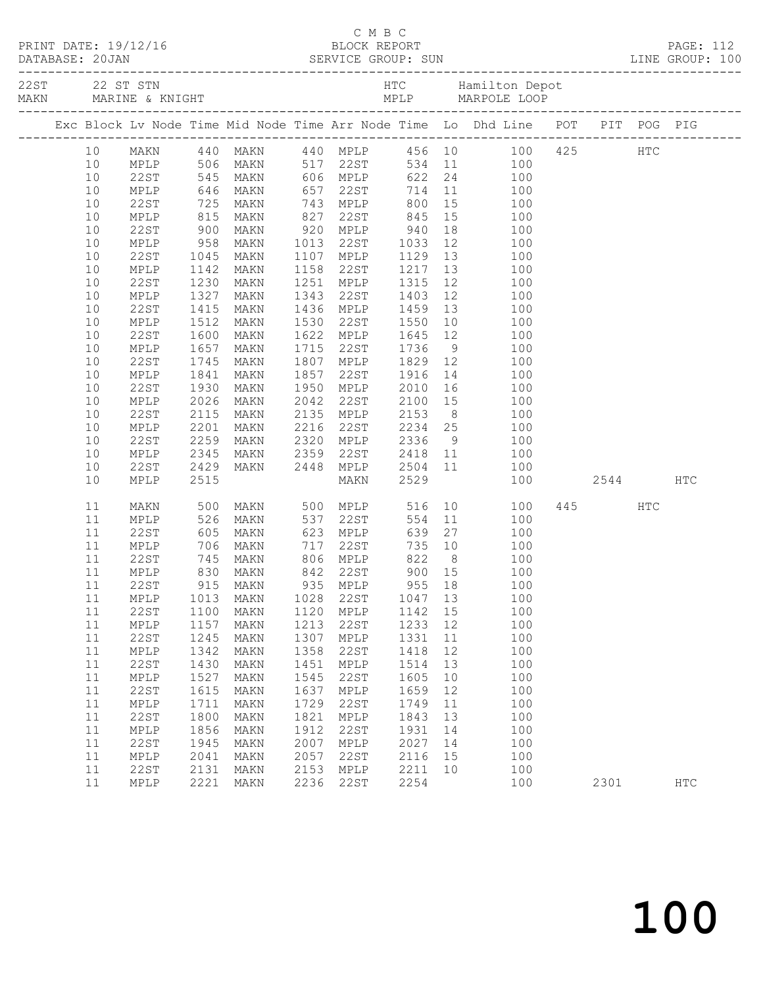|                 |              |                           |                                                     |              |                                           |              |          | C M B C<br>PRINT DATE: 19/12/16 BLOCK REPORT PAGE: 112<br>DATABASE: 20JAN SERVICE GROUP: SUN LINE GROUP: 100 |      |      |              |
|-----------------|--------------|---------------------------|-----------------------------------------------------|--------------|-------------------------------------------|--------------|----------|--------------------------------------------------------------------------------------------------------------|------|------|--------------|
|                 |              |                           |                                                     |              |                                           |              |          |                                                                                                              |      |      |              |
|                 |              |                           |                                                     |              |                                           |              |          | Exc Block Lv Node Time Mid Node Time Arr Node Time Lo Dhd Line POT PIT POG PIG                               |      |      |              |
| 10 <sub>1</sub> |              |                           | MAKN 440 MAKN                                       |              |                                           |              |          | 440 MPLP 456 10 100 425 HTC                                                                                  |      |      |              |
| 10              |              |                           | MPLP 506 MAKN                                       |              | 517 22ST                                  |              |          | $534$ 11 100                                                                                                 |      |      |              |
| 10              | 22ST         |                           | 545 MAKN                                            |              | 606 MPLP                                  |              |          | 622 24<br>100                                                                                                |      |      |              |
| 10              | MPLP         |                           | 646 MAKN<br>725 MAKN<br>815 MAKN                    |              |                                           |              |          | 657 22ST 714 11 100<br>743 MPLP 800 15 100<br>827 22ST 845 15 100                                            |      |      |              |
| 10              | 22ST         |                           |                                                     |              |                                           |              |          |                                                                                                              |      |      |              |
| 10              | MPLP         |                           |                                                     |              |                                           |              |          |                                                                                                              |      |      |              |
| 10              | 22ST         | 900                       | MAKN                                                |              |                                           |              |          | 920 MPLP 940 18 100                                                                                          |      |      |              |
| 10              | MPLP         | $958$<br>$1045$<br>$1142$ | MAKN                                                |              | 1013 22ST 1033                            |              |          | 12 100                                                                                                       |      |      |              |
| 10              | 22ST         |                           | MAKN                                                |              | 1107 MPLP                                 |              |          | 100                                                                                                          |      |      |              |
| 10              | MPLP         | 1142                      | MAKN                                                | 1158         | 22ST                                      |              |          | 100                                                                                                          |      |      |              |
| 10              | 22ST         | 1230                      | MAKN                                                | 1251         | MPLP                                      | 1315         |          | 12 and $\overline{a}$<br>100                                                                                 |      |      |              |
| 10              | MPLP         | 1327                      | MAKN                                                | 1343         | 22ST                                      | 1403         |          | 12<br>100                                                                                                    |      |      |              |
| 10              | 22ST         | 1415                      | MAKN                                                |              | 1436 MPLP 1459 13<br>1530 22ST 1550 10    |              |          | 100                                                                                                          |      |      |              |
| 10              | MPLP         | 1512                      | MAKN                                                |              |                                           | 1550         |          | 100                                                                                                          |      |      |              |
| 10              | 22ST         | 1600                      | MAKN                                                | 1622         | MPLP 1645 12                              |              |          | 100                                                                                                          |      |      |              |
| 10              | MPLP         | 1657                      | MAKN                                                | 1715         | 22ST                                      | 1736         |          | $9 \left( \frac{1}{2} \right)$<br>100                                                                        |      |      |              |
| 10              | 22ST         | 1745                      | MAKN                                                |              | 1807 MPLP<br>MPLP 1829 12<br>22ST 1916 14 |              |          | 100                                                                                                          |      |      |              |
| 10              | MPLP         | 1841                      | MAKN                                                | 1857         | 1950 MPLP                                 |              |          | 100<br>2010 16 100                                                                                           |      |      |              |
| 10<br>10        | 22ST         | 1930<br>2026              | MAKN                                                | 2042         | 22ST                                      | 2100 15      |          |                                                                                                              |      |      |              |
| 10              | MPLP<br>22ST | 2115                      | MAKN<br>MAKN                                        |              |                                           |              |          | 100<br>100                                                                                                   |      |      |              |
| 10              | MPLP         | 2201                      | MAKN                                                |              | 2135 MPLP 2153 8<br>2216 22ST 2234 25     |              |          | 100                                                                                                          |      |      |              |
| 10              | 22ST         | 2259                      | MAKN                                                | 2320         | MPLP                                      |              |          | 2336 9 100                                                                                                   |      |      |              |
| 10              | MPLP         | 2345                      | MAKN                                                | 2359         | 22ST                                      |              |          | 2418 11<br>100                                                                                               |      |      |              |
| 10              | 22ST         | 2429                      | MAKN                                                | 2448         | MPLP                                      | 2504 11      |          | 100                                                                                                          |      |      |              |
| 10              | MPLP         | 2515                      |                                                     |              | MAKN                                      | 2529         |          | 100                                                                                                          |      | 2544 | HTC          |
| 11              | MAKN         | 500                       | MAKN                                                |              | 500 MPLP                                  | 516          |          | 10 0<br>100                                                                                                  | 445  | HTC  |              |
| 11              | MPLP         |                           | MAKN                                                |              |                                           | 554          |          | 11<br>100                                                                                                    |      |      |              |
| 11              | 22ST         | 526<br>605<br>706         | MAKN                                                |              |                                           | 639          | 27       | 100                                                                                                          |      |      |              |
| 11              | MPLP         |                           | MAKN                                                |              | $717$ 22ST                                |              |          | 735 10<br>100                                                                                                |      |      |              |
| 11              | 22ST         |                           | 145 MAKN 806 MPLP 822 8<br>830 MAKN 842 22ST 900 15 |              |                                           |              |          | 100                                                                                                          |      |      |              |
| 11              | MPLP         |                           |                                                     |              |                                           |              |          | 100                                                                                                          |      |      |              |
|                 |              |                           | 11  22ST  915  MAKN  935  MPLP  955  18             |              |                                           |              |          | 100                                                                                                          |      |      |              |
| 11              | MPLP         | 1013                      | MAKN                                                | 1028         | 22ST                                      | 1047         | 13       | 100                                                                                                          |      |      |              |
| 11              | <b>22ST</b>  | 1100                      | MAKN                                                | 1120         | MPLP                                      | 1142         | 15       | 100                                                                                                          |      |      |              |
| 11              | MPLP         | 1157                      | MAKN                                                | 1213         | 22ST                                      | 1233         | 12       | 100                                                                                                          |      |      |              |
| 11              | 22ST         | 1245                      | MAKN                                                | 1307         | MPLP                                      | 1331         | 11       | 100                                                                                                          |      |      |              |
| 11              | MPLP         | 1342                      | MAKN                                                | 1358         | 22ST                                      | 1418         | 12       | 100                                                                                                          |      |      |              |
| 11              | <b>22ST</b>  | 1430                      | MAKN                                                | 1451         | MPLP                                      | 1514         | 13       | 100                                                                                                          |      |      |              |
| 11              | MPLP         | 1527                      | MAKN                                                | 1545         | 22ST                                      | 1605         | 10       | 100                                                                                                          |      |      |              |
| 11              | <b>22ST</b>  | 1615                      | MAKN                                                | 1637         | $\texttt{MPLP}$                           | 1659         | 12       | 100                                                                                                          |      |      |              |
| 11              | MPLP         | 1711                      | MAKN                                                | 1729         | 22ST                                      | 1749         | 11       | 100                                                                                                          |      |      |              |
| 11              | 22ST         | 1800                      | MAKN                                                | 1821         | MPLP                                      | 1843         | 13       | 100                                                                                                          |      |      |              |
| 11<br>11        | MPLP         | 1856                      | MAKN                                                | 1912<br>2007 | 22ST                                      | 1931         | 14       | 100<br>100                                                                                                   |      |      |              |
| 11              | 22ST<br>MPLP | 1945<br>2041              | MAKN<br>MAKN                                        | 2057         | MPLP<br>22ST                              | 2027<br>2116 | 14<br>15 | 100                                                                                                          |      |      |              |
| 11              | 22ST         | 2131                      | MAKN                                                | 2153         | MPLP                                      | 2211         | 10       | 100                                                                                                          |      |      |              |
| 11              | MPLP         | 2221                      | MAKN                                                | 2236         | 22ST                                      | 2254         |          | 100                                                                                                          | 2301 |      | $_{\rm HTC}$ |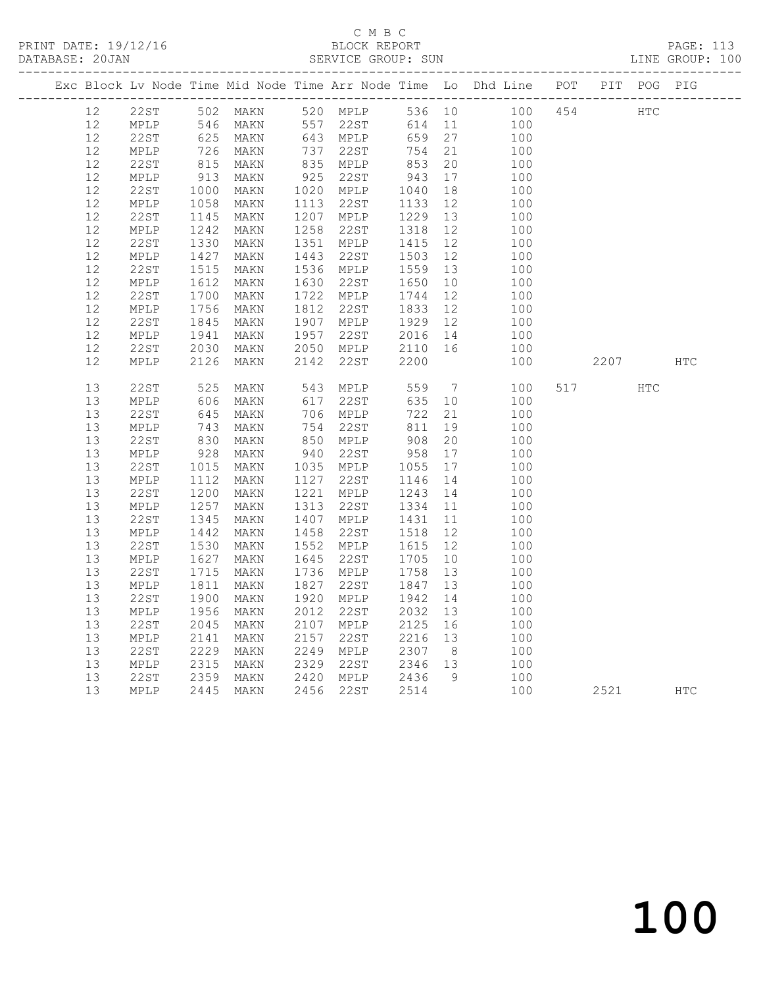# C M B C<br>BLOCK REPORT

| DATABASE: 20JAN |    |                 |      |      |      | SERVICE GROUP: SUN |      |                 |                                                                    |     |      |               | LINE GROUP: 100 |
|-----------------|----|-----------------|------|------|------|--------------------|------|-----------------|--------------------------------------------------------------------|-----|------|---------------|-----------------|
|                 |    |                 |      |      |      |                    |      |                 | Exc Block Lv Node Time Mid Node Time Arr Node Time Lo Dhd Line POT |     |      | PIT POG PIG   |                 |
|                 | 12 | 22ST            | 502  | MAKN | 520  | MPLP               | 536  | 10              | 100                                                                | 454 |      | $_{\rm{HTC}}$ |                 |
|                 | 12 | MPLP            | 546  | MAKN | 557  | 22ST               | 614  | 11              | 100                                                                |     |      |               |                 |
|                 | 12 | 22ST            | 625  | MAKN | 643  | MPLP               | 659  | 27              | 100                                                                |     |      |               |                 |
|                 | 12 | MPLP            | 726  | MAKN | 737  | 22ST               | 754  | 21              | 100                                                                |     |      |               |                 |
|                 | 12 | 22ST            | 815  | MAKN | 835  | MPLP               | 853  | 20              | 100                                                                |     |      |               |                 |
|                 | 12 | MPLP            | 913  | MAKN | 925  | 22ST               | 943  | 17              | 100                                                                |     |      |               |                 |
|                 | 12 | 22ST            | 1000 | MAKN | 1020 | MPLP               | 1040 | 18              | 100                                                                |     |      |               |                 |
|                 | 12 | MPLP            | 1058 | MAKN | 1113 | 22ST               | 1133 | 12              | 100                                                                |     |      |               |                 |
|                 | 12 | 22ST            | 1145 | MAKN | 1207 | MPLP               | 1229 | 13              | 100                                                                |     |      |               |                 |
|                 | 12 | MPLP            | 1242 | MAKN | 1258 | 22ST               | 1318 | 12              | 100                                                                |     |      |               |                 |
|                 | 12 | 22ST            | 1330 | MAKN | 1351 | MPLP               | 1415 | 12              | 100                                                                |     |      |               |                 |
|                 | 12 | MPLP            | 1427 | MAKN | 1443 | 22ST               | 1503 | 12              | 100                                                                |     |      |               |                 |
|                 | 12 | 22ST            | 1515 | MAKN | 1536 | MPLP               | 1559 | 13              | 100                                                                |     |      |               |                 |
|                 | 12 | MPLP            | 1612 | MAKN | 1630 | 22ST               | 1650 | 10              | 100                                                                |     |      |               |                 |
|                 | 12 | <b>22ST</b>     | 1700 | MAKN | 1722 | MPLP               | 1744 | 12              | 100                                                                |     |      |               |                 |
|                 | 12 | MPLP            | 1756 | MAKN | 1812 | 22ST               | 1833 | 12              | 100                                                                |     |      |               |                 |
|                 | 12 | 22ST            | 1845 | MAKN | 1907 | MPLP               | 1929 | 12              | 100                                                                |     |      |               |                 |
|                 | 12 | MPLP            | 1941 | MAKN | 1957 | 22ST               | 2016 | 14              | 100                                                                |     |      |               |                 |
|                 | 12 | 22ST            | 2030 | MAKN | 2050 | MPLP               | 2110 | 16              | 100                                                                |     |      |               |                 |
|                 | 12 | <b>MPLP</b>     | 2126 | MAKN | 2142 | 22ST               | 2200 |                 | 100                                                                |     | 2207 |               | <b>HTC</b>      |
|                 | 13 | 22ST            | 525  | MAKN | 543  | MPLP               | 559  | $7\phantom{.0}$ | 100                                                                | 517 |      | <b>HTC</b>    |                 |
|                 | 13 | MPLP            | 606  | MAKN | 617  | 22ST               | 635  | 10              | 100                                                                |     |      |               |                 |
|                 | 13 | 22ST            | 645  | MAKN | 706  | MPLP               | 722  | 21              | 100                                                                |     |      |               |                 |
|                 | 13 | MPLP            | 743  | MAKN | 754  | 22ST               | 811  | 19              | 100                                                                |     |      |               |                 |
|                 | 13 | 22ST            | 830  | MAKN | 850  | MPLP               | 908  | 20              | 100                                                                |     |      |               |                 |
|                 | 13 | MPLP            | 928  | MAKN | 940  | 22ST               | 958  | 17              | 100                                                                |     |      |               |                 |
|                 | 13 | 22ST            | 1015 | MAKN | 1035 | MPLP               | 1055 | 17              | 100                                                                |     |      |               |                 |
|                 | 13 | MPLP            | 1112 | MAKN | 1127 | 22ST               | 1146 | 14              | 100                                                                |     |      |               |                 |
|                 | 13 | 22ST            | 1200 | MAKN | 1221 | MPLP               | 1243 | 14              | 100                                                                |     |      |               |                 |
|                 | 13 | MPLP            | 1257 | MAKN | 1313 | 22ST               | 1334 | 11              | 100                                                                |     |      |               |                 |
|                 | 13 | 22ST            | 1345 | MAKN | 1407 | MPLP               | 1431 | 11              | 100                                                                |     |      |               |                 |
|                 | 13 | MPLP            | 1442 | MAKN | 1458 | 22ST               | 1518 | 12 <sup>°</sup> | 100                                                                |     |      |               |                 |
|                 | 13 | 22ST            | 1530 | MAKN | 1552 | MPLP               | 1615 | 12              | 100                                                                |     |      |               |                 |
|                 | 13 | MPLP            | 1627 | MAKN | 1645 | 22ST               | 1705 | 10              | 100                                                                |     |      |               |                 |
|                 | 13 | 22ST            | 1715 | MAKN | 1736 | MPLP               | 1758 | 13              | 100                                                                |     |      |               |                 |
|                 | 13 | MPLP            | 1811 | MAKN | 1827 | 22ST               | 1847 | 13              | 100                                                                |     |      |               |                 |
|                 | 13 | 22ST            | 1900 | MAKN | 1920 | MPLP               | 1942 | 14              | 100                                                                |     |      |               |                 |
|                 | 13 | $\texttt{MPLP}$ | 1956 | MAKN | 2012 | 22ST               | 2032 | 13              | 100                                                                |     |      |               |                 |
|                 | 13 | 22ST            | 2045 | MAKN | 2107 | MPLP               | 2125 | 16              | 100                                                                |     |      |               |                 |
|                 | 13 | MPLP            | 2141 | MAKN | 2157 | 22ST               | 2216 | 13              | 100                                                                |     |      |               |                 |
|                 | 13 | 22ST            | 2229 | MAKN | 2249 | MPLP               | 2307 | 8               | 100                                                                |     |      |               |                 |
|                 | 13 | MPLP            | 2315 | MAKN | 2329 | 22ST               | 2346 | 13              | 100                                                                |     |      |               |                 |
|                 | 13 | 22ST            | 2359 | MAKN | 2420 | MPLP               | 2436 | 9               | 100                                                                |     |      |               |                 |
|                 | 13 | MPLP            | 2445 | MAKN | 2456 | 22ST               | 2514 |                 | 100                                                                |     | 2521 |               | <b>HTC</b>      |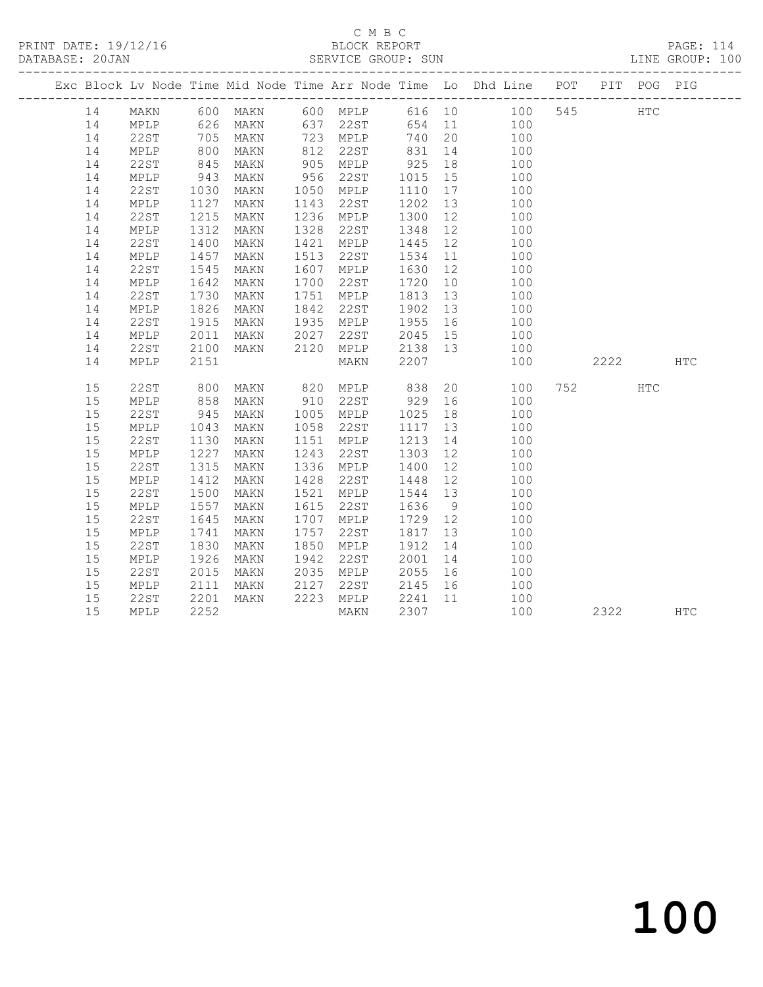### C M B C<br>BLOCK REPORT SERVICE GROUP: SUN

|    |                 |                  |                                  |      |           |         |    | Exc Block Lv Node Time Mid Node Time Arr Node Time Lo Dhd Line POT PIT POG PIG |     |         |            |            |
|----|-----------------|------------------|----------------------------------|------|-----------|---------|----|--------------------------------------------------------------------------------|-----|---------|------------|------------|
| 14 | MAKN            |                  |                                  |      |           |         |    | 600 MAKN 600 MPLP 616 10 100                                                   | 545 |         | <b>HTC</b> |            |
| 14 | MPLP            |                  | 626 MAKN<br>705 MAKN<br>800 MAKN |      |           |         |    | 637 22ST 654 11 100<br>723 MPLP 740 20 100                                     |     |         |            |            |
| 14 | 22ST            |                  |                                  |      |           |         |    |                                                                                |     |         |            |            |
| 14 | MPLP            |                  |                                  |      | 812 22ST  |         |    | $831 \quad 14 \quad 100$                                                       |     |         |            |            |
| 14 | 22ST            | 845              | MAKN                             |      | 905 MPLP  | 925     | 18 | 100                                                                            |     |         |            |            |
| 14 | MPLP            | 943<br>1030      | MAKN                             | 956  | 22ST      | 1015 15 |    | 100                                                                            |     |         |            |            |
| 14 | 22ST            |                  | MAKN                             |      | 1050 MPLP | 1110    | 17 | 100                                                                            |     |         |            |            |
| 14 | MPLP            | 1127             | MAKN                             | 1143 | 22ST      | 1202    | 13 | $\frac{1}{100}$                                                                |     |         |            |            |
| 14 | 22ST            | 1215             | MAKN                             | 1236 | MPLP      | 1300    | 12 | 100                                                                            |     |         |            |            |
| 14 | MPLP            | 1312             | MAKN                             | 1328 | 22ST      | 1348    | 12 | 100                                                                            |     |         |            |            |
| 14 | 22ST            | $1400$<br>$1457$ | MAKN                             | 1421 | MPLP      | 1445    | 12 | $\frac{100}{100}$                                                              |     |         |            |            |
| 14 | MPLP            |                  | MAKN                             | 1513 | 22ST      | 1534 11 |    | 100                                                                            |     |         |            |            |
| 14 | 22ST            | 1545             | MAKN                             | 1607 | MPLP      | 1630    | 12 | 100                                                                            |     |         |            |            |
| 14 | MPLP            | 1642             | MAKN                             | 1700 | 22ST      | 1720    |    | 10<br>100                                                                      |     |         |            |            |
| 14 | 22ST            | 1730             | MAKN                             | 1751 | MPLP      | 1813    | 13 | 100                                                                            |     |         |            |            |
| 14 | MPLP            | 1826             | MAKN                             | 1842 | 22ST      | 1902    | 13 | 100                                                                            |     |         |            |            |
| 14 | 22ST            | 1915             | MAKN                             |      | 1935 MPLP | 1955 16 |    | $\begin{array}{c} 100 \\ 100 \end{array}$                                      |     |         |            |            |
| 14 | MPLP            | 2011             | MAKN                             | 2027 | 22ST      | 2045 15 |    | 100                                                                            |     |         |            |            |
| 14 | 22ST            | 2100             | MAKN                             | 2120 | MPLP      | 2138 13 |    | 100                                                                            |     |         |            |            |
| 14 | MPLP            | 2151             |                                  |      | MAKN      | 2207    |    | 100                                                                            |     | 2222    |            | <b>HTC</b> |
| 15 | 22ST            | 800              | MAKN                             |      | 820 MPLP  | 838     |    | 20<br>100                                                                      |     | 752 HTC |            |            |
| 15 | MPLP            | 858              | MAKN                             |      | 910 22ST  | 929 16  |    | 100                                                                            |     |         |            |            |
| 15 | 22ST            | 945              | MAKN                             |      | 1005 MPLP | 1025    | 18 | 100                                                                            |     |         |            |            |
| 15 | MPLP            | 1043             | MAKN                             | 1058 | 22ST      | 1117 13 |    | 100                                                                            |     |         |            |            |
| 15 | 22ST            | 1130             | MAKN                             |      | 1151 MPLP | 1213    | 14 | 100                                                                            |     |         |            |            |
| 15 | MPLP            | 1227             | MAKN                             | 1243 | 22ST      | 1303    |    | 12<br>100                                                                      |     |         |            |            |
| 15 | 22ST            | 1315             | MAKN                             | 1336 | MPLP      | 1400    | 12 | 100                                                                            |     |         |            |            |
| 15 | MPLP            |                  | MAKN                             | 1428 | 22ST      | 1448    | 12 | 100                                                                            |     |         |            |            |
| 15 | 22ST            | $1412$<br>$1500$ | MAKN                             |      | 1521 MPLP | 1544 13 |    | 100                                                                            |     |         |            |            |
| 15 | MPLP            | 1557             | MAKN                             | 1615 | 22ST      | 1636    | 9  | 100                                                                            |     |         |            |            |
| 15 | 22ST            | 1645             | MAKN                             | 1707 | MPLP      | 1729 12 |    | 100                                                                            |     |         |            |            |
| 15 | MPLP            | 1741             | MAKN                             | 1757 | 22ST      | 1817    | 13 | 100                                                                            |     |         |            |            |
| 15 | <b>22ST</b>     | 1830             | MAKN                             | 1850 | MPLP      | 1912    | 14 | 100                                                                            |     |         |            |            |
| 15 | MPLP            | 1926             | MAKN                             | 1942 | 22ST      | 2001    |    | 14<br>100                                                                      |     |         |            |            |
| 15 | 22ST            | 2015             | MAKN                             | 2035 | MPLP      |         |    | 2055 16 100                                                                    |     |         |            |            |
| 15 | $\texttt{MPLP}$ | 2111             | MAKN                             | 2127 | 22ST      |         |    | 2145 16 100                                                                    |     |         |            |            |
| 15 | 22ST            | 2201             | MAKN                             |      | 2223 MPLP | 2241 11 |    | 100                                                                            |     |         |            |            |
| 15 | MPLP            | 2252             |                                  |      | MAKN      | 2307    |    | 100                                                                            |     | 2322    |            | HTC        |
|    |                 |                  |                                  |      |           |         |    |                                                                                |     |         |            |            |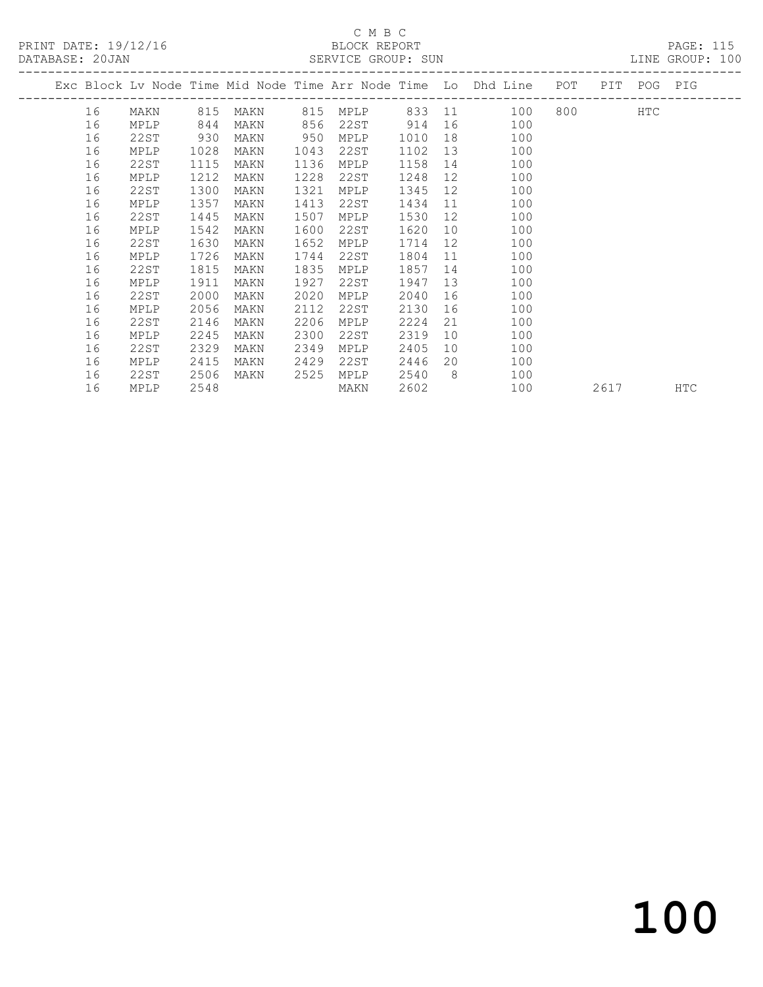PRINT DATE: 19/12/16 BLOCK REPORT<br>DATABASE: 20JAN SERVICE GROUP: SUN

# C M B C<br>BLOCK REPORT

PAGE: 115<br>LINE GROUP: 100

|    |      |      |      |      |          |      |                | Exc Block Lv Node Time Mid Node Time Arr Node Time Lo Dhd Line POT |           | PIT POG PIG |            |
|----|------|------|------|------|----------|------|----------------|--------------------------------------------------------------------|-----------|-------------|------------|
| 16 | MAKN | 815  | MAKN |      | 815 MPLP |      |                | 833 11<br>100                                                      | 800 - 100 | HTC         |            |
| 16 | MPLP | 844  | MAKN | 856  | 22ST     | 914  | 16             | 100                                                                |           |             |            |
| 16 | 22ST | 930  | MAKN | 950  | MPLP     | 1010 | 18             | 100                                                                |           |             |            |
| 16 | MPLP | 1028 | MAKN | 1043 | 22ST     | 1102 | 13             | 100                                                                |           |             |            |
| 16 | 22ST | 1115 | MAKN | 1136 | MPLP     | 1158 | 14             | 100                                                                |           |             |            |
| 16 | MPLP | 1212 | MAKN | 1228 | 22ST     | 1248 | 12             | 100                                                                |           |             |            |
| 16 | 22ST | 1300 | MAKN | 1321 | MPLP     | 1345 | 12             | 100                                                                |           |             |            |
| 16 | MPLP | 1357 | MAKN | 1413 | 22ST     | 1434 | 11             | 100                                                                |           |             |            |
| 16 | 22ST | 1445 | MAKN | 1507 | MPLP     | 1530 | 12             | 100                                                                |           |             |            |
| 16 | MPLP | 1542 | MAKN | 1600 | 22ST     | 1620 | 10             | 100                                                                |           |             |            |
| 16 | 22ST | 1630 | MAKN | 1652 | MPLP     | 1714 | 12             | 100                                                                |           |             |            |
| 16 | MPLP | 1726 | MAKN | 1744 | 22ST     | 1804 | 11             | 100                                                                |           |             |            |
| 16 | 22ST | 1815 | MAKN | 1835 | MPLP     | 1857 | 14             | 100                                                                |           |             |            |
| 16 | MPLP | 1911 | MAKN | 1927 | 22ST     | 1947 | 13             | 100                                                                |           |             |            |
| 16 | 22ST | 2000 | MAKN | 2020 | MPLP     | 2040 | 16             | 100                                                                |           |             |            |
| 16 | MPLP | 2056 | MAKN | 2112 | 22ST     | 2130 | 16             | 100                                                                |           |             |            |
| 16 | 22ST | 2146 | MAKN | 2206 | MPLP     | 2224 | 21             | 100                                                                |           |             |            |
| 16 | MPLP | 2245 | MAKN | 2300 | 22ST     | 2319 | 10             | 100                                                                |           |             |            |
| 16 | 22ST | 2329 | MAKN | 2349 | MPLP     | 2405 | 10             | 100                                                                |           |             |            |
| 16 | MPLP | 2415 | MAKN | 2429 | 22ST     | 2446 | 20             | 100                                                                |           |             |            |
| 16 | 22ST | 2506 | MAKN | 2525 | MPLP     | 2540 | 8 <sup>8</sup> | 100                                                                |           |             |            |
| 16 | MPLP | 2548 |      |      | MAKN     | 2602 |                | 100                                                                | 2617      |             | <b>HTC</b> |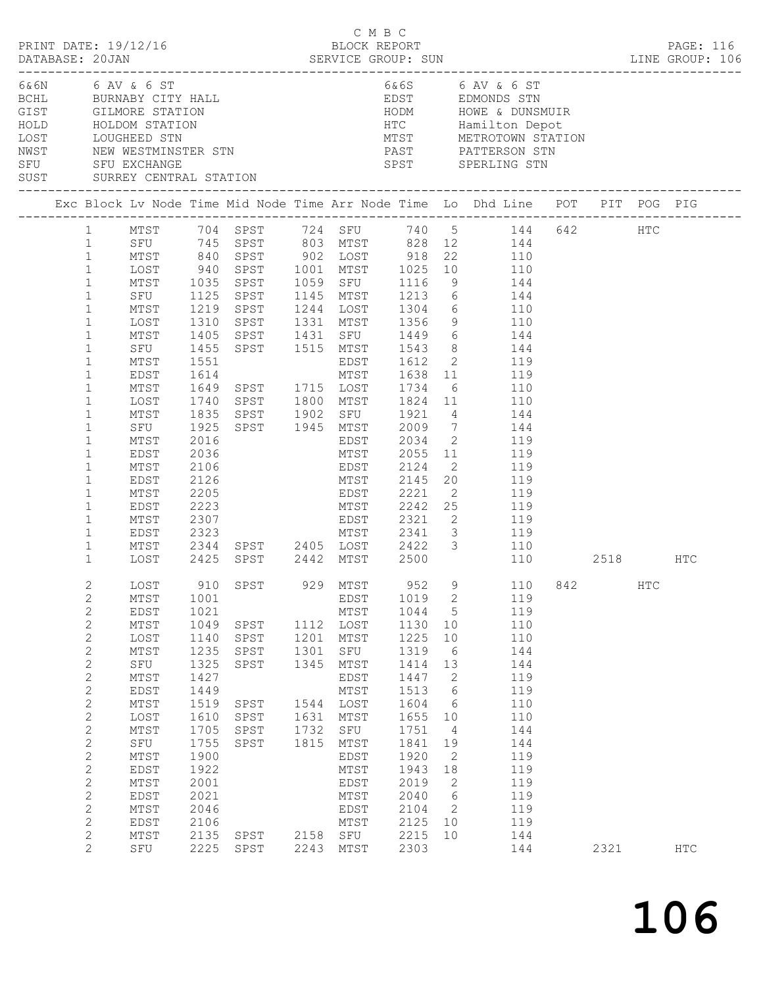|      |                                                                                                                                                                                                                                                                                                                                                                                                       | PRINT DATE: 19/12/16                                                                                                                                                                                       |                                                                                                                                                      |                                                                                             |                                              | C M B C<br>BLOCK REPORT                                                                                                                                                       |                                                                                                                                                              |                                                                                                                                                                                                | DATABASE: 20JAN SERVICE GROUP: SUN LINE GROUP: 106                                                                                                                                                                                                                                                                                                                                                                                                                                                                                                                                    |          |     | PAGE: 116  |  |
|------|-------------------------------------------------------------------------------------------------------------------------------------------------------------------------------------------------------------------------------------------------------------------------------------------------------------------------------------------------------------------------------------------------------|------------------------------------------------------------------------------------------------------------------------------------------------------------------------------------------------------------|------------------------------------------------------------------------------------------------------------------------------------------------------|---------------------------------------------------------------------------------------------|----------------------------------------------|-------------------------------------------------------------------------------------------------------------------------------------------------------------------------------|--------------------------------------------------------------------------------------------------------------------------------------------------------------|------------------------------------------------------------------------------------------------------------------------------------------------------------------------------------------------|---------------------------------------------------------------------------------------------------------------------------------------------------------------------------------------------------------------------------------------------------------------------------------------------------------------------------------------------------------------------------------------------------------------------------------------------------------------------------------------------------------------------------------------------------------------------------------------|----------|-----|------------|--|
| NWST | SUST                                                                                                                                                                                                                                                                                                                                                                                                  | 6& 6N 6 AV & 6 ST<br>BORN O AV & O SI<br>BORN BURNABY CITY HALL<br>GIST GILMORE STATION<br>HOLD HOLDOM STATION<br>LOST LOUGHEED STN<br>NEW WESTMINSTER STN<br>SFU SFU EXCHANGE<br>SURREY CENTRAL STATION   |                                                                                                                                                      |                                                                                             |                                              |                                                                                                                                                                               |                                                                                                                                                              |                                                                                                                                                                                                | 6&6S 6 AV & 6 ST<br>EDST EDMONDS STN<br>PAST PATTERSON STN<br>SPST SPERLING STN                                                                                                                                                                                                                                                                                                                                                                                                                                                                                                       |          |     |            |  |
|      |                                                                                                                                                                                                                                                                                                                                                                                                       |                                                                                                                                                                                                            |                                                                                                                                                      |                                                                                             |                                              |                                                                                                                                                                               |                                                                                                                                                              |                                                                                                                                                                                                | Exc Block Lv Node Time Mid Node Time Arr Node Time Lo Dhd Line POT PIT POG PIG                                                                                                                                                                                                                                                                                                                                                                                                                                                                                                        |          |     |            |  |
|      | $\mathbf{1}$<br>1<br>$\mathbf{1}$<br>$\mathbf{1}$<br>$\mathbf{1}$<br>$\mathbf{1}$<br>$\mathbf 1$<br>$\mathbf{1}$<br>$\mathbf 1$<br>$\mathbf{1}$<br>$\mathbf 1$<br>$\mathbf{1}$<br>$\mathbf 1$<br>$\mathbf{1}$<br>$\mathbf{1}$<br>$\mathbf{1}$<br>$\mathbf 1$<br>$\mathbf 1$<br>$\mathbf{1}$<br>$\mathbf 1$<br>$\mathbf 1$<br>$\mathbf 1$<br>$\mathbf 1$<br>$\mathbf 1$<br>$\mathbf 1$<br>$\mathbf{1}$ | LOST<br>MTST 1035<br>SFU 1125<br>MTST<br>MTST<br>LOST<br>MTST<br>SFU<br>SFU<br>MTST<br>EDST<br>MTST<br>LOST<br>MTST<br>SFU<br>MTST<br>EDST<br>MTST<br>EDST<br>MTST<br>EDST<br>MTST<br>EDST<br>MTST<br>LOST | 940<br>1219<br>1310<br>1405<br>1455<br>1551<br>1614<br>1835<br>1925<br>2016<br>2036<br>2106<br>2126<br>2205<br>2223<br>2307<br>2323<br>2425          | 1649 SPST      1715   LOST       1734     6<br>1740   SPST       1800   MTST      1824   11 |                                              | SPST 1945 MTST<br>EDST<br>MTST<br>EDST<br>EDST<br>MTST 2242 25<br>$EDST$ 2321 2<br>SPST 2442 MTST 2500                                                                        | 2034<br>2055 11<br>2124<br>2221                                                                                                                              |                                                                                                                                                                                                | MTST 704 SPST 724 SFU 740 5 144 642 HTC<br>SFU 745 SPST 803 MTST 828 12 144<br>MTST 840 SPST 902 LOST 918 22 110<br>SPST 1001 MTST 1025 10 110<br>SPST 1059 SFU 1116 9 144<br>SPST 1145 MTST 1213 6 144<br>SPST 1244 LOST 1304 6 110<br>SPST 1331 MTST 1356 9 110<br>SPST 1431 SFU 1449 6 144<br>SPST 1515 MTST 1543 8 144<br>EDST 1612 2 119<br>MTST 1638 11 119<br>110<br>110<br>SPST 1902 SFU 1921 4 144<br>2009 7 144<br>2 119<br>119<br>$\frac{1}{119}$<br>$\overline{2}$<br>MTST 2145 20 119<br>2 119<br>119<br>119<br>MTST 2341 3 119<br>2344 SPST 2405 LOST 2422 3 110<br>110 | 2518 HTC |     |            |  |
|      | $\overline{2}$<br>$\mathbf{2}$<br>$\mathbf{2}$<br>$\mathbf{2}$<br>$\mathbf{2}$<br>$\mathbf{2}$<br>$\mathbf{2}$<br>$\mathbf{2}$<br>2<br>$\mathbf{2}$<br>$\mathbf{2}$<br>$\mathbf{2}$<br>$\mathbf{2}$<br>$\mathbf{2}$<br>$\mathbf{2}$<br>$\mathbf{2}$<br>$\mathbf{2}$<br>$\mathbf{2}$<br>$\mathbf{2}$<br>$\mathbf{2}$<br>$\overline{2}$                                                                 | LOST 910 SPST 929 MTST 952<br>MTST<br>EDST<br>MTST<br>LOST<br>MTST<br>SFU<br>MTST<br>EDST<br>MTST<br>LOST<br>$MTST$<br>SFU<br>MTST<br>EDST<br>MTST<br>EDST<br>MTST<br>EDST<br>MTST<br>SFU                  | 1001<br>1021<br>1049<br>1140<br>1235<br>1325<br>1427<br>1449<br>1519<br>1610<br>1705<br>1755<br>1900<br>1922<br>2001<br>2021<br>2046<br>2106<br>2135 | SPST<br>SPST<br>SPST<br>SPST<br>SPST<br>SPST<br>SPST<br>SPST<br>SPST<br>2225 SPST           | 1201<br>1301<br>1345<br>1631<br>1732<br>1815 | EDST<br>MTST<br>1112 LOST<br>MTST<br>SFU<br>MTST<br>EDST<br>MTST<br>1544 LOST<br>MTST<br>SFU<br>MTST<br>EDST<br>MTST<br>EDST<br>MTST<br>EDST<br>MTST<br>2158 SFU<br>2243 MTST | 1019<br>1044<br>1130<br>1225<br>1319<br>1414<br>1447<br>1513<br>1604<br>1655<br>1751<br>1841<br>1920<br>1943<br>2019<br>2040<br>2104<br>2125<br>2215<br>2303 | 2<br>$5\overline{)}$<br>10<br>10<br>6<br>13<br>$\mathbf{2}$<br>$6\overline{6}$<br>6<br>10<br>$\overline{4}$<br>19<br>2<br>18<br>2<br>$6\overline{6}$<br>$\overline{\phantom{0}}^2$<br>10<br>10 | 9 110 842<br>119<br>119<br>110<br>110<br>144<br>144<br>119<br>119<br>110<br>110<br>144<br>144<br>119<br>119<br>119<br>119<br>119<br>119<br>144<br>144                                                                                                                                                                                                                                                                                                                                                                                                                                 | 2321     | HTC | <b>HTC</b> |  |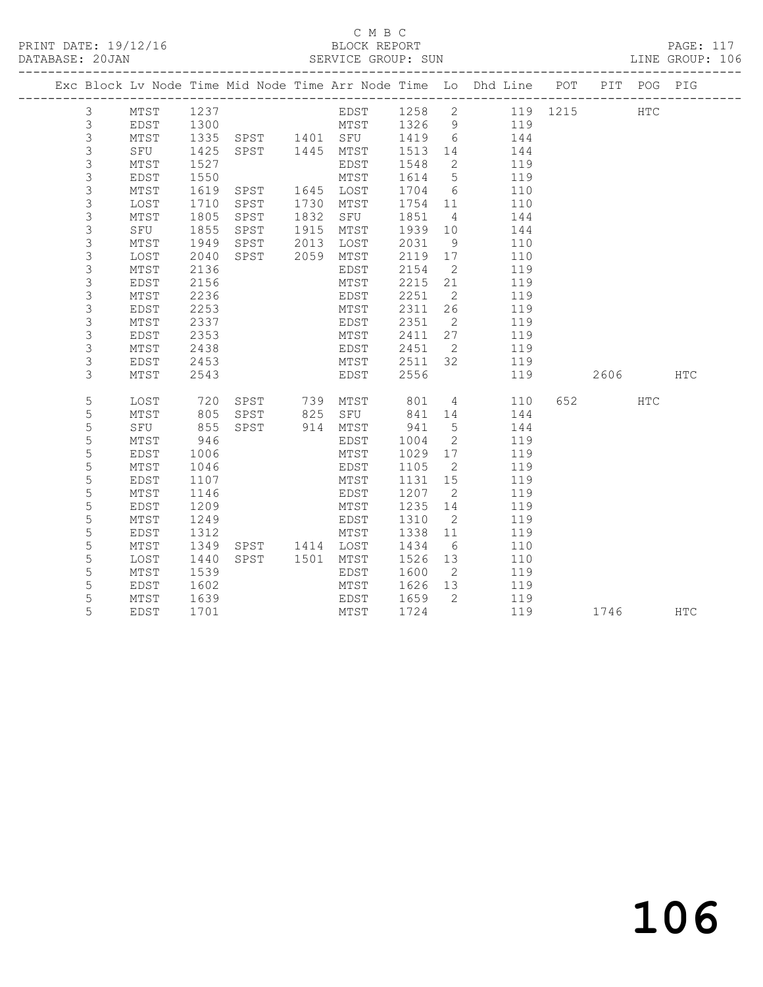PRINT DATE: 19/12/16 BLOCK REPORT BATABASE: 20JAN BLOCK REPORT

### C M B C<br>BLOCK REPORT

PAGE: 117<br>LINE GROUP: 106

|  |                |      |      |                |      |                   |         |                | Exc Block Lv Node Time Mid Node Time Arr Node Time Lo Dhd Line POT PIT POG PIG           |         |            |            |
|--|----------------|------|------|----------------|------|-------------------|---------|----------------|------------------------------------------------------------------------------------------|---------|------------|------------|
|  | $\mathcal{S}$  | MTST | 1237 |                |      |                   |         |                | EDST 1258 2 119 1215                                                                     |         | <b>HTC</b> |            |
|  | $\mathfrak{Z}$ | EDST | 1300 |                |      |                   |         |                |                                                                                          |         |            |            |
|  | $\mathsf 3$    | MTST |      |                |      |                   |         |                |                                                                                          |         |            |            |
|  | 3              | SFU  |      |                |      |                   |         |                | 1300 MTST 1326 9 119<br>1335 SPST 1401 SFU 1419 6 144<br>1425 SPST 1445 MTST 1513 14 144 |         |            |            |
|  | 3              | MTST | 1527 |                |      | EDST              | 1548    | $\overline{2}$ | 119                                                                                      |         |            |            |
|  | 3              | EDST | 1550 |                |      | MTST              | 1614    | $5^{\circ}$    | 119                                                                                      |         |            |            |
|  | 3              | MTST | 1619 | SPST           |      | 1645 LOST         | 1704 6  |                | 110                                                                                      |         |            |            |
|  | $\mathsf S$    | LOST | 1710 | SPST           |      | 1730 MTST         | 1754 11 |                | 110                                                                                      |         |            |            |
|  | 3              | MTST | 1805 | SPST           | 1832 | SFU               | 1851    | $\overline{4}$ | 144                                                                                      |         |            |            |
|  | 3              | SFU  | 1855 | SPST           | 1915 | MTST              | 1939    | 10             | 144                                                                                      |         |            |            |
|  | 3              | MTST | 1949 | SPST           | 2013 | LOST              | 2031    | 9              | 110                                                                                      |         |            |            |
|  | 3              | LOST | 2040 | SPST           |      | 2059 MTST         | 2119    | 17             | 110                                                                                      |         |            |            |
|  | 3              | MTST | 2136 |                |      | EDST              | 2154    | $\overline{2}$ | 119                                                                                      |         |            |            |
|  | 3              | EDST | 2156 |                |      | MTST              | 2215    | 21             | 119                                                                                      |         |            |            |
|  | 3              | MTST | 2236 |                |      | EDST              | 2251    | $\overline{2}$ | 119                                                                                      |         |            |            |
|  | 3              | EDST | 2253 |                |      | MTST              | 2311    | 26             | 119                                                                                      |         |            |            |
|  | $\mathsf S$    | MTST | 2337 |                |      | EDST              | 2351    | 2              | 119                                                                                      |         |            |            |
|  | 3              | EDST | 2353 |                |      | MTST              | 2411    | 27             | 119                                                                                      |         |            |            |
|  | 3              | MTST | 2438 |                |      | EDST              | 2451    | $\overline{2}$ | 119                                                                                      |         |            |            |
|  | 3              | EDST | 2453 |                |      | MTST              | 2511 32 |                | 119                                                                                      |         |            |            |
|  | 3              | MTST | 2543 |                |      | EDST              | 2556    |                | 119                                                                                      | 2606    |            | <b>HTC</b> |
|  | 5              | LOST | 720  |                |      | SPST 739 MTST 801 |         |                | $4\overline{ }$<br>110                                                                   | 652 HTC |            |            |
|  | 5              | MTST | 805  | SPST 825 SFU   |      |                   | 841 14  |                | 144                                                                                      |         |            |            |
|  | $\mathsf S$    | SFU  | 855  | SPST 914 MTST  |      |                   | 941     | 5 <sup>5</sup> | 144                                                                                      |         |            |            |
|  | 5              | MTST | 946  |                |      | EDST              | 1004    | 2              | 119                                                                                      |         |            |            |
|  | 5              | EDST | 1006 |                |      | MTST              | 1029    | 17             | 119                                                                                      |         |            |            |
|  | 5              | MTST | 1046 |                |      | EDST              | 1105    | $\overline{2}$ | 119                                                                                      |         |            |            |
|  | 5              | EDST | 1107 |                |      | MTST              | 1131    | 15             | 119                                                                                      |         |            |            |
|  | $\mathsf S$    | MTST | 1146 |                |      | EDST              | 1207    | $\overline{2}$ | 119                                                                                      |         |            |            |
|  | 5              | EDST | 1209 |                |      | MTST              | 1235    | 14             | 119                                                                                      |         |            |            |
|  | 5              | MTST | 1249 |                |      | EDST              | 1310    | $\overline{2}$ | 119                                                                                      |         |            |            |
|  | 5              | EDST | 1312 |                |      | MTST              | 1338    | 11             | 119                                                                                      |         |            |            |
|  | 5              | MTST | 1349 | SPST 1414 LOST |      |                   | 1434    | 6              | 110                                                                                      |         |            |            |
|  | 5              | LOST | 1440 | SPST 1501 MTST |      |                   | 1526    | 13             | 110                                                                                      |         |            |            |
|  | 5              | MTST | 1539 |                |      | EDST              | 1600    | $\overline{2}$ | 119                                                                                      |         |            |            |
|  | 5              | EDST | 1602 |                |      | MTST              | 1626    | 13             | 119                                                                                      |         |            |            |
|  | 5              | MTST | 1639 |                |      | EDST              | 1659 2  |                | 119                                                                                      |         |            |            |
|  | 5              | EDST | 1701 |                |      | MTST              | 1724    |                | 119                                                                                      | 1746    |            | HTC        |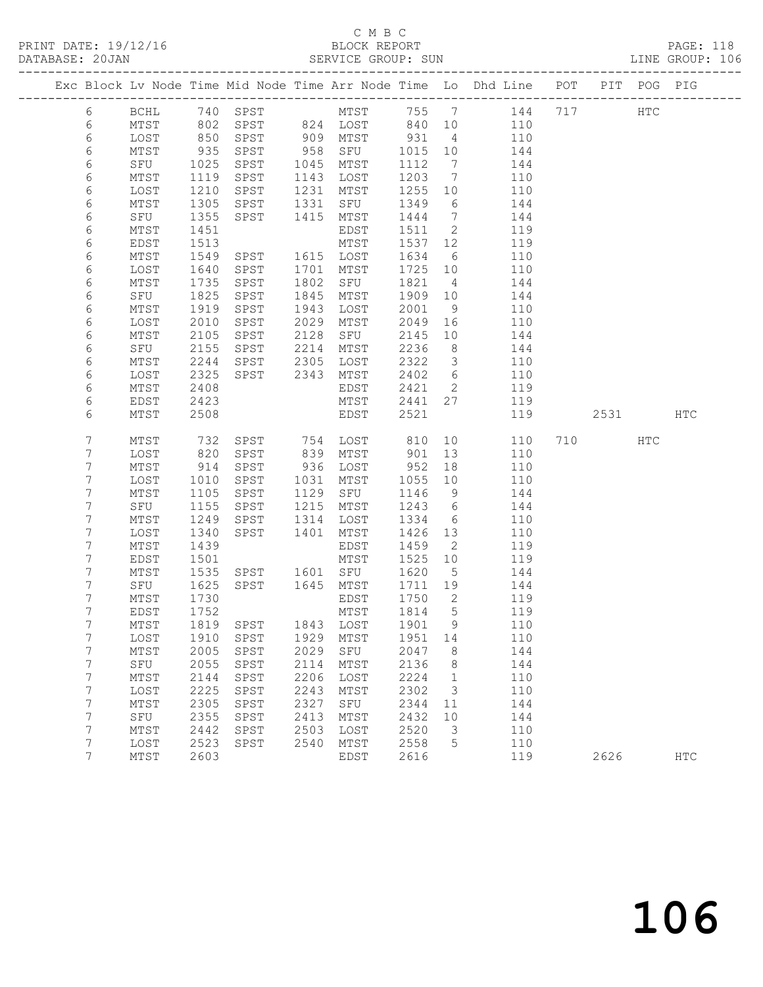### C M B C<br>BLOCK REPORT SERVICE GROUP: SUN

|  |        |                |              |                   |              |                  |                 |                         | Exc Block Lv Node Time Mid Node Time Arr Node Time Lo Dhd Line POT PIT POG PIG |      |     |            |
|--|--------|----------------|--------------|-------------------|--------------|------------------|-----------------|-------------------------|--------------------------------------------------------------------------------|------|-----|------------|
|  | $6\,$  | BCHL           |              | 740 SPST          |              |                  |                 |                         | MTST 755 7 144 717                                                             |      | HTC |            |
|  | 6      | MTST           | 802          |                   |              | SPST 824 LOST    | 840 10          |                         | 110                                                                            |      |     |            |
|  | 6      | LOST           | 850          | SPST              |              | $909$ MTST       | 931             | $\overline{4}$          | 110                                                                            |      |     |            |
|  | 6      | MTST           | 935          | SPST              | 958          | SFU              | 1015            | 10                      | 144                                                                            |      |     |            |
|  | 6      | SFU            | 1025         | SPST              | 1045         | MTST             | 1112            | $\overline{7}$          | 144                                                                            |      |     |            |
|  | 6      | MTST           | 1119         | SPST              | 1143         | LOST             | 1203            | $\overline{7}$          | 110                                                                            |      |     |            |
|  | 6      | LOST           | 1210         | SPST              | 1231         | MTST             | 1255            | 10                      | 110                                                                            |      |     |            |
|  | 6      | MTST           | 1305         | SPST              | 1331         | SFU              | 1349            | 6                       | 144                                                                            |      |     |            |
|  | 6      | SFU            | 1355         | SPST              | 1415         | MTST             | 1444            | $\overline{7}$          | 144                                                                            |      |     |            |
|  | 6      | MTST           | 1451         |                   |              | EDST             | 1511            | $\overline{2}$          | 119                                                                            |      |     |            |
|  | 6      | EDST           | 1513         |                   |              | MTST             | 1537            | 12                      | 119                                                                            |      |     |            |
|  | 6      | MTST           | 1549         | SPST              |              | 1615 LOST        | 1634            | 6                       | 110                                                                            |      |     |            |
|  | 6      | LOST           | 1640         | SPST              | 1701         | MTST             | 1725            | 10                      | 110                                                                            |      |     |            |
|  | 6      | MTST           | 1735         | SPST              | 1802         | SFU              | 1821            | $\overline{4}$          | 144                                                                            |      |     |            |
|  | 6      | SFU<br>MTST    | 1825<br>1919 | SPST              | 1845<br>1943 | MTST             | 1909<br>2001    | 10<br>9                 | 144<br>110                                                                     |      |     |            |
|  | 6<br>6 | LOST           | 2010         | SPST<br>SPST      | 2029         | LOST<br>MTST     | 2049            | 16                      | 110                                                                            |      |     |            |
|  | 6      | MTST           | 2105         | SPST              | 2128         | SFU              | 2145            | 10                      | 144                                                                            |      |     |            |
|  | 6      | SFU            | 2155         | SPST              | 2214         | MTST             | 2236            | 8 <sup>8</sup>          | 144                                                                            |      |     |            |
|  | 6      | MTST           | 2244         | SPST              | 2305         | LOST             | 2322            | $\overline{\mathbf{3}}$ | 110                                                                            |      |     |            |
|  | 6      | LOST           | 2325         | SPST              | 2343         | MTST             | 2402            | $6\overline{6}$         | 110                                                                            |      |     |            |
|  | 6      | MTST           | 2408         |                   |              | EDST             | 2421            | $\overline{2}$          | 119                                                                            |      |     |            |
|  | 6      | EDST           | 2423         |                   |              | MTST             | 2441            | 27                      | 119                                                                            |      |     |            |
|  | 6      | MTST           | 2508         |                   |              | EDST             | 2521            |                         | 119                                                                            | 2531 |     | HTC        |
|  |        |                |              |                   |              |                  |                 |                         |                                                                                |      |     |            |
|  | 7      | MTST           | 732          | SPST 754 LOST     |              |                  | 810             | 10                      | 110                                                                            | 710  | HTC |            |
|  | 7      | LOST           | 820          | SPST              |              | 839 MTST         | 901             | 13                      | 110                                                                            |      |     |            |
|  | 7      | MTST           | 914          | SPST              | 936          | LOST             | 952             | 18                      | 110                                                                            |      |     |            |
|  | 7      | LOST           | 1010         | SPST              | 1031         | MTST             | 1055            | 10                      | 110                                                                            |      |     |            |
|  | 7      | MTST           | 1105         | SPST              | 1129         | SFU              | 1146            | 9                       | 144                                                                            |      |     |            |
|  | 7      | SFU            | 1155         | SPST              | 1215         | MTST             | 1243            | $6\overline{6}$         | 144                                                                            |      |     |            |
|  | 7      | MTST           | 1249         | SPST              | 1314         | LOST             | 1334            | 6                       | 110                                                                            |      |     |            |
|  | 7      | LOST           | 1340         | SPST              | 1401         | MTST             | 1426            | 13                      | 110                                                                            |      |     |            |
|  | 7      | MTST           | 1439         |                   |              | EDST             | 1459            | $\overline{2}$          | 119                                                                            |      |     |            |
|  | 7      | EDST           | 1501         |                   |              | MTST             | 1525            | 10                      | 119                                                                            |      |     |            |
|  | 7<br>7 | MTST<br>SFU    | 1535<br>1625 | SPST<br>SPST 1645 |              | 1601 SFU<br>MTST | 1620            | $5^{\circ}$             | 144<br>144                                                                     |      |     |            |
|  | 7      | MTST           | 1730         |                   |              | EDST             | 1711 19<br>1750 | $\overline{2}$          | 119                                                                            |      |     |            |
|  | 7      | EDST           | 1752         |                   |              | MTST             | 1814            | 5                       | 119                                                                            |      |     |            |
|  | 7      | MTST 1819 SPST |              |                   |              | 1843 LOST 1901 9 |                 |                         | 110                                                                            |      |     |            |
|  | 7      | LOST           | 1910         | SPST              | 1929         | MTST             | 1951            | 14                      | 110                                                                            |      |     |            |
|  | 7      | MTST           | 2005         | SPST              | 2029         | SFU              | 2047            | 8                       | 144                                                                            |      |     |            |
|  | 7      | SFU            | 2055         | SPST              | 2114         | MTST             | 2136            | 8                       | 144                                                                            |      |     |            |
|  | 7      | MTST           | 2144         | SPST              | 2206         | LOST             | 2224            | $\mathbf{1}$            | 110                                                                            |      |     |            |
|  | 7      | LOST           | 2225         | SPST              | 2243         | MTST             | 2302            | 3                       | 110                                                                            |      |     |            |
|  | 7      | MTST           | 2305         | SPST              | 2327         | SFU              | 2344            | 11                      | 144                                                                            |      |     |            |
|  | 7      | SFU            | 2355         | SPST              | 2413         | MTST             | 2432            | 10                      | 144                                                                            |      |     |            |
|  | 7      | MTST           | 2442         | SPST              | 2503         | LOST             | 2520            | 3                       | 110                                                                            |      |     |            |
|  | 7      | LOST           | 2523         | SPST              | 2540         | MTST             | 2558            | 5                       | 110                                                                            |      |     |            |
|  | 7      | MTST           | 2603         |                   |              | EDST             | 2616            |                         | 119                                                                            | 2626 |     | <b>HTC</b> |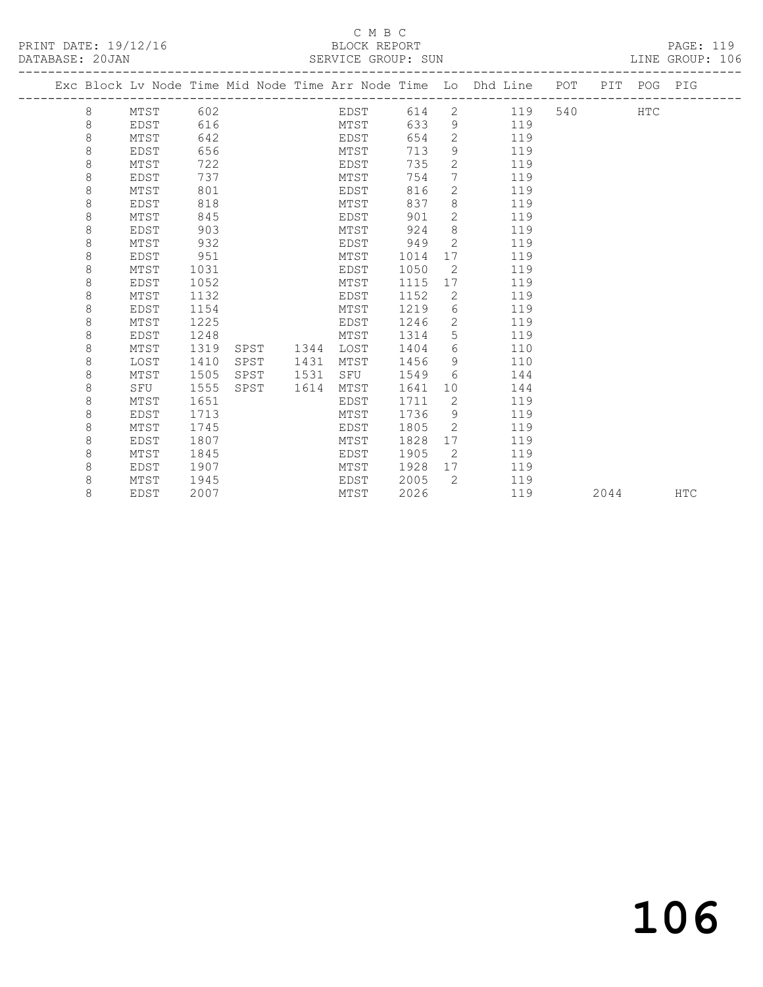### C M B C<br>BLOCK REPORT SERVICE GROUP: SUN

|         |      |      |      |      |      |      |                | Exc Block Lv Node Time Mid Node Time Arr Node Time Lo Dhd Line POT PIT POG PIG |     |      |     |     |
|---------|------|------|------|------|------|------|----------------|--------------------------------------------------------------------------------|-----|------|-----|-----|
| 8       | MTST | 602  |      |      | EDST | 614  |                | 2 119                                                                          | 540 |      | HTC |     |
| 8       | EDST | 616  |      |      | MTST | 633  |                | 9 119                                                                          |     |      |     |     |
| 8       | MTST | 642  |      |      | EDST | 654  | $\overline{2}$ | 119                                                                            |     |      |     |     |
| 8       | EDST | 656  |      |      | MTST | 713  | 9              | 119                                                                            |     |      |     |     |
| $\,8\,$ | MTST | 722  |      |      | EDST | 735  | $\overline{2}$ | 119                                                                            |     |      |     |     |
| 8       | EDST | 737  |      |      | MTST | 754  |                | $7 \overline{}$<br>119                                                         |     |      |     |     |
| 8       | MTST | 801  |      |      | EDST | 816  | $\overline{2}$ | 119                                                                            |     |      |     |     |
| 8       | EDST | 818  |      |      | MTST | 837  | 8              | 119                                                                            |     |      |     |     |
| 8       | MTST | 845  |      |      | EDST | 901  | $\overline{2}$ | 119                                                                            |     |      |     |     |
| 8       | EDST | 903  |      |      | MTST | 924  | 8              | 119                                                                            |     |      |     |     |
| 8       | MTST | 932  |      |      | EDST | 949  | 2              | 119                                                                            |     |      |     |     |
| 8       | EDST | 951  |      |      | MTST | 1014 | 17             | 119                                                                            |     |      |     |     |
| 8       | MTST | 1031 |      |      | EDST | 1050 | 2              | 119                                                                            |     |      |     |     |
| $\,8\,$ | EDST | 1052 |      |      | MTST | 1115 |                | 17<br>119                                                                      |     |      |     |     |
| 8       | MTST | 1132 |      |      | EDST | 1152 | $\overline{2}$ | 119                                                                            |     |      |     |     |
| 8       | EDST | 1154 |      |      | MTST | 1219 | 6              | 119                                                                            |     |      |     |     |
| $\,8\,$ | MTST | 1225 |      |      | EDST | 1246 | $\overline{2}$ | 119                                                                            |     |      |     |     |
| 8       | EDST | 1248 |      |      | MTST | 1314 | 5              | 119                                                                            |     |      |     |     |
| 8       | MTST | 1319 | SPST | 1344 | LOST | 1404 | 6              | 110                                                                            |     |      |     |     |
| 8       | LOST | 1410 | SPST | 1431 | MTST | 1456 | 9              | 110                                                                            |     |      |     |     |
| 8       | MTST | 1505 | SPST | 1531 | SFU  | 1549 | $6^{\circ}$    | 144                                                                            |     |      |     |     |
| 8       | SFU  | 1555 | SPST | 1614 | MTST | 1641 |                | 10<br>144                                                                      |     |      |     |     |
| 8       | MTST | 1651 |      |      | EDST | 1711 |                | $\overline{2}$<br>119                                                          |     |      |     |     |
| 8       | EDST | 1713 |      |      | MTST | 1736 |                | 9<br>119                                                                       |     |      |     |     |
| 8       | MTST | 1745 |      |      | EDST | 1805 | $\overline{2}$ | 119                                                                            |     |      |     |     |
| 8       | EDST | 1807 |      |      | MTST | 1828 | 17             | 119                                                                            |     |      |     |     |
| 8       | MTST | 1845 |      |      | EDST | 1905 |                | $2 \left( \frac{1}{2} \right)$<br>119                                          |     |      |     |     |
| 8       | EDST | 1907 |      |      | MTST | 1928 |                | 17<br>119                                                                      |     |      |     |     |
| 8       | MTST | 1945 |      |      | EDST | 2005 | $\overline{2}$ | 119                                                                            |     |      |     |     |
| 8       | EDST | 2007 |      |      | MTST | 2026 |                | 119                                                                            |     | 2044 |     | HTC |
|         |      |      |      |      |      |      |                |                                                                                |     |      |     |     |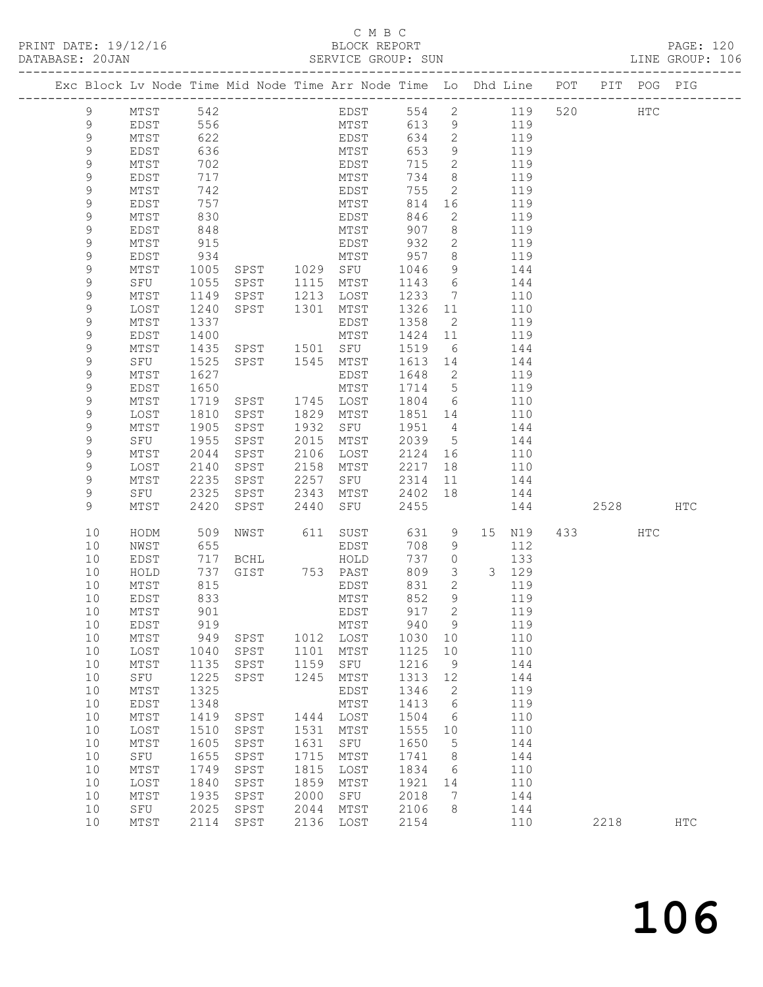# C M B C<br>BLOCK REPORT

|             |                 |            |                                                                      |      |                                         |         |                                       |                                                                                |      |     | PAGE: 120<br>LINE GROUP: 106 |
|-------------|-----------------|------------|----------------------------------------------------------------------|------|-----------------------------------------|---------|---------------------------------------|--------------------------------------------------------------------------------|------|-----|------------------------------|
|             |                 |            |                                                                      |      |                                         |         |                                       | Exc Block Lv Node Time Mid Node Time Arr Node Time Lo Dhd Line POT PIT POG PIG |      |     |                              |
|             |                 |            | 9 MTST 542                                                           |      |                                         |         |                                       | EDST 554 2 119 520 HTC                                                         |      |     |                              |
| 9           |                 |            | EDST 556<br>MTST 556<br>MTST 622<br>EDST 636<br>MTST 702<br>EDST 717 |      |                                         |         |                                       | MTST 613 9 119                                                                 |      |     |                              |
| 9           |                 |            |                                                                      |      | EDST                                    |         |                                       | 634 2 119                                                                      |      |     |                              |
| $\mathsf 9$ |                 |            |                                                                      |      |                                         | 653     |                                       |                                                                                |      |     |                              |
| $\mathsf 9$ |                 |            |                                                                      |      | MTST<br>EDST                            | 715     |                                       | $\begin{array}{cc} 9 & 119 \\ 2 & 119 \end{array}$                             |      |     |                              |
| 9           |                 |            |                                                                      |      | MTST                                    | 734     |                                       | 8 119                                                                          |      |     |                              |
|             |                 |            |                                                                      |      | EDST                                    | 755     |                                       |                                                                                |      |     |                              |
| 9           | MTST            |            | 742                                                                  |      |                                         |         |                                       | 2 119                                                                          |      |     |                              |
| $\mathsf 9$ | EDST            | 757<br>830 |                                                                      |      | MTST<br>EDST                            | 814     | 16                                    | 119                                                                            |      |     |                              |
| $\mathsf 9$ | MTST            |            |                                                                      |      |                                         | 846     | $2^{\circ}$                           | 119                                                                            |      |     |                              |
| $\mathsf 9$ | EDST            | 848        |                                                                      |      | MTST                                    | 907     | 8 <sup>8</sup>                        | 119                                                                            |      |     |                              |
| 9           | MTST            | 915        |                                                                      |      | EDST                                    | 932     | $\overline{2}$                        | 119                                                                            |      |     |                              |
| $\mathsf 9$ | EDST            | 934        |                                                                      |      | 934 MTST 957<br>1005 SPST 1029 SFU 1046 |         | $\begin{array}{c} 8 \\ 9 \end{array}$ | $119$<br>$144$                                                                 |      |     |                              |
| $\mathsf 9$ | MTST            |            |                                                                      |      |                                         |         |                                       |                                                                                |      |     |                              |
| $\mathsf 9$ | SFU             |            | 1055 SPST 1115 MTST                                                  |      |                                         | 1143    |                                       | 6 144                                                                          |      |     |                              |
| 9           | MTST            |            | 1149 SPST 1213 LOST                                                  |      |                                         | 1233    |                                       | 7 110                                                                          |      |     |                              |
| $\mathsf 9$ | LOST            |            |                                                                      |      |                                         | 1326    | 11                                    |                                                                                |      |     |                              |
|             |                 | 1240       | SPST 1301 MTST                                                       |      |                                         |         |                                       | 110                                                                            |      |     |                              |
| $\mathsf 9$ | MTST            | 1337       |                                                                      |      | EDST                                    | 1358    | $\overline{2}$                        | 119                                                                            |      |     |                              |
| $\mathsf 9$ | EDST            | 1400       |                                                                      |      | MTST                                    | 1424 11 |                                       | 119                                                                            |      |     |                              |
| 9           | MTST            |            |                                                                      |      | 1435 SPST 1501 SFU 1519                 |         |                                       | 6 144                                                                          |      |     |                              |
| $\mathsf 9$ | SFU             | 1525       | SPST 1545 MTST                                                       |      |                                         |         |                                       | 1613 14 144                                                                    |      |     |                              |
| $\mathsf 9$ | MTST            | 1627       |                                                                      |      | EDST                                    | 1648    | $\overline{2}$                        | 119                                                                            |      |     |                              |
| $\mathsf 9$ | EDST            | 1650       |                                                                      |      | MTST                                    | 1714    |                                       | $\begin{array}{ccc} 5 & 119 \end{array}$                                       |      |     |                              |
| $\mathsf 9$ | MTST            |            | 1719 SPST 1745 LOST                                                  |      |                                         | 1804    |                                       | 6 110                                                                          |      |     |                              |
| $\mathsf 9$ | LOST            | 1810       | SPST                                                                 |      | 1829 MTST                               |         |                                       | 1851 14 110                                                                    |      |     |                              |
| $\mathsf 9$ | MTST            | 1905       | SPST                                                                 |      | 1932 SFU 1951 4                         |         |                                       | 144                                                                            |      |     |                              |
| $\mathsf 9$ | SFU             | 1955       | SPST                                                                 |      | 2015 MTST                               | 2039    |                                       | $5$ 144                                                                        |      |     |                              |
|             |                 |            |                                                                      |      |                                         |         |                                       |                                                                                |      |     |                              |
| 9           | MTST            | 2044       | SPST                                                                 |      | 2106 LOST                               |         |                                       | 2124 16 110                                                                    |      |     |                              |
| 9           | LOST            | 2140       | SPST                                                                 |      | 2158 MTST                               | 2217    |                                       | 18   110                                                                       |      |     |                              |
| 9           | MTST            | 2235       | SPST                                                                 |      | 2257 SFU                                | 2314    | 11                                    | 144                                                                            |      |     |                              |
| 9           | SFU             | 2325       | SPST                                                                 |      | 2343 MTST                               | 2402    | 18                                    | 144                                                                            |      |     |                              |
| 9           | MTST            | 2420       | SPST                                                                 | 2440 | SFU                                     | 2455    |                                       | 144 2528                                                                       |      |     | HTC                          |
| 10          | HODM            |            |                                                                      |      |                                         |         |                                       | 15 N19 433                                                                     |      | HTC |                              |
| 10          | NWST            |            |                                                                      |      |                                         |         |                                       | 112                                                                            |      |     |                              |
| 10          | EDST            |            | 717 BCHL                                                             |      | HOLD                                    | 737 0   |                                       | 133                                                                            |      |     |                              |
| 10          | HOLD            |            | 737 GIST 753 PAST                                                    |      |                                         | 809     |                                       | 3 3 129                                                                        |      |     |                              |
| 10          | MTST            | 815        |                                                                      |      | EDST                                    | 831     | $\overline{2}$                        | 119                                                                            |      |     |                              |
|             | 10 EDST 833     |            |                                                                      |      |                                         |         |                                       | MTST 852 9 119                                                                 |      |     |                              |
| 10          | MTST            | 901        |                                                                      |      | EDST                                    | 917     | 2                                     | 119                                                                            |      |     |                              |
|             |                 |            |                                                                      |      |                                         |         |                                       |                                                                                |      |     |                              |
| $10$        | EDST            | 919        |                                                                      |      | MTST                                    | 940     | 9                                     | 119                                                                            |      |     |                              |
| $10$        | $\mathtt{MTST}$ | 949        | SPST                                                                 |      | 1012 LOST                               | 1030    | 10                                    | 110                                                                            |      |     |                              |
| 10          | LOST            | 1040       | SPST                                                                 | 1101 | MTST                                    | 1125    | 10                                    | 110                                                                            |      |     |                              |
| 10          | $\mathtt{MTST}$ | 1135       | SPST                                                                 | 1159 | SFU                                     | 1216    | $\overline{9}$                        | 144                                                                            |      |     |                              |
| 10          | SFU             | 1225       | SPST                                                                 | 1245 | MTST                                    | 1313    | 12                                    | 144                                                                            |      |     |                              |
| 10          | MTST            | 1325       |                                                                      |      | EDST                                    | 1346    | 2                                     | 119                                                                            |      |     |                              |
| $10$        | EDST            | 1348       |                                                                      |      | MTST                                    | 1413    | $\epsilon$                            | 119                                                                            |      |     |                              |
| $10$        | $\mathtt{MTST}$ | 1419       | ${\tt SPST}$                                                         | 1444 | LOST                                    | 1504    | 6                                     | 110                                                                            |      |     |                              |
| $10$        | LOST            | 1510       | SPST                                                                 | 1531 | MTST                                    | 1555    | 10                                    | 110                                                                            |      |     |                              |
| 10          | $MTST$          | 1605       | SPST                                                                 | 1631 | SFU                                     | 1650    | 5                                     | 144                                                                            |      |     |                              |
|             |                 |            |                                                                      |      |                                         |         |                                       |                                                                                |      |     |                              |
| 10          | SFU             | 1655       | SPST                                                                 | 1715 | MTST                                    | 1741    | 8                                     | 144                                                                            |      |     |                              |
| 10          | MTST            | 1749       | SPST                                                                 | 1815 | LOST                                    | 1834    | 6                                     | 110                                                                            |      |     |                              |
| $10$        | LOST            | 1840       | SPST                                                                 | 1859 | MTST                                    | 1921    | 14                                    | 110                                                                            |      |     |                              |
| 10          | MTST            | 1935       | SPST                                                                 | 2000 | SFU                                     | 2018    | 7                                     | 144                                                                            |      |     |                              |
| 10          | SFU             | 2025       | SPST                                                                 | 2044 | MTST                                    | 2106    | 8                                     | 144                                                                            |      |     |                              |
| 10          | MTST            | 2114       | ${\tt SPST}$                                                         | 2136 | LOST                                    | 2154    |                                       | 110                                                                            | 2218 |     | $_{\rm{HTC}}$                |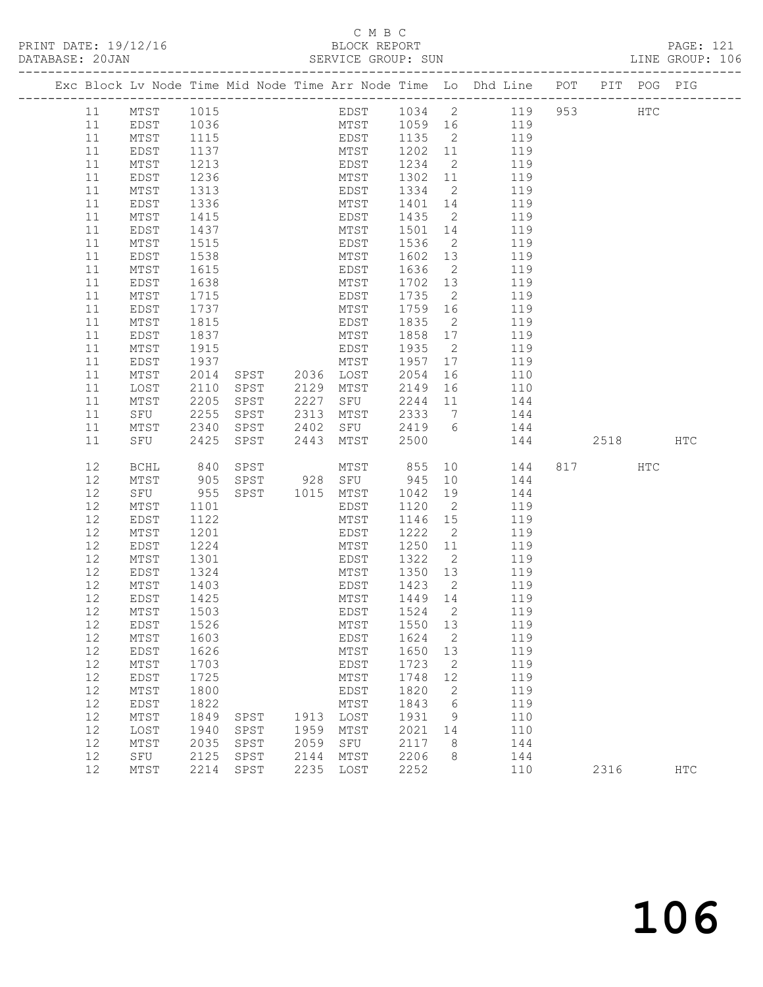# C M B C<br>BLOCK REPORT<br>SERVICE GROUP: SUN

| DATABASE: 20JAN |                 |                  |                |              | SERVICE GROUP: SUN                        |              |                |                                                                                |         | LINE GROUP: 106 |  |
|-----------------|-----------------|------------------|----------------|--------------|-------------------------------------------|--------------|----------------|--------------------------------------------------------------------------------|---------|-----------------|--|
|                 |                 |                  |                |              |                                           |              |                | Exc Block Lv Node Time Mid Node Time Arr Node Time Lo Dhd Line POT PIT POG PIG |         |                 |  |
| 11              | MTST            |                  | 1015           |              |                                           |              |                | EDST 1034 2 119 953 HTC                                                        |         |                 |  |
| 11              | EDST            | 1036             |                |              |                                           |              |                | MTST 1059 16 119                                                               |         |                 |  |
| 11              | MTST            | 1115             |                |              |                                           |              |                | EDST 1135 2 119<br>MTST 1202 11 119                                            |         |                 |  |
| 11              | EDST            | 1137             |                |              |                                           |              |                |                                                                                |         |                 |  |
| 11              | MTST            | $\frac{1}{1213}$ |                |              | EDST                                      | $1234$ 2     |                | 119                                                                            |         |                 |  |
| 11              | EDST            | 1236             |                |              |                                           |              |                | MTST 1302 11 119                                                               |         |                 |  |
| 11              | MTST            | 1313             |                |              | EDST                                      | 1334 2       |                | 119                                                                            |         |                 |  |
| 11              | EDST            | 1336<br>1415     |                |              | MTST                                      | 1401 14      |                | 119                                                                            |         |                 |  |
| 11              | MTST            |                  |                |              | EDST                                      | 1435 2       |                | 119                                                                            |         |                 |  |
| 11              | EDST            | 1437             |                |              | MTST                                      |              |                | 1501 14 119                                                                    |         |                 |  |
| 11              | MTST            | 1515             |                |              | EDST                                      | 1536         | $\overline{2}$ | 119                                                                            |         |                 |  |
| 11              | EDST            | 1538             |                |              | MTST                                      | 1602 13      |                | 119                                                                            |         |                 |  |
| 11              | MTST            | $\frac{1}{1615}$ |                |              | EDST                                      | 1636         | $\overline{2}$ | 119                                                                            |         |                 |  |
| 11              | EDST            | 1638             |                |              | MTST                                      |              |                | 1702 13 119                                                                    |         |                 |  |
| 11              | MTST            | 1715             |                |              | EDST                                      | 1735 2       |                | 119                                                                            |         |                 |  |
| 11              | EDST            | 1737<br>1815     |                |              | MTST                                      | 1759 16      |                | 119                                                                            |         |                 |  |
| 11              | MTST            |                  |                |              | EDST                                      | 1835 2       |                | 119                                                                            |         |                 |  |
| 11              | EDST            | 1837             |                |              | MTST                                      | 1858 17      |                | 119                                                                            |         |                 |  |
| 11              | MTST            | 1915             |                |              | EDST                                      | 1935 2       |                | 119                                                                            |         |                 |  |
| 11              | EDST            | 1937<br>2014     |                |              | MTST<br>SPST 2036 LOST                    | 1957 17      |                | 119                                                                            |         |                 |  |
| 11              | MTST            | 2014<br>2110     |                |              | SPST 2129 MTST                            | 2054         | 16             | 110<br>2149 16 110                                                             |         |                 |  |
| 11<br>11        | LOST            | 2205             | SPST           |              | 2227 SFU                                  |              |                | 2244 11 144                                                                    |         |                 |  |
| 11              | MTST<br>SFU     |                  |                |              |                                           | 2333 7       |                | 144                                                                            |         |                 |  |
| 11              | MTST            | 2255<br>2340     |                |              |                                           | 2419 6       |                | 144                                                                            |         |                 |  |
| 11              | SFU 2425        |                  | SPST           | 2443         | MTST                                      | 2500         |                | 144 2518 HTC                                                                   |         |                 |  |
| 12              | BCHL            | 840              |                |              | MTST 855<br>SPST 928 SFU 945<br>SPST 1015 |              |                | 10   144                                                                       | 817 HTC |                 |  |
| 12              | MTST            |                  |                |              |                                           | 945 10       |                | 144                                                                            |         |                 |  |
| 12              | SFU             | 905<br>955       | SPST 1015 MTST |              |                                           | 1042         |                | 19<br>144                                                                      |         |                 |  |
| 12              | MTST            | 1101             |                |              | EDST                                      | 1120         | $\overline{2}$ | 119                                                                            |         |                 |  |
| 12              | EDST            | 1122             |                |              | MTST                                      | 1146 15      |                | 119                                                                            |         |                 |  |
| 12              | MTST            | 1201             |                |              | EDST                                      | 1222 2       |                | 119                                                                            |         |                 |  |
| 12              | EDST            | 1224             |                |              | MTST                                      | 1250 11      |                | 119                                                                            |         |                 |  |
| 12              | MTST            | 1301             |                |              | EDST                                      |              |                | 1322 2 119                                                                     |         |                 |  |
| 12              | EDST            | 1324             |                |              | MTST                                      | 1350 13      |                | 119                                                                            |         |                 |  |
| 12              | MTST            | 1403<br>1425     |                |              | EDST                                      | 1423 2       |                | 119                                                                            |         |                 |  |
| 12              | EDST            |                  |                |              | MTST                                      | 1449 14      |                | 119                                                                            |         |                 |  |
|                 | 12 MTST 1503    |                  |                |              |                                           |              |                | EDST 1524 2 119                                                                |         |                 |  |
| 12              | EDST            | 1526             |                |              | MTST                                      | 1550         | 13             | 119                                                                            |         |                 |  |
| 12              | MTST            | 1603             |                |              | EDST                                      | 1624         | $\overline{2}$ | 119                                                                            |         |                 |  |
| 12              | EDST            | 1626             |                |              | MTST                                      | 1650         | 13             | 119                                                                            |         |                 |  |
| 12              | MTST            | 1703             |                |              | EDST                                      | 1723         | $\overline{2}$ | 119                                                                            |         |                 |  |
| 12              | EDST            | 1725             |                |              | MTST                                      | 1748         | 12             | 119                                                                            |         |                 |  |
| 12              | $\mathtt{MTST}$ | 1800             |                |              | EDST                                      | 1820         | 2              | 119                                                                            |         |                 |  |
| 12              | EDST            | 1822             |                |              | MTST                                      | 1843         | 6              | 119                                                                            |         |                 |  |
| 12              | MTST            | 1849             | SPST           | 1913         | LOST                                      | 1931         | 9              | 110                                                                            |         |                 |  |
| 12              | LOST            | 1940             | SPST           | 1959         | MTST                                      | 2021         | 14             | 110                                                                            |         |                 |  |
| 12<br>12        | MTST            | 2035<br>2125     | SPST           | 2059<br>2144 | SFU                                       | 2117<br>2206 | 8<br>8         | 144<br>144                                                                     |         |                 |  |
| 12              | SFU<br>MTST     | 2214             | SPST<br>SPST   | 2235         | MTST<br>LOST                              | 2252         |                | 110                                                                            | 2316    | <b>HTC</b>      |  |
|                 |                 |                  |                |              |                                           |              |                |                                                                                |         |                 |  |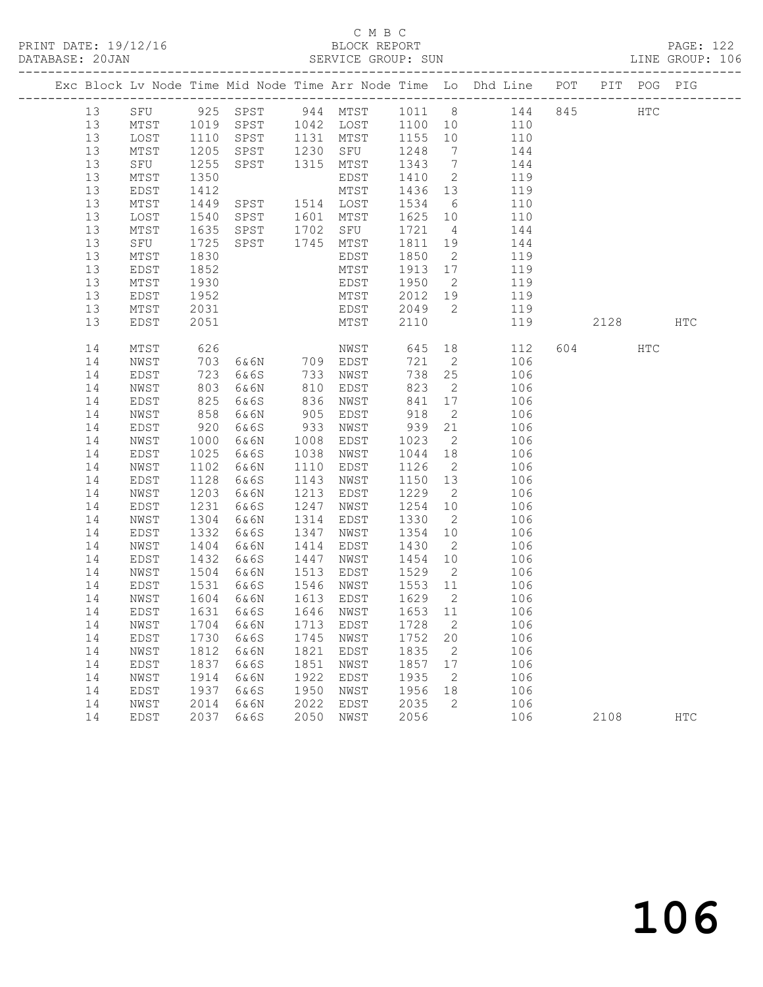### C M B C<br>BLOCK REPORT SERVICE GROUP: SUN

|    |                                    |      |                       |      |           |         |                | Exc Block Lv Node Time Mid Node Time Arr Node Time Lo Dhd Line POT |     |        | PIT POG PIG  |            |
|----|------------------------------------|------|-----------------------|------|-----------|---------|----------------|--------------------------------------------------------------------|-----|--------|--------------|------------|
| 13 |                                    |      | SFU 925 SPST 944 MTST |      |           |         |                | 1011 8<br>144                                                      | 845 |        | $_{\rm HTC}$ |            |
| 13 | MTST                               | 1019 | SPST                  |      | 1042 LOST | 1100 10 |                | 110                                                                |     |        |              |            |
| 13 | LOST                               | 1110 | SPST                  |      | 1131 MTST | 1155    | 10             | 110                                                                |     |        |              |            |
| 13 | MTST                               | 1205 | SPST                  | 1230 | SFU       | 1248    | $\overline{7}$ | 144                                                                |     |        |              |            |
| 13 | SFU                                | 1255 | SPST                  | 1315 | MTST      | 1343    | $\overline{7}$ | 144                                                                |     |        |              |            |
| 13 | MTST                               | 1350 |                       |      | EDST      | 1410    | $\overline{2}$ | 119                                                                |     |        |              |            |
| 13 | EDST                               | 1412 |                       |      | MTST      | 1436    | 13             | 119                                                                |     |        |              |            |
| 13 | MTST                               | 1449 | SPST                  |      | 1514 LOST | 1534    | 6              | 110                                                                |     |        |              |            |
| 13 | LOST                               | 1540 | SPST                  | 1601 | MTST      | 1625 10 |                | 110                                                                |     |        |              |            |
| 13 | MTST                               | 1635 | SPST                  | 1702 | SFU       | 1721    | 4              | 144                                                                |     |        |              |            |
| 13 | SFU                                | 1725 | SPST                  |      | 1745 MTST | 1811    | 19             | 144                                                                |     |        |              |            |
| 13 | $\mathtt{MTST}$                    | 1830 |                       |      | EDST      | 1850    | $\overline{2}$ | 119                                                                |     |        |              |            |
| 13 | EDST                               | 1852 |                       |      | MTST      | 1913 17 |                | 119                                                                |     |        |              |            |
| 13 | MTST                               | 1930 |                       |      | EDST      | 1950    | $\overline{2}$ | 119                                                                |     |        |              |            |
| 13 | EDST                               | 1952 |                       |      | MTST      | 2012    | 19             | 119                                                                |     |        |              |            |
| 13 | MTST                               | 2031 |                       |      | EDST      | 2049    | 2              | 119                                                                |     |        |              |            |
| 13 | EDST                               | 2051 |                       |      | MTST      | 2110    |                | 119                                                                |     | 2128   |              | <b>HTC</b> |
| 14 | MTST                               | 626  |                       |      | NWST      | 645     | 18             | 112                                                                |     | 604 60 | HTC          |            |
| 14 | NWST                               | 703  | 6&6N                  |      | 709 EDST  | 721     | $\overline{2}$ | 106                                                                |     |        |              |            |
| 14 | EDST                               | 723  | 6&6S                  | 733  | NWST      | 738     | 25             | 106                                                                |     |        |              |            |
| 14 | NWST                               | 803  | 6&6N                  | 810  | EDST      | 823     | $\overline{2}$ | 106                                                                |     |        |              |            |
| 14 | EDST                               | 825  | 6&6S                  | 836  | NWST      | 841     | 17             | 106                                                                |     |        |              |            |
| 14 | NWST                               | 858  | 6&6N                  | 905  | EDST      | 918     | 2              | 106                                                                |     |        |              |            |
| 14 | EDST                               | 920  | 6&6S                  | 933  | NWST      | 939     | 21             | 106                                                                |     |        |              |            |
| 14 | NWST                               | 1000 | 6&6N                  | 1008 | EDST      | 1023    | $\overline{2}$ | 106                                                                |     |        |              |            |
| 14 | EDST                               | 1025 | 6&6S                  | 1038 | NWST      | 1044    | 18             | 106                                                                |     |        |              |            |
| 14 | NWST                               | 1102 | 6&6N                  | 1110 | EDST      | 1126    | $\overline{2}$ | 106                                                                |     |        |              |            |
| 14 | EDST                               | 1128 | 6&6S                  | 1143 | NWST      | 1150    | 13             | 106                                                                |     |        |              |            |
| 14 | NWST                               | 1203 | 6&6N                  | 1213 | EDST      | 1229    | $\overline{2}$ | 106                                                                |     |        |              |            |
| 14 | EDST                               | 1231 | 6&6S                  | 1247 | NWST      | 1254    | 10             | 106                                                                |     |        |              |            |
| 14 | NWST                               | 1304 | 6&6N                  | 1314 | EDST      | 1330    | $\overline{2}$ | 106                                                                |     |        |              |            |
| 14 | EDST                               | 1332 | 6&6S                  | 1347 | NWST      | 1354    | 10             | 106                                                                |     |        |              |            |
| 14 | NWST                               | 1404 | 6&6N                  | 1414 | EDST      | 1430    | $\overline{2}$ | 106                                                                |     |        |              |            |
| 14 | EDST                               | 1432 | 6&6S                  | 1447 | NWST      | 1454    | 10             | 106                                                                |     |        |              |            |
| 14 | NWST                               | 1504 | 6&6N                  | 1513 | EDST      | 1529    | $\overline{2}$ | 106                                                                |     |        |              |            |
| 14 | EDST                               | 1531 | 6&6S                  | 1546 | NWST      | 1553 11 |                | 106                                                                |     |        |              |            |
| 14 | NWST                               | 1604 | 6 & 6 N               | 1613 | EDST      | 1629    | $\overline{2}$ | 106                                                                |     |        |              |            |
| 14 | EDST                               | 1631 | 6&6S                  |      | 1646 NWST | 1653 11 |                | 106                                                                |     |        |              |            |
|    | 14 NWST 1704 6&6N 1713 EDST 1728 2 |      |                       |      |           |         |                | 106                                                                |     |        |              |            |
| 14 | EDST                               | 1730 | 6&6S                  | 1745 | NWST      | 1752    | 20             | 106                                                                |     |        |              |            |
| 14 | NWST                               | 1812 | 6&6N                  | 1821 | EDST      | 1835    | 2              | 106                                                                |     |        |              |            |
| 14 | EDST                               | 1837 | 6&6S                  | 1851 | NWST      | 1857    | 17             | 106                                                                |     |        |              |            |
| 14 | NWST                               | 1914 | 6&6N                  | 1922 | EDST      | 1935    | 2              | 106                                                                |     |        |              |            |
| 14 | EDST                               | 1937 | 6&6S                  | 1950 | NWST      | 1956    | 18             | 106                                                                |     |        |              |            |
| 14 | NWST                               | 2014 | 6&6N                  | 2022 | EDST      | 2035    | 2              | 106                                                                |     |        |              |            |
| 14 | EDST                               | 2037 | 6&6S                  | 2050 | NWST      | 2056    |                | 106                                                                |     | 2108   |              | <b>HTC</b> |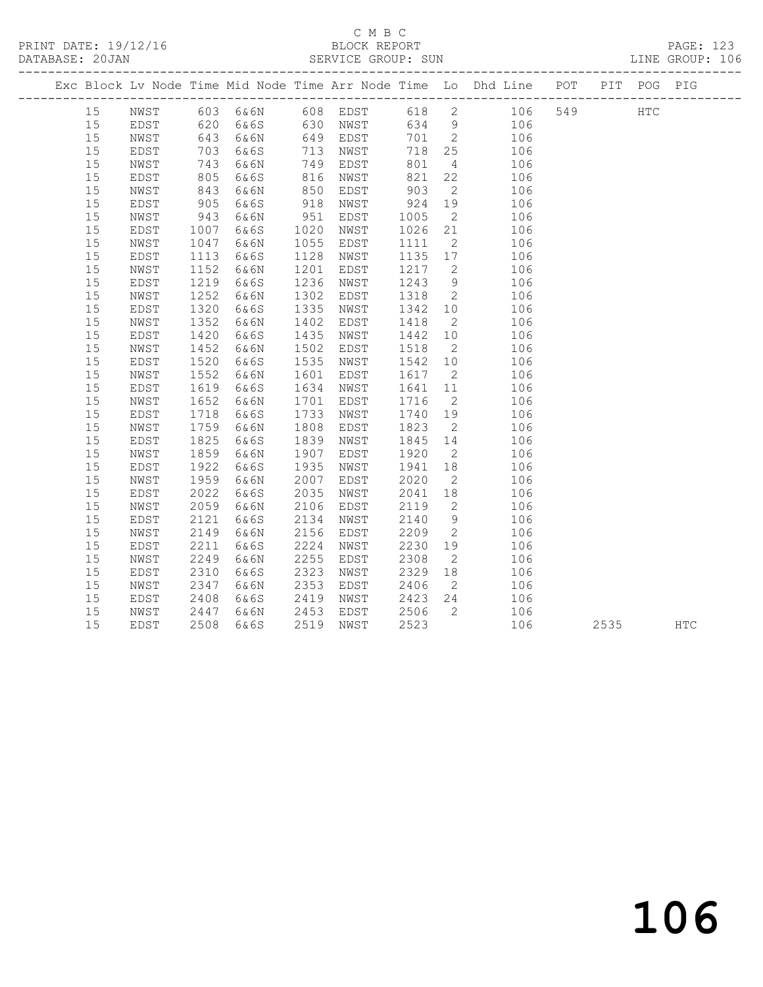### C M B C<br>BLOCK REPORT SERVICE GROUP: SUN

|    |      |      |          |      |          |      |                | Exc Block Lv Node Time Mid Node Time Arr Node Time Lo Dhd Line POT |     | PIT POG PIG  |  |
|----|------|------|----------|------|----------|------|----------------|--------------------------------------------------------------------|-----|--------------|--|
| 15 | NWST |      | 603 6&6N |      | 608 EDST |      |                | 618 2 106                                                          | 549 | $_{\rm HTC}$ |  |
| 15 | EDST | 620  | 6&6S     |      | 630 NWST |      |                | 634 9<br>106                                                       |     |              |  |
| 15 | NWST | 643  | 6&6N     | 649  | EDST     | 701  | $\overline{2}$ | 106                                                                |     |              |  |
| 15 | EDST | 703  | 6&6S     | 713  | NWST     | 718  | 25             | 106                                                                |     |              |  |
| 15 | NWST | 743  | 6&6N     | 749  | EDST     | 801  | $\overline{4}$ | 106                                                                |     |              |  |
| 15 | EDST | 805  | 6&6S     | 816  | NWST     | 821  | 22             | 106                                                                |     |              |  |
| 15 | NWST | 843  | 6&6N     | 850  | EDST     | 903  | 2              | 106                                                                |     |              |  |
| 15 | EDST | 905  | 6&6S     | 918  | NWST     | 924  | 19             | 106                                                                |     |              |  |
| 15 | NWST | 943  | 6&6N     | 951  | EDST     | 1005 | $\overline{2}$ | 106                                                                |     |              |  |
| 15 | EDST | 1007 | 6&6S     | 1020 | NWST     | 1026 | 21             | 106                                                                |     |              |  |
| 15 | NWST | 1047 | 6&6N     | 1055 | EDST     | 1111 | $\overline{2}$ | 106                                                                |     |              |  |
| 15 | EDST | 1113 | 6&6S     | 1128 | NWST     | 1135 | 17             | 106                                                                |     |              |  |
| 15 | NWST | 1152 | 6&6N     | 1201 | EDST     | 1217 | $\overline{2}$ | 106                                                                |     |              |  |
| 15 | EDST | 1219 | 6&6S     | 1236 | NWST     | 1243 | 9              | 106                                                                |     |              |  |
| 15 | NWST | 1252 | 6&6N     | 1302 | EDST     | 1318 | $\overline{2}$ | 106                                                                |     |              |  |
| 15 | EDST | 1320 | 6&6S     | 1335 | NWST     | 1342 | 10             | 106                                                                |     |              |  |
| 15 | NWST | 1352 | 6&6N     | 1402 | EDST     | 1418 | $\overline{2}$ | 106                                                                |     |              |  |
| 15 | EDST | 1420 | 6&6S     | 1435 | NWST     | 1442 | 10             | 106                                                                |     |              |  |
| 15 | NWST | 1452 | 6&6N     | 1502 | EDST     | 1518 | $\overline{2}$ | 106                                                                |     |              |  |
| 15 | EDST | 1520 | 6&6S     | 1535 | NWST     | 1542 | 10             | 106                                                                |     |              |  |
| 15 | NWST | 1552 | 6&6N     | 1601 | EDST     | 1617 | $\overline{2}$ | 106                                                                |     |              |  |
| 15 | EDST | 1619 | 6&6S     | 1634 | NWST     | 1641 | 11             | 106                                                                |     |              |  |
| 15 | NWST | 1652 | 6&6N     | 1701 | EDST     | 1716 | 2              | 106                                                                |     |              |  |
| 15 | EDST | 1718 | 6&6S     | 1733 | NWST     | 1740 | 19             | 106                                                                |     |              |  |
| 15 | NWST | 1759 | 6&6N     | 1808 | EDST     | 1823 | $\overline{2}$ | 106                                                                |     |              |  |
| 15 | EDST | 1825 | 6&6S     | 1839 | NWST     | 1845 | 14             | 106                                                                |     |              |  |
| 15 | NWST | 1859 | 6&6N     | 1907 | EDST     | 1920 | $\overline{2}$ | 106                                                                |     |              |  |
| 15 | EDST | 1922 | 6&6S     | 1935 | NWST     | 1941 | 18             | 106                                                                |     |              |  |
| 15 | NWST | 1959 | 6&6N     | 2007 | EDST     | 2020 | $\overline{2}$ | 106                                                                |     |              |  |
| 15 | EDST | 2022 | 6&6S     | 2035 | NWST     | 2041 | 18             | 106                                                                |     |              |  |
| 15 | NWST | 2059 | 6&6N     | 2106 | EDST     | 2119 | $\mathbf{2}$   | 106                                                                |     |              |  |
| 15 | EDST | 2121 | 6&6S     | 2134 | NWST     | 2140 | 9              | 106                                                                |     |              |  |
| 15 | NWST | 2149 | 6&6N     | 2156 | EDST     | 2209 | 2              | 106                                                                |     |              |  |
| 15 | EDST | 2211 | 6&6S     | 2224 | NWST     | 2230 | 19             | 106                                                                |     |              |  |
| 15 | NWST | 2249 | 6&6N     | 2255 | EDST     | 2308 | $\overline{2}$ | 106                                                                |     |              |  |
| 15 | EDST | 2310 | 6&6S     | 2323 | NWST     | 2329 | 18             | 106                                                                |     |              |  |
| 15 | NWST | 2347 | 6&6N     | 2353 | EDST     | 2406 | $\overline{2}$ | 106                                                                |     |              |  |
| 15 | EDST | 2408 | 6&6S     | 2419 | NWST     | 2423 | 24             | 106                                                                |     |              |  |

15 NWST 2447 6&6N 2453 EDST 2506 2 106

15 EDST 2508 6&6S 2519 NWST 2523 106 2535 HTC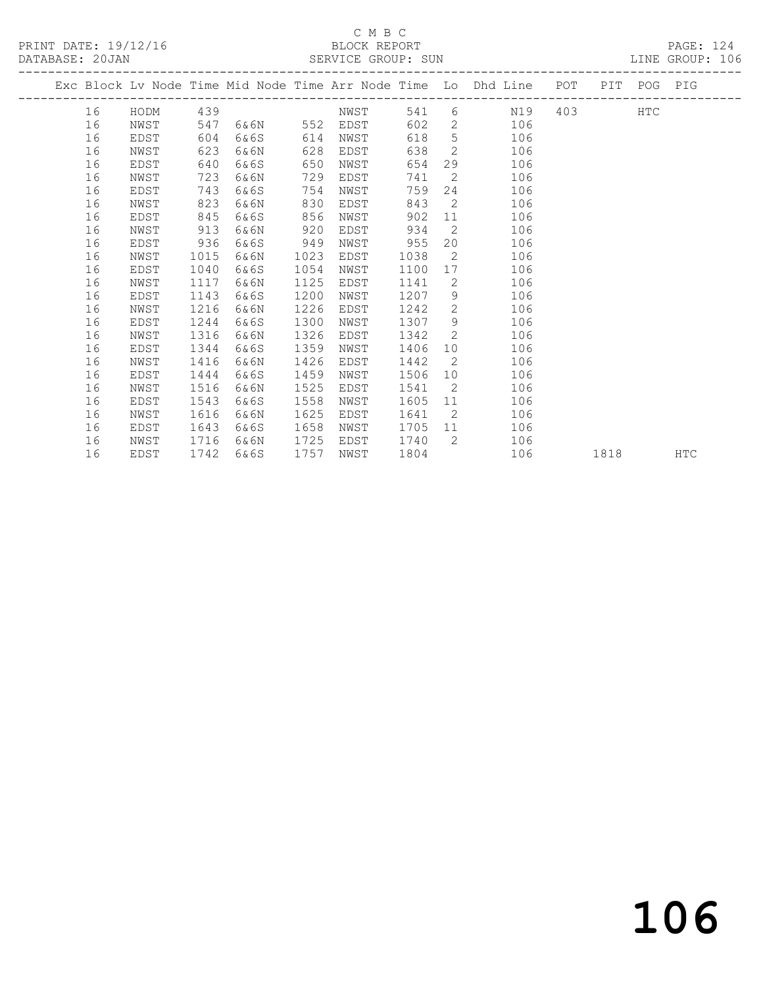# C M B C

DATABASE: 20JAN SERVICE GROUP: SUN LINE GROUP: 106

| DATABASE: ZUJAN |    |      |     |      |     | SLKVICL GKUUF: SUN |     |     |                                                                |     |     |            | TIME GKOUR: INO |  |
|-----------------|----|------|-----|------|-----|--------------------|-----|-----|----------------------------------------------------------------|-----|-----|------------|-----------------|--|
|                 |    |      |     |      |     |                    |     |     | Exc Block Ly Node Time Mid Node Time Arr Node Time Lo Dhd Line | POT | PIT | POG        | PIG             |  |
|                 | 16 | HODM | 439 |      |     | NWST               | 541 | 6   | N19                                                            | 403 |     | <b>HTC</b> |                 |  |
|                 | 16 | NWST | 547 | 6&6N | 552 | EDST               | 602 | 2   | 106                                                            |     |     |            |                 |  |
|                 | 16 | EDST | 604 | 6&6S | 614 | NWST               | 618 | 5.  | 106                                                            |     |     |            |                 |  |
|                 | 16 | NWST | 623 | 6&6N | 628 | EDST               | 638 | -2  | 106                                                            |     |     |            |                 |  |
|                 | 16 | EDST | 640 | 6&6S | 650 | NWST               | 654 | 29  | 106                                                            |     |     |            |                 |  |
|                 | 16 | NWST | 723 | 6&6N | 729 | EDST               | 741 | - 2 | 106                                                            |     |     |            |                 |  |
|                 | 16 | EDST | 743 | 6&6S | 754 | NWST               | 759 | 24  | 106                                                            |     |     |            |                 |  |
|                 | 16 | NWST | 823 | 6&6N | 830 | EDST               | 843 | - 2 | 106                                                            |     |     |            |                 |  |
|                 | 16 | EDST | 845 | 6&6S | 856 | NWST               | 902 | 11  | 106                                                            |     |     |            |                 |  |
|                 | 16 | NWST | 913 | 6&6N | 920 | EDST               | 934 | 2   | 106                                                            |     |     |            |                 |  |
|                 |    |      |     |      |     |                    |     |     |                                                                |     |     |            |                 |  |

1757 NWST 1804 106 1818 HTC

 16 EDST 936 6&6S 949 NWST 955 20 106 16 NWST 1015 6&6N 1023 EDST 1038 2 106 16 EDST 1040 6&6S 1054 NWST 1100 17 106 16 NWST 1117 6&6N 1125 EDST 1141 2 106 16 EDST 1143 6&6S 1200 NWST 1207 9 106 16 NWST 1216 6&6N 1226 EDST 1242 2 106 16 EDST 1244 6&6S 1300 NWST 1307 9 106 16 NWST 1316 6&6N 1326 EDST 1342 2 106 16 EDST 1344 6&6S 1359 NWST 1406 10 106 16 NWST 1416 6&6N 1426 EDST 1442 2 106 16 EDST 1444 6&6S 1459 NWST 1506 10 106 16 NWST 1516 6&6N 1525 EDST 1541 2 106

 16 EDST 1543 6&6S 1558 NWST 1605 11 106 16 NWST 1616 6&6N 1625 EDST 1641 2 106 16 EDST 1643 6&6S 1658 NWST 1705 11 106 16 NWST 1716 6&6N 1725 EDST 1740 2 106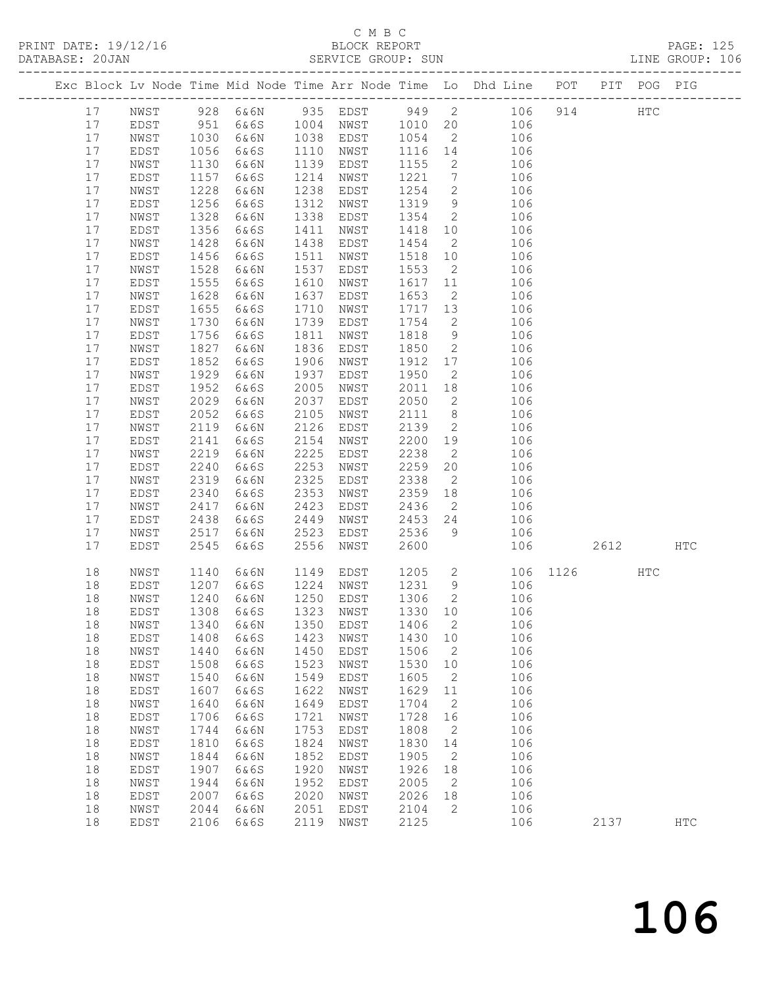## C M B C<br>BLOCK REPORT

PRINT DATE: 19/12/16 BLOCK REPORT PAGE: 125

SERVICE GROUP: SUN

|  |          |              |              |                            |              |                |                 |                            | Exc Block Lv Node Time Mid Node Time Arr Node Time Lo Dhd Line POT PIT POG PIG |          |               |     |
|--|----------|--------------|--------------|----------------------------|--------------|----------------|-----------------|----------------------------|--------------------------------------------------------------------------------|----------|---------------|-----|
|  | 17       | NWST         |              |                            |              |                |                 |                            |                                                                                | 914      | $_{\rm HTC}$  |     |
|  | 17       | EDST         | 951          |                            |              |                |                 |                            |                                                                                |          |               |     |
|  | 17       | NWST         | 1030         | 6&6N                       |              | 1038 EDST 1054 |                 | $\overline{2}$             | 106                                                                            |          |               |     |
|  | 17       | EDST         | 1056         | 6&6S                       | 1110         | NWST           | 1116 14         |                            | 106                                                                            |          |               |     |
|  | 17       | NWST         | 1130         | 6&6N                       | 1139         | EDST           | 1155            | $\overline{2}$             | 106                                                                            |          |               |     |
|  | 17       | EDST         | 1157         | 6&6S                       | 1214         | NWST           | 1221            | $\overline{7}$             | 106                                                                            |          |               |     |
|  | 17       | NWST         | 1228         | 6&6N                       | 1238         | EDST           | 1254            | $\overline{2}$             | 106                                                                            |          |               |     |
|  | 17       | EDST         | 1256         | 6&6S                       | 1312         | NWST           | 1319            | 9                          | 106                                                                            |          |               |     |
|  | 17       | NWST         | 1328         | 6&6N                       | 1338         | EDST           | 1354            | $\overline{2}$             | 106                                                                            |          |               |     |
|  | 17       | EDST         | 1356         | 6&6S                       | 1411         | NWST           | 1418 10         |                            | 106                                                                            |          |               |     |
|  | 17       | NWST         | 1428         | 6&6N                       | 1438         | EDST           | 1454            | $\overline{2}$             | 106                                                                            |          |               |     |
|  | 17       | EDST         | 1456         | 6&6S                       | 1511         | NWST           | 1518            | 10                         | 106                                                                            |          |               |     |
|  | 17       | NWST         | 1528         | 6&6N                       | 1537         | EDST           | 1553            | $\overline{2}$             | 106                                                                            |          |               |     |
|  | 17       | EDST         | 1555         | 6&6S                       | 1610         | NWST           | 1617 11         |                            | 106                                                                            |          |               |     |
|  | 17       | NWST         | 1628         | 6&6N                       | 1637         | EDST           | 1653            | $\overline{2}$             | 106                                                                            |          |               |     |
|  | 17<br>17 | EDST         | 1655<br>1730 | 6&6S<br>6&6N               | 1710<br>1739 | NWST           | 1717 13<br>1754 | $\overline{2}$             | 106                                                                            |          |               |     |
|  | 17       | NWST<br>EDST | 1756         | 6&6S                       | 1811         | EDST<br>NWST   | 1818            | 9                          | 106<br>106                                                                     |          |               |     |
|  | 17       | NWST         | 1827         | 6&6N                       | 1836         | EDST           | 1850            | $\overline{2}$             | 106                                                                            |          |               |     |
|  | 17       | EDST         | 1852         | 6&6S                       | 1906         | NWST           | 1912            | 17                         | 106                                                                            |          |               |     |
|  | 17       | NWST         | 1929         | 6&6N                       | 1937         | EDST           | 1950            | $\overline{2}$             | 106                                                                            |          |               |     |
|  | 17       | EDST         | 1952         | 6&6S                       | 2005         | NWST           | 2011            | 18                         | 106                                                                            |          |               |     |
|  | 17       | NWST         | 2029         | 6&6N                       | 2037         | EDST           | 2050            | $\overline{2}$             | 106                                                                            |          |               |     |
|  | 17       | EDST         | 2052         | 6&6S                       | 2105         | NWST           | 2111            | 8 <sup>8</sup>             | 106                                                                            |          |               |     |
|  | 17       | NWST         | 2119         | 6&6N                       | 2126         | EDST           | 2139            | $\overline{2}$             | 106                                                                            |          |               |     |
|  | 17       | EDST         | 2141         | 6&6S                       | 2154         | NWST           | 2200 19         |                            | 106                                                                            |          |               |     |
|  | 17       | NWST         | 2219         | 6&6N                       | 2225         | EDST           | 2238            | $\overline{2}$             | 106                                                                            |          |               |     |
|  | 17       | EDST         | 2240         | 6&6S                       | 2253         | NWST           | 2259            | 20                         | 106                                                                            |          |               |     |
|  | 17       | NWST         | 2319         | 6&6N                       | 2325         | EDST           | 2338            | $\overline{2}$             | 106                                                                            |          |               |     |
|  | 17       | EDST         | 2340         | 6&6S                       | 2353         | NWST           | 2359 18         |                            | 106                                                                            |          |               |     |
|  | 17       | NWST         | 2417         | 6&6N                       | 2423         | EDST           | 2436            | $\overline{2}$             | 106                                                                            |          |               |     |
|  | 17       | EDST         | 2438         | 6&6S                       | 2449         | NWST           | 2453 24         |                            | 106                                                                            |          |               |     |
|  | 17       | NWST         | 2517         | 6&6N                       | 2523         | EDST           | 2536            | 9 <sup>°</sup>             | 106                                                                            |          |               |     |
|  | 17       | EDST         | 2545         | 6&6S                       | 2556         | NWST           | 2600            |                            | 106                                                                            | 2612     |               | HTC |
|  | 18       | NWST         | 1140         | 6&6N                       | 1149         | EDST           | 1205 2          |                            |                                                                                | 106 1126 | $_{\rm{HTC}}$ |     |
|  | 18       | EDST         | 1207         | 6&6S                       | 1224         | NWST           | 1231            | 9                          | 106                                                                            |          |               |     |
|  | 18       | NWST         | 1240         | 6&6N                       |              | 1250 EDST      | 1306            | $\overline{2}$             | 106                                                                            |          |               |     |
|  | 18       | EDST         | 1308         | 6&6S                       |              | 1323 NWST      | 1330 10         |                            | 106                                                                            |          |               |     |
|  | 18       | NWST         |              | 1340 6&6N 1350 EDST 1406 2 |              |                |                 |                            | 106                                                                            |          |               |     |
|  | 18       | EDST         | 1408         | 6&6S                       | 1423         | NWST           | 1430            | 10                         | 106                                                                            |          |               |     |
|  | 18       | NWST         | 1440         | 6&6N                       | 1450         | EDST           | 1506            | $\overline{\phantom{a}}$   | 106                                                                            |          |               |     |
|  | 18       | EDST         | 1508         | 6&6S                       | 1523         | NWST           | 1530            | 10                         | 106                                                                            |          |               |     |
|  | 18       | NWST         | 1540         | 6&6N                       | 1549         | EDST           | 1605            | $\overline{\phantom{0}}^2$ | 106                                                                            |          |               |     |
|  | 18       | EDST         | 1607         | 6&6S                       | 1622         | NWST           | 1629            | 11                         | 106                                                                            |          |               |     |
|  | 18<br>18 | NWST         | 1640<br>1706 | 6&6N                       | 1649<br>1721 | EDST           | 1704<br>1728    | $\overline{2}$             | 106<br>106                                                                     |          |               |     |
|  | 18       | EDST<br>NWST | 1744         | 6&6S<br>6&6N               | 1753         | NWST<br>EDST   | 1808            | 16<br>$\overline{2}$       | 106                                                                            |          |               |     |
|  | 18       | EDST         | 1810         | 6&6S                       | 1824         | NWST           | 1830            | 14                         | 106                                                                            |          |               |     |
|  | 18       | NWST         | 1844         | 6&6N                       | 1852         | EDST           | 1905            | $\overline{2}$             | 106                                                                            |          |               |     |
|  | 18       | EDST         | 1907         | 6&6S                       | 1920         | NWST           | 1926            | 18                         | 106                                                                            |          |               |     |
|  | 18       | NWST         | 1944         | 6&6N                       | 1952         | EDST           | 2005            | $\overline{\phantom{a}}$   | 106                                                                            |          |               |     |
|  | 18       | EDST         | 2007         | 6&6S                       | 2020         | NWST           | 2026            | 18                         | 106                                                                            |          |               |     |
|  | 18       | NWST         | 2044         | 6&6N                       | 2051         | EDST           | 2104            | 2                          | 106                                                                            |          |               |     |
|  | 18       | EDST         | 2106         | 6&6S                       | 2119         | NWST           | 2125            |                            | 106                                                                            | 2137     |               | HTC |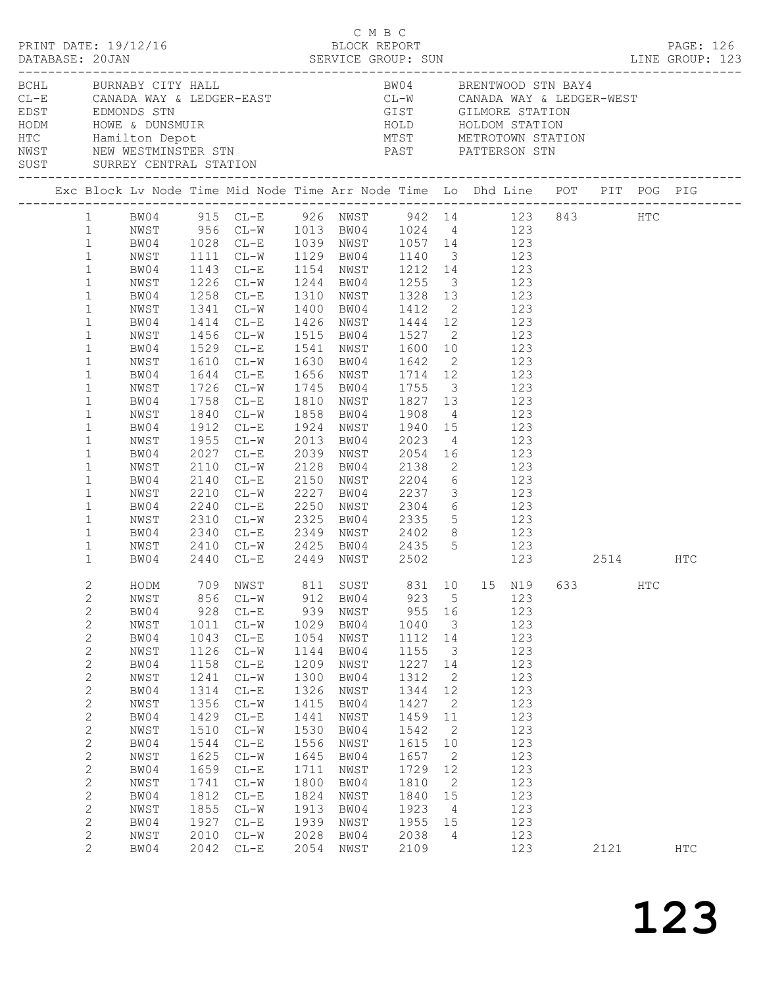|  | DATABASE: 20JAN                                                                                                                                                                                                                                                                                                                                                                             |                                                                                                                                                                                              |                                                                                                                                                            | $\begin{array}{cccc}\n\texttt{CRINT} & \texttt{DATE:} & 19/12/16 & \texttt{C} & \texttt{M} & \texttt{B} & \texttt{C}\n\end{array}$                                                                                                                                                                                                                                                                                                          |                                                                                                                                                            |                                                                                                                                                                                                                                                                                                                                                                                                                                                                                                                                                    |                                                                                                                                                            |                                                                                                                                                      |                             |                                                                                                                                          |      |     | PAGE: 126     |  |
|--|---------------------------------------------------------------------------------------------------------------------------------------------------------------------------------------------------------------------------------------------------------------------------------------------------------------------------------------------------------------------------------------------|----------------------------------------------------------------------------------------------------------------------------------------------------------------------------------------------|------------------------------------------------------------------------------------------------------------------------------------------------------------|---------------------------------------------------------------------------------------------------------------------------------------------------------------------------------------------------------------------------------------------------------------------------------------------------------------------------------------------------------------------------------------------------------------------------------------------|------------------------------------------------------------------------------------------------------------------------------------------------------------|----------------------------------------------------------------------------------------------------------------------------------------------------------------------------------------------------------------------------------------------------------------------------------------------------------------------------------------------------------------------------------------------------------------------------------------------------------------------------------------------------------------------------------------------------|------------------------------------------------------------------------------------------------------------------------------------------------------------|------------------------------------------------------------------------------------------------------------------------------------------------------|-----------------------------|------------------------------------------------------------------------------------------------------------------------------------------|------|-----|---------------|--|
|  |                                                                                                                                                                                                                                                                                                                                                                                             | BCHL BURNABY CITY HALL<br>SUST SURREY CENTRAL STATION                                                                                                                                        |                                                                                                                                                            | CL-E CANADA WAY & LEDGER-EAST<br>EDST EDMONDS STN GIST GILMORE STATION<br>HODM HOWE & DUNSMUIR<br>HOLD HOLDOM STATION<br>HOLD HOLDOM STATION<br>HOLD HOLDOM STATION<br>NETROTOWN STATION<br>NETROTOWN STATION<br>NETROTOWN STATION<br>NETROTOWN                                                                                                                                                                                             |                                                                                                                                                            | BW04 BRENTWOOD STN BAY4                                                                                                                                                                                                                                                                                                                                                                                                                                                                                                                            |                                                                                                                                                            |                                                                                                                                                      |                             |                                                                                                                                          |      |     |               |  |
|  |                                                                                                                                                                                                                                                                                                                                                                                             |                                                                                                                                                                                              |                                                                                                                                                            | Exc Block Lv Node Time Mid Node Time Arr Node Time Lo Dhd Line POT PIT POG PIG                                                                                                                                                                                                                                                                                                                                                              |                                                                                                                                                            |                                                                                                                                                                                                                                                                                                                                                                                                                                                                                                                                                    |                                                                                                                                                            |                                                                                                                                                      |                             |                                                                                                                                          |      |     |               |  |
|  | $\mathbf{1}$<br>$\mathbf{1}$<br>$\mathbf{1}$<br>$\mathbf{1}$<br>$\mathbf{1}$<br>$\mathbf{1}$<br>$\mathbf{1}$<br>$\mathbf{1}$<br>$\mathbf{1}$<br>$\mathbf{1}$<br>$\mathbf{1}$<br>$\mathbf{1}$<br>$\mathbf{1}$<br>$\mathbf{1}$<br>$\mathbf{1}$<br>$\mathbf{1}$<br>$\mathbf{1}$<br>$\mathbf{1}$<br>$\mathbf 1$<br>$\mathbf{1}$<br>$\mathbf{1}$<br>$\mathbf{1}$<br>$\mathbf{1}$<br>$\mathbf{1}$ | NWST<br>BW04<br>NWST<br>BW04<br>NWST<br>BW04<br>NWST<br>BW04<br>NWST<br>BW04<br>NWST<br>BW04<br>NWST<br>BW04<br>NWST<br>BW04<br>NWST<br>BW04<br>NWST<br>BW04<br>NWST<br>BW04<br>NWST<br>BW04 | 1414<br>1456<br>1610<br>1644<br>1912<br>1955<br>2110<br>2140<br>2210<br>2240<br>2310<br>2340<br>2410                                                       | 1 BW04 915 CL-E 926 NWST 942 14 123 843 HTC<br>1 NWST 956 CL-W 1013 BW04 1024 4 123<br>1 BW04 1028 CL-E 1039 NWST 1057 14 123<br>1111 CL-W<br>1143 CL-E<br>1226 CL-W<br>1258 CL-E<br>1341 CL-W 1400 BW04 1412 2 123<br>$CL-E$<br>$CL-W$<br>1529 CL-E<br>$CL-W$<br>$CL-E$<br>1726 CL-W<br>1758 CL-E<br>1840 CL-W<br>$CL-E$<br>$CL-W$<br>2027 CL-E<br>$CL-W$<br>$CL-E$<br>$CL-W$<br>$CL-E$<br>$CL-W$<br>2440 CL-E 2449 NWST 2502 123 2514 HTC | 2325                                                                                                                                                       | 1129 BW04 1140 3 123<br>1154 NWST 1212 14 123<br>1244 BW04 1255 3 123<br>1310 NWST 1328 13 123<br>1426 NWST 1444 12 123<br>1515 BW04 1527 2 123<br>1541 NWST 1600 10 123<br>1630 BW04 1642<br>1656 NWST 1714 12 123<br>1745 BW04 1755 3 123<br>1810 NWST 1827 13 123<br>1858 BW04 1908 4 123<br>1924 NWST 1940 15 123<br>2013 BW04 2023 4 123<br>2039 NWST 2054 16 123<br>2128 BW04 2138 2 123<br>2150 NWST 2204<br>2227 BW04 2237 3 123<br>2250 NWST 2304 6 123<br>2325 BW04 2335 5 123<br>CL-E 2349 NWST 2402 8 123<br>CL-W 2425 BW04 2435 5 123 |                                                                                                                                                            |                                                                                                                                                      | $\overline{2}$ 123<br>6 123 |                                                                                                                                          |      |     |               |  |
|  | $\overline{2}$<br>2<br>$\mathbf{2}$<br>$\mathbf{2}$<br>$\mathbf{2}$<br>$\mathbf{2}$<br>$\mathbf{2}$<br>$\mathbf{2}$<br>$\mathbf{2}$<br>$\mathbf{2}$<br>$\mathbf{2}$<br>$\mathbf{2}$<br>2<br>$\mathbf{2}$<br>$\mathbf{2}$<br>$\mathbf{2}$<br>$\mathbf{2}$<br>$\mathbf{2}$<br>$\mathbf{2}$<br>$\mathbf{2}$<br>$\overline{2}$                                                                  | NWST<br>BW04<br>NWST<br>BW04<br>NWST<br>BW04<br>NWST<br>BW04<br>NWST<br>BW04<br>NWST<br>BW04<br>NWST<br>BW04<br>NWST<br>BW04<br>NWST<br>BW04<br>NWST<br>BW04                                 | 856<br>928<br>1011<br>1043<br>1126<br>1158<br>1241<br>1314<br>1356<br>1429<br>1510<br>1544<br>1625<br>1659<br>1741<br>1812<br>1855<br>1927<br>2010<br>2042 | HODM 709 NWST 811 SUST 831 10 15 N19 633<br>$CL-W$<br>$CL-E$<br>$CL-W$<br>$CL-E$<br>$CL-W$<br>$CL-E$<br>$CL-W$<br>$CL-E$<br>$CL-W$<br>$CL-E$<br>$CL-W$<br>$CL-E$<br>$CL-W$<br>$CL-E$<br>$CL-W$<br>$CL-E$<br>$CL-W$<br>$CL-E$<br>$CL-W$<br>$CL-E$                                                                                                                                                                                            | 912<br>939<br>1029<br>1054<br>1144<br>1209<br>1300<br>1326<br>1415<br>1441<br>1530<br>1556<br>1645<br>1711<br>1800<br>1824<br>1913<br>1939<br>2028<br>2054 | BW04<br>NWST<br>BW04<br>NWST<br>BW04<br>NWST<br>BW04<br>NWST<br>BW04<br>NWST<br>BW04<br>NWST<br>BW04<br>NWST<br>BW04<br>NWST<br>BW04<br>NWST<br>BW04<br>NWST                                                                                                                                                                                                                                                                                                                                                                                       | 923<br>955<br>1040<br>1112<br>1155<br>1227<br>1312<br>1344<br>1427<br>1459<br>1542<br>1615<br>1657<br>1729<br>1810<br>1840<br>1923<br>1955<br>2038<br>2109 | 5<br>16<br>$\overline{\mathbf{3}}$<br>14<br>3<br>14<br>2<br>12<br>2<br>11<br>2<br>10<br>2<br>12<br>2<br>15<br>$\overline{4}$<br>15<br>$\overline{4}$ |                             | 123<br>123<br>123<br>123<br>123<br>123<br>123<br>123<br>123<br>123<br>123<br>123<br>123<br>123<br>123<br>123<br>123<br>123<br>123<br>123 | 2121 | HTC | $_{\rm{HTC}}$ |  |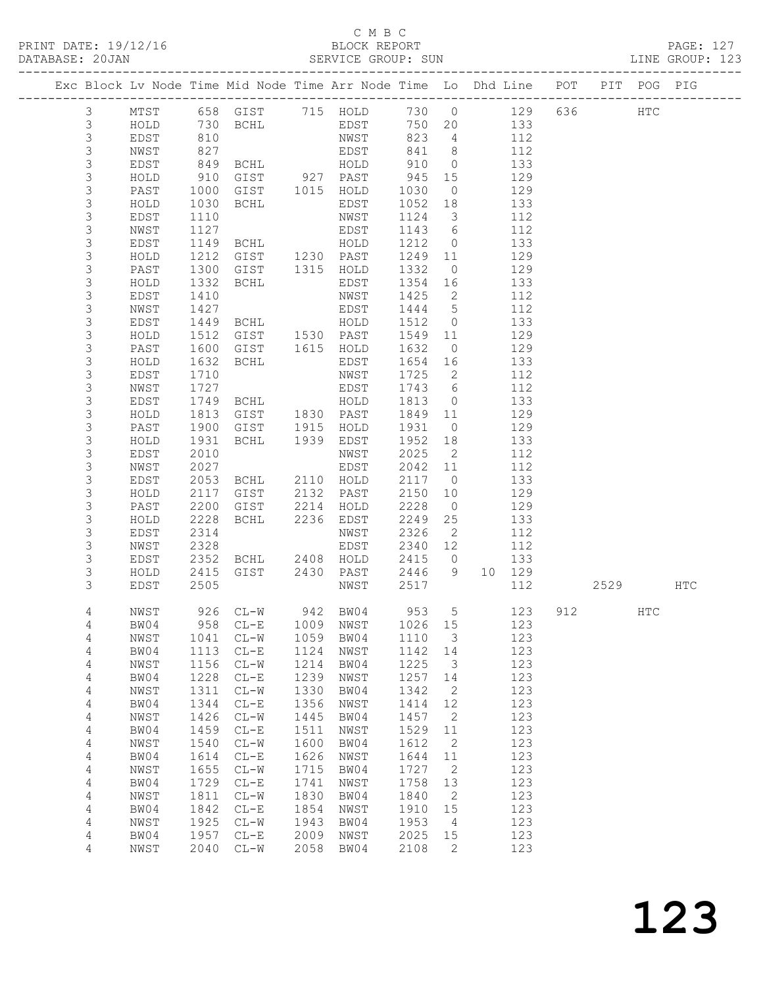### C M B C<br>BLOCK REPORT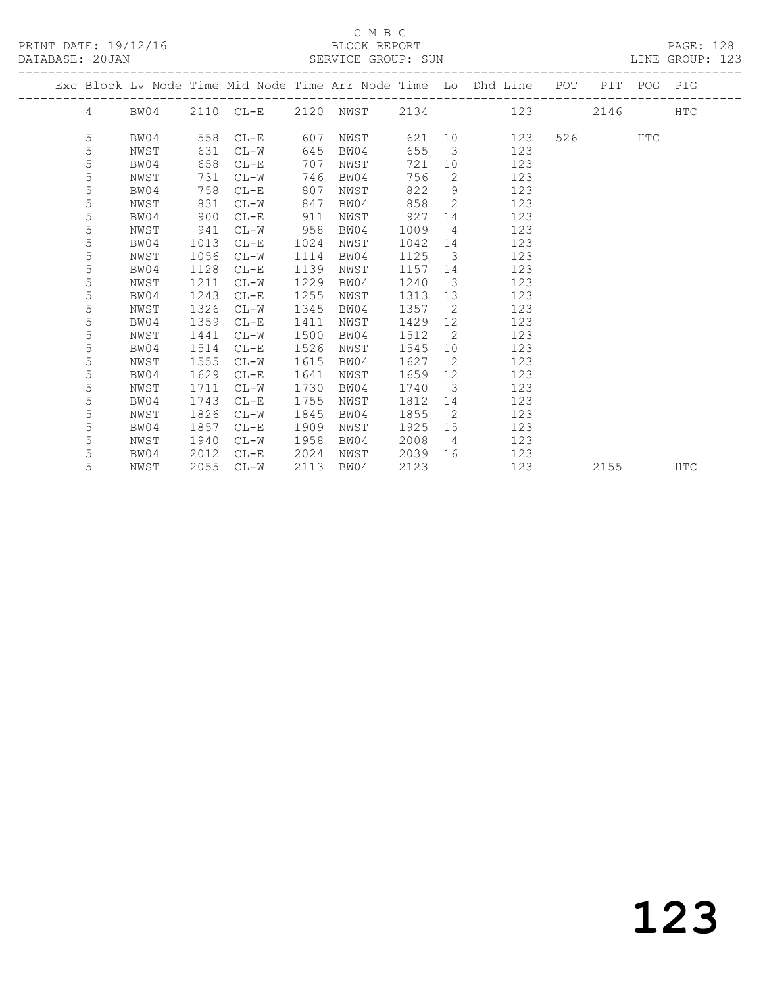### C M B C<br>BLOCK REPORT SERVICE GROUP: SUN

|  |            |      |      |               |      |      |      |                         | Exc Block Lv Node Time Mid Node Time Arr Node Time Lo Dhd Line POT PIT POG PIG |        |     |            |
|--|------------|------|------|---------------|------|------|------|-------------------------|--------------------------------------------------------------------------------|--------|-----|------------|
|  | $4\degree$ | BW04 |      | $2110$ $CL-E$ |      |      |      |                         | 2120 NWST 2134 123                                                             | 2146   |     | <b>HTC</b> |
|  | 5          | BW04 | 558  | $CL-E$        | 607  | NWST |      |                         | 621 10<br>123                                                                  | 526 32 | HTC |            |
|  | 5          | NWST | 631  | $CL-W$        | 645  | BW04 | 655  | $\overline{\mathbf{3}}$ | 123                                                                            |        |     |            |
|  | 5          | BW04 | 658  | $CL-E$        | 707  | NWST | 721  |                         | 10<br>123                                                                      |        |     |            |
|  | 5          | NWST | 731  | $CL-W$        | 746  | BW04 | 756  | 2                       | 123                                                                            |        |     |            |
|  | 5          | BW04 | 758  | $CL-E$        | 807  | NWST | 822  | 9                       | 123                                                                            |        |     |            |
|  | 5          | NWST | 831  | $CL-W$        | 847  | BW04 | 858  | $\overline{2}$          | 123                                                                            |        |     |            |
|  | 5          | BW04 | 900  | $CL-E$        | 911  | NWST | 927  |                         | 123<br>14 \                                                                    |        |     |            |
|  | 5          | NWST | 941  | $CL-W$        | 958  | BW04 | 1009 | $\overline{4}$          | 123                                                                            |        |     |            |
|  | 5          | BW04 | 1013 | $CL-E$        | 1024 | NWST | 1042 | 14                      | 123                                                                            |        |     |            |
|  | 5          | NWST | 1056 | $CL-W$        | 1114 | BW04 | 1125 | $\overline{\mathbf{3}}$ | 123                                                                            |        |     |            |
|  | 5          | BW04 | 1128 | $CL-E$        | 1139 | NWST | 1157 | 14                      | 123                                                                            |        |     |            |
|  | 5          | NWST | 1211 | $CL-W$        | 1229 | BW04 | 1240 | $\overline{\mathbf{3}}$ | 123                                                                            |        |     |            |
|  | 5          | BW04 | 1243 | $CL-E$        | 1255 | NWST | 1313 | 13                      | 123                                                                            |        |     |            |
|  | 5          | NWST | 1326 | $CL-W$        | 1345 | BW04 | 1357 | $\overline{2}$          | 123                                                                            |        |     |            |
|  | 5          | BW04 | 1359 | $CL-E$        | 1411 | NWST | 1429 | 12 <sup>7</sup>         | 123                                                                            |        |     |            |
|  | 5          | NWST | 1441 | $CL-W$        | 1500 | BW04 | 1512 | $\overline{2}$          | 123                                                                            |        |     |            |
|  | 5          | BW04 | 1514 | $CL-E$        | 1526 | NWST | 1545 | 10                      | 123                                                                            |        |     |            |
|  | 5          | NWST | 1555 | $CL-W$        | 1615 | BW04 | 1627 | $\overline{2}$          | 123                                                                            |        |     |            |
|  | 5          | BW04 | 1629 | $CL-E$        | 1641 | NWST | 1659 | 12 <sup>°</sup>         | 123                                                                            |        |     |            |
|  | 5          | NWST | 1711 | $CL-W$        | 1730 | BW04 | 1740 | $\overline{\mathbf{3}}$ | 123                                                                            |        |     |            |
|  | 5          | BW04 | 1743 | $CL-E$        | 1755 | NWST | 1812 |                         | 14<br>123                                                                      |        |     |            |
|  | 5          | NWST | 1826 | $CL-W$        | 1845 | BW04 | 1855 | $\overline{2}$          | 123                                                                            |        |     |            |
|  | 5          | BW04 | 1857 | $CL-E$        | 1909 | NWST | 1925 | 15                      | 123                                                                            |        |     |            |
|  | 5          | NWST | 1940 | $CL-W$        | 1958 | BW04 | 2008 | $\overline{4}$          | 123                                                                            |        |     |            |
|  | 5          | BW04 | 2012 | $CL-E$        | 2024 | NWST | 2039 | 16                      | 123                                                                            |        |     |            |
|  | 5          | NWST | 2055 | $CL-W$        | 2113 | BW04 | 2123 |                         | 123                                                                            | 2155   |     | <b>HTC</b> |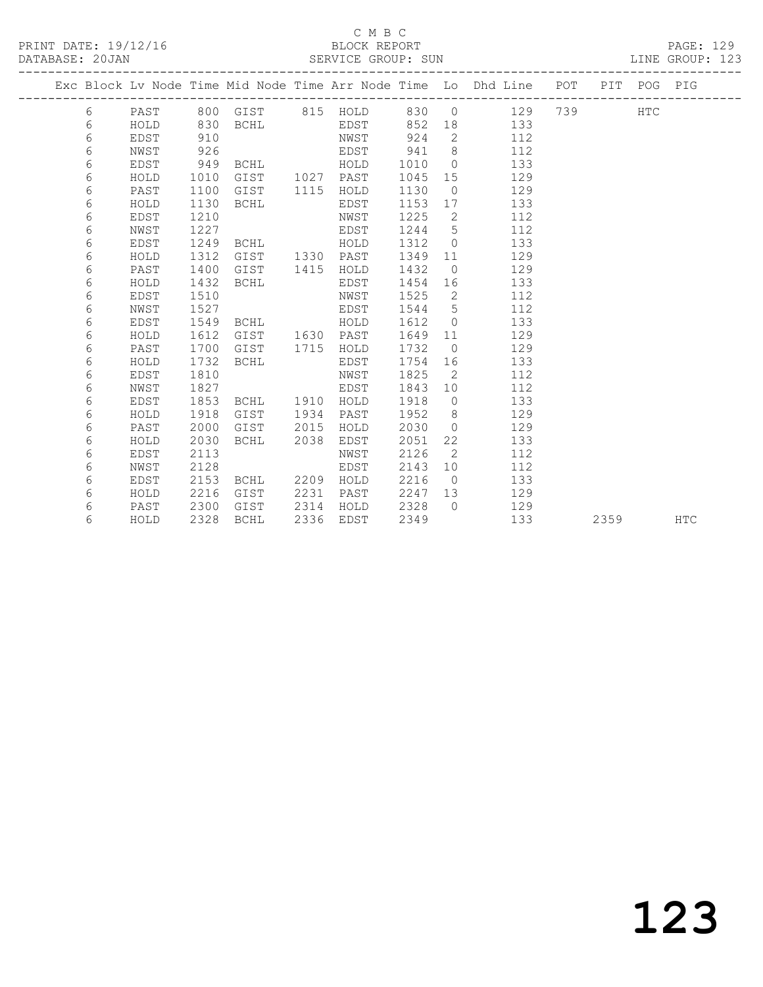## C M B C<br>BLOCK REPORT

| PRINT DATE: 19/12/16 | BLOCK REPORT       | PAGE: 129       |
|----------------------|--------------------|-----------------|
| DATABASE: 20JAN      | SERVICE GROUP: SUN | LINE GROUP: 123 |

|  |   |             |      |                   |      |           |      |                 | Exc Block Lv Node Time Mid Node Time Arr Node Time Lo Dhd Line POT PIT POG PIG |     |      |            |            |
|--|---|-------------|------|-------------------|------|-----------|------|-----------------|--------------------------------------------------------------------------------|-----|------|------------|------------|
|  | 6 | PAST        |      | 800 GIST 815 HOLD |      |           | 830  | $\overline{0}$  | 129                                                                            | 739 |      | <b>HTC</b> |            |
|  | 6 | HOLD        | 830  | <b>BCHL</b>       |      | EDST      | 852  | 18              | 133                                                                            |     |      |            |            |
|  | 6 | <b>EDST</b> | 910  |                   |      | NWST      | 924  | $\overline{2}$  | 112                                                                            |     |      |            |            |
|  | 6 | NWST        | 926  |                   |      | EDST      | 941  | - 8             | 112                                                                            |     |      |            |            |
|  | 6 | EDST        | 949  | BCHL              |      | HOLD      | 1010 | $\overline{0}$  | 133                                                                            |     |      |            |            |
|  | 6 | HOLD        | 1010 | GIST              |      | 1027 PAST | 1045 | 15              | 129                                                                            |     |      |            |            |
|  | 6 | PAST        | 1100 | GIST              | 1115 | HOLD      | 1130 | $\overline{0}$  | 129                                                                            |     |      |            |            |
|  | 6 | HOLD        | 1130 | BCHL              |      | EDST      | 1153 | 17              | 133                                                                            |     |      |            |            |
|  | 6 | EDST        | 1210 |                   |      | NWST      | 1225 | 2               | 112                                                                            |     |      |            |            |
|  | 6 | NWST        | 1227 |                   |      | EDST      | 1244 | 5               | 112                                                                            |     |      |            |            |
|  | 6 | EDST        | 1249 | BCHL              |      | HOLD      | 1312 | $\overline{0}$  | 133                                                                            |     |      |            |            |
|  | 6 | HOLD        | 1312 | GIST              | 1330 | PAST      | 1349 | 11              | 129                                                                            |     |      |            |            |
|  | 6 | PAST        | 1400 | GIST              | 1415 | HOLD      | 1432 | $\overline{0}$  | 129                                                                            |     |      |            |            |
|  | 6 | HOLD        | 1432 | <b>BCHL</b>       |      | EDST      | 1454 | 16              | 133                                                                            |     |      |            |            |
|  | 6 | EDST        | 1510 |                   |      | NWST      | 1525 | $\mathbf{2}$    | 112                                                                            |     |      |            |            |
|  | 6 | NWST        | 1527 |                   |      | EDST      | 1544 | 5               | 112                                                                            |     |      |            |            |
|  | 6 | EDST        | 1549 | BCHL              |      | HOLD      | 1612 | $\overline{0}$  | 133                                                                            |     |      |            |            |
|  | 6 | HOLD        | 1612 | GIST              |      | 1630 PAST | 1649 | 11              | 129                                                                            |     |      |            |            |
|  | 6 | PAST        | 1700 | GIST              | 1715 | HOLD      | 1732 | $\overline{0}$  | 129                                                                            |     |      |            |            |
|  | 6 | HOLD        | 1732 | <b>BCHL</b>       |      | EDST      | 1754 | 16              | 133                                                                            |     |      |            |            |
|  | 6 | <b>EDST</b> | 1810 |                   |      | NWST      | 1825 | 2               | 112                                                                            |     |      |            |            |
|  | 6 | NWST        | 1827 |                   |      | EDST      | 1843 | 10 <sup>°</sup> | 112                                                                            |     |      |            |            |
|  | 6 | EDST        | 1853 | BCHL              | 1910 | HOLD      | 1918 | $\overline{0}$  | 133                                                                            |     |      |            |            |
|  | 6 | HOLD        | 1918 | GIST              | 1934 | PAST      | 1952 | 8               | 129                                                                            |     |      |            |            |
|  | 6 | PAST        | 2000 | GIST              | 2015 | HOLD      | 2030 | $\bigcirc$      | 129                                                                            |     |      |            |            |
|  | 6 | HOLD        | 2030 | BCHL              | 2038 | EDST      | 2051 | 22              | 133                                                                            |     |      |            |            |
|  | 6 | <b>EDST</b> | 2113 |                   |      | NWST      | 2126 | 2               | 112                                                                            |     |      |            |            |
|  | 6 | NWST        | 2128 |                   |      | EDST      | 2143 | 10              | 112                                                                            |     |      |            |            |
|  | 6 | <b>EDST</b> | 2153 | BCHL              | 2209 | HOLD      | 2216 | $\bigcirc$      | 133                                                                            |     |      |            |            |
|  | 6 | HOLD        | 2216 | GIST              | 2231 | PAST      | 2247 | 13              | 129                                                                            |     |      |            |            |
|  | 6 | PAST        | 2300 | GIST              | 2314 | HOLD      | 2328 | $\bigcirc$      | 129                                                                            |     |      |            |            |
|  | 6 | HOLD        | 2328 | <b>BCHL</b>       | 2336 | EDST      | 2349 |                 | 133                                                                            |     | 2359 |            | <b>HTC</b> |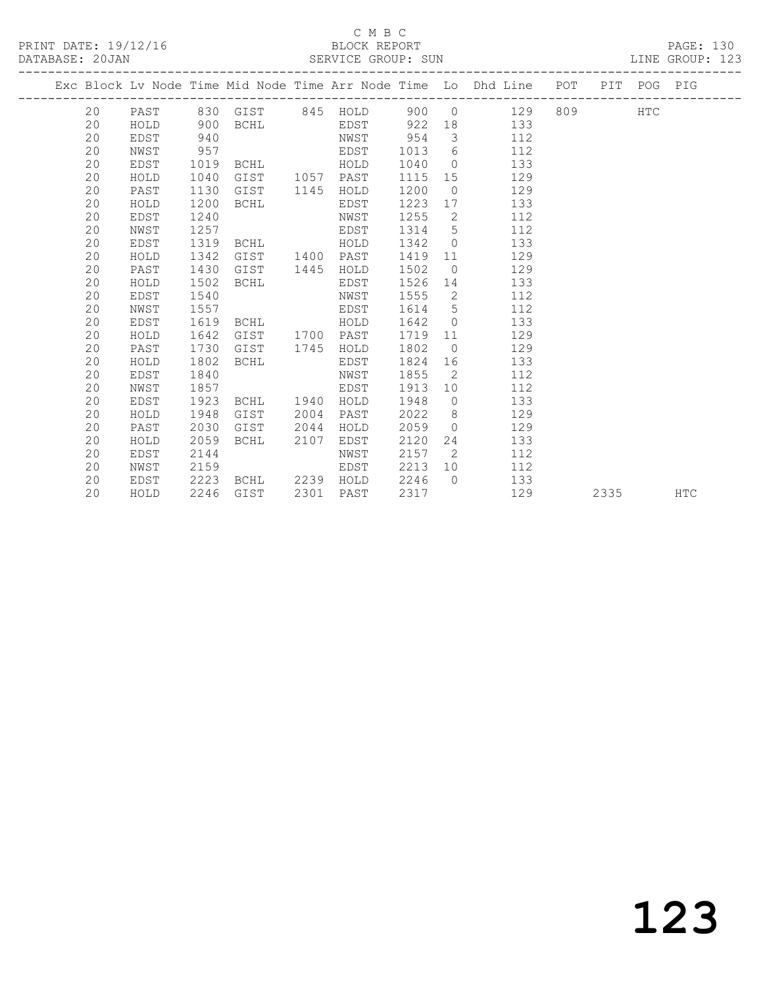### C M B C<br>BLOCK REPORT SERVICE GROUP: SUN

PRINT DATE: 19/12/16 BLOCK REPORT PAGE: 130

|  |    |      |      |                           |      |           |        |                         | Exc Block Lv Node Time Mid Node Time Arr Node Time Lo Dhd Line POT PIT POG PIG |         |      |            |
|--|----|------|------|---------------------------|------|-----------|--------|-------------------------|--------------------------------------------------------------------------------|---------|------|------------|
|  |    |      |      | 20 PAST 830 GIST 845 HOLD |      |           |        |                         | 900 0 129                                                                      | 809 HTC |      |            |
|  | 20 | HOLD | 900  | <b>BCHL</b>               |      |           |        |                         | EDST 922 18 133                                                                |         |      |            |
|  | 20 | EDST | 940  |                           |      | NWST      | 954    | $\overline{\mathbf{3}}$ | 112                                                                            |         |      |            |
|  | 20 | NWST | 957  |                           |      | EDST      | 1013   |                         | $6\degree$<br>112                                                              |         |      |            |
|  | 20 | EDST | 1019 | BCHL HOLD                 |      |           | 1040   | $\overline{0}$          | 133                                                                            |         |      |            |
|  | 20 | HOLD | 1040 | GIST                      |      | 1057 PAST | 1115   | 15                      | 129                                                                            |         |      |            |
|  | 20 | PAST | 1130 | GIST                      |      | 1145 HOLD | 1200   | $\Omega$                | 129                                                                            |         |      |            |
|  | 20 | HOLD | 1200 | BCHL                      |      | EDST      | 1223   |                         | 133<br>17                                                                      |         |      |            |
|  | 20 | EDST | 1240 |                           |      | NWST      | 1255   | $\overline{2}$          | 112                                                                            |         |      |            |
|  | 20 | NWST | 1257 |                           |      | EDST      | 1314   | 5 <sup>5</sup>          | 112                                                                            |         |      |            |
|  | 20 | EDST | 1319 | BCHL                      |      | HOLD      | 1342   | $\overline{0}$          | 133                                                                            |         |      |            |
|  | 20 | HOLD | 1342 | GIST                      |      | 1400 PAST | 1419   | 11                      | 129                                                                            |         |      |            |
|  | 20 | PAST | 1430 | GIST                      | 1445 | HOLD      | 1502   | $\overline{0}$          | 129                                                                            |         |      |            |
|  | 20 | HOLD | 1502 | BCHL                      |      | EDST      | 1526   | 14                      | 133                                                                            |         |      |            |
|  | 20 | EDST | 1540 |                           |      | NWST      | 1555   | $\overline{2}$          | 112                                                                            |         |      |            |
|  | 20 | NWST | 1557 |                           |      | EDST      | 1614   |                         | $5^{\circ}$<br>112                                                             |         |      |            |
|  | 20 | EDST | 1619 | BCHL HOLD                 |      |           | 1642 0 |                         | 133                                                                            |         |      |            |
|  | 20 | HOLD | 1642 | GIST                      |      | 1700 PAST | 1719   | 11                      | 129                                                                            |         |      |            |
|  | 20 | PAST | 1730 | GIST                      | 1745 | HOLD      | 1802   | $\overline{0}$          | 129                                                                            |         |      |            |
|  | 20 | HOLD | 1802 | BCHL                      |      | EDST      | 1824   | 16                      | 133                                                                            |         |      |            |
|  | 20 | EDST | 1840 |                           |      | NWST      | 1855   | $\overline{2}$          | 112                                                                            |         |      |            |
|  | 20 | NWST | 1857 |                           |      | EDST      | 1913   | 10                      | 112                                                                            |         |      |            |
|  | 20 | EDST | 1923 | BCHL 1940                 |      | HOLD      | 1948   |                         | $\overline{0}$<br>133                                                          |         |      |            |
|  | 20 | HOLD | 1948 | GIST                      | 2004 | PAST      | 2022   |                         | 129<br>$8 \overline{)}$                                                        |         |      |            |
|  | 20 | PAST | 2030 | GIST                      | 2044 | HOLD      | 2059   | $\bigcirc$              | 129                                                                            |         |      |            |
|  | 20 | HOLD | 2059 | BCHL                      | 2107 | EDST      | 2120   | 24                      | 133                                                                            |         |      |            |
|  | 20 | EDST | 2144 |                           |      | NWST      | 2157   | $\overline{2}$          | 112                                                                            |         |      |            |
|  | 20 | NWST | 2159 |                           |      | EDST      | 2213   | 10                      | 112                                                                            |         |      |            |
|  | 20 | EDST | 2223 | BCHL 2239 HOLD            |      |           | 2246   | $\bigcap$               | 133                                                                            |         |      |            |
|  | 20 | HOLD | 2246 | GIST                      | 2301 | PAST      | 2317   |                         | 129                                                                            |         | 2335 | <b>HTC</b> |
|  |    |      |      |                           |      |           |        |                         |                                                                                |         |      |            |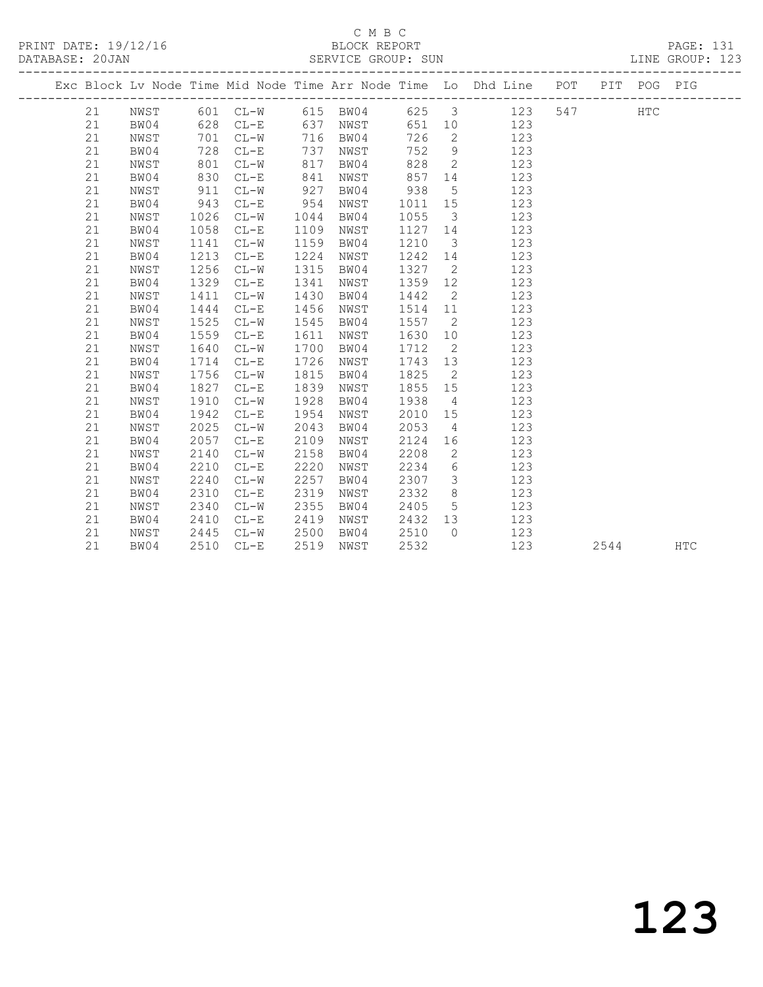# $\begin{tabular}{lllll} \multicolumn{2}{c}{\multicolumn{2}{c}{\textbf{C} M B C}}\\ \multicolumn{2}{c}{\multicolumn{2}{c}{\textbf{P}\textbf{R} \textbf{INT} \textbf{D} \textbf{A} \textbf{TE:} \textbf{19/12/16}}} & \multicolumn{2}{c}{\multicolumn{2}{c}{\textbf{C} M B C}}\\ \multicolumn{2}{c}{\multicolumn{2}{c}{\textbf{D} \textbf{A} \textbf{TE:} \textbf{19/12/16}}} & \multicolumn{2}{c}{\multicolumn{2}{c}{\textbf{D} \textbf{A} \textbf$

|  | DATABASE: 20JAN |      |      |          |      | SERVICE GROUP: SUN |      |                         |                                                                                |     |            | LINE GROUP: 123 |
|--|-----------------|------|------|----------|------|--------------------|------|-------------------------|--------------------------------------------------------------------------------|-----|------------|-----------------|
|  |                 |      |      |          |      |                    |      |                         | Exc Block Lv Node Time Mid Node Time Arr Node Time Lo Dhd Line POT PIT POG PIG |     |            |                 |
|  | 21              | NWST |      | 601 CL-W |      | 615 BW04           | 625  | $\overline{\mathbf{3}}$ | 123                                                                            | 547 | <b>HTC</b> |                 |
|  | 21              | BW04 | 628  | $CL-E$   | 637  | NWST               | 651  | 10 <sup>°</sup>         | 123                                                                            |     |            |                 |
|  | 21              | NWST | 701  | $CL-W$   | 716  | BW04               | 726  | $\overline{2}$          | 123                                                                            |     |            |                 |
|  | 21              | BW04 | 728  | $CL-E$   | 737  | NWST               | 752  | 9                       | 123                                                                            |     |            |                 |
|  | 21              | NWST | 801  | $CL-W$   | 817  | BW04               | 828  | 2                       | 123                                                                            |     |            |                 |
|  | 21              | BW04 | 830  | $CL-E$   | 841  | NWST               | 857  | 14                      | 123                                                                            |     |            |                 |
|  | 21              | NWST | 911  | $CL-W$   | 927  | BW04               | 938  | 5                       | 123                                                                            |     |            |                 |
|  | 21              | BW04 | 943  | $CL-E$   | 954  | NWST               | 1011 | 15                      | 123                                                                            |     |            |                 |
|  | 21              | NWST | 1026 | $CL-W$   | 1044 | BW04               | 1055 | $\mathcal{E}$           | 123                                                                            |     |            |                 |
|  | 21              | BW04 | 1058 | $CL-E$   | 1109 | NWST               | 1127 | 14                      | 123                                                                            |     |            |                 |
|  | 21              | NWST | 1141 | $CL-W$   | 1159 | BW04               | 1210 | 3                       | 123                                                                            |     |            |                 |
|  | 21              | BW04 | 1213 | $CL-E$   | 1224 | NWST               | 1242 | 14                      | 123                                                                            |     |            |                 |
|  | 21              | NWST | 1256 | $CL-W$   | 1315 | BW04               | 1327 | 2                       | 123                                                                            |     |            |                 |
|  | 21              | BW04 | 1329 | $CL-E$   | 1341 | NWST               | 1359 | 12                      | 123                                                                            |     |            |                 |
|  | 21              | NWST | 1411 | $CL-W$   | 1430 | BW04               | 1442 | 2                       | 123                                                                            |     |            |                 |
|  | 21              | BW04 | 1444 | $CL-E$   | 1456 | NWST               | 1514 | 11                      | 123                                                                            |     |            |                 |
|  | 21              | NWST | 1525 | $CL-W$   | 1545 | BW04               | 1557 | 2                       | 123                                                                            |     |            |                 |
|  | 21              | BW04 | 1559 | $CL-E$   | 1611 | NWST               | 1630 | 10                      | 123                                                                            |     |            |                 |
|  | 21              | NWST | 1640 | $CL-W$   | 1700 | BW04               | 1712 | 2                       | 123                                                                            |     |            |                 |
|  | 21              | BW04 | 1714 | $CL-E$   | 1726 | NWST               | 1743 | 13                      | 123                                                                            |     |            |                 |
|  | 21              | NWST | 1756 | $CL-W$   | 1815 | BW04               | 1825 | 2                       | 123                                                                            |     |            |                 |
|  | 21              | BW04 | 1827 | $CL-E$   | 1839 | NWST               | 1855 | 15                      | 123                                                                            |     |            |                 |
|  | 21              | NWST | 1910 | $CL-W$   | 1928 | BW04               | 1938 | $\overline{4}$          | 123                                                                            |     |            |                 |
|  | 21              | BW04 | 1942 | $CL - E$ | 1954 | NWST               | 2010 | 15                      | 123                                                                            |     |            |                 |
|  | 21              | NWST | 2025 | $CL-W$   | 2043 | BW04               | 2053 | 4                       | 123                                                                            |     |            |                 |
|  | 21              | BW04 | 2057 | $CL-E$   | 2109 | NWST               | 2124 | 16                      | 123                                                                            |     |            |                 |
|  | 21              | NWST | 2140 | $CL-W$   | 2158 | BW04               | 2208 | $\mathbf{2}$            | 123                                                                            |     |            |                 |
|  | 21              | BW04 | 2210 | $CL - E$ | 2220 | NWST               | 2234 | 6                       | 123                                                                            |     |            |                 |
|  | 21              | NWST | 2240 | $CL-W$   | 2257 | BW04               | 2307 | 3                       | 123                                                                            |     |            |                 |
|  | 21              | BW04 | 2310 | $CL - E$ | 2319 | NWST               | 2332 | 8                       | 123                                                                            |     |            |                 |
|  | 21              | NWST | 2340 | $CL-W$   | 2355 | BW04               | 2405 | 5                       | 123                                                                            |     |            |                 |
|  | 21              | BW04 | 2410 | $CL-E$   | 2419 | NWST               | 2432 | 13                      | 123                                                                            |     |            |                 |

21 NWST 2445 CL-W 2500 BW04 2510 0 123

21 BW04 2510 CL-E 2519 NWST 2532 123 2544 HTC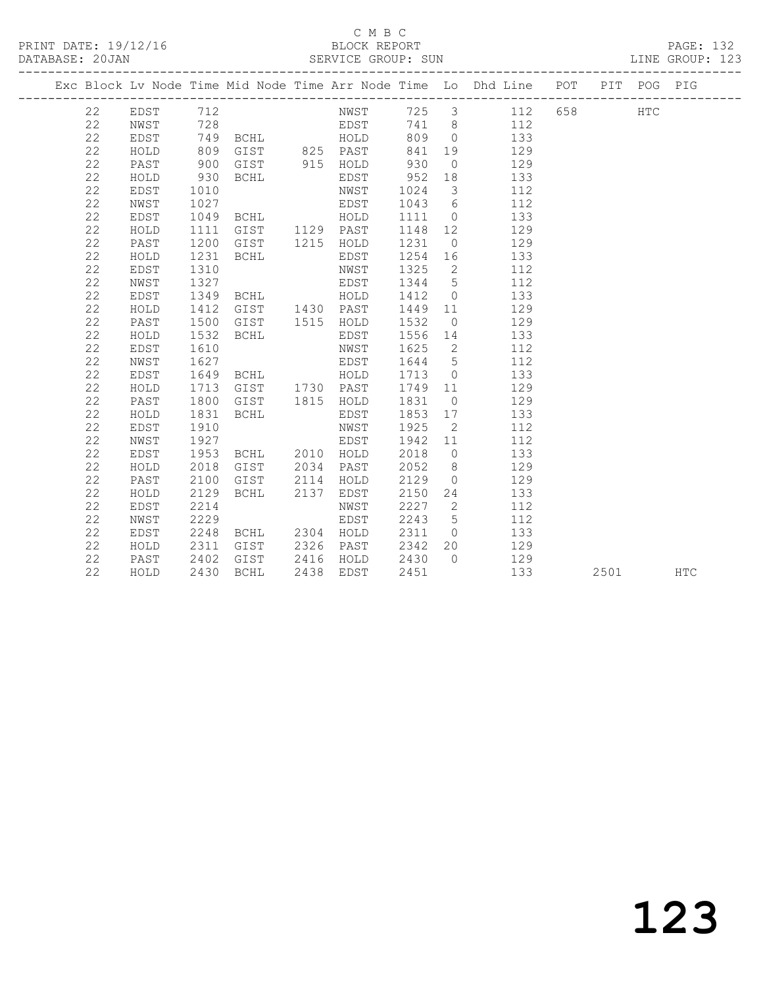### C M B C<br>BLOCK REPORT SERVICE GROUP: SUN

|  |    |             |      |                |      |           |         |                | Exc Block Lv Node Time Mid Node Time Arr Node Time Lo Dhd Line POT PIT POG PIG |  |            |            |
|--|----|-------------|------|----------------|------|-----------|---------|----------------|--------------------------------------------------------------------------------|--|------------|------------|
|  | 22 | EDST        | 712  |                |      |           |         |                | NWST 725 3 112 658                                                             |  | <b>HTC</b> |            |
|  | 22 | NWST        | 728  |                |      |           |         |                | EDST 741 8 112                                                                 |  |            |            |
|  | 22 | EDST        |      | 749 BCHL HOLD  |      |           |         |                | 809 0 133                                                                      |  |            |            |
|  | 22 | HOLD        | 809  | GIST 825 PAST  |      |           | 841     |                | 19 129                                                                         |  |            |            |
|  | 22 | PAST        | 900  | GIST 915 HOLD  |      |           | 930     | $\overline{0}$ | 129                                                                            |  |            |            |
|  | 22 | HOLD        | 930  | BCHL           |      | EDST      | 952     | 18             | 133                                                                            |  |            |            |
|  | 22 | EDST        | 1010 |                |      | NWST      | 1024    | $\mathcal{S}$  | 112                                                                            |  |            |            |
|  | 22 | NWST        | 1027 |                |      | EDST      | 1043    | 6              | 112                                                                            |  |            |            |
|  | 22 | EDST        | 1049 | BCHL HOLD      |      |           | 1111    | $\overline{0}$ | 133                                                                            |  |            |            |
|  | 22 | HOLD        | 1111 | GIST 1129 PAST |      |           | 1148    | 12             | 129                                                                            |  |            |            |
|  | 22 | PAST        | 1200 | GIST           |      | 1215 HOLD | 1231    | $\overline{0}$ | 129                                                                            |  |            |            |
|  | 22 | HOLD        | 1231 | BCHL           |      | EDST      | 1254 16 |                | 133                                                                            |  |            |            |
|  | 22 | EDST        | 1310 |                |      | NWST      | 1325    | $\overline{2}$ | 112                                                                            |  |            |            |
|  | 22 | NWST        | 1327 |                |      | EDST      | 1344    | $5^{\circ}$    | 112                                                                            |  |            |            |
|  | 22 | EDST        | 1349 | BCHL HOLD      |      |           | 1412    | $\overline{0}$ | 133                                                                            |  |            |            |
|  | 22 | HOLD        | 1412 | GIST 1430 PAST |      |           | 1449 11 |                | 129                                                                            |  |            |            |
|  | 22 | PAST        | 1500 | GIST 1515 HOLD |      |           | 1532    | $\overline{0}$ | 129                                                                            |  |            |            |
|  | 22 | HOLD        | 1532 | BCHL           |      | EDST      | 1556 14 |                | 133                                                                            |  |            |            |
|  | 22 | EDST        | 1610 |                |      | NWST      | 1625    | $\overline{2}$ | 112                                                                            |  |            |            |
|  | 22 | NWST        | 1627 |                |      | EDST      | 1644    | 5 <sup>5</sup> | 112                                                                            |  |            |            |
|  | 22 | EDST        | 1649 | <b>BCHL</b>    |      | HOLD      | 1713    | $\overline{0}$ | 133                                                                            |  |            |            |
|  | 22 | HOLD        | 1713 | GIST 1730 PAST |      |           | 1749 11 |                | 129                                                                            |  |            |            |
|  | 22 | PAST        | 1800 | GIST           |      | 1815 HOLD | 1831    | $\overline{0}$ | 129                                                                            |  |            |            |
|  | 22 | HOLD        | 1831 | BCHL           |      | EDST      | 1853 17 |                | 133                                                                            |  |            |            |
|  | 22 | EDST        | 1910 |                |      | NWST      | 1925    | $\overline{2}$ | 112                                                                            |  |            |            |
|  | 22 | NWST        | 1927 |                |      | EDST      | 1942 11 |                | 112                                                                            |  |            |            |
|  | 22 | EDST        | 1953 | BCHL 2010 HOLD |      |           | 2018    |                | 133<br>$\overline{0}$                                                          |  |            |            |
|  | 22 | HOLD        | 2018 | GIST           |      | 2034 PAST | 2052    | 8 <sup>8</sup> | 129                                                                            |  |            |            |
|  | 22 | PAST        | 2100 | GIST           | 2114 | HOLD      | 2129    | $\bigcirc$     | 129                                                                            |  |            |            |
|  | 22 | HOLD        | 2129 | BCHL           | 2137 | EDST      | 2150    | 24             | 133                                                                            |  |            |            |
|  | 22 | <b>EDST</b> | 2214 |                |      | NWST      | 2227    | $\overline{2}$ | 112                                                                            |  |            |            |
|  | 22 | NWST        | 2229 |                |      | EDST      | 2243    | $5^{\circ}$    | 112                                                                            |  |            |            |
|  | 22 | EDST        | 2248 | BCHL 2304 HOLD |      |           | 2311    | $\overline{0}$ | 133                                                                            |  |            |            |
|  | 22 | HOLD        | 2311 | GIST           |      | 2326 PAST | 2342    | 20             | 129                                                                            |  |            |            |
|  | 22 | PAST        | 2402 | GIST           |      | 2416 HOLD | 2430    | $\bigcap$      | 129                                                                            |  |            |            |
|  | 22 | HOLD        | 2430 | BCHL           | 2438 | EDST      | 2451    |                | 133                                                                            |  | 2501 2500  | <b>HTC</b> |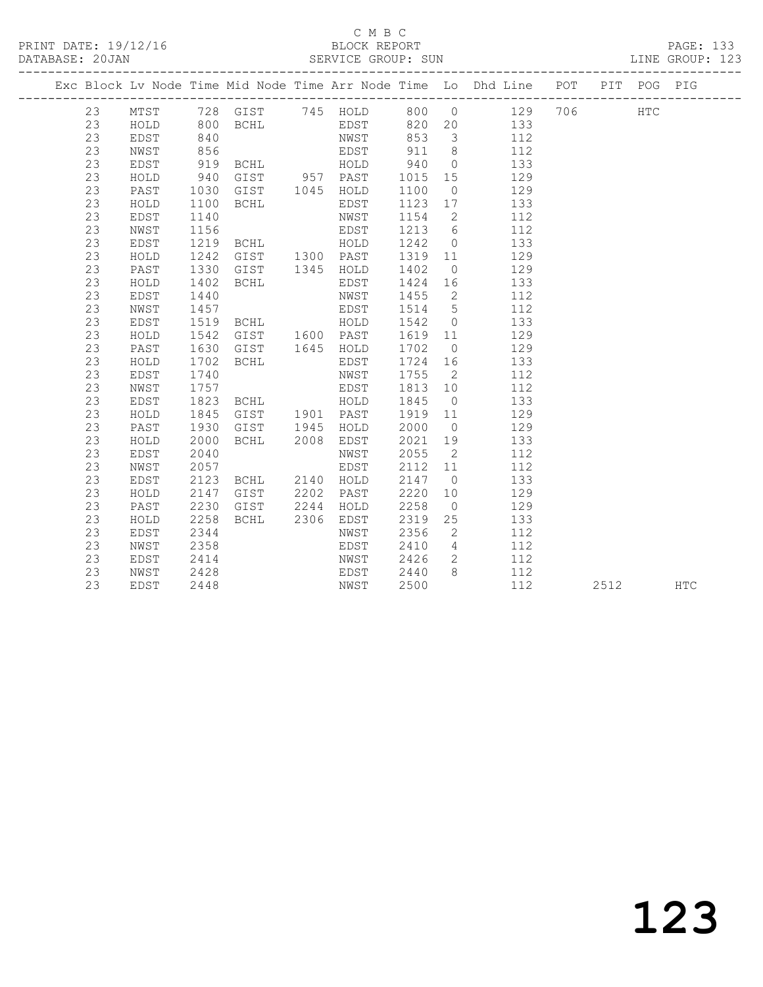## C M B C<br>BLOCK REPORT

### DATABASE: 20JAN SERVICE GROUP: SUN LINE GROUP: 123

------------------------------------------------------------------------------------------------- Exc Block Lv Node Time Mid Node Time Arr Node Time Lo Dhd Line POT PIT POG PIG ------------------------------------------------------------------------------------------------- 23 MTST 728 GIST 745 HOLD 800 0 129 706 HTC 23 HOLD 800 BCHL EDST 820 20 133 23 EDST 840 NWST 853 3 112 23 NWST 856 EDST 911 8 112 23 EDST 919 BCHL HOLD 940 0 133 23 HOLD 940 GIST 957 PAST 1015 15 129 23 PAST 1030 GIST 1045 HOLD 1100 0 129 23 HOLD 1100 BCHL EDST 1123 17 133 23 EDST 1140 NWST 1154 2 112 23 NWST 1156 EDST 1213 6 112 23 EDST 1219 BCHL HOLD 1242 0 133 23 HOLD 1242 GIST 1300 PAST 1319 11 129 23 PAST 1330 GIST 1345 HOLD 1402 0 129 23 HOLD 1402 BCHL EDST 1424 16 133 23 EDST 1440 NWST 1455 2 112 23 NWST 1457 EDST 1514 5 112 23 EDST 1519 BCHL HOLD 1542 0 133 23 HOLD 1542 GIST 1600 PAST 1619 11 129 23 PAST 1630 GIST 1645 HOLD 1702 0 129 23 HOLD 1702 BCHL EDST 1724 16 133 23 EDST 1740 NWST 1755 2 112 23 NWST 1757 EDST 1813 10 112 23 EDST 1823 BCHL HOLD 1845 0 133 23 HOLD 1845 GIST 1901 PAST 1919 11 129 23 PAST 1930 GIST 1945 HOLD 2000 0 129 23 HOLD 2000 BCHL 2008 EDST 2021 19 133 23 EDST 2040 NWST 2055 2 112 23 NWST 2057 EDST 2112 11 112 23 EDST 2123 BCHL 2140 HOLD 2147 0 133 23 HOLD 2147 GIST 2202 PAST 2220 10 129 23 PAST 2230 GIST 2244 HOLD 2258 0 129 23 HOLD 2258 BCHL 2306 EDST 2319 25 133 23 EDST 2344 NWST 2356 2 112 23 NWST 2358 EDST 2410 4 112 23 EDST 2414 NWST 2426 2 112 23 NWST 2428 EDST 2440 8 112 23 EDST 2448 NWST 2500 112 2512 HTC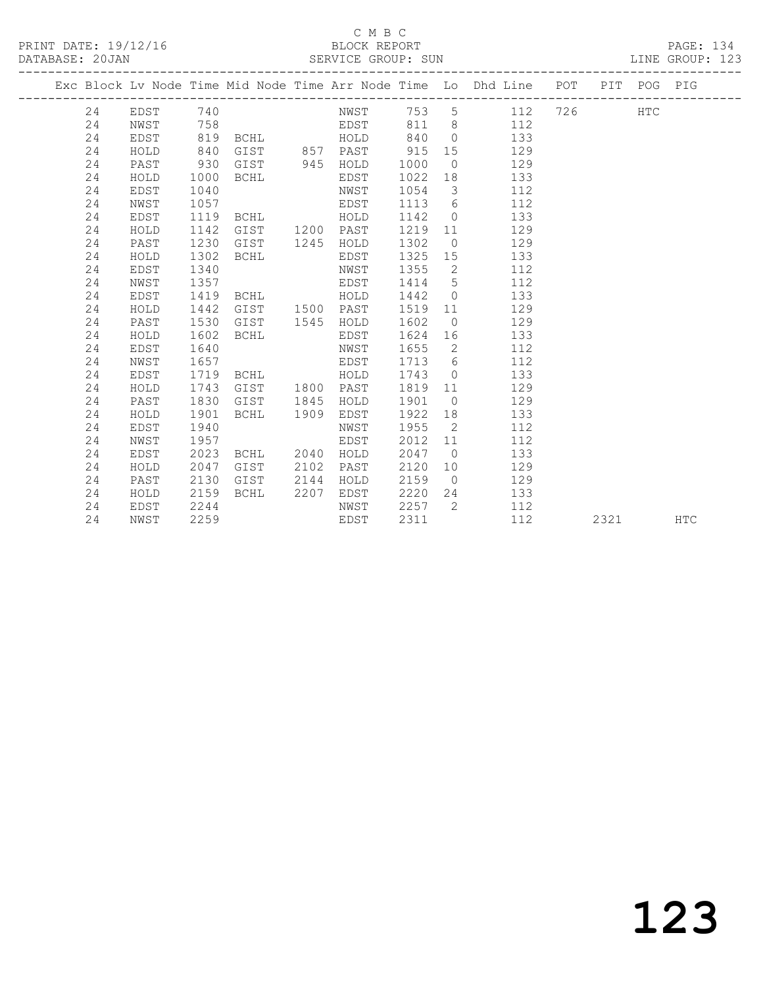## C M B C<br>BLOCK REPO

| DATABASE: 20JAN |              |         |                |      | SERVICE GROUP: SUN |        |                |                                                                                |             |  | LINE GROUP: 123 |  |
|-----------------|--------------|---------|----------------|------|--------------------|--------|----------------|--------------------------------------------------------------------------------|-------------|--|-----------------|--|
|                 |              |         |                |      |                    |        |                | Exc Block Lv Node Time Mid Node Time Arr Node Time Lo Dhd Line POT PIT POG PIG |             |  |                 |  |
| 24              | EDST         |         | 740 and $\sim$ |      | NWST 753           |        |                | $5^{\circ}$                                                                    | 112 726 HTC |  |                 |  |
| 24              | NWST         | 758     |                |      | EDST 811           |        |                | $8 - 8$<br>112                                                                 |             |  |                 |  |
| 24              | EDST         | 819     | <b>BCHL</b>    |      | HOLD               | 840    |                | $\overline{0}$<br>133                                                          |             |  |                 |  |
| 24              | HOLD         | 840     | GIST           | 857  | PAST               | 915    |                | 15<br>129                                                                      |             |  |                 |  |
| 24              | PAST         | 930     | GIST           | 945  | HOLD               | 1000   | $\circ$        | 129                                                                            |             |  |                 |  |
| 24              | HOLD         | 1000    | BCHL           |      | EDST               | 1022   | 18             | 133                                                                            |             |  |                 |  |
| 24              | EDST         | 1040    |                |      | NWST               | 1054   | $\mathcal{S}$  | 112                                                                            |             |  |                 |  |
| 24              | NWST         | 1057    |                |      | EDST               | 1113   | 6              | 112                                                                            |             |  |                 |  |
| 24              | EDST         | 1119    | <b>BCHL</b>    |      | HOLD               | 1142   | $\circ$        | 133                                                                            |             |  |                 |  |
| 24              | HOLD         | 1142    | GIST           | 1200 | PAST               | 1219   | 11             | 129                                                                            |             |  |                 |  |
| 24              | PAST         | 1230    | GIST           | 1245 | HOLD               | 1302   | $\overline{0}$ | 129                                                                            |             |  |                 |  |
| 24              | HOLD         | 1302    | BCHL           |      | EDST               | 1325   | 15             | 133                                                                            |             |  |                 |  |
| 24              | EDST         | 1340    |                |      | NWST               | 1355   | 2              | 112                                                                            |             |  |                 |  |
| 24              | NWST         | 1357    |                |      | EDST               | 1414   |                | $5^{\circ}$<br>112                                                             |             |  |                 |  |
| 24              | EDST         | 1419    | <b>BCHL</b>    |      | HOLD               | 1442   | $\circ$        | 133                                                                            |             |  |                 |  |
| 24              | HOLD         | 1442    | GIST           | 1500 | PAST               | 1519   | 11             | 129                                                                            |             |  |                 |  |
| 24              | PAST         | 1530    | GIST           | 1545 | HOLD               | 1602   | $\overline{0}$ | 129                                                                            |             |  |                 |  |
| 24              | HOLD         | 1602    | BCHL           |      | EDST               | 1624   |                | 133                                                                            |             |  |                 |  |
| 24              | EDST         | 1640    |                |      | NWST               | 1655 2 |                | 112                                                                            |             |  |                 |  |
| $\Omega$        | $NTU \cap T$ | 1 C E T |                |      |                    |        |                | 110                                                                            |             |  |                 |  |

 24 EDST 1640 NWST 1655 2 112 24 NWST 1657 EDST 1713 6 112

 24 HOLD 1743 GIST 1800 PAST 1819 11 129 24 PAST 1830 GIST 1845 HOLD 1901 0 129

 24 EDST 1940 NWST 1955 2 112 24 NWST 1957 EDST 2012 11 112 24 EDST 2023 BCHL 2040 HOLD 2047 0 133 24 HOLD 2047 GIST 2102 PAST 2120 10 129 24 PAST 2130 GIST 2144 HOLD 2159 0 129 24 HOLD 2159 BCHL 2207 EDST 2220 24 133 24 EDST 2244 NWST 2257 2 112

24 EDST 1719 BCHL HOLD 1743 0 133<br>24 HOLD 1743 GIST 1800 PAST 1819 11 129<br>24 PAST 1830 GIST 1845 HOLD 1901 0 129

24 HOLD 1901 BCHL 1909 EDST 1922 18 133<br>24 EDST 1940 MWST 1955 2 112

24 NWST 2259 EDST 2311 112 2321 HTC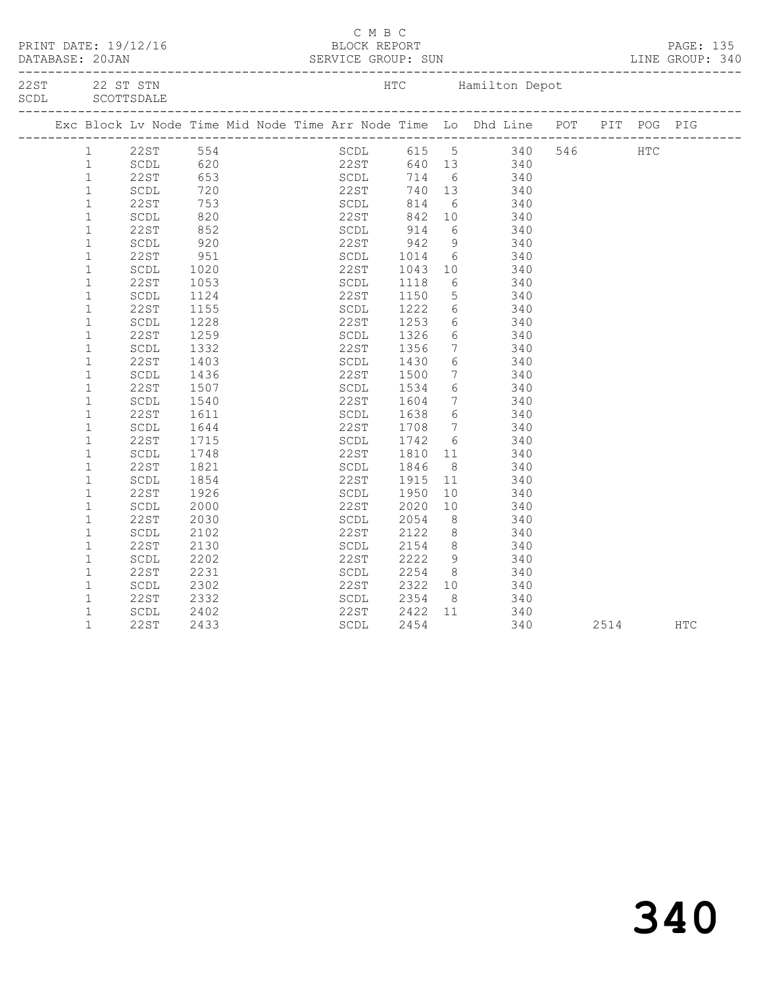|  |              | PRINT DATE: 19/12/16              |                                                        |  | C M B C<br>BLOCK REPORT   |                    |                 | DATABASE: 20JAN SERVICE GROUP: SUN LINE GROUP: 340                             |      | PAGE: 135  |  |
|--|--------------|-----------------------------------|--------------------------------------------------------|--|---------------------------|--------------------|-----------------|--------------------------------------------------------------------------------|------|------------|--|
|  |              | 22ST 22 ST STN<br>SCDL SCOTTSDALE |                                                        |  |                           | _________________  |                 | HTC Hamilton Depot                                                             |      |            |  |
|  |              |                                   |                                                        |  |                           |                    |                 | Exc Block Lv Node Time Mid Node Time Arr Node Time Lo Dhd Line POT PIT POG PIG |      |            |  |
|  |              | 1 22ST 554                        |                                                        |  |                           |                    |                 | SCDL 615 5 340 546 HTC                                                         |      |            |  |
|  | $\mathbf{1}$ | SCDL                              |                                                        |  |                           |                    |                 |                                                                                |      |            |  |
|  | $\mathbf{1}$ | 22ST                              |                                                        |  |                           |                    |                 | 22ST 640 13 340<br>SCDL 714 6 340                                              |      |            |  |
|  | $\mathbf{1}$ | SCDL                              | $\begin{array}{r} 32 \\ 620 \\ 653 \\ 720 \end{array}$ |  | 22ST 740 13               |                    |                 | 340                                                                            |      |            |  |
|  | $\mathbf{1}$ | 22ST                              |                                                        |  |                           |                    |                 | 340                                                                            |      |            |  |
|  | $\mathbf{1}$ | SCDL                              | 753<br>820                                             |  | SCDL 814 6<br>22ST 842 10 |                    |                 | 340                                                                            |      |            |  |
|  | $\mathbf 1$  | 22ST                              | 852                                                    |  | SCDL                      | 914<br>942<br>1014 |                 | 6 340                                                                          |      |            |  |
|  | $\mathbf 1$  | SCDL                              | 920                                                    |  | 22ST                      |                    | 9               | 340                                                                            |      |            |  |
|  | $\mathbf{1}$ | 22ST                              | 951                                                    |  | SCDL                      |                    |                 | $\begin{array}{c c}\n6 & 340\n\end{array}$                                     |      |            |  |
|  | $\mathbf{1}$ | SCDL                              | 1020                                                   |  | 22ST                      |                    |                 | 10 340                                                                         |      |            |  |
|  | $\mathbf 1$  | 22ST                              | 1053                                                   |  | SCDL                      | 1043<br>1118       | 6               | 340                                                                            |      |            |  |
|  | $\mathbf 1$  | SCDL                              | 1124                                                   |  | 22ST                      | 1150               |                 | 5 340                                                                          |      |            |  |
|  | $\mathbf 1$  | 22ST                              | 1155                                                   |  | SCDL                      |                    |                 |                                                                                |      |            |  |
|  | $\mathbf{1}$ | SCDL                              | 1228                                                   |  | 22ST                      | 1222<br>1253       |                 | 6 340<br>6 340                                                                 |      |            |  |
|  | $\mathbf 1$  | 22ST                              | 1259                                                   |  | SCDL                      | 1326               |                 | 6 340                                                                          |      |            |  |
|  | $\mathbf 1$  | SCDL                              | 1332                                                   |  | 22ST                      | 1356               | $7\overline{ }$ | 340                                                                            |      |            |  |
|  | $\mathbf{1}$ | 22 S T                            | 1403                                                   |  | SCDL                      | 1430               | $6\overline{6}$ | 340                                                                            |      |            |  |
|  | $\mathbf{1}$ | SCDL                              | 1436                                                   |  |                           |                    |                 |                                                                                |      |            |  |
|  | $\mathbf 1$  | 22ST                              | 1507                                                   |  | 22ST<br>SCDL              | 1500<br>1534       | $6\overline{6}$ | $7 \t 340$<br>340                                                              |      |            |  |
|  | $\mathbf 1$  | SCDL                              | 1540                                                   |  | 22ST                      | 1604               | $7\overline{ }$ | 340                                                                            |      |            |  |
|  | $\mathbf 1$  | 22ST                              | 1611                                                   |  | SCDL                      |                    | 6               | 340                                                                            |      |            |  |
|  | $\mathbf{1}$ | SCDL                              | 1644                                                   |  | 22ST                      | 1638<br>1708       |                 | $\begin{array}{ccc}\n 0 & 0 & 0 \\  7 & 340\n \end{array}$                     |      |            |  |
|  | $\mathbf{1}$ | 22ST                              | 1715                                                   |  | SCDL                      |                    |                 |                                                                                |      |            |  |
|  | $\mathbf 1$  | $\operatorname{\mathsf{SCDL}}$    | 1748                                                   |  | 22ST                      | 1742<br>1810       | 11              | 6 340<br>340                                                                   |      |            |  |
|  | $\mathbf{1}$ | 22ST                              | 1821                                                   |  | SCDL                      | 1846               | 8 <sup>8</sup>  | 340                                                                            |      |            |  |
|  | $\mathbf{1}$ |                                   |                                                        |  | 22ST                      |                    |                 |                                                                                |      |            |  |
|  |              | SCDL                              | 1854                                                   |  |                           | 1915<br>1950       | 11              | 340                                                                            |      |            |  |
|  | $\mathbf 1$  | 22ST                              | 1926                                                   |  | SCDL                      |                    | 10              | 340                                                                            |      |            |  |
|  | $\mathbf 1$  | $\operatorname{\mathsf{SCDL}}$    | 2000                                                   |  | 22ST                      | 2020               | 10              | 340                                                                            |      |            |  |
|  | $\mathbf{1}$ | 22ST                              | 2030                                                   |  | SCDL                      | 2054<br>2122       | 8 <sup>8</sup>  | 340<br>340                                                                     |      |            |  |
|  | $\mathbf{1}$ | SCDL                              | 2102                                                   |  | 22ST                      |                    | 8 <sup>8</sup>  |                                                                                |      |            |  |
|  | $\mathbf{1}$ | 22ST                              | 2130                                                   |  | SCDL                      | 2154               | 8               | 340                                                                            |      |            |  |
|  | $\mathbf 1$  | SCDL                              | 2202                                                   |  | 22ST                      | 2222               | 9               | 340                                                                            |      |            |  |
|  | $\mathbf{1}$ | 22ST                              | 2231                                                   |  | SCDL                      | 2254               |                 | 8 340                                                                          |      |            |  |
|  | $\mathbf 1$  | SCDL                              | 2302                                                   |  | 22ST                      | 2322<br>2354       |                 | $\begin{array}{ccc}\n 10 & & \circ \\  & 340 & \\  & & 340\n \end{array}$      |      |            |  |
|  | $\mathbf{1}$ | 22ST                              | 2332                                                   |  | SCDL                      |                    |                 |                                                                                |      |            |  |
|  | $\mathbf{1}$ | SCDL                              | 2402                                                   |  | 22ST                      | 2422 11            |                 | 340                                                                            |      |            |  |
|  | $\mathbf{1}$ | 22ST                              | 2433                                                   |  | SCDL                      | 2454               |                 | 340                                                                            | 2514 | <b>HTC</b> |  |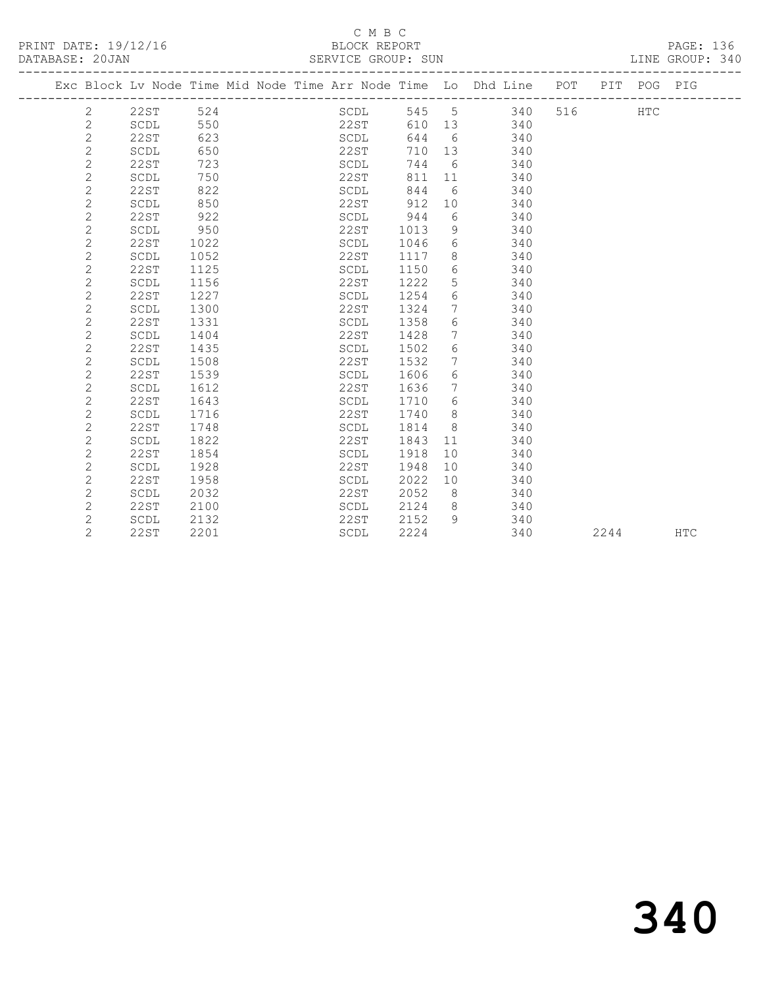### C M B C<br>BLOCK REPORT SERVICE GROUP: SUN

|  |                |             |      |  |                                |      |                 | Exc Block Lv Node Time Mid Node Time Arr Node Time Lo Dhd Line POT PIT POG PIG |     |      |     |            |
|--|----------------|-------------|------|--|--------------------------------|------|-----------------|--------------------------------------------------------------------------------|-----|------|-----|------------|
|  | $\overline{2}$ | 22ST        | 524  |  | SCDL                           | 545  | $5^{\circ}$     | 340                                                                            | 516 |      | HTC |            |
|  | $\mathbf{2}$   | SCDL        | 550  |  | 22ST                           | 610  | 13              | 340                                                                            |     |      |     |            |
|  | $\mathbf{2}$   | <b>22ST</b> | 623  |  | SCDL                           | 644  | 6               | 340                                                                            |     |      |     |            |
|  | $\mathbf{2}$   | SCDL        | 650  |  | 22ST                           | 710  | 13              | 340                                                                            |     |      |     |            |
|  | $\mathbf{2}$   | 22ST        | 723  |  | SCDL                           | 744  | 6               | 340                                                                            |     |      |     |            |
|  | $\mathbf{2}$   | SCDL        | 750  |  | 22ST                           | 811  | 11              | 340                                                                            |     |      |     |            |
|  | 2              | <b>22ST</b> | 822  |  | SCDL                           | 844  | 6               | 340                                                                            |     |      |     |            |
|  | $\mathbf{2}$   | SCDL        | 850  |  | 22ST                           | 912  | 10              | 340                                                                            |     |      |     |            |
|  | $\mathbf{2}$   | <b>22ST</b> | 922  |  | SCDL                           | 944  | 6               | 340                                                                            |     |      |     |            |
|  | $\mathbf{2}$   | SCDL        | 950  |  | 22ST                           | 1013 | 9               | 340                                                                            |     |      |     |            |
|  | 2              | 22ST        | 1022 |  | SCDL                           | 1046 | 6               | 340                                                                            |     |      |     |            |
|  | $\mathbf{2}$   | SCDL        | 1052 |  | 22ST                           | 1117 | 8               | 340                                                                            |     |      |     |            |
|  | $\mathbf{2}$   | 22ST        | 1125 |  | SCDL                           | 1150 | 6               | 340                                                                            |     |      |     |            |
|  | $\mathbf{2}$   | SCDL        | 1156 |  | 22ST                           | 1222 | 5               | 340                                                                            |     |      |     |            |
|  | $\overline{c}$ | <b>22ST</b> | 1227 |  | SCDL                           | 1254 | 6               | 340                                                                            |     |      |     |            |
|  | $\mathbf{2}$   | SCDL        | 1300 |  | 22ST                           | 1324 | $7\phantom{.0}$ | 340                                                                            |     |      |     |            |
|  | $\mathbf{2}$   | <b>22ST</b> | 1331 |  | SCDL                           | 1358 | 6               | 340                                                                            |     |      |     |            |
|  | $\mathbf{2}$   | SCDL        | 1404 |  | 22ST                           | 1428 | $7\phantom{.0}$ | 340                                                                            |     |      |     |            |
|  | 2              | 22ST        | 1435 |  | SCDL                           | 1502 | 6               | 340                                                                            |     |      |     |            |
|  | $\mathbf{2}$   | SCDL        | 1508 |  | 22ST                           | 1532 | 7               | 340                                                                            |     |      |     |            |
|  | $\mathbf{2}$   | 22ST        | 1539 |  | SCDL                           | 1606 | 6               | 340                                                                            |     |      |     |            |
|  | $\mathbf{2}$   | SCDL        | 1612 |  | 22ST                           | 1636 | $7\phantom{.0}$ | 340                                                                            |     |      |     |            |
|  | $\mathbf{2}$   | <b>22ST</b> | 1643 |  | SCDL                           | 1710 | 6               | 340                                                                            |     |      |     |            |
|  | $\mathbf{2}$   | SCDL        | 1716 |  | 22ST                           | 1740 | 8               | 340                                                                            |     |      |     |            |
|  | $\mathbf{2}$   | <b>22ST</b> | 1748 |  | $\operatorname{\mathsf{SCDL}}$ | 1814 | 8               | 340                                                                            |     |      |     |            |
|  | $\mathbf{2}$   | SCDL        | 1822 |  | 22ST                           | 1843 | 11              | 340                                                                            |     |      |     |            |
|  | $\mathbf{2}$   | <b>22ST</b> | 1854 |  | SCDL                           | 1918 | 10              | 340                                                                            |     |      |     |            |
|  | $\mathbf{2}$   | SCDL        | 1928 |  | 22ST                           | 1948 | 10              | 340                                                                            |     |      |     |            |
|  | $\mathbf{2}$   | 22ST        | 1958 |  | SCDL                           | 2022 | 10              | 340                                                                            |     |      |     |            |
|  | 2              | SCDL        | 2032 |  | 22ST                           | 2052 | 8               | 340                                                                            |     |      |     |            |
|  | 2              | 22ST        | 2100 |  | SCDL                           | 2124 | 8               | 340                                                                            |     |      |     |            |
|  | 2              | SCDL        | 2132 |  | 22ST                           | 2152 | 9               | 340                                                                            |     |      |     |            |
|  | $\overline{2}$ | 22ST        | 2201 |  | SCDL                           | 2224 |                 | 340                                                                            |     | 2244 |     | <b>HTC</b> |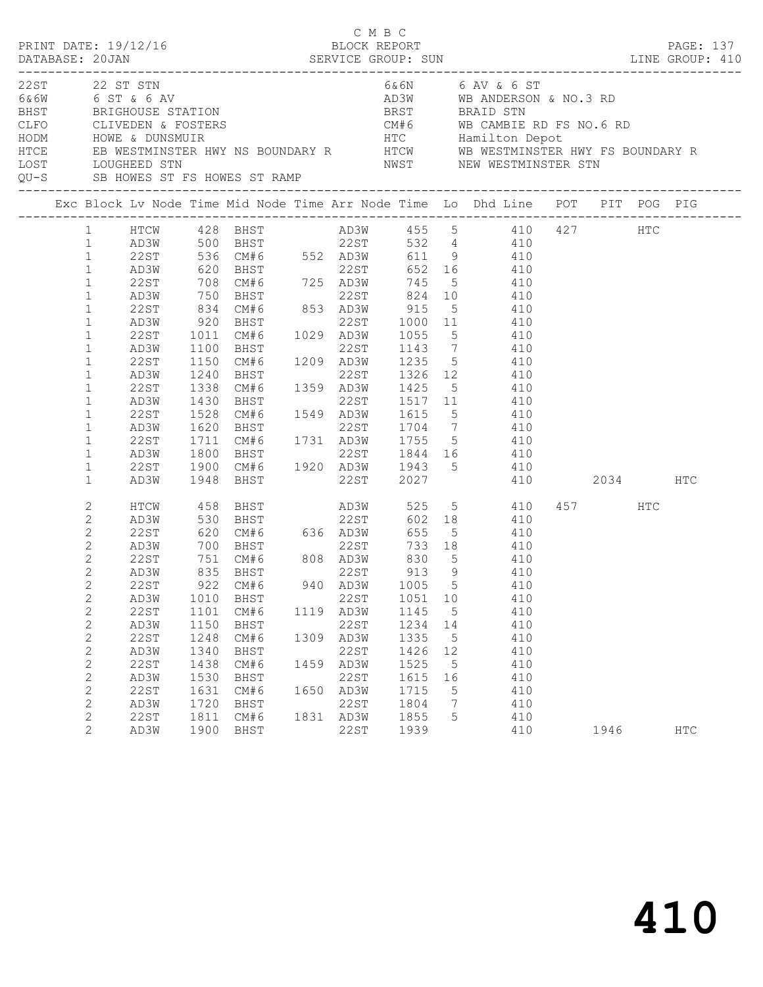| PRINT DATE: 19/12/16 |                                                                                                                                                                                                                                                                                                                                                                                                                                                                       |                                                                                                                                               |                                                                                                                 | BLOCK REPORT          | C M B C                                                                                                  |                                                                                                                                                   |                                                                                     | DATABASE: 20JAN SERVICE GROUP: SUN LINE GROUP: 410                                                                                                                                                                                                                                                                                                                                                                                                                      |                 | PAGE: 137  |
|----------------------|-----------------------------------------------------------------------------------------------------------------------------------------------------------------------------------------------------------------------------------------------------------------------------------------------------------------------------------------------------------------------------------------------------------------------------------------------------------------------|-----------------------------------------------------------------------------------------------------------------------------------------------|-----------------------------------------------------------------------------------------------------------------|-----------------------|----------------------------------------------------------------------------------------------------------|---------------------------------------------------------------------------------------------------------------------------------------------------|-------------------------------------------------------------------------------------|-------------------------------------------------------------------------------------------------------------------------------------------------------------------------------------------------------------------------------------------------------------------------------------------------------------------------------------------------------------------------------------------------------------------------------------------------------------------------|-----------------|------------|
| 22ST 22 ST STN       |                                                                                                                                                                                                                                                                                                                                                                                                                                                                       |                                                                                                                                               |                                                                                                                 |                       |                                                                                                          |                                                                                                                                                   |                                                                                     | 6&6N 6 AV & 6 ST<br>EXECUTE ON THE RESERVANCE STATION CONTROLLER AND A BANDERSON & NO.3 RD<br>EXECUTE OF THE BAND BRIGHOUSE STATION<br>HODM HOWE & DUNSMUIR<br>HODM HOWE & DUNSMUIR<br>HODM HOWE & DUNSMUIR<br>HODM HOWE & DUNSMUIR<br>HODM HOWE & DUNSMUIR<br>H<br>NWST WE ALL MUSTER STN MUST MEW WESTMINSTER STN MEDIATORS ST FS HOWES ST RAMP<br>QU-S SB HOWES ST FS HOWES ST RAMP NEST MEW WESTMINSTER STN                                                         |                 |            |
|                      |                                                                                                                                                                                                                                                                                                                                                                                                                                                                       |                                                                                                                                               |                                                                                                                 |                       |                                                                                                          |                                                                                                                                                   |                                                                                     | Exc Block Lv Node Time Mid Node Time Arr Node Time Lo Dhd Line POT PIT POG PIG                                                                                                                                                                                                                                                                                                                                                                                          |                 |            |
|                      | $\mathbf{1}$<br>$\mathbf{1}$<br>$\mathbf{1}$<br>22ST<br>$\mathbf{1}$<br>AD3W<br>22ST<br>$\mathbf{1}$<br>$\mathbf{1}$<br>AD3W<br>$\mathbf{1}$<br>22ST<br>$\mathbf 1$<br>AD3W<br>$\mathbf 1$<br>22ST<br>$\mathbf{1}$<br>AD3W<br>$\mathbf 1$<br>22ST<br>$\mathbf{1}$<br>AD3W<br>22ST<br>$\mathbf 1$<br>$\mathbf 1$<br>AD3W<br>$\mathbf{1}$<br>22ST<br>$\mathbf{1}$<br>AD3W<br>$\mathbf 1$<br>22ST<br>$\mathbf{1}$<br>AD3W<br>$\mathbf 1$<br>22ST<br>$\mathbf{1}$<br>AD3W | 536 CM#6 552 AD3W<br>920<br>1011<br>1100<br>1100<br>1150<br>1240<br>1338<br>1430<br>1528<br>1620<br>1711<br>1800<br>1900                      | BHST<br>CM#6<br>BHST<br>1948 BHST                                                                               |                       | 22ST                                                                                                     | 01.1<br>BHST<br>CM#6 1029 AD3W 1055 5<br>BHST 22ST 1143 7                                                                                         |                                                                                     | 611 9 410<br>620 BHST 22ST 652 16 410<br>708 CM#6 725 AD3W 745 5 410<br>750 BHST 22ST 824 10 410<br>834 CM#6 853 AD3W 915 5 410<br>22ST 1000 11 410<br>$5\overline{)}$<br>$410$<br>$410$<br>CM#6 1209 AD3W 1235 5 410<br>22ST 1326 12 410<br>1359 AD3W 1425 5 410<br>22ST 1517 11 410<br>CM#6 1549 AD3W 1615 5 410<br>BHST 22ST 1704 7 410<br>CM#6 1731 AD3W 1755 5 410<br>BHST 22ST 1844 16 410<br>BHST 22ST 1844 16 410<br>CM#6 1920 AD3W 1943 5 410<br>2027 410 2034 |                 | HTC        |
|                      | 2<br>HTCW<br>2<br>AD3W<br>$\mathbf{2}$<br>22ST<br>$\mathbf{2}$<br>AD3W<br>$\mathbf{2}$<br>22ST<br>2<br>AD3W<br>$\mathbf{2}$<br>22ST<br>$\mathbf{2}$<br>AD3W<br>$\mathbf{2}$<br>22ST<br>$\mathbf{2}$<br>AD3W<br>$\mathbf{2}$<br>22ST<br>$\mathbf{2}$<br>AD3W<br>$\mathbf{2}$<br>22ST<br>$\mathbf{2}$<br>AD3W<br>2<br>22ST<br>$\mathbf{2}$<br>AD3W<br>2<br>22ST<br>$\mathbf{2}$<br>AD3W                                                                                 | 458<br>530<br>620<br>700 BHST<br>751 CM#6<br>835 BHST<br>1010<br>1101<br>1150<br>1248<br>1340<br>1438<br>1530<br>1631<br>1720<br>1811<br>1900 | <b>BHST</b><br>922 CM#6<br>BHST<br>CM#6<br>BHST<br>CM#6<br>BHST<br>CM#6<br>BHST<br>CM#6<br>BHST<br>CM#6<br>BHST | CM#6 636 AD3W<br>1459 | 22ST<br>1119 AD3W<br>22ST<br>1309 AD3W<br>22ST<br>AD3W<br>22ST<br>1650 AD3W<br>22ST<br>1831 AD3W<br>22ST | 655<br>PHST<br>BHST<br>CM#6 808 AD3W 830<br>−∵∽™ 22ST 913<br>1051<br>1145<br>1234<br>1335<br>1426<br>1525<br>1615<br>1715<br>1804<br>1855<br>1939 | 5 <sup>5</sup><br>9<br>10<br>$5^{\circ}$<br>14<br>5<br>12<br>5<br>16<br>5<br>7<br>5 | 602 18<br>5 410<br>733 18 410<br>$410$<br>$410$<br>940 AD3W 1005 5 410<br>410<br>410<br>410<br>410<br>410<br>410<br>410<br>410<br>410<br>410<br>410                                                                                                                                                                                                                                                                                                                     | 457 HTC<br>1946 | <b>HTC</b> |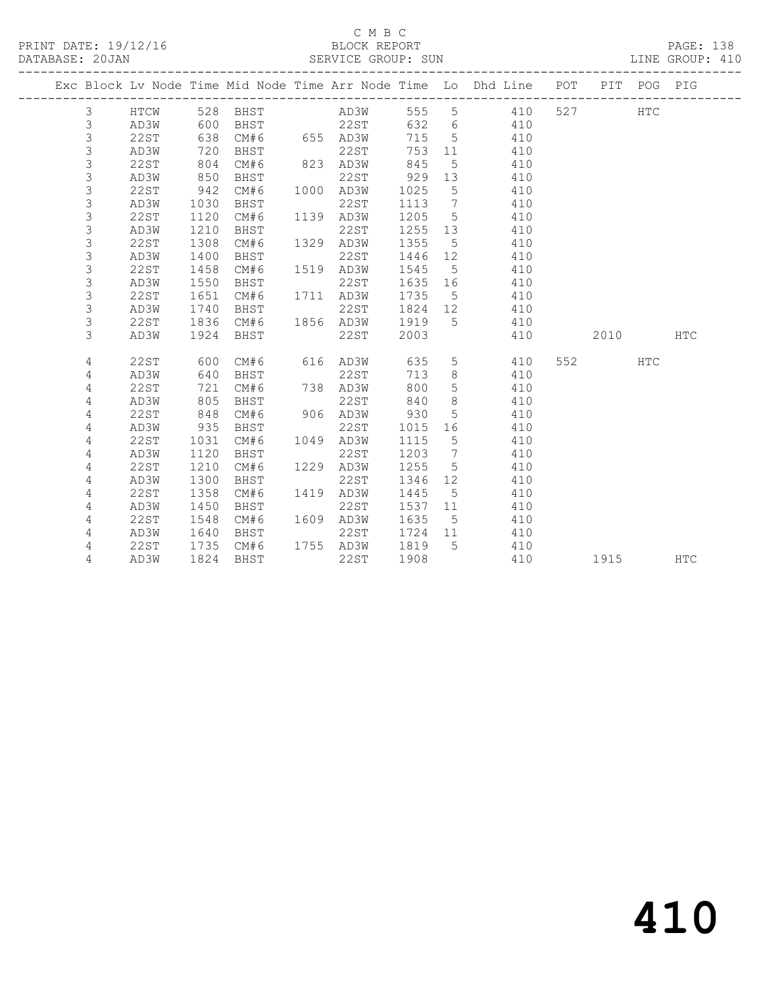### C M B C<br>BLOCK REPORT SERVICE GROUP: SUN

|             |             |      |      |      |             |      |                              | Exc Block Lv Node Time Mid Node Time Arr Node Time Lo Dhd Line POT |     |      | PIT POG PIG |            |
|-------------|-------------|------|------|------|-------------|------|------------------------------|--------------------------------------------------------------------|-----|------|-------------|------------|
| 3           | HTCW        | 528  | BHST |      | AD3W        | 555  | 5                            | 410                                                                | 527 |      | <b>HTC</b>  |            |
| $\mathsf S$ | AD3W        | 600  | BHST |      | 22ST        | 632  | $6\phantom{.}6$              | 410                                                                |     |      |             |            |
| $\mathsf 3$ | <b>22ST</b> | 638  | CM#6 |      | 655 AD3W    | 715  | 5                            | 410                                                                |     |      |             |            |
| 3           | AD3W        | 720  | BHST |      | 22ST        | 753  | 11                           | 410                                                                |     |      |             |            |
| 3           | 22ST        | 804  | CM#6 |      | 823 AD3W    | 845  | 5                            | 410                                                                |     |      |             |            |
| 3           | AD3W        | 850  | BHST |      | <b>22ST</b> | 929  | 13                           | 410                                                                |     |      |             |            |
| 3           | 22ST        | 942  | CM#6 | 1000 | AD3W        | 1025 | 5                            | 410                                                                |     |      |             |            |
| 3           | AD3W        | 1030 | BHST |      | <b>22ST</b> | 1113 | $7\phantom{.0}\phantom{.0}7$ | 410                                                                |     |      |             |            |
| 3           | <b>22ST</b> | 1120 | CM#6 | 1139 | AD3W        | 1205 | $5\phantom{.0}$              | 410                                                                |     |      |             |            |
| 3           | AD3W        | 1210 | BHST |      | 22ST        | 1255 | 13                           | 410                                                                |     |      |             |            |
| 3           | 22ST        | 1308 | CM#6 | 1329 | AD3W        | 1355 | 5                            | 410                                                                |     |      |             |            |
| 3           | AD3W        | 1400 | BHST |      | 22ST        | 1446 | 12                           | 410                                                                |     |      |             |            |
| 3           | <b>22ST</b> | 1458 | CM#6 |      | 1519 AD3W   | 1545 | 5                            | 410                                                                |     |      |             |            |
| 3           | AD3W        | 1550 | BHST |      | 22ST        | 1635 | 16                           | 410                                                                |     |      |             |            |
| 3           | 22ST        | 1651 | CM#6 | 1711 | AD3W        | 1735 | 5                            | 410                                                                |     |      |             |            |
| 3           | AD3W        | 1740 | BHST |      | 22ST        | 1824 | 12 <sup>°</sup>              | 410                                                                |     |      |             |            |
| 3           | <b>22ST</b> | 1836 | CM#6 | 1856 | AD3W        | 1919 | 5                            | 410                                                                |     |      |             |            |
| 3           | AD3W        | 1924 | BHST |      | 22ST        | 2003 |                              | 410                                                                |     | 2010 |             | <b>HTC</b> |
|             |             |      |      |      |             |      |                              |                                                                    |     |      |             |            |
| 4           | 22ST        | 600  | CM#6 | 616  | AD3W        | 635  | 5                            | 410                                                                | 552 |      | <b>HTC</b>  |            |
| 4           | AD3W        | 640  | BHST |      | <b>22ST</b> | 713  | 8                            | 410                                                                |     |      |             |            |
| $\sqrt{4}$  | 22ST        | 721  | CM#6 | 738  | AD3W        | 800  | 5                            | 410                                                                |     |      |             |            |
| 4           | AD3W        | 805  | BHST |      | <b>22ST</b> | 840  | 8                            | 410                                                                |     |      |             |            |
| 4           | 22ST        | 848  | CM#6 | 906  | AD3W        | 930  | 5                            | 410                                                                |     |      |             |            |
| 4           | AD3W        | 935  | BHST |      | 22ST        | 1015 | 16                           | 410                                                                |     |      |             |            |
| 4           | <b>22ST</b> | 1031 | CM#6 | 1049 | AD3W        | 1115 | $\overline{5}$               | 410                                                                |     |      |             |            |
| 4           | AD3W        | 1120 | BHST |      | <b>22ST</b> | 1203 | $7\phantom{.0}$              | 410                                                                |     |      |             |            |
| 4           | <b>22ST</b> | 1210 | CM#6 | 1229 | AD3W        | 1255 | 5                            | 410                                                                |     |      |             |            |
| 4           | AD3W        | 1300 | BHST |      | <b>22ST</b> | 1346 | 12                           | 410                                                                |     |      |             |            |
| 4           | <b>22ST</b> | 1358 | CM#6 | 1419 | AD3W        | 1445 | $5\phantom{.0}$              | 410                                                                |     |      |             |            |
| 4           | AD3W        | 1450 | BHST |      | 22ST        | 1537 | 11                           | 410                                                                |     |      |             |            |
| 4           | <b>22ST</b> | 1548 | CM#6 | 1609 | AD3W        | 1635 | 5                            | 410                                                                |     |      |             |            |
| 4           | AD3W        | 1640 | BHST |      | <b>22ST</b> | 1724 | 11                           | 410                                                                |     |      |             |            |
| 4           | <b>22ST</b> | 1735 | CM#6 |      | 1755 AD3W   | 1819 | 5                            | 410                                                                |     |      |             |            |
| 4           | AD3W        | 1824 | BHST |      | <b>22ST</b> | 1908 |                              | 410                                                                |     | 1915 |             | <b>HTC</b> |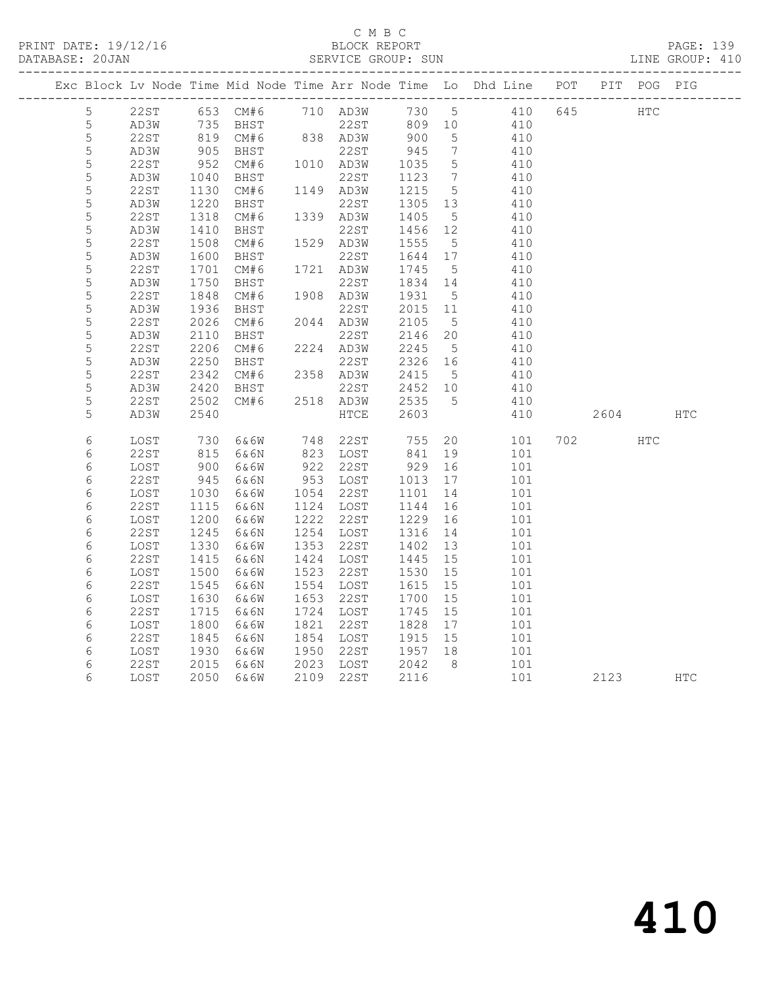### C M B C<br>BLOCK REPORT SERVICE GROUP: SUN

|             |      |      |                         |      |           |                 |                              | Exc Block Lv Node Time Mid Node Time Arr Node Time Lo Dhd Line POT |     |      | PIT POG PIG |            |
|-------------|------|------|-------------------------|------|-----------|-----------------|------------------------------|--------------------------------------------------------------------|-----|------|-------------|------------|
| 5           | 22ST |      | 653 CM#6 710 AD3W 730 5 |      |           |                 |                              | 410                                                                | 645 | HTC  |             |            |
| 5           | AD3W |      |                         |      |           |                 |                              |                                                                    |     |      |             |            |
| 5           | 22ST |      |                         |      |           |                 |                              |                                                                    |     |      |             |            |
| 5           | AD3W | 905  | BHST                    |      | 22ST      | 945             | $7\phantom{.0}\phantom{.0}7$ | 410                                                                |     |      |             |            |
| 5           | 22ST | 952  | CM#6                    |      | 1010 AD3W | 1035            | $5\overline{)}$              | 410                                                                |     |      |             |            |
| $\mathsf S$ | AD3W | 1040 | BHST                    |      | 22ST      | 1123            | $\overline{7}$               | 410                                                                |     |      |             |            |
| 5           | 22ST | 1130 | CM#6                    |      | 1149 AD3W | 1215            | $5^{\circ}$                  | 410                                                                |     |      |             |            |
| 5           | AD3W | 1220 | BHST                    |      | 22ST      | 1305 13         |                              | 410                                                                |     |      |             |            |
| $\mathsf S$ | 22ST | 1318 | CM#6                    |      | 1339 AD3W | 1405            | $5\overline{)}$              | 410                                                                |     |      |             |            |
| 5           | AD3W | 1410 | BHST                    |      | 22ST      | 1456 12         |                              | 410                                                                |     |      |             |            |
| 5           | 22ST | 1508 | CM#6                    |      | 1529 AD3W | 1555            | $5^{\circ}$                  | 410                                                                |     |      |             |            |
| 5           | AD3W | 1600 | BHST                    |      | 22ST      | 1644 17         |                              | 410                                                                |     |      |             |            |
| 5           | 22ST | 1701 | CM#6                    |      | 1721 AD3W | 1745            | $5^{\circ}$                  | 410                                                                |     |      |             |            |
| $\mathsf S$ | AD3W | 1750 | BHST                    |      | 22ST      | 1834 14         |                              | 410                                                                |     |      |             |            |
| 5           | 22ST | 1848 | CM#6                    |      | 1908 AD3W | 1931            | $5^{\circ}$                  | 410                                                                |     |      |             |            |
| 5           | AD3W | 1936 | BHST                    |      | 22ST      | 2015 11         |                              | 410                                                                |     |      |             |            |
| 5           | 22ST | 2026 | CM#6                    |      | 2044 AD3W | 2105            | $5^{\circ}$                  | 410                                                                |     |      |             |            |
| 5           | AD3W | 2110 | BHST                    |      | 22ST      | 2146            | 20                           | 410                                                                |     |      |             |            |
| 5           | 22ST | 2206 | CM#6                    |      | 2224 AD3W | 2245            | $5^{\circ}$                  | 410                                                                |     |      |             |            |
| $\mathsf S$ | AD3W | 2250 | BHST                    |      | 22ST      | 2326 16         |                              | 410                                                                |     |      |             |            |
| 5           | 22ST | 2342 | CM#6                    |      | 2358 AD3W | 2415            | $5^{\circ}$                  | 410                                                                |     |      |             |            |
| 5           | AD3W | 2420 | BHST                    |      | 22ST      | 2452 10<br>2535 |                              | 410                                                                |     |      |             |            |
| 5           | 22ST | 2502 | CM#6                    |      | 2518 AD3W |                 | $5^{\circ}$                  | 410                                                                |     |      |             |            |
| 5           | AD3W | 2540 |                         |      | HTCE      | 2603            |                              | 410                                                                |     | 2604 |             | <b>HTC</b> |
| 6           | LOST | 730  | 6&6W                    |      | 748 22ST  | 755             |                              | 20<br>101                                                          |     | 702  | HTC         |            |
| 6           | 22ST | 815  | 6&6N                    |      | 823 LOST  | 841             | 19                           | 101                                                                |     |      |             |            |
| 6           | LOST | 900  | 6&6W                    |      | 922 22ST  | 929             | 16                           | 101                                                                |     |      |             |            |
| 6           | 22ST | 945  | 6&6N                    |      | 953 LOST  | 1013            | 17                           | 101                                                                |     |      |             |            |
| 6           | LOST | 1030 | 6&6W                    |      | 1054 22ST | 1101            | 14                           | 101                                                                |     |      |             |            |
| 6           | 22ST | 1115 | 6&6N                    |      | 1124 LOST | 1144            | 16                           | 101                                                                |     |      |             |            |
| 6           | LOST | 1200 | 6&6W                    | 1222 | 22ST      | 1229            | 16                           | 101                                                                |     |      |             |            |
| 6           | 22ST | 1245 | 6&6N                    |      | 1254 LOST | 1316            | 14                           | 101                                                                |     |      |             |            |
| 6           | LOST | 1330 | 6&6W                    | 1353 | 22ST      | 1402            | 13                           | 101                                                                |     |      |             |            |
| 6           | 22ST | 1415 | 6&6N                    |      | 1424 LOST | 1445            | 15                           | 101                                                                |     |      |             |            |
| 6           | LOST | 1500 | 6&6W                    | 1523 | 22ST      | 1530            | 15                           | 101                                                                |     |      |             |            |
| 6           | 22ST | 1545 | 6&6N                    |      | 1554 LOST | 1615            | 15                           | 101                                                                |     |      |             |            |
| 6           | LOST | 1630 | 6&6W                    | 1653 | 22ST      | 1700            | 15                           | 101                                                                |     |      |             |            |
| 6           | 22ST | 1715 | 6&6N                    |      | 1724 LOST | 1745            | 15                           | 101                                                                |     |      |             |            |
| 6           | LOST | 1800 | 6&6W                    | 1821 | 22ST      | 1828            | 17                           | 101                                                                |     |      |             |            |
| 6           | 22ST | 1845 | 6&6N                    | 1854 | LOST      | 1915            | 15                           | 101                                                                |     |      |             |            |
| 6           | LOST | 1930 | 6&6W                    | 1950 | 22ST      | 1957 18         |                              | 101                                                                |     |      |             |            |
| 6           | 22ST | 2015 | 6&6N                    |      | 2023 LOST | 2042            | 8 <sup>8</sup>               | 101                                                                |     |      |             |            |
| 6           | LOST | 2050 | 6&6W                    |      | 2109 22ST | 2116            |                              | 101                                                                |     | 2123 |             | <b>HTC</b> |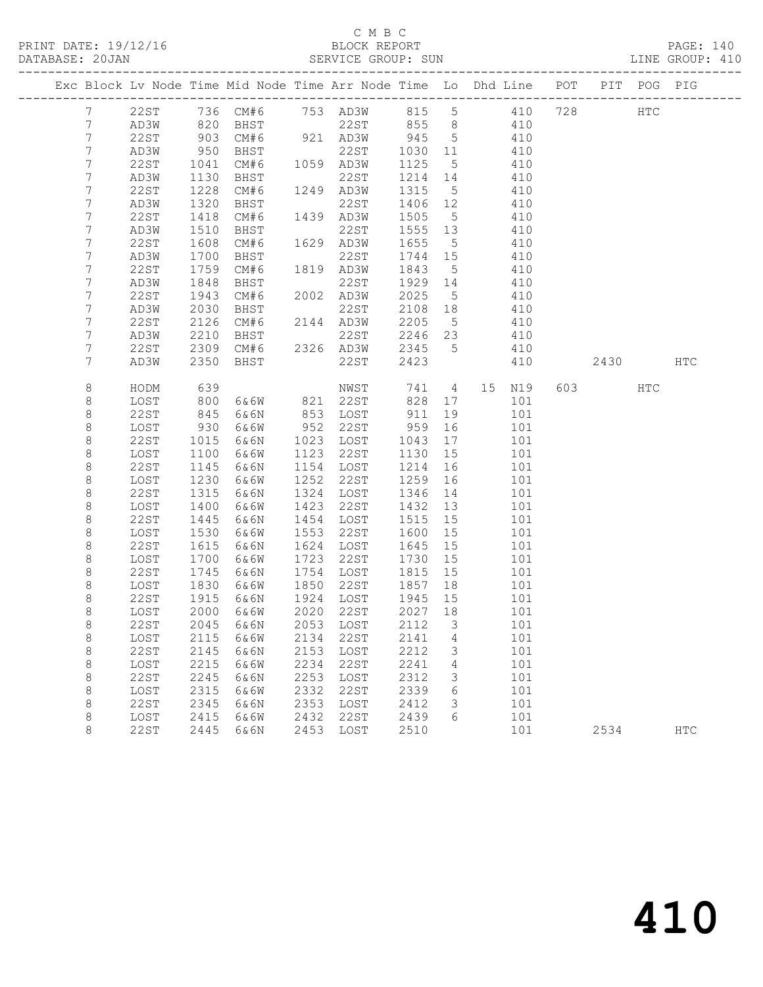PRINT DATE: 19/12/16 BLOCK REPORT<br>DATABASE: 20JAN BERVICE GROUP: SUN

## C M B C<br>BLOCK REPORT

PAGE: 140<br>LINE GROUP: 410

|                 |              |              |              |              |              |              |                 | Exc Block Lv Node Time Mid Node Time Arr Node Time Lo Dhd Line POT |     |      | PIT POG PIG |               |
|-----------------|--------------|--------------|--------------|--------------|--------------|--------------|-----------------|--------------------------------------------------------------------|-----|------|-------------|---------------|
| 7               | 22ST         |              |              |              |              |              |                 | 736 CM#6 753 AD3W 815 5 410 728                                    |     |      | HTC         |               |
| $7\overline{ }$ | AD3W         | 820          | BHST         |              | 22ST 855 8   |              |                 | 410                                                                |     |      |             |               |
| $7\phantom{.}$  | 22ST         | 903          | CM#6         |              | 921 AD3W     | 945          | $5\overline{)}$ | 410                                                                |     |      |             |               |
| $7\phantom{.}$  | AD3W         | 950          | BHST         |              | 22ST         | 1030 11      |                 | 410                                                                |     |      |             |               |
| 7               | 22ST         | 1041         | CM#6         |              | 1059 AD3W    | 1125         | $5^{\circ}$     | 410                                                                |     |      |             |               |
| 7               | AD3W         | 1130         | BHST         |              | 22ST         | 1214         | 14              | 410                                                                |     |      |             |               |
| 7               | 22ST         | 1228         | CM#6         |              | 1249 AD3W    | 1315         | $5\overline{)}$ | 410                                                                |     |      |             |               |
| $\overline{7}$  | AD3W         | 1320         | BHST         |              | 22ST         | 1406         | 12              | 410                                                                |     |      |             |               |
| $\overline{7}$  | 22ST         | 1418         | CM#6         |              | 1439 AD3W    | 1505         | $5^{\circ}$     | 410                                                                |     |      |             |               |
| 7               | AD3W         | 1510         | BHST         |              | 22ST         | 1555         | 13              | 410                                                                |     |      |             |               |
| 7               | 22ST         | 1608         | CM#6         |              | 1629 AD3W    | 1655         | $5^{\circ}$     | 410                                                                |     |      |             |               |
| 7               | AD3W         | 1700         | BHST         |              | 22ST         | 1744 15      |                 | 410                                                                |     |      |             |               |
| 7               | 22ST         | 1759         | CM#6         |              | 1819 AD3W    | 1843         | $5\overline{)}$ | 410                                                                |     |      |             |               |
| 7               | AD3W         | 1848         | <b>BHST</b>  |              | 22ST         | 1929         | 14              | 410                                                                |     |      |             |               |
| 7               | 22ST         | 1943         | CM#6         |              | 2002 AD3W    | 2025         | $5\phantom{.0}$ | 410                                                                |     |      |             |               |
| 7               | AD3W         | 2030         | BHST         |              | 22ST         | 2108         | 18              | 410                                                                |     |      |             |               |
| 7               | 22ST         | 2126         | CM#6         |              | 2144 AD3W    | 2205         | $5^{\circ}$     | 410                                                                |     |      |             |               |
| 7               | AD3W         | 2210         | BHST         |              | 22ST         | 2246 23      |                 | 410                                                                |     |      |             |               |
| 7               | 22ST         | 2309         | CM#6         |              | 2326 AD3W    | 2345         | 5 <sup>5</sup>  | 410                                                                |     |      |             |               |
| 7               | AD3W         | 2350         | BHST         |              | 22ST         | 2423         |                 | 410                                                                |     | 2430 |             | HTC           |
| 8               | HODM         | 639          |              |              | NWST         | 741          |                 | 4 15 N19                                                           | 603 |      | HTC         |               |
| 8               | LOST         | 800          | 6&6W         |              | 821 22ST     | 828          | 17              | 101                                                                |     |      |             |               |
| $\,8\,$         | 22ST         | 845          | 6&6N         |              | 853 LOST     | 911          | 19              | 101                                                                |     |      |             |               |
| $\,8\,$         | LOST         | 930          | 6&6W         | 952          | 22ST         | 959          | 16              | 101                                                                |     |      |             |               |
| 8               | 22ST         | 1015         | 6&6N         | 1023         | LOST         | 1043         | 17              | 101                                                                |     |      |             |               |
| $\,8\,$         | LOST         | 1100         | 6&6W         | 1123         | 22ST         | 1130         | 15              | 101                                                                |     |      |             |               |
| $\,8\,$         | 22ST         | 1145         | 6&6N         | 1154         | LOST         | 1214         | 16              | 101                                                                |     |      |             |               |
| $\,8\,$         | LOST         | 1230         | 6&6W         | 1252         | 22ST         | 1259         | 16              | 101                                                                |     |      |             |               |
| 8               | 22ST         | 1315         | 6&6N         | 1324         | LOST         | 1346         | 14              | 101                                                                |     |      |             |               |
| 8               | LOST         | 1400         | 6&6W         | 1423         | 22ST         | 1432         | 13              | 101                                                                |     |      |             |               |
| $\,8\,$         | 22ST         | 1445         | 6&6N         | 1454         | LOST         | 1515         | 15              | 101                                                                |     |      |             |               |
| $\,8\,$         | LOST         | 1530         | 6&6W         | 1553<br>1624 | 22ST         | 1600         | 15              | 101                                                                |     |      |             |               |
| 8<br>8          | 22ST<br>LOST | 1615<br>1700 | 6&6N<br>6&6W | 1723         | LOST<br>22ST | 1645<br>1730 | 15<br>15        | 101<br>101                                                         |     |      |             |               |
| $\,8\,$         | 22ST         | 1745         | 6&6N         | 1754         | LOST         | 1815         | 15              | 101                                                                |     |      |             |               |
| $\,8\,$         | LOST         | 1830         | 6&6W         | 1850         | 22ST         | 1857         | 18              | 101                                                                |     |      |             |               |
| 8               | 22ST         | 1915         | 6&6N         | 1924         | LOST         | 1945         | 15              | 101                                                                |     |      |             |               |
| $\,8\,$         | LOST         | 2000         | 6&6W         | 2020         | 22ST         | 2027 18      |                 | 101                                                                |     |      |             |               |
| 8               | 22 S T       | 2045         | 6&6N         | 2053         | LOST         | 2112         | З               | 101                                                                |     |      |             |               |
| $\,8\,$         | LOST         | 2115         | 6&6W         | 2134         | 22ST         | 2141         | 4               | 101                                                                |     |      |             |               |
| $\,8\,$         | 22ST         | 2145         | 6&6N         | 2153         | LOST         | 2212         | 3               | 101                                                                |     |      |             |               |
| $\,8\,$         | LOST         | 2215         | 6&6W         | 2234         | <b>22ST</b>  | 2241         | 4               | 101                                                                |     |      |             |               |
| $\,8\,$         | <b>22ST</b>  | 2245         | 6&6N         | 2253         | LOST         | 2312         | 3               | 101                                                                |     |      |             |               |
| $\,8\,$         | LOST         | 2315         | 6&6W         | 2332         | 22ST         | 2339         | 6               | 101                                                                |     |      |             |               |
| $\,8\,$         | <b>22ST</b>  | 2345         | 6&6N         | 2353         | LOST         | 2412         | 3               | 101                                                                |     |      |             |               |
| 8               | LOST         | 2415         | 6&6W         | 2432         | 22ST         | 2439         | 6               | 101                                                                |     |      |             |               |
| $\,8\,$         | 22ST         | 2445         | 6&6N         | 2453         | LOST         | 2510         |                 | 101                                                                |     | 2534 |             | $_{\rm{HTC}}$ |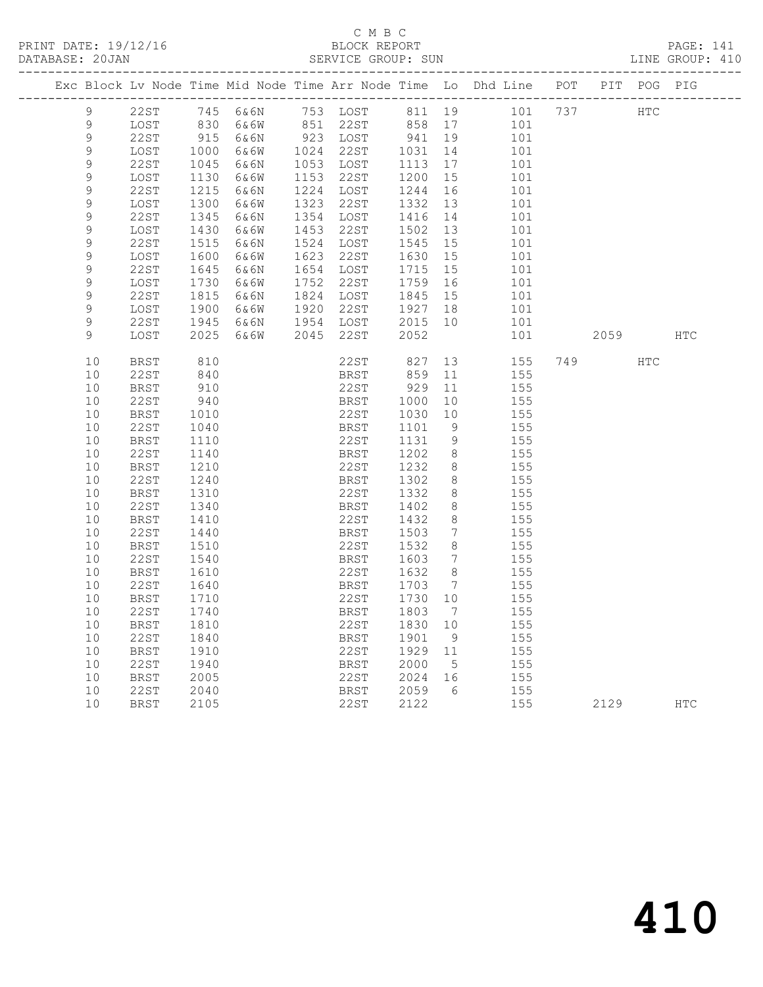# C M B C

|  | DATABASE: 20JAN |              |                           |      |      | SERVICE GROUP: SUN |              |                 |                                                                                |      |          | LINE GROUP: 410 |
|--|-----------------|--------------|---------------------------|------|------|--------------------|--------------|-----------------|--------------------------------------------------------------------------------|------|----------|-----------------|
|  |                 |              |                           |      |      |                    |              |                 | Exc Block Lv Node Time Mid Node Time Arr Node Time Lo Dhd Line POT PIT POG PIG |      |          |                 |
|  | 9               |              |                           |      |      |                    |              |                 | 22ST 745 6&6N 753 LOST 811 19 101 737 HTC                                      |      |          |                 |
|  | 9               | LOST         | 830                       |      |      |                    |              |                 | 6&6W 851 22ST 858 17 101                                                       |      |          |                 |
|  | 9               | 22ST         | $915$<br>$1000$<br>$1045$ | 6&6N |      | 923 LOST 941       |              | 19              | 101                                                                            |      |          |                 |
|  | $\mathsf 9$     | LOST         |                           | 6&6W |      | 1024 22ST 1031     |              | 14              | 101                                                                            |      |          |                 |
|  | 9               | 22ST         |                           | 6&6N |      | 1053 LOST          | 1113         | 17              | 101                                                                            |      |          |                 |
|  | 9               | LOST         | 1130                      | 6&6W |      | 1153 22ST          | 1200         | 15              | 101                                                                            |      |          |                 |
|  | 9               | 22ST         | 1215                      | 6&6N |      | 1224 LOST          | 1244         | 16              | 101                                                                            |      |          |                 |
|  | 9               | LOST         | 1300                      | 6&6W |      | 1323 22ST          | 1332         | 13              | 101                                                                            |      |          |                 |
|  | $\mathsf 9$     | 22ST         | 1345                      | 6&6N |      | 1354 LOST          | 1416         | 14              | 101                                                                            |      |          |                 |
|  | 9               | LOST         | 1430                      | 6&6W | 1453 | 22ST               | 1502         | 13              | 101                                                                            |      |          |                 |
|  | 9               | 22ST         | 1515                      | 6&6N | 1524 | LOST               | 1545         | 15              | 101                                                                            |      |          |                 |
|  | 9               | LOST         | 1600                      | 6&6W | 1623 | 22ST               | 1630         | 15              | 101                                                                            |      |          |                 |
|  | $\mathsf 9$     | 22ST         | 1645                      | 6&6N |      | 1654 LOST          | 1715         | 15              | 101                                                                            |      |          |                 |
|  | 9               | LOST         | 1730                      | 6&6W | 1752 | 22ST               | 1759         | 16              | 101                                                                            |      |          |                 |
|  | 9               | 22ST         | 1815                      | 6&6N | 1824 | LOST               | 1845         | 15              | 101                                                                            |      |          |                 |
|  | 9               | LOST         | 1900<br>1945              | 6&6W | 1920 | 22ST               | 1927         | 18              | 101                                                                            |      |          |                 |
|  | 9<br>9          | 22ST         |                           | 6&6N |      | 1954 LOST<br>22ST  | 2015 10      |                 | 101                                                                            |      |          |                 |
|  |                 | LOST         | 2025                      | 6&6W | 2045 |                    | 2052         |                 | 101                                                                            |      | 2059 HTC |                 |
|  | 10              | BRST         | 810                       |      |      | $22ST$ 827         |              | 13              | 155                                                                            | 749  | HTC      |                 |
|  | 10              | 22ST         | 840                       |      |      | <b>BRST</b>        | 859          | 11              | 155                                                                            |      |          |                 |
|  | 10              | BRST         | 910                       |      |      | 22ST               | 929          | 11              | 155                                                                            |      |          |                 |
|  | 10              | 22ST         | 940                       |      |      | BRST               | 1000         | 10              | 155                                                                            |      |          |                 |
|  | 10              | BRST         | 1010                      |      |      | 22ST               | 1030         | 10              | 155                                                                            |      |          |                 |
|  | 10              | 22ST         | 1040                      |      |      | BRST               | 1101         | 9               | 155                                                                            |      |          |                 |
|  | 10              | BRST         | 1110                      |      |      | 22ST               | 1131         | 9               | 155                                                                            |      |          |                 |
|  | 10              | 22ST         | 1140                      |      |      | BRST               | 1202         | 8 <sup>8</sup>  | 155                                                                            |      |          |                 |
|  | 10              | BRST         | 1210                      |      |      | 22ST               | 1232         | 8<br>8          | 155<br>155                                                                     |      |          |                 |
|  | 10<br>10        | 22ST         | 1240                      |      |      | BRST<br>22ST       | 1302<br>1332 | 8               | 155                                                                            |      |          |                 |
|  | 10              | BRST<br>22ST | 1310<br>1340              |      |      | BRST               | 1402         | 8               | 155                                                                            |      |          |                 |
|  | 10              | BRST         | 1410                      |      |      | 22ST               | 1432         | 8               | 155                                                                            |      |          |                 |
|  | 10              | 22ST         | 1440                      |      |      | BRST               | 1503         | $7\overline{ }$ | 155                                                                            |      |          |                 |
|  | 10              | BRST         | 1510                      |      |      | 22ST               | 1532         | 8               | 155                                                                            |      |          |                 |
|  | 10              | 22ST         | 1540                      |      |      | BRST               | 1603         |                 | 7 155                                                                          |      |          |                 |
|  | 10              | BRST         | 1610                      |      |      | 22ST               | 1632         | 8 <sup>8</sup>  | 155                                                                            |      |          |                 |
|  | 10              | 22ST         | 1640                      |      |      | BRST               | 1703         | $\overline{7}$  | 155                                                                            |      |          |                 |
|  | 10              | BRST         | 1710                      |      |      | 22ST               | 1730 10      |                 | 155                                                                            |      |          |                 |
|  | 10              | 22ST         | 1740                      |      |      |                    |              |                 | BRST 1803 7 155                                                                |      |          |                 |
|  | 10              | BRST         | 1810                      |      |      | 22ST               | 1830 10      |                 | 155                                                                            |      |          |                 |
|  | 10              | 22ST         | 1840                      |      |      | BRST               | 1901         | 9               | 155                                                                            |      |          |                 |
|  | 10              | <b>BRST</b>  | 1910                      |      |      | 22ST               | 1929         | 11              | 155                                                                            |      |          |                 |
|  | 10              | 22ST         | 1940                      |      |      | BRST               | 2000         | 5               | 155                                                                            |      |          |                 |
|  | 10              | <b>BRST</b>  | 2005                      |      |      | 22ST               | 2024         | 16              | 155                                                                            |      |          |                 |
|  | 10              | 22ST         | 2040                      |      |      | BRST               | 2059         | - 6             | 155                                                                            |      |          |                 |
|  | 10              | <b>BRST</b>  | 2105                      |      |      | 22ST               | 2122         |                 | 155                                                                            | 2129 |          | <b>HTC</b>      |
|  |                 |              |                           |      |      |                    |              |                 |                                                                                |      |          |                 |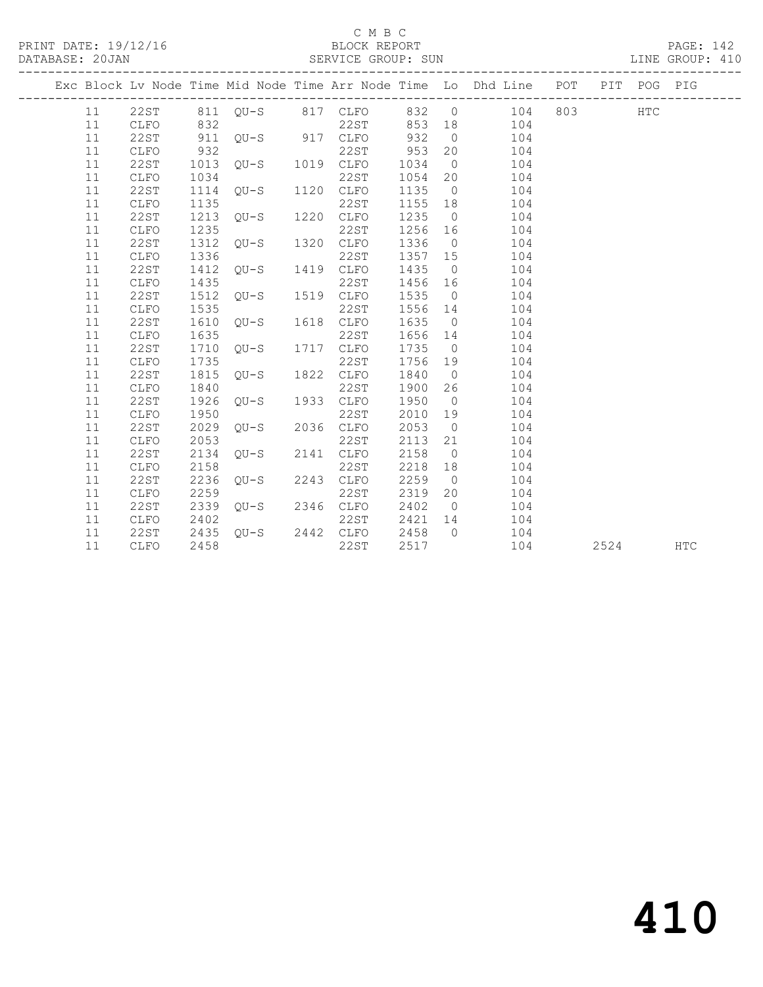PRINT DATE: 19/12/16 BLOCK REPORT BATABASE: 20JAN

### C M B C<br>BLOCK REPORT

PAGE: 142<br>LINE GROUP: 410

| DAIABASE; ZUJAN |      |      |                                                        | SERVICE GROUP: SUN                    |         |    |                                                                                                                                                                                                        |      | TIME GROOF: 4TO |
|-----------------|------|------|--------------------------------------------------------|---------------------------------------|---------|----|--------------------------------------------------------------------------------------------------------------------------------------------------------------------------------------------------------|------|-----------------|
|                 |      |      |                                                        |                                       |         |    | Exc Block Lv Node Time Mid Node Time Arr Node Time Lo Dhd Line POT PIT POG PIG                                                                                                                         |      |                 |
|                 |      |      |                                                        |                                       |         |    | 11  22ST  811  QU-S  817  CLFO  832  0  104  803  HTC<br>317 CLFO 832 0<br>32 22ST 853 18 104<br>311 QU-S 917 CLFO 932 0 104<br>932 22ST 953 20 104<br>932 22ST 953 20 104<br>1013 QU-S 1019 CLFO 1024 |      |                 |
| 11              | CLFO |      |                                                        |                                       |         |    |                                                                                                                                                                                                        |      |                 |
| 11              | 22ST |      |                                                        |                                       |         |    |                                                                                                                                                                                                        |      |                 |
| 11              | CLFO |      |                                                        |                                       |         |    |                                                                                                                                                                                                        |      |                 |
| 11              | 22ST |      |                                                        |                                       |         |    |                                                                                                                                                                                                        |      |                 |
| 11              | CLFO | 1034 |                                                        | 22ST                                  | 1054 20 |    | 104                                                                                                                                                                                                    |      |                 |
| 11              | 22ST | 1114 | 22ST<br>QU-S 1120 CLFO                                 |                                       | 1135 0  |    | 104                                                                                                                                                                                                    |      |                 |
| 11              | CLFO | 1135 |                                                        | 22ST                                  | 1155 18 |    | 104                                                                                                                                                                                                    |      |                 |
| 11              | 22ST | 1213 | 22ST<br>QU-S 1220 CLFO                                 |                                       | 1235 0  |    | 104                                                                                                                                                                                                    |      |                 |
| 11              | CLFO | 1235 |                                                        | 22ST                                  | 1256 16 |    | 104                                                                                                                                                                                                    |      |                 |
| 11              | 22ST | 1312 | 22ST<br>QU-S 1320 CLFO                                 |                                       | 1336 0  |    | 104                                                                                                                                                                                                    |      |                 |
| 11              | CLFO | 1336 |                                                        | 22ST                                  | 1357 15 |    | 104                                                                                                                                                                                                    |      |                 |
| 11              | 22ST | 1412 | 22ST<br>QU-S 1419 CLFO                                 |                                       | 1435 0  |    | 104                                                                                                                                                                                                    |      |                 |
| 11              | CLFO | 1435 |                                                        | 22ST                                  | 1456 16 |    | 104                                                                                                                                                                                                    |      |                 |
| 11              | 22ST | 1512 | 22ST<br>QU-S 1519 CLFO                                 |                                       | 1535 0  |    | 104                                                                                                                                                                                                    |      |                 |
| 11              | CLFO | 1535 |                                                        |                                       | 1556 14 |    | 104                                                                                                                                                                                                    |      |                 |
| 11              | 22ST | 1610 | $22ST$<br>$QU-S$ $1618$ $CLFO$                         |                                       | 1635 0  |    | 104                                                                                                                                                                                                    |      |                 |
| 11              | CLFO | 1635 |                                                        | 22ST                                  | 1656 14 |    | 104                                                                                                                                                                                                    |      |                 |
| 11              | 22ST | 1710 | $22ST$<br>$QU-S$ $1717$ $CLFO$                         |                                       | 1735 0  |    | 104                                                                                                                                                                                                    |      |                 |
| 11              | CLFO | 1735 | $\begin{tabular}{cc} QU-S & 1822 & CLFO \end{tabular}$ |                                       |         |    | 1756 19 104                                                                                                                                                                                            |      |                 |
| 11              | 22ST | 1815 |                                                        |                                       | 1840 0  |    | 104                                                                                                                                                                                                    |      |                 |
| 11              | CLFO | 1840 | 22ST<br>QU-S 1933 CLFO                                 |                                       | 1900 26 |    | 104                                                                                                                                                                                                    |      |                 |
| 11              | 22ST | 1926 |                                                        |                                       | 1950 0  |    | 104                                                                                                                                                                                                    |      |                 |
| 11              | CLFO | 1950 |                                                        |                                       | 2010 19 |    | 104                                                                                                                                                                                                    |      |                 |
| 11              | 22ST | 2029 | $22ST$<br>$QU-S$ 2036 $CLFO$                           |                                       | 2053 0  |    | 104                                                                                                                                                                                                    |      |                 |
| 11              | CLFO | 2053 |                                                        |                                       | 2113 21 |    | 104                                                                                                                                                                                                    |      |                 |
| 11              | 22ST | 2134 | $22ST$<br>$QU-S$ 2141 $CLFO$                           |                                       | 2158 0  |    | 104                                                                                                                                                                                                    |      |                 |
| 11              | CLFO | 2158 |                                                        | 22ST                                  | 2218 18 |    | 104                                                                                                                                                                                                    |      |                 |
| 11              | 22ST | 2236 | $22ST$<br>$QU-S$ 2243 $CLFO$                           |                                       | 2259 0  |    | 104                                                                                                                                                                                                    |      |                 |
| 11              | CLFO | 2259 | $22ST$<br>$QU-S$ 2346 $CLFO$                           |                                       | 2319    | 20 | 104                                                                                                                                                                                                    |      |                 |
| 11              | 22ST | 2339 |                                                        |                                       | 2402 0  |    | 104                                                                                                                                                                                                    |      |                 |
| 11              | CLFO | 2402 |                                                        | 22ST 2421 14<br>QU-S 2442 CLFO 2458 0 |         |    | 104                                                                                                                                                                                                    |      |                 |
| 11              | 22ST | 2435 |                                                        |                                       |         |    | 104                                                                                                                                                                                                    |      |                 |
| 11              | CLFO | 2458 |                                                        | 22ST                                  | 2517    |    | 104                                                                                                                                                                                                    | 2524 | <b>HTC</b>      |
|                 |      |      |                                                        |                                       |         |    |                                                                                                                                                                                                        |      |                 |

22ST 2517 104 2524 HTC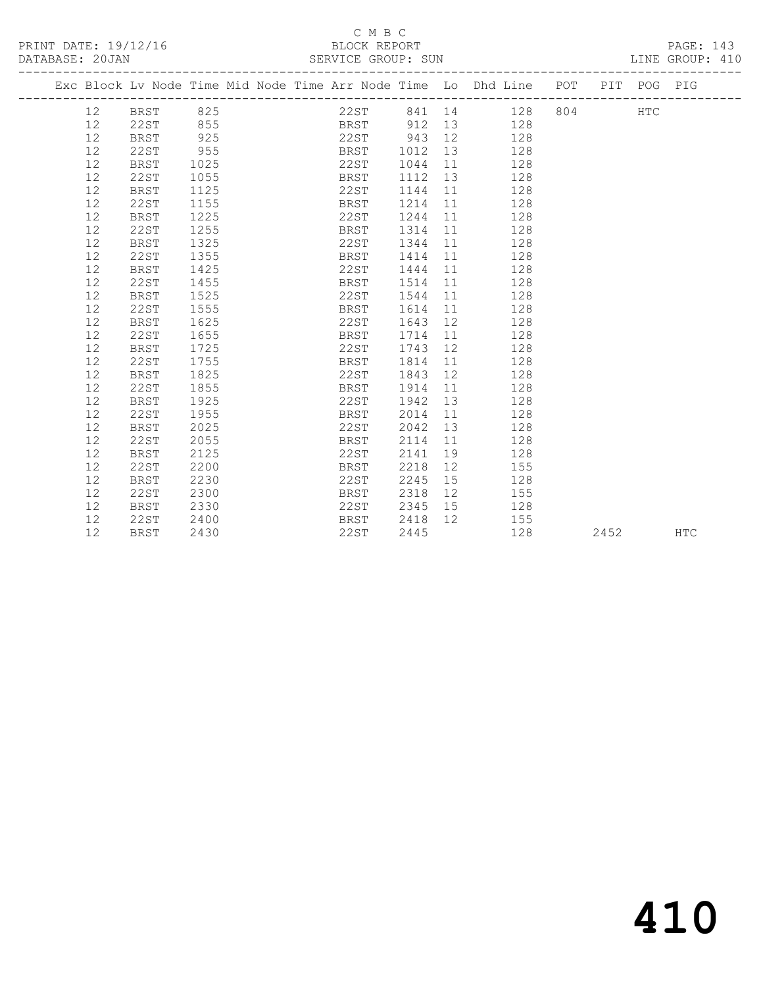### C M B C<br>BLOCK REPORT SERVICE GROUP: SUN

|                 |             |      |  |             |         |    | Exc Block Lv Node Time Mid Node Time Arr Node Time Lo Dhd Line POT PIT POG PIG |  |     |  |
|-----------------|-------------|------|--|-------------|---------|----|--------------------------------------------------------------------------------|--|-----|--|
| 12 <sup>°</sup> | BRST 825    |      |  |             |         |    | 22ST 841 14 128 804                                                            |  | HTC |  |
| 12              | 22ST        | 855  |  | BRST        |         |    | 912 13<br>128                                                                  |  |     |  |
| 12              | BRST        | 925  |  | 22ST 943 12 |         |    | 128                                                                            |  |     |  |
| 12              | 22ST        | 955  |  | BRST        | 1012 13 |    | 128                                                                            |  |     |  |
| 12              | BRST        | 1025 |  | 22ST        | 1044    | 11 | 128                                                                            |  |     |  |
| 12              | 22ST        | 1055 |  | BRST        | 1112    | 13 | 128                                                                            |  |     |  |
| 12              | BRST        | 1125 |  | 22ST        | 1144    |    | 128<br>11 — 1                                                                  |  |     |  |
| 12              | 22ST        | 1155 |  | BRST        | 1214    | 11 | 128                                                                            |  |     |  |
| 12              | BRST        | 1225 |  | 22ST        | 1244    | 11 | 128                                                                            |  |     |  |
| 12              | 22ST        | 1255 |  | BRST        | 1314    | 11 | 128                                                                            |  |     |  |
| 12              | BRST        | 1325 |  | 22ST        | 1344    | 11 | 128                                                                            |  |     |  |
| 12              | 22ST        | 1355 |  | BRST        | 1414    | 11 | 128                                                                            |  |     |  |
| 12              | BRST        | 1425 |  | 22ST        | 1444    | 11 | 128                                                                            |  |     |  |
| 12              | 22ST        | 1455 |  | BRST        | 1514    | 11 | 128                                                                            |  |     |  |
| 12              | <b>BRST</b> | 1525 |  | 22ST        | 1544    | 11 | 128                                                                            |  |     |  |
| 12              | 22ST        | 1555 |  | BRST        | 1614    | 11 | 128                                                                            |  |     |  |
| 12              | BRST        | 1625 |  | 22ST        | 1643    | 12 | 128                                                                            |  |     |  |
| 12              | 22ST        | 1655 |  | BRST        | 1714    | 11 | 128                                                                            |  |     |  |
| 12              | BRST        | 1725 |  | 22ST        | 1743    | 12 | 128                                                                            |  |     |  |
| 12              | 22ST        | 1755 |  | BRST        | 1814    | 11 | 128                                                                            |  |     |  |
| 12              | BRST        | 1825 |  | 22ST        | 1843    | 12 | 128                                                                            |  |     |  |
| 12              | 22ST        | 1855 |  | BRST        | 1914    | 11 | 128                                                                            |  |     |  |
| 12              | BRST        | 1925 |  | 22ST        | 1942    |    | 13<br>128                                                                      |  |     |  |
| 12              | 22ST        | 1955 |  | BRST        | 2014    | 11 | 128                                                                            |  |     |  |
| 12              | BRST        | 2025 |  | 22ST        | 2042    | 13 | 128                                                                            |  |     |  |
| 12              | 22ST        | 2055 |  | BRST        | 2114    | 11 | 128                                                                            |  |     |  |
| 12              | BRST        | 2125 |  | 22ST        | 2141    | 19 | 128                                                                            |  |     |  |
| 12              | 22ST        | 2200 |  | BRST        | 2218    | 12 | 155                                                                            |  |     |  |

 12 BRST 2230 22ST 2245 15 128 12 22ST 2300 BRST 2318 12 155 12 BRST 2330 22ST 2345 15 128 12 22ST 2400 BRST 2418 12 155

12 BRST 2330 22ST 2345 15 128<br>
12 22ST 2400 BRST 2418 12 155<br>
12 BRST 2430 22ST 2445 128 2452 HTC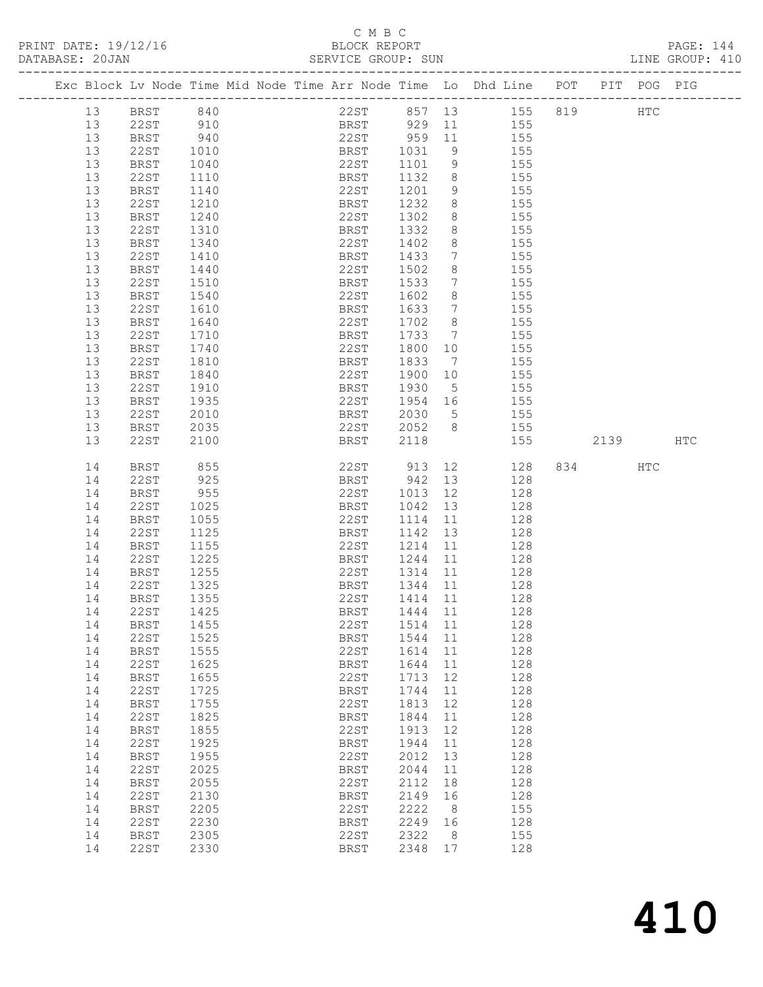# C M B C<br>BLOCK REPORT

PAGE: 144<br>LINE GROUP: 410

|  |          |                            |              |  |              | OLNATOL GROOF. OUN |                              |                       |                                                                    |      |             |     |
|--|----------|----------------------------|--------------|--|--------------|--------------------|------------------------------|-----------------------|--------------------------------------------------------------------|------|-------------|-----|
|  |          |                            |              |  |              |                    |                              |                       | Exc Block Lv Node Time Mid Node Time Arr Node Time Lo Dhd Line POT |      | PIT POG PIG |     |
|  | 13       | BRST                       | 840          |  |              | 22ST 857 13        |                              |                       | 155 819                                                            |      | HTC         |     |
|  | 13       | 22ST                       | 910          |  |              | BRST 929 11 155    |                              |                       |                                                                    |      |             |     |
|  | 13       | <b>BRST</b>                | 940          |  |              | 22ST 959 11 155    |                              |                       |                                                                    |      |             |     |
|  | 13       | 22ST                       | 1010         |  | BRST         | 1031               | 9                            |                       | 155                                                                |      |             |     |
|  | 13       | BRST                       | 1040         |  | 22ST         | 1101               | 9                            |                       | 155                                                                |      |             |     |
|  | 13       | 22ST                       | 1110         |  | BRST         | 1132               | 8 <sup>8</sup>               |                       | 155                                                                |      |             |     |
|  | 13       | BRST                       | 1140         |  | 22ST         | 1201               | 9                            |                       | 155                                                                |      |             |     |
|  | 13       | 22ST                       | 1210         |  | BRST         | 1232               | 8                            |                       | 155                                                                |      |             |     |
|  | 13       | <b>BRST</b>                | 1240         |  | 22ST         | 1302               | 8                            |                       | 155                                                                |      |             |     |
|  | 13       | 22ST                       | 1310         |  | BRST         | 1332               | 8                            |                       | 155                                                                |      |             |     |
|  | 13       | <b>BRST</b>                | 1340         |  | 22ST         | 1402               | 8                            |                       | 155                                                                |      |             |     |
|  | 13       | 22ST                       | 1410         |  | BRST         | 1433               | $7\phantom{.0}\phantom{.0}7$ |                       | 155                                                                |      |             |     |
|  | 13       | BRST                       | 1440         |  | 22ST         | 1502               | 8                            |                       | 155                                                                |      |             |     |
|  | 13       | 22ST                       | 1510         |  | BRST         | 1533               | $\overline{7}$               |                       | 155                                                                |      |             |     |
|  | 13       | <b>BRST</b>                | 1540         |  | 22ST         | 1602               | 8 <sup>8</sup>               |                       | 155                                                                |      |             |     |
|  | 13       | 22ST                       | 1610         |  | BRST         | 1633               | $\overline{7}$               |                       | 155                                                                |      |             |     |
|  | 13       | BRST                       | 1640         |  | 22ST         | 1702               | 8 <sup>8</sup>               |                       | 155                                                                |      |             |     |
|  | 13       | 22ST                       | 1710         |  | BRST         | 1733               | $\overline{7}$               |                       | 155                                                                |      |             |     |
|  | 13       | <b>BRST</b>                | 1740         |  | 22ST         | 1800               | 10                           |                       | 155                                                                |      |             |     |
|  | 13       | 22ST                       | 1810         |  | BRST         | 1833               | $\overline{7}$               |                       | 155                                                                |      |             |     |
|  | 13       | BRST                       | 1840         |  | 22ST         | 1900               | 10                           |                       | 155                                                                |      |             |     |
|  | 13       | 22ST                       | 1910         |  | BRST         | 1930               | $5\overline{)}$              |                       | 155                                                                |      |             |     |
|  | 13       | BRST                       | 1935         |  | 22ST         | 1954 16            |                              | 155                   |                                                                    |      |             |     |
|  | 13       | 22ST                       | 2010         |  | BRST         | 2030               | $5\overline{)}$              |                       | 155<br>155                                                         |      |             |     |
|  | 13<br>13 | BRST<br>22ST               | 2035<br>2100 |  | 22ST<br>BRST | 2052 8<br>2118     |                              |                       | 155                                                                | 2139 |             | HTC |
|  |          |                            |              |  |              |                    |                              |                       |                                                                    |      |             |     |
|  | 14       | BRST                       | 855          |  |              | 22ST 913           |                              | 12 and $\overline{a}$ | 128                                                                | 834  | <b>HTC</b>  |     |
|  | 14       | 22ST                       | 925          |  | BRST         | 942                | 13                           |                       | 128                                                                |      |             |     |
|  | 14       | BRST                       | 955          |  | 22ST         | 1013               | 12                           |                       | 128                                                                |      |             |     |
|  | 14       | 22ST                       | 1025         |  | BRST         | 1042 13            |                              |                       | 128                                                                |      |             |     |
|  | 14       | BRST                       | 1055         |  | 22ST         | 1114               | 11                           |                       | 128                                                                |      |             |     |
|  | 14       | 22ST                       | 1125         |  | BRST         | 1142               | 13                           |                       | 128                                                                |      |             |     |
|  | 14       | BRST                       | 1155         |  | 22ST         | 1214               | 11                           |                       | 128                                                                |      |             |     |
|  | 14       | 22ST                       | 1225         |  | BRST         | 1244               | 11                           |                       | 128                                                                |      |             |     |
|  | 14       | BRST                       | 1255         |  | 22ST         | 1314               | 11                           |                       | 128                                                                |      |             |     |
|  | 14       | 22ST                       | 1325         |  | BRST         | 1344               | 11                           |                       | 128                                                                |      |             |     |
|  | 14       | BRST                       | 1355         |  | 22ST         | 1414 11            |                              |                       | 128                                                                |      |             |     |
|  | 14       | 22ST                       | 1425         |  | BRST         | 1444 11            |                              |                       | 128                                                                |      |             |     |
|  | 14       | <b>BRST</b>                | 1455         |  | 22ST         | 1514               | 11                           |                       | 128                                                                |      |             |     |
|  | 14       | 22ST                       | 1525         |  | BRST         | 1544               | 11                           |                       | 128                                                                |      |             |     |
|  | 14       | <b>BRST</b>                | 1555         |  | 22ST         | 1614               | 11                           |                       | 128                                                                |      |             |     |
|  | 14       | 22ST                       | 1625<br>1655 |  | BRST<br>22ST | 1644<br>1713       | 11<br>12                     |                       | 128<br>128                                                         |      |             |     |
|  | 14<br>14 | <b>BRST</b><br><b>22ST</b> | 1725         |  |              | 1744               | 11                           |                       | 128                                                                |      |             |     |
|  | 14       | <b>BRST</b>                | 1755         |  | BRST<br>22ST | 1813               | 12                           |                       | 128                                                                |      |             |     |
|  | 14       | <b>22ST</b>                | 1825         |  | <b>BRST</b>  | 1844               | 11                           |                       | 128                                                                |      |             |     |
|  | 14       | <b>BRST</b>                | 1855         |  | 22ST         | 1913               | 12                           |                       | 128                                                                |      |             |     |
|  | 14       | 22ST                       | 1925         |  | <b>BRST</b>  | 1944               | 11                           |                       | 128                                                                |      |             |     |
|  | 14       | <b>BRST</b>                | 1955         |  | 22ST         | 2012               | 13                           |                       | 128                                                                |      |             |     |
|  | 14       | <b>22ST</b>                | 2025         |  | BRST         | 2044               | 11                           |                       | 128                                                                |      |             |     |
|  | 14       | <b>BRST</b>                | 2055         |  | 22ST         | 2112               | 18                           |                       | 128                                                                |      |             |     |
|  | 14       | <b>22ST</b>                | 2130         |  | BRST         | 2149               | 16                           |                       | 128                                                                |      |             |     |
|  | 14       | <b>BRST</b>                | 2205         |  | 22ST         | 2222               | 8                            |                       | 155                                                                |      |             |     |
|  | 14       | <b>22ST</b>                | 2230         |  | <b>BRST</b>  | 2249               | 16                           |                       | 128                                                                |      |             |     |
|  | 14       | <b>BRST</b>                | 2305         |  | 22ST         | 2322               | 8                            |                       | 155                                                                |      |             |     |
|  | 14       | <b>22ST</b>                | 2330         |  | <b>BRST</b>  | 2348               | 17                           |                       | 128                                                                |      |             |     |
|  |          |                            |              |  |              |                    |                              |                       |                                                                    |      |             |     |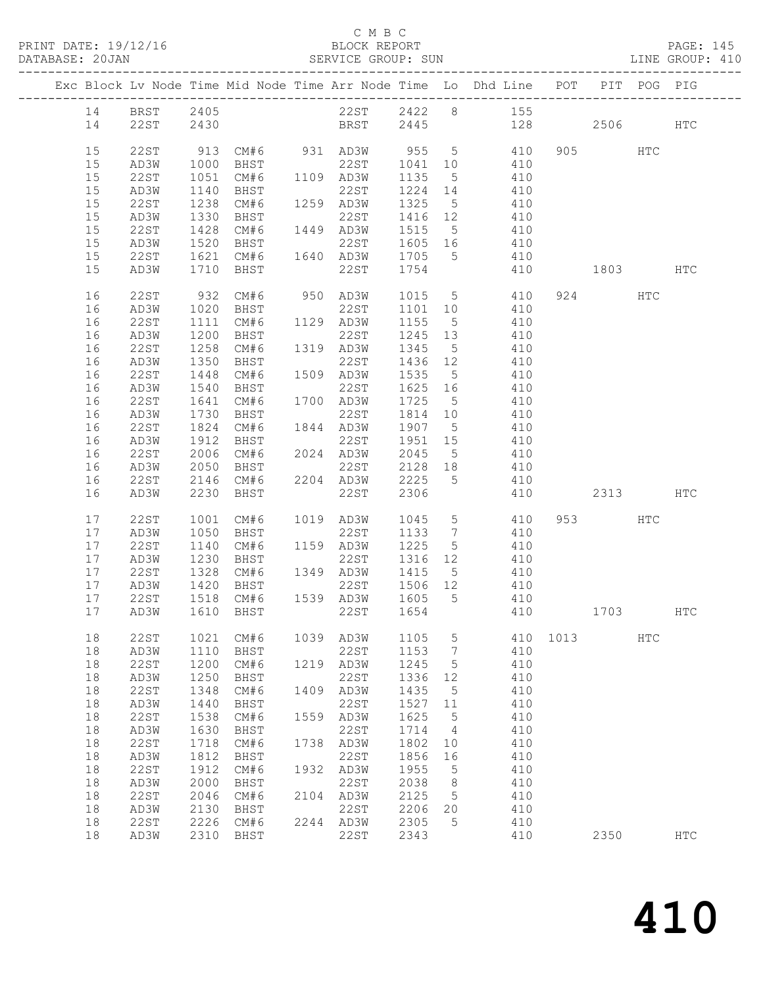| PRINT DATE: 19/12/16 | BLOCK REPORT       | 14'<br>$PAGE$ . |
|----------------------|--------------------|-----------------|
| DATABASE: 20JAN      | SERVICE GROUP: SUN | LINE GROUP: 410 |

## C M B C<br>C M B C<br>BLOCK REPOP SERVICE GROUP: SUN

|    |             |      |                                                      |      |                                          |                   |    | Exc Block Lv Node Time Mid Node Time Arr Node Time Lo Dhd Line POT |          | PIT      | POG PIG |            |
|----|-------------|------|------------------------------------------------------|------|------------------------------------------|-------------------|----|--------------------------------------------------------------------|----------|----------|---------|------------|
| 14 | <b>BRST</b> | 2405 |                                                      |      |                                          |                   |    | 22ST 2422 8 155                                                    |          |          |         |            |
| 14 | 22ST        | 2430 |                                                      |      |                                          |                   |    | BRST 2445 128                                                      |          | 2506 700 |         | HTC        |
|    |             |      |                                                      |      |                                          |                   |    |                                                                    |          |          |         |            |
| 15 | 22ST        |      |                                                      |      |                                          |                   |    | 913 CM#6 931 AD3W 955 5 410                                        |          | 905 HTC  |         |            |
| 15 | AD3W        | 1000 | BHST 22ST<br>CM#6 1109 AD3W<br>BHST 22ST             |      |                                          |                   |    | 22ST 1041 10 410                                                   |          |          |         |            |
| 15 | 22ST        | 1051 |                                                      |      |                                          | 1135 5            |    | 410                                                                |          |          |         |            |
| 15 | AD3W        | 1140 |                                                      |      |                                          | 1224 14           |    | $7 + 7$<br>410                                                     |          |          |         |            |
| 15 | 22ST        | 1238 | CM#6 1259 AD3W                                       |      |                                          | 1325 5            |    | 410                                                                |          |          |         |            |
| 15 | AD3W        | 1330 | BHST                                                 |      | 22ST                                     | 1416 12           |    | 410                                                                |          |          |         |            |
| 15 | 22ST        |      | 1428 CM#6<br>1520 BHST                               |      |                                          |                   |    | $410$<br>$410$                                                     |          |          |         |            |
| 15 | AD3W        |      |                                                      |      | 1449 AD3W 1515 5<br>22ST 1605 16         |                   |    |                                                                    |          |          |         |            |
| 15 | 22ST        |      |                                                      |      |                                          |                   |    | 1621 CM#6 1640 AD3W 1705 5 410                                     |          |          |         |            |
| 15 | AD3W        |      | 1710 BHST                                            |      | 22ST 1754                                |                   |    | 410                                                                | 1803 HTC |          |         |            |
| 16 | 22ST        | 932  | CM#6                                                 |      |                                          |                   |    | 950 AD3W 1015 5 410                                                |          | 924      | HTC     |            |
| 16 | AD3W        | 1020 | BHST                                                 |      | 22ST                                     | 1101 10           |    | 410                                                                |          |          |         |            |
| 16 | 22ST        | 1111 | CM#6                                                 |      | 1129 AD3W 1155 5                         |                   |    | 410                                                                |          |          |         |            |
| 16 | AD3W        | 1200 | BHST                                                 |      | 22ST                                     | 1245 13<br>1345 5 |    | 410                                                                |          |          |         |            |
| 16 | 22ST        | 1258 | CM#6                                                 |      | 22ST<br>1319 AD3W                        |                   |    | 410                                                                |          |          |         |            |
| 16 | AD3W        | 1350 | BHST                                                 |      | 22ST                                     | 1436 12           |    | 410                                                                |          |          |         |            |
| 16 | 22ST        | 1448 |                                                      |      | CM#6 1509 AD3W 1535 5                    |                   |    | 410                                                                |          |          |         |            |
| 16 | AD3W        | 1540 | BHST                                                 |      | 22ST                                     | 1625 16           |    | 410                                                                |          |          |         |            |
| 16 | 22ST        | 1641 | CM#6                                                 |      | 1700 AD3W                                | 1725 5            |    | 410                                                                |          |          |         |            |
| 16 | AD3W        | 1730 | BHST                                                 |      | 22ST                                     | 1814 10           |    | 410                                                                |          |          |         |            |
| 16 | 22ST        |      | 1824 CM#6                                            |      | 1844 AD3W                                | 1907 5            |    | 410                                                                |          |          |         |            |
| 16 | AD3W        | 1912 | BHST                                                 |      | 22ST                                     | 1951 15           |    | 410                                                                |          |          |         |            |
| 16 | 22ST        | 2006 | CM#6                                                 |      | 2024 AD3W<br>AD3W 2045 5<br>22ST 2128 18 |                   |    | $410$<br>$410$                                                     |          |          |         |            |
| 16 | AD3W        | 2050 | BHST                                                 |      |                                          |                   |    |                                                                    |          |          |         |            |
| 16 | 22ST        |      | 2146 CM#6 2204 AD3W 2225 5                           |      |                                          |                   |    | 410                                                                |          |          |         |            |
| 16 | AD3W        | 2230 | BHST                                                 |      | 22ST                                     | 2306              |    | 410                                                                |          | 2313 HTC |         |            |
| 17 | <b>22ST</b> | 1001 | CM# 6                                                |      | 1019 AD3W                                | 1045              |    | 5 410                                                              |          | 953 200  | HTC     |            |
| 17 | AD3W        | 1050 | BHST                                                 |      | 22ST                                     | 1133 7            |    | 410                                                                |          |          |         |            |
| 17 | 22ST        | 1140 | CM#6                                                 |      | 1159 AD3W                                | 1225 5            |    | 410                                                                |          |          |         |            |
| 17 | AD3W        |      | 1230 BHST 22ST 1316 12<br>1328 CM#6 1349 AD3W 1415 5 |      |                                          |                   |    | 410                                                                |          |          |         |            |
| 17 | 22ST        |      |                                                      |      |                                          |                   |    | 410                                                                |          |          |         |            |
| 17 | AD3W        | 1420 | BHST                                                 |      | 22ST 1506 12                             |                   |    | 410                                                                |          |          |         |            |
| 17 | 22ST        |      | 1518 CM#6 1539 AD3W 1605 5                           |      |                                          |                   |    | 410                                                                |          |          |         |            |
| 17 | AD3W        |      | 1610 BHST                                            |      | 22ST 1654                                |                   |    | 410                                                                | 1703 HTC |          |         |            |
| 18 | 22ST        | 1021 | CM#6                                                 | 1039 | AD3W                                     | 1105              | 5  | 410                                                                | 1013     |          | HTC     |            |
| 18 | AD3W        | 1110 | BHST                                                 |      | 22ST                                     | 1153              | 7  | 410                                                                |          |          |         |            |
| 18 | <b>22ST</b> | 1200 | CM#6                                                 | 1219 | AD3W                                     | 1245              | 5  | 410                                                                |          |          |         |            |
| 18 | AD3W        | 1250 | BHST                                                 |      | 22ST                                     | 1336              | 12 | 410                                                                |          |          |         |            |
| 18 | <b>22ST</b> | 1348 | CM#6                                                 | 1409 | AD3W                                     | 1435              | 5  | 410                                                                |          |          |         |            |
| 18 | AD3W        | 1440 | <b>BHST</b>                                          |      | 22ST                                     | 1527              | 11 | 410                                                                |          |          |         |            |
| 18 | 22ST        | 1538 | CM#6                                                 | 1559 | AD3W                                     | 1625              | 5  | 410                                                                |          |          |         |            |
| 18 | AD3W        | 1630 | BHST                                                 |      | 22ST                                     | 1714              | 4  | 410                                                                |          |          |         |            |
| 18 | 22ST        | 1718 | CM#6                                                 | 1738 | AD3W                                     | 1802              | 10 | 410                                                                |          |          |         |            |
| 18 | AD3W        | 1812 | BHST                                                 |      | 22ST                                     | 1856              | 16 | 410                                                                |          |          |         |            |
| 18 | 22ST        | 1912 | CM#6                                                 | 1932 | AD3W                                     | 1955              | 5  | 410                                                                |          |          |         |            |
| 18 | AD3W        | 2000 | BHST                                                 |      | 22ST                                     | 2038              | 8  | 410                                                                |          |          |         |            |
| 18 | 22ST        | 2046 | CM#6                                                 | 2104 | AD3W                                     | 2125              | 5  | 410                                                                |          |          |         |            |
| 18 | AD3W        | 2130 | BHST                                                 |      | 22ST                                     | 2206              | 20 | 410                                                                |          |          |         |            |
| 18 | <b>22ST</b> | 2226 | CM#6                                                 | 2244 | AD3W                                     | 2305              | 5  | 410                                                                |          |          |         |            |
| 18 | AD3W        | 2310 | BHST                                                 |      | 22ST                                     | 2343              |    | 410                                                                |          | 2350     |         | <b>HTC</b> |

410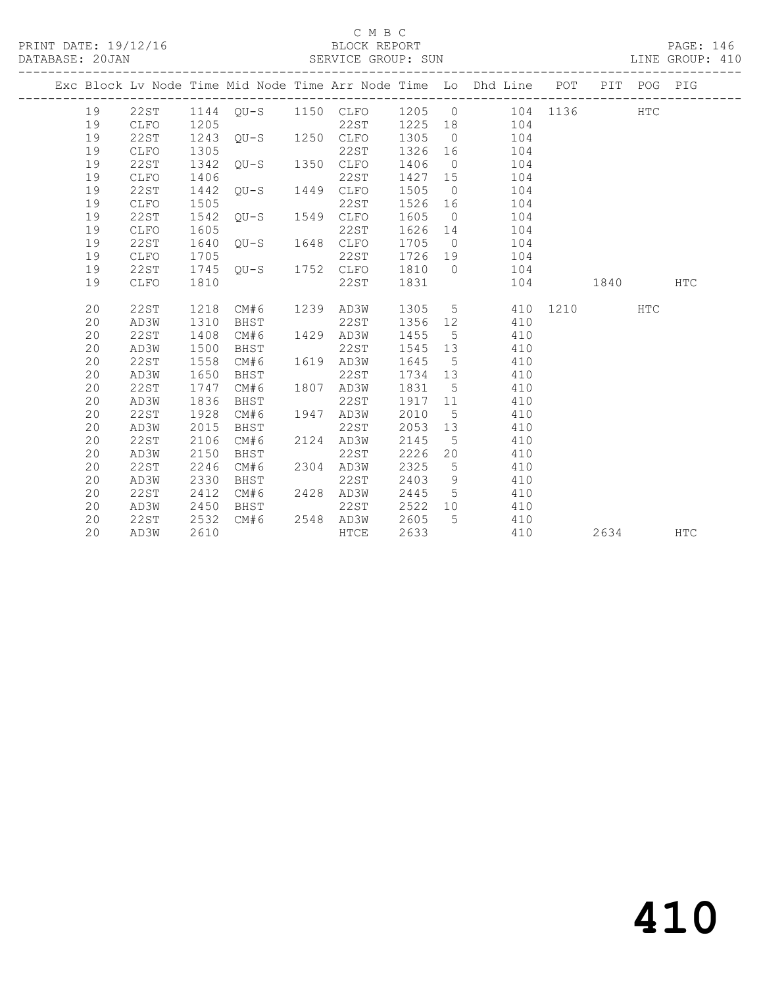PRINT DATE: 19/12/16 BLOCK REPORT<br>DATABASE: 20JAN BERVICE GROUP: SUN

## C M B C<br>BLOCK REPORT

PAGE: 146<br>LINE GROUP: 410

|    |      |      |                                |                |         |                | Exc Block Lv Node Time Mid Node Time Arr Node Time Lo Dhd Line POT PIT POG PIG |          |      |     |            |
|----|------|------|--------------------------------|----------------|---------|----------------|--------------------------------------------------------------------------------|----------|------|-----|------------|
| 19 |      |      |                                |                |         |                | 22ST 1144 QU-S 1150 CLFO 1205 0 104 1136 HTC                                   |          |      |     |            |
| 19 | CLFO | 1205 |                                |                |         |                | 22ST 1225 18 104                                                               |          |      |     |            |
| 19 | 22ST |      |                                |                |         |                | 104                                                                            |          |      |     |            |
| 19 | CLFO | 1305 |                                | 22ST           | 1326 16 |                | 104                                                                            |          |      |     |            |
| 19 | 22ST | 1342 | 22ST<br>QU-S 1350 CLFO         |                |         |                | 1406 0 104                                                                     |          |      |     |            |
| 19 | CLFO | 1406 |                                | 22ST           |         |                | 1427 15 104                                                                    |          |      |     |            |
| 19 | 22ST | 1442 | 22ST<br>QU-S 1449 CLFO         |                |         |                | 1505 0 104                                                                     |          |      |     |            |
| 19 | CLFO | 1505 |                                | 22ST           |         |                | 1526 16 104                                                                    |          |      |     |            |
| 19 | 22ST | 1542 | 22ST<br>QU-S 1549 CLFO         |                | 1605    |                | $0$ 104                                                                        |          |      |     |            |
| 19 | CLFO | 1605 |                                | 22ST           |         |                | 1626 14 104                                                                    |          |      |     |            |
| 19 | 22ST | 1640 | $22ST$<br>$QU-S$ $1648$ $CLFO$ |                |         |                | 1705 0 104                                                                     |          |      |     |            |
| 19 | CLFO | 1705 |                                | 22ST           |         |                | 1726 19 104                                                                    |          |      |     |            |
| 19 | 22ST |      |                                |                |         |                | 1745 QU-S 1752 CLFO 1810 0 104                                                 |          |      |     |            |
| 19 | CLFO | 1810 |                                | 22ST           | 1831    |                |                                                                                | 104 1840 |      |     | <b>HTC</b> |
| 20 | 22ST | 1218 | CM#6 1239 AD3W                 |                |         |                | 1305 5 410 1210                                                                |          |      | HTC |            |
| 20 | AD3W | 1310 | BHST                           | 22ST           | 1356 12 |                | 410                                                                            |          |      |     |            |
| 20 | 22ST | 1408 | CM# 6                          | 1429 AD3W      | 1455 5  |                | 410                                                                            |          |      |     |            |
| 20 | AD3W | 1500 | BHST                           | 22ST           | 1545 13 |                | 410                                                                            |          |      |     |            |
| 20 | 22ST | 1558 | CM# 6                          | 1619 AD3W      | 1645    | 5 <sup>5</sup> | 410                                                                            |          |      |     |            |
| 20 | AD3W | 1650 | BHST                           | 22ST           | 1734 13 |                | 410                                                                            |          |      |     |            |
| 20 | 22ST | 1747 | CM#6                           | 1807 AD3W      | 1831 5  |                | 410                                                                            |          |      |     |            |
| 20 | AD3W | 1836 | BHST                           | 22ST           | 1917 11 |                | 410                                                                            |          |      |     |            |
| 20 | 22ST | 1928 | CM#6                           | 1947 AD3W      | 2010    | 5 <sup>5</sup> | 410                                                                            |          |      |     |            |
| 20 | AD3W | 2015 | BHST                           | 22ST           | 2053 13 |                | 410                                                                            |          |      |     |            |
| 20 | 22ST | 2106 | CM#6                           | 2124 AD3W      | 2145    | 5 <sup>5</sup> | 410                                                                            |          |      |     |            |
| 20 | AD3W | 2150 | BHST                           | 22ST           | 2226    |                | 20<br>410                                                                      |          |      |     |            |
| 20 | 22ST | 2246 | CM#6                           | 2304 AD3W      | 2325    | 5 <sup>5</sup> | 410                                                                            |          |      |     |            |
| 20 | AD3W | 2330 | BHST                           | 22ST           | 2403    | 9              | 410                                                                            |          |      |     |            |
| 20 | 22ST | 2412 | CM#6 2428 AD3W                 |                |         |                | 2445 5<br>410                                                                  |          |      |     |            |
| 20 | AD3W | 2450 | BHST                           | 22ST           |         |                | 2522 10<br>410                                                                 |          |      |     |            |
| 20 | 22ST | 2532 |                                | CM#6 2548 AD3W | 2605    |                | 5 410                                                                          |          |      |     |            |
| 20 | AD3W | 2610 |                                | HTCE           | 2633    |                | 410                                                                            |          | 2634 |     | HTC        |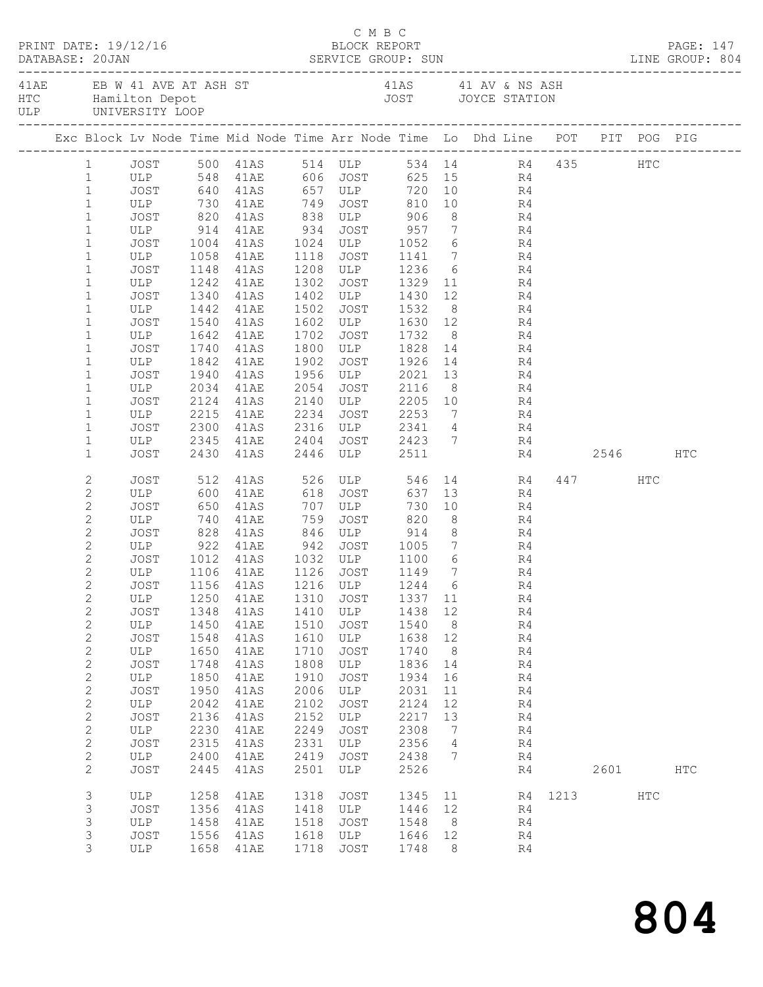|  | DATABASE: 20JAN                | PRINT DATE: 19/12/16  |      |                                                                                                          |      | C M B C<br>BLOCK REPORT                     |         |                |                |           |           |     | PAGE: 147  |  |
|--|--------------------------------|-----------------------|------|----------------------------------------------------------------------------------------------------------|------|---------------------------------------------|---------|----------------|----------------|-----------|-----------|-----|------------|--|
|  |                                |                       |      | 41AE EB W 41 AVE AT ASH ST 41AS 41 AV & NS ASH HTC Hamilton Depot 41 AV & NS ASH JOYCE STATION ULP       |      |                                             |         |                |                |           |           |     |            |  |
|  |                                |                       |      | Exc Block Lv Node Time Mid Node Time Arr Node Time Lo Dhd Line POT PIT POG PIG                           |      |                                             |         |                |                |           |           |     |            |  |
|  |                                |                       |      | 1 JOST 500 41AS 514 ULP 534 14 R4 435 HTC                                                                |      |                                             |         |                |                |           |           |     |            |  |
|  | 1                              |                       |      | ULP 548 41AE 606 JOST 625 15 R4<br>JOST 640 41AS 657 ULP 720 10 R4                                       |      |                                             |         |                |                |           |           |     |            |  |
|  | $\mathbf{1}$                   |                       |      |                                                                                                          |      |                                             |         |                |                |           |           |     |            |  |
|  | $\mathbf{1}$                   |                       |      | ULP 730 41AE 749 JOST 810 10 R4                                                                          |      |                                             |         |                |                |           |           |     |            |  |
|  | $\mathbf{1}$                   |                       |      | JOST 820 41AS 838 ULP 906                                                                                |      |                                             |         |                | 8 R4           |           |           |     |            |  |
|  | $\mathbf{1}$                   |                       |      | ULP 914 41AE 934 JOST 957 7 R4<br>JOST 1004 41AS 1024 ULP 1052 6 R4<br>ULP 1058 41AE 1118 JOST 1141 7 R4 |      |                                             |         |                |                |           |           |     |            |  |
|  | $\mathbf{1}$                   |                       |      |                                                                                                          |      |                                             |         |                |                |           |           |     |            |  |
|  | $\mathbf 1$                    |                       |      |                                                                                                          |      | 1208 ULP 1236 6 R4                          |         |                |                |           |           |     |            |  |
|  | $\mathbf 1$<br>$\mathbf 1$     | JOST                  |      | 1148 41AS                                                                                                |      |                                             |         |                |                |           |           |     |            |  |
|  | $\mathbf{1}$                   | ULP 1242 41AE<br>JOST |      | 1340 41AS                                                                                                |      | 1302 JOST 1329 11 R4                        |         |                |                |           |           |     |            |  |
|  | $\mathbf{1}$                   | ULP                   |      | 1442 41AE                                                                                                | 1502 | 1402 ULP 1430 12 R4<br>1502 JOST 1532 8 R4  |         |                |                |           |           |     |            |  |
|  | $\mathbf{1}$                   | JOST 1540 41AS        |      |                                                                                                          |      | 1602 ULP 1630 12 R4                         |         |                |                |           |           |     |            |  |
|  | $\mathbf 1$                    | ULP                   |      | 1642 41AE                                                                                                | 1702 | JOST 1732                                   |         |                | 8 R4           |           |           |     |            |  |
|  | $\mathbf 1$                    | JOST                  |      | 1740 41AS                                                                                                |      |                                             |         |                |                |           |           |     |            |  |
|  | $\mathbf{1}$                   | ULP                   |      | 1842 41AE                                                                                                | 1902 | 1800 ULP 1828 14 R4<br>1902 JOST 1926 14 R4 |         |                |                |           |           |     |            |  |
|  | $\mathbf 1$                    | JOST                  |      | 1940 41AS                                                                                                |      | 1956 ULP 2021 13 R4                         |         |                |                |           |           |     |            |  |
|  | $\mathbf{1}$                   | ULP                   | 2034 | 41AE                                                                                                     | 2054 | JOST 2116                                   |         |                | 8 R4           |           |           |     |            |  |
|  | $\mathbf{1}$                   |                       | 2124 | 41AS                                                                                                     |      | 2140 ULP 2205 10 R4<br>2234 JOST 2253 7 R4  |         |                |                |           |           |     |            |  |
|  | $\mathbf{1}$                   | JOST<br>ULP           |      | 2215 41AE                                                                                                | 2234 |                                             |         |                |                |           |           |     |            |  |
|  | $\mathbf 1$                    | JOST                  |      | 2300 41AS                                                                                                |      | 2316 ULP 2341 4 R4                          |         |                |                |           |           |     |            |  |
|  | $\mathbf 1$                    | ULP                   | 2345 | 41AE                                                                                                     | 2404 | JOST 2423 7 R4                              |         |                |                |           |           |     |            |  |
|  | $\mathbf{1}$                   | JOST                  |      | 2430 41AS                                                                                                |      | 2446 ULP 2511                               |         |                |                |           | R4 2546   |     | <b>HTC</b> |  |
|  | 2                              | JOST                  | 512  | 41AS                                                                                                     |      | 526 ULP                                     |         |                |                | 546 14 R4 | 447 HTC   |     |            |  |
|  | $\mathbf{2}$                   | ULP 600               |      | 41AE                                                                                                     |      | 618 JOST                                    |         |                | 637 13         | R4        |           |     |            |  |
|  | $\mathbf{2}$                   | JOST                  |      | 650 41AS<br>740 41AE                                                                                     |      | 707 ULP 730<br>759 JOST 820                 | 730     |                | $\frac{10}{8}$ | R4        |           |     |            |  |
|  | $\mathbf{2}$                   | ULP                   |      | 828 41AS 846 ULP 914 8 R4                                                                                | 759  |                                             |         | 8 <sup>8</sup> |                | R4        |           |     |            |  |
|  | $\mathbf{2}$                   | JOST                  |      |                                                                                                          |      |                                             |         |                |                |           |           |     |            |  |
|  | $\mathbf{2}$                   |                       |      | ULP 922 41AE 942 JOST 1005 7 R4                                                                          |      |                                             |         |                |                |           |           |     |            |  |
|  | $\mathbf{2}$                   |                       |      | JOST 1012 41AS 1032 ULP 1100 6 R4<br>ULP 1106 41AE 1126 JOST 1149 7 R4                                   |      |                                             |         |                |                |           |           |     |            |  |
|  | $\overline{c}$<br>$\mathbf{2}$ |                       |      | JOST 1156 41AS 1216 ULP 1244 6 R4                                                                        |      |                                             |         |                |                |           |           |     |            |  |
|  | 2                              | ULP                   | 1250 | 41AE                                                                                                     | 1310 | JOST                                        | 1337 11 |                |                | R4        |           |     |            |  |
|  | $\mathbf{2}$                   | JOST                  | 1348 | 41AS                                                                                                     | 1410 | ULP                                         | 1438    | 12             |                | R4        |           |     |            |  |
|  | $\sqrt{2}$                     | ULP                   | 1450 | 41AE                                                                                                     | 1510 | JOST                                        | 1540    | 8 <sup>8</sup> |                | R4        |           |     |            |  |
|  | $\sqrt{2}$                     | JOST                  | 1548 | 41AS                                                                                                     | 1610 | ULP                                         | 1638    | 12             |                | R4        |           |     |            |  |
|  | $\sqrt{2}$                     | ULP                   | 1650 | 41AE                                                                                                     | 1710 | JOST                                        | 1740    | 8 <sup>8</sup> |                | R4        |           |     |            |  |
|  | $\sqrt{2}$                     | <b>JOST</b>           | 1748 | 41AS                                                                                                     | 1808 | ULP                                         | 1836    | 14             |                | R4        |           |     |            |  |
|  | $\sqrt{2}$                     | ULP                   | 1850 | 41AE                                                                                                     | 1910 | JOST                                        | 1934    | 16             |                | R4        |           |     |            |  |
|  | $\sqrt{2}$                     | JOST                  | 1950 | 41AS                                                                                                     | 2006 | ULP                                         | 2031    | 11             |                | R4        |           |     |            |  |
|  | $\mathbf{2}$                   | ULP                   | 2042 | 41AE                                                                                                     | 2102 | JOST                                        | 2124    | 12             |                | R4        |           |     |            |  |
|  | $\mathbf{2}$                   | <b>JOST</b>           | 2136 | 41AS                                                                                                     | 2152 | ULP                                         | 2217    | 13             |                | R4        |           |     |            |  |
|  | $\mathbf{2}$                   | ULP                   | 2230 | 41AE                                                                                                     | 2249 | JOST                                        | 2308    | $\overline{7}$ |                | R4        |           |     |            |  |
|  | $\sqrt{2}$                     | JOST                  | 2315 | 41AS                                                                                                     | 2331 | ULP                                         | 2356    | $\overline{4}$ |                | R4        |           |     |            |  |
|  | $\mathbf{2}$                   | ULP                   | 2400 | 41AE                                                                                                     | 2419 | JOST                                        | 2438    | 7              |                | R4        |           |     |            |  |
|  | $\mathbf{2}$                   | <b>JOST</b>           | 2445 | 41AS                                                                                                     | 2501 | ULP                                         | 2526    |                |                | R4        | 2601 2002 |     | <b>HTC</b> |  |
|  | 3                              | ULP                   | 1258 | 41AE                                                                                                     | 1318 | JOST                                        | 1345 11 |                |                |           | R4 1213   | HTC |            |  |
|  | 3                              | JOST                  | 1356 | 41AS                                                                                                     | 1418 | ULP                                         | 1446 12 |                |                | R4        |           |     |            |  |
|  | 3                              | ULP                   | 1458 | 41AE                                                                                                     | 1518 | JOST                                        | 1548    | 8 <sup>8</sup> |                | R4        |           |     |            |  |
|  | $\mathsf S$                    | JOST                  | 1556 | 41AS                                                                                                     | 1618 | ULP                                         | 1646    | 12             |                | R4        |           |     |            |  |
|  | 3                              | ULP                   | 1658 | 41AE                                                                                                     | 1718 | JOST                                        | 1748    | - 8            |                | R4        |           |     |            |  |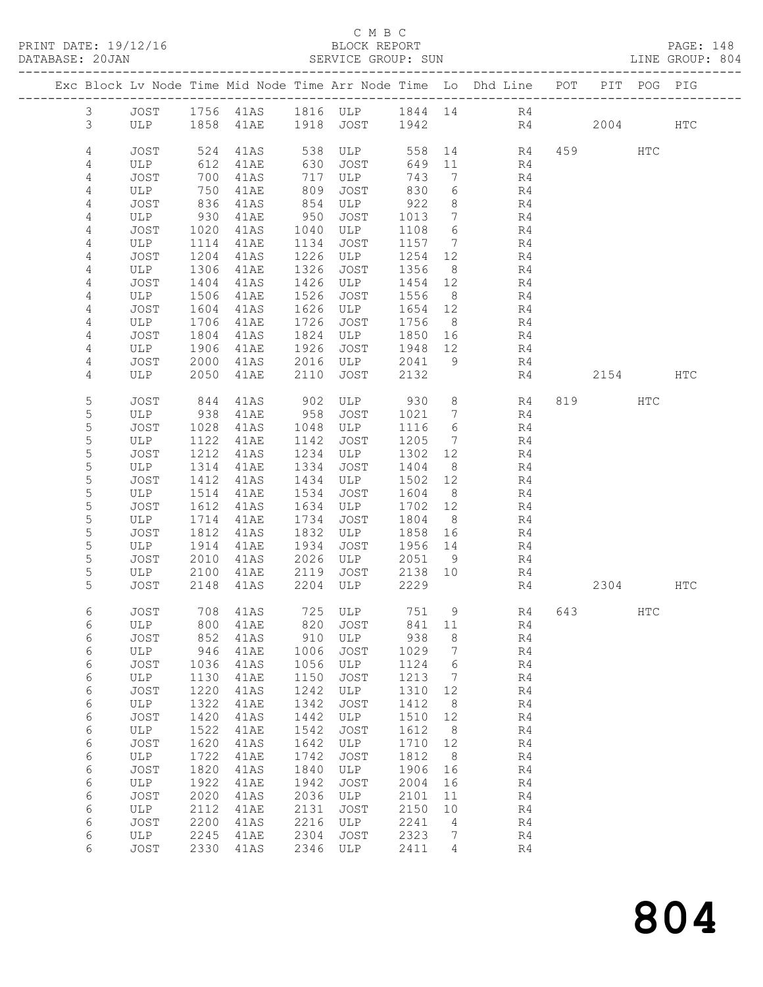PRINT DATE: 19/12/16 BLOCK REPORT PAGE: 148

## C M B C<br>BLOCK REPORT SERVICE GROUP: SUN

|                |             |              |                              |              |               |                   |                      | Exc Block Lv Node Time Mid Node Time Arr Node Time Lo Dhd Line POT |    |           | PIT POG PIG |     |
|----------------|-------------|--------------|------------------------------|--------------|---------------|-------------------|----------------------|--------------------------------------------------------------------|----|-----------|-------------|-----|
| $\mathfrak{Z}$ |             |              |                              |              |               |                   |                      | JOST 1756 41AS 1816 ULP 1844 14 R4                                 |    |           |             |     |
| 3              |             |              | ULP 1858 41AE 1918 JOST 1942 |              |               |                   |                      |                                                                    | R4 | 2004 HTC  |             |     |
| 4              | <b>JOST</b> | 524          | 41AS                         |              | 538 ULP       | 558               |                      | 14 R4                                                              |    | 459       | HTC         |     |
| 4              | ULP         | 612          | 41AE                         | 630          | JOST          | 649 11            |                      | R4                                                                 |    |           |             |     |
| 4              | JOST        | 700          | 41AS                         | 717          | ULP           | 743               | $7\overline{ }$      | R4                                                                 |    |           |             |     |
| 4<br>4         | ULP<br>JOST | 750<br>836   | 41AE<br>41AS                 | 809<br>854   | JOST<br>ULP   | 830<br>922        | 6<br>8 <sup>8</sup>  | R4<br>R4                                                           |    |           |             |     |
| 4              | ULP         | 930          | 41AE                         | 950          | JOST          | 1013              | $\overline{7}$       | R4                                                                 |    |           |             |     |
| $\overline{4}$ | JOST        | 1020         | 41AS                         | 1040         | ULP           | 1108              | 6                    | R4                                                                 |    |           |             |     |
| 4              | ULP         | 1114         | 41AE                         | 1134         | JOST          | 1157 7            |                      | R4                                                                 |    |           |             |     |
| 4              | JOST        | 1204         | 41AS                         | 1226         | ULP           | 1254              | 12                   | R4                                                                 |    |           |             |     |
| 4              | ULP         | 1306         | 41AE                         | 1326         | JOST          | 1356              | 8 <sup>8</sup>       | R4                                                                 |    |           |             |     |
| 4<br>4         | JOST<br>ULP | 1404<br>1506 | 41AS<br>41AE                 | 1426<br>1526 | ULP<br>JOST   | 1454 12<br>1556   | 8 <sup>8</sup>       | R4<br>R4                                                           |    |           |             |     |
| 4              | JOST        | 1604         | 41AS                         | 1626         | ULP           | 1654              | 12                   | R4                                                                 |    |           |             |     |
| 4              | ULP         | 1706         | 41AE                         | 1726         | JOST          | 1756 8            |                      | R4                                                                 |    |           |             |     |
| 4              | JOST        | 1804         | 41AS                         | 1824         | ULP           | 1850 16           |                      | R4                                                                 |    |           |             |     |
| 4              | ULP         | 1906         | 41AE                         | 1926         | JOST          | 1948 12           |                      | R4                                                                 |    |           |             |     |
| 4              | JOST        | 2000         | 41AS                         | 2016         | ULP           | 2041              | 9                    | R4                                                                 |    |           |             |     |
| 4              | ULP         | 2050         | 41AE                         | 2110         | JOST          | 2132              |                      | R4                                                                 |    | 2154      |             | HTC |
| 5              | JOST        | 844          | 41AS                         | 902          | ULP 930       |                   | 8 <sup>8</sup>       | R4                                                                 |    | 819       | HTC         |     |
| 5              | ULP         | 938          | 41AE                         | 958          | JOST          | 1021              | $7\overline{ }$      | R4                                                                 |    |           |             |     |
| 5              | JOST        | 1028         | 41AS                         | 1048         | ULP           | 1116              | 6                    | R4                                                                 |    |           |             |     |
| 5              | ULP         | 1122         | 41AE                         | 1142         | JOST          | 1205              | $\overline{7}$       | R4                                                                 |    |           |             |     |
| 5<br>5         | JOST<br>ULP | 1212<br>1314 | 41AS<br>41AE                 | 1234<br>1334 | ULP<br>JOST   | 1302 12<br>1404   | 8 <sup>8</sup>       | R4<br>R4                                                           |    |           |             |     |
| 5              | JOST        | 1412         | 41AS                         | 1434         | ULP           | 1502              | 12                   | R4                                                                 |    |           |             |     |
| $\mathsf S$    | ULP         | 1514         | 41AE                         | 1534         | JOST          | 1604              | 8 <sup>8</sup>       | R4                                                                 |    |           |             |     |
| 5              | JOST        | 1612         | 41AS                         | 1634         | ULP           | 1702 12           |                      | R4                                                                 |    |           |             |     |
| 5              | ULP         | 1714         | 41AE                         | 1734         | JOST          | 1804              | 8 <sup>8</sup>       | R4                                                                 |    |           |             |     |
| 5              | JOST        | 1812         | 41AS                         | 1832         | ULP           | 1858              | 16                   | R4                                                                 |    |           |             |     |
| 5<br>5         | ULP<br>JOST | 1914<br>2010 | 41AE<br>41AS                 | 1934<br>2026 | JOST<br>ULP   | 1956 14<br>2051 9 |                      | R4<br>R4                                                           |    |           |             |     |
| 5              | ULP         | 2100         | 41AE                         | 2119         | JOST          | 2138 10           |                      | R4                                                                 |    |           |             |     |
| 5              | JOST        | 2148         | 41AS                         | 2204         | ULP           | 2229              |                      |                                                                    | R4 | 2304 HTC  |             |     |
| 6              | <b>JOST</b> |              | 708 41AS                     |              | 725 ULP 751 9 |                   |                      | R4                                                                 |    | 643   100 | HTC         |     |
| 6              |             |              | ULP 800 41AE 820 JOST 841 11 |              |               |                   |                      | R4                                                                 |    |           |             |     |
| 6              | JOST        | 852          | 41AS                         | 910          | ULP           | 938               | 8                    | R4                                                                 |    |           |             |     |
| 6              | ULP<br>JOST | 946<br>1036  | 41AE<br>41AS                 | 1006<br>1056 | JOST<br>ULP   | 1029<br>1124      | $\overline{7}$<br>6  | R4<br>R4                                                           |    |           |             |     |
| 6<br>6         | ULP         | 1130         | 41AE                         | 1150         | JOST          | 1213              | $\overline{7}$       | R4                                                                 |    |           |             |     |
| 6              | JOST        | 1220         | 41AS                         | 1242         | ULP           | 1310              | 12                   | R4                                                                 |    |           |             |     |
| 6              | ULP         | 1322         | 41AE                         | 1342         | JOST          | 1412              | 8                    | R4                                                                 |    |           |             |     |
| 6              | JOST        | 1420         | 41AS                         | 1442         | ULP           | 1510              | 12                   | R4                                                                 |    |           |             |     |
| 6              | ULP         | 1522         | 41AE                         | 1542         | JOST          | 1612              | 8 <sup>8</sup>       | R4                                                                 |    |           |             |     |
| 6              | JOST        | 1620<br>1722 | 41AS                         | 1642         | ULP           | 1710<br>1812      | 12<br>8 <sup>8</sup> | R4                                                                 |    |           |             |     |
| 6<br>6         | ULP<br>JOST | 1820         | 41AE<br>41AS                 | 1742<br>1840 | JOST<br>ULP   | 1906              | 16                   | R4<br>R4                                                           |    |           |             |     |
| 6              | ULP         | 1922         | 41AE                         | 1942         | JOST          | 2004              | 16                   | R4                                                                 |    |           |             |     |
| 6              | JOST        | 2020         | 41AS                         | 2036         | ULP           | 2101              | 11                   | R4                                                                 |    |           |             |     |
| 6              | ULP         | 2112         | 41AE                         | 2131         | JOST          | 2150              | 10                   | R4                                                                 |    |           |             |     |
| 6              | <b>JOST</b> | 2200         | 41AS                         | 2216         | ULP           | 2241              | $\overline{4}$       | R4                                                                 |    |           |             |     |
| 6<br>6         | ULP<br>JOST | 2245<br>2330 | 41AE                         | 2304<br>2346 | JOST          | 2323<br>2411      | $7\phantom{.0}$<br>4 | R4<br>R4                                                           |    |           |             |     |
|                |             |              | 41AS                         |              | ULP           |                   |                      |                                                                    |    |           |             |     |

804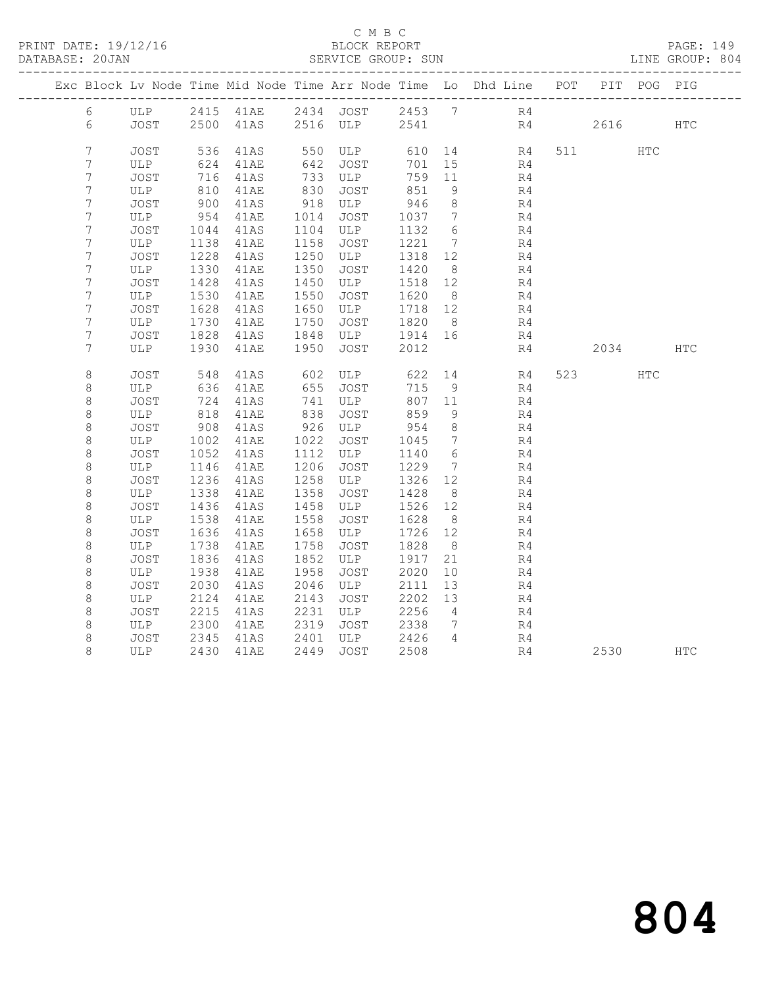PRINT DATE: 19/12/16 BLOCK REPORT PAGE: 149

## C M B C<br>BLOCK REPORT SERVICE GROUP: SUN

|                    |             |              |              |              |             |              |                              | Exc Block Lv Node Time Mid Node Time Arr Node Time Lo Dhd Line POT |                | PIT POG PIG |            |
|--------------------|-------------|--------------|--------------|--------------|-------------|--------------|------------------------------|--------------------------------------------------------------------|----------------|-------------|------------|
| 6                  |             |              |              |              |             |              |                              | ULP 2415 41AE 2434 JOST 2453 7 R4                                  |                |             |            |
| 6                  |             |              |              |              |             |              |                              | JOST 2500 41AS 2516 ULP 2541 R4                                    | 2616           |             | <b>HTC</b> |
| $\overline{7}$     | JOST        | 536          | 41AS         | 550          | ULP         | 610          |                              | 14 R4                                                              | 511 — 100      | HTC         |            |
| 7                  | ULP         | 624          | 41AE         | 642          | JOST        | 701          | 15                           | R4                                                                 |                |             |            |
| 7                  | JOST        | 716          | 41AS         | 733          | ULP         | 759          | 11                           | R4                                                                 |                |             |            |
| 7                  | ULP         | 810          | 41AE         | 830          | JOST        | 851          | - 9                          | R4                                                                 |                |             |            |
| 7                  | JOST        | 900          | 41AS         | 918          | ULP         | 946          | 8                            | R4                                                                 |                |             |            |
| $\overline{7}$     | ULP         | 954          | 41AE         | 1014         | JOST        | 1037         | $7\phantom{.0}\phantom{.0}7$ | R4                                                                 |                |             |            |
| 7                  | JOST        | 1044         | 41AS         | 1104         | ULP         | 1132         | 6                            | R4                                                                 |                |             |            |
| 7                  | ULP         | 1138         | 41AE         | 1158         | JOST        | 1221         | $7\phantom{.0}\phantom{.0}7$ | R4                                                                 |                |             |            |
| 7                  | JOST        | 1228         | 41AS         | 1250         | ULP         | 1318         | 12                           | R4                                                                 |                |             |            |
| 7                  | ULP         | 1330         | 41AE         | 1350         | JOST        | 1420         | 8 <sup>8</sup>               | R4                                                                 |                |             |            |
| 7                  | JOST        | 1428         | 41AS         | 1450         | ULP         | 1518         | 12                           | R4                                                                 |                |             |            |
| 7                  | ULP         | 1530         | 41AE         | 1550         | JOST        | 1620         | 8 <sup>8</sup>               | R4                                                                 |                |             |            |
| 7<br>7             | JOST<br>ULP | 1628<br>1730 | 41AS<br>41AE | 1650<br>1750 | ULP<br>JOST | 1718<br>1820 | 12<br>8 <sup>8</sup>         | R4<br>R4                                                           |                |             |            |
| 7                  | JOST        | 1828         | 41AS         | 1848         | ULP         | 1914         | 16                           | R4                                                                 |                |             |            |
| 7                  | ULP         | 1930         | 41AE         | 1950         | JOST        | 2012         |                              | R4                                                                 | 2034           |             | <b>HTC</b> |
|                    |             |              |              |              |             |              |                              |                                                                    |                |             |            |
| 8                  | JOST        | 548          | 41AS         | 602          | ULP         | 622          | 14                           | R4                                                                 | 523 and $\sim$ | HTC         |            |
| $\,8\,$            | ULP         | 636          | 41AE         | 655          | JOST        | 715          | 9                            | R4                                                                 |                |             |            |
| $\,8\,$            | JOST        | 724          | 41AS         | 741          | ULP         | 807 11       |                              | R4                                                                 |                |             |            |
| 8                  | ULP         | 818          | 41AE         | 838          | JOST        | 859          | 9                            | R4                                                                 |                |             |            |
| $\,8\,$            | JOST        | 908          | 41AS         | 926          | ULP         | 954          | 8 <sup>8</sup>               | R4                                                                 |                |             |            |
| 8                  | ULP         | 1002         | 41AE         | 1022         | JOST        | 1045         | $7\phantom{.0}\phantom{.0}7$ | R4                                                                 |                |             |            |
| $\,8\,$            | JOST        | 1052         | 41AS         | 1112         | ULP         | 1140         | 6                            | R4                                                                 |                |             |            |
| $\,8\,$            | ULP         | 1146         | 41AE         | 1206         | JOST        | 1229         | $\overline{7}$               | R4                                                                 |                |             |            |
| $\,8\,$            | JOST        | 1236         | 41AS         | 1258         | ULP         | 1326         | 12                           | R4                                                                 |                |             |            |
| 8                  | ULP         | 1338         | 41AE         | 1358         | JOST        | 1428         | 8 <sup>8</sup><br>12         | R4                                                                 |                |             |            |
| $\,8\,$<br>$\,8\,$ | JOST        | 1436<br>1538 | 41AS<br>41AE | 1458<br>1558 | ULP         | 1526<br>1628 | 8 <sup>8</sup>               | R4<br>R4                                                           |                |             |            |
| $\,8\,$            | ULP<br>JOST | 1636         | 41AS         | 1658         | JOST<br>ULP | 1726         | 12                           | R4                                                                 |                |             |            |
| $\,8\,$            | ULP         | 1738         | 41AE         | 1758         | JOST        | 1828         | 8 <sup>8</sup>               | R4                                                                 |                |             |            |
| 8                  | JOST        | 1836         | 41AS         | 1852         | ULP         | 1917         | 21                           | R4                                                                 |                |             |            |
| $\,8\,$            | ULP         | 1938         | 41AE         | 1958         | JOST        | 2020         | 10 <sup>°</sup>              | R <sub>4</sub>                                                     |                |             |            |
| $\,8\,$            | JOST        | 2030         | 41AS         | 2046         | ULP         | 2111         | 13                           | R4                                                                 |                |             |            |
| 8                  | ULP         | 2124         | 41AE         | 2143         | JOST        | 2202         | 13                           | R4                                                                 |                |             |            |
| 8                  | JOST        | 2215         | 41AS         | 2231         | ULP         | 2256         | $\overline{4}$               | R4                                                                 |                |             |            |
| 8                  | ULP         | 2300         | 41AE         | 2319         | JOST        | 2338         | $\overline{7}$               | R4                                                                 |                |             |            |
| 8                  | JOST        | 2345         | 41AS         | 2401         | ULP         | 2426         | $\overline{4}$               | R4                                                                 |                |             |            |
| 8                  | ULP         | 2430         | 41AE         | 2449         | JOST        | 2508         |                              | R4                                                                 | 2530           |             | <b>HTC</b> |
|                    |             |              |              |              |             |              |                              |                                                                    |                |             |            |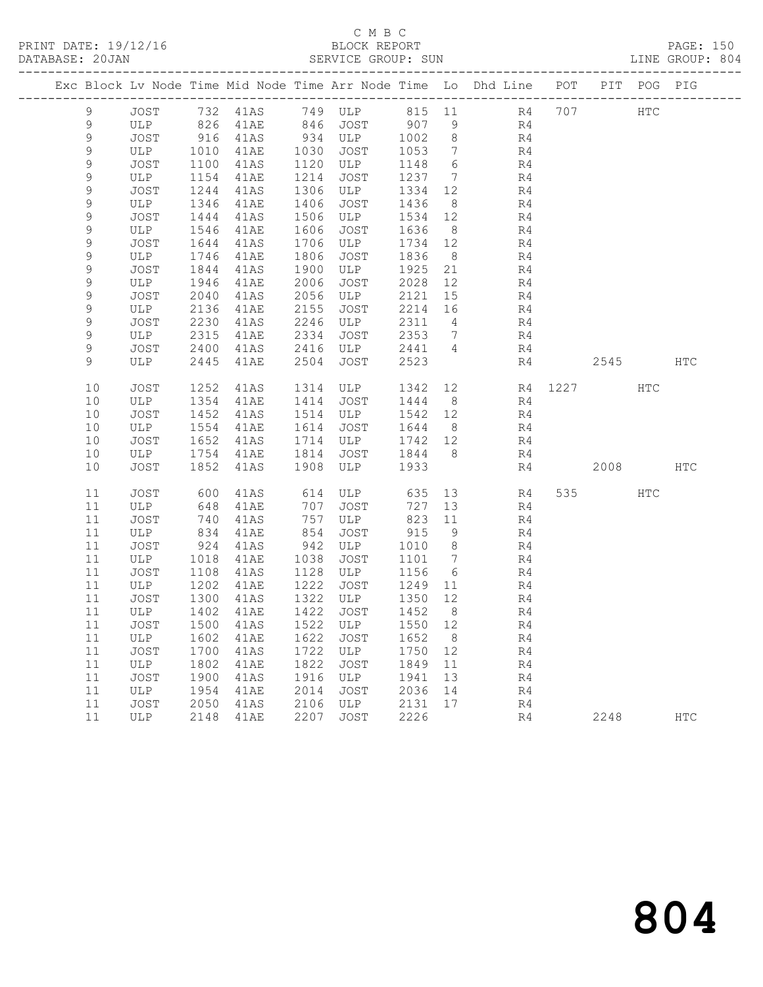# C M B C

| PRINT DATE: 19/12/16 |       |      |                      |      | BLOCK REPORT |      |                | ---------------------------------                                              | LINE GROUP: 804 |            | PAGE: 150 |  |
|----------------------|-------|------|----------------------|------|--------------|------|----------------|--------------------------------------------------------------------------------|-----------------|------------|-----------|--|
|                      |       |      |                      |      |              |      |                | Exc Block Lv Node Time Mid Node Time Arr Node Time Lo Dhd Line POT PIT POG PIG |                 |            |           |  |
| 9                    | JOST  |      | 732 41AS             |      | 749 ULP      |      |                | 815 11                                                                         | R4 707          | <b>HTC</b> |           |  |
| 9                    | ULP   | 826  | 41AE                 | 846  | JOST         | 907  | 9              | R4                                                                             |                 |            |           |  |
| 9                    | JOST  | 916  | 41AS                 | 934  | ULP          | 1002 | 8              | R4                                                                             |                 |            |           |  |
| 9                    | ULP   | 1010 | 41AE                 | 1030 | JOST         | 1053 | 7              | R4                                                                             |                 |            |           |  |
| 9                    | JOST  | 1100 | 41AS                 | 1120 | ULP          | 1148 |                | $6\degree$<br>R4                                                               |                 |            |           |  |
| 9                    | ULP   | 1154 | 41AE                 | 1214 | JOST         | 1237 | 7              | R4                                                                             |                 |            |           |  |
| 9                    | JOST  | 1244 | 41AS                 | 1306 | ULP          | 1334 | 12             | R4                                                                             |                 |            |           |  |
| 9                    | ULP   | 1346 | 41AE                 | 1406 | JOST         | 1436 | 8 <sup>8</sup> | R4                                                                             |                 |            |           |  |
| 9                    | JOST  | 1444 | 41AS                 | 1506 | ULP          | 1534 | 12             | R4                                                                             |                 |            |           |  |
| 9                    | ULP   | 1546 | 41AE                 | 1606 | JOST         | 1636 | 8 <sup>8</sup> | R4                                                                             |                 |            |           |  |
| 9                    | JOST  | 1644 | 41AS                 | 1706 | ULP          | 1734 | 12             | R4                                                                             |                 |            |           |  |
| 9                    | ULP   | 1746 | 41AE                 | 1806 | JOST         | 1836 | 8 <sup>8</sup> | R4                                                                             |                 |            |           |  |
| 9                    | JOST  | 1844 | 41AS                 | 1900 | ULP          | 1925 | 21             | R4                                                                             |                 |            |           |  |
| 9                    | ULP   | 1946 | 41AE                 | 2006 | JOST         | 2028 | 12             | R4                                                                             |                 |            |           |  |
| 9                    | JOST  | 2040 | 41AS                 | 2056 | ULP          | 2121 | 15             | R4                                                                             |                 |            |           |  |
| 9                    | ULP   | 2136 | 41AE                 | 2155 | JOST         | 2214 | 16             | R4                                                                             |                 |            |           |  |
| 9                    | JOST  | 2230 | 41AS                 | 2246 | ULP          | 2311 | $\overline{4}$ | R4                                                                             |                 |            |           |  |
| $\Omega$             | ר דדז |      | <u> ገጋ1 ⊑ /11 አሁ</u> |      | CON TOCT     | つつにつ | $\overline{7}$ | D <sub>A</sub>                                                                 |                 |            |           |  |

| 9    | <b>ULP</b> | 2315 | 41AE | 2334 | JOST        | 2353 | 7       | R4             |      |      |     |            |
|------|------------|------|------|------|-------------|------|---------|----------------|------|------|-----|------------|
| 9    | JOST       | 2400 | 41AS | 2416 | ULP         | 2441 | 4       | R4             |      |      |     |            |
| 9    | <b>ULP</b> | 2445 | 41AE | 2504 | <b>JOST</b> | 2523 |         | R4             |      | 2545 |     | <b>HTC</b> |
| 10   | JOST       | 1252 | 41AS | 1314 | ULP         | 1342 | 12      | R4             | 1227 |      | HTC |            |
| 10   | ULP        | 1354 | 41AE | 1414 | JOST        | 1444 | 8       | R <sub>4</sub> |      |      |     |            |
| 10   | JOST       | 1452 | 41AS | 1514 | ULP         | 1542 | 12      | R4             |      |      |     |            |
| 10   | <b>ULP</b> | 1554 | 41AE | 1614 | JOST        | 1644 | 8       | R <sub>4</sub> |      |      |     |            |
| 10   | JOST       | 1652 | 41AS | 1714 | ULP         | 1742 | 12      | R4             |      |      |     |            |
| 10   | ULP        | 1754 | 41AE | 1814 | JOST        | 1844 | 8       | R4             |      |      |     |            |
| 10   | JOST       | 1852 | 41AS | 1908 | <b>ULP</b>  | 1933 |         | R4             |      | 2008 |     | <b>HTC</b> |
| 11   | JOST       | 600  | 41AS | 614  | <b>ULP</b>  | 635  | 13      | R4             | 535  |      | HTC |            |
| 11   | ULP        | 648  | 41AE | 707  | <b>JOST</b> | 727  | 13      | R <sub>4</sub> |      |      |     |            |
| 11   | JOST       | 740  | 41AS | 757  | ULP         | 823  | 11      | R <sub>4</sub> |      |      |     |            |
| 11   | ULP        | 834  | 41AE | 854  | JOST        | 915  | 9       | R4             |      |      |     |            |
| 11   | JOST       | 924  | 41AS | 942  | ULP         | 1010 | $\,8\,$ | R <sub>4</sub> |      |      |     |            |
| 11   | ULP        | 1018 | 41AE | 1038 | JOST        | 1101 | 7       | R4             |      |      |     |            |
| 11   | JOST       | 1108 | 41AS | 1128 | ULP         | 1156 | 6       | R <sub>4</sub> |      |      |     |            |
| 11   | ULP        | 1202 | 41AE | 1222 | JOST        | 1249 | 11      | R <sub>4</sub> |      |      |     |            |
| 11   | JOST       | 1300 | 41AS | 1322 | <b>ULP</b>  | 1350 | 12      | R4             |      |      |     |            |
| 11   | ULP        | 1402 | 41AE | 1422 | JOST        | 1452 | $\,8\,$ | R <sub>4</sub> |      |      |     |            |
| 11   | JOST       | 1500 | 41AS | 1522 | ULP         | 1550 | 12      | R <sub>4</sub> |      |      |     |            |
| 11   | ULP        | 1602 | 41AE | 1622 | <b>JOST</b> | 1652 | 8       | R <sub>4</sub> |      |      |     |            |
| $11$ | JOST       | 1700 | 41AS | 1722 | <b>ULP</b>  | 1750 | 12      | R <sub>4</sub> |      |      |     |            |
| 11   | <b>ULP</b> | 1802 | 41AE | 1822 | <b>JOST</b> | 1849 | 11      | R <sub>4</sub> |      |      |     |            |
| 11   | JOST       | 1900 | 41AS | 1916 | <b>ULP</b>  | 1941 | 13      | R <sub>4</sub> |      |      |     |            |
| 11   | ULP        | 1954 | 41AE | 2014 | JOST        | 2036 | 14      | R4             |      |      |     |            |
| 11   | JOST       | 2050 | 41AS | 2106 | <b>ULP</b>  | 2131 | 17      | R4             |      |      |     |            |
| 11   | ULP        | 2148 | 41AE | 2207 | JOST        | 2226 |         | R4             |      | 2248 |     | <b>HTC</b> |
|      |            |      |      |      |             |      |         |                |      |      |     |            |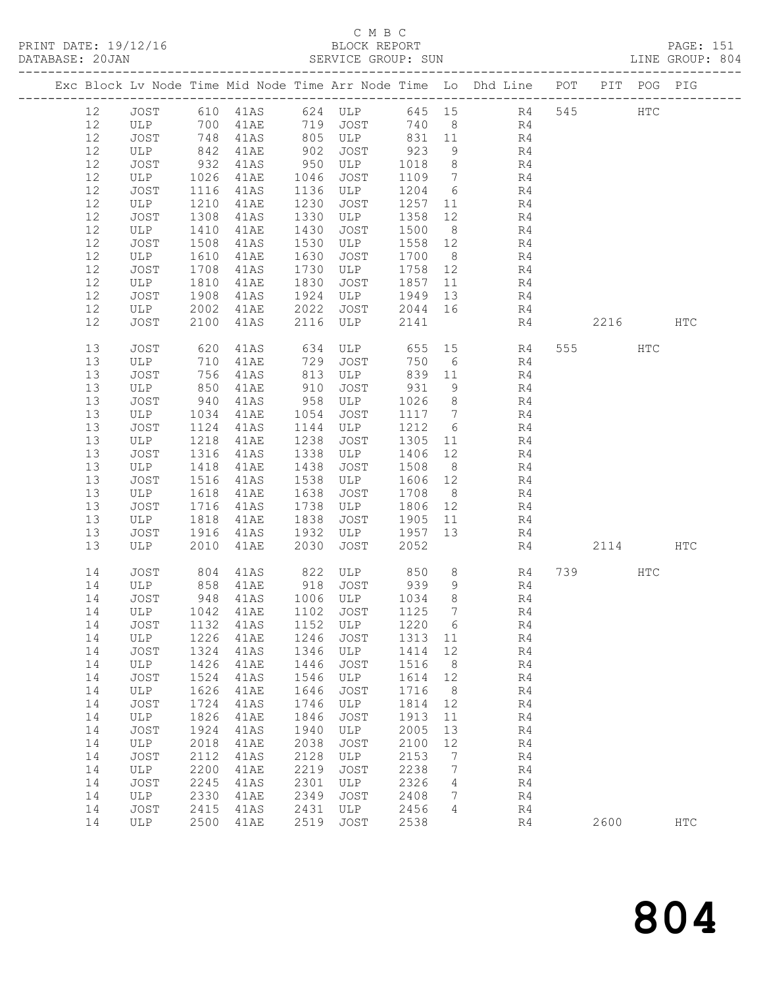PRINT DATE: 19/12/16 BLOCK REPORT PAGE: 151

# C M B C<br>BLOCK REPORT

| DATABASE: 20JAN |          |             |              |                                   |              | SERVICE GROUP: SUN                                       |                 |                 |                                                                                |    |          |     | LINE GROUP: 804 |  |
|-----------------|----------|-------------|--------------|-----------------------------------|--------------|----------------------------------------------------------|-----------------|-----------------|--------------------------------------------------------------------------------|----|----------|-----|-----------------|--|
|                 |          |             |              |                                   |              |                                                          |                 |                 | Exc Block Lv Node Time Mid Node Time Arr Node Time Lo Dhd Line POT PIT POG PIG |    |          |     |                 |  |
|                 | 12       |             |              |                                   |              |                                                          |                 |                 | JOST 610 41AS 624 ULP 645 15 R4 545 HTC                                        |    |          |     |                 |  |
|                 | 12       | ULP 700     |              |                                   |              |                                                          |                 |                 | 41AE 719 JOST 740 8 R4                                                         |    |          |     |                 |  |
|                 | 12       | JOST        | 748          |                                   |              |                                                          |                 |                 | 41AS 805 ULP 831 11 R4                                                         |    |          |     |                 |  |
|                 | 12       | ULP         | 842          | 41AE                              |              | 902 JOST                                                 | 923             | 9               | R4                                                                             |    |          |     |                 |  |
|                 | 12       | JOST        | 932          | 41AS                              |              | $950$ ULP                                                | 1018            | 8 <sup>8</sup>  | R4                                                                             |    |          |     |                 |  |
|                 | 12       | ULP         | 1026         | 41AE                              | 1046         | JOST                                                     | 1109 7          |                 | R <sub>4</sub>                                                                 |    |          |     |                 |  |
|                 | 12       | JOST        | 1116         | 41AS                              |              | 1136 ULP                                                 | 1204 6          |                 | R4                                                                             |    |          |     |                 |  |
|                 | 12       | ULP         | 1210         | 41AE                              | 1230         | JOST                                                     | 1257 11         |                 | R <sup>1</sup>                                                                 |    |          |     |                 |  |
|                 | 12       | JOST        | 1308         | 41AS                              | 1330         | ULP                                                      | 1358 12         |                 | R4                                                                             |    |          |     |                 |  |
|                 | 12       | ULP         | 1410         | 41AE                              | 1430         | JOST                                                     | 1500            | 8 <sup>8</sup>  | R <sub>4</sub>                                                                 |    |          |     |                 |  |
|                 | 12       | JOST        | 1508         | 41AS                              | 1530         | ULP                                                      | 1558 12         |                 | R4                                                                             |    |          |     |                 |  |
|                 | 12       | ULP         | 1610         | 41AE                              | 1630         | JOST                                                     | 1700 8          |                 | R <sub>4</sub>                                                                 |    |          |     |                 |  |
|                 | 12       | JOST        | 1708         | 41AS                              | 1730         | ULP                                                      | 1758 12         |                 | R4                                                                             |    |          |     |                 |  |
|                 | 12       | ULP         | 1810         | 41AE                              | 1830         | JOST                                                     | 1857 11         |                 | R4                                                                             |    |          |     |                 |  |
|                 | 12       | JOST        | 1908         | 41AS                              | 1924         | ULP                                                      | 1949 13         |                 | R4                                                                             |    |          |     |                 |  |
|                 | 12       | ULP         | 2002         | <b>41AE</b>                       |              | 2022 JOST<br>2116 ULP                                    | 2044 16         |                 | R4                                                                             |    |          |     |                 |  |
|                 | 12       | JOST        | 2100         | 41AS                              | 2116         |                                                          | 2141            |                 |                                                                                | R4 | 2216 HTC |     |                 |  |
|                 | 13       | JOST        | 620          | 41AS 634                          |              |                                                          |                 |                 | ULP 655 15 R4                                                                  |    | 555 75   | HTC |                 |  |
|                 | 13       | ULP         | 710          | 41AE                              | 729          | JOST                                                     | 750             | 6               | R4                                                                             |    |          |     |                 |  |
|                 | 13       | JOST        | 756          | 41AS                              |              | 813 ULP                                                  | 839 11          |                 | R4<br>R4                                                                       |    |          |     |                 |  |
|                 | 13       | ULP         | 850          | 41AE                              | 910          | JOST                                                     | 931             | 9               |                                                                                |    |          |     |                 |  |
|                 | 13       | JOST        | 940          | 41AS                              |              | 958 ULP                                                  | 1026            | 8 <sup>8</sup>  | R4                                                                             |    |          |     |                 |  |
|                 | 13       | ULP         | 1034         | 41AE                              | 1054         | JOST                                                     | 1117 7          |                 | R4                                                                             |    |          |     |                 |  |
|                 | 13<br>13 | JOST        | 1124<br>1218 | 41AS                              | 1144<br>1238 | ULP                                                      | 1212            | $6\overline{6}$ | R4<br>R <sub>4</sub>                                                           |    |          |     |                 |  |
|                 | 13       | ULP<br>JOST | 1316         | 41AE<br>41AS                      | 1338         | JOST<br>ULP                                              | 1305 11         |                 |                                                                                |    |          |     |                 |  |
|                 | 13       | ULP         | 1418         | 41AE                              | 1438         | JOST                                                     | 1406 12<br>1508 | 8 <sup>8</sup>  | R4<br>R4                                                                       |    |          |     |                 |  |
|                 | 13       | JOST        | 1516         | 41AS                              |              | 1538 ULP                                                 | 1606 12         |                 |                                                                                |    |          |     |                 |  |
|                 | 13       | ULP         | 1618         | 41AE                              | 1638         | JOST                                                     | 1708            | 8 <sup>8</sup>  | R4<br>R4                                                                       |    |          |     |                 |  |
|                 | 13       | JOST        | 1716         | 41AS                              |              | 1738 ULP                                                 | 1806 12         |                 | R4                                                                             |    |          |     |                 |  |
|                 | 13       | ULP         | 1818         | 41AE                              | 1838         | JOST                                                     | 1905 11         |                 | R4                                                                             |    |          |     |                 |  |
|                 | 13       | JOST        | 1916         | 41AS                              |              | 1932 ULP                                                 | 1957 13         |                 | R4                                                                             |    |          |     |                 |  |
|                 | 13       | ULP         | 2010         | 41AE                              | 2030         | JOST                                                     | 2052            |                 |                                                                                | R4 | 2114 HTC |     |                 |  |
|                 | 14       | JOST        | 804          |                                   |              | 41AS 822 ULP 850                                         |                 |                 | 8 R4                                                                           |    | 739      | HTC |                 |  |
|                 | 14       | ULP         |              | 858 41AE<br>948 41AS<br>41AE      |              | 918    JOST            939<br>1006    ULP           1034 |                 | 9               | R <sup>4</sup>                                                                 |    |          |     |                 |  |
|                 | 14       | JOST        |              |                                   |              |                                                          |                 | 8 <sup>8</sup>  | R4                                                                             |    |          |     |                 |  |
|                 |          |             |              | 14 ULP 1042 41AE 1102 JOST 1125 7 |              |                                                          |                 |                 | R4                                                                             |    |          |     |                 |  |
|                 | 14       | JOST        | 1132         | 41AS                              | 1152         | ULP                                                      | 1220            | $6\overline{6}$ | R4                                                                             |    |          |     |                 |  |
|                 | 14       | ULP         | 1226         | 41AE                              | 1246         | JOST                                                     | 1313 11         |                 | R4                                                                             |    |          |     |                 |  |
|                 | 14       | JOST        | 1324         | 41AS                              | 1346         | ULP                                                      | 1414            | 12              | R4                                                                             |    |          |     |                 |  |
|                 | 14       | ULP         | 1426         | 41AE                              | 1446         | JOST                                                     | 1516            | 8               | R4                                                                             |    |          |     |                 |  |
|                 | 14       | JOST        | 1524         | 41AS                              | 1546         | ULP                                                      | 1614            | 12              | R4                                                                             |    |          |     |                 |  |
|                 | 14       | ULP         | 1626         | 41AE                              | 1646         | JOST                                                     | 1716            | 8 <sup>8</sup>  | R4                                                                             |    |          |     |                 |  |
|                 | 14       | JOST        | 1724         | 41AS                              | 1746         | ULP                                                      | 1814            | 12              | R4                                                                             |    |          |     |                 |  |
|                 | 14       | ULP         | 1826         | 41AE                              | 1846         | JOST                                                     | 1913            | 11              | R4                                                                             |    |          |     |                 |  |
|                 | 14       | JOST        | 1924         | 41AS                              | 1940         | ULP                                                      | 2005            | 13              | R4                                                                             |    |          |     |                 |  |
|                 | 14       | ULP         | 2018         | 41AE                              | 2038         | JOST                                                     | 2100            | 12              | R4                                                                             |    |          |     |                 |  |
|                 | 14       | JOST        | 2112         | 41AS                              | 2128         | ULP                                                      | 2153            | $\overline{7}$  | R4                                                                             |    |          |     |                 |  |
|                 | 14       | ULP         | 2200         | 41AE                              | 2219         | JOST                                                     | 2238            | $7\phantom{.0}$ | R4                                                                             |    |          |     |                 |  |
|                 | 14       | JOST        | 2245         | 41AS                              | 2301         | ULP                                                      | 2326            | 4               | R4                                                                             |    |          |     |                 |  |
|                 | 14       | ULP         | 2330         | 41AE                              | 2349         | JOST                                                     | 2408            | 7               | R4                                                                             |    |          |     |                 |  |
|                 | 14       | JOST        | 2415         | 41AS                              | 2431         | ULP                                                      | 2456            | 4               | R4                                                                             |    |          |     |                 |  |
|                 | 14       | ULP         | 2500         | 41AE                              | 2519         | JOST                                                     | 2538            |                 | R4                                                                             |    | 2600     |     | <b>HTC</b>      |  |